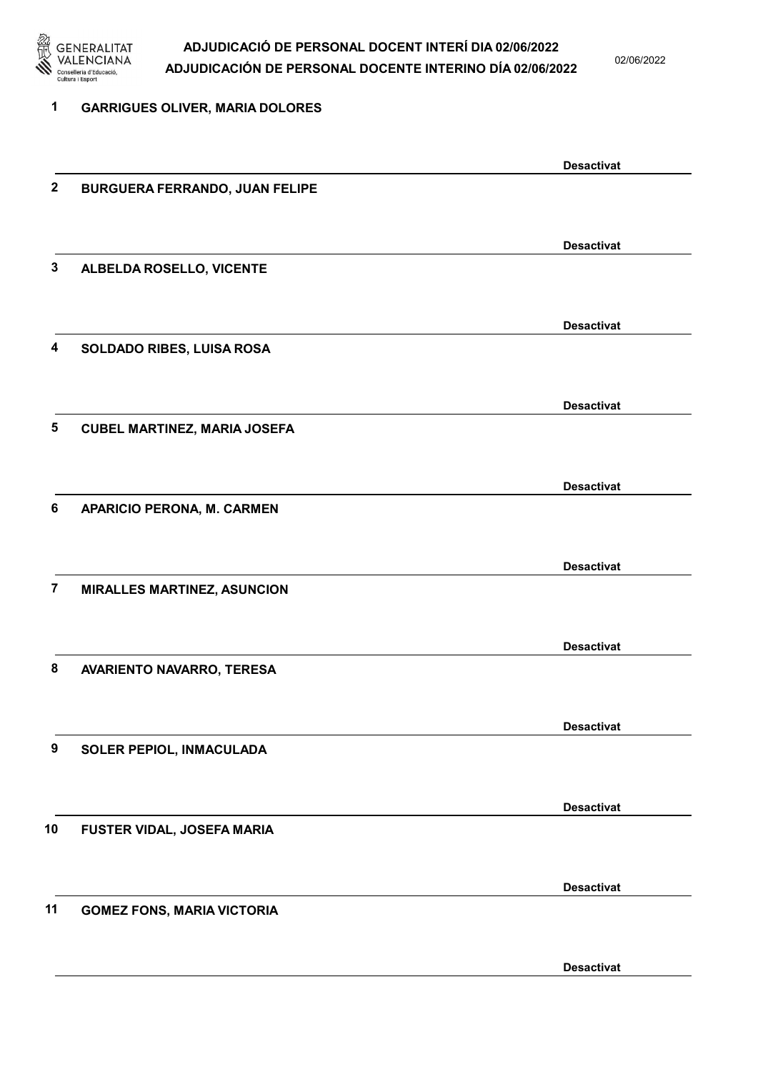

02/06/2022

| 1                | <b>GARRIGUES OLIVER, MARIA DOLORES</b> |                   |
|------------------|----------------------------------------|-------------------|
|                  |                                        | <b>Desactivat</b> |
| $\boldsymbol{2}$ | <b>BURGUERA FERRANDO, JUAN FELIPE</b>  |                   |
|                  |                                        | <b>Desactivat</b> |
| 3                | ALBELDA ROSELLO, VICENTE               |                   |
|                  |                                        | <b>Desactivat</b> |
| 4                | SOLDADO RIBES, LUISA ROSA              |                   |
|                  |                                        | <b>Desactivat</b> |
| 5                | <b>CUBEL MARTINEZ, MARIA JOSEFA</b>    |                   |
|                  |                                        | <b>Desactivat</b> |
| 6                | <b>APARICIO PERONA, M. CARMEN</b>      |                   |
|                  |                                        | <b>Desactivat</b> |
| $\overline{7}$   | <b>MIRALLES MARTINEZ, ASUNCION</b>     |                   |
|                  |                                        | <b>Desactivat</b> |
| 8                | AVARIENTO NAVARRO, TERESA              |                   |
|                  |                                        | <b>Desactivat</b> |
| 9                | SOLER PEPIOL, INMACULADA               |                   |
|                  |                                        | <b>Desactivat</b> |
| 10               | FUSTER VIDAL, JOSEFA MARIA             |                   |
|                  |                                        | <b>Desactivat</b> |
| 11               | <b>GOMEZ FONS, MARIA VICTORIA</b>      |                   |
|                  |                                        |                   |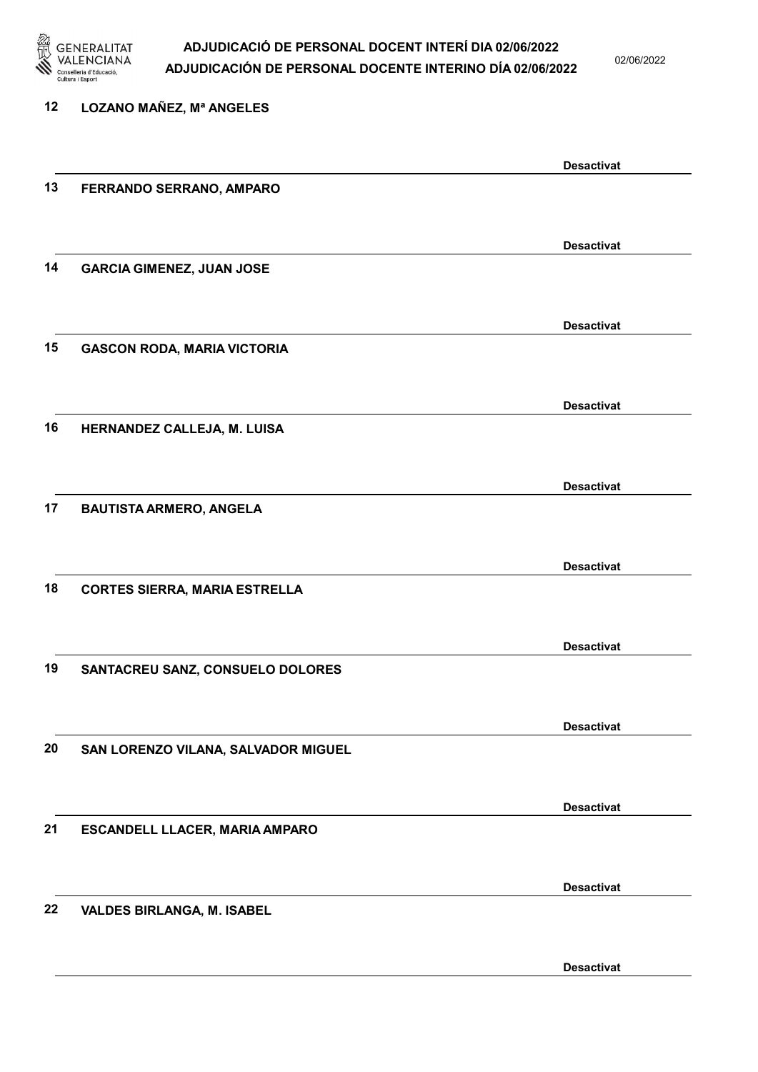

02/06/2022

| 12 | <b>LOZANO MAÑEZ, Mª ANGELES</b>      |                   |
|----|--------------------------------------|-------------------|
|    |                                      | <b>Desactivat</b> |
| 13 | FERRANDO SERRANO, AMPARO             |                   |
|    |                                      | <b>Desactivat</b> |
| 14 | <b>GARCIA GIMENEZ, JUAN JOSE</b>     |                   |
|    |                                      | <b>Desactivat</b> |
| 15 | <b>GASCON RODA, MARIA VICTORIA</b>   |                   |
|    |                                      | <b>Desactivat</b> |
| 16 | HERNANDEZ CALLEJA, M. LUISA          |                   |
|    |                                      | <b>Desactivat</b> |
| 17 | <b>BAUTISTA ARMERO, ANGELA</b>       |                   |
|    |                                      | <b>Desactivat</b> |
| 18 | <b>CORTES SIERRA, MARIA ESTRELLA</b> |                   |
|    |                                      | <b>Desactivat</b> |
| 19 | SANTACREU SANZ, CONSUELO DOLORES     |                   |
|    |                                      | <b>Desactivat</b> |
| 20 | SAN LORENZO VILANA, SALVADOR MIGUEL  |                   |
|    |                                      | <b>Desactivat</b> |
| 21 | ESCANDELL LLACER, MARIA AMPARO       |                   |
|    |                                      | <b>Desactivat</b> |
| 22 | <b>VALDES BIRLANGA, M. ISABEL</b>    |                   |
|    |                                      |                   |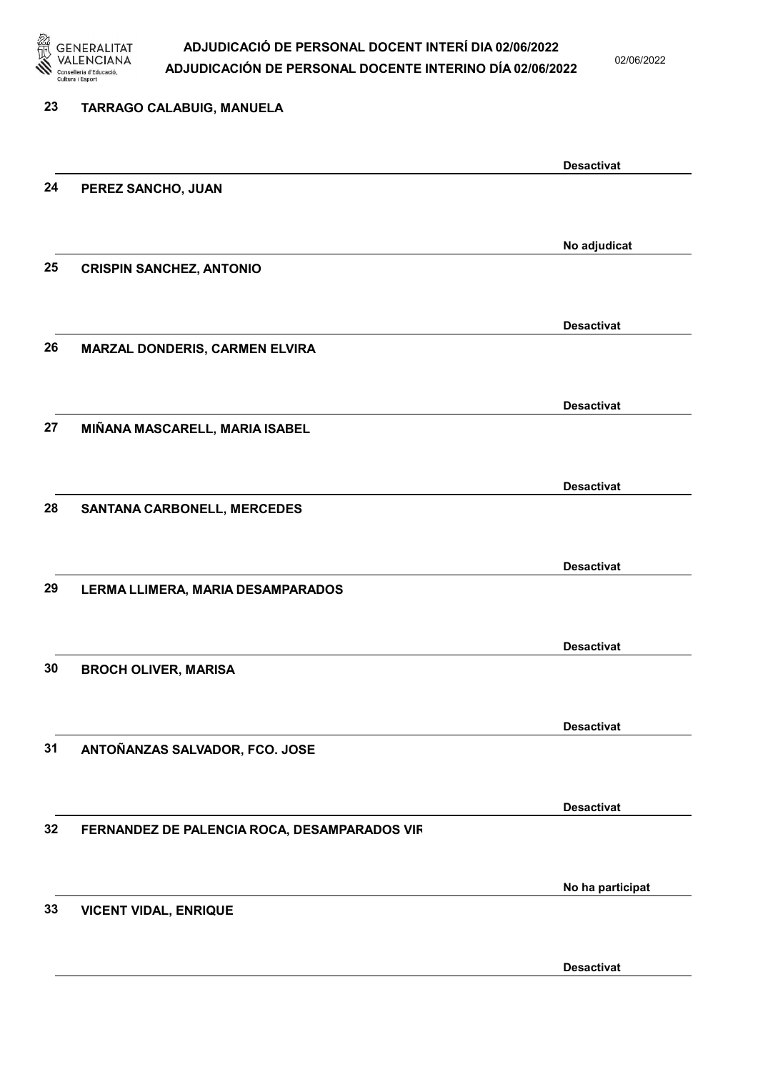

02/06/2022

| 23 | <b>TARRAGO CALABUIG, MANUELA</b>             |                   |
|----|----------------------------------------------|-------------------|
|    |                                              | <b>Desactivat</b> |
| 24 | PEREZ SANCHO, JUAN                           |                   |
|    |                                              | No adjudicat      |
| 25 | <b>CRISPIN SANCHEZ, ANTONIO</b>              |                   |
|    |                                              | <b>Desactivat</b> |
| 26 | MARZAL DONDERIS, CARMEN ELVIRA               |                   |
|    |                                              | <b>Desactivat</b> |
| 27 | MIÑANA MASCARELL, MARIA ISABEL               |                   |
|    |                                              | <b>Desactivat</b> |
| 28 | <b>SANTANA CARBONELL, MERCEDES</b>           |                   |
|    |                                              | <b>Desactivat</b> |
| 29 | LERMA LLIMERA, MARIA DESAMPARADOS            |                   |
|    |                                              | <b>Desactivat</b> |
| 30 | <b>BROCH OLIVER, MARISA</b>                  |                   |
|    |                                              | <b>Desactivat</b> |
| 31 | ANTOÑANZAS SALVADOR, FCO. JOSE               |                   |
|    |                                              | <b>Desactivat</b> |
| 32 | FERNANDEZ DE PALENCIA ROCA, DESAMPARADOS VIR |                   |
|    |                                              | No ha participat  |
| 33 | <b>VICENT VIDAL, ENRIQUE</b>                 |                   |
|    |                                              | <b>Desactivat</b> |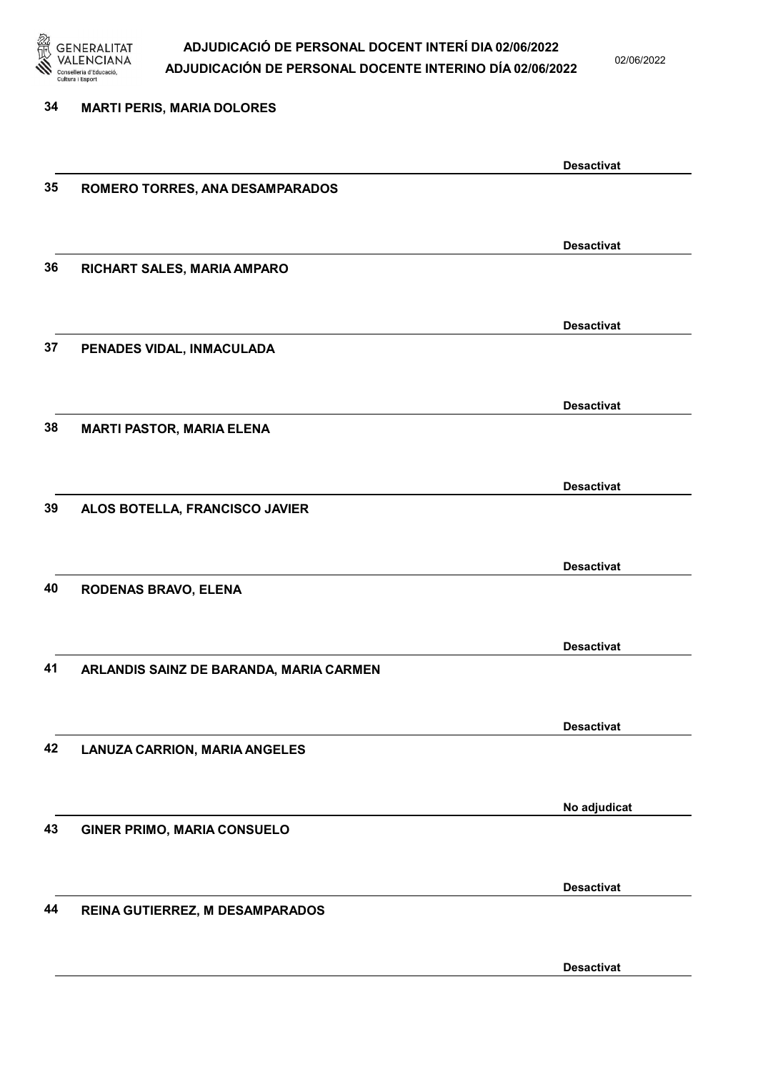

02/06/2022

| 34 | <b>MARTI PERIS, MARIA DOLORES</b>       |                   |
|----|-----------------------------------------|-------------------|
|    |                                         | <b>Desactivat</b> |
| 35 | ROMERO TORRES, ANA DESAMPARADOS         |                   |
|    |                                         | <b>Desactivat</b> |
| 36 | RICHART SALES, MARIA AMPARO             |                   |
|    |                                         | <b>Desactivat</b> |
| 37 | PENADES VIDAL, INMACULADA               |                   |
|    |                                         | <b>Desactivat</b> |
| 38 | <b>MARTI PASTOR, MARIA ELENA</b>        |                   |
|    |                                         | <b>Desactivat</b> |
| 39 | ALOS BOTELLA, FRANCISCO JAVIER          |                   |
|    |                                         | <b>Desactivat</b> |
| 40 | RODENAS BRAVO, ELENA                    |                   |
|    |                                         | <b>Desactivat</b> |
| 41 | ARLANDIS SAINZ DE BARANDA, MARIA CARMEN |                   |
|    |                                         | <b>Desactivat</b> |
| 42 | <b>LANUZA CARRION, MARIA ANGELES</b>    |                   |
|    |                                         | No adjudicat      |
| 43 | <b>GINER PRIMO, MARIA CONSUELO</b>      |                   |
|    |                                         | <b>Desactivat</b> |
| 44 | REINA GUTIERREZ, M DESAMPARADOS         |                   |
|    |                                         |                   |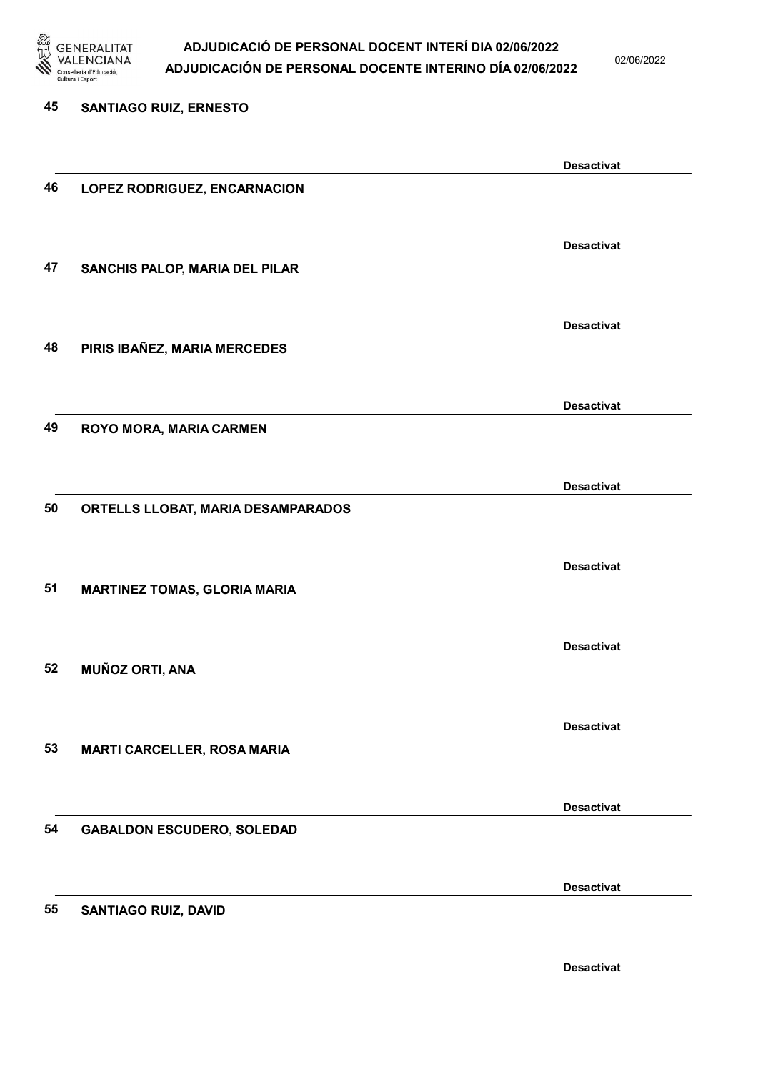

02/06/2022

Desactivat

# 45 SANTIAGO RUIZ, ERNESTO Desactivat 46 LOPEZ RODRIGUEZ, ENCARNACION Desactivat 47 SANCHIS PALOP, MARIA DEL PILAR Desactivat 48 PIRIS IBAÑEZ, MARIA MERCEDES Desactivat 49 ROYO MORA, MARIA CARMEN Desactivat 50 ORTELLS LLOBAT, MARIA DESAMPARADOS Desactivat 51 MARTINEZ TOMAS, GLORIA MARIA Desactivat 52 MUÑOZ ORTI, ANA Desactivat 53 MARTI CARCELLER, ROSA MARIA Desactivat 54 GABALDON ESCUDERO, SOLEDAD Desactivat 55 SANTIAGO RUIZ, DAVID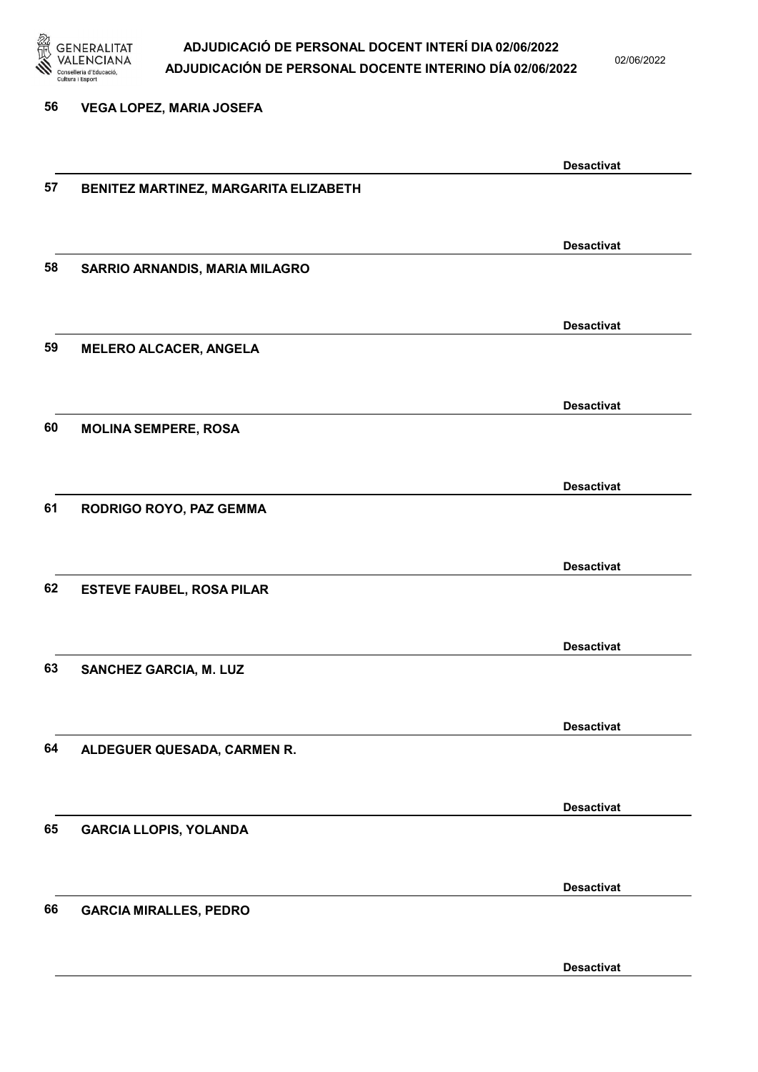

02/06/2022

56 VEGA LOPEZ, MARIA JOSEFA

|    |                                       | <b>Desactivat</b> |
|----|---------------------------------------|-------------------|
| 57 | BENITEZ MARTINEZ, MARGARITA ELIZABETH |                   |
|    |                                       |                   |
|    |                                       |                   |
|    |                                       | <b>Desactivat</b> |
| 58 | SARRIO ARNANDIS, MARIA MILAGRO        |                   |
|    |                                       |                   |
|    |                                       | <b>Desactivat</b> |
| 59 | <b>MELERO ALCACER, ANGELA</b>         |                   |
|    |                                       |                   |
|    |                                       |                   |
|    |                                       | <b>Desactivat</b> |
| 60 | <b>MOLINA SEMPERE, ROSA</b>           |                   |
|    |                                       |                   |
|    |                                       |                   |
|    |                                       | <b>Desactivat</b> |
| 61 | RODRIGO ROYO, PAZ GEMMA               |                   |
|    |                                       |                   |
|    |                                       | <b>Desactivat</b> |
| 62 | <b>ESTEVE FAUBEL, ROSA PILAR</b>      |                   |
|    |                                       |                   |
|    |                                       |                   |
|    |                                       | <b>Desactivat</b> |
| 63 | SANCHEZ GARCIA, M. LUZ                |                   |
|    |                                       |                   |
|    |                                       |                   |
|    |                                       | <b>Desactivat</b> |
| 64 | ALDEGUER QUESADA, CARMEN R.           |                   |
|    |                                       |                   |
|    |                                       | <b>Desactivat</b> |
| 65 | <b>GARCIA LLOPIS, YOLANDA</b>         |                   |
|    |                                       |                   |
|    |                                       |                   |
|    |                                       | <b>Desactivat</b> |
| 66 | <b>GARCIA MIRALLES, PEDRO</b>         |                   |
|    |                                       |                   |
|    |                                       |                   |
|    |                                       | <b>Desactivat</b> |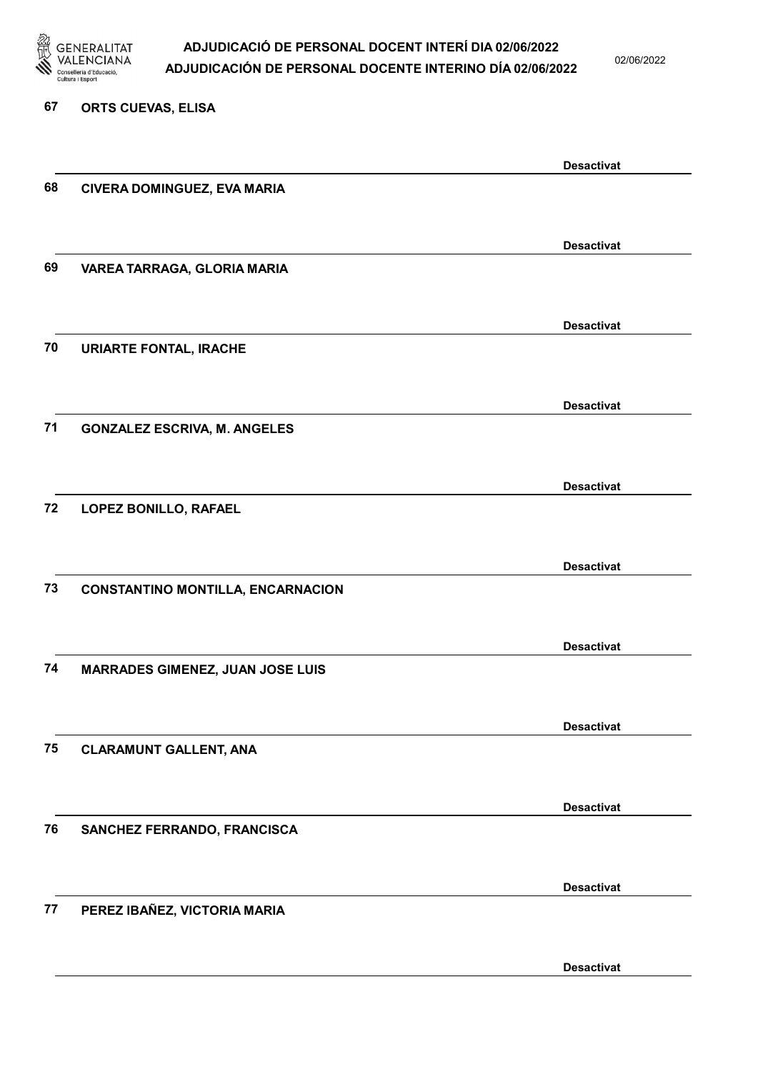

02/06/2022

#### 67 ORTS CUEVAS, ELISA

|    |                                          | <b>Desactivat</b> |
|----|------------------------------------------|-------------------|
| 68 | CIVERA DOMINGUEZ, EVA MARIA              |                   |
|    |                                          |                   |
|    |                                          |                   |
| 69 |                                          | <b>Desactivat</b> |
|    | VAREA TARRAGA, GLORIA MARIA              |                   |
|    |                                          |                   |
|    |                                          | <b>Desactivat</b> |
| 70 | <b>URIARTE FONTAL, IRACHE</b>            |                   |
|    |                                          |                   |
|    |                                          | <b>Desactivat</b> |
| 71 | <b>GONZALEZ ESCRIVA, M. ANGELES</b>      |                   |
|    |                                          |                   |
|    |                                          |                   |
|    |                                          | <b>Desactivat</b> |
| 72 | LOPEZ BONILLO, RAFAEL                    |                   |
|    |                                          |                   |
|    |                                          | <b>Desactivat</b> |
| 73 | <b>CONSTANTINO MONTILLA, ENCARNACION</b> |                   |
|    |                                          |                   |
|    |                                          |                   |
|    |                                          | <b>Desactivat</b> |
| 74 | <b>MARRADES GIMENEZ, JUAN JOSE LUIS</b>  |                   |
|    |                                          |                   |
|    |                                          | <b>Desactivat</b> |
| 75 | <b>CLARAMUNT GALLENT, ANA</b>            |                   |
|    |                                          |                   |
|    |                                          | <b>Desactivat</b> |
| 76 | SANCHEZ FERRANDO, FRANCISCA              |                   |
|    |                                          |                   |
|    |                                          |                   |
|    |                                          | <b>Desactivat</b> |
| 77 | PEREZ IBAÑEZ, VICTORIA MARIA             |                   |
|    |                                          |                   |
|    |                                          | <b>Desactivat</b> |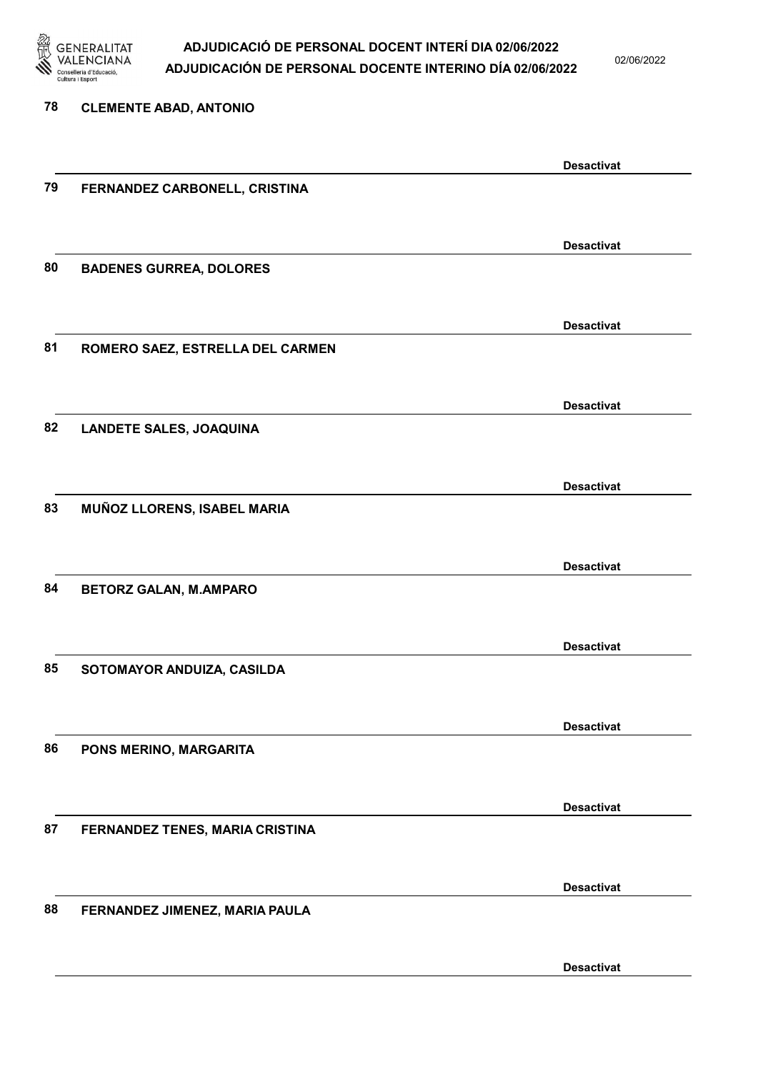

02/06/2022

| 78 | <b>CLEMENTE ABAD, ANTONIO</b>    |                   |
|----|----------------------------------|-------------------|
|    |                                  | <b>Desactivat</b> |
| 79 | FERNANDEZ CARBONELL, CRISTINA    |                   |
|    |                                  | <b>Desactivat</b> |
| 80 | <b>BADENES GURREA, DOLORES</b>   |                   |
|    |                                  | <b>Desactivat</b> |
| 81 | ROMERO SAEZ, ESTRELLA DEL CARMEN |                   |
|    |                                  | <b>Desactivat</b> |
| 82 | <b>LANDETE SALES, JOAQUINA</b>   |                   |
|    |                                  | <b>Desactivat</b> |
| 83 | MUÑOZ LLORENS, ISABEL MARIA      |                   |
|    |                                  | <b>Desactivat</b> |
| 84 | <b>BETORZ GALAN, M.AMPARO</b>    |                   |
|    |                                  | <b>Desactivat</b> |
| 85 | SOTOMAYOR ANDUIZA, CASILDA       |                   |
|    |                                  | <b>Desactivat</b> |
| 86 | PONS MERINO, MARGARITA           |                   |
|    |                                  | <b>Desactivat</b> |
| 87 | FERNANDEZ TENES, MARIA CRISTINA  |                   |
|    |                                  | <b>Desactivat</b> |
| 88 | FERNANDEZ JIMENEZ, MARIA PAULA   |                   |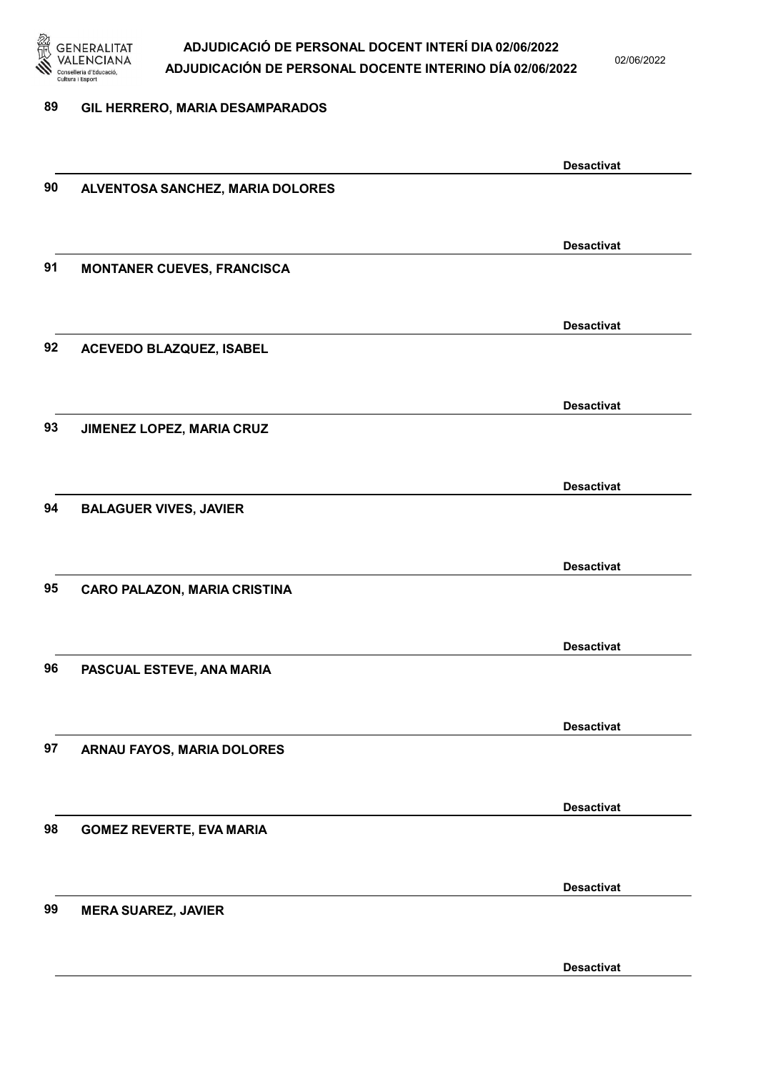

02/06/2022

#### 89 GIL HERRERO, MARIA DESAMPARADOS

|    |                                     | <b>Desactivat</b> |
|----|-------------------------------------|-------------------|
| 90 | ALVENTOSA SANCHEZ, MARIA DOLORES    |                   |
|    |                                     |                   |
|    |                                     |                   |
|    |                                     | <b>Desactivat</b> |
| 91 | <b>MONTANER CUEVES, FRANCISCA</b>   |                   |
|    |                                     |                   |
|    |                                     | <b>Desactivat</b> |
| 92 | ACEVEDO BLAZQUEZ, ISABEL            |                   |
|    |                                     |                   |
|    |                                     |                   |
|    |                                     | <b>Desactivat</b> |
| 93 | JIMENEZ LOPEZ, MARIA CRUZ           |                   |
|    |                                     |                   |
|    |                                     |                   |
|    |                                     | <b>Desactivat</b> |
| 94 | <b>BALAGUER VIVES, JAVIER</b>       |                   |
|    |                                     |                   |
|    |                                     | <b>Desactivat</b> |
| 95 | <b>CARO PALAZON, MARIA CRISTINA</b> |                   |
|    |                                     |                   |
|    |                                     |                   |
|    |                                     | <b>Desactivat</b> |
| 96 | PASCUAL ESTEVE, ANA MARIA           |                   |
|    |                                     |                   |
|    |                                     |                   |
|    |                                     | <b>Desactivat</b> |
| 97 | ARNAU FAYOS, MARIA DOLORES          |                   |
|    |                                     |                   |
|    |                                     | <b>Desactivat</b> |
| 98 | <b>GOMEZ REVERTE, EVA MARIA</b>     |                   |
|    |                                     |                   |
|    |                                     |                   |
|    |                                     | <b>Desactivat</b> |
| 99 | <b>MERA SUAREZ, JAVIER</b>          |                   |
|    |                                     |                   |
|    |                                     |                   |
|    |                                     | <b>Desactivat</b> |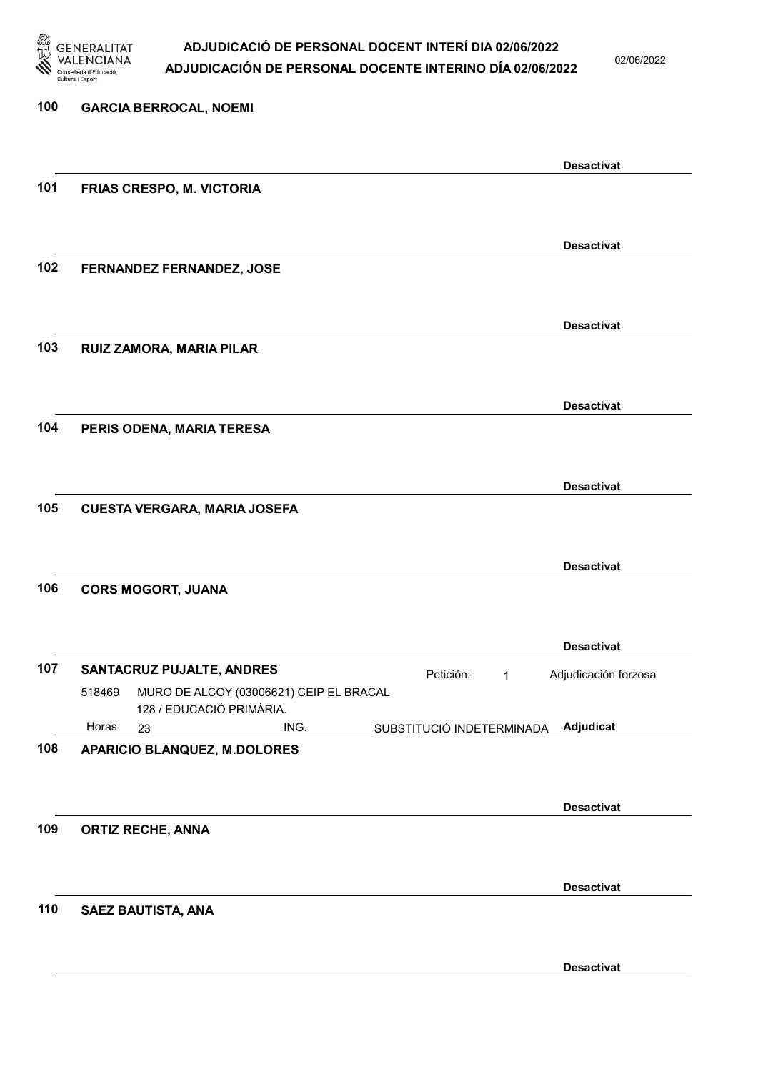

02/06/2022

| 100 | <b>GARCIA BERROCAL, NOEMI</b>                                                  |                                        |                      |
|-----|--------------------------------------------------------------------------------|----------------------------------------|----------------------|
|     |                                                                                | <b>Desactivat</b>                      |                      |
| 101 | FRIAS CRESPO, M. VICTORIA                                                      |                                        |                      |
|     |                                                                                | <b>Desactivat</b>                      |                      |
| 102 | FERNANDEZ FERNANDEZ, JOSE                                                      |                                        |                      |
| 103 | RUIZ ZAMORA, MARIA PILAR                                                       | <b>Desactivat</b>                      |                      |
|     |                                                                                |                                        |                      |
| 104 | PERIS ODENA, MARIA TERESA                                                      | <b>Desactivat</b>                      |                      |
|     |                                                                                |                                        |                      |
| 105 | <b>CUESTA VERGARA, MARIA JOSEFA</b>                                            | <b>Desactivat</b>                      |                      |
|     |                                                                                |                                        |                      |
|     |                                                                                | <b>Desactivat</b>                      |                      |
| 106 | <b>CORS MOGORT, JUANA</b>                                                      |                                        |                      |
|     |                                                                                | <b>Desactivat</b>                      |                      |
| 107 | SANTACRUZ PUJALTE, ANDRES<br>MURO DE ALCOY (03006621) CEIP EL BRACAL<br>518469 | Petición:<br>$\mathbf{1}$              | Adjudicación forzosa |
|     | 128 / EDUCACIÓ PRIMÀRIA.<br>Horas<br>ING.<br>23                                | Adjudicat<br>SUBSTITUCIÓ INDETERMINADA |                      |
| 108 | <b>APARICIO BLANQUEZ, M.DOLORES</b>                                            |                                        |                      |
|     |                                                                                | <b>Desactivat</b>                      |                      |
| 109 | <b>ORTIZ RECHE, ANNA</b>                                                       |                                        |                      |
|     |                                                                                | <b>Desactivat</b>                      |                      |
| 110 | SAEZ BAUTISTA, ANA                                                             |                                        |                      |
|     |                                                                                | <b>Desactivat</b>                      |                      |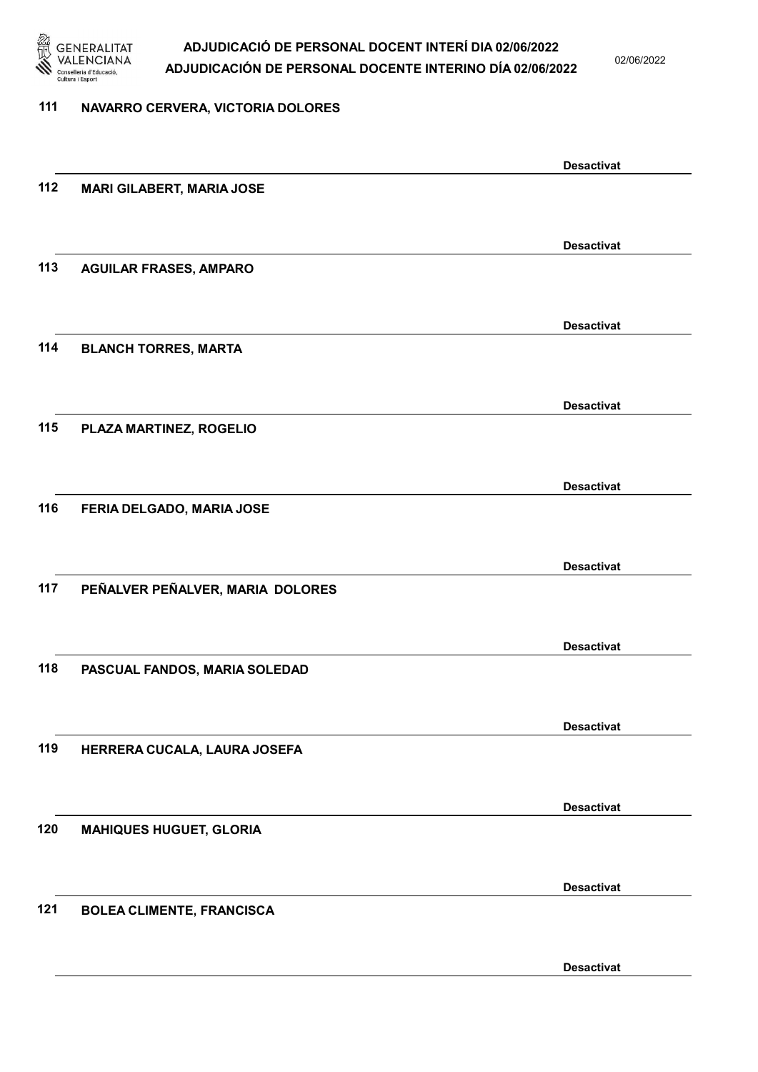

02/06/2022

#### 111 NAVARRO CERVERA, VICTORIA DOLORES

|     |                                  | <b>Desactivat</b> |
|-----|----------------------------------|-------------------|
| 112 | <b>MARI GILABERT, MARIA JOSE</b> |                   |
|     |                                  |                   |
|     |                                  | <b>Desactivat</b> |
| 113 | <b>AGUILAR FRASES, AMPARO</b>    |                   |
|     |                                  |                   |
|     |                                  | <b>Desactivat</b> |
| 114 | <b>BLANCH TORRES, MARTA</b>      |                   |
|     |                                  |                   |
|     |                                  | <b>Desactivat</b> |
| 115 | PLAZA MARTINEZ, ROGELIO          |                   |
|     |                                  |                   |
|     |                                  | <b>Desactivat</b> |
| 116 | FERIA DELGADO, MARIA JOSE        |                   |
|     |                                  |                   |
|     |                                  | <b>Desactivat</b> |
| 117 | PEÑALVER PEÑALVER, MARIA DOLORES |                   |
|     |                                  |                   |
|     |                                  | <b>Desactivat</b> |
| 118 | PASCUAL FANDOS, MARIA SOLEDAD    |                   |
|     |                                  |                   |
|     |                                  |                   |
| 119 | HERRERA CUCALA, LAURA JOSEFA     | <b>Desactivat</b> |
|     |                                  |                   |
|     |                                  |                   |
| 120 | <b>MAHIQUES HUGUET, GLORIA</b>   | <b>Desactivat</b> |
|     |                                  |                   |
|     |                                  |                   |
|     |                                  | <b>Desactivat</b> |
| 121 | <b>BOLEA CLIMENTE, FRANCISCA</b> |                   |
|     |                                  |                   |
|     |                                  | <b>Desactivat</b> |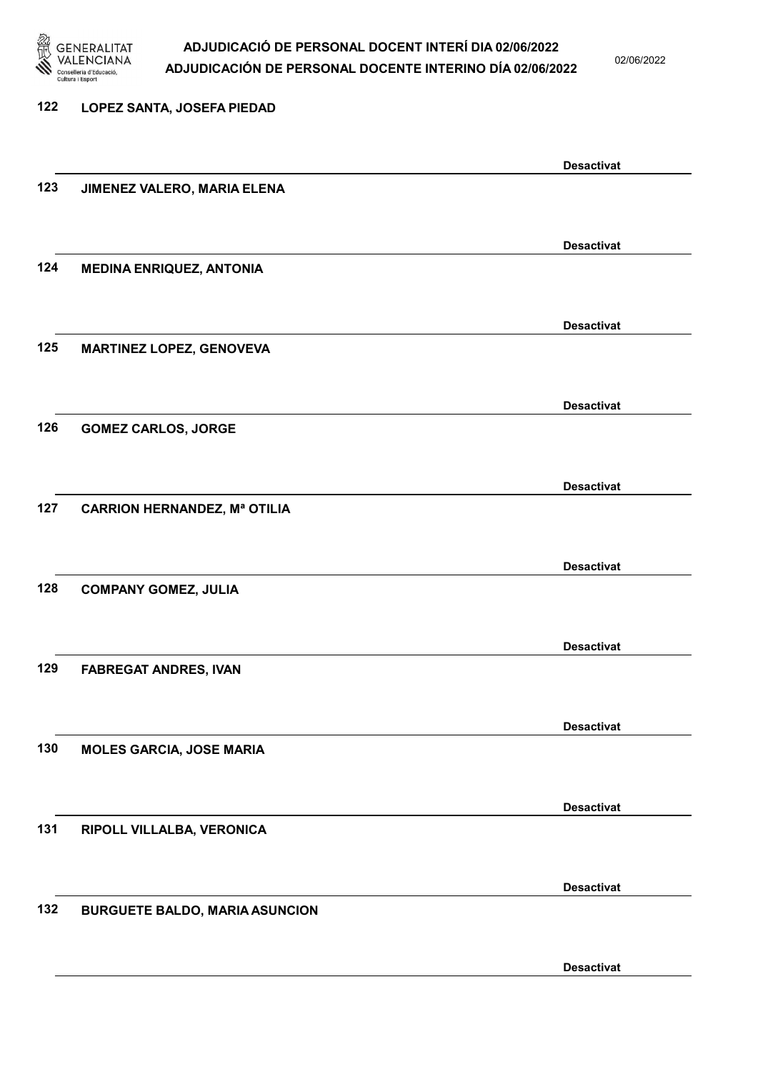

02/06/2022

### 122 LOPEZ SANTA, JOSEFA PIEDAD Desactivat 123 JIMENEZ VALERO, MARIA ELENA Desactivat 124 MEDINA ENRIQUEZ, ANTONIA Desactivat 125 MARTINEZ LOPEZ, GENOVEVA Desactivat 126 GOMEZ CARLOS, JORGE Desactivat 127 CARRION HERNANDEZ, Mª OTILIA Desactivat 128 COMPANY GOMEZ, JULIA Desactivat 129 FABREGAT ANDRES, IVAN Desactivat 130 MOLES GARCIA, JOSE MARIA Desactivat 131 RIPOLL VILLALBA, VERONICA Desactivat 132 BURGUETE BALDO, MARIA ASUNCION Desactivat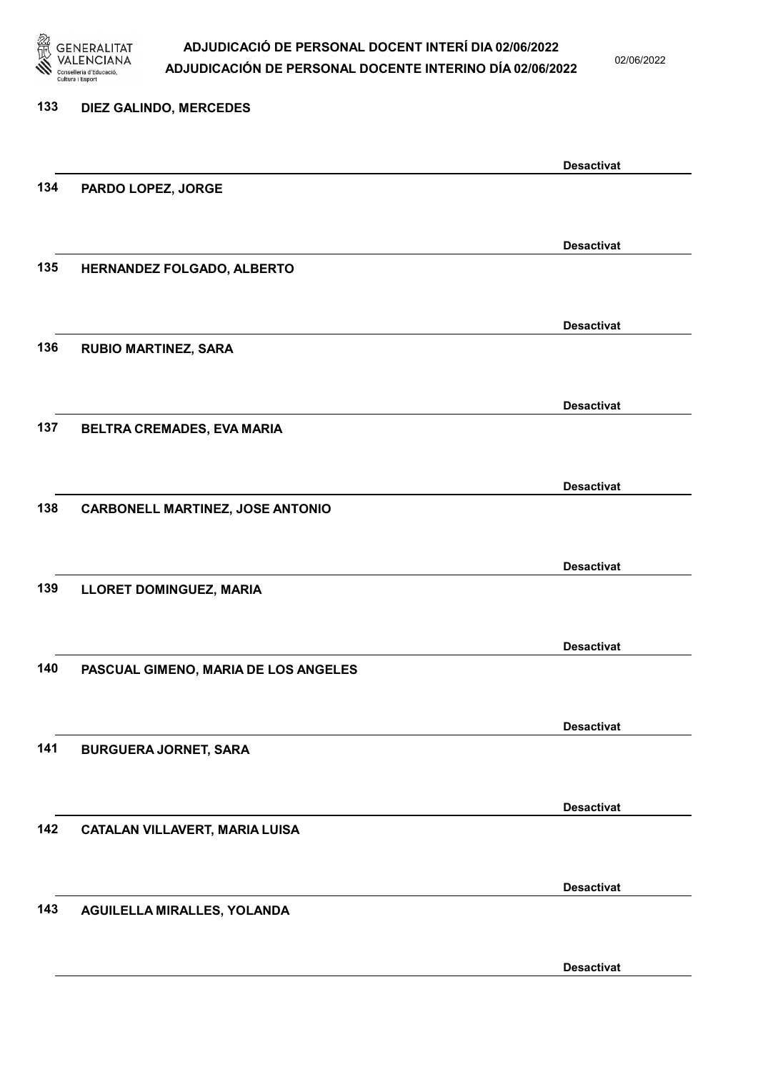

02/06/2022

| 133 | DIEZ GALINDO, MERCEDES                  |                   |
|-----|-----------------------------------------|-------------------|
|     |                                         |                   |
|     |                                         | <b>Desactivat</b> |
| 134 | PARDO LOPEZ, JORGE                      |                   |
|     |                                         |                   |
|     |                                         | <b>Desactivat</b> |
| 135 | HERNANDEZ FOLGADO, ALBERTO              |                   |
|     |                                         |                   |
|     |                                         | <b>Desactivat</b> |
| 136 | <b>RUBIO MARTINEZ, SARA</b>             |                   |
|     |                                         |                   |
|     |                                         | <b>Desactivat</b> |
| 137 | BELTRA CREMADES, EVA MARIA              |                   |
|     |                                         |                   |
|     |                                         | <b>Desactivat</b> |
| 138 | <b>CARBONELL MARTINEZ, JOSE ANTONIO</b> |                   |
|     |                                         |                   |
|     |                                         | <b>Desactivat</b> |
| 139 | LLORET DOMINGUEZ, MARIA                 |                   |
|     |                                         |                   |
|     |                                         | <b>Desactivat</b> |
| 140 | PASCUAL GIMENO, MARIA DE LOS ANGELES    |                   |
|     |                                         |                   |
|     |                                         | <b>Desactivat</b> |
| 141 | <b>BURGUERA JORNET, SARA</b>            |                   |
|     |                                         |                   |
|     |                                         | <b>Desactivat</b> |
| 142 | <b>CATALAN VILLAVERT, MARIA LUISA</b>   |                   |
|     |                                         |                   |
|     |                                         | <b>Desactivat</b> |
| 143 | AGUILELLA MIRALLES, YOLANDA             |                   |
|     |                                         |                   |
|     |                                         |                   |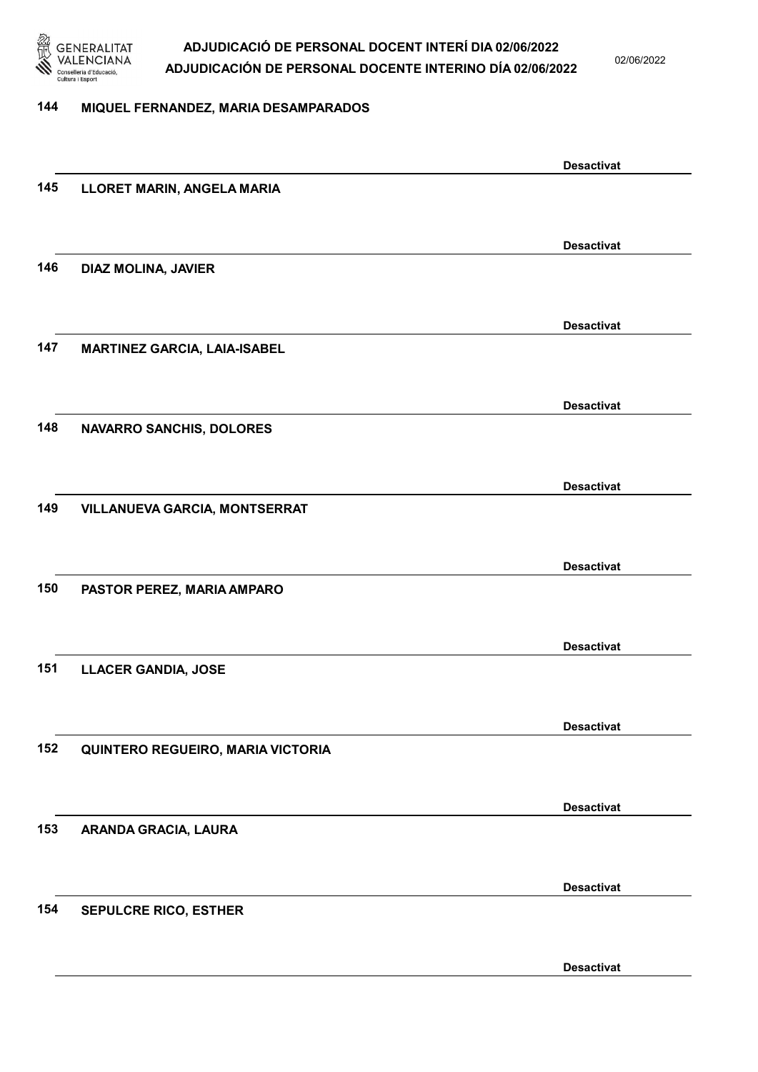

02/06/2022

#### 144 MIQUEL FERNANDEZ, MARIA DESAMPARADOS

|     |                                     | <b>Desactivat</b> |
|-----|-------------------------------------|-------------------|
| 145 | LLORET MARIN, ANGELA MARIA          |                   |
|     |                                     |                   |
|     |                                     | <b>Desactivat</b> |
| 146 | DIAZ MOLINA, JAVIER                 |                   |
|     |                                     |                   |
|     |                                     |                   |
|     |                                     | <b>Desactivat</b> |
| 147 | <b>MARTINEZ GARCIA, LAIA-ISABEL</b> |                   |
|     |                                     |                   |
|     |                                     | <b>Desactivat</b> |
| 148 | <b>NAVARRO SANCHIS, DOLORES</b>     |                   |
|     |                                     |                   |
|     |                                     |                   |
|     |                                     | <b>Desactivat</b> |
| 149 | VILLANUEVA GARCIA, MONTSERRAT       |                   |
|     |                                     |                   |
|     |                                     | <b>Desactivat</b> |
| 150 | PASTOR PEREZ, MARIA AMPARO          |                   |
|     |                                     |                   |
|     |                                     | <b>Desactivat</b> |
| 151 | <b>LLACER GANDIA, JOSE</b>          |                   |
|     |                                     |                   |
|     |                                     |                   |
|     |                                     | <b>Desactivat</b> |
| 152 | QUINTERO REGUEIRO, MARIA VICTORIA   |                   |
|     |                                     |                   |
|     |                                     | <b>Desactivat</b> |
| 153 | ARANDA GRACIA, LAURA                |                   |
|     |                                     |                   |
|     |                                     |                   |
|     |                                     | <b>Desactivat</b> |
| 154 | <b>SEPULCRE RICO, ESTHER</b>        |                   |
|     |                                     |                   |
|     |                                     | <b>Desactivat</b> |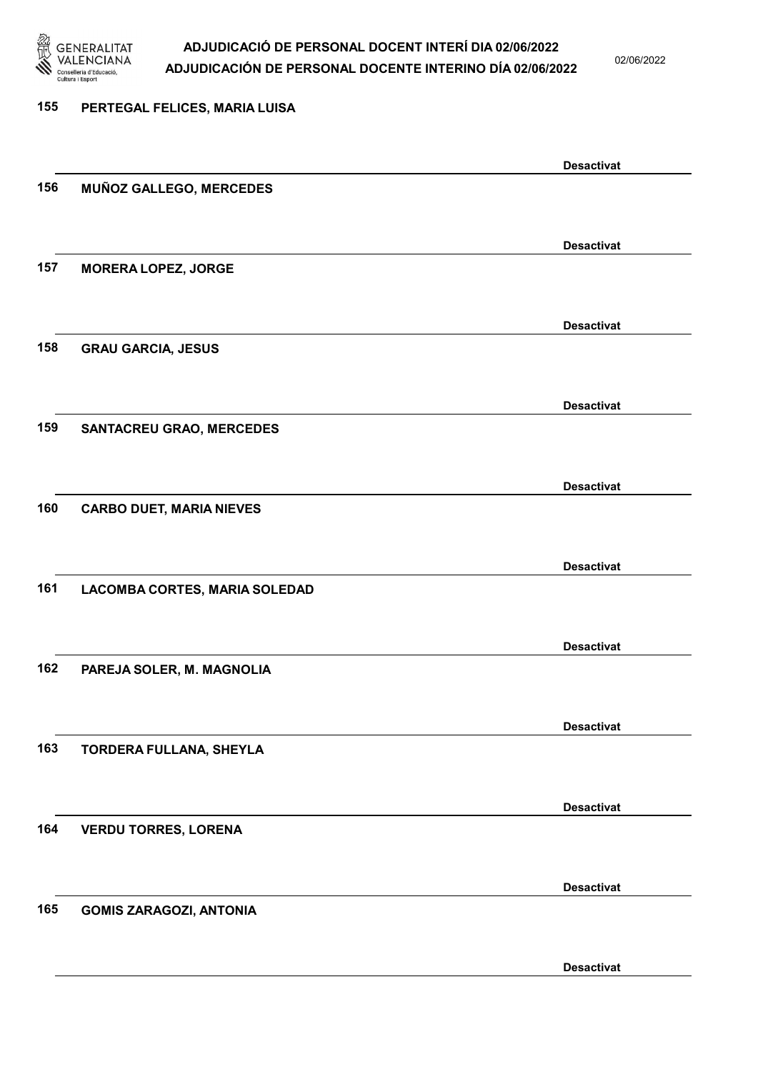

02/06/2022

#### 155 PERTEGAL FELICES, MARIA LUISA

|     |                                 | <b>Desactivat</b> |
|-----|---------------------------------|-------------------|
| 156 | MUÑOZ GALLEGO, MERCEDES         |                   |
|     |                                 |                   |
|     |                                 | <b>Desactivat</b> |
| 157 | <b>MORERA LOPEZ, JORGE</b>      |                   |
|     |                                 |                   |
|     |                                 | <b>Desactivat</b> |
| 158 | <b>GRAU GARCIA, JESUS</b>       |                   |
|     |                                 |                   |
|     |                                 |                   |
| 159 | <b>SANTACREU GRAO, MERCEDES</b> | <b>Desactivat</b> |
|     |                                 |                   |
|     |                                 |                   |
|     |                                 | <b>Desactivat</b> |
| 160 | <b>CARBO DUET, MARIA NIEVES</b> |                   |
|     |                                 |                   |
|     |                                 | <b>Desactivat</b> |
| 161 | LACOMBA CORTES, MARIA SOLEDAD   |                   |
|     |                                 |                   |
|     |                                 | <b>Desactivat</b> |
| 162 | PAREJA SOLER, M. MAGNOLIA       |                   |
|     |                                 |                   |
|     |                                 | <b>Desactivat</b> |
| 163 | TORDERA FULLANA, SHEYLA         |                   |
|     |                                 |                   |
|     |                                 | <b>Desactivat</b> |
| 164 | <b>VERDU TORRES, LORENA</b>     |                   |
|     |                                 |                   |
|     |                                 | <b>Desactivat</b> |
| 165 | <b>GOMIS ZARAGOZI, ANTONIA</b>  |                   |
|     |                                 |                   |
|     |                                 |                   |
|     |                                 | <b>Desactivat</b> |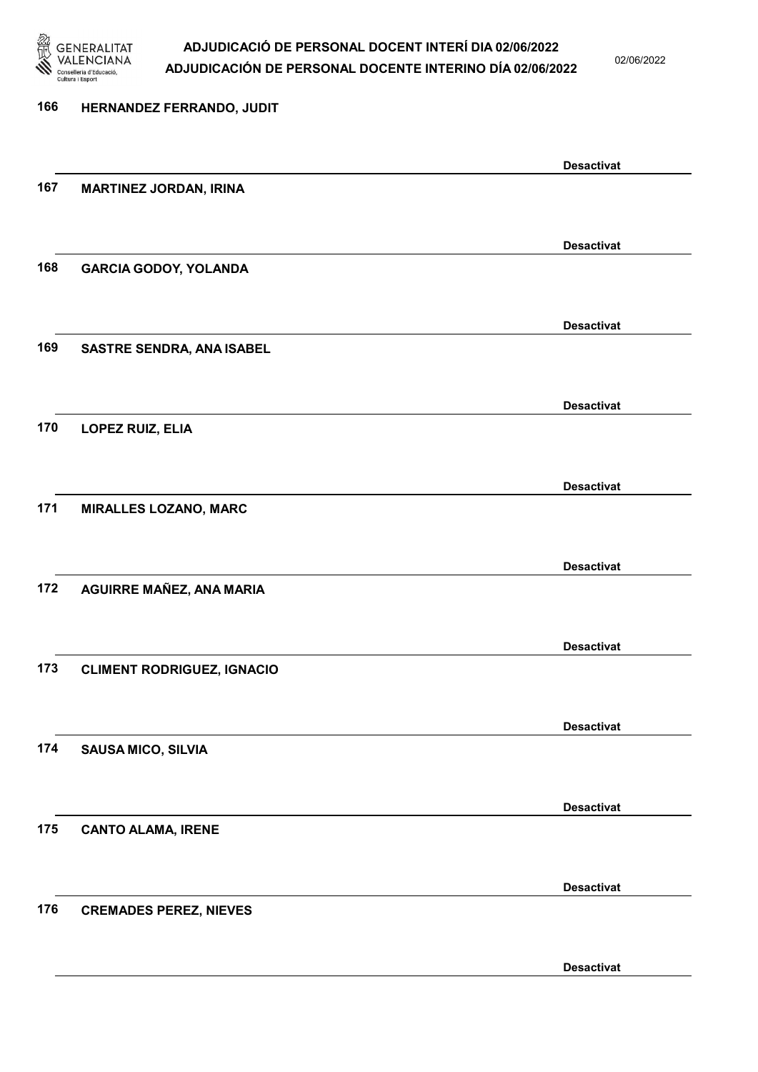

02/06/2022

### 166 HERNANDEZ FERRANDO, JUDIT Desactivat 167 MARTINEZ JORDAN, IRINA Desactivat 168 GARCIA GODOY, YOLANDA Desactivat 169 SASTRE SENDRA, ANA ISABEL Desactivat 170 LOPEZ RUIZ, ELIA Desactivat 171 MIRALLES LOZANO, MARC Desactivat 172 AGUIRRE MAÑEZ, ANA MARIA Desactivat 173 CLIMENT RODRIGUEZ, IGNACIO Desactivat 174 SAUSA MICO, SILVIA Desactivat 175 CANTO ALAMA, IRENE Desactivat 176 CREMADES PEREZ, NIEVES Desactivat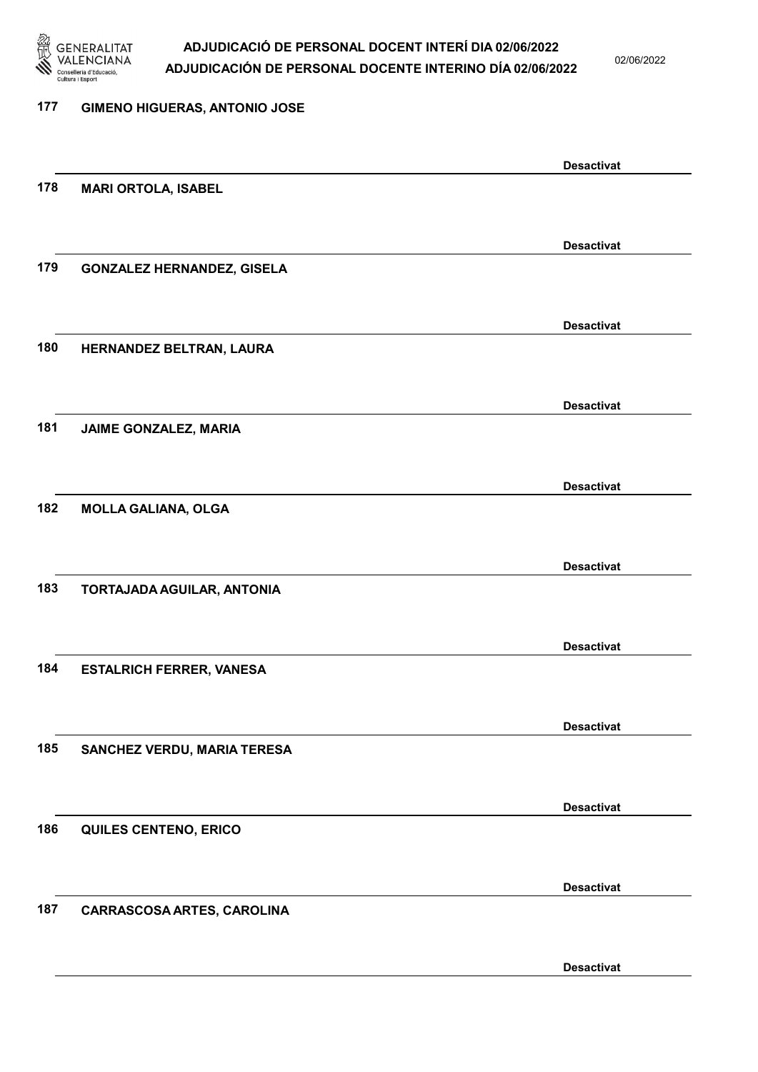

02/06/2022

#### 177 GIMENO HIGUERAS, ANTONIO JOSE

|     |                                   | <b>Desactivat</b> |
|-----|-----------------------------------|-------------------|
| 178 | <b>MARI ORTOLA, ISABEL</b>        |                   |
|     |                                   |                   |
|     |                                   | <b>Desactivat</b> |
| 179 |                                   |                   |
|     | <b>GONZALEZ HERNANDEZ, GISELA</b> |                   |
|     |                                   |                   |
|     |                                   | <b>Desactivat</b> |
| 180 | HERNANDEZ BELTRAN, LAURA          |                   |
|     |                                   |                   |
|     |                                   | <b>Desactivat</b> |
| 181 | JAIME GONZALEZ, MARIA             |                   |
|     |                                   |                   |
|     |                                   |                   |
|     |                                   | <b>Desactivat</b> |
| 182 | <b>MOLLA GALIANA, OLGA</b>        |                   |
|     |                                   |                   |
|     |                                   | <b>Desactivat</b> |
| 183 | TORTAJADA AGUILAR, ANTONIA        |                   |
|     |                                   |                   |
|     |                                   | <b>Desactivat</b> |
| 184 | <b>ESTALRICH FERRER, VANESA</b>   |                   |
|     |                                   |                   |
|     |                                   |                   |
|     |                                   | <b>Desactivat</b> |
| 185 | SANCHEZ VERDU, MARIA TERESA       |                   |
|     |                                   |                   |
|     |                                   | <b>Desactivat</b> |
| 186 | QUILES CENTENO, ERICO             |                   |
|     |                                   |                   |
|     |                                   |                   |
| 187 |                                   | <b>Desactivat</b> |
|     | CARRASCOSA ARTES, CAROLINA        |                   |
|     |                                   |                   |
|     |                                   | <b>Desactivat</b> |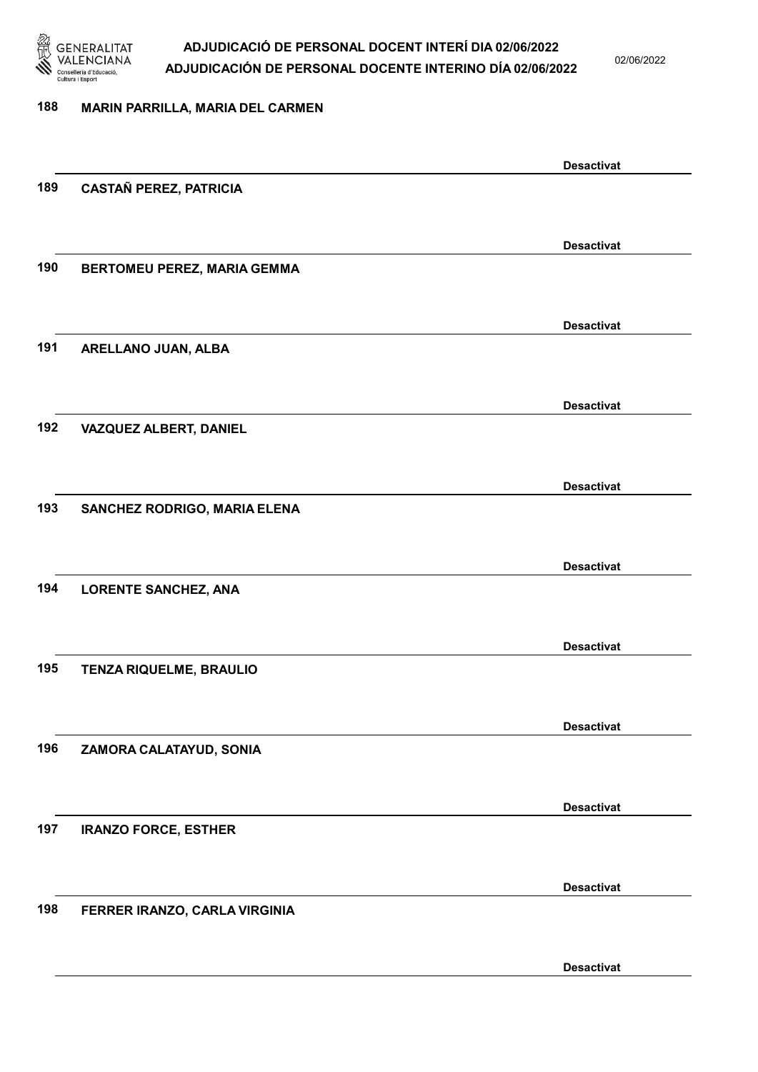

02/06/2022

#### 188 MARIN PARRILLA, MARIA DEL CARMEN

|     |                               | <b>Desactivat</b> |
|-----|-------------------------------|-------------------|
| 189 | <b>CASTAÑ PEREZ, PATRICIA</b> |                   |
|     |                               |                   |
|     |                               |                   |
|     |                               | <b>Desactivat</b> |
| 190 | BERTOMEU PEREZ, MARIA GEMMA   |                   |
|     |                               |                   |
|     |                               | <b>Desactivat</b> |
| 191 | ARELLANO JUAN, ALBA           |                   |
|     |                               |                   |
|     |                               |                   |
|     |                               | <b>Desactivat</b> |
| 192 | VAZQUEZ ALBERT, DANIEL        |                   |
|     |                               |                   |
|     |                               | <b>Desactivat</b> |
| 193 | SANCHEZ RODRIGO, MARIA ELENA  |                   |
|     |                               |                   |
|     |                               |                   |
|     |                               | <b>Desactivat</b> |
| 194 | <b>LORENTE SANCHEZ, ANA</b>   |                   |
|     |                               |                   |
|     |                               | <b>Desactivat</b> |
| 195 | TENZA RIQUELME, BRAULIO       |                   |
|     |                               |                   |
|     |                               |                   |
| 196 |                               | <b>Desactivat</b> |
|     | ZAMORA CALATAYUD, SONIA       |                   |
|     |                               |                   |
|     |                               | <b>Desactivat</b> |
| 197 | <b>IRANZO FORCE, ESTHER</b>   |                   |
|     |                               |                   |
|     |                               |                   |
|     |                               | <b>Desactivat</b> |
| 198 | FERRER IRANZO, CARLA VIRGINIA |                   |
|     |                               |                   |
|     |                               | <b>Desactivat</b> |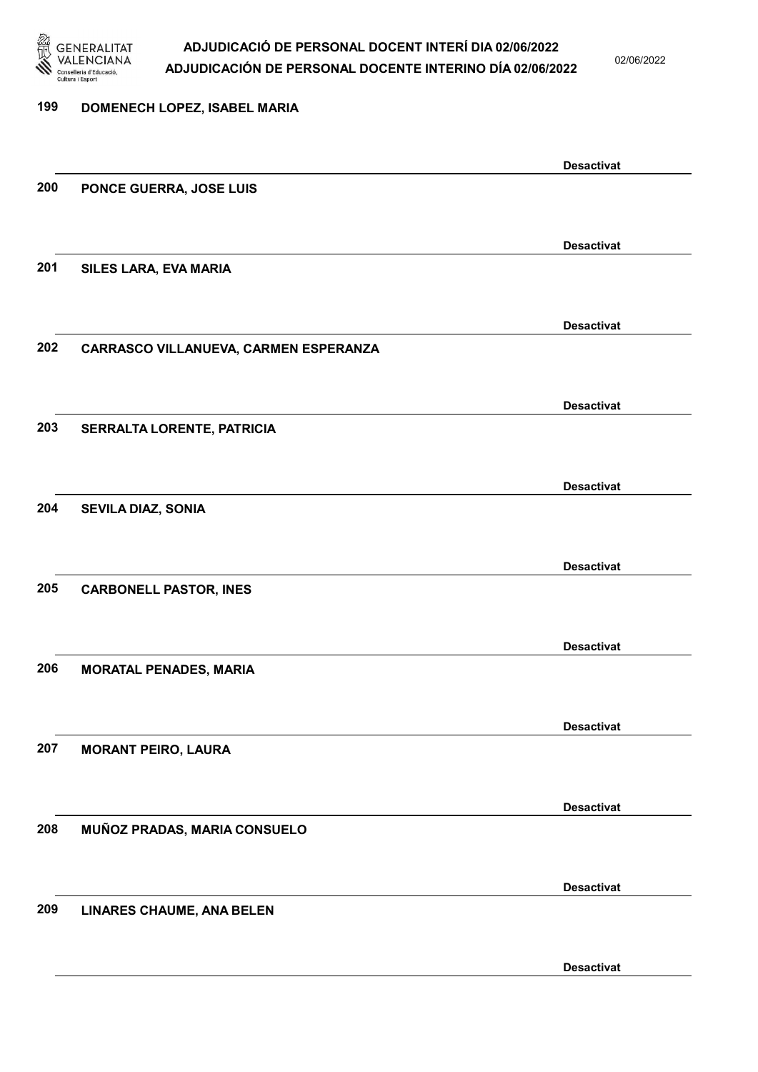

02/06/2022

Desactivat

# 199 DOMENECH LOPEZ, ISABEL MARIA Desactivat 200 PONCE GUERRA, JOSE LUIS Desactivat 201 SILES LARA, EVA MARIA Desactivat 202 CARRASCO VILLANUEVA, CARMEN ESPERANZA Desactivat 203 SERRALTA LORENTE, PATRICIA Desactivat 204 SEVILA DIAZ, SONIA Desactivat 205 CARBONELL PASTOR, INES Desactivat 206 MORATAL PENADES, MARIA Desactivat 207 MORANT PEIRO, LAURA Desactivat 208 MUÑOZ PRADAS, MARIA CONSUELO Desactivat 209 LINARES CHAUME, ANA BELEN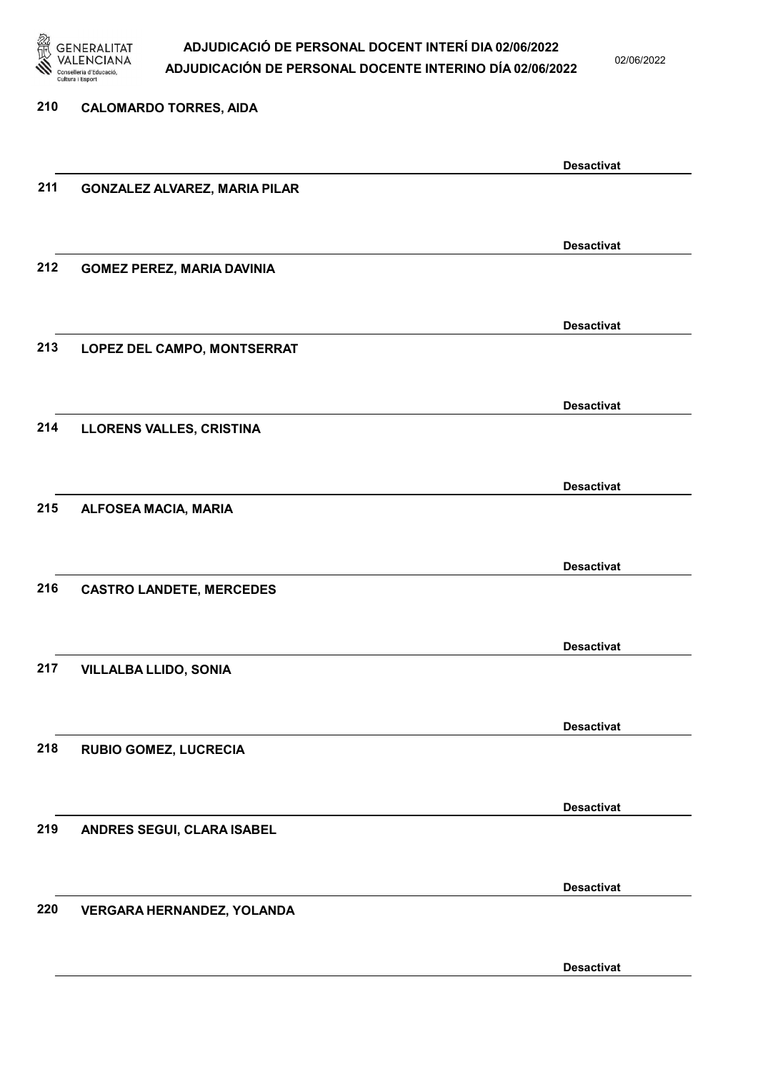

02/06/2022

| 210 | <b>CALOMARDO TORRES, AIDA</b>        |                   |
|-----|--------------------------------------|-------------------|
|     |                                      |                   |
|     |                                      | <b>Desactivat</b> |
| 211 | <b>GONZALEZ ALVAREZ, MARIA PILAR</b> |                   |
|     |                                      |                   |
|     |                                      | <b>Desactivat</b> |
| 212 | <b>GOMEZ PEREZ, MARIA DAVINIA</b>    |                   |
|     |                                      |                   |
|     |                                      | <b>Desactivat</b> |
| 213 | LOPEZ DEL CAMPO, MONTSERRAT          |                   |
|     |                                      |                   |
|     |                                      | <b>Desactivat</b> |
| 214 | LLORENS VALLES, CRISTINA             |                   |
|     |                                      |                   |
| 215 | ALFOSEA MACIA, MARIA                 | <b>Desactivat</b> |
|     |                                      |                   |
|     |                                      | <b>Desactivat</b> |
| 216 | <b>CASTRO LANDETE, MERCEDES</b>      |                   |
|     |                                      |                   |
|     |                                      | <b>Desactivat</b> |
| 217 | <b>VILLALBA LLIDO, SONIA</b>         |                   |
|     |                                      |                   |
|     |                                      | <b>Desactivat</b> |
| 218 | RUBIO GOMEZ, LUCRECIA                |                   |
|     |                                      |                   |
|     |                                      | <b>Desactivat</b> |
| 219 | ANDRES SEGUI, CLARA ISABEL           |                   |
|     |                                      |                   |
|     |                                      | <b>Desactivat</b> |
| 220 | VERGARA HERNANDEZ, YOLANDA           |                   |
|     |                                      |                   |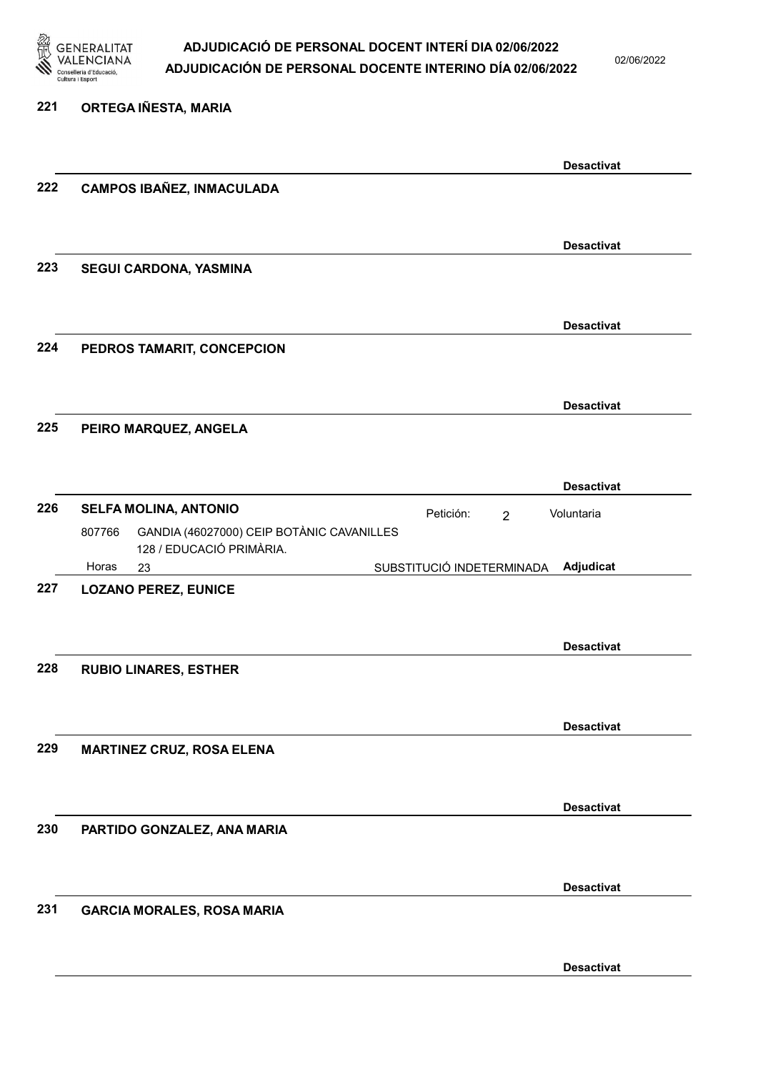

221 ORTEGA IÑESTA, MARIA

#### ADJUDICACIÓ DE PERSONAL DOCENT INTERÍ DIA 02/06/2022 ADJUDICACIÓN DE PERSONAL DOCENTE INTERINO DÍA 02/06/2022

02/06/2022

### Desactivat 222 CAMPOS IBAÑEZ, INMACULADA Desactivat 223 SEGUI CARDONA, YASMINA Desactivat 224 PEDROS TAMARIT, CONCEPCION Desactivat 225 PEIRO MARQUEZ, ANGELA Desactivat 226 SELFA MOLINA, ANTONIO 23 SUBSTITUCIÓ INDETERMINADA GANDIA (46027000) CEIP BOTÀNIC CAVANILLES 128 / EDUCACIÓ PRIMÀRIA. Adjudicat Voluntaria 807766 Horas 227 LOZANO PEREZ, EUNICE Desactivat 228 RUBIO LINARES, ESTHER Desactivat 229 MARTINEZ CRUZ, ROSA ELENA Desactivat 230 PARTIDO GONZALEZ, ANA MARIA Desactivat 231 GARCIA MORALES, ROSA MARIA Desactivat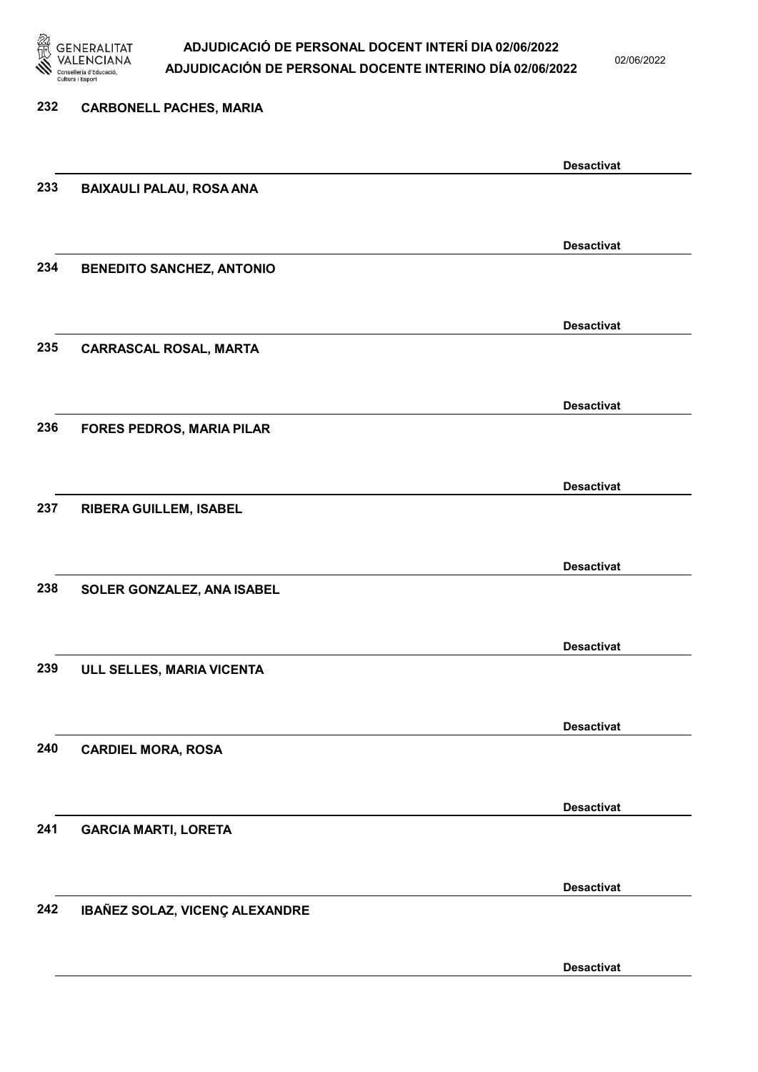

02/06/2022

| 232 | <b>CARBONELL PACHES, MARIA</b>   |                   |
|-----|----------------------------------|-------------------|
|     |                                  | <b>Desactivat</b> |
| 233 | <b>BAIXAULI PALAU, ROSA ANA</b>  |                   |
|     |                                  | <b>Desactivat</b> |
| 234 | <b>BENEDITO SANCHEZ, ANTONIO</b> |                   |
|     |                                  | <b>Desactivat</b> |
| 235 | <b>CARRASCAL ROSAL, MARTA</b>    |                   |
|     |                                  | <b>Desactivat</b> |
| 236 | <b>FORES PEDROS, MARIA PILAR</b> |                   |
|     |                                  | <b>Desactivat</b> |
| 237 | RIBERA GUILLEM, ISABEL           |                   |
| 238 | SOLER GONZALEZ, ANA ISABEL       | <b>Desactivat</b> |
|     |                                  |                   |
| 239 | ULL SELLES, MARIA VICENTA        | <b>Desactivat</b> |
|     |                                  |                   |
| 240 | <b>CARDIEL MORA, ROSA</b>        | <b>Desactivat</b> |
|     |                                  |                   |
| 241 | <b>GARCIA MARTI, LORETA</b>      | <b>Desactivat</b> |
|     |                                  |                   |
| 242 | IBAÑEZ SOLAZ, VICENÇ ALEXANDRE   | <b>Desactivat</b> |
|     |                                  |                   |
|     |                                  | <b>Desactivat</b> |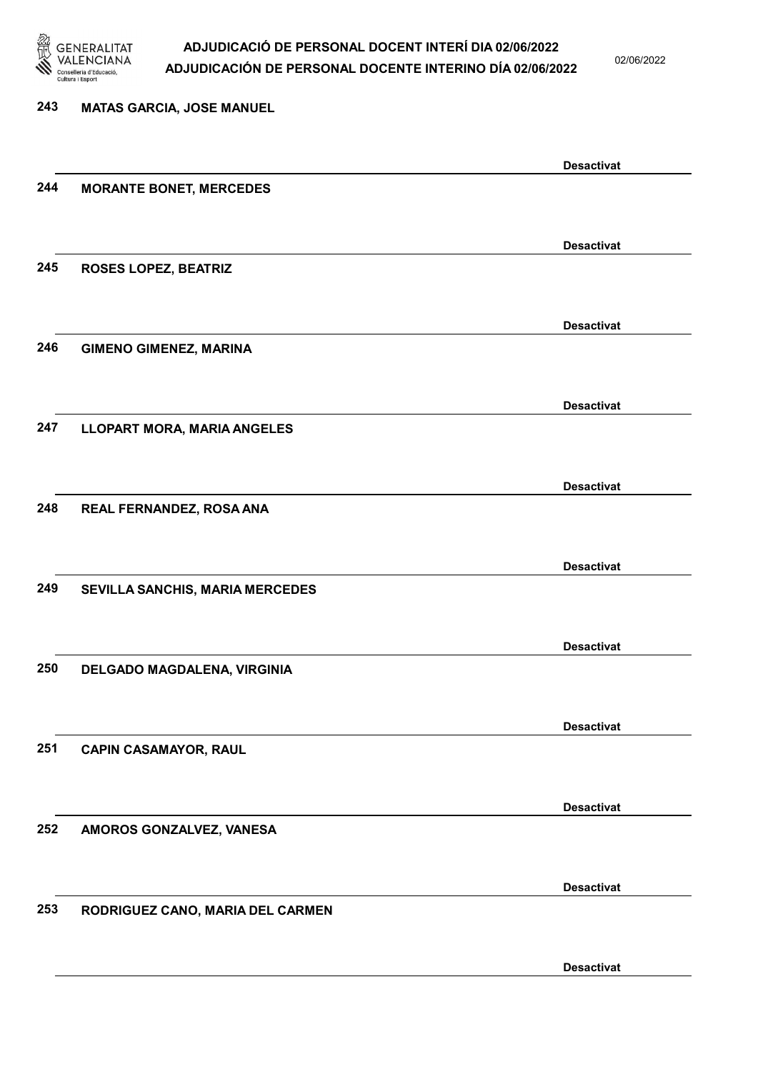

02/06/2022

Desactivat

# 243 MATAS GARCIA, JOSE MANUEL Desactivat 244 MORANTE BONET, MERCEDES Desactivat 245 ROSES LOPEZ, BEATRIZ Desactivat 246 GIMENO GIMENEZ, MARINA Desactivat 247 LLOPART MORA, MARIA ANGELES Desactivat 248 REAL FERNANDEZ, ROSA ANA Desactivat 249 SEVILLA SANCHIS, MARIA MERCEDES Desactivat 250 DELGADO MAGDALENA, VIRGINIA Desactivat 251 CAPIN CASAMAYOR, RAUL Desactivat 252 AMOROS GONZALVEZ, VANESA Desactivat 253 RODRIGUEZ CANO, MARIA DEL CARMEN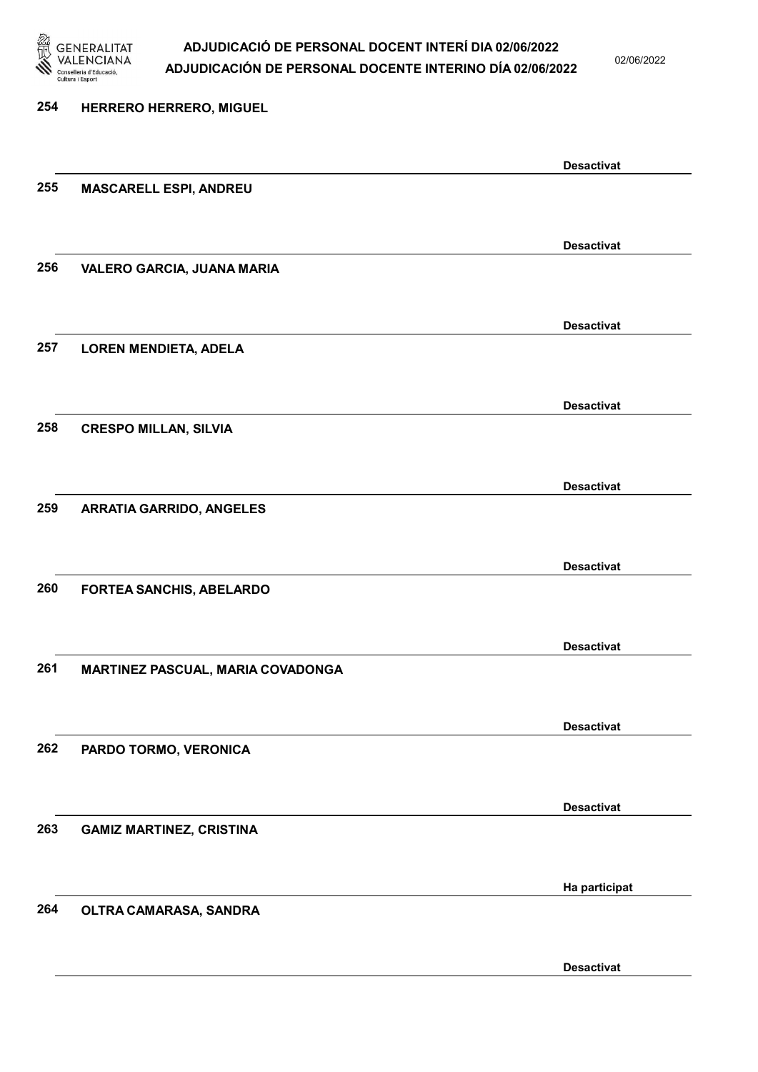

02/06/2022

| 254 | <b>HERRERO HERRERO, MIGUEL</b>    |                   |
|-----|-----------------------------------|-------------------|
|     |                                   | <b>Desactivat</b> |
| 255 | <b>MASCARELL ESPI, ANDREU</b>     |                   |
|     |                                   | <b>Desactivat</b> |
| 256 | VALERO GARCIA, JUANA MARIA        |                   |
|     |                                   | <b>Desactivat</b> |
| 257 | <b>LOREN MENDIETA, ADELA</b>      |                   |
|     |                                   | <b>Desactivat</b> |
| 258 | <b>CRESPO MILLAN, SILVIA</b>      |                   |
|     |                                   | <b>Desactivat</b> |
| 259 | <b>ARRATIA GARRIDO, ANGELES</b>   |                   |
|     |                                   | <b>Desactivat</b> |
| 260 | FORTEA SANCHIS, ABELARDO          |                   |
|     |                                   | <b>Desactivat</b> |
| 261 | MARTINEZ PASCUAL, MARIA COVADONGA |                   |
|     |                                   | <b>Desactivat</b> |
| 262 | PARDO TORMO, VERONICA             |                   |
|     |                                   | <b>Desactivat</b> |
| 263 | <b>GAMIZ MARTINEZ, CRISTINA</b>   |                   |
| 264 |                                   | Ha participat     |
|     | OLTRA CAMARASA, SANDRA            |                   |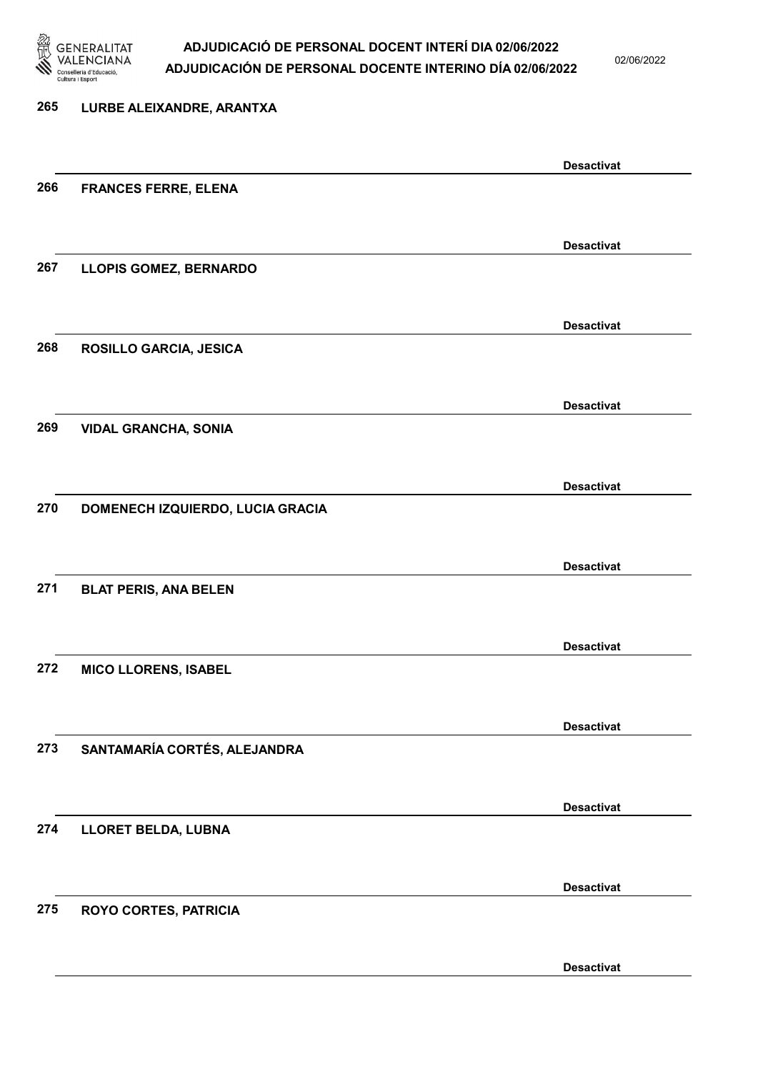

# 265 LURBE ALEIXANDRE, ARANTXA Desactivat 266 FRANCES FERRE, ELENA Desactivat 267 LLOPIS GOMEZ, BERNARDO Desactivat 268 ROSILLO GARCIA, JESICA Desactivat 269 VIDAL GRANCHA, SONIA Desactivat 270 DOMENECH IZQUIERDO, LUCIA GRACIA Desactivat 271 BLAT PERIS, ANA BELEN Desactivat 272 MICO LLORENS, ISABEL Desactivat 273 SANTAMARÍA CORTÉS, ALEJANDRA Desactivat 274 LLORET BELDA, LUBNA Desactivat 275 ROYO CORTES, PATRICIA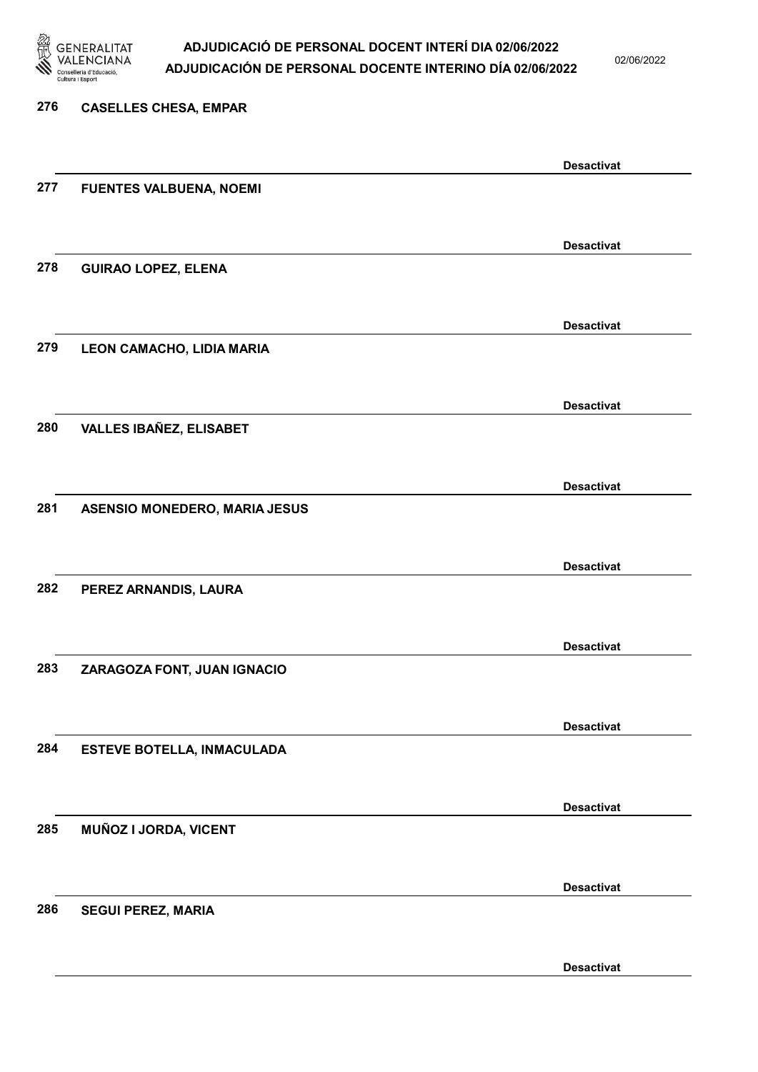

02/06/2022

Desactivat

# 276 CASELLES CHESA, EMPAR Desactivat 277 FUENTES VALBUENA, NOEMI Desactivat 278 GUIRAO LOPEZ, ELENA Desactivat 279 LEON CAMACHO, LIDIA MARIA Desactivat 280 VALLES IBAÑEZ, ELISABET Desactivat 281 ASENSIO MONEDERO, MARIA JESUS Desactivat 282 PEREZ ARNANDIS, LAURA Desactivat 283 ZARAGOZA FONT, JUAN IGNACIO Desactivat 284 ESTEVE BOTELLA, INMACULADA Desactivat 285 MUÑOZ I JORDA, VICENT Desactivat 286 SEGUI PEREZ, MARIA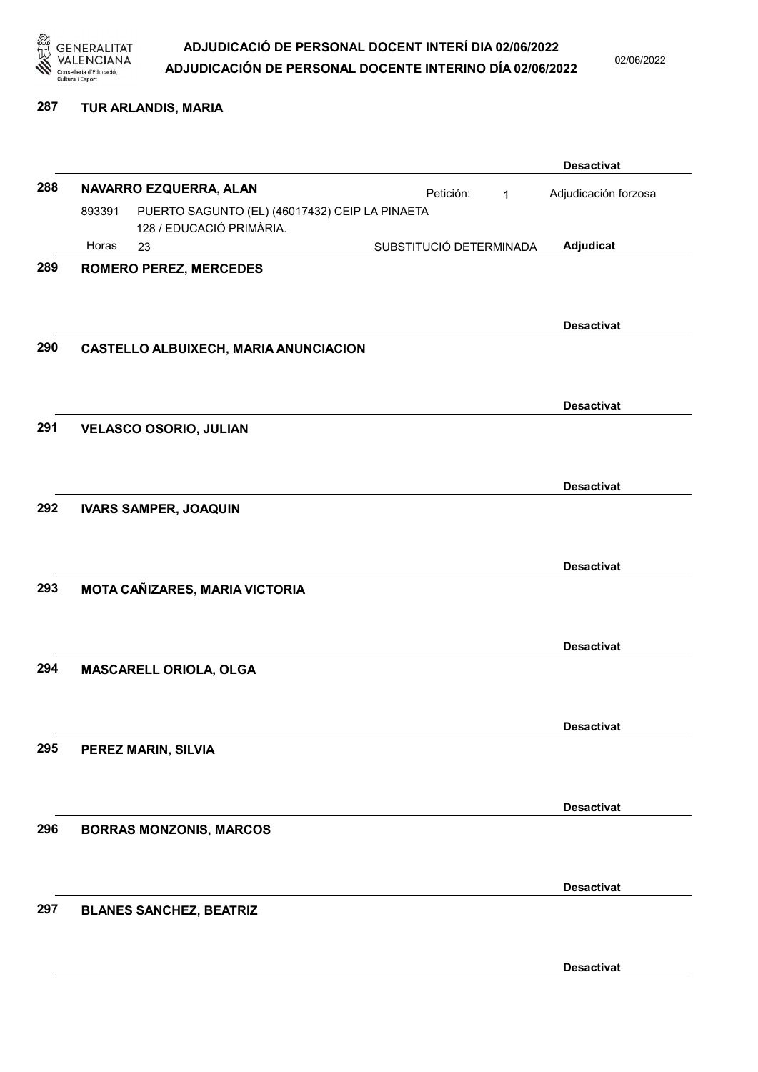

02/06/2022

#### 287 TUR ARLANDIS, MARIA

|     |        |                                                |                         |             | <b>Desactivat</b>    |
|-----|--------|------------------------------------------------|-------------------------|-------------|----------------------|
| 288 |        | NAVARRO EZQUERRA, ALAN                         | Petición:               | $\mathbf 1$ | Adjudicación forzosa |
|     | 893391 | PUERTO SAGUNTO (EL) (46017432) CEIP LA PINAETA |                         |             |                      |
|     | Horas  | 128 / EDUCACIÓ PRIMÀRIA.<br>23                 | SUBSTITUCIÓ DETERMINADA |             | Adjudicat            |
| 289 |        | <b>ROMERO PEREZ, MERCEDES</b>                  |                         |             |                      |
|     |        |                                                |                         |             |                      |
|     |        |                                                |                         |             |                      |
|     |        |                                                |                         |             | <b>Desactivat</b>    |
| 290 |        | <b>CASTELLO ALBUIXECH, MARIA ANUNCIACION</b>   |                         |             |                      |
|     |        |                                                |                         |             |                      |
|     |        |                                                |                         |             | <b>Desactivat</b>    |
| 291 |        | <b>VELASCO OSORIO, JULIAN</b>                  |                         |             |                      |
|     |        |                                                |                         |             |                      |
|     |        |                                                |                         |             | <b>Desactivat</b>    |
| 292 |        | <b>IVARS SAMPER, JOAQUIN</b>                   |                         |             |                      |
|     |        |                                                |                         |             |                      |
|     |        |                                                |                         |             | <b>Desactivat</b>    |
| 293 |        | MOTA CAÑIZARES, MARIA VICTORIA                 |                         |             |                      |
|     |        |                                                |                         |             |                      |
|     |        |                                                |                         |             |                      |
|     |        |                                                |                         |             | <b>Desactivat</b>    |
| 294 |        | MASCARELL ORIOLA, OLGA                         |                         |             |                      |
|     |        |                                                |                         |             |                      |
|     |        |                                                |                         |             | <b>Desactivat</b>    |
| 295 |        | PEREZ MARIN, SILVIA                            |                         |             |                      |
|     |        |                                                |                         |             |                      |
|     |        |                                                |                         |             | <b>Desactivat</b>    |
| 296 |        | <b>BORRAS MONZONIS, MARCOS</b>                 |                         |             |                      |
|     |        |                                                |                         |             |                      |
|     |        |                                                |                         |             |                      |
| 297 |        | <b>BLANES SANCHEZ, BEATRIZ</b>                 |                         |             | <b>Desactivat</b>    |
|     |        |                                                |                         |             |                      |
|     |        |                                                |                         |             |                      |
|     |        |                                                |                         |             | <b>Desactivat</b>    |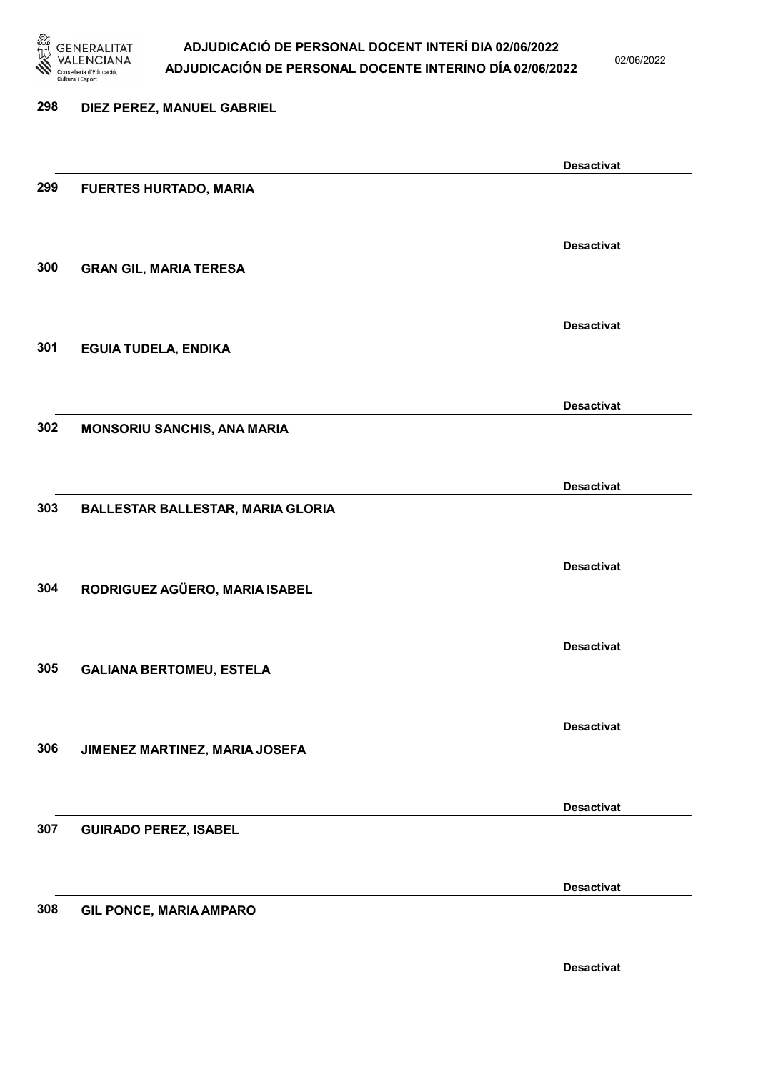

02/06/2022

| 298 | DIEZ PEREZ, MANUEL GABRIEL               |                   |
|-----|------------------------------------------|-------------------|
|     |                                          |                   |
| 299 |                                          | <b>Desactivat</b> |
|     | <b>FUERTES HURTADO, MARIA</b>            |                   |
|     |                                          |                   |
| 300 | <b>GRAN GIL, MARIA TERESA</b>            | <b>Desactivat</b> |
|     |                                          |                   |
|     |                                          | <b>Desactivat</b> |
| 301 | <b>EGUIA TUDELA, ENDIKA</b>              |                   |
|     |                                          |                   |
|     |                                          | <b>Desactivat</b> |
| 302 | MONSORIU SANCHIS, ANA MARIA              |                   |
|     |                                          |                   |
|     |                                          | <b>Desactivat</b> |
| 303 | <b>BALLESTAR BALLESTAR, MARIA GLORIA</b> |                   |
|     |                                          |                   |
|     |                                          | <b>Desactivat</b> |
| 304 | RODRIGUEZ AGÜERO, MARIA ISABEL           |                   |
|     |                                          |                   |
|     |                                          | <b>Desactivat</b> |
| 305 | <b>GALIANA BERTOMEU, ESTELA</b>          |                   |
|     |                                          |                   |
|     |                                          | <b>Desactivat</b> |
| 306 | JIMENEZ MARTINEZ, MARIA JOSEFA           |                   |
|     |                                          |                   |
|     |                                          | <b>Desactivat</b> |
| 307 | <b>GUIRADO PEREZ, ISABEL</b>             |                   |
|     |                                          |                   |
| 308 | <b>GIL PONCE, MARIA AMPARO</b>           | <b>Desactivat</b> |
|     |                                          |                   |
|     |                                          |                   |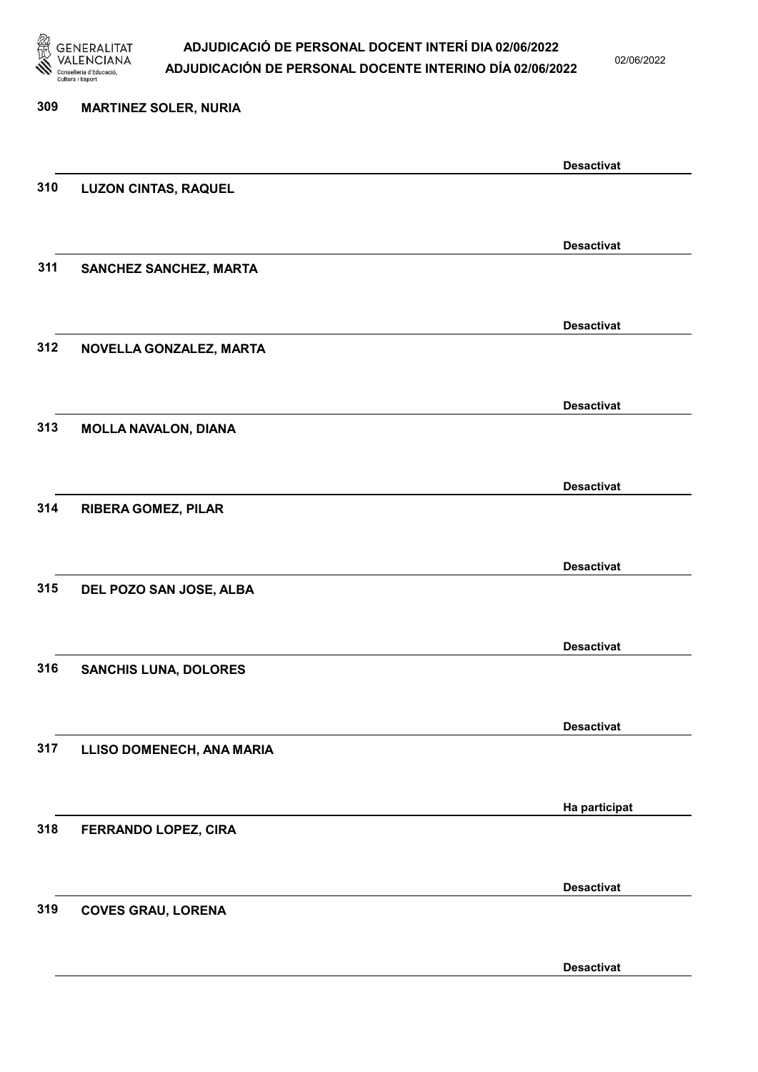

02/06/2022

Desactivat

# 309 MARTINEZ SOLER, NURIA Desactivat 310 LUZON CINTAS, RAQUEL Desactivat 311 SANCHEZ SANCHEZ, MARTA Desactivat 312 NOVELLA GONZALEZ, MARTA Desactivat 313 MOLLA NAVALON, DIANA Desactivat 314 RIBERA GOMEZ, PILAR Desactivat 315 DEL POZO SAN JOSE, ALBA Desactivat 316 SANCHIS LUNA, DOLORES Desactivat 317 LLISO DOMENECH, ANA MARIA Ha participat 318 FERRANDO LOPEZ, CIRA Desactivat 319 COVES GRAU, LORENA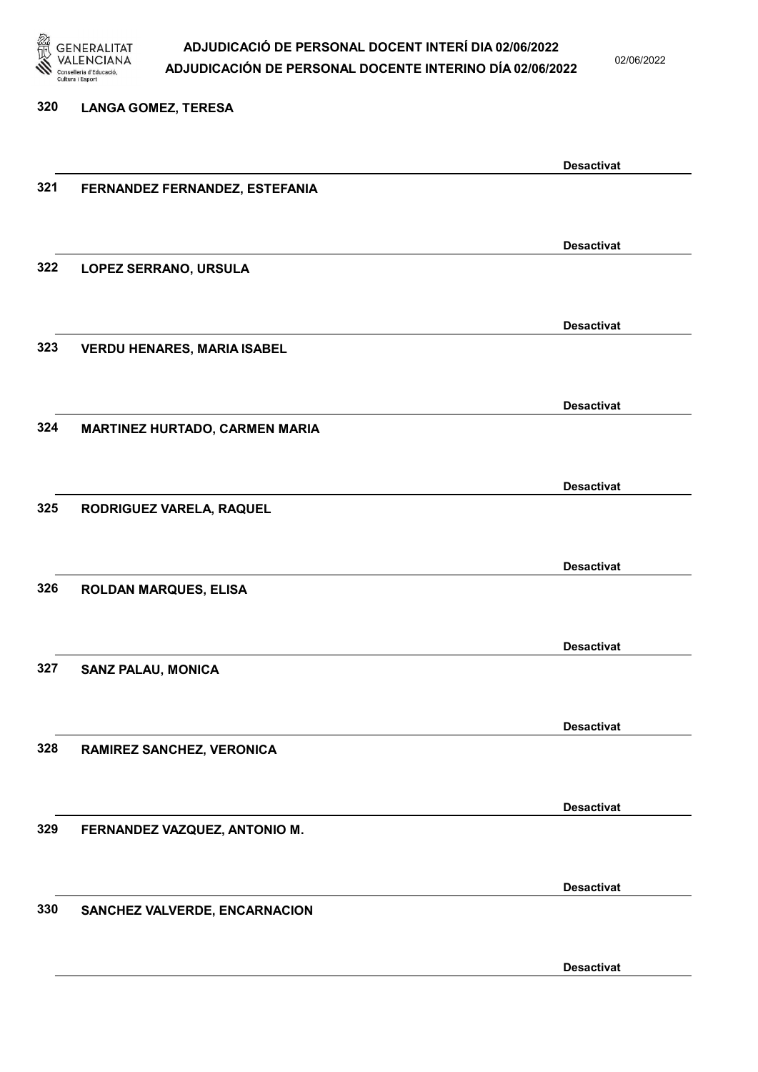

320 LANGA GOMEZ, TERESA

#### ADJUDICACIÓ DE PERSONAL DOCENT INTERÍ DIA 02/06/2022 ADJUDICACIÓN DE PERSONAL DOCENTE INTERINO DÍA 02/06/2022

02/06/2022

Desactivat

# Desactivat 321 FERNANDEZ FERNANDEZ, ESTEFANIA Desactivat 322 LOPEZ SERRANO, URSULA Desactivat 323 VERDU HENARES, MARIA ISABEL Desactivat 324 MARTINEZ HURTADO, CARMEN MARIA Desactivat 325 RODRIGUEZ VARELA, RAQUEL Desactivat 326 ROLDAN MARQUES, ELISA Desactivat 327 SANZ PALAU, MONICA Desactivat 328 RAMIREZ SANCHEZ, VERONICA Desactivat 329 FERNANDEZ VAZQUEZ, ANTONIO M. Desactivat 330 SANCHEZ VALVERDE, ENCARNACION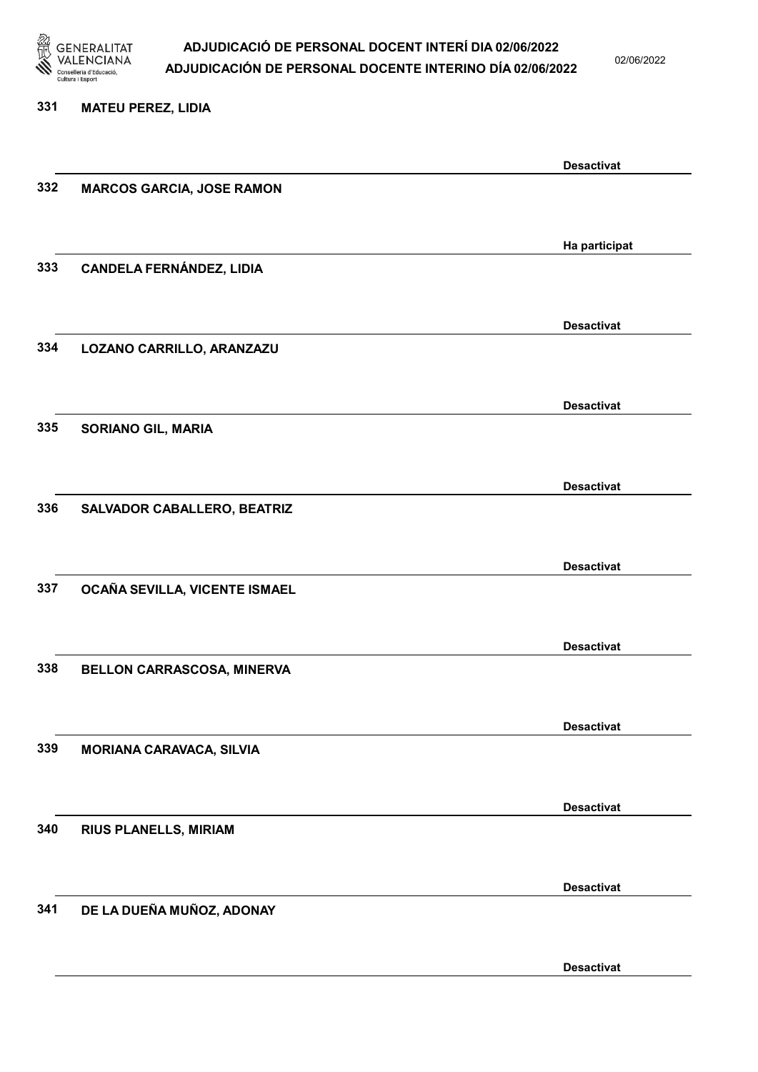

02/06/2022

#### 331 MATEU PEREZ, LIDIA

|     |                                  | <b>Desactivat</b> |
|-----|----------------------------------|-------------------|
| 332 | <b>MARCOS GARCIA, JOSE RAMON</b> |                   |
|     |                                  |                   |
|     |                                  |                   |
|     |                                  | Ha participat     |
| 333 | <b>CANDELA FERNÁNDEZ, LIDIA</b>  |                   |
|     |                                  |                   |
|     |                                  |                   |
|     |                                  | <b>Desactivat</b> |
| 334 |                                  |                   |
|     | LOZANO CARRILLO, ARANZAZU        |                   |
|     |                                  |                   |
|     |                                  | <b>Desactivat</b> |
|     |                                  |                   |
| 335 | <b>SORIANO GIL, MARIA</b>        |                   |
|     |                                  |                   |
|     |                                  |                   |
|     |                                  | <b>Desactivat</b> |
| 336 | SALVADOR CABALLERO, BEATRIZ      |                   |
|     |                                  |                   |
|     |                                  |                   |
|     |                                  | <b>Desactivat</b> |
| 337 | OCAÑA SEVILLA, VICENTE ISMAEL    |                   |
|     |                                  |                   |
|     |                                  |                   |
|     |                                  | <b>Desactivat</b> |
| 338 | BELLON CARRASCOSA, MINERVA       |                   |
|     |                                  |                   |
|     |                                  |                   |
|     |                                  | <b>Desactivat</b> |
| 339 | <b>MORIANA CARAVACA, SILVIA</b>  |                   |
|     |                                  |                   |
|     |                                  |                   |
|     |                                  | <b>Desactivat</b> |
| 340 | <b>RIUS PLANELLS, MIRIAM</b>     |                   |
|     |                                  |                   |
|     |                                  |                   |
|     |                                  | <b>Desactivat</b> |
| 341 |                                  |                   |
|     | DE LA DUEÑA MUÑOZ, ADONAY        |                   |
|     |                                  |                   |
|     |                                  |                   |
|     |                                  | <b>Desactivat</b> |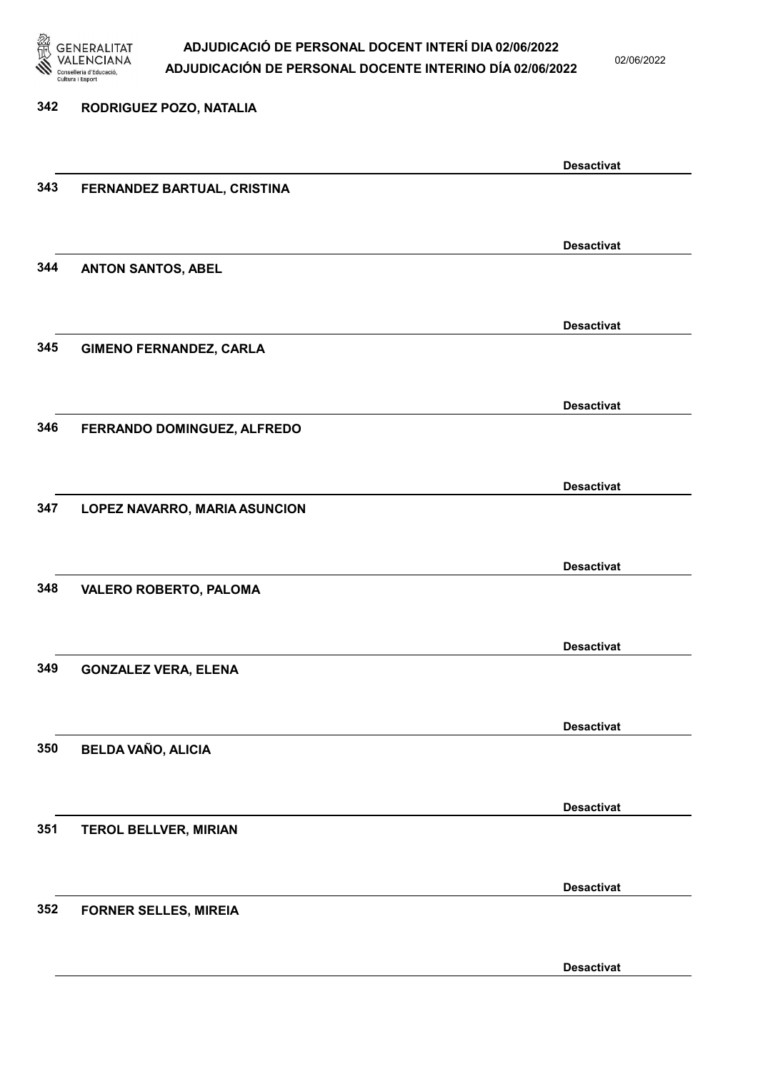

02/06/2022

| 342 | RODRIGUEZ POZO, NATALIA        |                   |
|-----|--------------------------------|-------------------|
|     |                                | <b>Desactivat</b> |
| 343 | FERNANDEZ BARTUAL, CRISTINA    |                   |
|     |                                | <b>Desactivat</b> |
| 344 | <b>ANTON SANTOS, ABEL</b>      |                   |
|     |                                | <b>Desactivat</b> |
| 345 | <b>GIMENO FERNANDEZ, CARLA</b> |                   |
|     |                                | <b>Desactivat</b> |
| 346 | FERRANDO DOMINGUEZ, ALFREDO    |                   |
|     |                                | <b>Desactivat</b> |
| 347 | LOPEZ NAVARRO, MARIA ASUNCION  |                   |
|     |                                | <b>Desactivat</b> |
| 348 | <b>VALERO ROBERTO, PALOMA</b>  |                   |
|     |                                | <b>Desactivat</b> |
| 349 | <b>GONZALEZ VERA, ELENA</b>    |                   |
|     |                                | <b>Desactivat</b> |
| 350 | <b>BELDA VAÑO, ALICIA</b>      |                   |
|     |                                | <b>Desactivat</b> |
| 351 | <b>TEROL BELLVER, MIRIAN</b>   |                   |
| 352 |                                | <b>Desactivat</b> |
|     | <b>FORNER SELLES, MIREIA</b>   |                   |
|     |                                | <b>Desactivat</b> |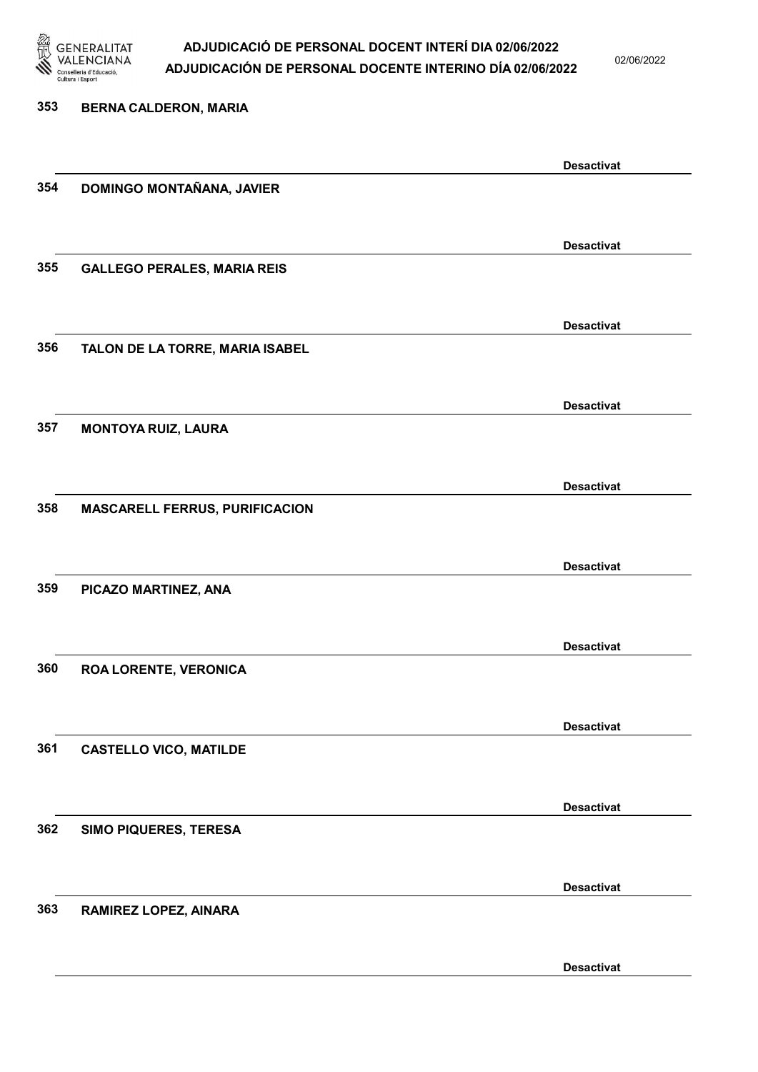

02/06/2022

Desactivat

# 353 BERNA CALDERON, MARIA Desactivat 354 DOMINGO MONTAÑANA, JAVIER Desactivat 355 GALLEGO PERALES, MARIA REIS Desactivat 356 TALON DE LA TORRE, MARIA ISABEL Desactivat 357 MONTOYA RUIZ, LAURA Desactivat 358 MASCARELL FERRUS, PURIFICACION Desactivat 359 PICAZO MARTINEZ, ANA Desactivat 360 ROA LORENTE, VERONICA Desactivat 361 CASTELLO VICO, MATILDE Desactivat 362 SIMO PIQUERES, TERESA Desactivat 363 RAMIREZ LOPEZ, AINARA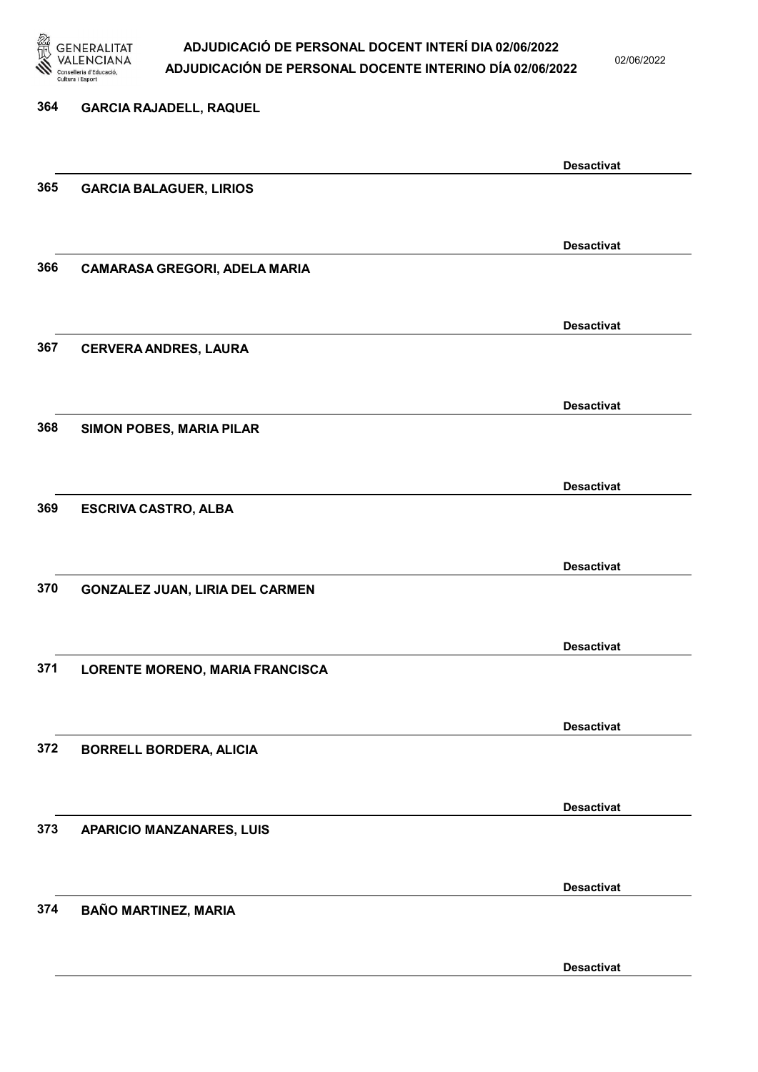

02/06/2022

| 364 | <b>GARCIA RAJADELL, RAQUEL</b>         |                   |
|-----|----------------------------------------|-------------------|
|     |                                        | <b>Desactivat</b> |
| 365 | <b>GARCIA BALAGUER, LIRIOS</b>         |                   |
|     |                                        | <b>Desactivat</b> |
| 366 | <b>CAMARASA GREGORI, ADELA MARIA</b>   |                   |
|     |                                        | <b>Desactivat</b> |
| 367 | <b>CERVERA ANDRES, LAURA</b>           |                   |
|     |                                        | <b>Desactivat</b> |
| 368 | SIMON POBES, MARIA PILAR               |                   |
|     |                                        | <b>Desactivat</b> |
| 369 | <b>ESCRIVA CASTRO, ALBA</b>            |                   |
|     |                                        | <b>Desactivat</b> |
| 370 | <b>GONZALEZ JUAN, LIRIA DEL CARMEN</b> |                   |
|     |                                        | <b>Desactivat</b> |
| 371 | LORENTE MORENO, MARIA FRANCISCA        |                   |
| 372 | <b>BORRELL BORDERA, ALICIA</b>         | <b>Desactivat</b> |
|     |                                        |                   |
| 373 | <b>APARICIO MANZANARES, LUIS</b>       | <b>Desactivat</b> |
|     |                                        |                   |
| 374 | <b>BAÑO MARTINEZ, MARIA</b>            | <b>Desactivat</b> |
|     |                                        |                   |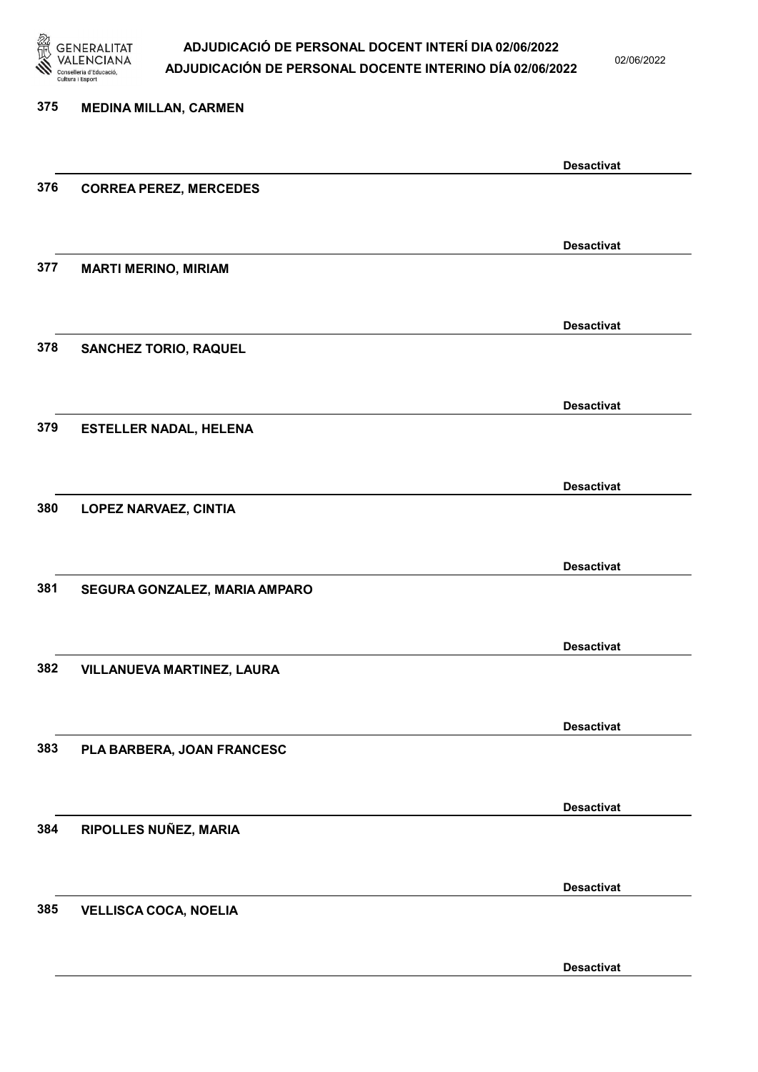

02/06/2022

Desactivat

# 375 MEDINA MILLAN, CARMEN Desactivat 376 CORREA PEREZ, MERCEDES Desactivat 377 MARTI MERINO, MIRIAM Desactivat 378 SANCHEZ TORIO, RAQUEL Desactivat 379 ESTELLER NADAL, HELENA Desactivat 380 LOPEZ NARVAEZ, CINTIA Desactivat 381 SEGURA GONZALEZ, MARIA AMPARO Desactivat 382 VILLANUEVA MARTINEZ, LAURA Desactivat 383 PLA BARBERA, JOAN FRANCESC Desactivat 384 RIPOLLES NUÑEZ, MARIA Desactivat 385 VELLISCA COCA, NOELIA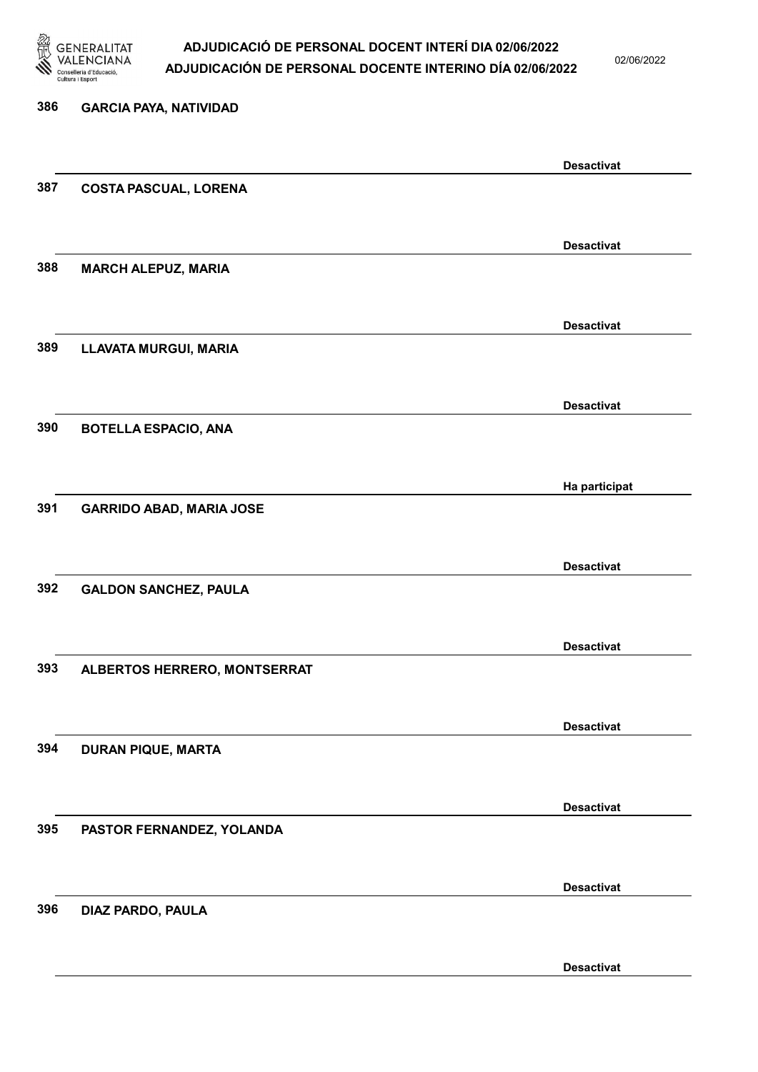

02/06/2022

Desactivat

# 386 GARCIA PAYA, NATIVIDAD Desactivat 387 COSTA PASCUAL, LORENA Desactivat 388 MARCH ALEPUZ, MARIA Desactivat 389 LLAVATA MURGUI, MARIA Desactivat 390 BOTELLA ESPACIO, ANA Ha participat 391 GARRIDO ABAD, MARIA JOSE Desactivat 392 GALDON SANCHEZ, PAULA Desactivat 393 ALBERTOS HERRERO, MONTSERRAT Desactivat 394 DURAN PIQUE, MARTA Desactivat 395 PASTOR FERNANDEZ, YOLANDA Desactivat 396 DIAZ PARDO, PAULA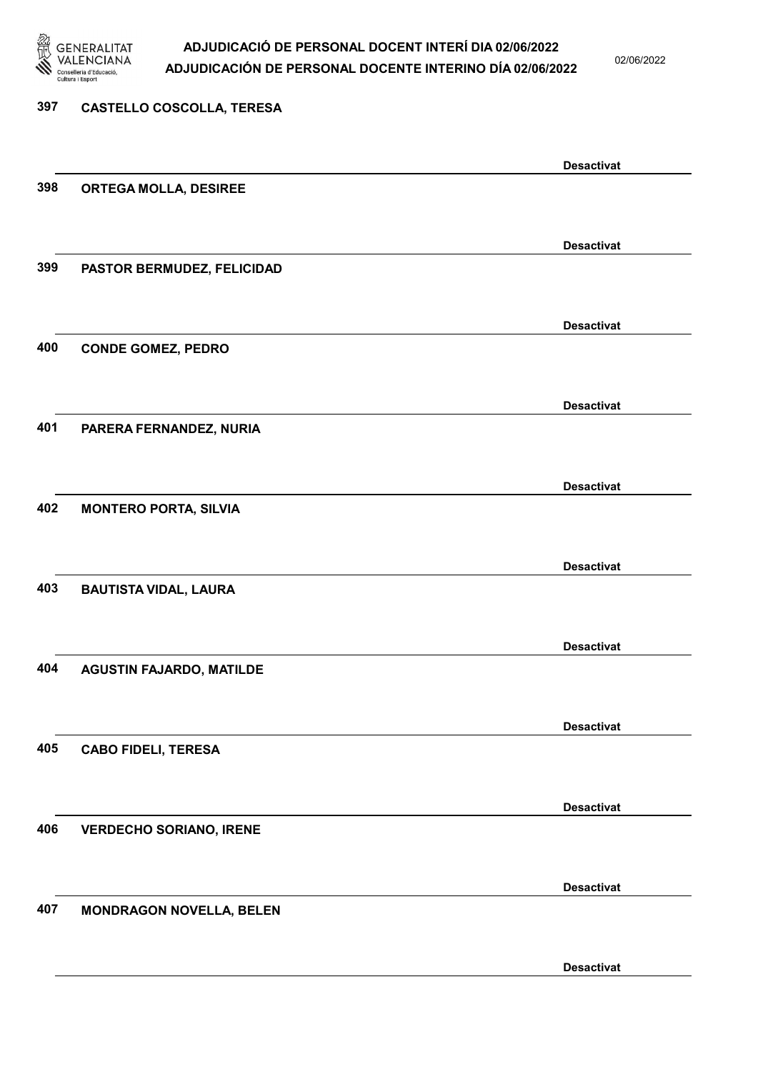

02/06/2022

# 397 CASTELLO COSCOLLA, TERESA Desactivat 398 ORTEGA MOLLA, DESIREE Desactivat 399 PASTOR BERMUDEZ, FELICIDAD Desactivat 400 CONDE GOMEZ, PEDRO Desactivat 401 PARERA FERNANDEZ, NURIA Desactivat 402 MONTERO PORTA, SILVIA Desactivat 403 BAUTISTA VIDAL, LAURA Desactivat 404 AGUSTIN FAJARDO, MATILDE Desactivat 405 CABO FIDELI, TERESA Desactivat 406 VERDECHO SORIANO, IRENE Desactivat 407 MONDRAGON NOVELLA, BELEN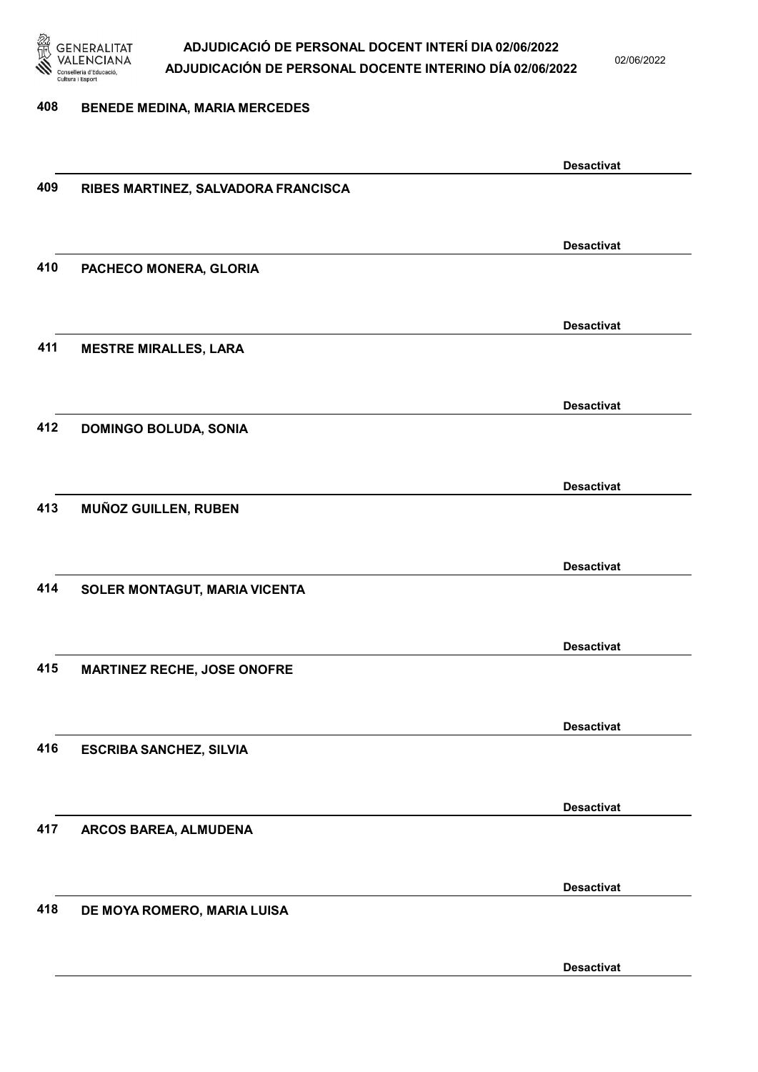

02/06/2022

#### 408 BENEDE MEDINA, MARIA MERCEDES

|     |                                     | <b>Desactivat</b> |
|-----|-------------------------------------|-------------------|
| 409 | RIBES MARTINEZ, SALVADORA FRANCISCA |                   |
|     |                                     |                   |
|     |                                     |                   |
|     |                                     | <b>Desactivat</b> |
| 410 | PACHECO MONERA, GLORIA              |                   |
|     |                                     |                   |
|     |                                     |                   |
|     |                                     | <b>Desactivat</b> |
| 411 | <b>MESTRE MIRALLES, LARA</b>        |                   |
|     |                                     |                   |
|     |                                     |                   |
|     |                                     | <b>Desactivat</b> |
| 412 | <b>DOMINGO BOLUDA, SONIA</b>        |                   |
|     |                                     |                   |
|     |                                     | <b>Desactivat</b> |
| 413 | MUÑOZ GUILLEN, RUBEN                |                   |
|     |                                     |                   |
|     |                                     |                   |
|     |                                     | <b>Desactivat</b> |
| 414 | SOLER MONTAGUT, MARIA VICENTA       |                   |
|     |                                     |                   |
|     |                                     |                   |
|     |                                     | <b>Desactivat</b> |
| 415 | <b>MARTINEZ RECHE, JOSE ONOFRE</b>  |                   |
|     |                                     |                   |
|     |                                     |                   |
|     |                                     | <b>Desactivat</b> |
| 416 | <b>ESCRIBA SANCHEZ, SILVIA</b>      |                   |
|     |                                     |                   |
|     |                                     |                   |
|     |                                     | <b>Desactivat</b> |
| 417 | ARCOS BAREA, ALMUDENA               |                   |
|     |                                     |                   |
|     |                                     | <b>Desactivat</b> |
| 418 | DE MOYA ROMERO, MARIA LUISA         |                   |
|     |                                     |                   |
|     |                                     |                   |
|     |                                     | <b>Desactivat</b> |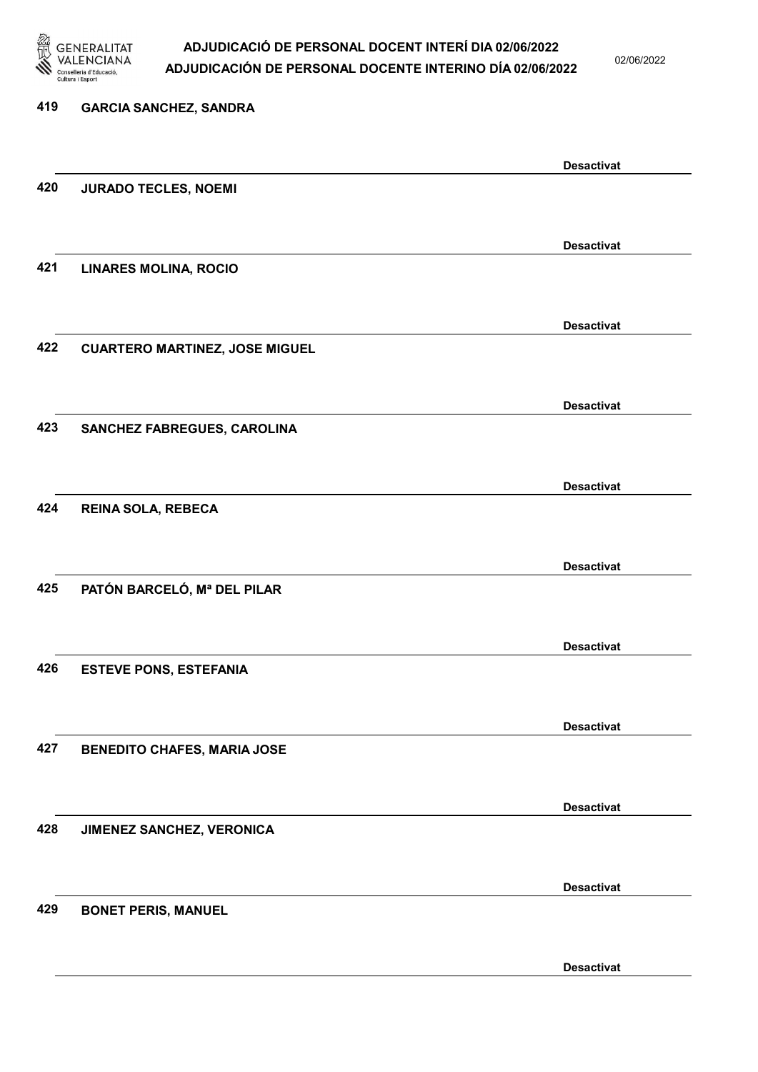

02/06/2022

| 419 | <b>GARCIA SANCHEZ, SANDRA</b>         |                   |
|-----|---------------------------------------|-------------------|
|     |                                       | <b>Desactivat</b> |
| 420 | <b>JURADO TECLES, NOEMI</b>           |                   |
|     |                                       | <b>Desactivat</b> |
| 421 | <b>LINARES MOLINA, ROCIO</b>          |                   |
|     |                                       | <b>Desactivat</b> |
| 422 | <b>CUARTERO MARTINEZ, JOSE MIGUEL</b> |                   |
|     |                                       | <b>Desactivat</b> |
| 423 | SANCHEZ FABREGUES, CAROLINA           |                   |
|     |                                       | <b>Desactivat</b> |
| 424 | REINA SOLA, REBECA                    |                   |
|     |                                       | <b>Desactivat</b> |
| 425 | PATÓN BARCELÓ, Mª DEL PILAR           |                   |
|     |                                       | <b>Desactivat</b> |
| 426 | <b>ESTEVE PONS, ESTEFANIA</b>         |                   |
|     |                                       | <b>Desactivat</b> |
| 427 | <b>BENEDITO CHAFES, MARIA JOSE</b>    |                   |
|     |                                       | <b>Desactivat</b> |
| 428 | JIMENEZ SANCHEZ, VERONICA             |                   |
|     |                                       | <b>Desactivat</b> |
| 429 | <b>BONET PERIS, MANUEL</b>            |                   |
|     |                                       | <b>Desactivat</b> |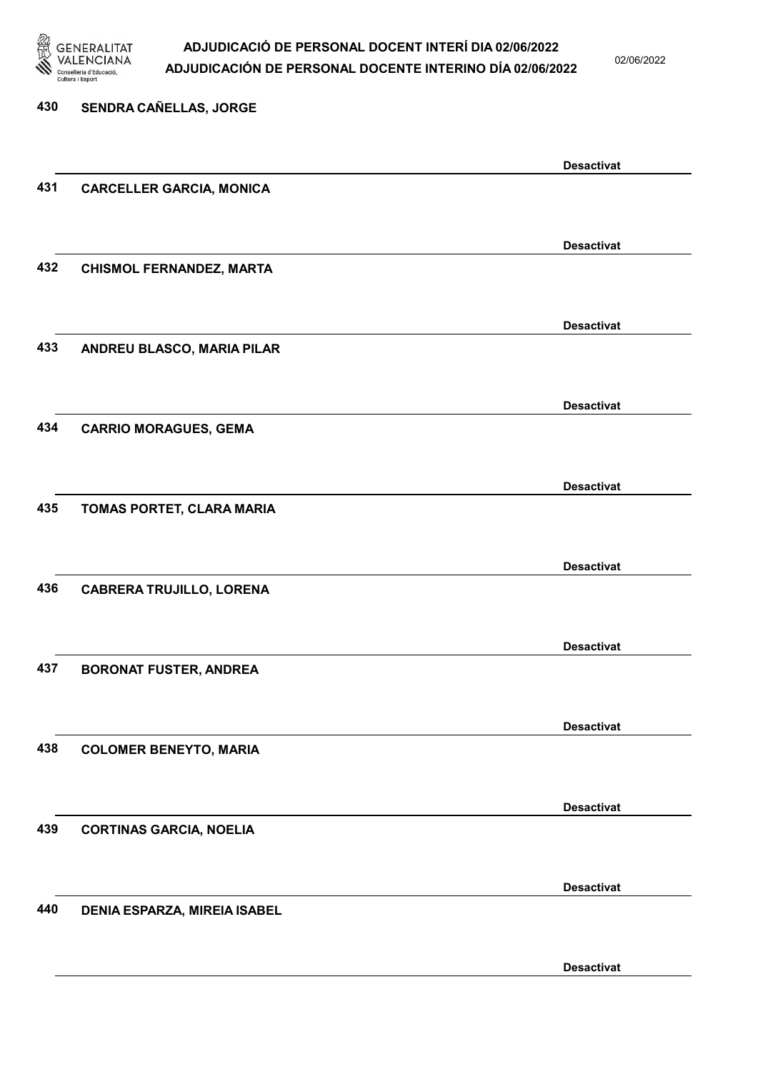

02/06/2022

Desactivat

# 430 SENDRA CAÑELLAS, JORGE Desactivat 431 CARCELLER GARCIA, MONICA Desactivat 432 CHISMOL FERNANDEZ, MARTA Desactivat 433 ANDREU BLASCO, MARIA PILAR Desactivat 434 CARRIO MORAGUES, GEMA Desactivat 435 TOMAS PORTET, CLARA MARIA Desactivat 436 CABRERA TRUJILLO, LORENA Desactivat 437 BORONAT FUSTER, ANDREA Desactivat 438 COLOMER BENEYTO, MARIA Desactivat 439 CORTINAS GARCIA, NOELIA Desactivat 440 DENIA ESPARZA, MIREIA ISABEL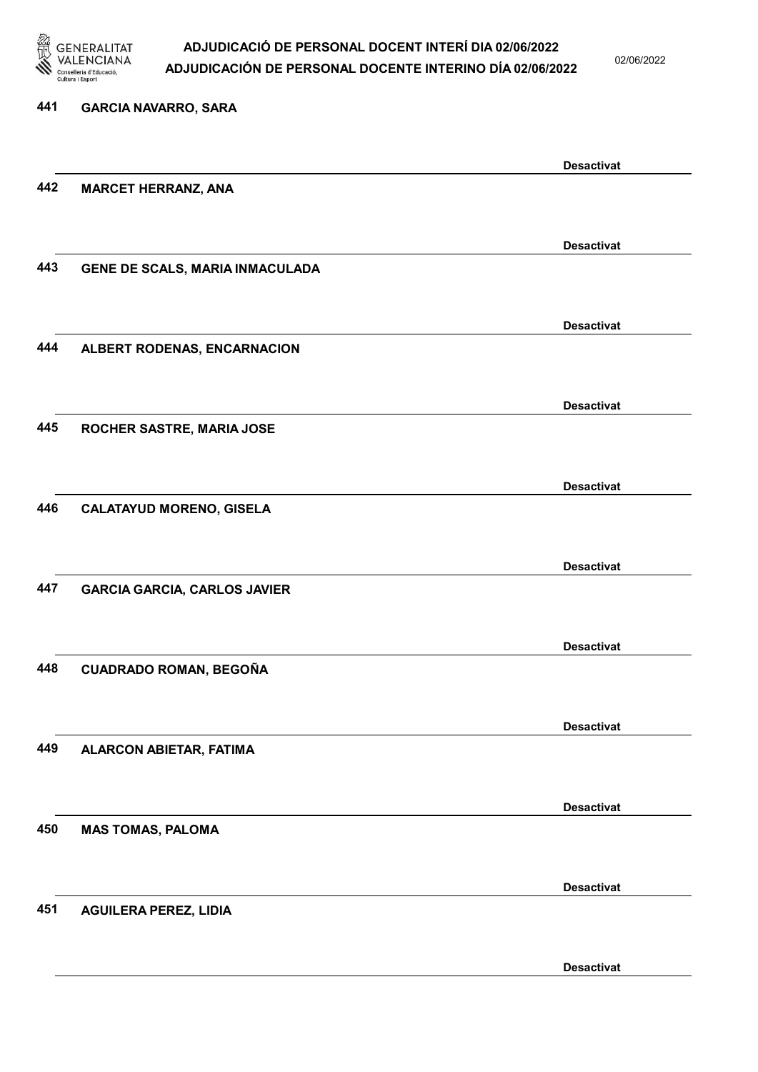

02/06/2022

Desactivat

# 441 GARCIA NAVARRO, SARA Desactivat 442 MARCET HERRANZ, ANA Desactivat 443 GENE DE SCALS, MARIA INMACULADA Desactivat 444 ALBERT RODENAS, ENCARNACION Desactivat 445 ROCHER SASTRE, MARIA JOSE Desactivat 446 CALATAYUD MORENO, GISELA Desactivat 447 GARCIA GARCIA, CARLOS JAVIER Desactivat 448 CUADRADO ROMAN, BEGOÑA Desactivat 449 ALARCON ABIETAR, FATIMA Desactivat 450 MAS TOMAS, PALOMA Desactivat 451 AGUILERA PEREZ, LIDIA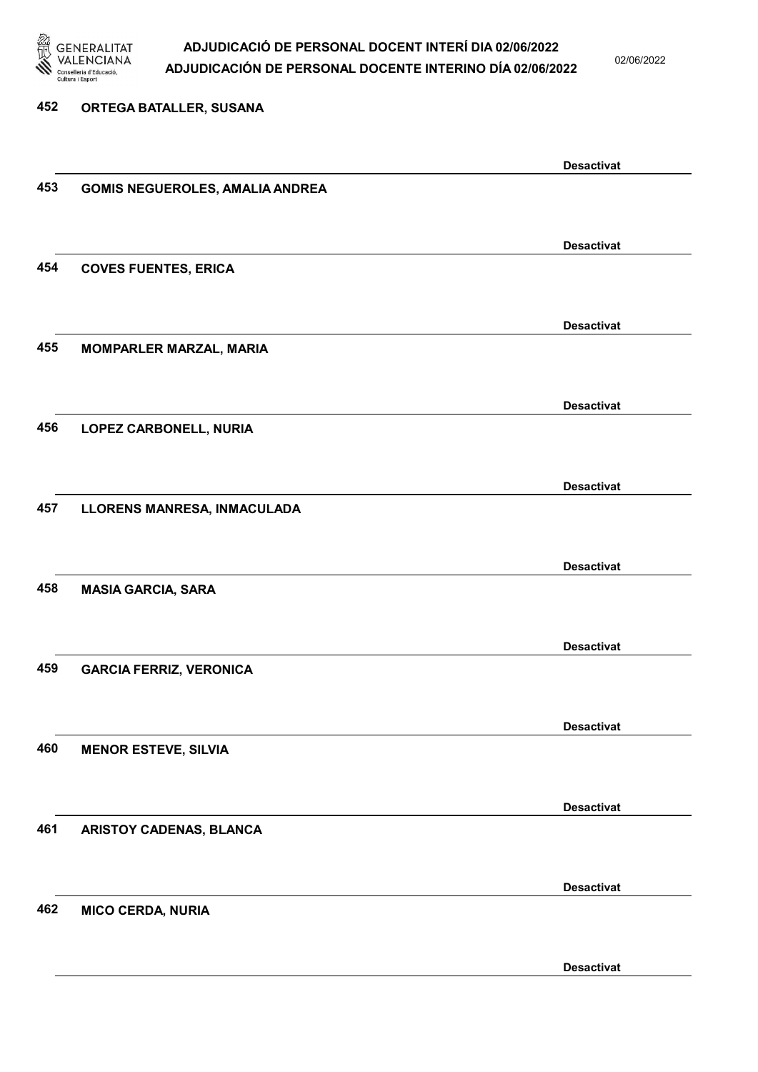

02/06/2022

#### 452 ORTEGA BATALLER, SUSANA

|     |                                        | <b>Desactivat</b> |
|-----|----------------------------------------|-------------------|
| 453 | <b>GOMIS NEGUEROLES, AMALIA ANDREA</b> |                   |
|     |                                        |                   |
|     |                                        |                   |
|     |                                        | <b>Desactivat</b> |
| 454 | <b>COVES FUENTES, ERICA</b>            |                   |
|     |                                        |                   |
|     |                                        |                   |
|     |                                        | <b>Desactivat</b> |
| 455 | <b>MOMPARLER MARZAL, MARIA</b>         |                   |
|     |                                        |                   |
|     |                                        |                   |
|     |                                        | <b>Desactivat</b> |
| 456 | LOPEZ CARBONELL, NURIA                 |                   |
|     |                                        |                   |
|     |                                        |                   |
|     |                                        | <b>Desactivat</b> |
| 457 | LLORENS MANRESA, INMACULADA            |                   |
|     |                                        |                   |
|     |                                        |                   |
|     |                                        | <b>Desactivat</b> |
| 458 | <b>MASIA GARCIA, SARA</b>              |                   |
|     |                                        |                   |
|     |                                        | <b>Desactivat</b> |
|     |                                        |                   |
| 459 | <b>GARCIA FERRIZ, VERONICA</b>         |                   |
|     |                                        |                   |
|     |                                        | <b>Desactivat</b> |
| 460 |                                        |                   |
|     | <b>MENOR ESTEVE, SILVIA</b>            |                   |
|     |                                        |                   |
|     |                                        | <b>Desactivat</b> |
| 461 | ARISTOY CADENAS, BLANCA                |                   |
|     |                                        |                   |
|     |                                        |                   |
|     |                                        | <b>Desactivat</b> |
| 462 | <b>MICO CERDA, NURIA</b>               |                   |
|     |                                        |                   |
|     |                                        |                   |
|     |                                        | <b>Desactivat</b> |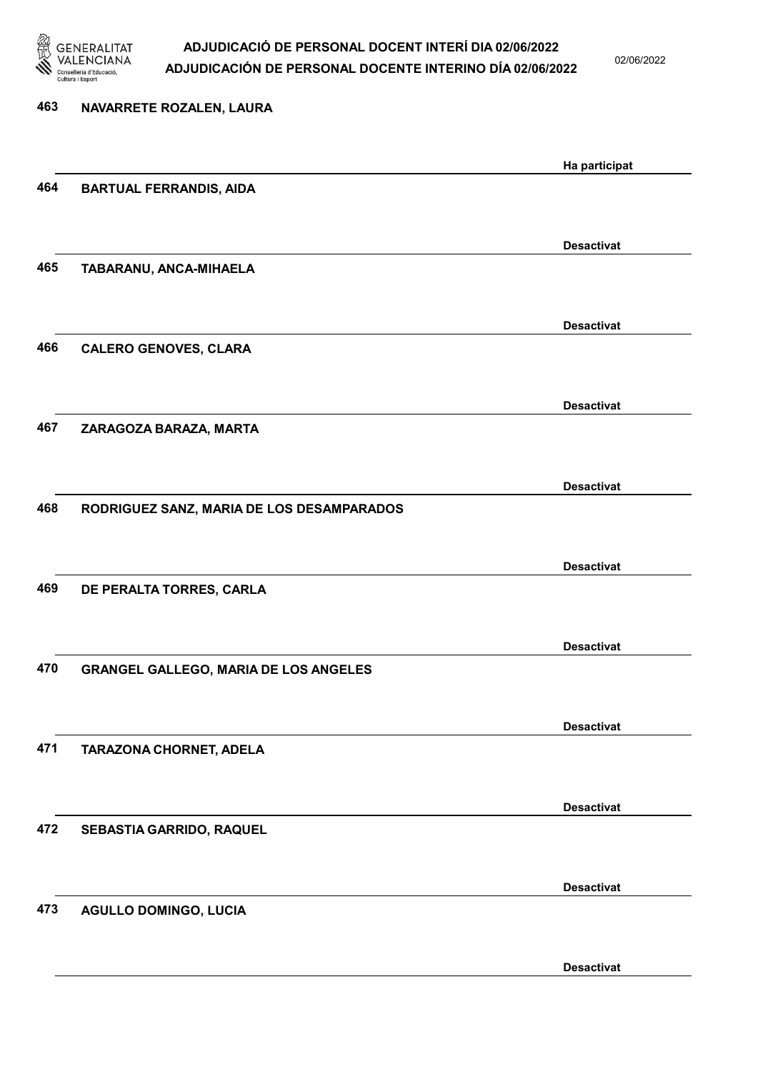

02/06/2022

# 463 NAVARRETE ROZALEN, LAURA Ha participat 464 BARTUAL FERRANDIS, AIDA Desactivat 465 TABARANU, ANCA-MIHAELA Desactivat 466 CALERO GENOVES, CLARA Desactivat 467 ZARAGOZA BARAZA, MARTA Desactivat 468 RODRIGUEZ SANZ, MARIA DE LOS DESAMPARADOS Desactivat 469 DE PERALTA TORRES, CARLA Desactivat 470 GRANGEL GALLEGO, MARIA DE LOS ANGELES Desactivat 471 TARAZONA CHORNET, ADELA Desactivat 472 SEBASTIA GARRIDO, RAQUEL Desactivat 473 AGULLO DOMINGO, LUCIA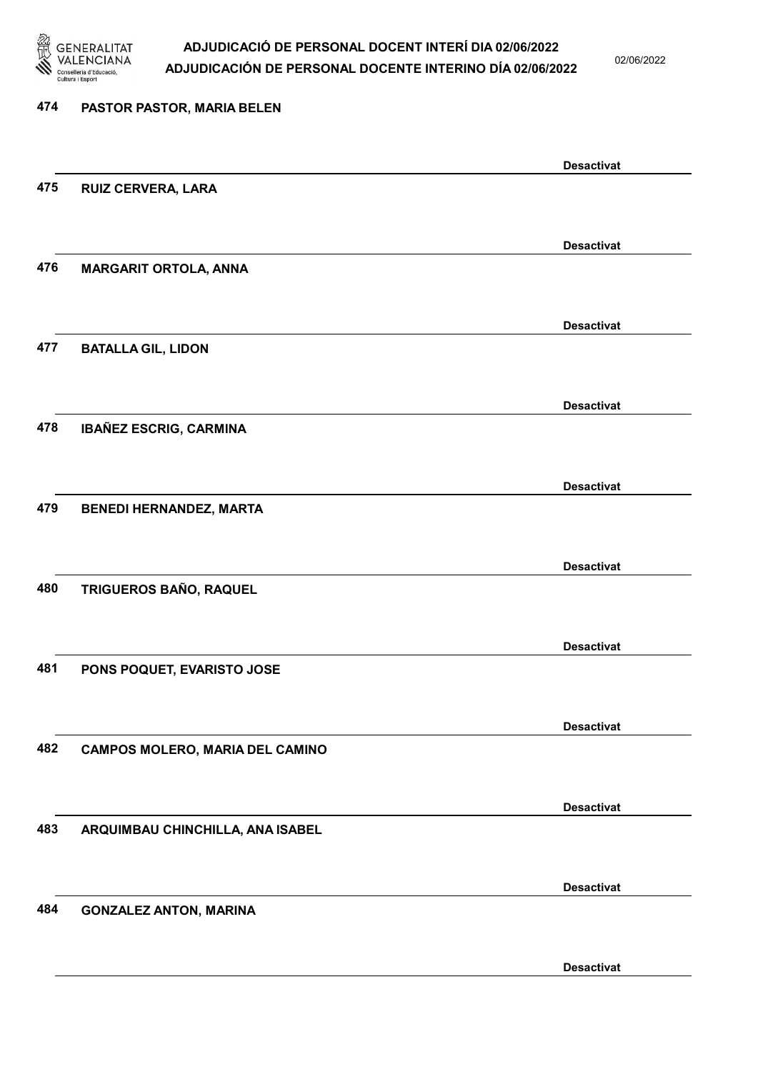

02/06/2022

| 474 | PASTOR PASTOR, MARIA BELEN             |                   |
|-----|----------------------------------------|-------------------|
|     |                                        | <b>Desactivat</b> |
| 475 | <b>RUIZ CERVERA, LARA</b>              |                   |
|     |                                        | <b>Desactivat</b> |
| 476 | <b>MARGARIT ORTOLA, ANNA</b>           |                   |
|     |                                        | <b>Desactivat</b> |
| 477 | <b>BATALLA GIL, LIDON</b>              |                   |
|     |                                        | <b>Desactivat</b> |
| 478 | <b>IBAÑEZ ESCRIG, CARMINA</b>          |                   |
|     |                                        | <b>Desactivat</b> |
| 479 | <b>BENEDI HERNANDEZ, MARTA</b>         |                   |
|     |                                        | <b>Desactivat</b> |
| 480 | TRIGUEROS BAÑO, RAQUEL                 |                   |
|     |                                        | <b>Desactivat</b> |
| 481 | PONS POQUET, EVARISTO JOSE             |                   |
|     |                                        | <b>Desactivat</b> |
| 482 | <b>CAMPOS MOLERO, MARIA DEL CAMINO</b> |                   |
|     |                                        | <b>Desactivat</b> |
| 483 | ARQUIMBAU CHINCHILLA, ANA ISABEL       |                   |
|     |                                        | <b>Desactivat</b> |
| 484 | <b>GONZALEZ ANTON, MARINA</b>          |                   |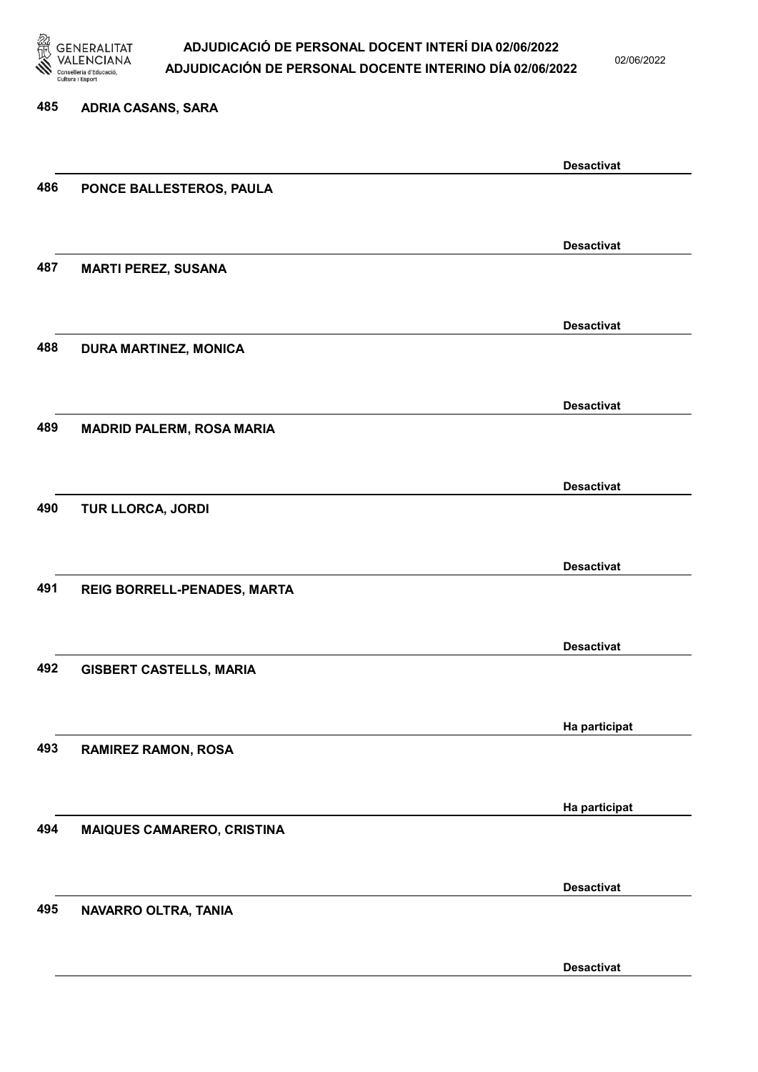

02/06/2022

Desactivat

# 485 ADRIA CASANS, SARA Desactivat 486 PONCE BALLESTEROS, PAULA Desactivat 487 MARTI PEREZ, SUSANA Desactivat 488 DURA MARTINEZ, MONICA Desactivat 489 MADRID PALERM, ROSA MARIA Desactivat 490 TUR LLORCA, JORDI Desactivat 491 REIG BORRELL-PENADES, MARTA Desactivat 492 GISBERT CASTELLS, MARIA Ha participat 493 RAMIREZ RAMON, ROSA Ha participat 494 MAIQUES CAMARERO, CRISTINA Desactivat 495 NAVARRO OLTRA, TANIA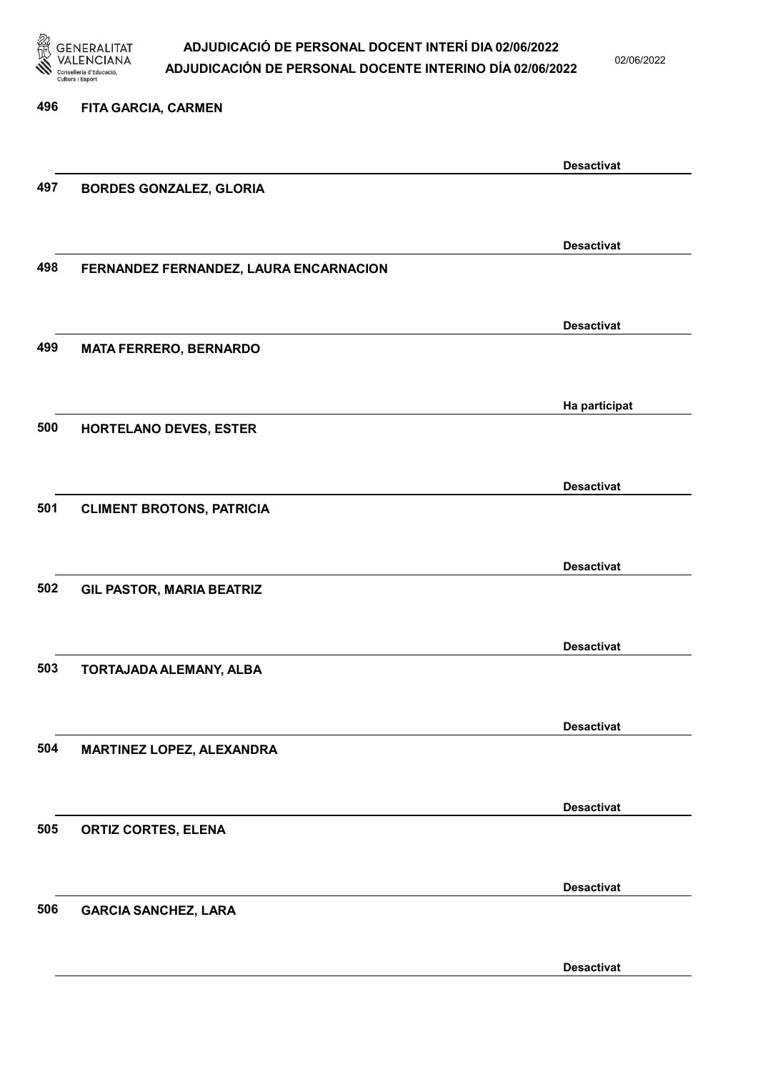

02/06/2022

Desactivat

### 496 FITA GARCIA, CARMEN Desactivat 497 BORDES GONZALEZ, GLORIA Desactivat 498 FERNANDEZ FERNANDEZ, LAURA ENCARNACION Desactivat 499 MATA FERRERO, BERNARDO Ha participat 500 HORTELANO DEVES, ESTER Desactivat 501 CLIMENT BROTONS, PATRICIA Desactivat 502 GIL PASTOR, MARIA BEATRIZ Desactivat 503 TORTAJADA ALEMANY, ALBA Desactivat 504 MARTINEZ LOPEZ, ALEXANDRA Desactivat 505 ORTIZ CORTES, ELENA Desactivat 506 GARCIA SANCHEZ, LARA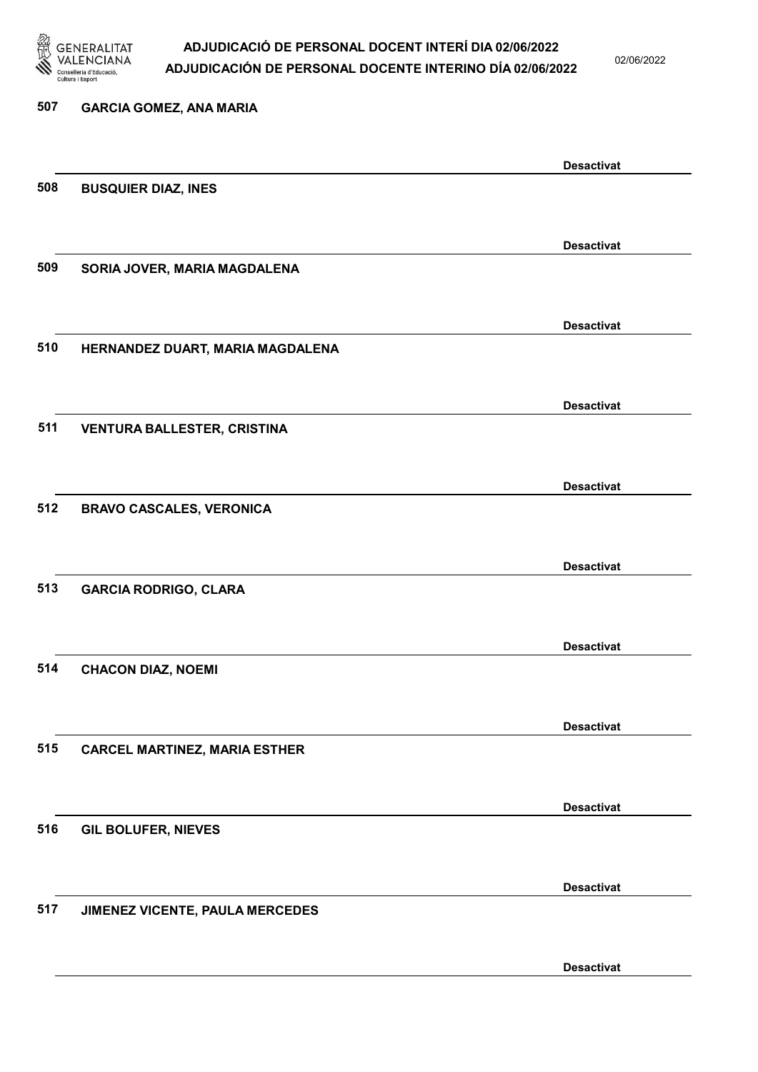

02/06/2022

| 507 | <b>GARCIA GOMEZ, ANA MARIA</b>       |                   |
|-----|--------------------------------------|-------------------|
|     |                                      |                   |
|     |                                      | <b>Desactivat</b> |
| 508 | <b>BUSQUIER DIAZ, INES</b>           |                   |
|     |                                      |                   |
|     |                                      | <b>Desactivat</b> |
| 509 | SORIA JOVER, MARIA MAGDALENA         |                   |
|     |                                      |                   |
|     |                                      | <b>Desactivat</b> |
| 510 | HERNANDEZ DUART, MARIA MAGDALENA     |                   |
|     |                                      |                   |
|     |                                      | <b>Desactivat</b> |
| 511 | <b>VENTURA BALLESTER, CRISTINA</b>   |                   |
|     |                                      |                   |
|     |                                      | <b>Desactivat</b> |
| 512 | <b>BRAVO CASCALES, VERONICA</b>      |                   |
|     |                                      |                   |
|     |                                      |                   |
| 513 | <b>GARCIA RODRIGO, CLARA</b>         | <b>Desactivat</b> |
|     |                                      |                   |
|     |                                      |                   |
|     |                                      | <b>Desactivat</b> |
| 514 | <b>CHACON DIAZ, NOEMI</b>            |                   |
|     |                                      |                   |
|     |                                      | <b>Desactivat</b> |
| 515 | <b>CARCEL MARTINEZ, MARIA ESTHER</b> |                   |
|     |                                      |                   |
|     |                                      | <b>Desactivat</b> |
| 516 | <b>GIL BOLUFER, NIEVES</b>           |                   |
|     |                                      |                   |
|     |                                      | <b>Desactivat</b> |
| 517 | JIMENEZ VICENTE, PAULA MERCEDES      |                   |
|     |                                      |                   |
|     |                                      |                   |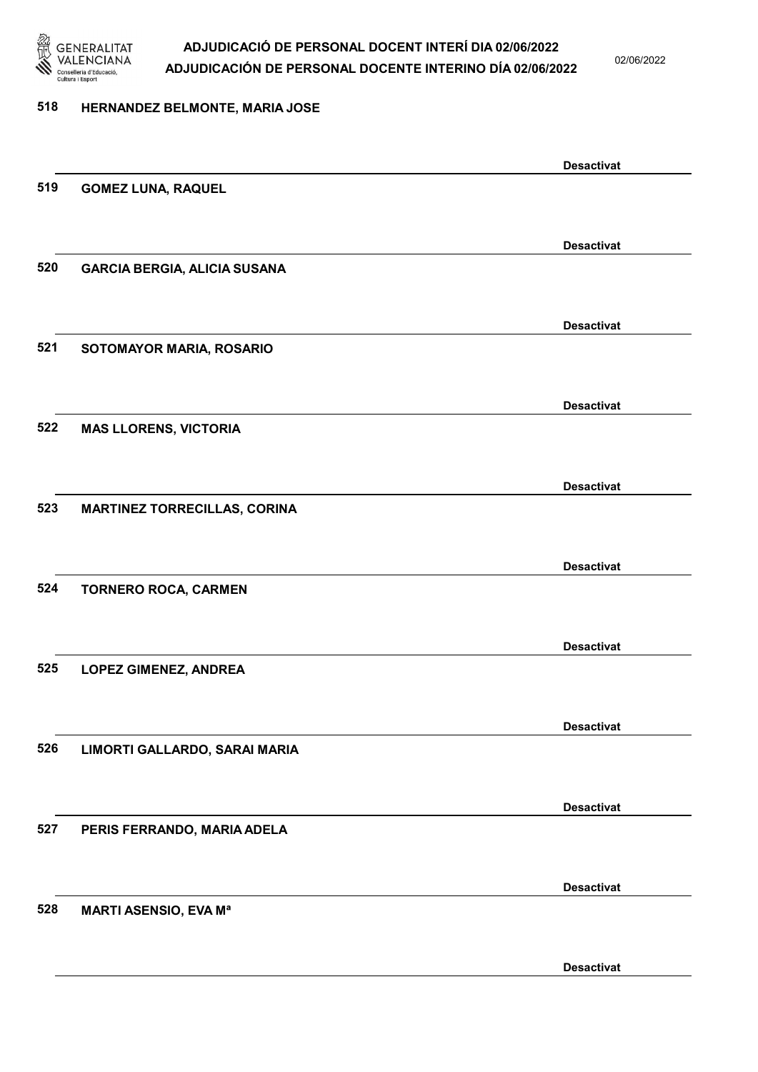

02/06/2022

#### 518 HERNANDEZ BELMONTE, MARIA JOSE

|     |                                     | <b>Desactivat</b> |
|-----|-------------------------------------|-------------------|
| 519 | <b>GOMEZ LUNA, RAQUEL</b>           |                   |
|     |                                     |                   |
|     |                                     | <b>Desactivat</b> |
| 520 | <b>GARCIA BERGIA, ALICIA SUSANA</b> |                   |
|     |                                     |                   |
|     |                                     |                   |
|     |                                     | <b>Desactivat</b> |
| 521 | SOTOMAYOR MARIA, ROSARIO            |                   |
|     |                                     |                   |
|     |                                     | <b>Desactivat</b> |
| 522 | <b>MAS LLORENS, VICTORIA</b>        |                   |
|     |                                     |                   |
|     |                                     | <b>Desactivat</b> |
| 523 | <b>MARTINEZ TORRECILLAS, CORINA</b> |                   |
|     |                                     |                   |
|     |                                     |                   |
|     |                                     | <b>Desactivat</b> |
| 524 | <b>TORNERO ROCA, CARMEN</b>         |                   |
|     |                                     |                   |
|     |                                     | <b>Desactivat</b> |
| 525 | <b>LOPEZ GIMENEZ, ANDREA</b>        |                   |
|     |                                     |                   |
|     |                                     | <b>Desactivat</b> |
| 526 | LIMORTI GALLARDO, SARAI MARIA       |                   |
|     |                                     |                   |
|     |                                     |                   |
| 527 |                                     | <b>Desactivat</b> |
|     | PERIS FERRANDO, MARIA ADELA         |                   |
|     |                                     |                   |
|     |                                     | <b>Desactivat</b> |
| 528 | <b>MARTI ASENSIO, EVA Mª</b>        |                   |
|     |                                     |                   |
|     |                                     | <b>Desactivat</b> |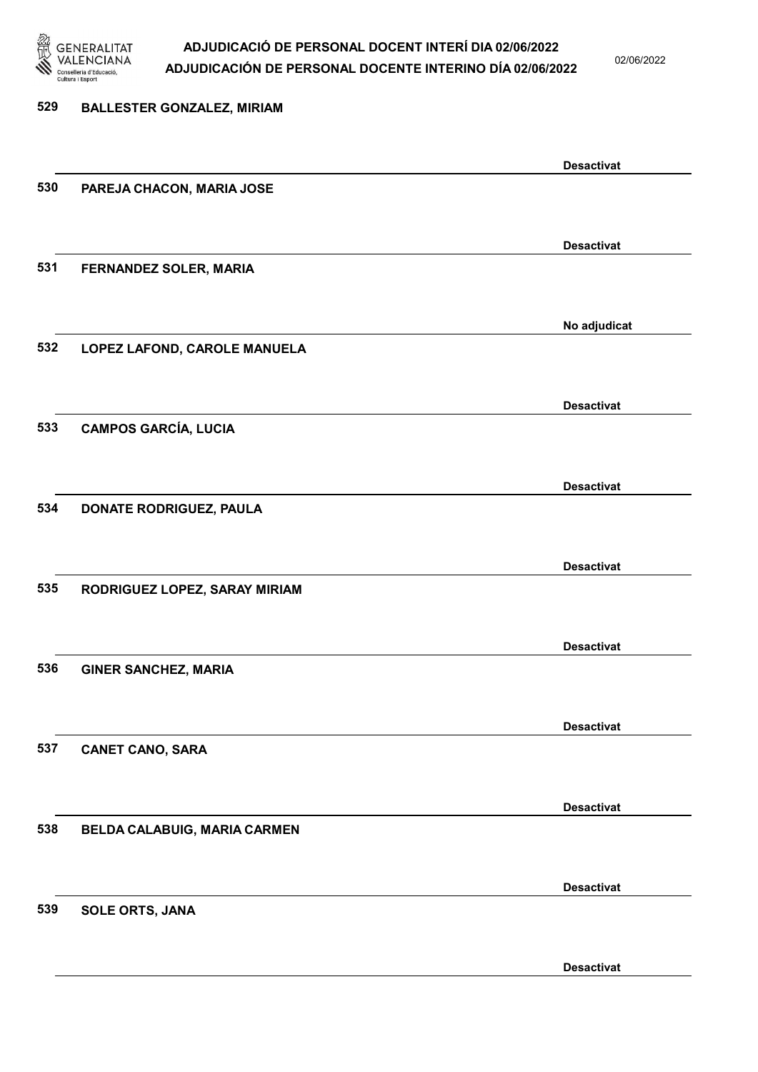

02/06/2022

### 529 BALLESTER GONZALEZ, MIRIAM Desactivat 530 PAREJA CHACON, MARIA JOSE Desactivat 531 FERNANDEZ SOLER, MARIA No adjudicat 532 LOPEZ LAFOND, CAROLE MANUELA Desactivat 533 CAMPOS GARCÍA, LUCIA Desactivat 534 DONATE RODRIGUEZ, PAULA Desactivat 535 RODRIGUEZ LOPEZ, SARAY MIRIAM Desactivat 536 GINER SANCHEZ, MARIA Desactivat 537 CANET CANO, SARA Desactivat 538 BELDA CALABUIG, MARIA CARMEN Desactivat 539 SOLE ORTS, JANA Desactivat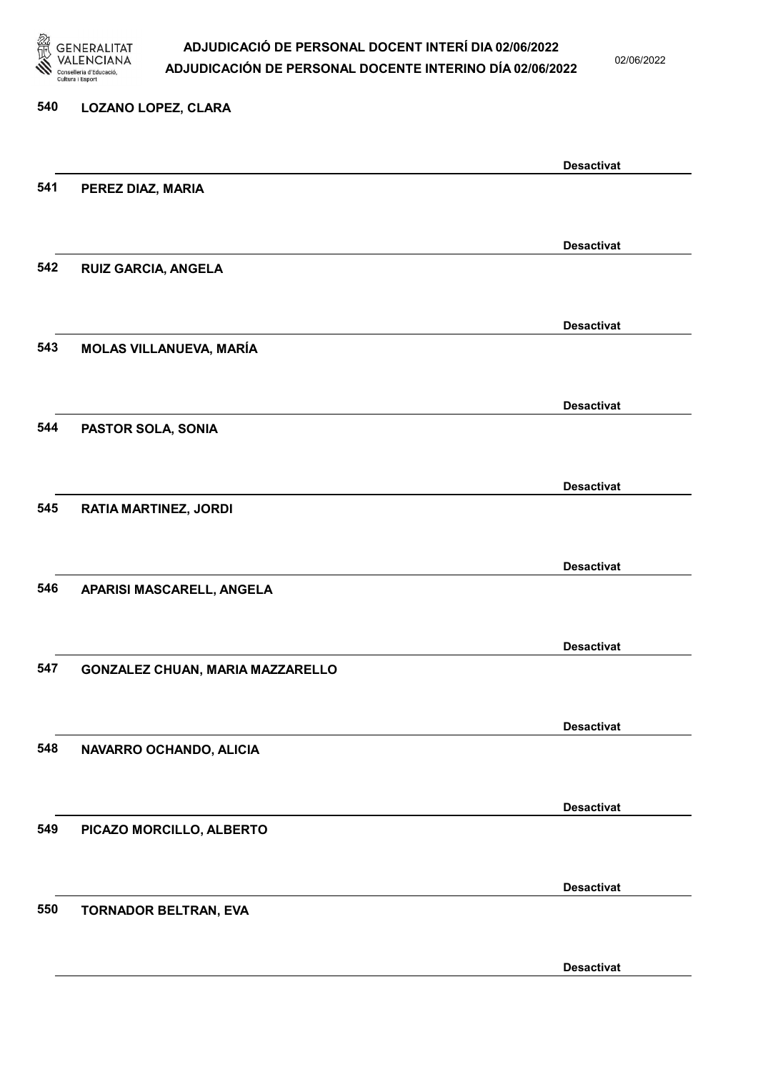

02/06/2022

#### 540 LOZANO LOPEZ, CLARA

|     |                                  | <b>Desactivat</b> |
|-----|----------------------------------|-------------------|
| 541 | PEREZ DIAZ, MARIA                |                   |
|     |                                  |                   |
|     |                                  | <b>Desactivat</b> |
| 542 | <b>RUIZ GARCIA, ANGELA</b>       |                   |
|     |                                  |                   |
|     |                                  | <b>Desactivat</b> |
| 543 | <b>MOLAS VILLANUEVA, MARÍA</b>   |                   |
|     |                                  |                   |
|     |                                  |                   |
| 544 | PASTOR SOLA, SONIA               | <b>Desactivat</b> |
|     |                                  |                   |
|     |                                  |                   |
|     |                                  | <b>Desactivat</b> |
| 545 | <b>RATIA MARTINEZ, JORDI</b>     |                   |
|     |                                  |                   |
|     |                                  | <b>Desactivat</b> |
| 546 | APARISI MASCARELL, ANGELA        |                   |
|     |                                  |                   |
|     |                                  | <b>Desactivat</b> |
| 547 | GONZALEZ CHUAN, MARIA MAZZARELLO |                   |
|     |                                  |                   |
|     |                                  | <b>Desactivat</b> |
| 548 | NAVARRO OCHANDO, ALICIA          |                   |
|     |                                  |                   |
|     |                                  | <b>Desactivat</b> |
| 549 | PICAZO MORCILLO, ALBERTO         |                   |
|     |                                  |                   |
|     |                                  | <b>Desactivat</b> |
| 550 | TORNADOR BELTRAN, EVA            |                   |
|     |                                  |                   |
|     |                                  |                   |
|     |                                  | <b>Desactivat</b> |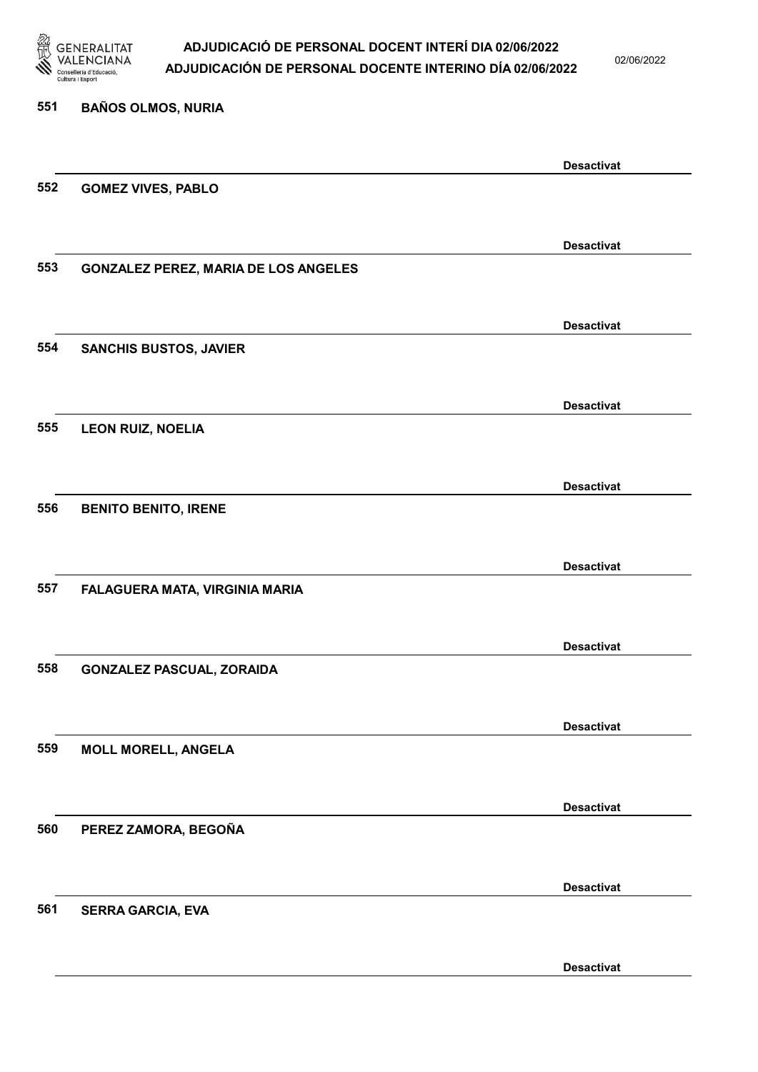

02/06/2022

Desactivat

# 551 BAÑOS OLMOS, NURIA Desactivat 552 GOMEZ VIVES, PABLO Desactivat 553 GONZALEZ PEREZ, MARIA DE LOS ANGELES Desactivat 554 SANCHIS BUSTOS, JAVIER Desactivat 555 LEON RUIZ, NOELIA Desactivat 556 BENITO BENITO, IRENE Desactivat 557 FALAGUERA MATA, VIRGINIA MARIA Desactivat 558 GONZALEZ PASCUAL, ZORAIDA Desactivat 559 MOLL MORELL, ANGELA Desactivat 560 PEREZ ZAMORA, BEGOÑA Desactivat 561 SERRA GARCIA, EVA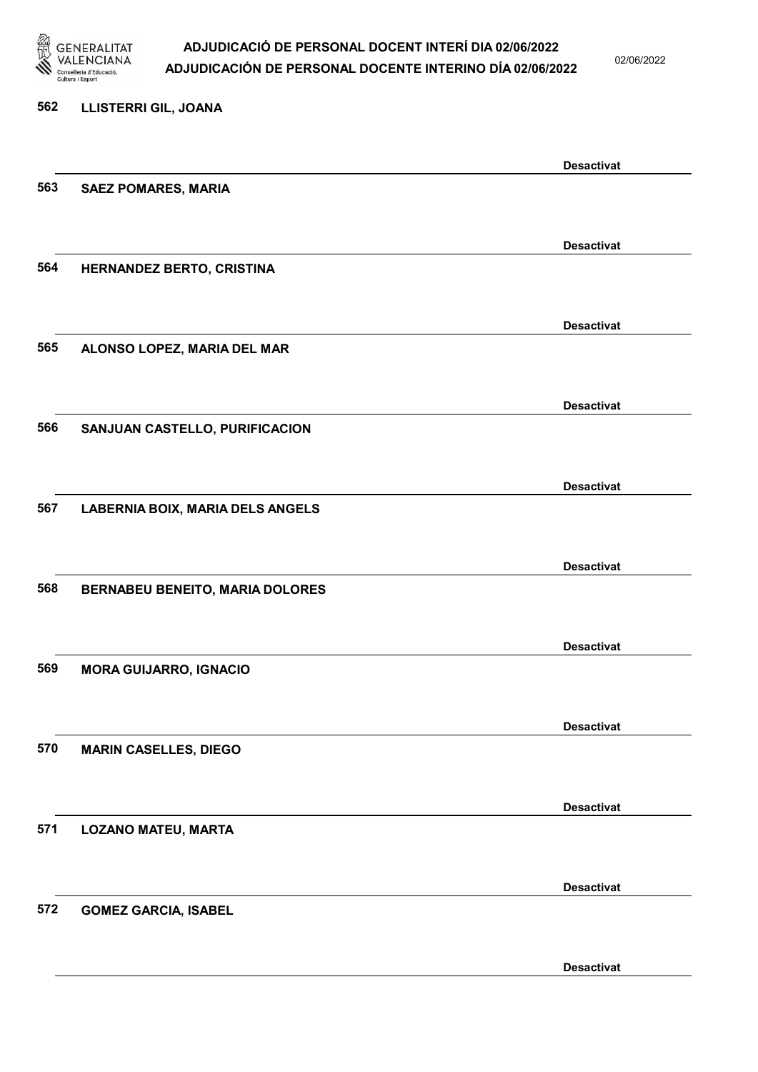

02/06/2022

| 562 | LLISTERRI GIL, JOANA                    |                   |
|-----|-----------------------------------------|-------------------|
|     |                                         | <b>Desactivat</b> |
| 563 | <b>SAEZ POMARES, MARIA</b>              |                   |
|     |                                         | <b>Desactivat</b> |
| 564 | HERNANDEZ BERTO, CRISTINA               |                   |
|     |                                         | <b>Desactivat</b> |
| 565 | ALONSO LOPEZ, MARIA DEL MAR             |                   |
|     |                                         | <b>Desactivat</b> |
| 566 | SANJUAN CASTELLO, PURIFICACION          |                   |
|     |                                         | <b>Desactivat</b> |
| 567 | <b>LABERNIA BOIX, MARIA DELS ANGELS</b> |                   |
|     |                                         | <b>Desactivat</b> |
| 568 | <b>BERNABEU BENEITO, MARIA DOLORES</b>  |                   |
|     |                                         | <b>Desactivat</b> |
| 569 | <b>MORA GUIJARRO, IGNACIO</b>           |                   |
|     |                                         | <b>Desactivat</b> |
| 570 | <b>MARIN CASELLES, DIEGO</b>            |                   |
|     |                                         | <b>Desactivat</b> |
| 571 | <b>LOZANO MATEU, MARTA</b>              |                   |
|     |                                         | <b>Desactivat</b> |
| 572 | <b>GOMEZ GARCIA, ISABEL</b>             |                   |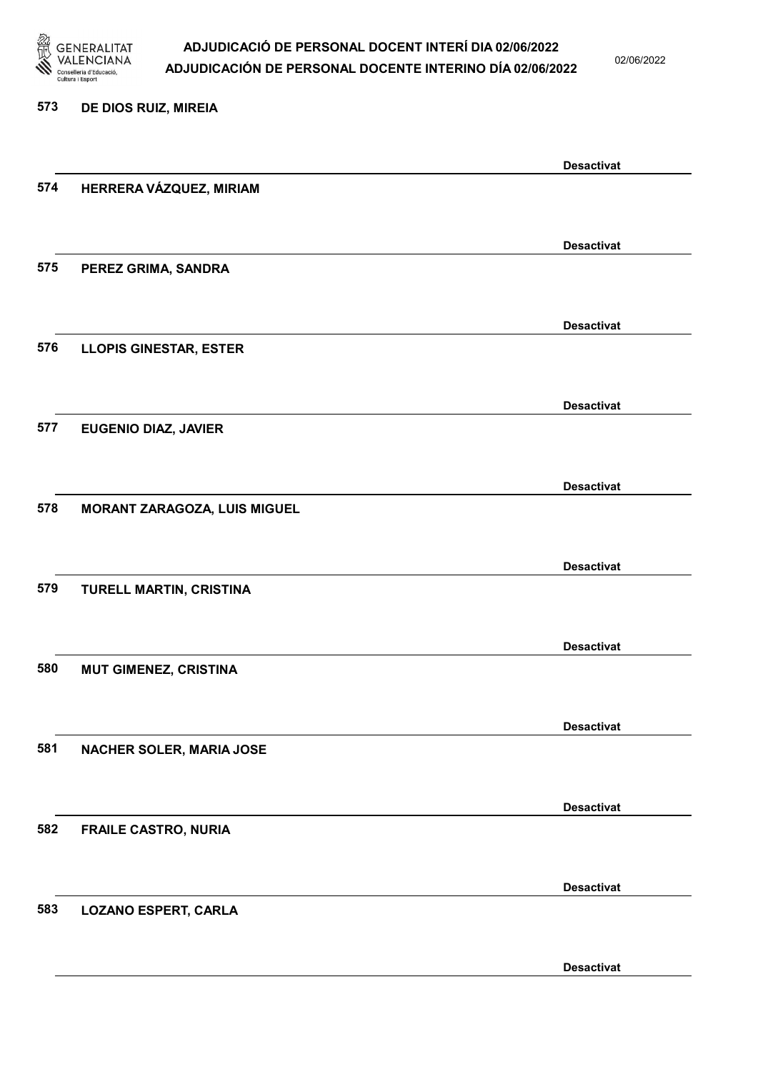

02/06/2022

#### 573 DE DIOS RUIZ, MIREIA

|     |                               | <b>Desactivat</b> |
|-----|-------------------------------|-------------------|
| 574 | HERRERA VÁZQUEZ, MIRIAM       |                   |
|     |                               |                   |
|     |                               | <b>Desactivat</b> |
| 575 | PEREZ GRIMA, SANDRA           |                   |
|     |                               |                   |
|     |                               | <b>Desactivat</b> |
| 576 | <b>LLOPIS GINESTAR, ESTER</b> |                   |
|     |                               |                   |
|     |                               | <b>Desactivat</b> |
| 577 | <b>EUGENIO DIAZ, JAVIER</b>   |                   |
|     |                               |                   |
|     |                               | <b>Desactivat</b> |
| 578 | MORANT ZARAGOZA, LUIS MIGUEL  |                   |
|     |                               |                   |
|     |                               | <b>Desactivat</b> |
| 579 | TURELL MARTIN, CRISTINA       |                   |
|     |                               |                   |
|     |                               | <b>Desactivat</b> |
| 580 | <b>MUT GIMENEZ, CRISTINA</b>  |                   |
|     |                               |                   |
|     |                               | <b>Desactivat</b> |
| 581 | NACHER SOLER, MARIA JOSE      |                   |
|     |                               |                   |
|     |                               | <b>Desactivat</b> |
| 582 | <b>FRAILE CASTRO, NURIA</b>   |                   |
|     |                               |                   |
|     |                               |                   |
| 583 | <b>LOZANO ESPERT, CARLA</b>   | <b>Desactivat</b> |
|     |                               |                   |
|     |                               |                   |
|     |                               | <b>Desactivat</b> |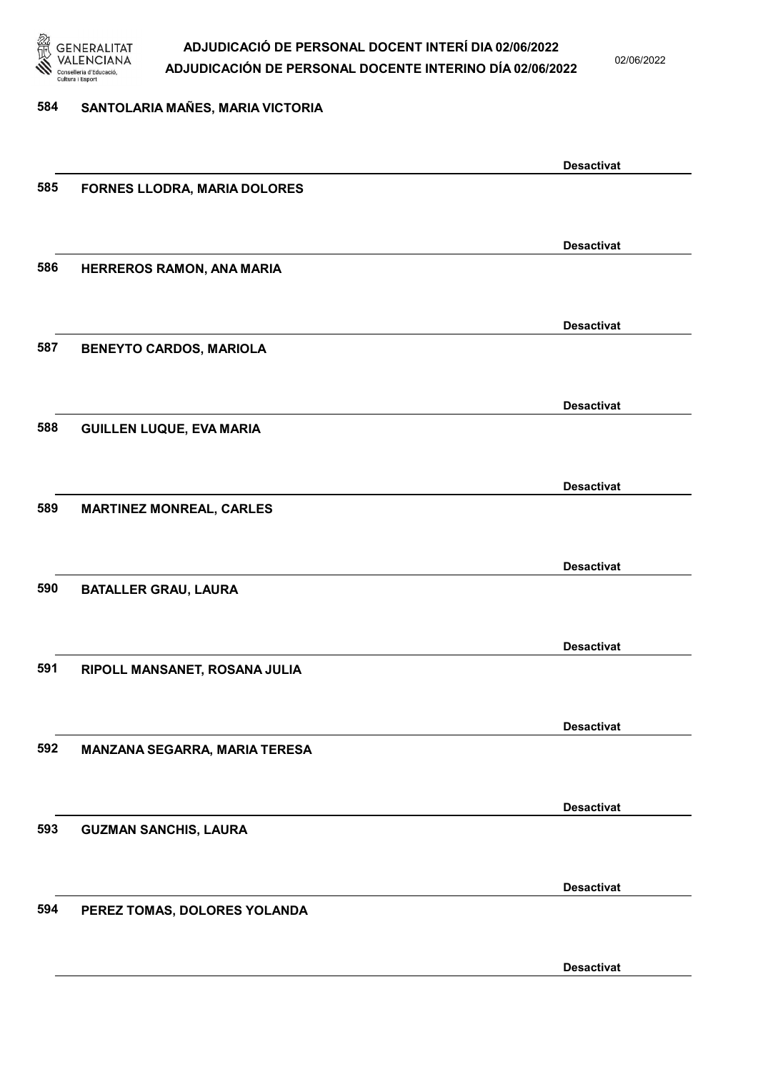

02/06/2022

#### 584 SANTOLARIA MAÑES, MARIA VICTORIA

|     |                                 | <b>Desactivat</b> |
|-----|---------------------------------|-------------------|
| 585 | FORNES LLODRA, MARIA DOLORES    |                   |
|     |                                 |                   |
|     |                                 |                   |
|     |                                 | <b>Desactivat</b> |
| 586 | HERREROS RAMON, ANA MARIA       |                   |
|     |                                 |                   |
|     |                                 |                   |
|     |                                 | <b>Desactivat</b> |
|     |                                 |                   |
| 587 | <b>BENEYTO CARDOS, MARIOLA</b>  |                   |
|     |                                 |                   |
|     |                                 |                   |
|     |                                 | <b>Desactivat</b> |
| 588 | <b>GUILLEN LUQUE, EVA MARIA</b> |                   |
|     |                                 |                   |
|     |                                 |                   |
|     |                                 | <b>Desactivat</b> |
| 589 | <b>MARTINEZ MONREAL, CARLES</b> |                   |
|     |                                 |                   |
|     |                                 |                   |
|     |                                 | <b>Desactivat</b> |
| 590 | <b>BATALLER GRAU, LAURA</b>     |                   |
|     |                                 |                   |
|     |                                 |                   |
|     |                                 | <b>Desactivat</b> |
|     |                                 |                   |
| 591 | RIPOLL MANSANET, ROSANA JULIA   |                   |
|     |                                 |                   |
|     |                                 |                   |
|     |                                 | <b>Desactivat</b> |
| 592 | MANZANA SEGARRA, MARIA TERESA   |                   |
|     |                                 |                   |
|     |                                 |                   |
|     |                                 | <b>Desactivat</b> |
| 593 | <b>GUZMAN SANCHIS, LAURA</b>    |                   |
|     |                                 |                   |
|     |                                 |                   |
|     |                                 | <b>Desactivat</b> |
| 594 | PEREZ TOMAS, DOLORES YOLANDA    |                   |
|     |                                 |                   |
|     |                                 |                   |
|     |                                 | <b>Desactivat</b> |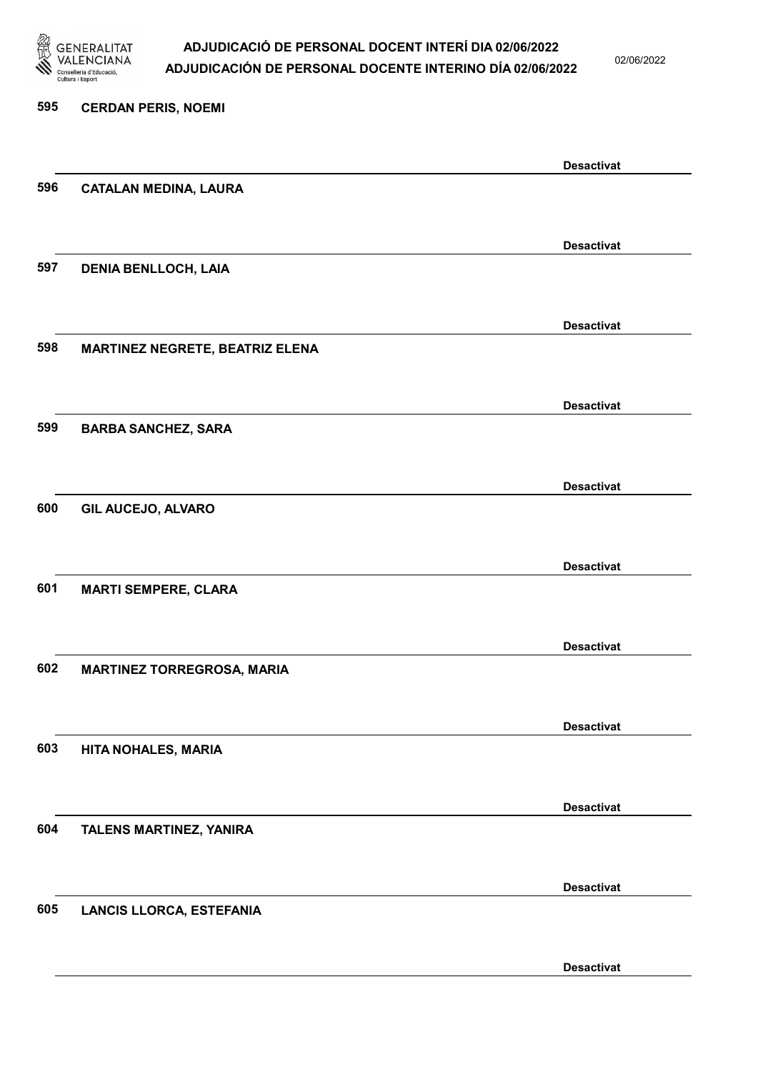

02/06/2022

Desactivat

# 595 CERDAN PERIS, NOEMI Desactivat 596 CATALAN MEDINA, LAURA Desactivat 597 DENIA BENLLOCH, LAIA Desactivat 598 MARTINEZ NEGRETE, BEATRIZ ELENA Desactivat 599 BARBA SANCHEZ, SARA Desactivat 600 GIL AUCEJO, ALVARO Desactivat 601 MARTI SEMPERE, CLARA Desactivat 602 MARTINEZ TORREGROSA, MARIA Desactivat 603 HITA NOHALES, MARIA Desactivat 604 TALENS MARTINEZ, YANIRA Desactivat 605 LANCIS LLORCA, ESTEFANIA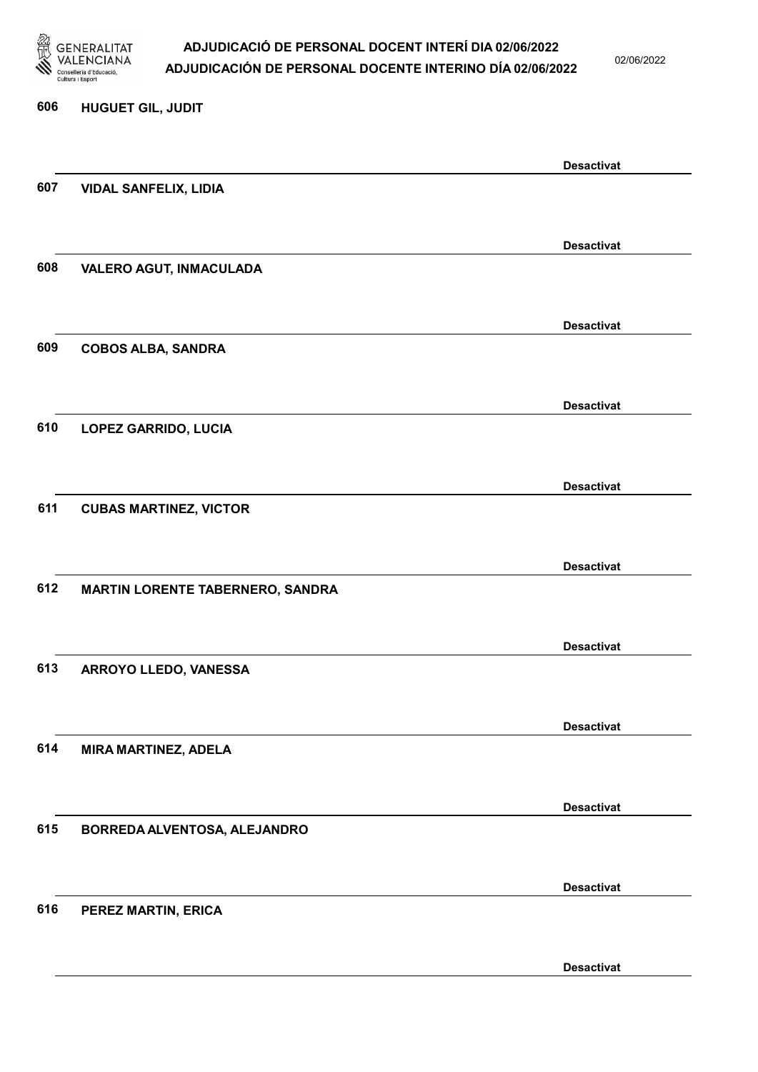

02/06/2022

Desactivat

# 606 HUGUET GIL, JUDIT Desactivat 607 VIDAL SANFELIX, LIDIA Desactivat 608 VALERO AGUT, INMACULADA Desactivat 609 COBOS ALBA, SANDRA Desactivat 610 LOPEZ GARRIDO, LUCIA Desactivat 611 CUBAS MARTINEZ, VICTOR Desactivat 612 MARTIN LORENTE TABERNERO, SANDRA Desactivat 613 ARROYO LLEDO, VANESSA Desactivat 614 MIRA MARTINEZ, ADELA Desactivat 615 BORREDA ALVENTOSA, ALEJANDRO Desactivat 616 PEREZ MARTIN, ERICA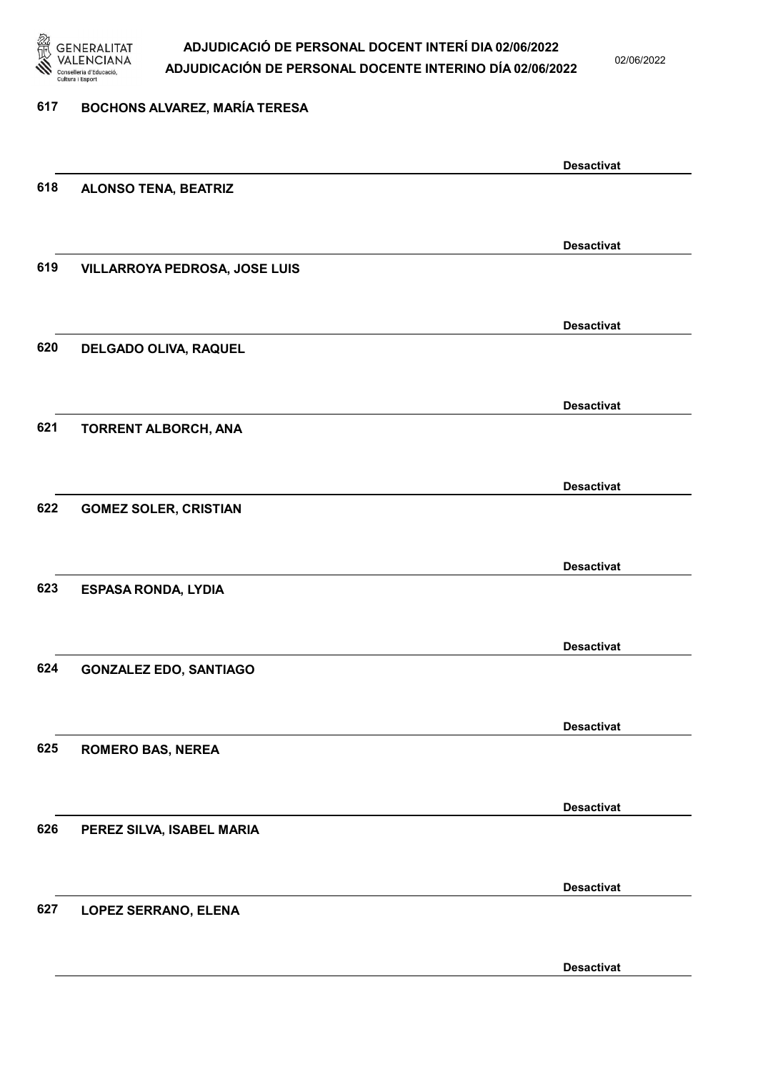

02/06/2022

#### 617 BOCHONS ALVAREZ, MARÍA TERESA

|     |                               | <b>Desactivat</b> |
|-----|-------------------------------|-------------------|
| 618 | <b>ALONSO TENA, BEATRIZ</b>   |                   |
|     |                               |                   |
|     |                               | <b>Desactivat</b> |
| 619 | VILLARROYA PEDROSA, JOSE LUIS |                   |
|     |                               |                   |
|     |                               | <b>Desactivat</b> |
| 620 | DELGADO OLIVA, RAQUEL         |                   |
|     |                               |                   |
|     |                               | <b>Desactivat</b> |
| 621 | <b>TORRENT ALBORCH, ANA</b>   |                   |
|     |                               |                   |
|     |                               | <b>Desactivat</b> |
| 622 | <b>GOMEZ SOLER, CRISTIAN</b>  |                   |
|     |                               |                   |
|     |                               | <b>Desactivat</b> |
| 623 | <b>ESPASA RONDA, LYDIA</b>    |                   |
|     |                               |                   |
|     |                               |                   |
| 624 | <b>GONZALEZ EDO, SANTIAGO</b> | <b>Desactivat</b> |
|     |                               |                   |
|     |                               |                   |
|     |                               | <b>Desactivat</b> |
| 625 | <b>ROMERO BAS, NEREA</b>      |                   |
|     |                               |                   |
|     |                               | <b>Desactivat</b> |
| 626 | PEREZ SILVA, ISABEL MARIA     |                   |
|     |                               |                   |
|     |                               | <b>Desactivat</b> |
| 627 | LOPEZ SERRANO, ELENA          |                   |
|     |                               |                   |
|     |                               | <b>Desactivat</b> |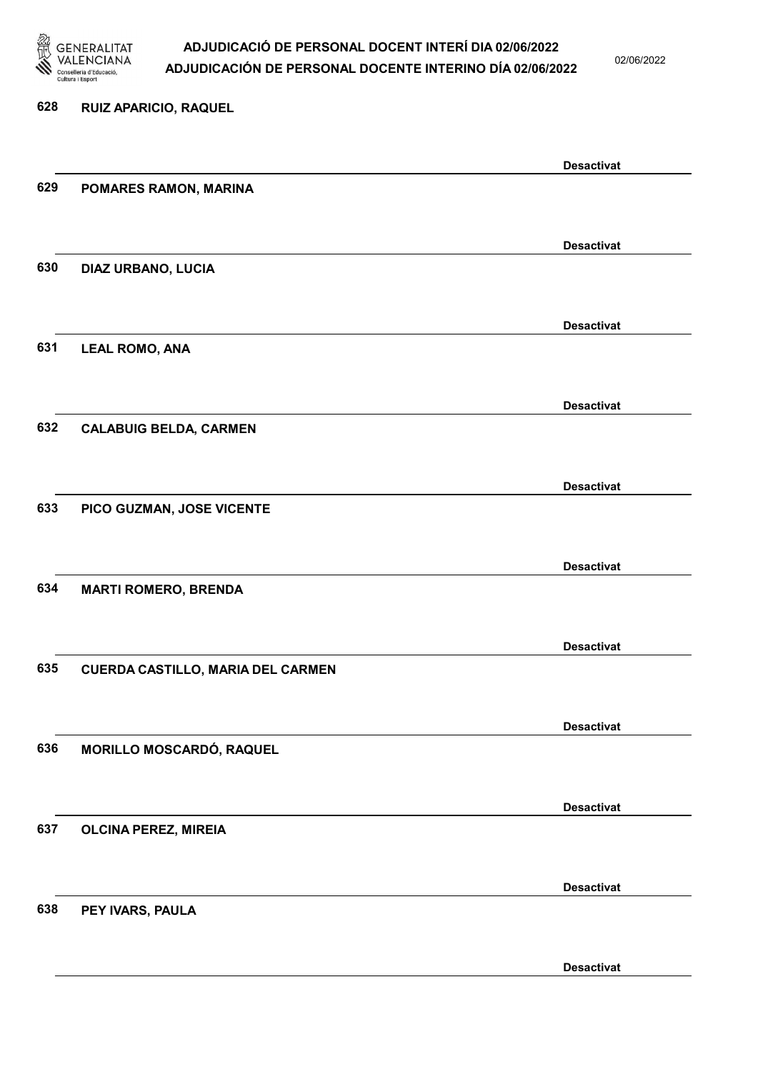

02/06/2022

# 628 RUIZ APARICIO, RAQUEL 629 POMARES RAMON, MARINA 630 DIAZ URBANO, LUCIA

631 LEAL ROMO, ANA

632 CALABUIG BELDA, CARMEN

633 PICO GUZMAN, JOSE VICENTE

634 MARTI ROMERO, BRENDA

635 CUERDA CASTILLO, MARIA DEL CARMEN

636 MORILLO MOSCARDÓ, RAQUEL

637 OLCINA PEREZ, MIREIA

638 PEY IVARS, PAULA

Desactivat

Desactivat

Desactivat

Desactivat

Desactivat

Desactivat

Desactivat

Desactivat

Desactivat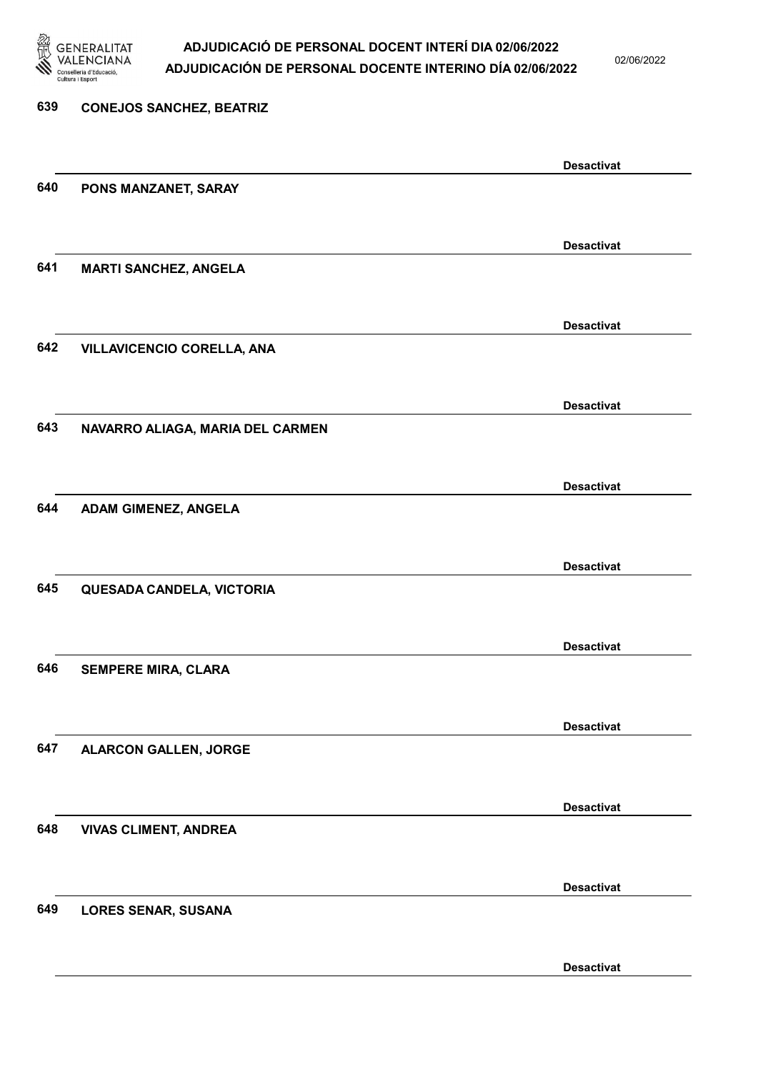

02/06/2022

| 639 | <b>CONEJOS SANCHEZ, BEATRIZ</b>   |                   |
|-----|-----------------------------------|-------------------|
|     |                                   |                   |
|     |                                   | <b>Desactivat</b> |
| 640 | PONS MANZANET, SARAY              |                   |
|     |                                   |                   |
|     |                                   | <b>Desactivat</b> |
| 641 | <b>MARTI SANCHEZ, ANGELA</b>      |                   |
|     |                                   |                   |
|     |                                   | <b>Desactivat</b> |
| 642 | <b>VILLAVICENCIO CORELLA, ANA</b> |                   |
|     |                                   |                   |
|     |                                   | <b>Desactivat</b> |
| 643 | NAVARRO ALIAGA, MARIA DEL CARMEN  |                   |
|     |                                   |                   |
|     |                                   | <b>Desactivat</b> |
| 644 | ADAM GIMENEZ, ANGELA              |                   |
|     |                                   |                   |
|     |                                   | <b>Desactivat</b> |
| 645 | QUESADA CANDELA, VICTORIA         |                   |
|     |                                   |                   |
|     |                                   | <b>Desactivat</b> |
| 646 | <b>SEMPERE MIRA, CLARA</b>        |                   |
|     |                                   |                   |
|     |                                   | <b>Desactivat</b> |
| 647 | <b>ALARCON GALLEN, JORGE</b>      |                   |
|     |                                   |                   |
|     |                                   | <b>Desactivat</b> |
| 648 | <b>VIVAS CLIMENT, ANDREA</b>      |                   |
|     |                                   |                   |
|     |                                   | <b>Desactivat</b> |
| 649 | <b>LORES SENAR, SUSANA</b>        |                   |
|     |                                   |                   |
|     |                                   |                   |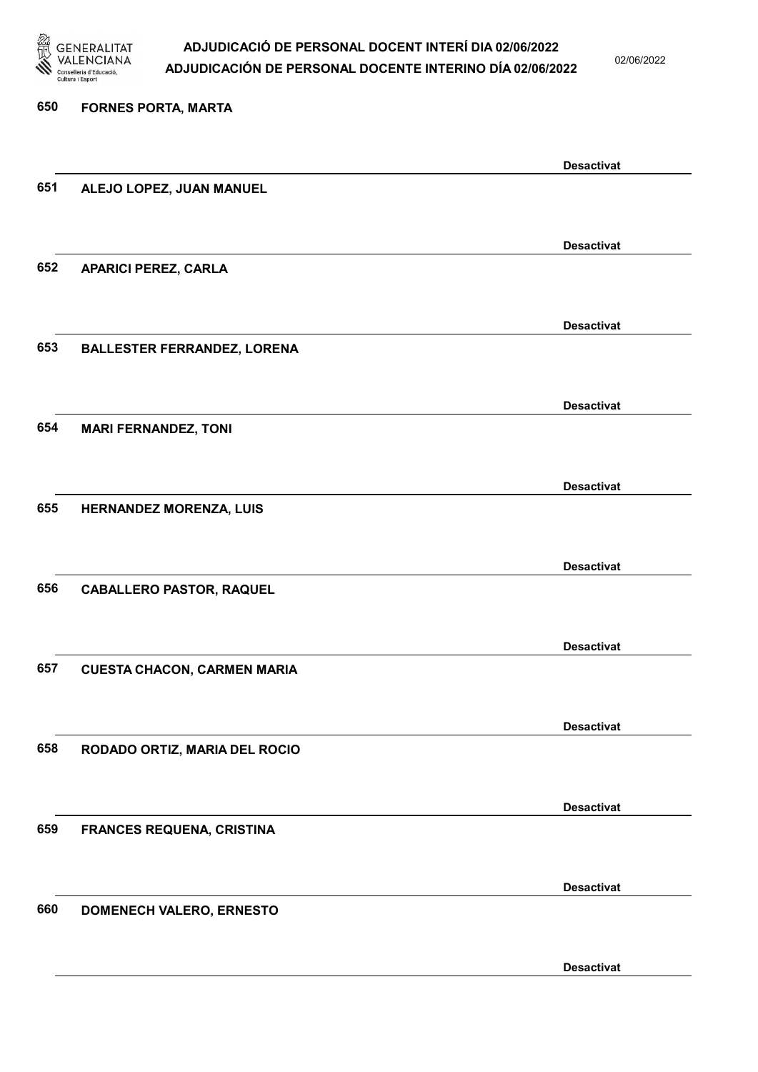

02/06/2022

Desactivat

# 650 FORNES PORTA, MARTA Desactivat 651 ALEJO LOPEZ, JUAN MANUEL Desactivat 652 APARICI PEREZ, CARLA Desactivat 653 BALLESTER FERRANDEZ, LORENA Desactivat 654 MARI FERNANDEZ, TONI Desactivat 655 HERNANDEZ MORENZA, LUIS Desactivat 656 CABALLERO PASTOR, RAQUEL Desactivat 657 CUESTA CHACON, CARMEN MARIA Desactivat 658 RODADO ORTIZ, MARIA DEL ROCIO Desactivat 659 FRANCES REQUENA, CRISTINA Desactivat 660 DOMENECH VALERO, ERNESTO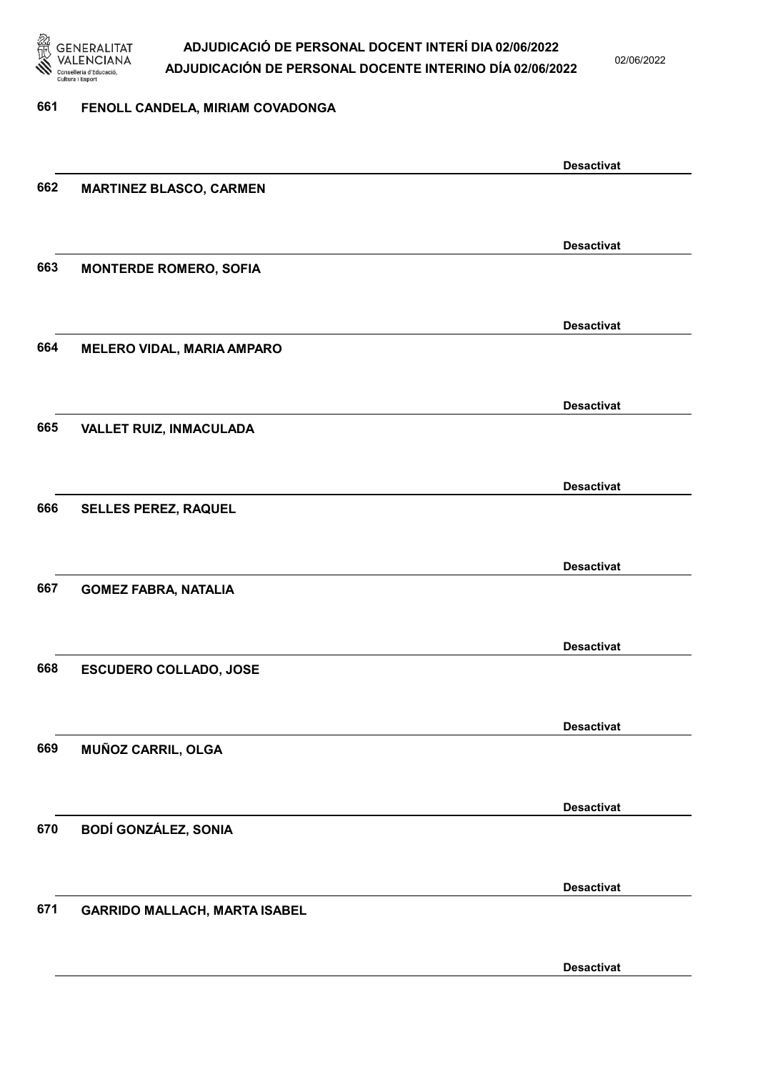

02/06/2022

#### 661 FENOLL CANDELA, MIRIAM COVADONGA

|     |                                      | <b>Desactivat</b> |
|-----|--------------------------------------|-------------------|
| 662 | <b>MARTINEZ BLASCO, CARMEN</b>       |                   |
|     |                                      |                   |
|     |                                      | <b>Desactivat</b> |
| 663 | <b>MONTERDE ROMERO, SOFIA</b>        |                   |
|     |                                      |                   |
|     |                                      | <b>Desactivat</b> |
| 664 | <b>MELERO VIDAL, MARIA AMPARO</b>    |                   |
|     |                                      |                   |
|     |                                      | <b>Desactivat</b> |
| 665 | VALLET RUIZ, INMACULADA              |                   |
|     |                                      |                   |
|     |                                      | <b>Desactivat</b> |
| 666 | <b>SELLES PEREZ, RAQUEL</b>          |                   |
|     |                                      |                   |
|     |                                      | <b>Desactivat</b> |
| 667 | <b>GOMEZ FABRA, NATALIA</b>          |                   |
|     |                                      |                   |
|     |                                      |                   |
| 668 | <b>ESCUDERO COLLADO, JOSE</b>        | <b>Desactivat</b> |
|     |                                      |                   |
|     |                                      |                   |
|     |                                      | <b>Desactivat</b> |
| 669 | MUÑOZ CARRIL, OLGA                   |                   |
|     |                                      |                   |
|     |                                      | <b>Desactivat</b> |
| 670 | <b>BODÍ GONZÁLEZ, SONIA</b>          |                   |
|     |                                      |                   |
|     |                                      | <b>Desactivat</b> |
| 671 | <b>GARRIDO MALLACH, MARTA ISABEL</b> |                   |
|     |                                      |                   |
|     |                                      | <b>Desactivat</b> |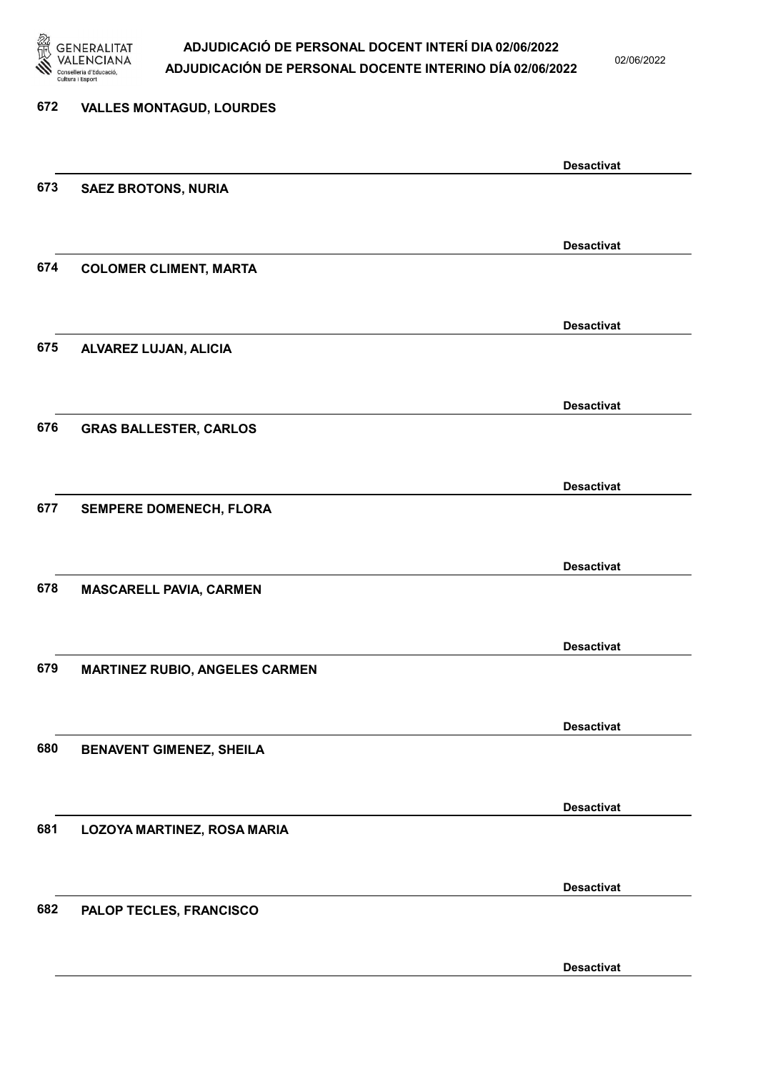

02/06/2022

Desactivat

# 672 VALLES MONTAGUD, LOURDES Desactivat 673 SAEZ BROTONS, NURIA Desactivat 674 COLOMER CLIMENT, MARTA Desactivat 675 ALVAREZ LUJAN, ALICIA Desactivat 676 GRAS BALLESTER, CARLOS Desactivat 677 SEMPERE DOMENECH, FLORA Desactivat 678 MASCARELL PAVIA, CARMEN Desactivat 679 MARTINEZ RUBIO, ANGELES CARMEN Desactivat 680 BENAVENT GIMENEZ, SHEILA Desactivat 681 LOZOYA MARTINEZ, ROSA MARIA Desactivat 682 PALOP TECLES, FRANCISCO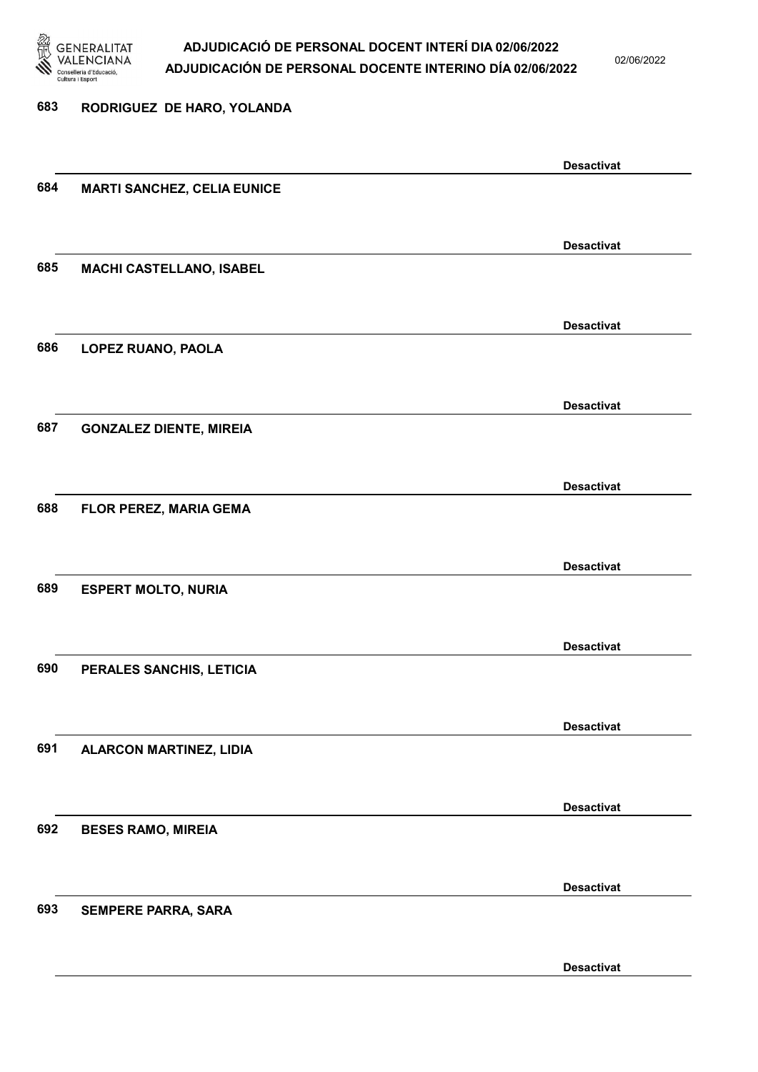

02/06/2022

Desactivat

# 683 RODRIGUEZ DE HARO, YOLANDA Desactivat 684 MARTI SANCHEZ, CELIA EUNICE Desactivat 685 MACHI CASTELLANO, ISABEL Desactivat 686 LOPEZ RUANO, PAOLA Desactivat 687 GONZALEZ DIENTE, MIREIA Desactivat 688 FLOR PEREZ, MARIA GEMA Desactivat 689 ESPERT MOLTO, NURIA Desactivat 690 PERALES SANCHIS, LETICIA Desactivat 691 ALARCON MARTINEZ, LIDIA Desactivat 692 BESES RAMO, MIREIA Desactivat 693 SEMPERE PARRA, SARA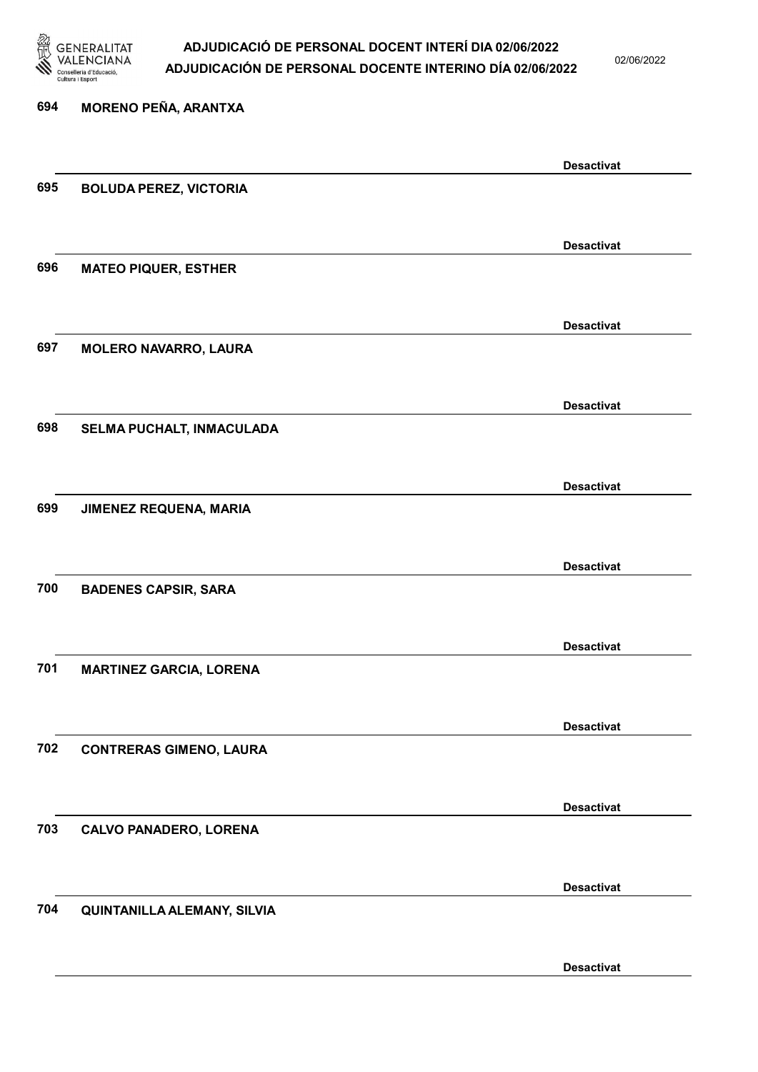

02/06/2022

Desactivat

# 694 MORENO PEÑA, ARANTXA Desactivat 695 BOLUDA PEREZ, VICTORIA Desactivat 696 MATEO PIQUER, ESTHER Desactivat 697 MOLERO NAVARRO, LAURA Desactivat 698 SELMA PUCHALT, INMACULADA Desactivat 699 JIMENEZ REQUENA, MARIA Desactivat 700 BADENES CAPSIR, SARA Desactivat 701 MARTINEZ GARCIA, LORENA Desactivat 702 CONTRERAS GIMENO, LAURA Desactivat 703 CALVO PANADERO, LORENA Desactivat 704 QUINTANILLA ALEMANY, SILVIA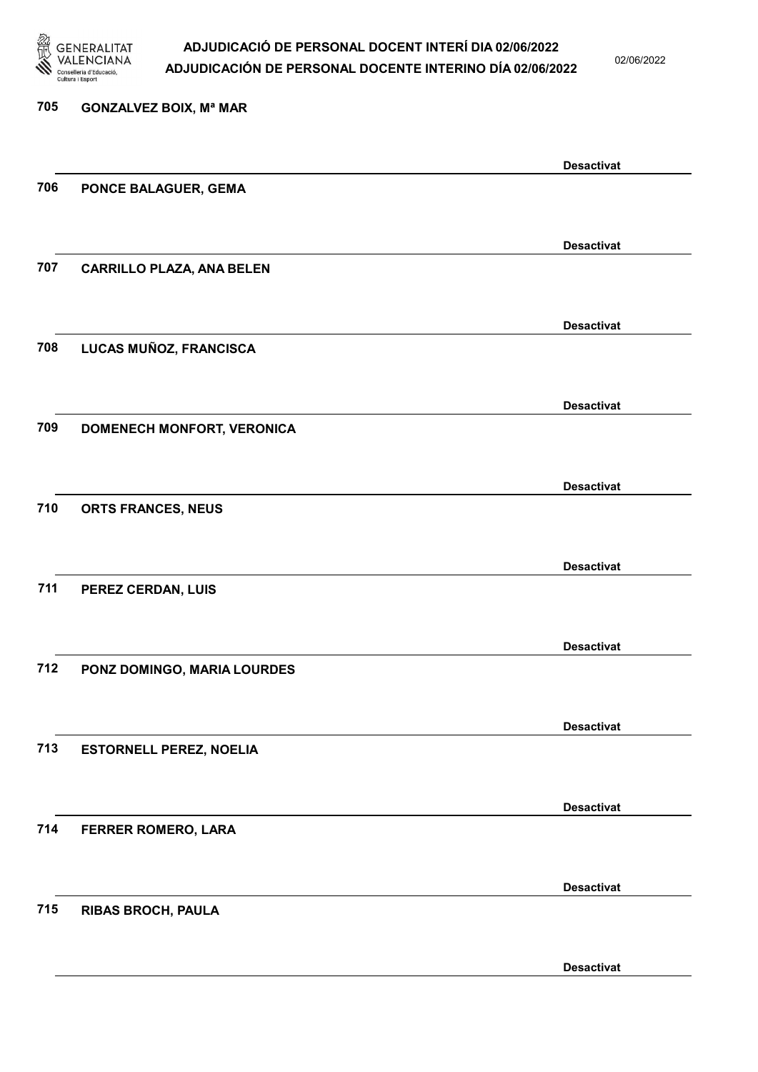

02/06/2022

| 705 | <b>GONZALVEZ BOIX, Mª MAR</b>    |                   |
|-----|----------------------------------|-------------------|
|     |                                  |                   |
|     |                                  | <b>Desactivat</b> |
| 706 | PONCE BALAGUER, GEMA             |                   |
|     |                                  |                   |
|     |                                  | <b>Desactivat</b> |
| 707 | <b>CARRILLO PLAZA, ANA BELEN</b> |                   |
|     |                                  |                   |
|     |                                  | <b>Desactivat</b> |
| 708 | LUCAS MUÑOZ, FRANCISCA           |                   |
|     |                                  |                   |
|     |                                  | <b>Desactivat</b> |
| 709 | DOMENECH MONFORT, VERONICA       |                   |
|     |                                  |                   |
|     |                                  |                   |
| 710 |                                  | <b>Desactivat</b> |
|     | ORTS FRANCES, NEUS               |                   |
|     |                                  |                   |
|     |                                  | <b>Desactivat</b> |
| 711 | PEREZ CERDAN, LUIS               |                   |
|     |                                  |                   |
|     |                                  | <b>Desactivat</b> |
| 712 | PONZ DOMINGO, MARIA LOURDES      |                   |
|     |                                  |                   |
|     |                                  | <b>Desactivat</b> |
| 713 | <b>ESTORNELL PEREZ, NOELIA</b>   |                   |
|     |                                  |                   |
|     |                                  | <b>Desactivat</b> |
| 714 | <b>FERRER ROMERO, LARA</b>       |                   |
|     |                                  |                   |
|     |                                  |                   |
| 715 | <b>RIBAS BROCH, PAULA</b>        | <b>Desactivat</b> |
|     |                                  |                   |
|     |                                  |                   |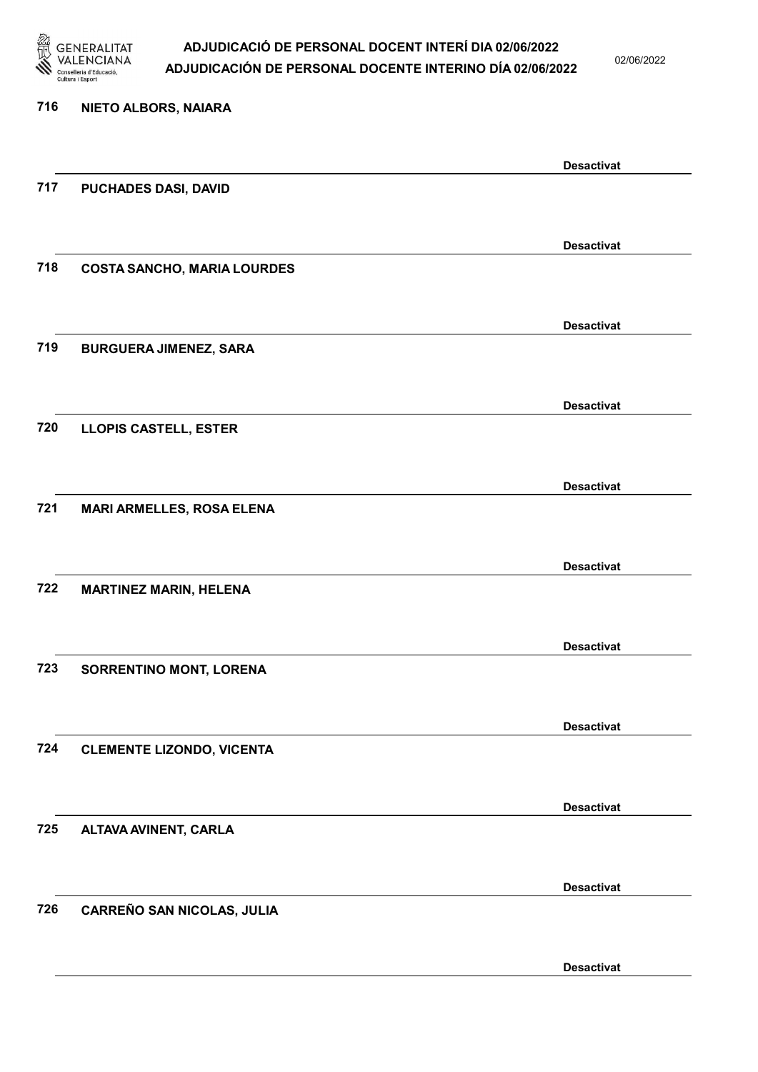

02/06/2022

| 716 | NIETO ALBORS, NAIARA               |                   |
|-----|------------------------------------|-------------------|
|     |                                    | <b>Desactivat</b> |
| 717 | PUCHADES DASI, DAVID               |                   |
|     |                                    | <b>Desactivat</b> |
| 718 | <b>COSTA SANCHO, MARIA LOURDES</b> |                   |
|     |                                    | <b>Desactivat</b> |
| 719 | <b>BURGUERA JIMENEZ, SARA</b>      |                   |
|     |                                    | <b>Desactivat</b> |
| 720 | <b>LLOPIS CASTELL, ESTER</b>       |                   |
|     |                                    | <b>Desactivat</b> |
| 721 | <b>MARI ARMELLES, ROSA ELENA</b>   |                   |
|     |                                    | <b>Desactivat</b> |
| 722 | <b>MARTINEZ MARIN, HELENA</b>      |                   |
|     |                                    | <b>Desactivat</b> |
| 723 | <b>SORRENTINO MONT, LORENA</b>     |                   |
|     |                                    | <b>Desactivat</b> |
| 724 | <b>CLEMENTE LIZONDO, VICENTA</b>   |                   |
|     |                                    | <b>Desactivat</b> |
| 725 | ALTAVA AVINENT, CARLA              |                   |
|     |                                    | <b>Desactivat</b> |
| 726 | <b>CARREÑO SAN NICOLAS, JULIA</b>  |                   |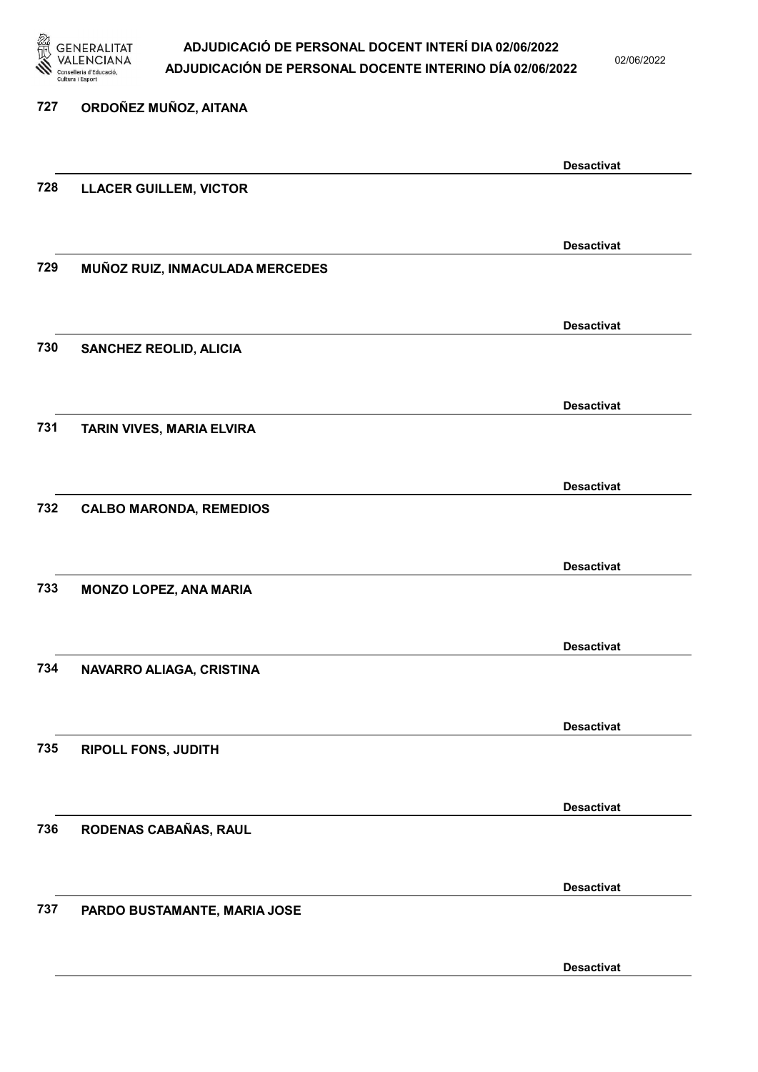

02/06/2022

Desactivat

# 727 ORDOÑEZ MUÑOZ, AITANA Desactivat 728 LLACER GUILLEM, VICTOR Desactivat 729 MUÑOZ RUIZ, INMACULADA MERCEDES Desactivat 730 SANCHEZ REOLID, ALICIA Desactivat 731 TARIN VIVES, MARIA ELVIRA Desactivat 732 CALBO MARONDA, REMEDIOS Desactivat 733 MONZO LOPEZ, ANA MARIA Desactivat 734 NAVARRO ALIAGA, CRISTINA Desactivat 735 RIPOLL FONS, JUDITH Desactivat 736 RODENAS CABAÑAS, RAUL Desactivat 737 PARDO BUSTAMANTE, MARIA JOSE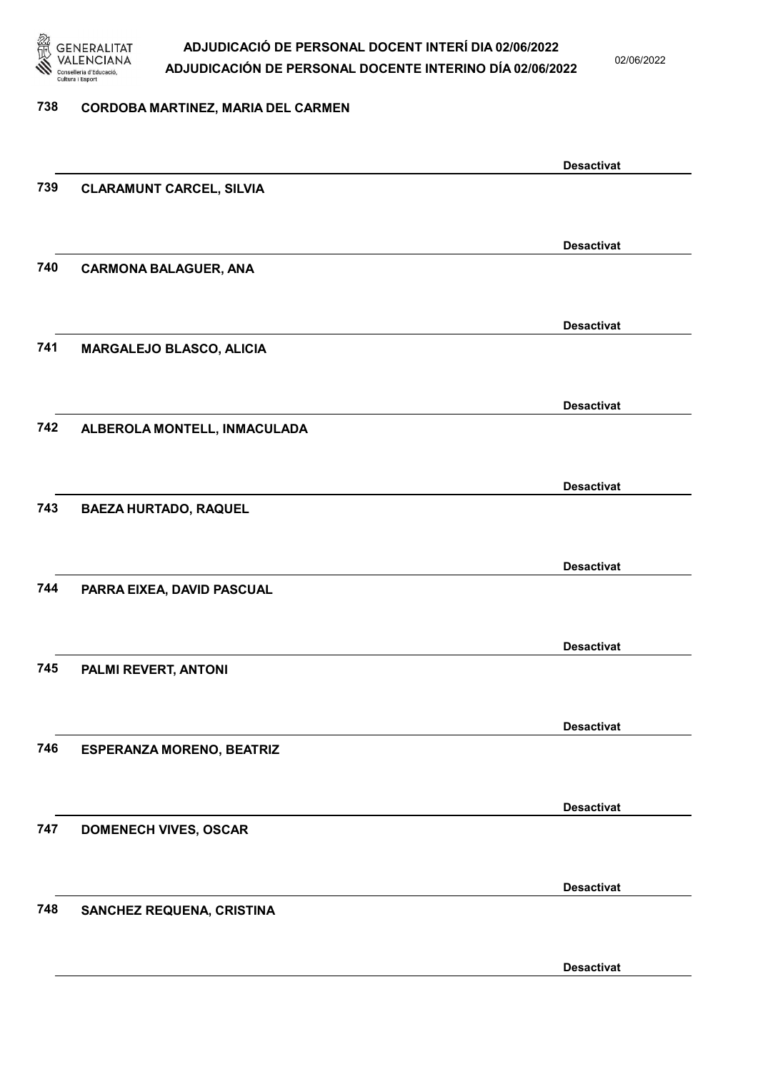

02/06/2022

#### 738 CORDOBA MARTINEZ, MARIA DEL CARMEN

|     |                                  | <b>Desactivat</b> |
|-----|----------------------------------|-------------------|
| 739 | <b>CLARAMUNT CARCEL, SILVIA</b>  |                   |
|     |                                  |                   |
|     |                                  | <b>Desactivat</b> |
| 740 | <b>CARMONA BALAGUER, ANA</b>     |                   |
|     |                                  |                   |
|     |                                  |                   |
|     |                                  | <b>Desactivat</b> |
| 741 | MARGALEJO BLASCO, ALICIA         |                   |
|     |                                  |                   |
|     |                                  | <b>Desactivat</b> |
| 742 | ALBEROLA MONTELL, INMACULADA     |                   |
|     |                                  |                   |
|     |                                  |                   |
|     |                                  | <b>Desactivat</b> |
| 743 | <b>BAEZA HURTADO, RAQUEL</b>     |                   |
|     |                                  |                   |
|     |                                  | <b>Desactivat</b> |
| 744 | PARRA EIXEA, DAVID PASCUAL       |                   |
|     |                                  |                   |
|     |                                  |                   |
|     |                                  | <b>Desactivat</b> |
| 745 | PALMI REVERT, ANTONI             |                   |
|     |                                  |                   |
|     |                                  | <b>Desactivat</b> |
| 746 | <b>ESPERANZA MORENO, BEATRIZ</b> |                   |
|     |                                  |                   |
|     |                                  | <b>Desactivat</b> |
| 747 | <b>DOMENECH VIVES, OSCAR</b>     |                   |
|     |                                  |                   |
|     |                                  |                   |
|     |                                  | <b>Desactivat</b> |
| 748 | SANCHEZ REQUENA, CRISTINA        |                   |
|     |                                  |                   |
|     |                                  | <b>Desactivat</b> |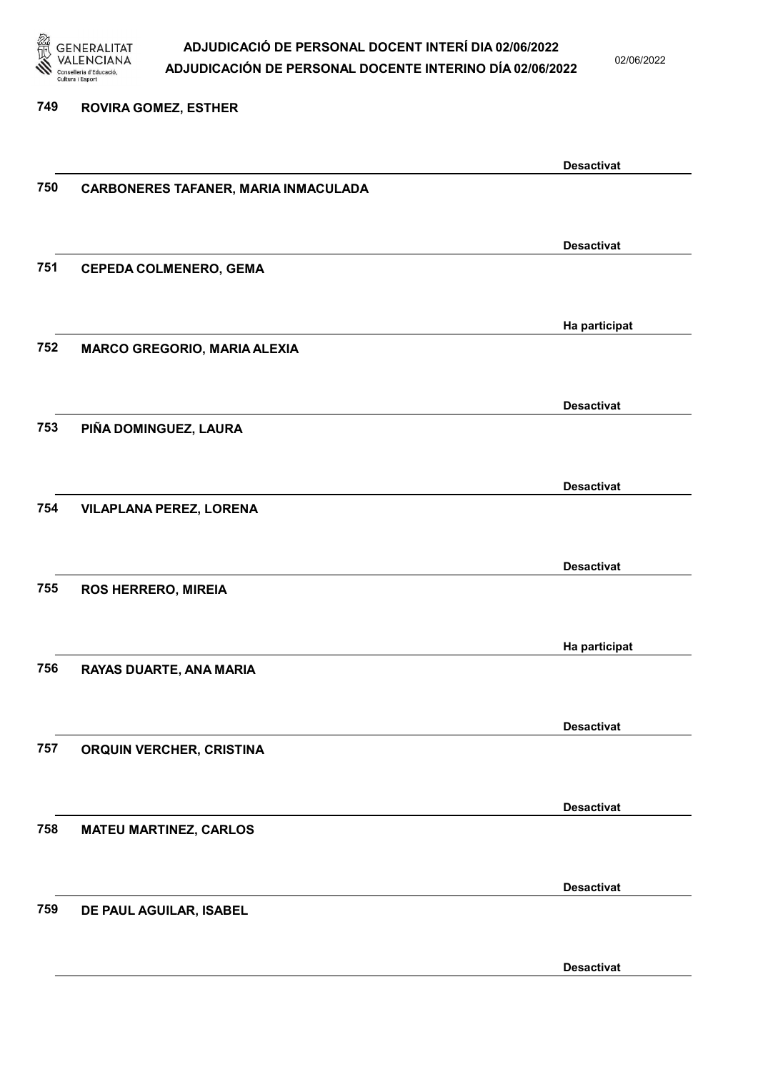

02/06/2022

#### 749 ROVIRA GOMEZ, ESTHER

|     |                                      | <b>Desactivat</b> |
|-----|--------------------------------------|-------------------|
| 750 | CARBONERES TAFANER, MARIA INMACULADA |                   |
|     |                                      |                   |
|     |                                      |                   |
|     |                                      | <b>Desactivat</b> |
| 751 | <b>CEPEDA COLMENERO, GEMA</b>        |                   |
|     |                                      |                   |
|     |                                      |                   |
| 752 |                                      | Ha participat     |
|     | <b>MARCO GREGORIO, MARIA ALEXIA</b>  |                   |
|     |                                      |                   |
|     |                                      | <b>Desactivat</b> |
| 753 | PIÑA DOMINGUEZ, LAURA                |                   |
|     |                                      |                   |
|     |                                      |                   |
|     |                                      | <b>Desactivat</b> |
| 754 | <b>VILAPLANA PEREZ, LORENA</b>       |                   |
|     |                                      |                   |
|     |                                      |                   |
|     |                                      | <b>Desactivat</b> |
| 755 | <b>ROS HERRERO, MIREIA</b>           |                   |
|     |                                      |                   |
|     |                                      | Ha participat     |
| 756 | RAYAS DUARTE, ANA MARIA              |                   |
|     |                                      |                   |
|     |                                      |                   |
|     |                                      | <b>Desactivat</b> |
| 757 | ORQUIN VERCHER, CRISTINA             |                   |
|     |                                      |                   |
|     |                                      |                   |
|     |                                      | <b>Desactivat</b> |
| 758 | <b>MATEU MARTINEZ, CARLOS</b>        |                   |
|     |                                      |                   |
|     |                                      | <b>Desactivat</b> |
| 759 | DE PAUL AGUILAR, ISABEL              |                   |
|     |                                      |                   |
|     |                                      |                   |
|     |                                      | <b>Desactivat</b> |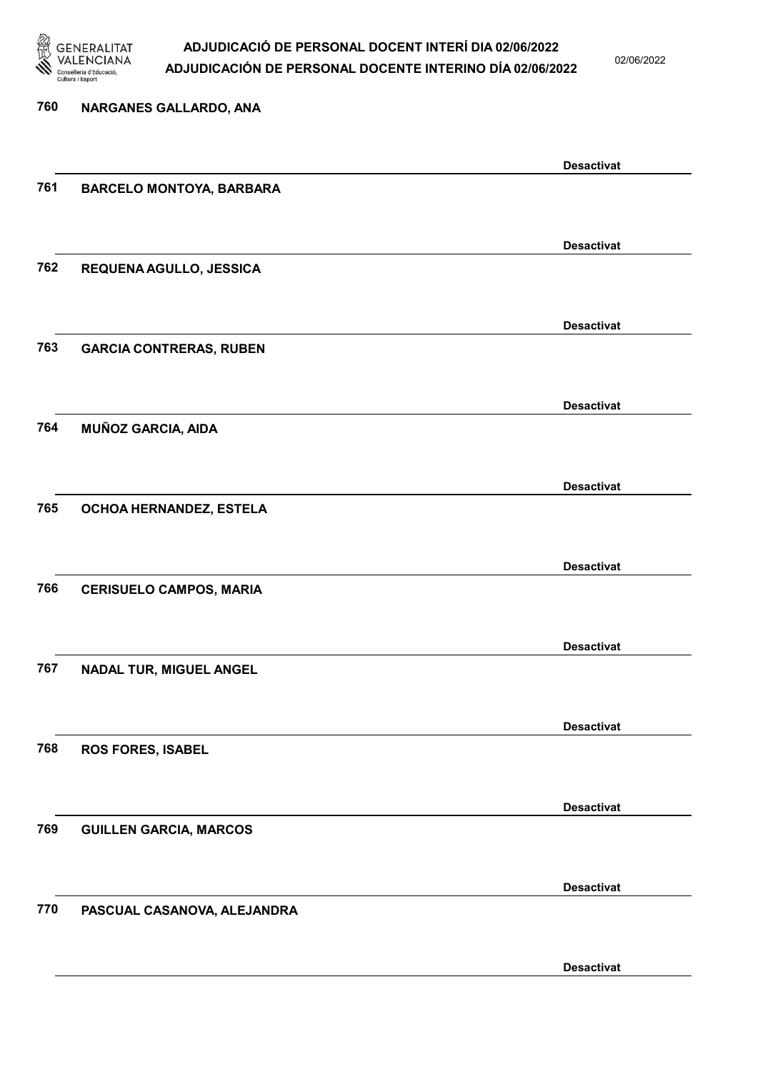

02/06/2022

| 760 | NARGANES GALLARDO, ANA          |                   |
|-----|---------------------------------|-------------------|
|     |                                 |                   |
|     |                                 | <b>Desactivat</b> |
| 761 | <b>BARCELO MONTOYA, BARBARA</b> |                   |
|     |                                 |                   |
|     |                                 | <b>Desactivat</b> |
| 762 | REQUENA AGULLO, JESSICA         |                   |
|     |                                 |                   |
|     |                                 | <b>Desactivat</b> |
| 763 | <b>GARCIA CONTRERAS, RUBEN</b>  |                   |
|     |                                 |                   |
|     |                                 | <b>Desactivat</b> |
| 764 | <b>MUÑOZ GARCIA, AIDA</b>       |                   |
|     |                                 |                   |
|     |                                 | <b>Desactivat</b> |
| 765 | OCHOA HERNANDEZ, ESTELA         |                   |
|     |                                 |                   |
|     |                                 | <b>Desactivat</b> |
| 766 | <b>CERISUELO CAMPOS, MARIA</b>  |                   |
|     |                                 |                   |
|     |                                 | <b>Desactivat</b> |
| 767 | NADAL TUR, MIGUEL ANGEL         |                   |
|     |                                 |                   |
|     |                                 | <b>Desactivat</b> |
| 768 | <b>ROS FORES, ISABEL</b>        |                   |
|     |                                 |                   |
|     |                                 | <b>Desactivat</b> |
| 769 | <b>GUILLEN GARCIA, MARCOS</b>   |                   |
|     |                                 |                   |
|     |                                 | <b>Desactivat</b> |
| 770 | PASCUAL CASANOVA, ALEJANDRA     |                   |
|     |                                 |                   |
|     |                                 |                   |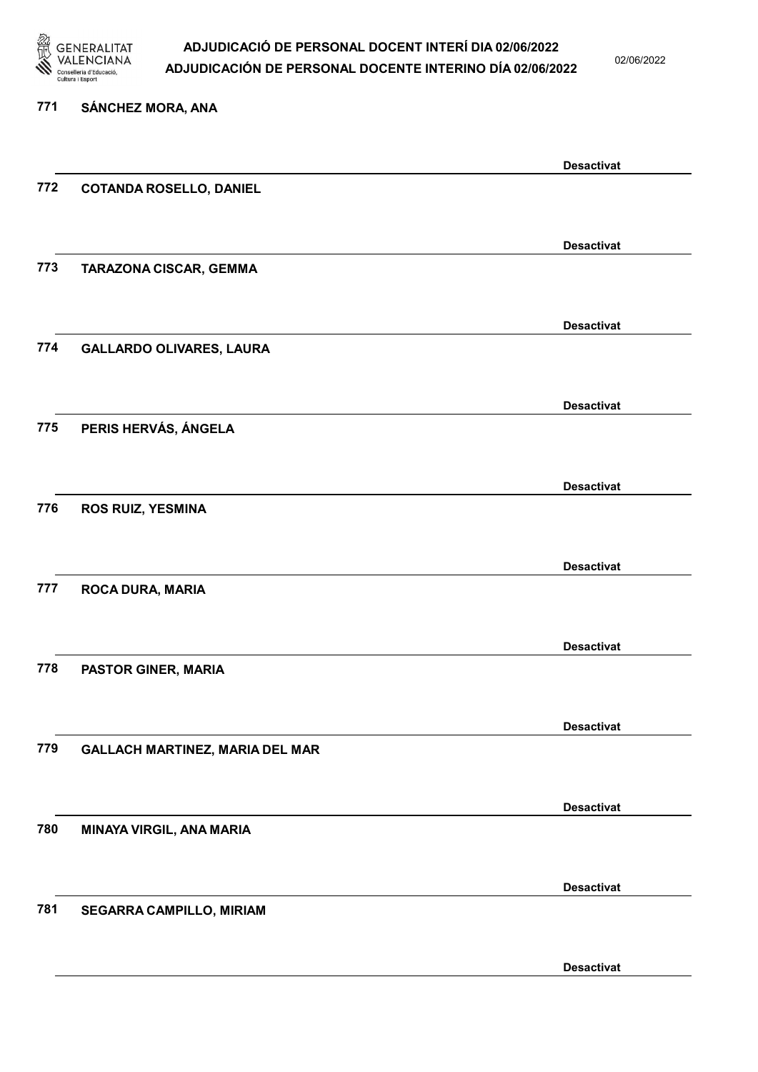

02/06/2022

Desactivat

# 771 SÁNCHEZ MORA, ANA Desactivat 772 COTANDA ROSELLO, DANIEL Desactivat 773 TARAZONA CISCAR, GEMMA Desactivat 774 GALLARDO OLIVARES, LAURA Desactivat 775 PERIS HERVÁS, ÁNGELA Desactivat 776 ROS RUIZ, YESMINA Desactivat 777 ROCA DURA, MARIA Desactivat 778 PASTOR GINER, MARIA Desactivat 779 GALLACH MARTINEZ, MARIA DEL MAR Desactivat 780 MINAYA VIRGIL, ANA MARIA Desactivat 781 SEGARRA CAMPILLO, MIRIAM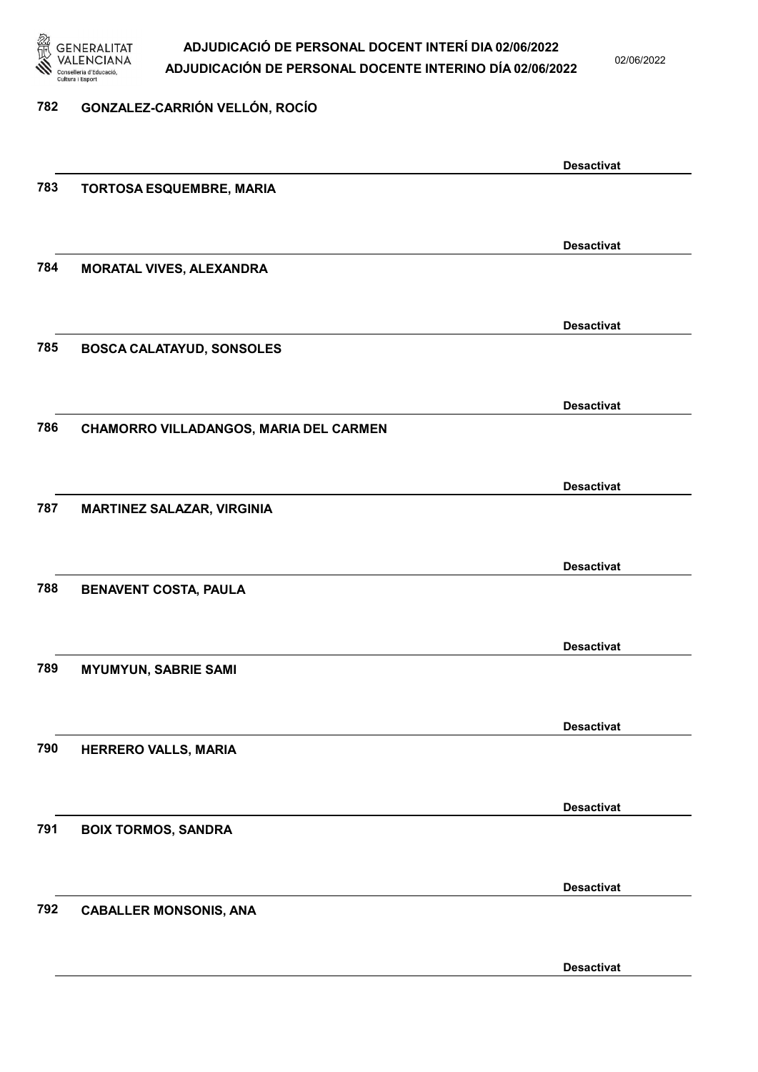

02/06/2022

### 782 GONZALEZ-CARRIÓN VELLÓN, ROCÍO

|     |                                        | <b>Desactivat</b> |
|-----|----------------------------------------|-------------------|
| 783 | <b>TORTOSA ESQUEMBRE, MARIA</b>        |                   |
|     |                                        |                   |
|     |                                        | <b>Desactivat</b> |
| 784 | MORATAL VIVES, ALEXANDRA               |                   |
|     |                                        |                   |
|     |                                        | <b>Desactivat</b> |
| 785 | <b>BOSCA CALATAYUD, SONSOLES</b>       |                   |
|     |                                        |                   |
|     |                                        |                   |
| 786 |                                        | <b>Desactivat</b> |
|     | CHAMORRO VILLADANGOS, MARIA DEL CARMEN |                   |
|     |                                        |                   |
|     |                                        | <b>Desactivat</b> |
| 787 | <b>MARTINEZ SALAZAR, VIRGINIA</b>      |                   |
|     |                                        |                   |
|     |                                        | <b>Desactivat</b> |
| 788 | <b>BENAVENT COSTA, PAULA</b>           |                   |
|     |                                        |                   |
|     |                                        | <b>Desactivat</b> |
| 789 | <b>MYUMYUN, SABRIE SAMI</b>            |                   |
|     |                                        |                   |
|     |                                        | <b>Desactivat</b> |
| 790 | HERRERO VALLS, MARIA                   |                   |
|     |                                        |                   |
|     |                                        | <b>Desactivat</b> |
| 791 | <b>BOIX TORMOS, SANDRA</b>             |                   |
|     |                                        |                   |
|     |                                        | <b>Desactivat</b> |
| 792 | <b>CABALLER MONSONIS, ANA</b>          |                   |
|     |                                        |                   |
|     |                                        |                   |
|     |                                        | <b>Desactivat</b> |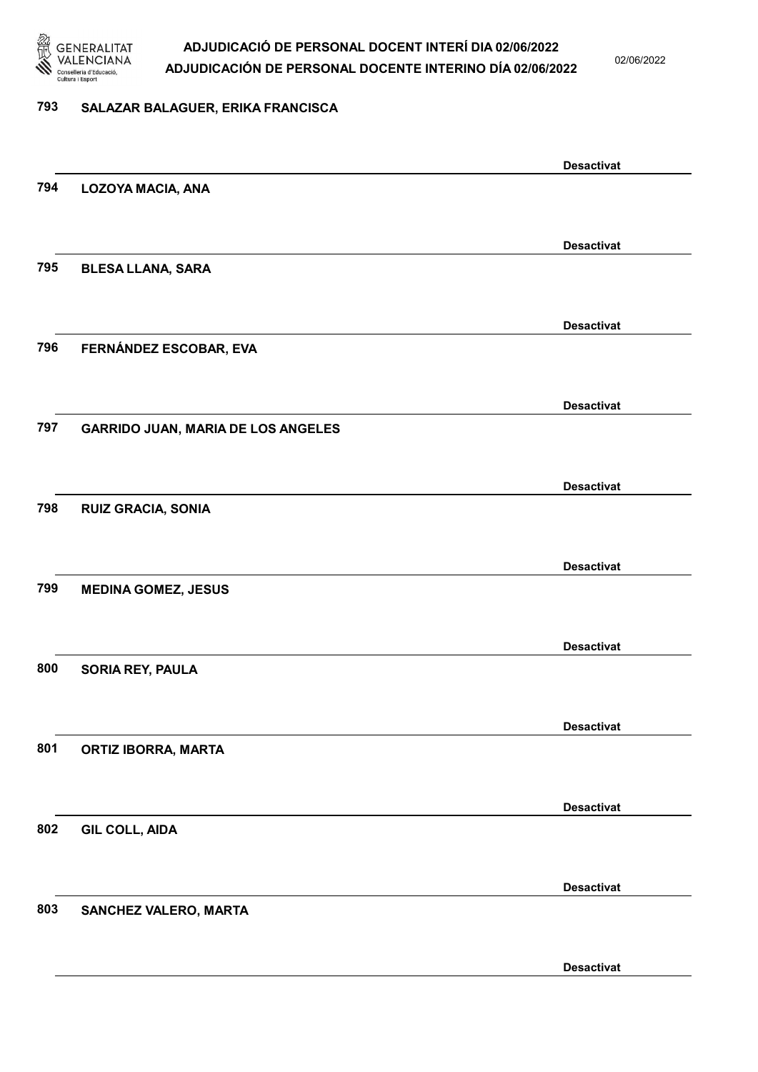

02/06/2022

#### 793 SALAZAR BALAGUER, ERIKA FRANCISCA

|     |                                           | <b>Desactivat</b> |
|-----|-------------------------------------------|-------------------|
| 794 | <b>LOZOYA MACIA, ANA</b>                  |                   |
|     |                                           |                   |
|     |                                           | <b>Desactivat</b> |
| 795 | <b>BLESA LLANA, SARA</b>                  |                   |
|     |                                           |                   |
|     |                                           | <b>Desactivat</b> |
| 796 | FERNÁNDEZ ESCOBAR, EVA                    |                   |
|     |                                           |                   |
|     |                                           | <b>Desactivat</b> |
| 797 | <b>GARRIDO JUAN, MARIA DE LOS ANGELES</b> |                   |
|     |                                           |                   |
|     |                                           | <b>Desactivat</b> |
| 798 | <b>RUIZ GRACIA, SONIA</b>                 |                   |
|     |                                           |                   |
|     |                                           | <b>Desactivat</b> |
| 799 | <b>MEDINA GOMEZ, JESUS</b>                |                   |
|     |                                           |                   |
|     |                                           | <b>Desactivat</b> |
| 800 | SORIA REY, PAULA                          |                   |
|     |                                           |                   |
|     |                                           |                   |
| 801 | <b>ORTIZ IBORRA, MARTA</b>                | <b>Desactivat</b> |
|     |                                           |                   |
|     |                                           |                   |
| 802 |                                           | <b>Desactivat</b> |
|     | <b>GIL COLL, AIDA</b>                     |                   |
|     |                                           |                   |
|     |                                           | <b>Desactivat</b> |
| 803 | SANCHEZ VALERO, MARTA                     |                   |
|     |                                           |                   |
|     |                                           | <b>Desactivat</b> |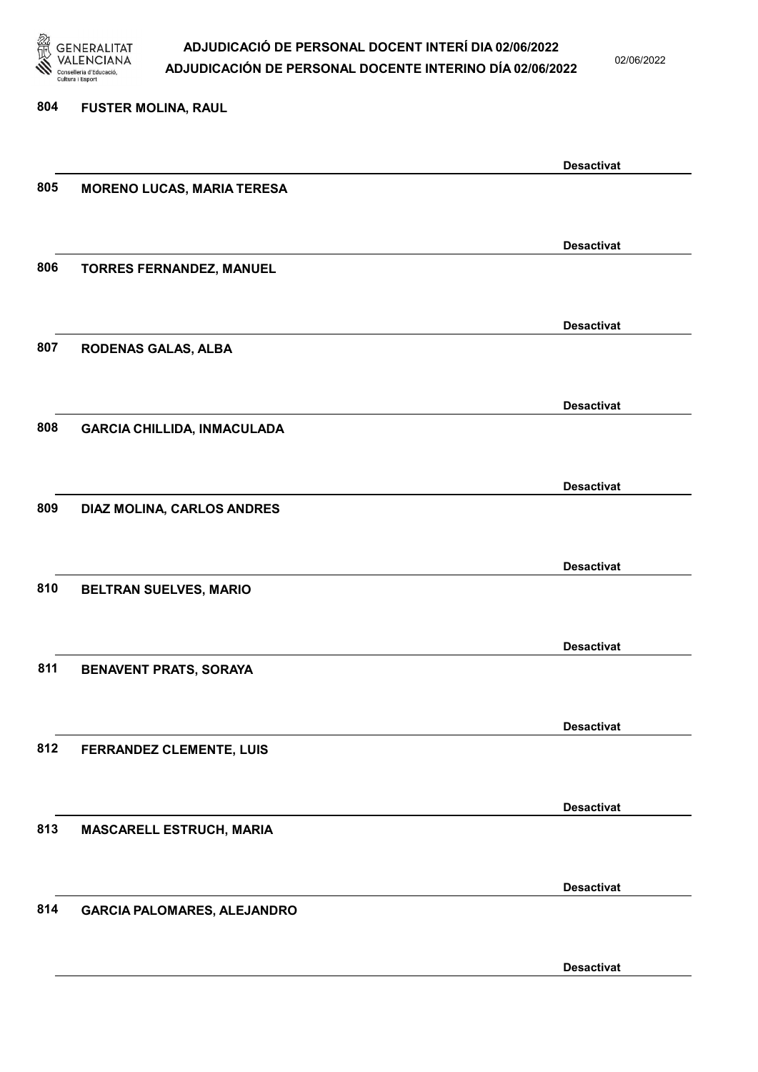

02/06/2022

Desactivat

# 804 FUSTER MOLINA, RAUL Desactivat 805 MORENO LUCAS, MARIA TERESA Desactivat 806 TORRES FERNANDEZ, MANUEL Desactivat 807 RODENAS GALAS, ALBA Desactivat 808 GARCIA CHILLIDA, INMACULADA Desactivat 809 DIAZ MOLINA, CARLOS ANDRES Desactivat 810 BELTRAN SUELVES, MARIO Desactivat 811 BENAVENT PRATS, SORAYA Desactivat 812 FERRANDEZ CLEMENTE, LUIS Desactivat 813 MASCARELL ESTRUCH, MARIA Desactivat 814 GARCIA PALOMARES, ALEJANDRO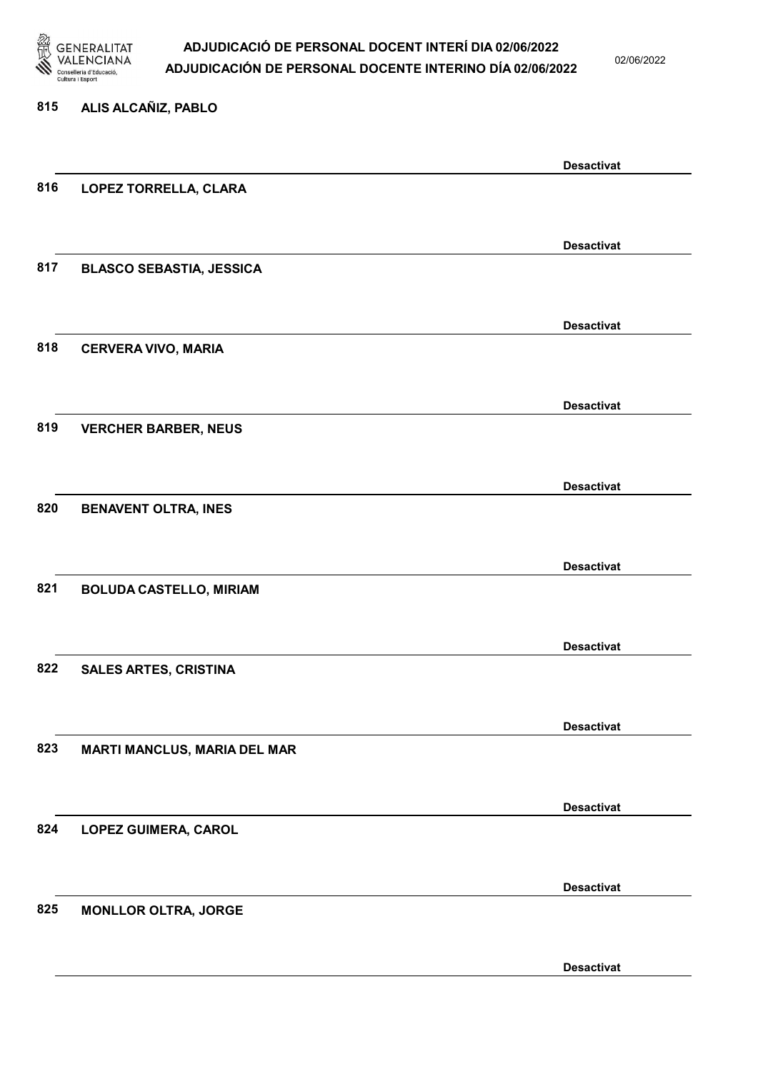

02/06/2022

#### 815 ALIS ALCAÑIZ, PABLO

|     |                                     | <b>Desactivat</b> |
|-----|-------------------------------------|-------------------|
| 816 | LOPEZ TORRELLA, CLARA               |                   |
|     |                                     |                   |
|     |                                     | <b>Desactivat</b> |
| 817 | <b>BLASCO SEBASTIA, JESSICA</b>     |                   |
|     |                                     |                   |
|     |                                     | <b>Desactivat</b> |
| 818 | <b>CERVERA VIVO, MARIA</b>          |                   |
|     |                                     |                   |
|     |                                     |                   |
| 819 |                                     | <b>Desactivat</b> |
|     | <b>VERCHER BARBER, NEUS</b>         |                   |
|     |                                     |                   |
|     |                                     | <b>Desactivat</b> |
| 820 | <b>BENAVENT OLTRA, INES</b>         |                   |
|     |                                     |                   |
|     |                                     | <b>Desactivat</b> |
| 821 | <b>BOLUDA CASTELLO, MIRIAM</b>      |                   |
|     |                                     |                   |
|     |                                     | <b>Desactivat</b> |
| 822 | <b>SALES ARTES, CRISTINA</b>        |                   |
|     |                                     |                   |
|     |                                     | <b>Desactivat</b> |
| 823 | <b>MARTI MANCLUS, MARIA DEL MAR</b> |                   |
|     |                                     |                   |
|     |                                     | <b>Desactivat</b> |
| 824 | <b>LOPEZ GUIMERA, CAROL</b>         |                   |
|     |                                     |                   |
|     |                                     | <b>Desactivat</b> |
| 825 | <b>MONLLOR OLTRA, JORGE</b>         |                   |
|     |                                     |                   |
|     |                                     |                   |
|     |                                     | <b>Desactivat</b> |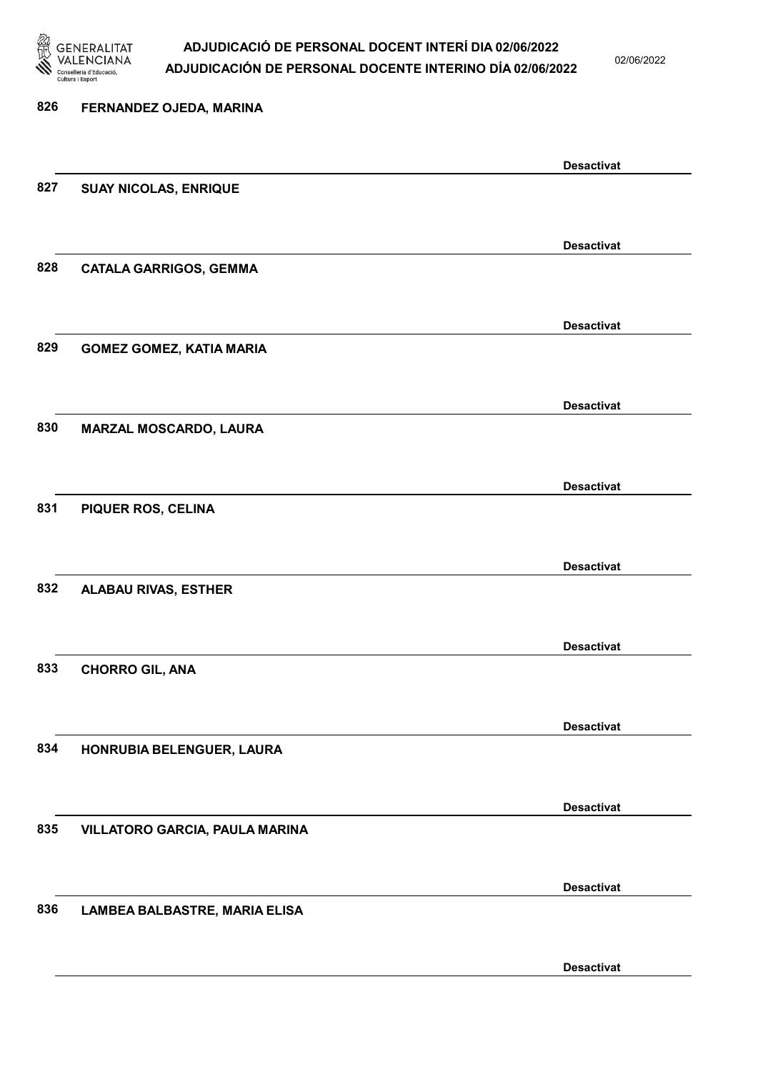

02/06/2022

Desactivat

# 826 FERNANDEZ OJEDA, MARINA Desactivat 827 SUAY NICOLAS, ENRIQUE Desactivat 828 CATALA GARRIGOS, GEMMA Desactivat 829 GOMEZ GOMEZ, KATIA MARIA Desactivat 830 MARZAL MOSCARDO, LAURA Desactivat 831 PIQUER ROS, CELINA Desactivat 832 ALABAU RIVAS, ESTHER Desactivat 833 CHORRO GIL, ANA Desactivat 834 HONRUBIA BELENGUER, LAURA Desactivat 835 VILLATORO GARCIA, PAULA MARINA Desactivat 836 LAMBEA BALBASTRE, MARIA ELISA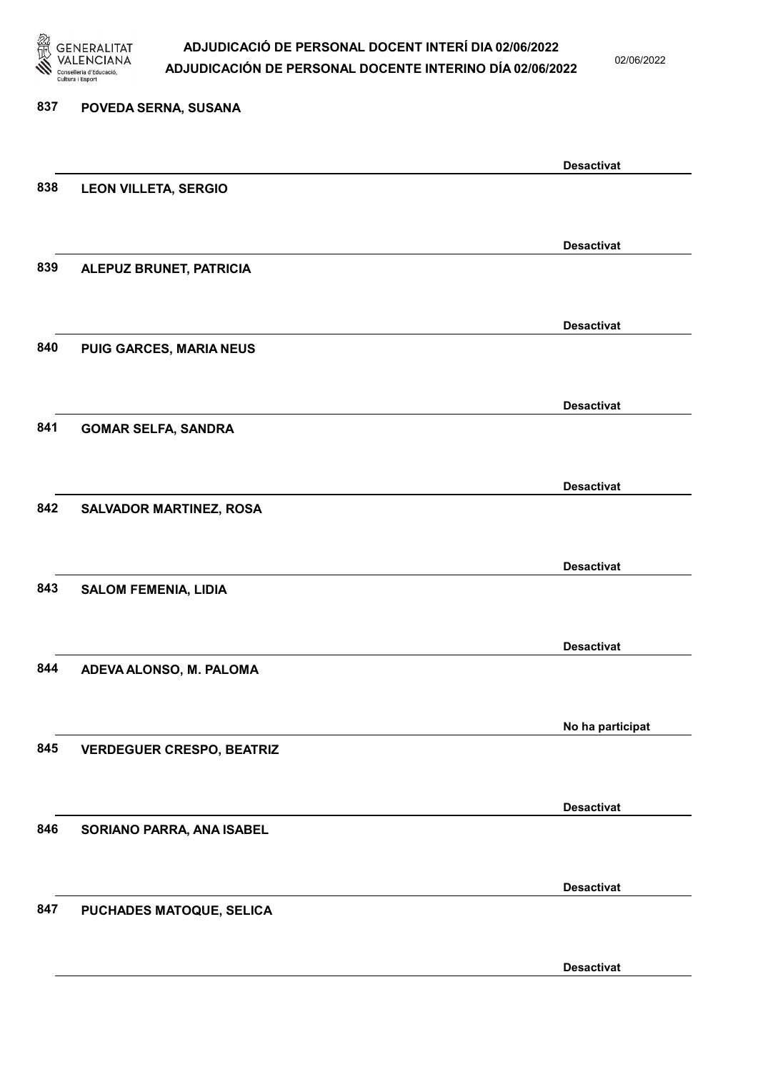

02/06/2022

Desactivat

# 837 POVEDA SERNA, SUSANA Desactivat 838 LEON VILLETA, SERGIO Desactivat 839 ALEPUZ BRUNET, PATRICIA Desactivat 840 PUIG GARCES, MARIA NEUS Desactivat 841 GOMAR SELFA, SANDRA Desactivat 842 SALVADOR MARTINEZ, ROSA Desactivat 843 SALOM FEMENIA, LIDIA Desactivat 844 ADEVA ALONSO, M. PALOMA No ha participat 845 VERDEGUER CRESPO, BEATRIZ Desactivat 846 SORIANO PARRA, ANA ISABEL Desactivat 847 PUCHADES MATOQUE, SELICA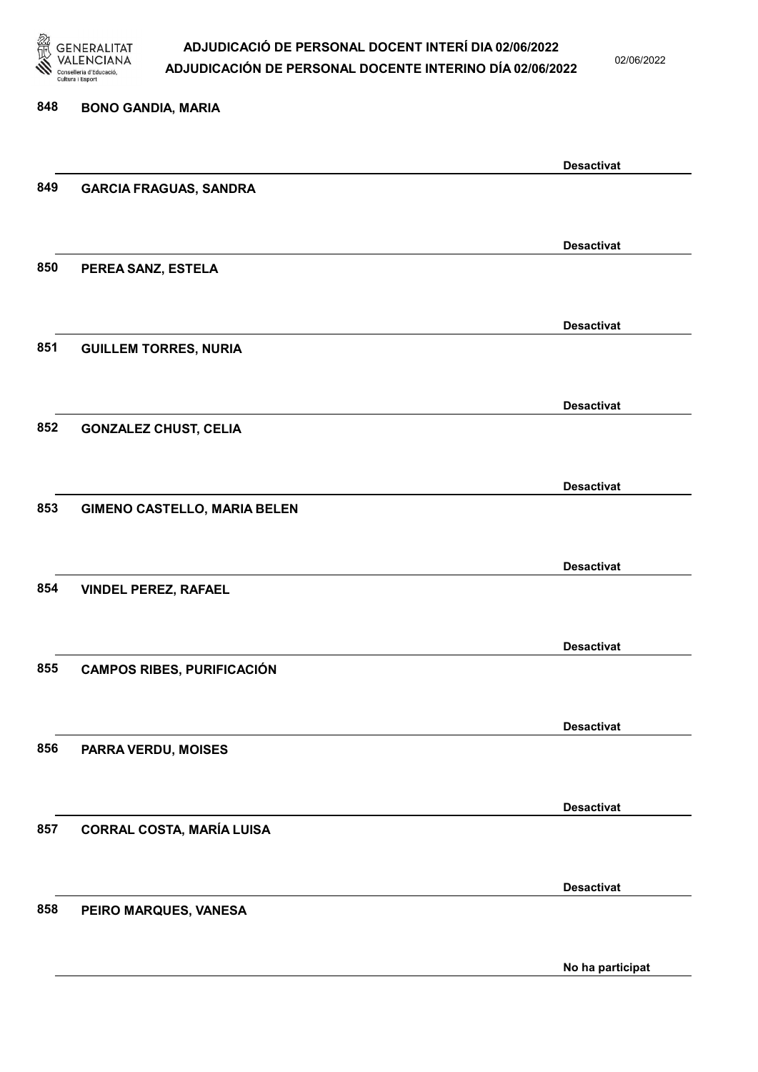

02/06/2022

No ha participat

# 848 BONO GANDIA, MARIA Desactivat 849 GARCIA FRAGUAS, SANDRA Desactivat 850 PEREA SANZ, ESTELA Desactivat 851 GUILLEM TORRES, NURIA Desactivat 852 GONZALEZ CHUST, CELIA Desactivat 853 GIMENO CASTELLO, MARIA BELEN Desactivat 854 VINDEL PEREZ, RAFAEL Desactivat 855 CAMPOS RIBES, PURIFICACIÓN Desactivat 856 PARRA VERDU, MOISES Desactivat 857 CORRAL COSTA, MARÍA LUISA Desactivat 858 PEIRO MARQUES, VANESA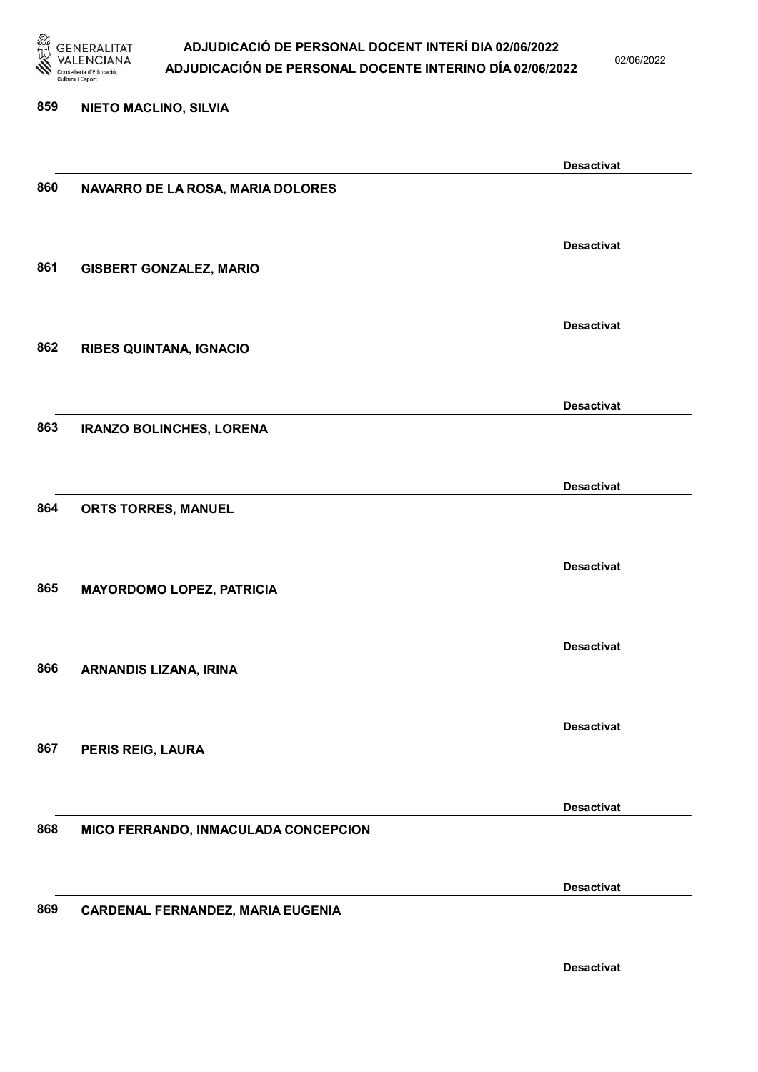

02/06/2022

#### 859 NIETO MACLINO, SILVIA

|     |                                      | <b>Desactivat</b> |
|-----|--------------------------------------|-------------------|
| 860 | NAVARRO DE LA ROSA, MARIA DOLORES    |                   |
|     |                                      |                   |
|     |                                      |                   |
|     |                                      | <b>Desactivat</b> |
| 861 | <b>GISBERT GONZALEZ, MARIO</b>       |                   |
|     |                                      |                   |
|     |                                      | <b>Desactivat</b> |
| 862 |                                      |                   |
|     | <b>RIBES QUINTANA, IGNACIO</b>       |                   |
|     |                                      |                   |
|     |                                      | <b>Desactivat</b> |
| 863 | <b>IRANZO BOLINCHES, LORENA</b>      |                   |
|     |                                      |                   |
|     |                                      |                   |
|     |                                      | <b>Desactivat</b> |
| 864 | ORTS TORRES, MANUEL                  |                   |
|     |                                      |                   |
|     |                                      | <b>Desactivat</b> |
| 865 | <b>MAYORDOMO LOPEZ, PATRICIA</b>     |                   |
|     |                                      |                   |
|     |                                      |                   |
|     |                                      | <b>Desactivat</b> |
| 866 | ARNANDIS LIZANA, IRINA               |                   |
|     |                                      |                   |
|     |                                      | <b>Desactivat</b> |
| 867 | PERIS REIG, LAURA                    |                   |
|     |                                      |                   |
|     |                                      |                   |
|     |                                      | <b>Desactivat</b> |
| 868 | MICO FERRANDO, INMACULADA CONCEPCION |                   |
|     |                                      |                   |
|     |                                      | <b>Desactivat</b> |
| 869 | CARDENAL FERNANDEZ, MARIA EUGENIA    |                   |
|     |                                      |                   |
|     |                                      |                   |
|     |                                      | <b>Desactivat</b> |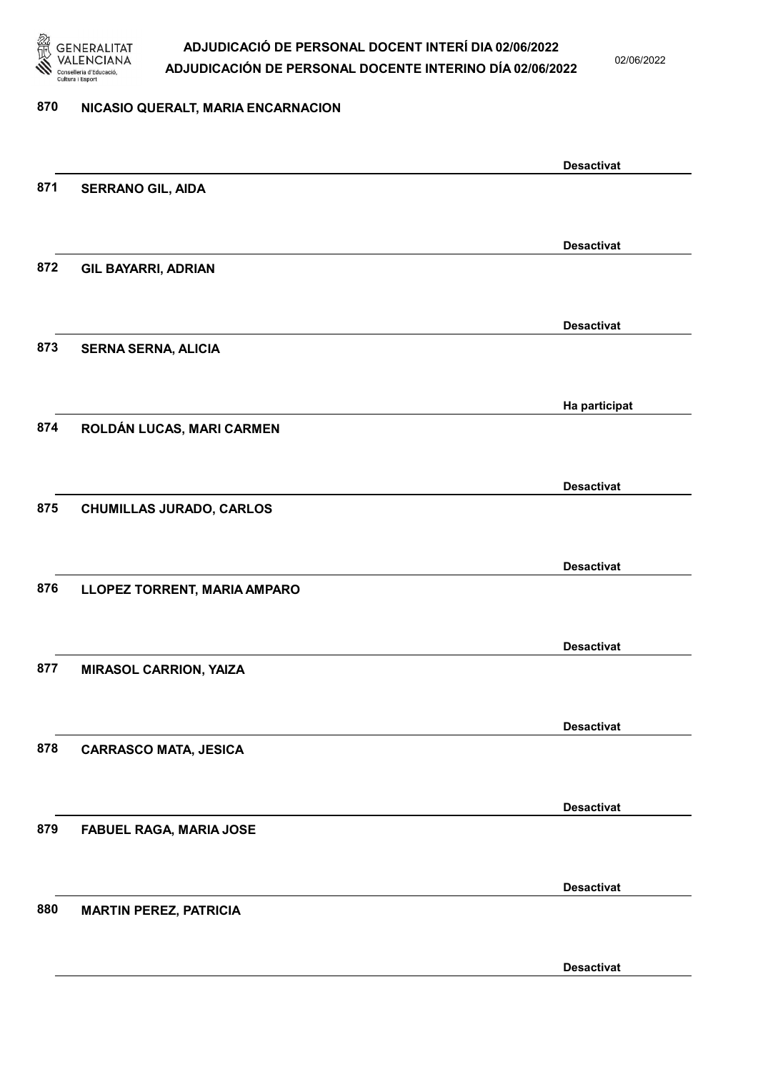

02/06/2022

#### 870 NICASIO QUERALT, MARIA ENCARNACION

|     |                                 | <b>Desactivat</b> |
|-----|---------------------------------|-------------------|
| 871 | <b>SERRANO GIL, AIDA</b>        |                   |
|     |                                 |                   |
|     |                                 | <b>Desactivat</b> |
| 872 | <b>GIL BAYARRI, ADRIAN</b>      |                   |
|     |                                 |                   |
|     |                                 | <b>Desactivat</b> |
| 873 | <b>SERNA SERNA, ALICIA</b>      |                   |
|     |                                 |                   |
|     |                                 | Ha participat     |
| 874 | ROLDÁN LUCAS, MARI CARMEN       |                   |
|     |                                 |                   |
|     |                                 | <b>Desactivat</b> |
| 875 | <b>CHUMILLAS JURADO, CARLOS</b> |                   |
|     |                                 |                   |
|     |                                 | <b>Desactivat</b> |
| 876 | LLOPEZ TORRENT, MARIA AMPARO    |                   |
|     |                                 |                   |
|     |                                 | <b>Desactivat</b> |
| 877 | <b>MIRASOL CARRION, YAIZA</b>   |                   |
|     |                                 |                   |
|     |                                 | <b>Desactivat</b> |
| 878 | <b>CARRASCO MATA, JESICA</b>    |                   |
|     |                                 |                   |
|     |                                 | <b>Desactivat</b> |
| 879 | FABUEL RAGA, MARIA JOSE         |                   |
|     |                                 |                   |
|     |                                 | <b>Desactivat</b> |
| 880 | <b>MARTIN PEREZ, PATRICIA</b>   |                   |
|     |                                 |                   |
|     |                                 | <b>Desactivat</b> |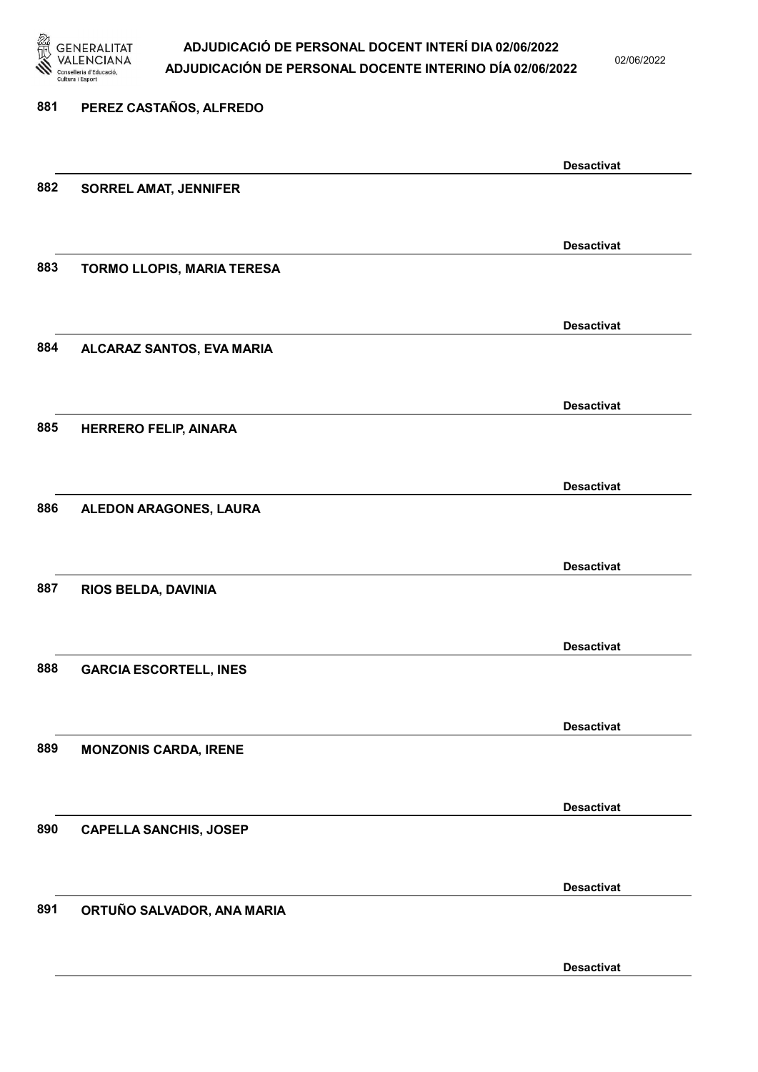

02/06/2022

| 881 | PEREZ CASTAÑOS, ALFREDO           |                   |
|-----|-----------------------------------|-------------------|
|     |                                   | <b>Desactivat</b> |
| 882 | <b>SORREL AMAT, JENNIFER</b>      |                   |
|     |                                   | <b>Desactivat</b> |
| 883 | <b>TORMO LLOPIS, MARIA TERESA</b> |                   |
|     |                                   | <b>Desactivat</b> |
| 884 | ALCARAZ SANTOS, EVA MARIA         |                   |
|     |                                   | <b>Desactivat</b> |
| 885 | <b>HERRERO FELIP, AINARA</b>      |                   |
|     |                                   | <b>Desactivat</b> |
| 886 | ALEDON ARAGONES, LAURA            |                   |
| 887 | RIOS BELDA, DAVINIA               | <b>Desactivat</b> |
|     |                                   |                   |
| 888 | <b>GARCIA ESCORTELL, INES</b>     | <b>Desactivat</b> |
|     |                                   |                   |
| 889 | <b>MONZONIS CARDA, IRENE</b>      | <b>Desactivat</b> |
|     |                                   |                   |
| 890 | <b>CAPELLA SANCHIS, JOSEP</b>     | <b>Desactivat</b> |
|     |                                   |                   |
| 891 | ORTUÑO SALVADOR, ANA MARIA        | <b>Desactivat</b> |
|     |                                   |                   |
|     |                                   | <b>Desactivat</b> |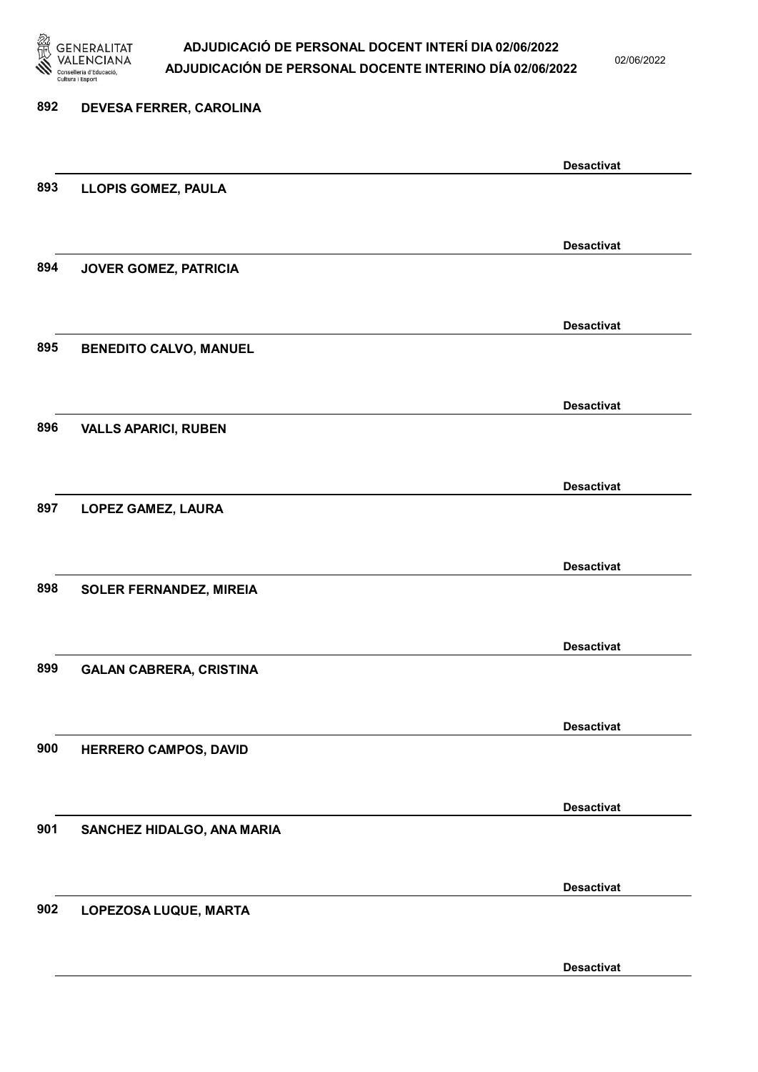

02/06/2022

| 892 | DEVESA FERRER, CAROLINA        |                   |
|-----|--------------------------------|-------------------|
|     |                                | <b>Desactivat</b> |
| 893 | LLOPIS GOMEZ, PAULA            |                   |
|     |                                | <b>Desactivat</b> |
| 894 | JOVER GOMEZ, PATRICIA          |                   |
|     |                                | <b>Desactivat</b> |
| 895 | <b>BENEDITO CALVO, MANUEL</b>  |                   |
|     |                                | <b>Desactivat</b> |
| 896 | <b>VALLS APARICI, RUBEN</b>    |                   |
| 897 |                                | <b>Desactivat</b> |
|     | LOPEZ GAMEZ, LAURA             |                   |
|     |                                | <b>Desactivat</b> |
| 898 | <b>SOLER FERNANDEZ, MIREIA</b> |                   |
|     |                                | <b>Desactivat</b> |
| 899 | <b>GALAN CABRERA, CRISTINA</b> |                   |
|     |                                | <b>Desactivat</b> |
| 900 | HERRERO CAMPOS, DAVID          |                   |
|     |                                | <b>Desactivat</b> |
| 901 | SANCHEZ HIDALGO, ANA MARIA     |                   |
|     |                                | <b>Desactivat</b> |
| 902 | LOPEZOSA LUQUE, MARTA          |                   |
|     |                                |                   |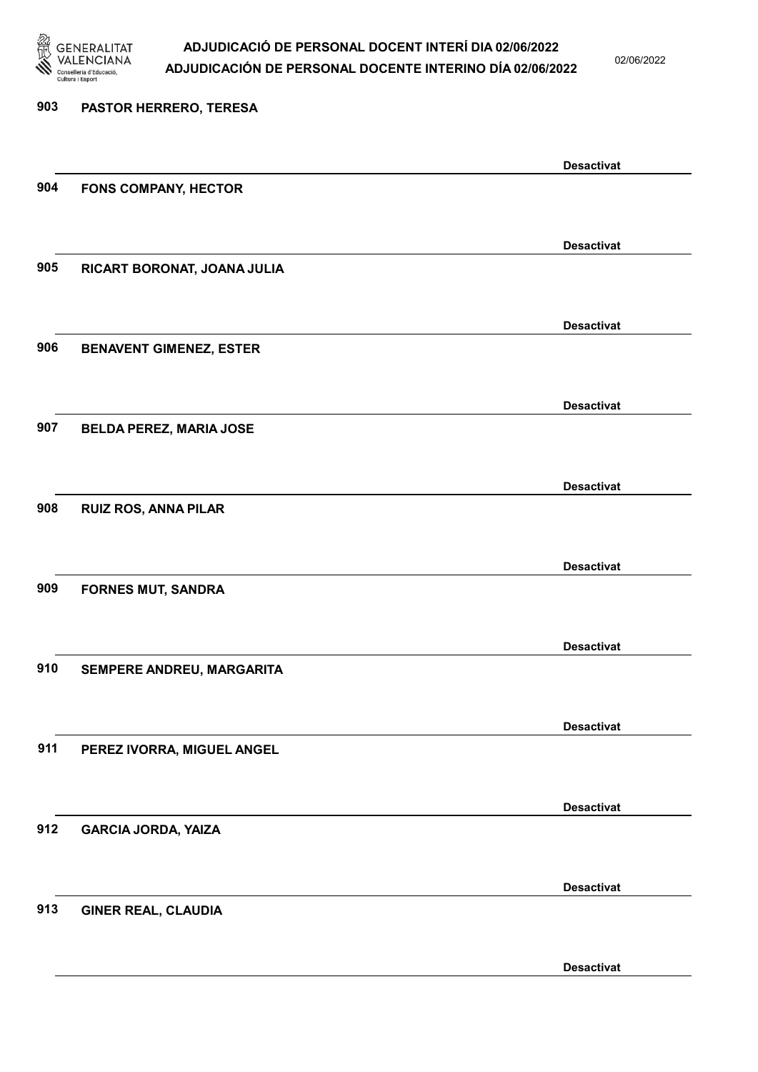

02/06/2022

| 903 | PASTOR HERRERO, TERESA         |                   |
|-----|--------------------------------|-------------------|
|     |                                | <b>Desactivat</b> |
| 904 | <b>FONS COMPANY, HECTOR</b>    |                   |
|     |                                | <b>Desactivat</b> |
| 905 | RICART BORONAT, JOANA JULIA    |                   |
|     |                                | <b>Desactivat</b> |
| 906 | <b>BENAVENT GIMENEZ, ESTER</b> |                   |
|     |                                | <b>Desactivat</b> |
| 907 | <b>BELDA PEREZ, MARIA JOSE</b> |                   |
|     |                                | <b>Desactivat</b> |
| 908 | <b>RUIZ ROS, ANNA PILAR</b>    |                   |
|     |                                | <b>Desactivat</b> |
| 909 | <b>FORNES MUT, SANDRA</b>      |                   |
|     |                                | <b>Desactivat</b> |
| 910 | SEMPERE ANDREU, MARGARITA      |                   |
|     |                                | <b>Desactivat</b> |
| 911 | PEREZ IVORRA, MIGUEL ANGEL     |                   |
|     |                                | <b>Desactivat</b> |
| 912 | <b>GARCIA JORDA, YAIZA</b>     |                   |
| 913 |                                | <b>Desactivat</b> |
|     | <b>GINER REAL, CLAUDIA</b>     |                   |
|     |                                |                   |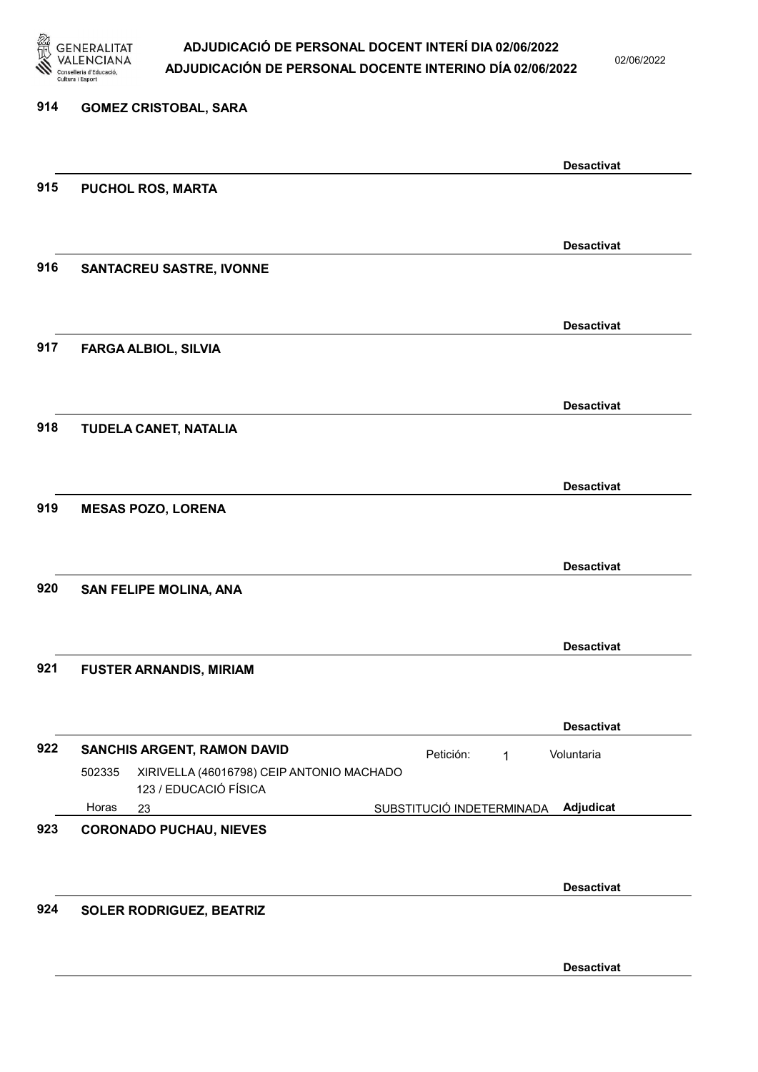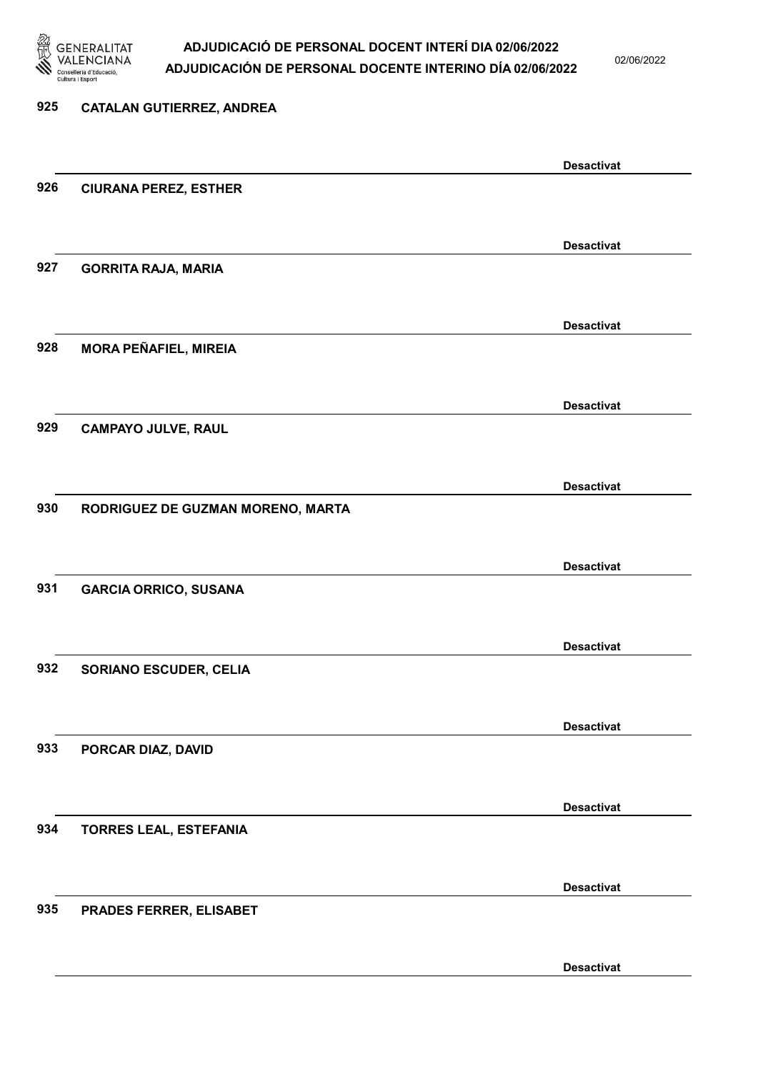

02/06/2022

Desactivat

# 925 CATALAN GUTIERREZ, ANDREA Desactivat 926 CIURANA PEREZ, ESTHER Desactivat 927 GORRITA RAJA, MARIA Desactivat 928 MORA PEÑAFIEL, MIREIA Desactivat 929 CAMPAYO JULVE, RAUL Desactivat 930 RODRIGUEZ DE GUZMAN MORENO, MARTA Desactivat 931 GARCIA ORRICO, SUSANA Desactivat 932 SORIANO ESCUDER, CELIA Desactivat 933 PORCAR DIAZ, DAVID Desactivat 934 TORRES LEAL, ESTEFANIA Desactivat 935 PRADES FERRER, ELISABET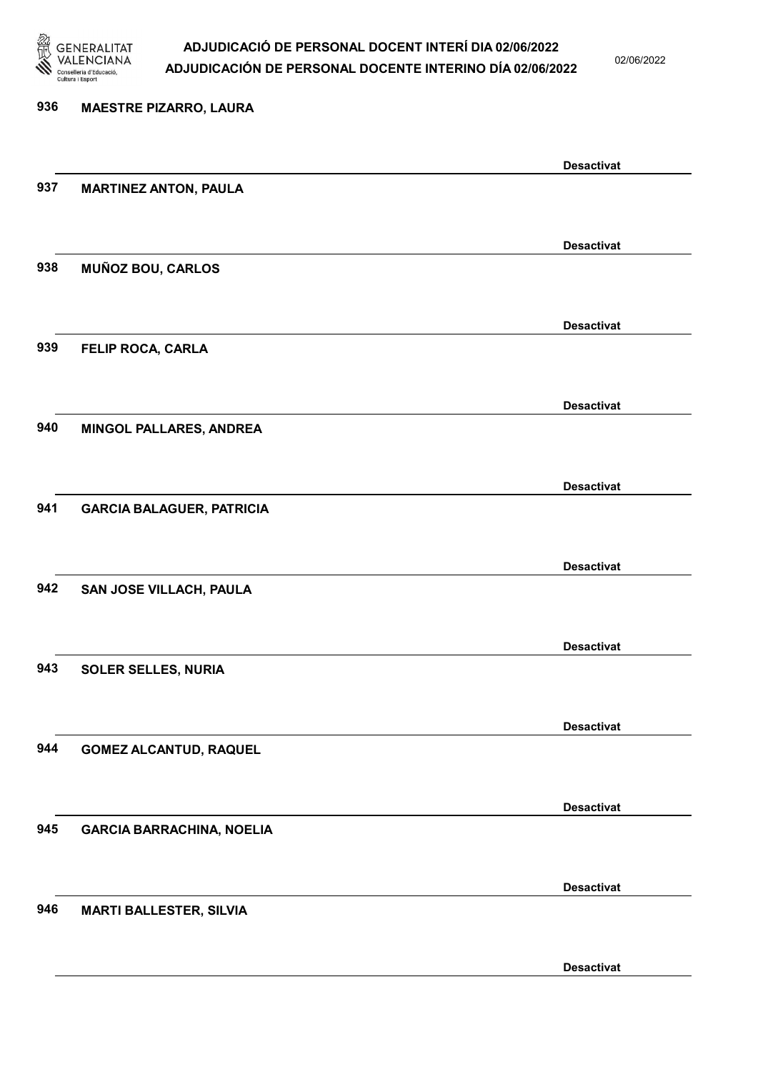

02/06/2022

Desactivat

# 936 MAESTRE PIZARRO, LAURA Desactivat 937 MARTINEZ ANTON, PAULA Desactivat 938 MUÑOZ BOU, CARLOS Desactivat 939 FELIP ROCA, CARLA Desactivat 940 MINGOL PALLARES, ANDREA Desactivat 941 GARCIA BALAGUER, PATRICIA Desactivat 942 SAN JOSE VILLACH, PAULA Desactivat 943 SOLER SELLES, NURIA Desactivat 944 GOMEZ ALCANTUD, RAQUEL Desactivat 945 GARCIA BARRACHINA, NOELIA Desactivat 946 MARTI BALLESTER, SILVIA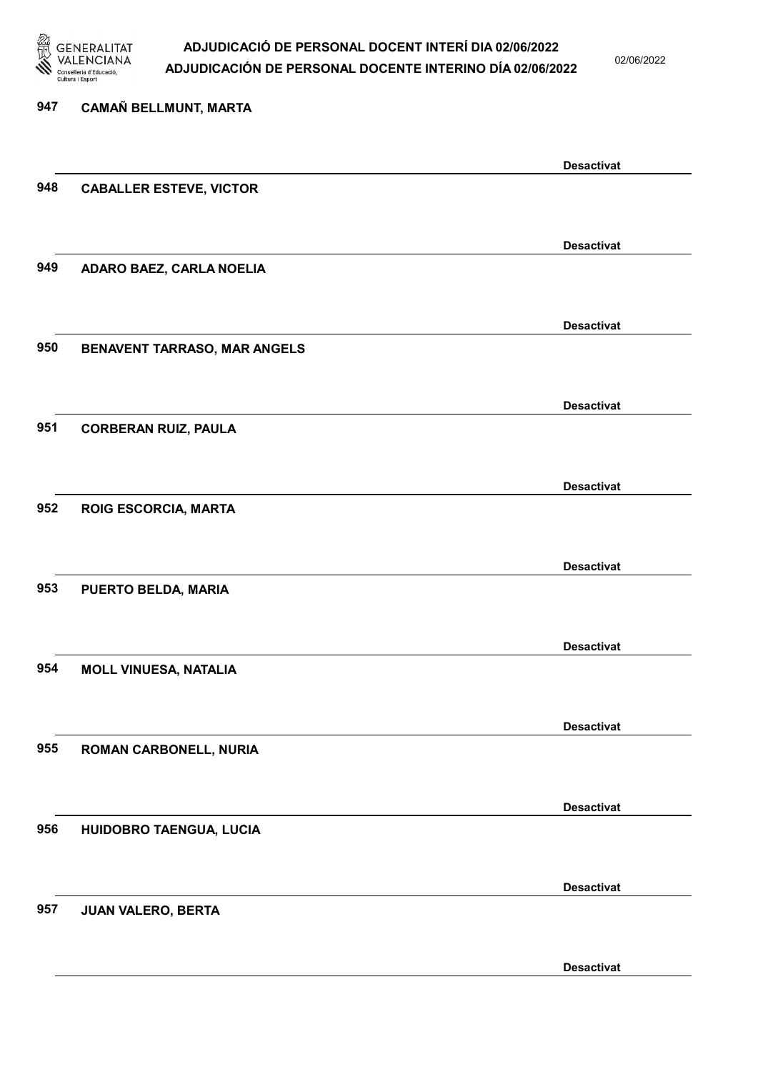

02/06/2022

| 947 | CAMAÑ BELLMUNT, MARTA          |                   |
|-----|--------------------------------|-------------------|
|     |                                | <b>Desactivat</b> |
| 948 | <b>CABALLER ESTEVE, VICTOR</b> |                   |
|     |                                | <b>Desactivat</b> |
| 949 | ADARO BAEZ, CARLA NOELIA       |                   |
|     |                                | <b>Desactivat</b> |
| 950 | BENAVENT TARRASO, MAR ANGELS   |                   |
|     |                                | <b>Desactivat</b> |
| 951 | <b>CORBERAN RUIZ, PAULA</b>    |                   |
|     |                                | <b>Desactivat</b> |
| 952 | ROIG ESCORCIA, MARTA           |                   |
|     |                                | <b>Desactivat</b> |
| 953 | PUERTO BELDA, MARIA            |                   |
| 954 |                                | <b>Desactivat</b> |
|     | <b>MOLL VINUESA, NATALIA</b>   |                   |
| 955 | ROMAN CARBONELL, NURIA         | <b>Desactivat</b> |
|     |                                |                   |
| 956 | HUIDOBRO TAENGUA, LUCIA        | <b>Desactivat</b> |
|     |                                |                   |
| 957 | JUAN VALERO, BERTA             | <b>Desactivat</b> |
|     |                                |                   |
|     |                                | <b>Desactivat</b> |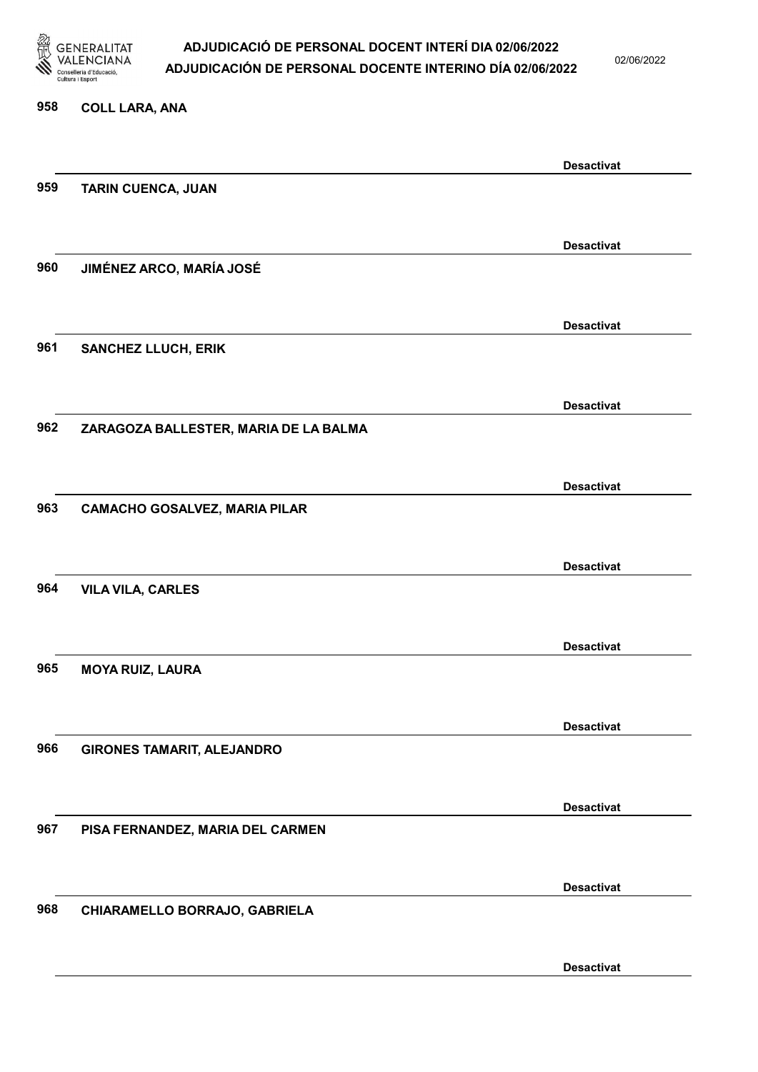

02/06/2022

#### 958 COLL LARA, ANA

|     |                                       | <b>Desactivat</b> |
|-----|---------------------------------------|-------------------|
| 959 | <b>TARIN CUENCA, JUAN</b>             |                   |
|     |                                       |                   |
|     |                                       | <b>Desactivat</b> |
| 960 | JIMÉNEZ ARCO, MARÍA JOSÉ              |                   |
|     |                                       |                   |
|     |                                       |                   |
|     |                                       | <b>Desactivat</b> |
| 961 | <b>SANCHEZ LLUCH, ERIK</b>            |                   |
|     |                                       |                   |
|     |                                       | <b>Desactivat</b> |
| 962 | ZARAGOZA BALLESTER, MARIA DE LA BALMA |                   |
|     |                                       |                   |
|     |                                       |                   |
|     |                                       | <b>Desactivat</b> |
| 963 | <b>CAMACHO GOSALVEZ, MARIA PILAR</b>  |                   |
|     |                                       |                   |
|     |                                       | <b>Desactivat</b> |
| 964 | <b>VILA VILA, CARLES</b>              |                   |
|     |                                       |                   |
|     |                                       | <b>Desactivat</b> |
| 965 | <b>MOYA RUIZ, LAURA</b>               |                   |
|     |                                       |                   |
|     |                                       |                   |
|     |                                       | <b>Desactivat</b> |
| 966 | <b>GIRONES TAMARIT, ALEJANDRO</b>     |                   |
|     |                                       |                   |
|     |                                       | <b>Desactivat</b> |
| 967 | PISA FERNANDEZ, MARIA DEL CARMEN      |                   |
|     |                                       |                   |
|     |                                       | <b>Desactivat</b> |
| 968 | CHIARAMELLO BORRAJO, GABRIELA         |                   |
|     |                                       |                   |
|     |                                       |                   |
|     |                                       | <b>Desactivat</b> |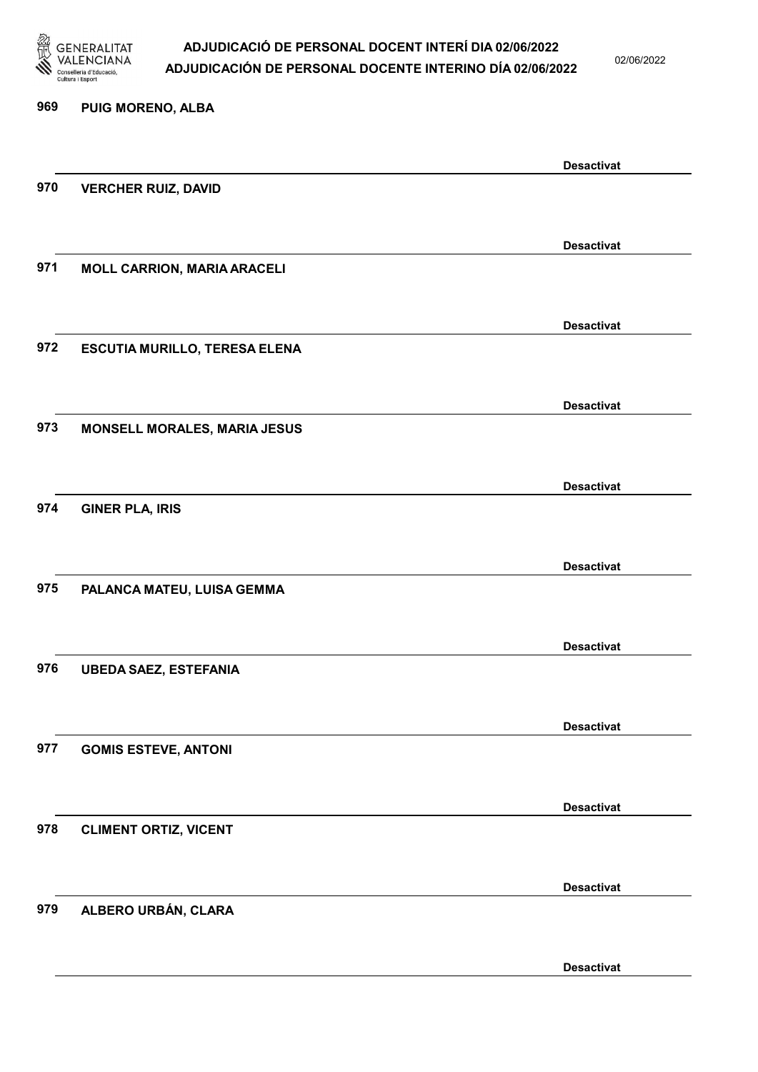

02/06/2022

| 969 | PUIG MORENO, ALBA                   |                   |
|-----|-------------------------------------|-------------------|
|     |                                     | <b>Desactivat</b> |
| 970 | <b>VERCHER RUIZ, DAVID</b>          |                   |
|     |                                     | <b>Desactivat</b> |
| 971 | <b>MOLL CARRION, MARIA ARACELI</b>  |                   |
|     |                                     | <b>Desactivat</b> |
| 972 | ESCUTIA MURILLO, TERESA ELENA       |                   |
|     |                                     | <b>Desactivat</b> |
| 973 | <b>MONSELL MORALES, MARIA JESUS</b> |                   |
|     |                                     | <b>Desactivat</b> |
| 974 | <b>GINER PLA, IRIS</b>              |                   |
|     |                                     | <b>Desactivat</b> |
| 975 | PALANCA MATEU, LUISA GEMMA          |                   |
|     |                                     | <b>Desactivat</b> |
| 976 | <b>UBEDA SAEZ, ESTEFANIA</b>        |                   |
|     |                                     | <b>Desactivat</b> |
| 977 | <b>GOMIS ESTEVE, ANTONI</b>         |                   |
|     |                                     | <b>Desactivat</b> |
| 978 | <b>CLIMENT ORTIZ, VICENT</b>        |                   |
|     |                                     | <b>Desactivat</b> |
| 979 | ALBERO URBÁN, CLARA                 |                   |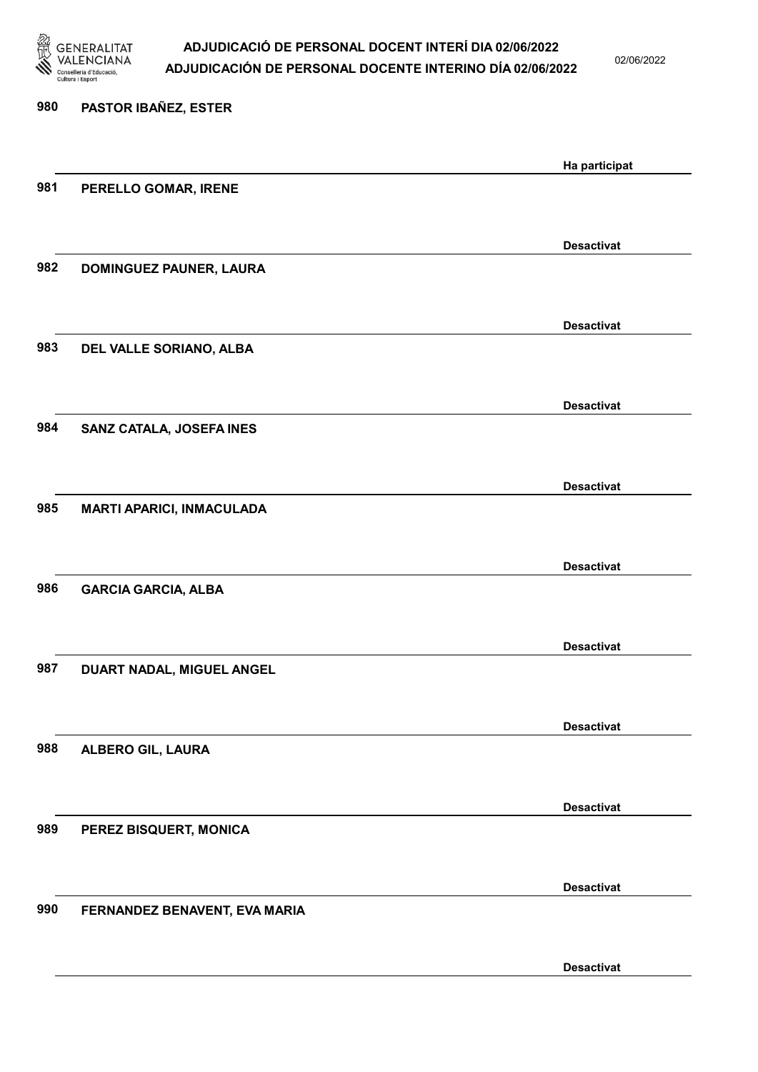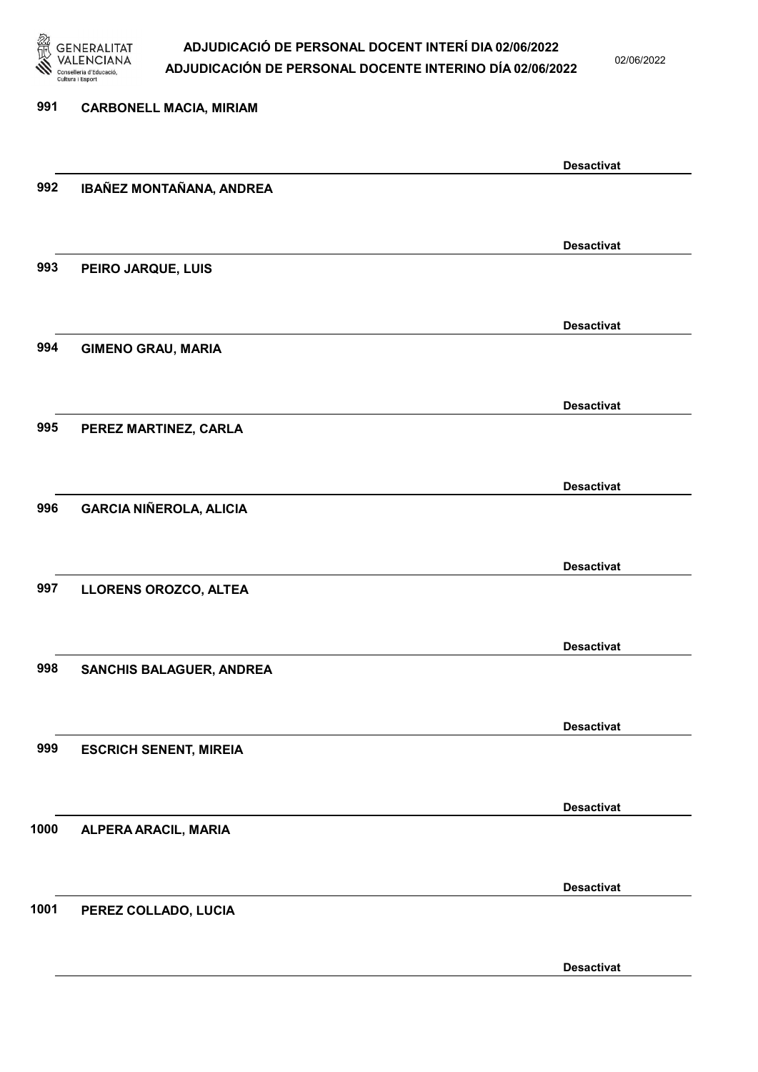

02/06/2022

### 991 CARBONELL MACIA, MIRIAM Desactivat 992 IBAÑEZ MONTAÑANA, ANDREA Desactivat 993 PEIRO JARQUE, LUIS Desactivat 994 GIMENO GRAU, MARIA Desactivat 995 PEREZ MARTINEZ, CARLA Desactivat 996 GARCIA NIÑEROLA, ALICIA Desactivat 997 LLORENS OROZCO, ALTEA Desactivat 998 SANCHIS BALAGUER, ANDREA Desactivat 999 ESCRICH SENENT, MIREIA Desactivat 1000 ALPERA ARACIL, MARIA Desactivat 1001 PEREZ COLLADO, LUCIA Desactivat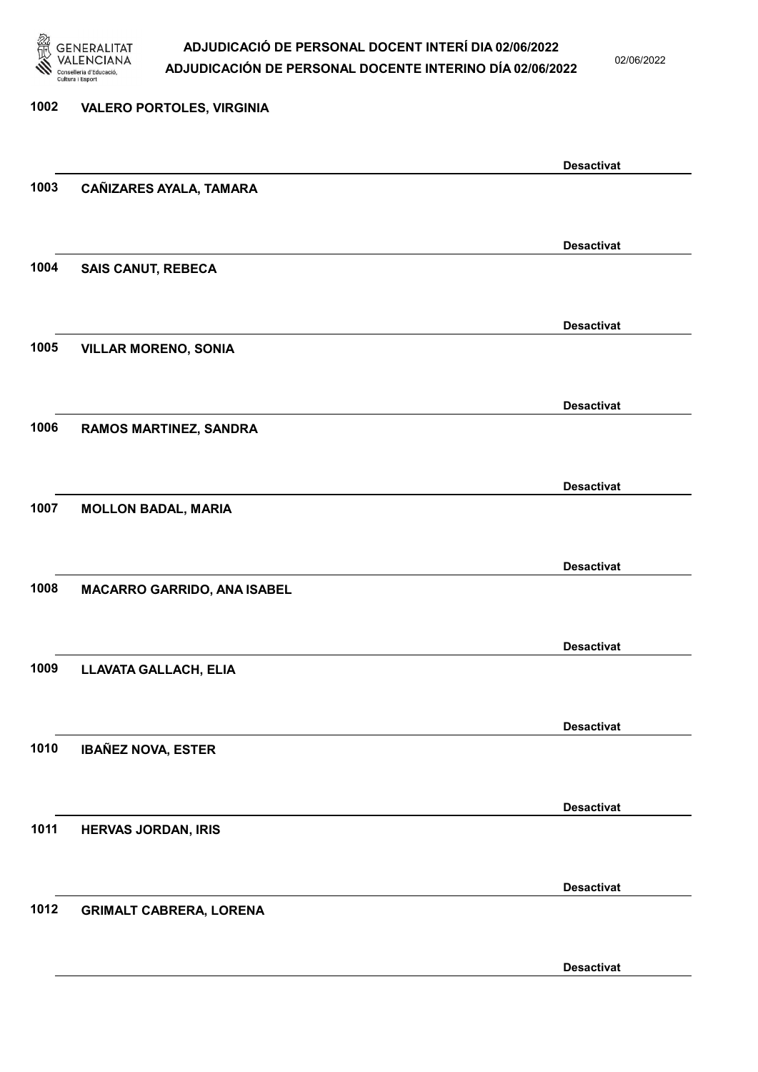

02/06/2022

Desactivat

# 1002 VALERO PORTOLES, VIRGINIA Desactivat 1003 CAÑIZARES AYALA, TAMARA Desactivat 1004 SAIS CANUT, REBECA Desactivat 1005 VILLAR MORENO, SONIA Desactivat 1006 RAMOS MARTINEZ, SANDRA Desactivat 1007 MOLLON BADAL, MARIA Desactivat 1008 MACARRO GARRIDO, ANA ISABEL Desactivat 1009 LLAVATA GALLACH, ELIA Desactivat 1010 IBAÑEZ NOVA, ESTER Desactivat 1011 HERVAS JORDAN, IRIS Desactivat 1012 GRIMALT CABRERA, LORENA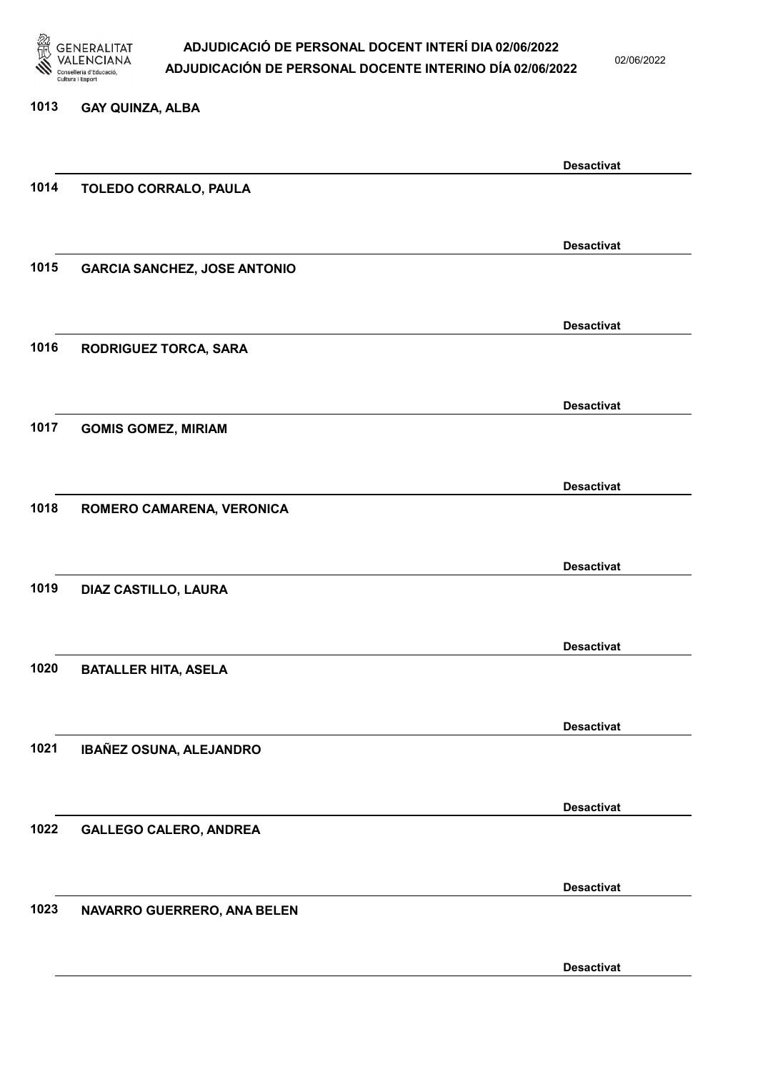

1013 GAY QUINZA, ALBA

### ADJUDICACIÓ DE PERSONAL DOCENT INTERÍ DIA 02/06/2022 ADJUDICACIÓN DE PERSONAL DOCENTE INTERINO DÍA 02/06/2022

02/06/2022

|      |                                     | <b>Desactivat</b> |
|------|-------------------------------------|-------------------|
| 1014 | TOLEDO CORRALO, PAULA               |                   |
|      |                                     |                   |
|      |                                     |                   |
| 1015 | <b>GARCIA SANCHEZ, JOSE ANTONIO</b> | <b>Desactivat</b> |
|      |                                     |                   |
|      |                                     |                   |
|      |                                     | <b>Desactivat</b> |
| 1016 | RODRIGUEZ TORCA, SARA               |                   |
|      |                                     |                   |
|      |                                     | <b>Desactivat</b> |
| 1017 | <b>GOMIS GOMEZ, MIRIAM</b>          |                   |
|      |                                     |                   |
|      |                                     |                   |
|      |                                     | <b>Desactivat</b> |
| 1018 | ROMERO CAMARENA, VERONICA           |                   |
|      |                                     |                   |
|      |                                     | <b>Desactivat</b> |
| 1019 | DIAZ CASTILLO, LAURA                |                   |
|      |                                     |                   |
|      |                                     |                   |
| 1020 | <b>BATALLER HITA, ASELA</b>         | <b>Desactivat</b> |
|      |                                     |                   |
|      |                                     |                   |
|      |                                     | <b>Desactivat</b> |
| 1021 | IBAÑEZ OSUNA, ALEJANDRO             |                   |
|      |                                     |                   |
|      |                                     | <b>Desactivat</b> |
| 1022 | <b>GALLEGO CALERO, ANDREA</b>       |                   |
|      |                                     |                   |
|      |                                     |                   |
|      |                                     | <b>Desactivat</b> |

1023 NAVARRO GUERRERO, ANA BELEN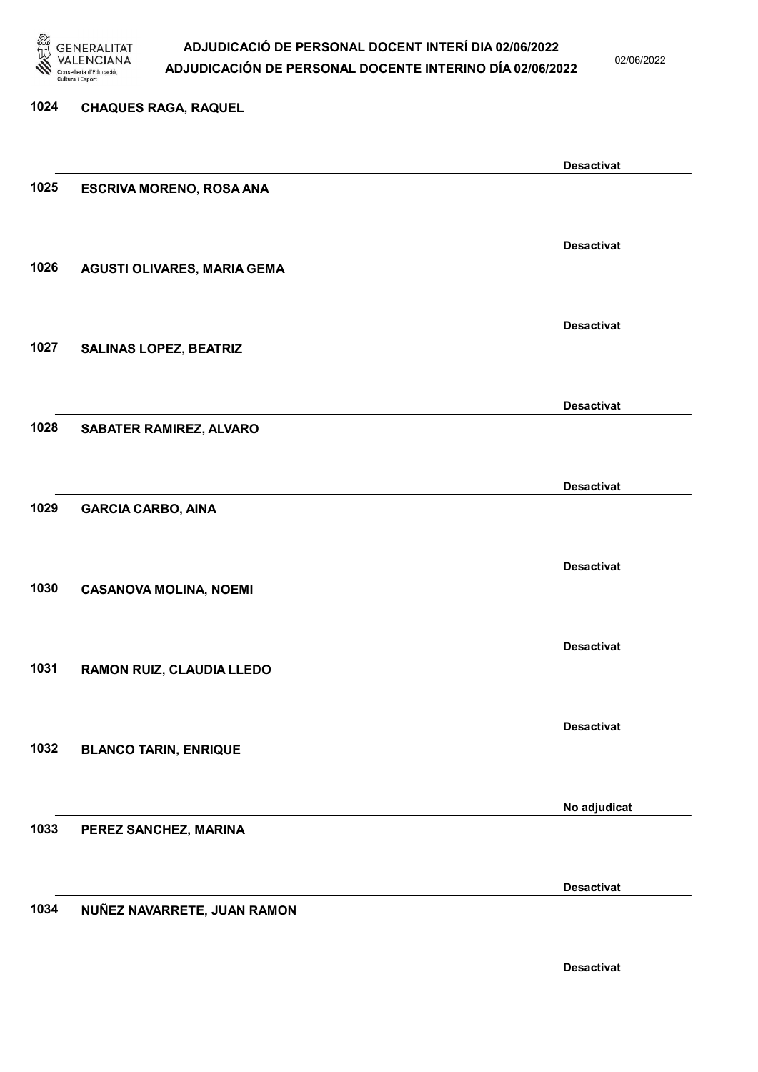

02/06/2022

Desactivat

# 1024 CHAQUES RAGA, RAQUEL Desactivat 1025 ESCRIVA MORENO, ROSA ANA Desactivat 1026 AGUSTI OLIVARES, MARIA GEMA Desactivat 1027 SALINAS LOPEZ, BEATRIZ Desactivat 1028 SABATER RAMIREZ, ALVARO Desactivat 1029 GARCIA CARBO, AINA Desactivat 1030 CASANOVA MOLINA, NOEMI Desactivat 1031 RAMON RUIZ, CLAUDIA LLEDO Desactivat 1032 BLANCO TARIN, ENRIQUE No adjudicat 1033 PEREZ SANCHEZ, MARINA Desactivat 1034 NUÑEZ NAVARRETE, JUAN RAMON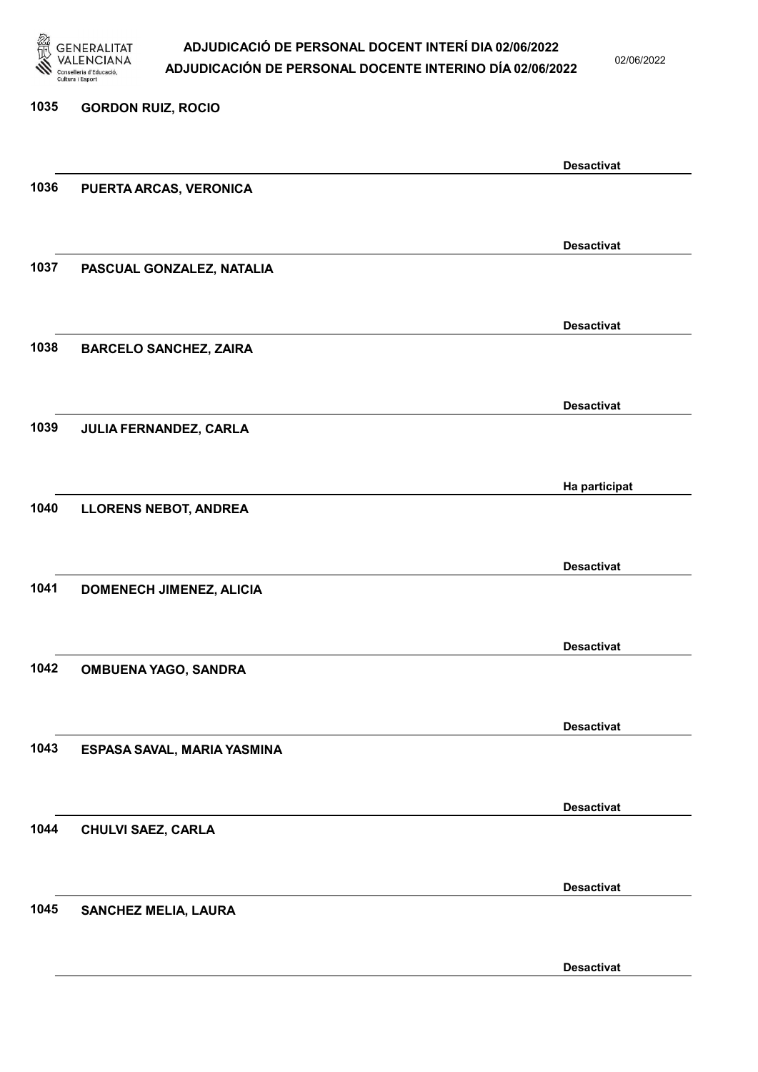

02/06/2022

Desactivat

# 1035 GORDON RUIZ, ROCIO Desactivat 1036 PUERTA ARCAS, VERONICA Desactivat 1037 PASCUAL GONZALEZ, NATALIA Desactivat 1038 BARCELO SANCHEZ, ZAIRA Desactivat 1039 JULIA FERNANDEZ, CARLA Ha participat 1040 LLORENS NEBOT, ANDREA Desactivat 1041 DOMENECH JIMENEZ, ALICIA Desactivat 1042 OMBUENA YAGO, SANDRA Desactivat 1043 ESPASA SAVAL, MARIA YASMINA Desactivat 1044 CHULVI SAEZ, CARLA Desactivat 1045 SANCHEZ MELIA, LAURA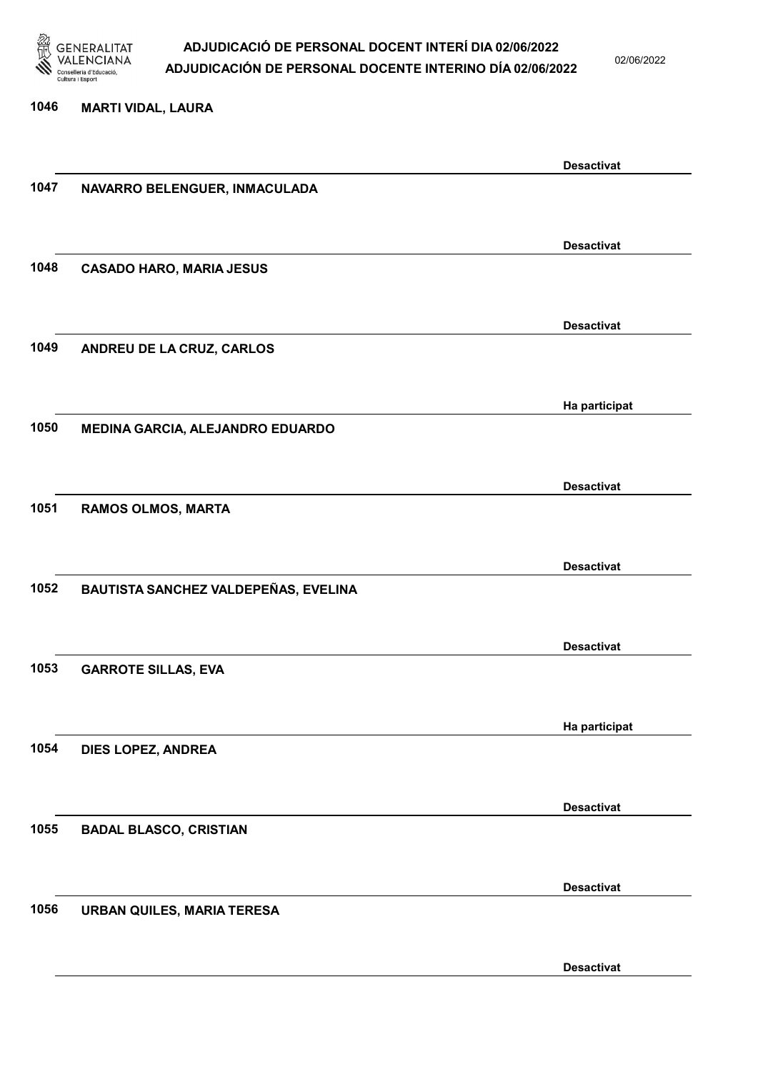

02/06/2022

### 1046 MARTI VIDAL, LAURA Desactivat 1047 NAVARRO BELENGUER, INMACULADA Desactivat 1048 CASADO HARO, MARIA JESUS Desactivat 1049 ANDREU DE LA CRUZ, CARLOS Ha participat 1050 MEDINA GARCIA, ALEJANDRO EDUARDO Desactivat 1051 RAMOS OLMOS, MARTA Desactivat 1052 BAUTISTA SANCHEZ VALDEPEÑAS, EVELINA Desactivat 1053 GARROTE SILLAS, EVA Ha participat 1054 DIES LOPEZ, ANDREA Desactivat 1055 BADAL BLASCO, CRISTIAN Desactivat 1056 URBAN QUILES, MARIA TERESA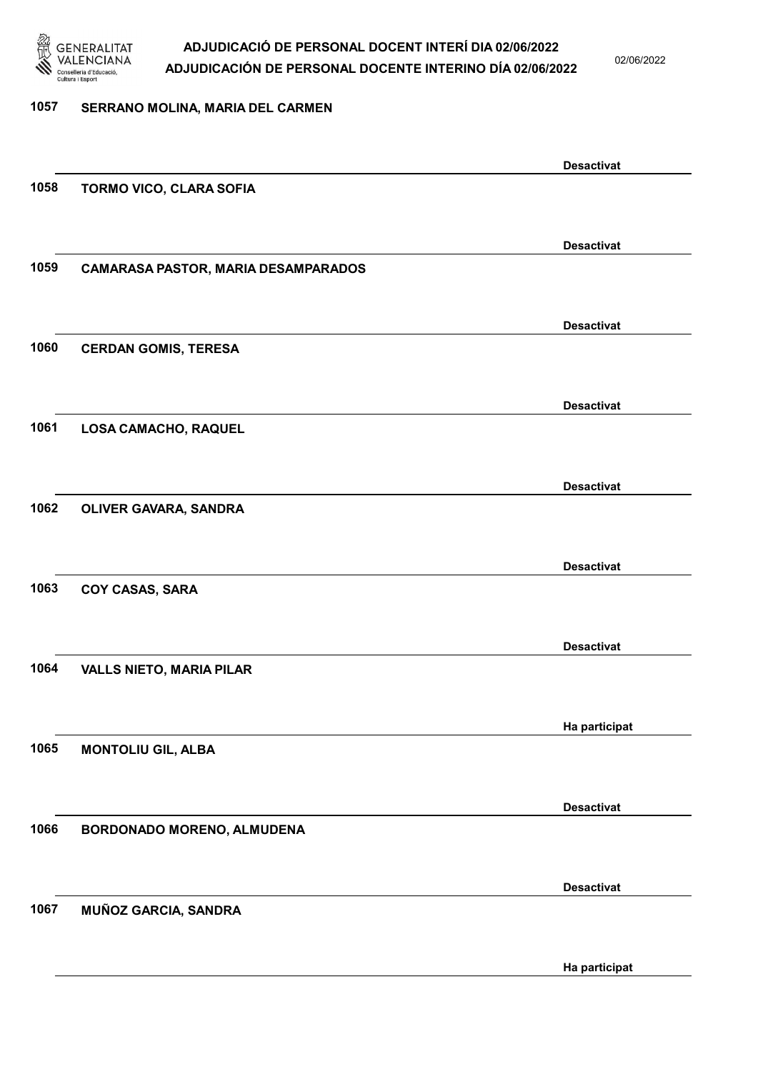

02/06/2022

#### 1057 SERRANO MOLINA, MARIA DEL CARMEN

Desactivat 1058 TORMO VICO, CLARA SOFIA Desactivat 1059 CAMARASA PASTOR, MARIA DESAMPARADOS Desactivat 1060 CERDAN GOMIS, TERESA Desactivat 1061 LOSA CAMACHO, RAQUEL Desactivat 1062 OLIVER GAVARA, SANDRA Desactivat 1063 COY CASAS, SARA Desactivat 1064 VALLS NIETO, MARIA PILAR Ha participat 1065 MONTOLIU GIL, ALBA Desactivat 1066 BORDONADO MORENO, ALMUDENA Desactivat 1067 MUÑOZ GARCIA, SANDRA Ha participat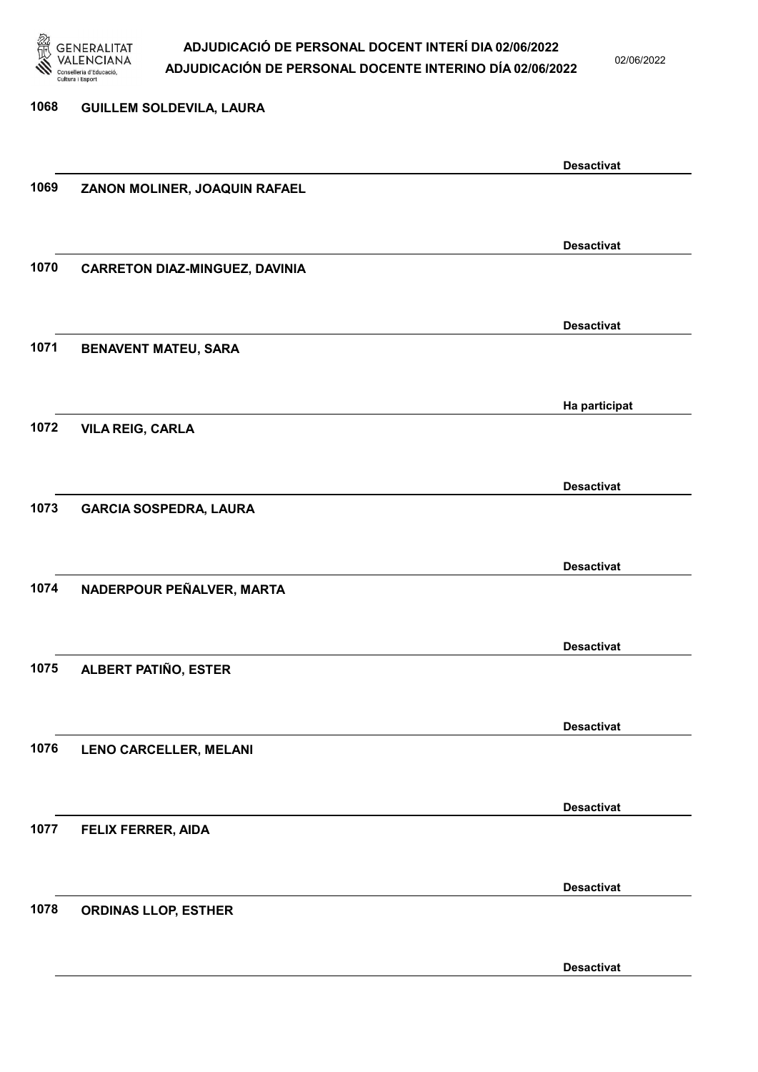

02/06/2022

| 1068 | <b>GUILLEM SOLDEVILA, LAURA</b>       |                   |
|------|---------------------------------------|-------------------|
|      |                                       |                   |
|      |                                       | <b>Desactivat</b> |
| 1069 | ZANON MOLINER, JOAQUIN RAFAEL         |                   |
|      |                                       |                   |
|      |                                       | <b>Desactivat</b> |
| 1070 | <b>CARRETON DIAZ-MINGUEZ, DAVINIA</b> |                   |
|      |                                       |                   |
|      |                                       | <b>Desactivat</b> |
| 1071 | <b>BENAVENT MATEU, SARA</b>           |                   |
|      |                                       |                   |
|      |                                       | Ha participat     |
| 1072 | <b>VILA REIG, CARLA</b>               |                   |
|      |                                       |                   |
|      |                                       | <b>Desactivat</b> |
| 1073 | <b>GARCIA SOSPEDRA, LAURA</b>         |                   |
|      |                                       |                   |
|      |                                       | <b>Desactivat</b> |
| 1074 | NADERPOUR PEÑALVER, MARTA             |                   |
|      |                                       |                   |
|      |                                       |                   |
| 1075 | ALBERT PATIÑO, ESTER                  | <b>Desactivat</b> |
|      |                                       |                   |
|      |                                       |                   |
| 1076 | <b>LENO CARCELLER, MELANI</b>         | <b>Desactivat</b> |
|      |                                       |                   |
|      |                                       |                   |
|      |                                       | <b>Desactivat</b> |
| 1077 | FELIX FERRER, AIDA                    |                   |
|      |                                       |                   |
|      |                                       | <b>Desactivat</b> |
| 1078 | <b>ORDINAS LLOP, ESTHER</b>           |                   |
|      |                                       |                   |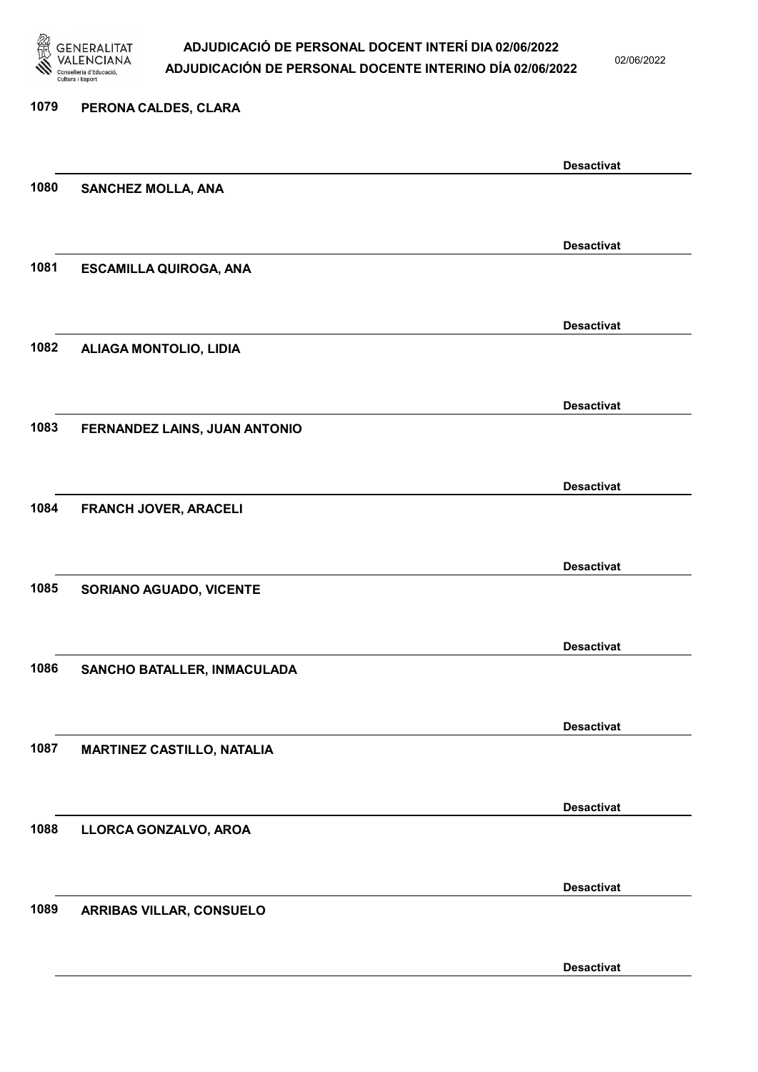

02/06/2022

# 1079 PERONA CALDES, CLARA Desactivat 1080 SANCHEZ MOLLA, ANA Desactivat 1081 ESCAMILLA QUIROGA, ANA Desactivat 1082 ALIAGA MONTOLIO, LIDIA Desactivat 1083 FERNANDEZ LAINS, JUAN ANTONIO Desactivat 1084 FRANCH JOVER, ARACELI Desactivat 1085 SORIANO AGUADO, VICENTE Desactivat 1086 SANCHO BATALLER, INMACULADA Desactivat 1087 MARTINEZ CASTILLO, NATALIA Desactivat 1088 LLORCA GONZALVO, AROA Desactivat 1089 ARRIBAS VILLAR, CONSUELO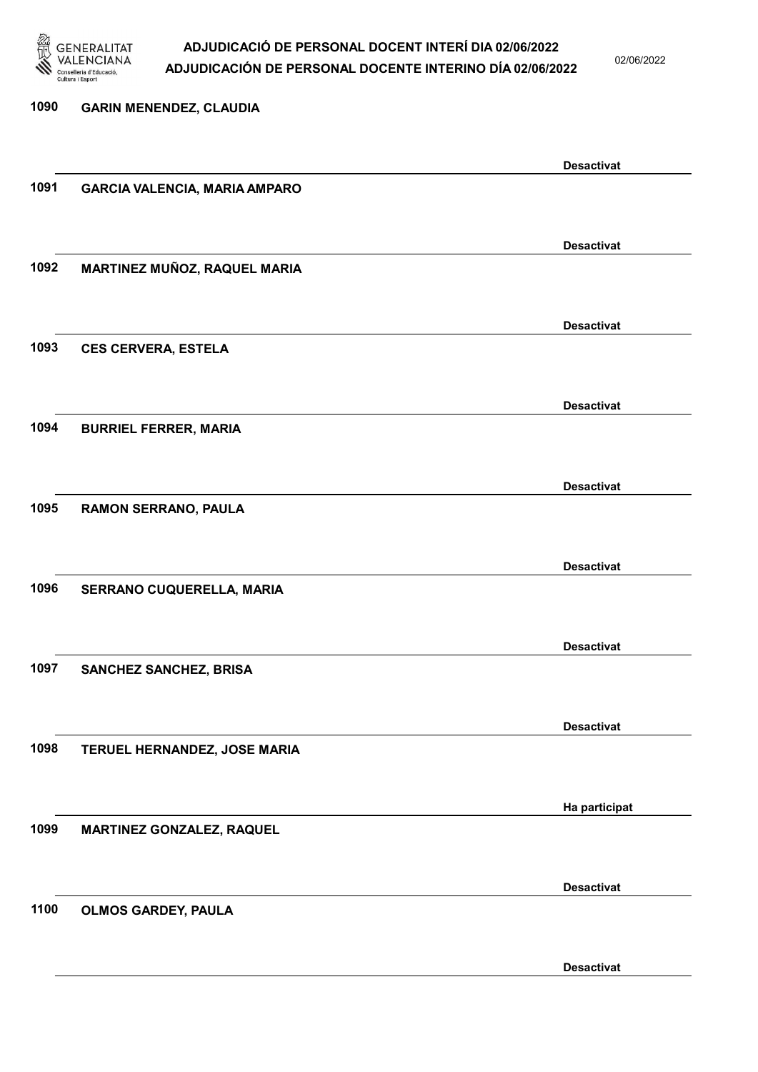

02/06/2022

| 1090 | <b>GARIN MENENDEZ, CLAUDIA</b>       |                   |
|------|--------------------------------------|-------------------|
|      |                                      |                   |
|      |                                      | <b>Desactivat</b> |
| 1091 | <b>GARCIA VALENCIA, MARIA AMPARO</b> |                   |
|      |                                      |                   |
|      |                                      | <b>Desactivat</b> |
| 1092 | MARTINEZ MUÑOZ, RAQUEL MARIA         |                   |
|      |                                      |                   |
|      |                                      | <b>Desactivat</b> |
| 1093 | <b>CES CERVERA, ESTELA</b>           |                   |
|      |                                      |                   |
|      |                                      | <b>Desactivat</b> |
| 1094 | <b>BURRIEL FERRER, MARIA</b>         |                   |
|      |                                      |                   |
| 1095 |                                      | <b>Desactivat</b> |
|      | RAMON SERRANO, PAULA                 |                   |
|      |                                      | <b>Desactivat</b> |
| 1096 | SERRANO CUQUERELLA, MARIA            |                   |
|      |                                      |                   |
|      |                                      | <b>Desactivat</b> |
| 1097 | <b>SANCHEZ SANCHEZ, BRISA</b>        |                   |
|      |                                      |                   |
|      |                                      | <b>Desactivat</b> |
| 1098 | TERUEL HERNANDEZ, JOSE MARIA         |                   |
|      |                                      |                   |
|      |                                      | Ha participat     |
| 1099 | <b>MARTINEZ GONZALEZ, RAQUEL</b>     |                   |
|      |                                      |                   |
|      |                                      | <b>Desactivat</b> |
| 1100 | <b>OLMOS GARDEY, PAULA</b>           |                   |
|      |                                      |                   |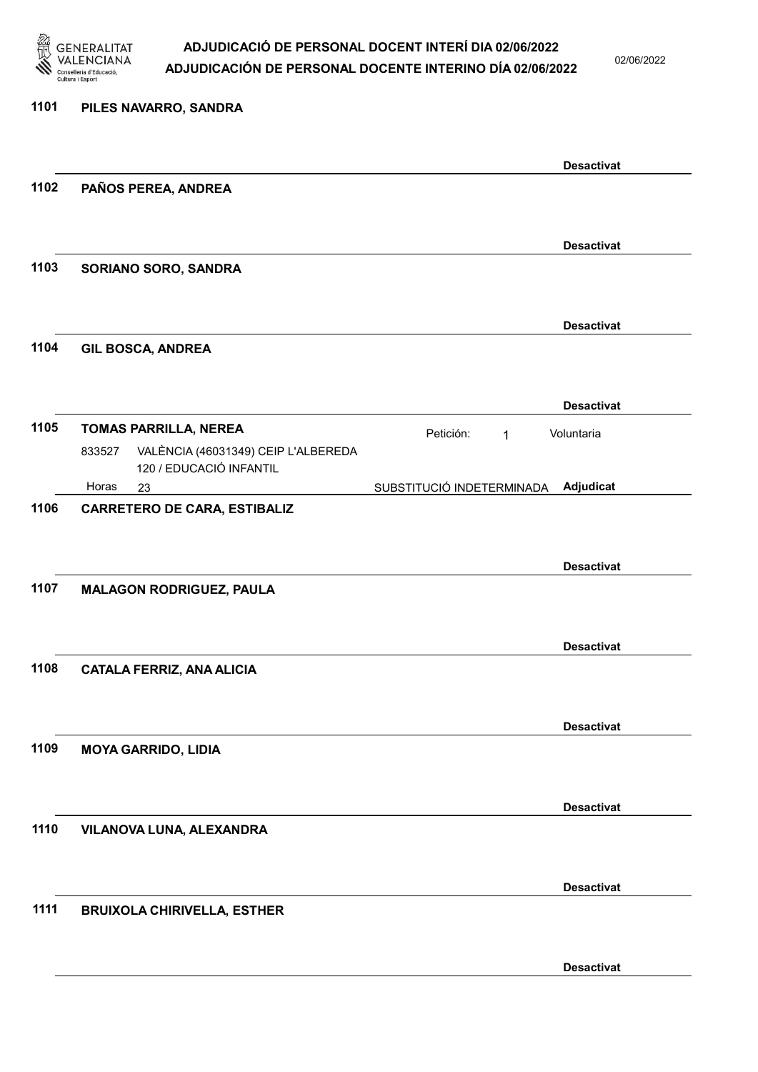

02/06/2022

### 1101 PILES NAVARRO, SANDRA Desactivat 1102 PAÑOS PEREA, ANDREA Desactivat 1103 SORIANO SORO, SANDRA Desactivat 1104 GIL BOSCA, ANDREA Desactivat 1105 TOMAS PARRILLA, NEREA Petición: 1 23 SUBSTITUCIÓ INDETERMINADA VALÈNCIA (46031349) CEIP L'ALBEREDA 120 / EDUCACIÓ INFANTIL Adjudicat Voluntaria 833527 Horas 1106 CARRETERO DE CARA, ESTIBALIZ Desactivat 1107 MALAGON RODRIGUEZ, PAULA Desactivat 1108 CATALA FERRIZ, ANA ALICIA Desactivat 1109 MOYA GARRIDO, LIDIA Desactivat 1110 VILANOVA LUNA, ALEXANDRA Desactivat 1111 BRUIXOLA CHIRIVELLA, ESTHER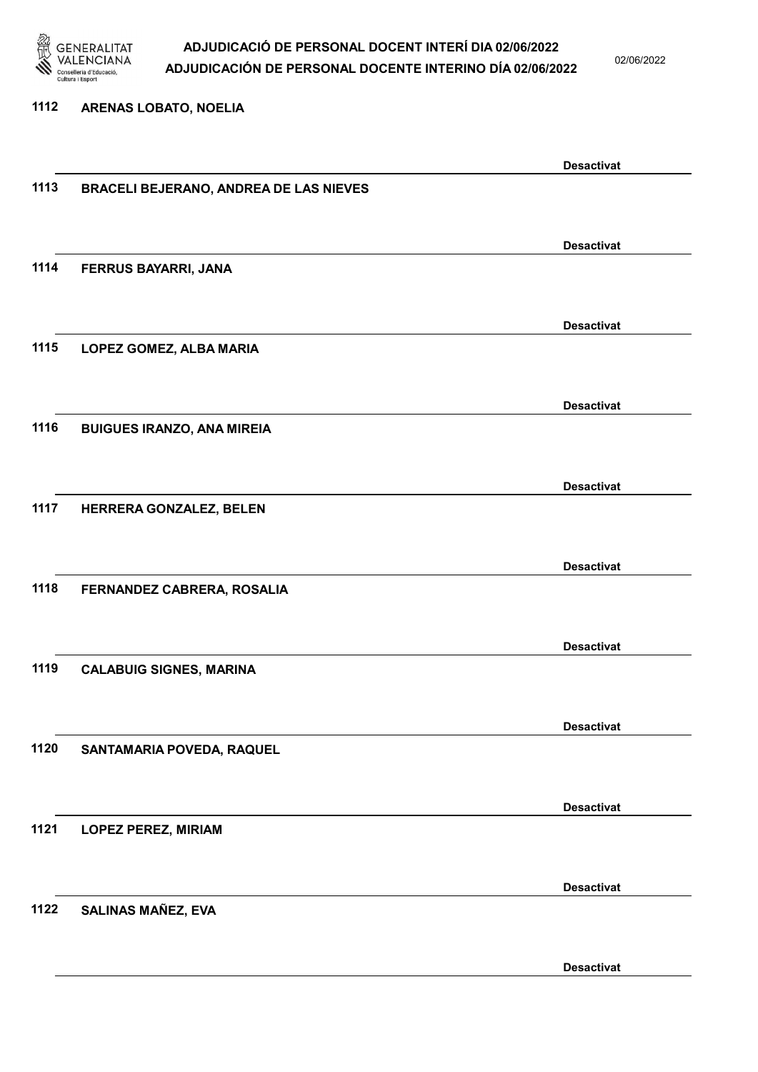

02/06/2022

#### 1112 ARENAS LOBATO, NOELIA

|      |                                               | <b>Desactivat</b> |
|------|-----------------------------------------------|-------------------|
| 1113 | <b>BRACELI BEJERANO, ANDREA DE LAS NIEVES</b> |                   |
|      |                                               |                   |
|      |                                               | <b>Desactivat</b> |
| 1114 | FERRUS BAYARRI, JANA                          |                   |
|      |                                               |                   |
|      |                                               |                   |
|      |                                               | <b>Desactivat</b> |
| 1115 | LOPEZ GOMEZ, ALBA MARIA                       |                   |
|      |                                               |                   |
|      |                                               | <b>Desactivat</b> |
| 1116 | <b>BUIGUES IRANZO, ANA MIREIA</b>             |                   |
|      |                                               |                   |
|      |                                               |                   |
|      |                                               | <b>Desactivat</b> |
| 1117 | HERRERA GONZALEZ, BELEN                       |                   |
|      |                                               |                   |
|      |                                               | <b>Desactivat</b> |
| 1118 | FERNANDEZ CABRERA, ROSALIA                    |                   |
|      |                                               |                   |
|      |                                               |                   |
| 1119 |                                               | <b>Desactivat</b> |
|      | <b>CALABUIG SIGNES, MARINA</b>                |                   |
|      |                                               |                   |
|      |                                               | <b>Desactivat</b> |
| 1120 | SANTAMARIA POVEDA, RAQUEL                     |                   |
|      |                                               |                   |
|      |                                               | <b>Desactivat</b> |
| 1121 | <b>LOPEZ PEREZ, MIRIAM</b>                    |                   |
|      |                                               |                   |
|      |                                               |                   |
|      |                                               | <b>Desactivat</b> |
| 1122 | <b>SALINAS MAÑEZ, EVA</b>                     |                   |
|      |                                               |                   |
|      |                                               | <b>Desactivat</b> |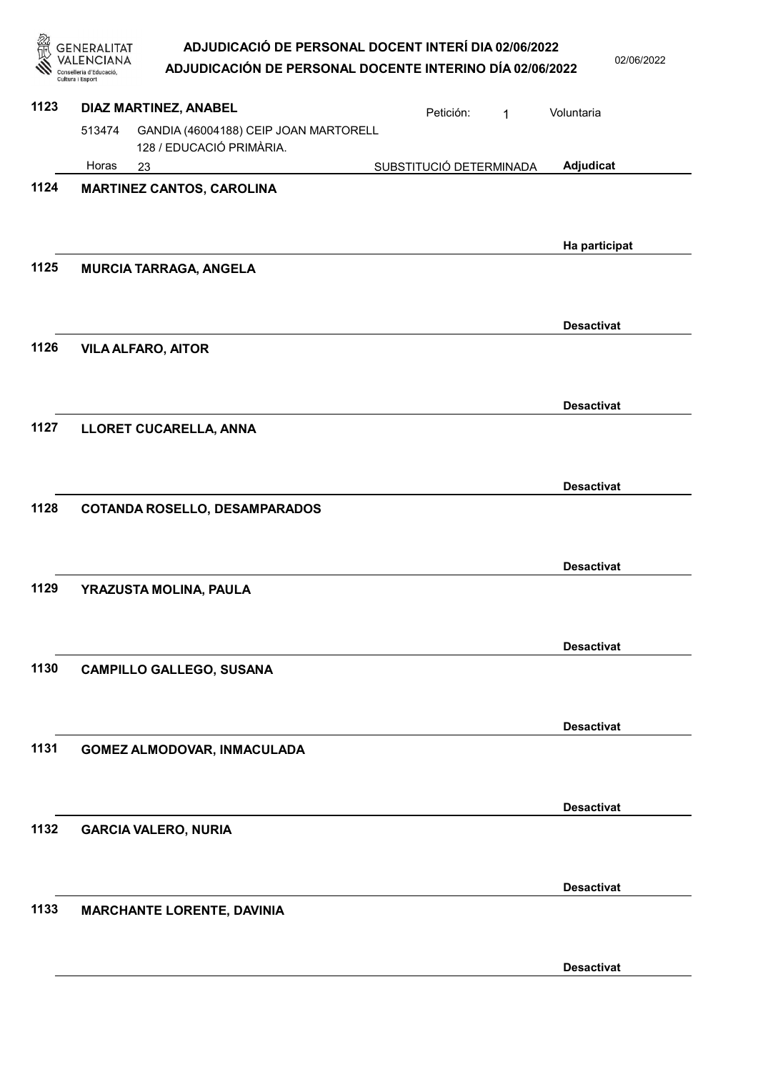GENERALITAT<br>VALENCIANA

02/06/2022

| m    | Conselleria d'Educació,<br>Cultura i Esport | <b>ADJUDICACION DE PERSONAL DOCENTE INTERINO DIA 02/06/2022</b>   |                         |   |                   |
|------|---------------------------------------------|-------------------------------------------------------------------|-------------------------|---|-------------------|
| 1123 |                                             | DIAZ MARTINEZ, ANABEL                                             | Petición:               | 1 | Voluntaria        |
|      | 513474                                      | GANDIA (46004188) CEIP JOAN MARTORELL<br>128 / EDUCACIÓ PRIMÀRIA. |                         |   |                   |
|      | Horas                                       | 23                                                                | SUBSTITUCIÓ DETERMINADA |   | Adjudicat         |
| 1124 |                                             | <b>MARTINEZ CANTOS, CAROLINA</b>                                  |                         |   |                   |
|      |                                             |                                                                   |                         |   | Ha participat     |
| 1125 |                                             | <b>MURCIA TARRAGA, ANGELA</b>                                     |                         |   |                   |
|      |                                             |                                                                   |                         |   | <b>Desactivat</b> |
| 1126 |                                             | <b>VILA ALFARO, AITOR</b>                                         |                         |   | <b>Desactivat</b> |
| 1127 |                                             | LLORET CUCARELLA, ANNA                                            |                         |   |                   |
|      |                                             |                                                                   |                         |   | <b>Desactivat</b> |
| 1128 |                                             | <b>COTANDA ROSELLO, DESAMPARADOS</b>                              |                         |   |                   |
|      |                                             |                                                                   |                         |   | <b>Desactivat</b> |
| 1129 |                                             | YRAZUSTA MOLINA, PAULA                                            |                         |   |                   |
|      |                                             |                                                                   |                         |   | <b>Desactivat</b> |
| 1130 |                                             | <b>CAMPILLO GALLEGO, SUSANA</b>                                   |                         |   |                   |
|      |                                             |                                                                   |                         |   | <b>Desactivat</b> |
| 1131 |                                             | GOMEZ ALMODOVAR, INMACULADA                                       |                         |   |                   |
|      |                                             |                                                                   |                         |   | <b>Desactivat</b> |
| 1132 |                                             | <b>GARCIA VALERO, NURIA</b>                                       |                         |   |                   |
|      |                                             |                                                                   |                         |   | <b>Desactivat</b> |
| 1133 |                                             | <b>MARCHANTE LORENTE, DAVINIA</b>                                 |                         |   |                   |
|      |                                             |                                                                   |                         |   | <b>Desactivat</b> |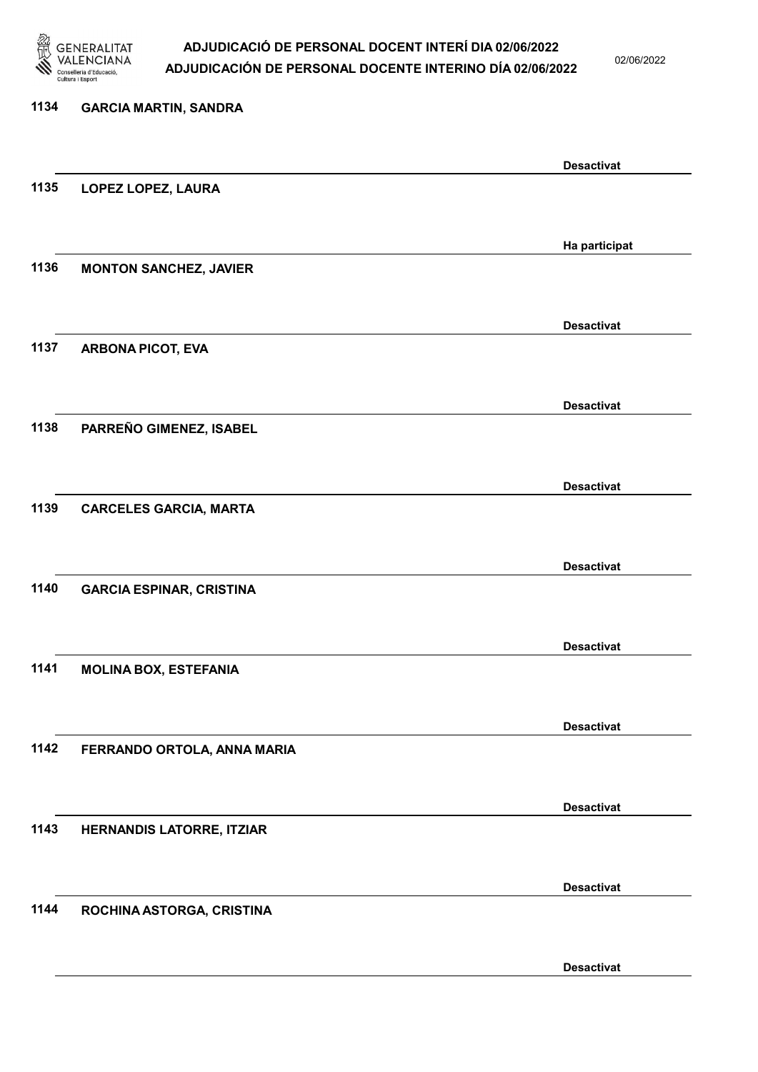

02/06/2022

Desactivat

# 1134 GARCIA MARTIN, SANDRA Desactivat 1135 LOPEZ LOPEZ, LAURA Ha participat 1136 MONTON SANCHEZ, JAVIER Desactivat 1137 ARBONA PICOT, EVA Desactivat 1138 PARREÑO GIMENEZ, ISABEL Desactivat 1139 CARCELES GARCIA, MARTA Desactivat 1140 GARCIA ESPINAR, CRISTINA Desactivat 1141 MOLINA BOX, ESTEFANIA Desactivat 1142 FERRANDO ORTOLA, ANNA MARIA Desactivat 1143 HERNANDIS LATORRE, ITZIAR Desactivat 1144 ROCHINA ASTORGA, CRISTINA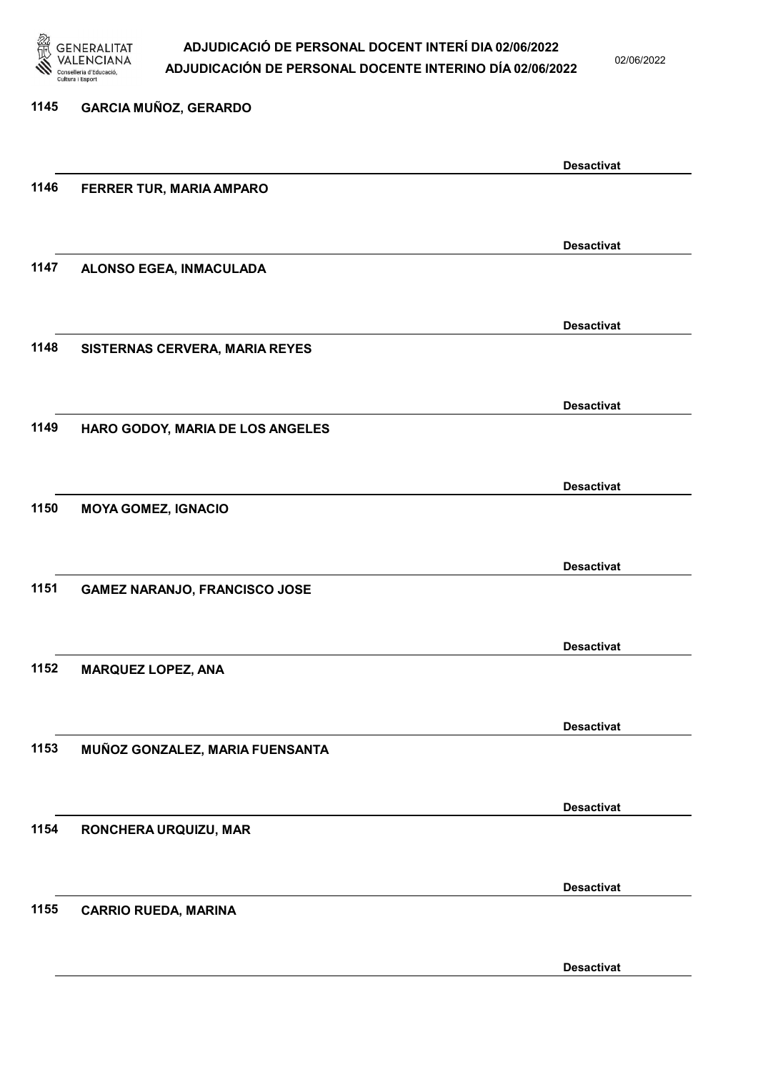

02/06/2022

Desactivat

# 1145 GARCIA MUÑOZ, GERARDO Desactivat 1146 FERRER TUR, MARIA AMPARO Desactivat 1147 ALONSO EGEA, INMACULADA Desactivat 1148 SISTERNAS CERVERA, MARIA REYES Desactivat 1149 HARO GODOY, MARIA DE LOS ANGELES Desactivat 1150 MOYA GOMEZ, IGNACIO Desactivat 1151 GAMEZ NARANJO, FRANCISCO JOSE Desactivat 1152 MARQUEZ LOPEZ, ANA Desactivat 1153 MUÑOZ GONZALEZ, MARIA FUENSANTA Desactivat 1154 RONCHERA URQUIZU, MAR Desactivat 1155 CARRIO RUEDA, MARINA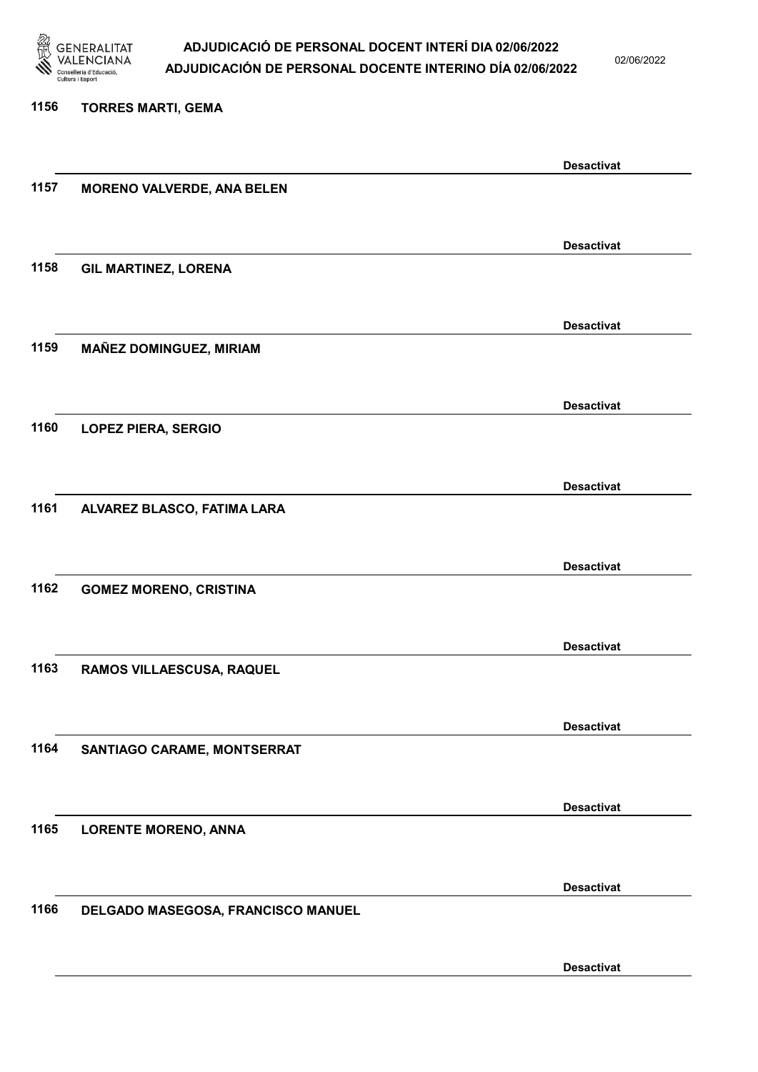

02/06/2022

| 1156 | <b>TORRES MARTI, GEMA</b>          |                   |
|------|------------------------------------|-------------------|
|      |                                    |                   |
|      |                                    | <b>Desactivat</b> |
| 1157 | <b>MORENO VALVERDE, ANA BELEN</b>  |                   |
|      |                                    |                   |
|      |                                    | <b>Desactivat</b> |
| 1158 | <b>GIL MARTINEZ, LORENA</b>        |                   |
|      |                                    |                   |
|      |                                    | <b>Desactivat</b> |
| 1159 | <b>MAÑEZ DOMINGUEZ, MIRIAM</b>     |                   |
|      |                                    |                   |
|      |                                    | <b>Desactivat</b> |
| 1160 | <b>LOPEZ PIERA, SERGIO</b>         |                   |
|      |                                    |                   |
| 1161 |                                    | <b>Desactivat</b> |
|      | ALVAREZ BLASCO, FATIMA LARA        |                   |
|      |                                    |                   |
| 1162 | <b>GOMEZ MORENO, CRISTINA</b>      | <b>Desactivat</b> |
|      |                                    |                   |
|      |                                    | <b>Desactivat</b> |
| 1163 | RAMOS VILLAESCUSA, RAQUEL          |                   |
|      |                                    |                   |
|      |                                    | <b>Desactivat</b> |
| 1164 | SANTIAGO CARAME, MONTSERRAT        |                   |
|      |                                    |                   |
|      |                                    | <b>Desactivat</b> |
| 1165 | <b>LORENTE MORENO, ANNA</b>        |                   |
|      |                                    |                   |
|      |                                    | <b>Desactivat</b> |
| 1166 | DELGADO MASEGOSA, FRANCISCO MANUEL |                   |
|      |                                    |                   |
|      |                                    |                   |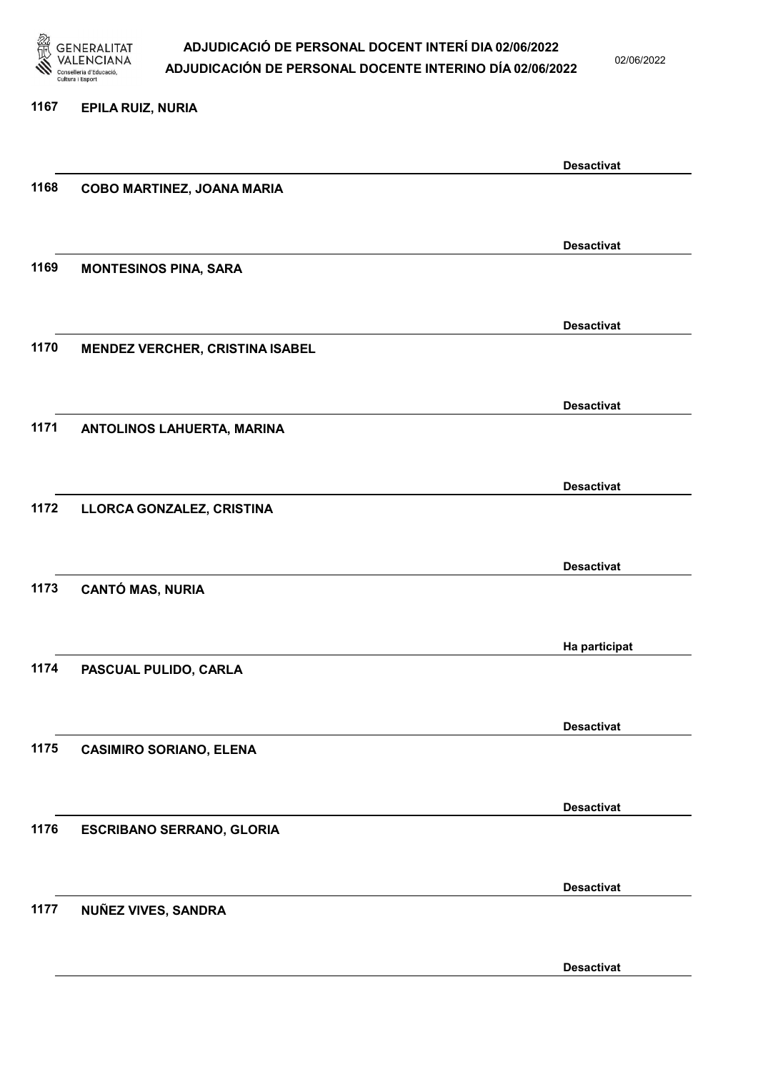

1167 EPILA RUIZ, NURIA

### ADJUDICACIÓ DE PERSONAL DOCENT INTERÍ DIA 02/06/2022 ADJUDICACIÓN DE PERSONAL DOCENTE INTERINO DÍA 02/06/2022

02/06/2022

|      |                                        | <b>Desactivat</b> |
|------|----------------------------------------|-------------------|
| 1168 | COBO MARTINEZ, JOANA MARIA             |                   |
|      |                                        |                   |
|      |                                        | <b>Desactivat</b> |
| 1169 | <b>MONTESINOS PINA, SARA</b>           |                   |
|      |                                        |                   |
|      |                                        |                   |
| 1170 | <b>MENDEZ VERCHER, CRISTINA ISABEL</b> | <b>Desactivat</b> |
|      |                                        |                   |
|      |                                        |                   |
|      |                                        | <b>Desactivat</b> |
| 1171 | ANTOLINOS LAHUERTA, MARINA             |                   |
|      |                                        |                   |
|      |                                        | <b>Desactivat</b> |
| 1172 | LLORCA GONZALEZ, CRISTINA              |                   |
|      |                                        |                   |
|      |                                        | <b>Desactivat</b> |
| 1173 | <b>CANTÓ MAS, NURIA</b>                |                   |
|      |                                        |                   |
|      |                                        | Ha participat     |
| 1174 | PASCUAL PULIDO, CARLA                  |                   |
|      |                                        |                   |
|      |                                        |                   |
| 1175 | <b>CASIMIRO SORIANO, ELENA</b>         | <b>Desactivat</b> |
|      |                                        |                   |
|      |                                        |                   |
|      |                                        | <b>Desactivat</b> |
| 1176 | <b>ESCRIBANO SERRANO, GLORIA</b>       |                   |
|      |                                        |                   |
|      |                                        | <b>Desactivat</b> |
| 1177 | NUÑEZ VIVES, SANDRA                    |                   |
|      |                                        |                   |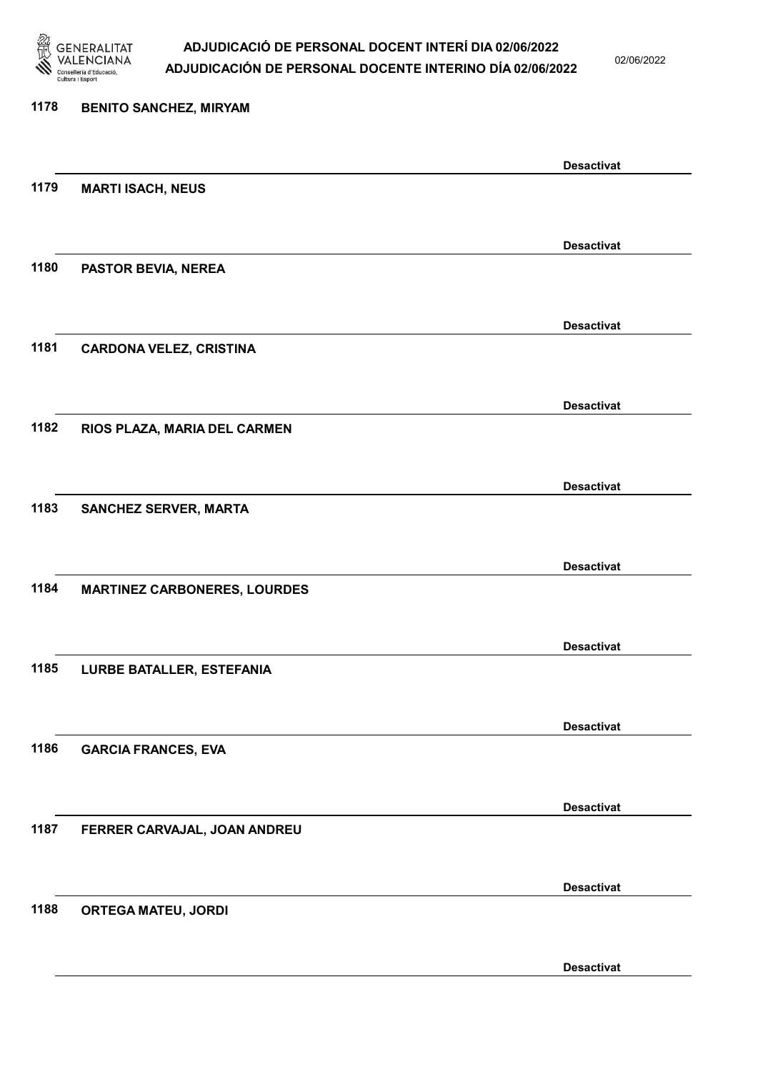

02/06/2022

Desactivat

# 1178 BENITO SANCHEZ, MIRYAM Desactivat 1179 MARTI ISACH, NEUS Desactivat 1180 PASTOR BEVIA, NEREA Desactivat 1181 CARDONA VELEZ, CRISTINA Desactivat 1182 RIOS PLAZA, MARIA DEL CARMEN Desactivat 1183 SANCHEZ SERVER, MARTA Desactivat 1184 MARTINEZ CARBONERES, LOURDES Desactivat 1185 LURBE BATALLER, ESTEFANIA Desactivat 1186 GARCIA FRANCES, EVA Desactivat 1187 FERRER CARVAJAL, JOAN ANDREU Desactivat 1188 ORTEGA MATEU, JORDI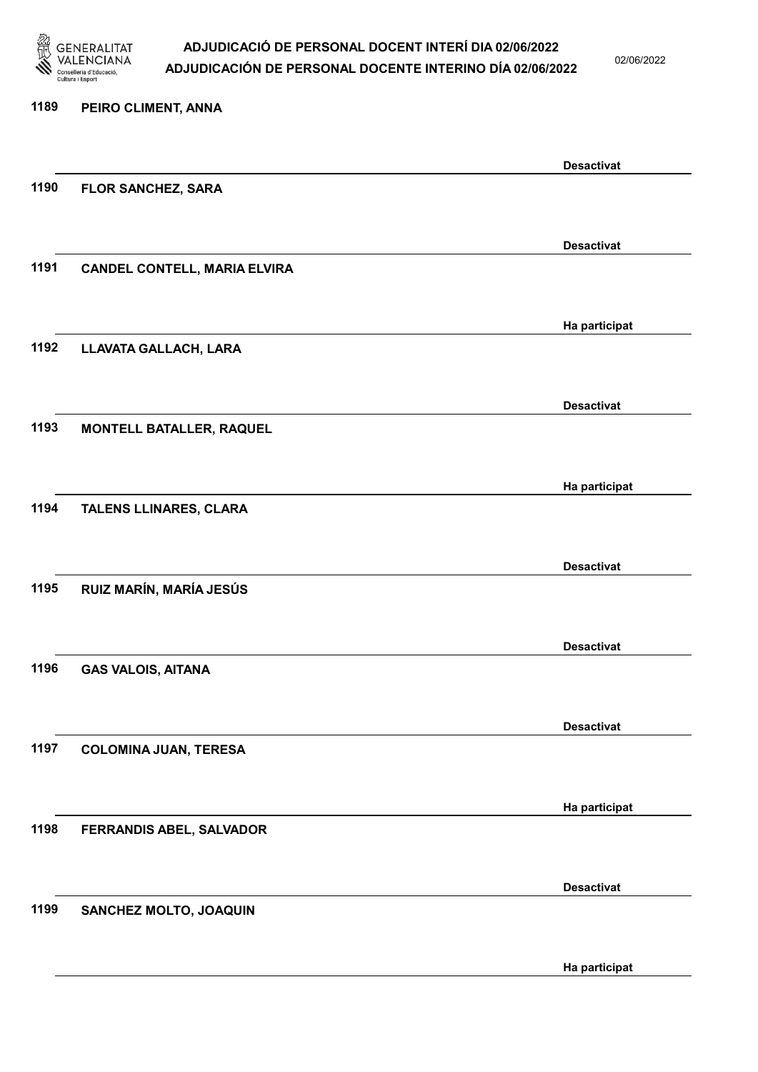

02/06/2022

### 1189 PEIRO CLIMENT, ANNA Desactivat 1190 FLOR SANCHEZ, SARA Desactivat 1191 CANDEL CONTELL, MARIA ELVIRA Ha participat 1192 LLAVATA GALLACH, LARA Desactivat 1193 MONTELL BATALLER, RAQUEL Ha participat 1194 TALENS LLINARES, CLARA Desactivat 1195 RUIZ MARÍN, MARÍA JESÚS Desactivat 1196 GAS VALOIS, AITANA Desactivat 1197 COLOMINA JUAN, TERESA Ha participat 1198 FERRANDIS ABEL, SALVADOR Desactivat 1199 SANCHEZ MOLTO, JOAQUIN Ha participat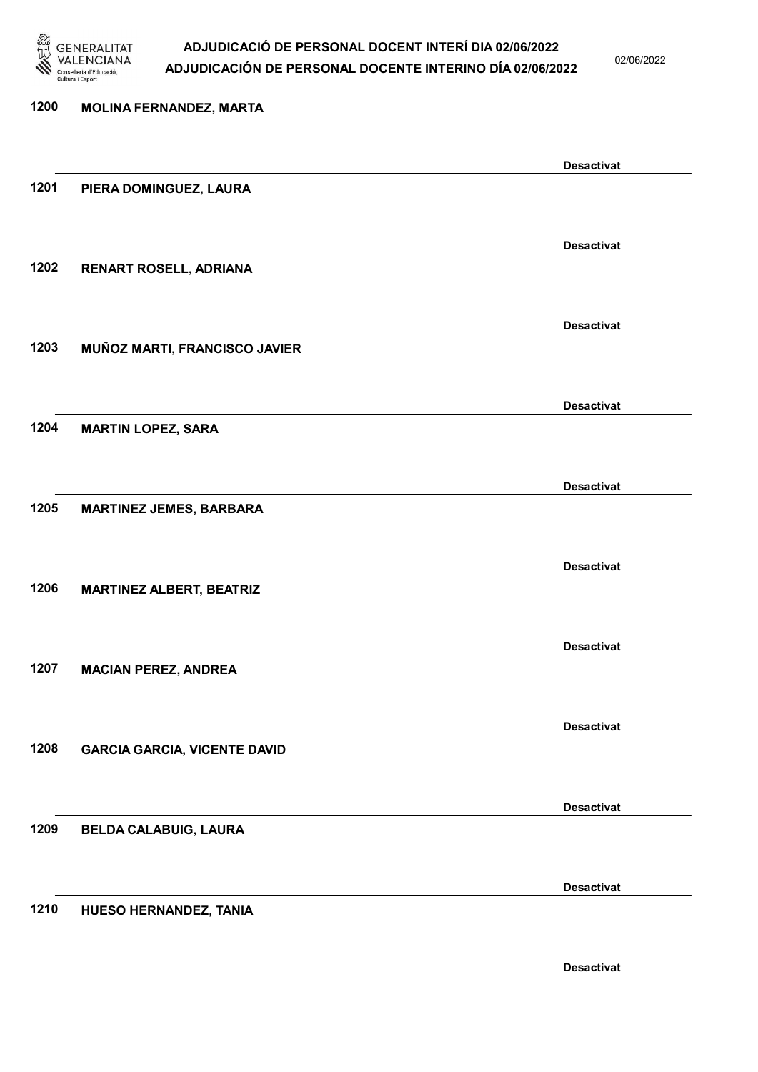

02/06/2022

Desactivat

## 1200 MOLINA FERNANDEZ, MARTA Desactivat 1201 PIERA DOMINGUEZ, LAURA Desactivat 1202 RENART ROSELL, ADRIANA Desactivat 1203 MUÑOZ MARTI, FRANCISCO JAVIER Desactivat 1204 MARTIN LOPEZ, SARA Desactivat 1205 MARTINEZ JEMES, BARBARA Desactivat 1206 MARTINEZ ALBERT, BEATRIZ Desactivat 1207 MACIAN PEREZ, ANDREA Desactivat 1208 GARCIA GARCIA, VICENTE DAVID Desactivat 1209 BELDA CALABUIG, LAURA Desactivat 1210 HUESO HERNANDEZ, TANIA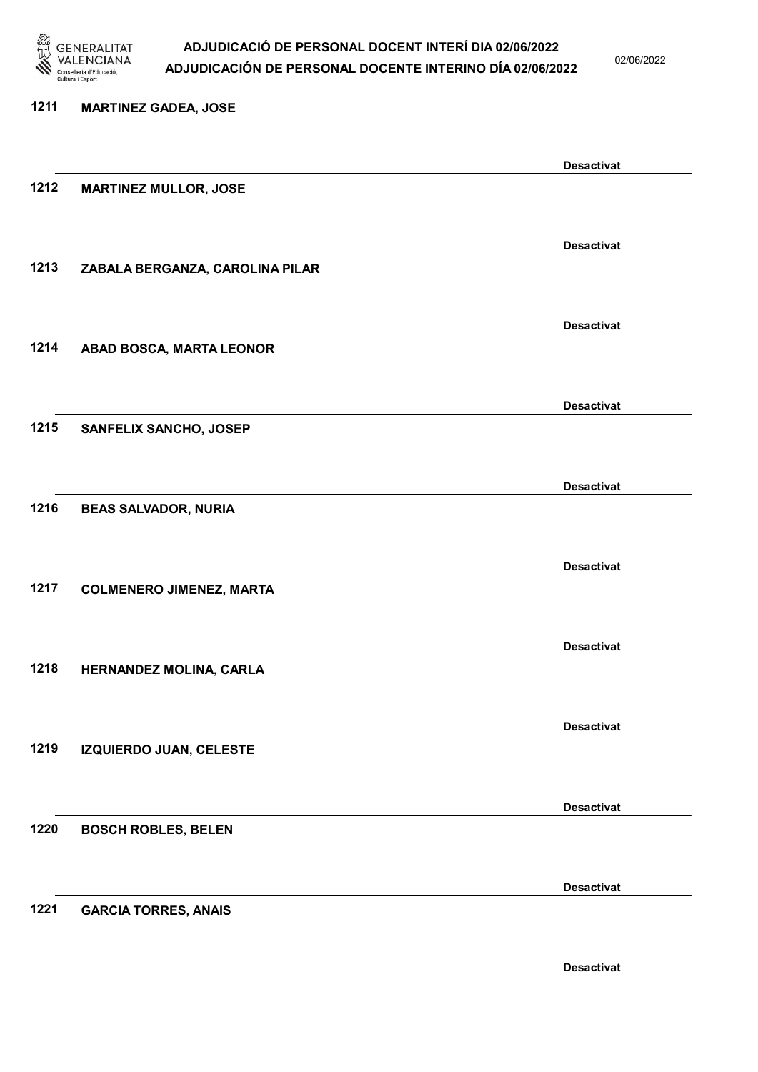

02/06/2022

Desactivat

# 1211 MARTINEZ GADEA, JOSE Desactivat 1212 MARTINEZ MULLOR, JOSE Desactivat 1213 ZABALA BERGANZA, CAROLINA PILAR Desactivat 1214 ABAD BOSCA, MARTA LEONOR Desactivat 1215 SANFELIX SANCHO, JOSEP Desactivat 1216 BEAS SALVADOR, NURIA Desactivat 1217 COLMENERO JIMENEZ, MARTA Desactivat 1218 HERNANDEZ MOLINA, CARLA Desactivat 1219 IZQUIERDO JUAN, CELESTE Desactivat 1220 BOSCH ROBLES, BELEN Desactivat 1221 GARCIA TORRES, ANAIS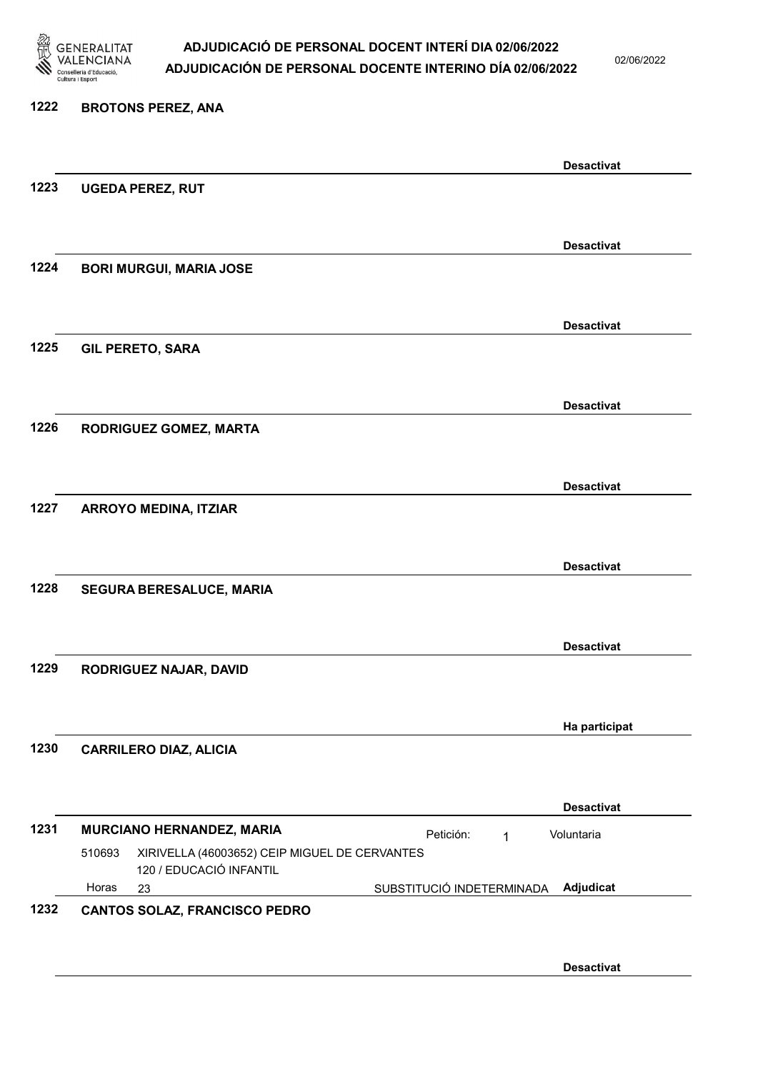

02/06/2022

Desactivat

Desactivat

Desactivat

Desactivat

Desactivat

Desactivat

Desactivat

Ha participat

# 1222 BROTONS PEREZ, ANA

1223 UGEDA PEREZ, RUT

1224 BORI MURGUI, MARIA JOSE

1225 GIL PERETO, SARA

1226 RODRIGUEZ GOMEZ, MARTA

1227 ARROYO MEDINA, ITZIAR

1228 SEGURA BERESALUCE, MARIA

1229 RODRIGUEZ NAJAR, DAVID

1230 CARRILERO DIAZ, ALICIA

Desactivat 1231 MURCIANO HERNANDEZ, MARIA **Petición:** 1 23 SUBSTITUCIÓ INDETERMINADA XIRIVELLA (46003652) CEIP MIGUEL DE CERVANTES 120 / EDUCACIÓ INFANTIL Adjudicat Voluntaria 510693 Horas

#### 1232 CANTOS SOLAZ, FRANCISCO PEDRO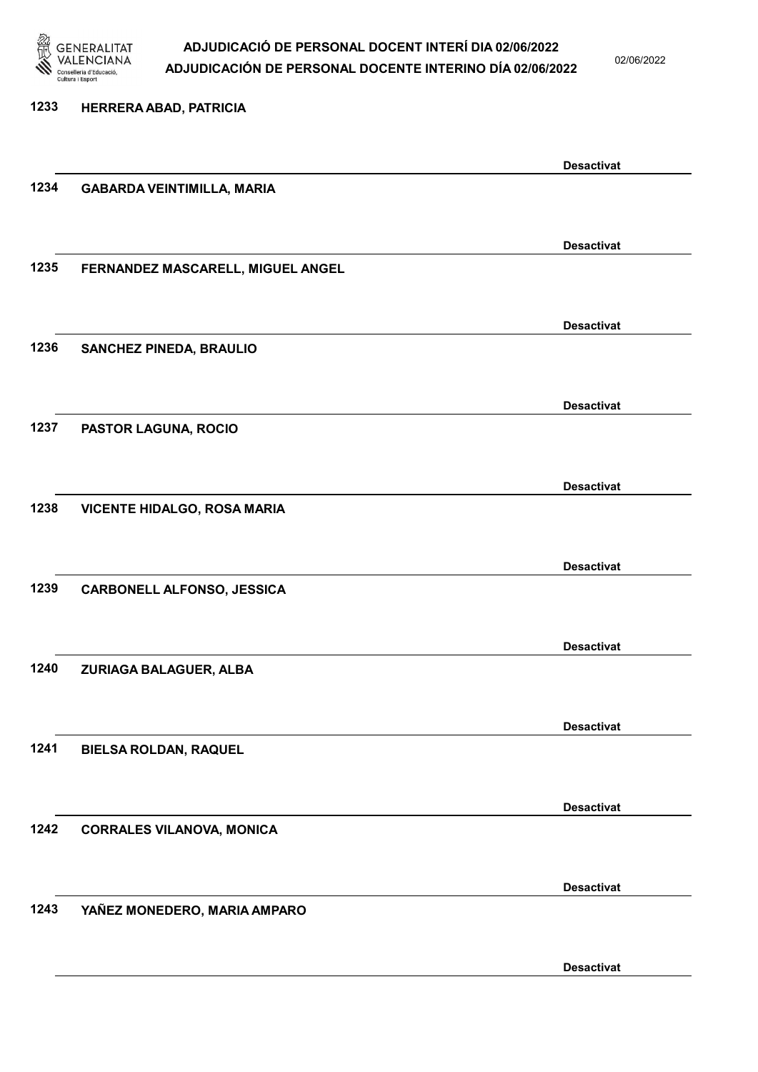

02/06/2022

Desactivat

# 1233 HERRERA ABAD, PATRICIA Desactivat 1234 GABARDA VEINTIMILLA, MARIA Desactivat 1235 FERNANDEZ MASCARELL, MIGUEL ANGEL Desactivat 1236 SANCHEZ PINEDA, BRAULIO Desactivat 1237 PASTOR LAGUNA, ROCIO Desactivat 1238 VICENTE HIDALGO, ROSA MARIA Desactivat 1239 CARBONELL ALFONSO, JESSICA Desactivat 1240 ZURIAGA BALAGUER, ALBA Desactivat 1241 BIELSA ROLDAN, RAQUEL Desactivat 1242 CORRALES VILANOVA, MONICA Desactivat 1243 YAÑEZ MONEDERO, MARIA AMPARO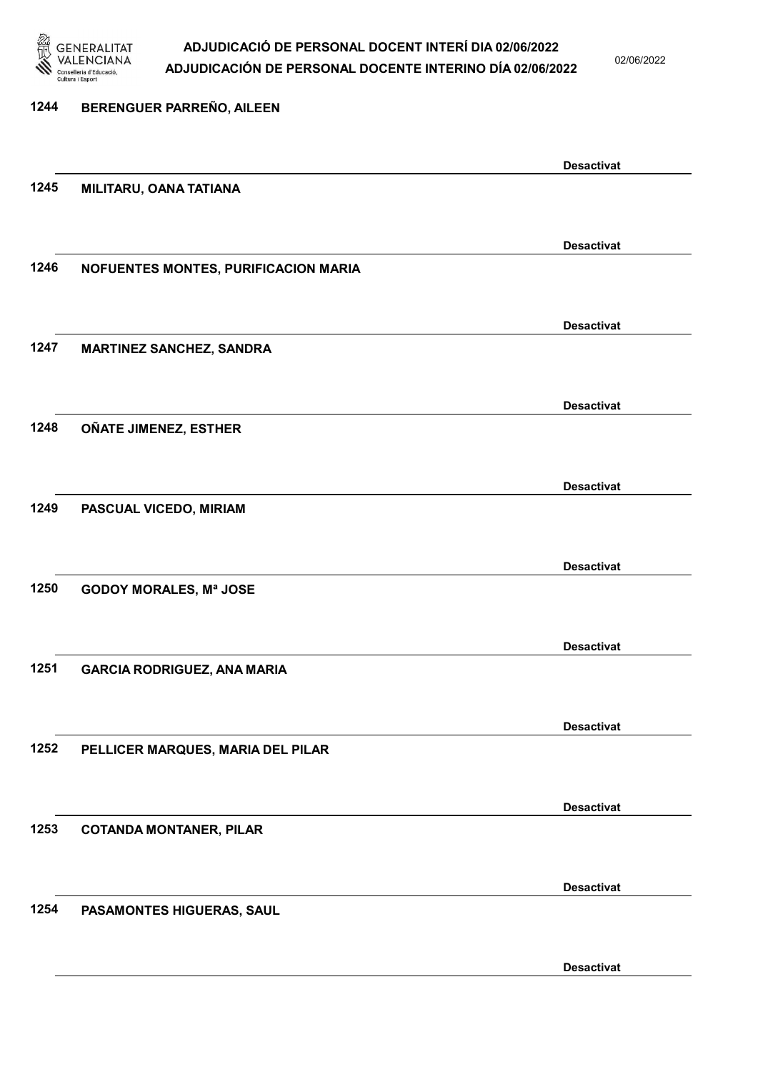

02/06/2022

### 1244 BERENGUER PARREÑO, AILEEN Desactivat 1245 MILITARU, OANA TATIANA Desactivat 1246 NOFUENTES MONTES, PURIFICACION MARIA Desactivat 1247 MARTINEZ SANCHEZ, SANDRA Desactivat 1248 OÑATE JIMENEZ, ESTHER Desactivat 1249 PASCUAL VICEDO, MIRIAM Desactivat 1250 GODOY MORALES, Mª JOSE Desactivat 1251 GARCIA RODRIGUEZ, ANA MARIA Desactivat 1252 PELLICER MARQUES, MARIA DEL PILAR Desactivat 1253 COTANDA MONTANER, PILAR Desactivat 1254 PASAMONTES HIGUERAS, SAUL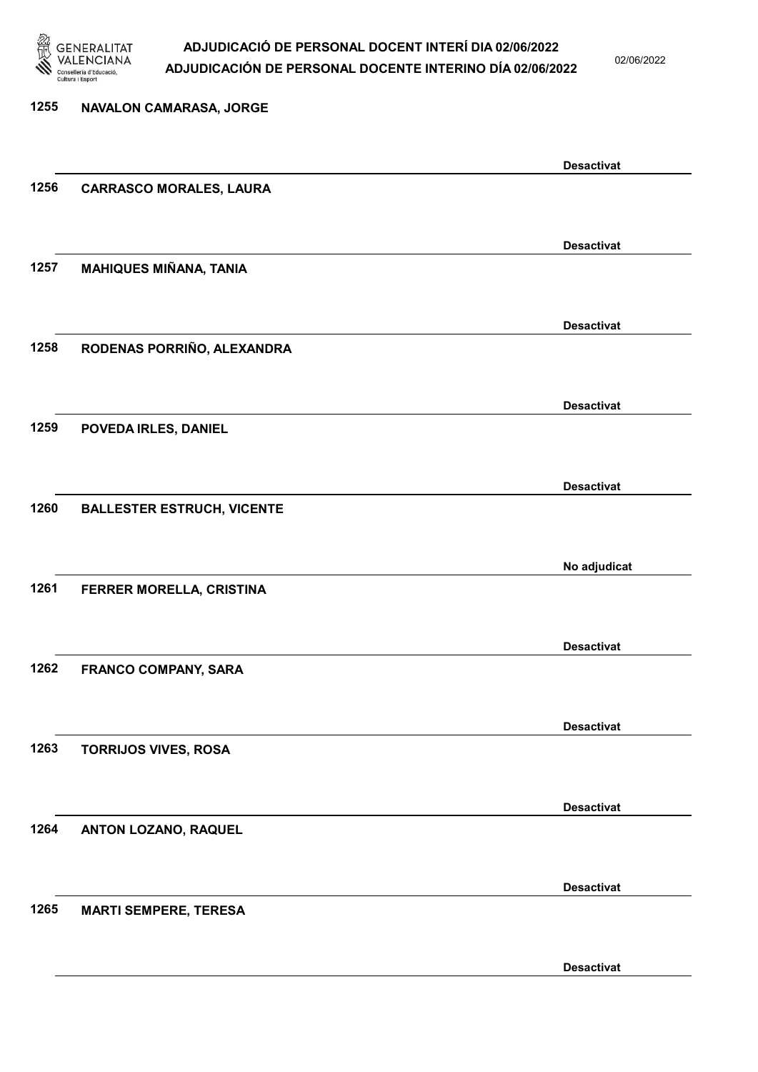

02/06/2022

| 1255 | NAVALON CAMARASA, JORGE           |                   |
|------|-----------------------------------|-------------------|
|      |                                   |                   |
|      |                                   | <b>Desactivat</b> |
| 1256 | <b>CARRASCO MORALES, LAURA</b>    |                   |
|      |                                   |                   |
|      |                                   | <b>Desactivat</b> |
| 1257 | <b>MAHIQUES MIÑANA, TANIA</b>     |                   |
|      |                                   |                   |
|      |                                   | <b>Desactivat</b> |
| 1258 | RODENAS PORRIÑO, ALEXANDRA        |                   |
|      |                                   |                   |
|      |                                   |                   |
|      |                                   | <b>Desactivat</b> |
| 1259 | POVEDA IRLES, DANIEL              |                   |
|      |                                   |                   |
|      |                                   | <b>Desactivat</b> |
| 1260 | <b>BALLESTER ESTRUCH, VICENTE</b> |                   |
|      |                                   |                   |
|      |                                   | No adjudicat      |
| 1261 | FERRER MORELLA, CRISTINA          |                   |
|      |                                   |                   |
|      |                                   | <b>Desactivat</b> |
| 1262 | <b>FRANCO COMPANY, SARA</b>       |                   |
|      |                                   |                   |
|      |                                   | <b>Desactivat</b> |
| 1263 | <b>TORRIJOS VIVES, ROSA</b>       |                   |
|      |                                   |                   |
|      |                                   |                   |
| 1264 |                                   | <b>Desactivat</b> |
|      | <b>ANTON LOZANO, RAQUEL</b>       |                   |
|      |                                   |                   |
|      |                                   | <b>Desactivat</b> |
| 1265 | <b>MARTI SEMPERE, TERESA</b>      |                   |
|      |                                   |                   |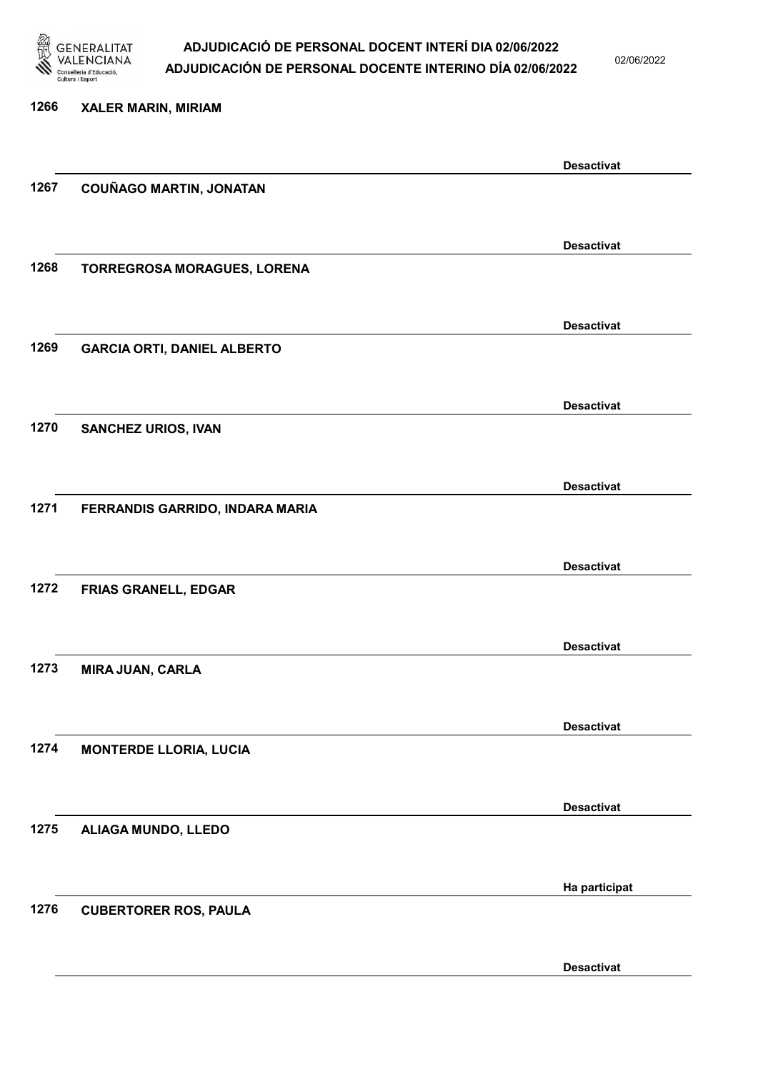

02/06/2022

| 1266 | <b>XALER MARIN, MIRIAM</b>         |                   |
|------|------------------------------------|-------------------|
|      |                                    |                   |
|      |                                    | <b>Desactivat</b> |
| 1267 | <b>COUÑAGO MARTIN, JONATAN</b>     |                   |
|      |                                    |                   |
|      |                                    | <b>Desactivat</b> |
| 1268 | TORREGROSA MORAGUES, LORENA        |                   |
|      |                                    |                   |
|      |                                    | <b>Desactivat</b> |
| 1269 | <b>GARCIA ORTI, DANIEL ALBERTO</b> |                   |
|      |                                    |                   |
|      |                                    | <b>Desactivat</b> |
| 1270 | <b>SANCHEZ URIOS, IVAN</b>         |                   |
|      |                                    |                   |
|      |                                    |                   |
| 1271 |                                    | <b>Desactivat</b> |
|      | FERRANDIS GARRIDO, INDARA MARIA    |                   |
|      |                                    |                   |
|      |                                    | <b>Desactivat</b> |
| 1272 | <b>FRIAS GRANELL, EDGAR</b>        |                   |
|      |                                    |                   |
|      |                                    | <b>Desactivat</b> |
| 1273 | <b>MIRA JUAN, CARLA</b>            |                   |
|      |                                    |                   |
|      |                                    | <b>Desactivat</b> |
| 1274 | <b>MONTERDE LLORIA, LUCIA</b>      |                   |
|      |                                    |                   |
|      |                                    | <b>Desactivat</b> |
| 1275 | ALIAGA MUNDO, LLEDO                |                   |
|      |                                    |                   |
|      |                                    | Ha participat     |
| 1276 | <b>CUBERTORER ROS, PAULA</b>       |                   |
|      |                                    |                   |
|      |                                    |                   |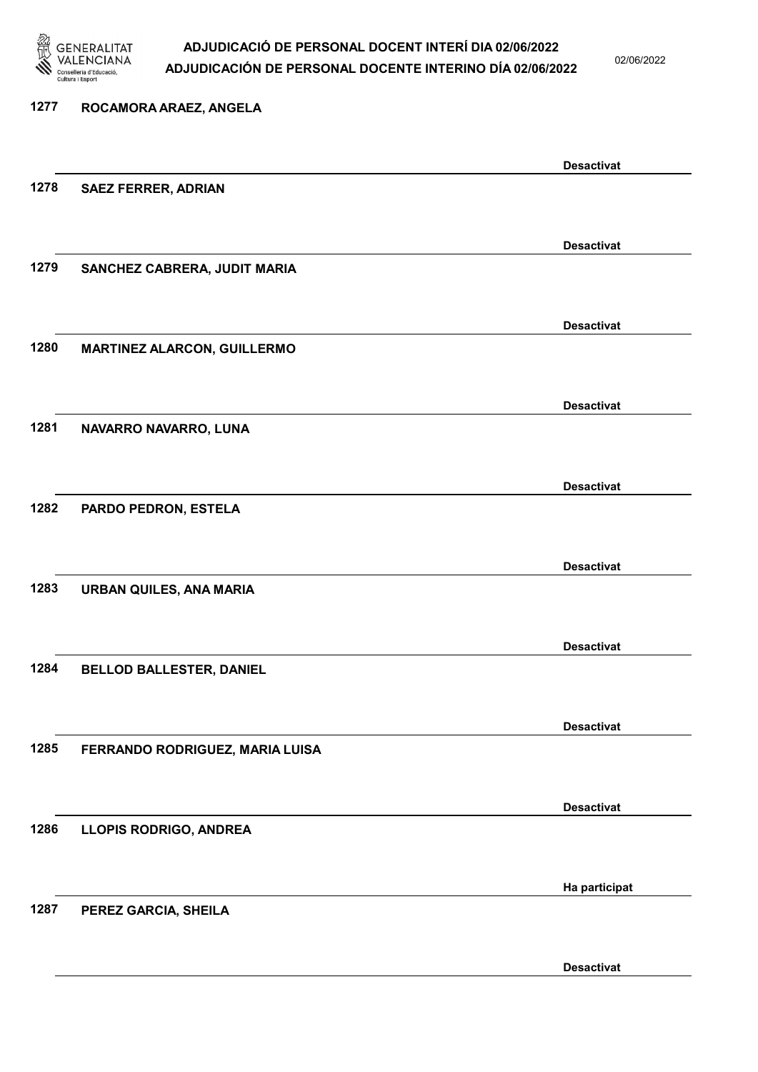

02/06/2022

Desactivat

## 1277 ROCAMORA ARAEZ, ANGELA Desactivat 1278 SAEZ FERRER, ADRIAN Desactivat 1279 SANCHEZ CABRERA, JUDIT MARIA Desactivat 1280 MARTINEZ ALARCON, GUILLERMO Desactivat 1281 NAVARRO NAVARRO, LUNA Desactivat 1282 PARDO PEDRON, ESTELA Desactivat 1283 URBAN QUILES, ANA MARIA Desactivat 1284 BELLOD BALLESTER, DANIEL Desactivat 1285 FERRANDO RODRIGUEZ, MARIA LUISA Desactivat 1286 LLOPIS RODRIGO, ANDREA Ha participat 1287 PEREZ GARCIA, SHEILA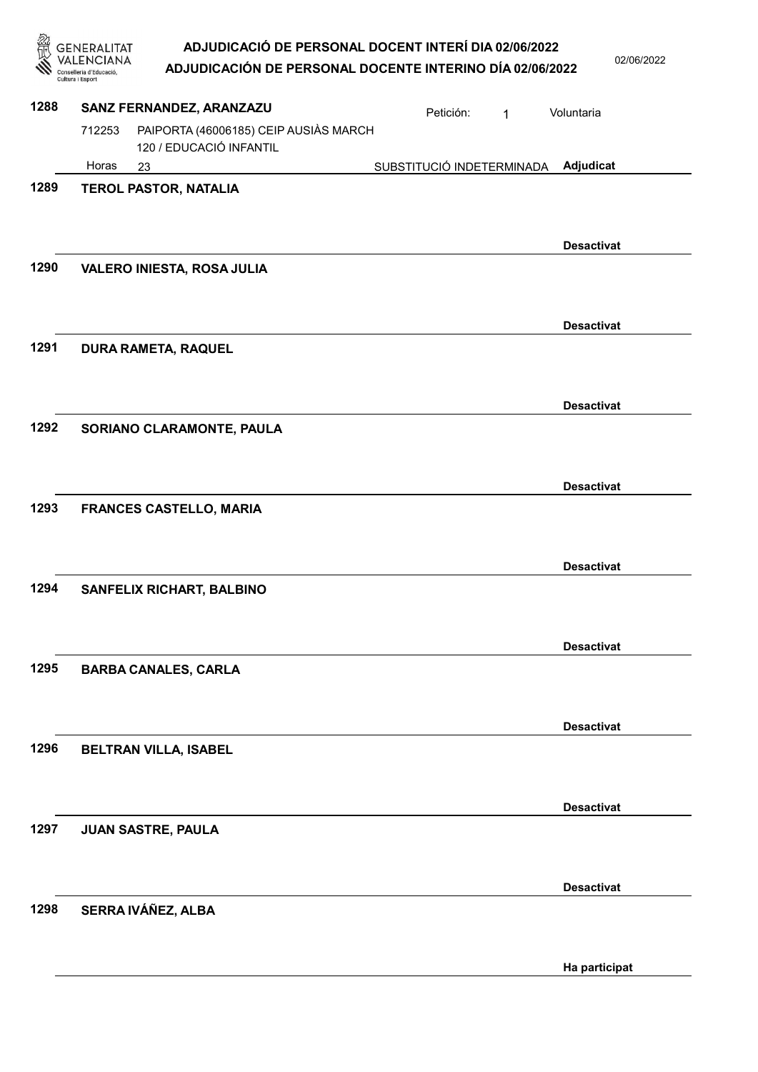|      | ADJUDICACIÓ DE PERSONAL DOCENT INTERÍ DIA 02/06/2022<br>GENERALITAT<br>NCIANA<br>ADJUDICACIÓN DE PERSONAL DOCENTE INTERINO DÍA 02/06/2022<br>onselleria d'Educació<br>Cultura i Esport |                           |              | 02/06/2022        |
|------|----------------------------------------------------------------------------------------------------------------------------------------------------------------------------------------|---------------------------|--------------|-------------------|
| 1288 | SANZ FERNANDEZ, ARANZAZU                                                                                                                                                               | Petición:                 | $\mathbf{1}$ | Voluntaria        |
|      | PAIPORTA (46006185) CEIP AUSIÀS MARCH<br>712253<br>120 / EDUCACIÓ INFANTIL                                                                                                             |                           |              |                   |
|      | Horas<br>23                                                                                                                                                                            | SUBSTITUCIÓ INDETERMINADA |              | Adjudicat         |
| 1289 | <b>TEROL PASTOR, NATALIA</b>                                                                                                                                                           |                           |              | <b>Desactivat</b> |
| 1290 | <b>VALERO INIESTA, ROSA JULIA</b>                                                                                                                                                      |                           |              | <b>Desactivat</b> |
| 1291 | <b>DURA RAMETA, RAQUEL</b>                                                                                                                                                             |                           |              |                   |
|      |                                                                                                                                                                                        |                           |              | <b>Desactivat</b> |
| 1292 | SORIANO CLARAMONTE, PAULA                                                                                                                                                              |                           |              | <b>Desactivat</b> |
| 1293 | <b>FRANCES CASTELLO, MARIA</b>                                                                                                                                                         |                           |              |                   |
| 1294 | SANFELIX RICHART, BALBINO                                                                                                                                                              |                           |              | <b>Desactivat</b> |
| 1295 | <b>BARBA CANALES, CARLA</b>                                                                                                                                                            |                           |              | <b>Desactivat</b> |
|      |                                                                                                                                                                                        |                           |              | <b>Desactivat</b> |
| 1296 | <b>BELTRAN VILLA, ISABEL</b>                                                                                                                                                           |                           |              |                   |
|      |                                                                                                                                                                                        |                           |              | <b>Desactivat</b> |
| 1297 | <b>JUAN SASTRE, PAULA</b>                                                                                                                                                              |                           |              |                   |
|      |                                                                                                                                                                                        |                           |              | <b>Desactivat</b> |
| 1298 | SERRA IVÁÑEZ, ALBA                                                                                                                                                                     |                           |              | Ha participat     |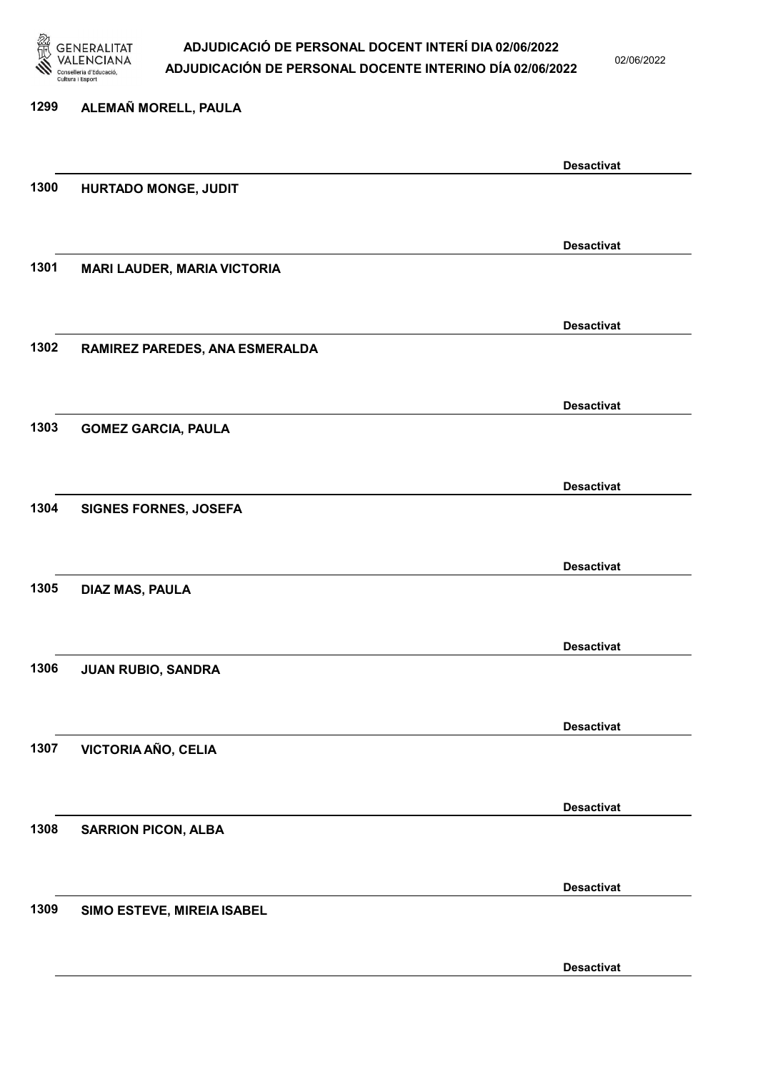

02/06/2022

| 1299 | ALEMAÑ MORELL, PAULA               |                   |
|------|------------------------------------|-------------------|
|      |                                    | <b>Desactivat</b> |
| 1300 | HURTADO MONGE, JUDIT               |                   |
|      |                                    | <b>Desactivat</b> |
| 1301 | <b>MARI LAUDER, MARIA VICTORIA</b> |                   |
|      |                                    | <b>Desactivat</b> |
| 1302 | RAMIREZ PAREDES, ANA ESMERALDA     |                   |
|      |                                    | <b>Desactivat</b> |
| 1303 | <b>GOMEZ GARCIA, PAULA</b>         |                   |
| 1304 | <b>SIGNES FORNES, JOSEFA</b>       | <b>Desactivat</b> |
|      |                                    |                   |
| 1305 | DIAZ MAS, PAULA                    | <b>Desactivat</b> |
|      |                                    |                   |
| 1306 | JUAN RUBIO, SANDRA                 | <b>Desactivat</b> |
|      |                                    |                   |
| 1307 | <b>VICTORIA AÑO, CELIA</b>         | <b>Desactivat</b> |
|      |                                    | <b>Desactivat</b> |
| 1308 | <b>SARRION PICON, ALBA</b>         |                   |
|      |                                    | <b>Desactivat</b> |
| 1309 | SIMO ESTEVE, MIREIA ISABEL         |                   |
|      |                                    | <b>Desactivat</b> |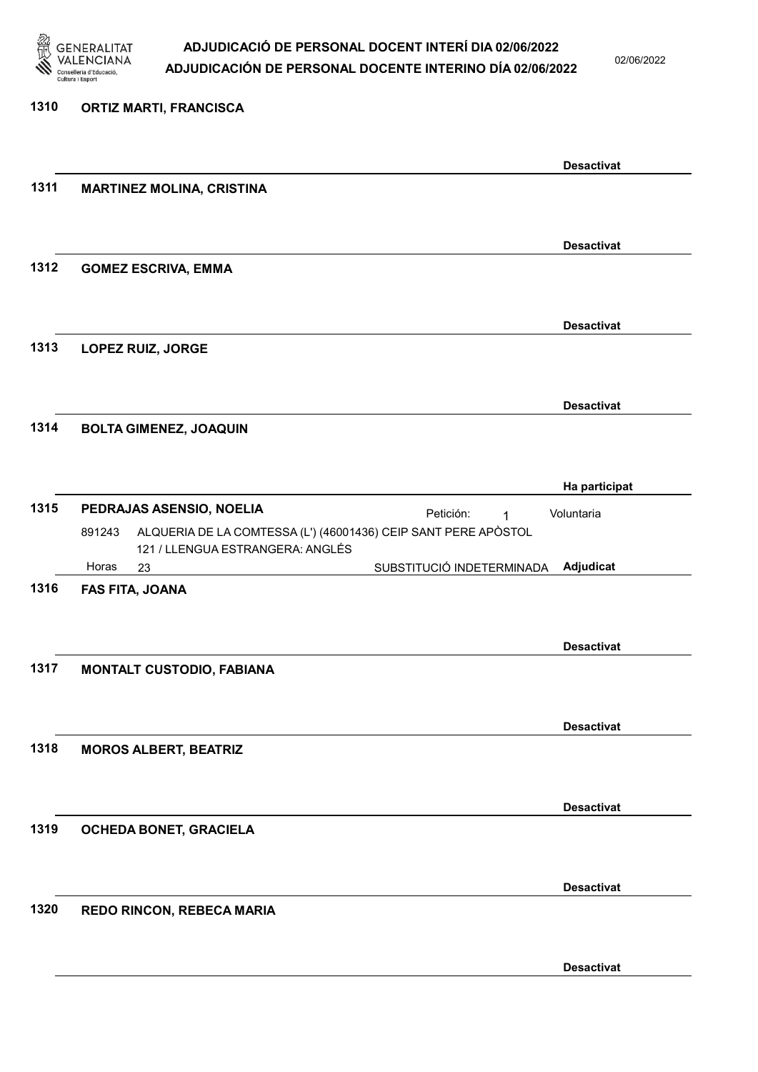

02/06/2022

#### 1310 ORTIZ MARTI, FRANCISCA

|      |                                                                          |                           | <b>Desactivat</b> |
|------|--------------------------------------------------------------------------|---------------------------|-------------------|
| 1311 | <b>MARTINEZ MOLINA, CRISTINA</b>                                         |                           |                   |
|      |                                                                          |                           |                   |
|      |                                                                          |                           |                   |
| 1312 |                                                                          |                           | <b>Desactivat</b> |
|      | <b>GOMEZ ESCRIVA, EMMA</b>                                               |                           |                   |
|      |                                                                          |                           |                   |
|      |                                                                          |                           | <b>Desactivat</b> |
| 1313 | LOPEZ RUIZ, JORGE                                                        |                           |                   |
|      |                                                                          |                           |                   |
|      |                                                                          |                           | <b>Desactivat</b> |
| 1314 | <b>BOLTA GIMENEZ, JOAQUIN</b>                                            |                           |                   |
|      |                                                                          |                           |                   |
|      |                                                                          |                           | Ha participat     |
| 1315 | PEDRAJAS ASENSIO, NOELIA                                                 |                           |                   |
|      | ALQUERIA DE LA COMTESSA (L') (46001436) CEIP SANT PERE APÒSTOL<br>891243 | Petición:<br>1            | Voluntaria        |
|      | 121 / LLENGUA ESTRANGERA: ANGLÉS                                         |                           |                   |
|      | Horas<br>23                                                              | SUBSTITUCIÓ INDETERMINADA | Adjudicat         |
| 1316 | FAS FITA, JOANA                                                          |                           |                   |
|      |                                                                          |                           |                   |
|      |                                                                          |                           | <b>Desactivat</b> |
| 1317 | <b>MONTALT CUSTODIO, FABIANA</b>                                         |                           |                   |
|      |                                                                          |                           |                   |
|      |                                                                          |                           | <b>Desactivat</b> |
| 1318 | <b>MOROS ALBERT, BEATRIZ</b>                                             |                           |                   |
|      |                                                                          |                           |                   |
|      |                                                                          |                           | <b>Desactivat</b> |
| 1319 | OCHEDA BONET, GRACIELA                                                   |                           |                   |
|      |                                                                          |                           |                   |
|      |                                                                          |                           |                   |
|      |                                                                          |                           | <b>Desactivat</b> |
| 1320 | REDO RINCON, REBECA MARIA                                                |                           |                   |
|      |                                                                          |                           |                   |
|      |                                                                          |                           | <b>Desactivat</b> |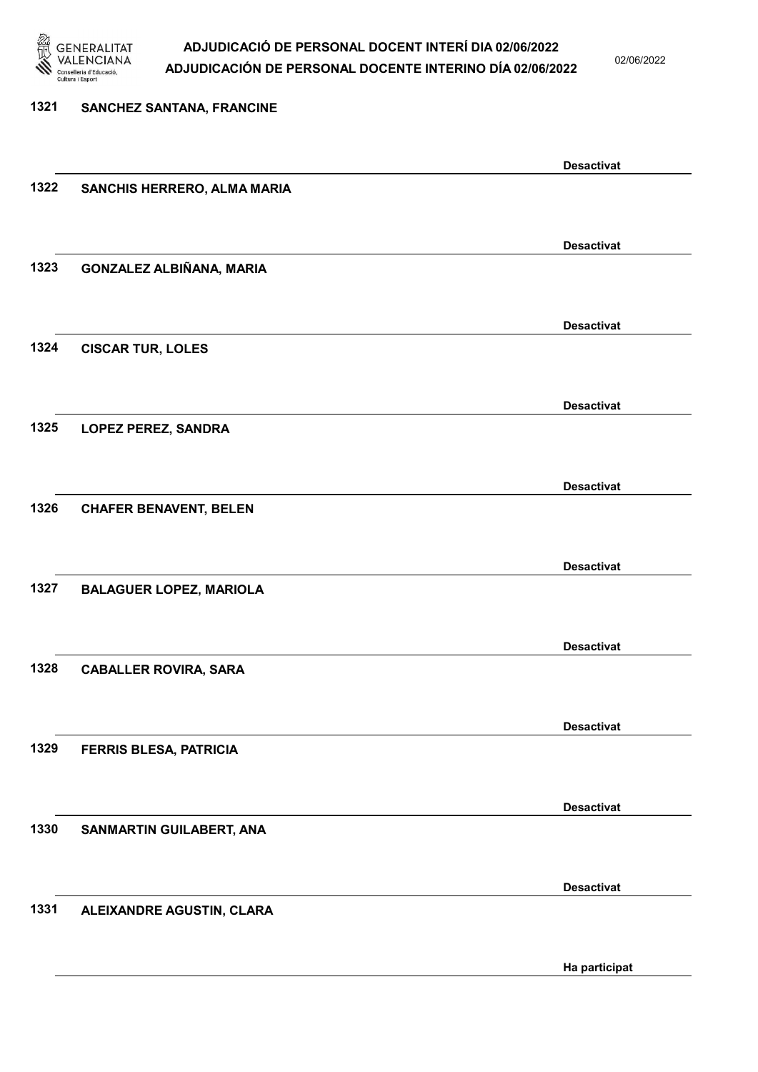

02/06/2022

### 1321 SANCHEZ SANTANA, FRANCINE Desactivat 1322 SANCHIS HERRERO, ALMA MARIA Desactivat 1323 GONZALEZ ALBIÑANA, MARIA Desactivat 1324 CISCAR TUR, LOLES Desactivat 1325 LOPEZ PEREZ, SANDRA Desactivat 1326 CHAFER BENAVENT, BELEN Desactivat 1327 BALAGUER LOPEZ, MARIOLA Desactivat 1328 CABALLER ROVIRA, SARA Desactivat 1329 FERRIS BLESA, PATRICIA Desactivat 1330 SANMARTIN GUILABERT, ANA Desactivat 1331 ALEIXANDRE AGUSTIN, CLARA Ha participat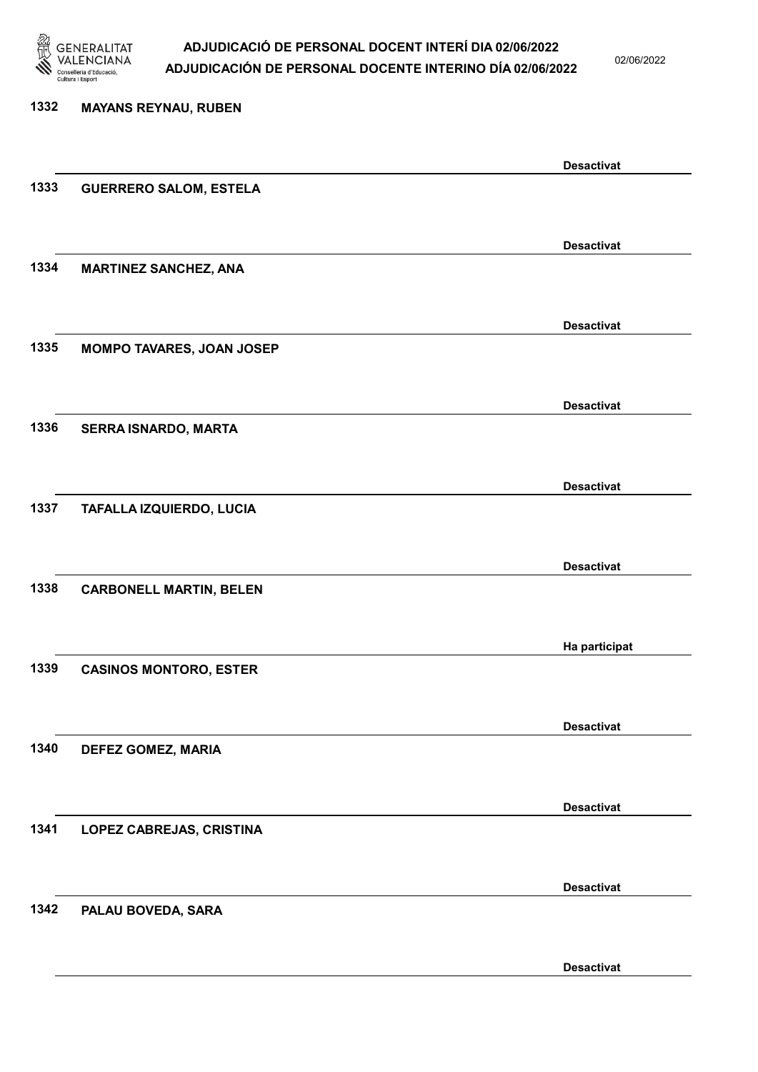

02/06/2022

| 1332 | <b>MAYANS REYNAU, RUBEN</b>    |                   |
|------|--------------------------------|-------------------|
|      |                                |                   |
|      |                                | <b>Desactivat</b> |
| 1333 | <b>GUERRERO SALOM, ESTELA</b>  |                   |
|      |                                |                   |
|      |                                | <b>Desactivat</b> |
| 1334 | <b>MARTINEZ SANCHEZ, ANA</b>   |                   |
|      |                                |                   |
|      |                                | <b>Desactivat</b> |
| 1335 | MOMPO TAVARES, JOAN JOSEP      |                   |
|      |                                |                   |
|      |                                | <b>Desactivat</b> |
| 1336 | SERRA ISNARDO, MARTA           |                   |
|      |                                |                   |
|      |                                |                   |
| 1337 |                                | <b>Desactivat</b> |
|      | TAFALLA IZQUIERDO, LUCIA       |                   |
|      |                                |                   |
|      |                                | <b>Desactivat</b> |
| 1338 | <b>CARBONELL MARTIN, BELEN</b> |                   |
|      |                                |                   |
|      |                                | Ha participat     |
| 1339 | <b>CASINOS MONTORO, ESTER</b>  |                   |
|      |                                |                   |
|      |                                | <b>Desactivat</b> |
| 1340 | <b>DEFEZ GOMEZ, MARIA</b>      |                   |
|      |                                |                   |
|      |                                | <b>Desactivat</b> |
| 1341 | LOPEZ CABREJAS, CRISTINA       |                   |
|      |                                |                   |
|      |                                |                   |
| 1342 |                                | <b>Desactivat</b> |
|      | PALAU BOVEDA, SARA             |                   |
|      |                                |                   |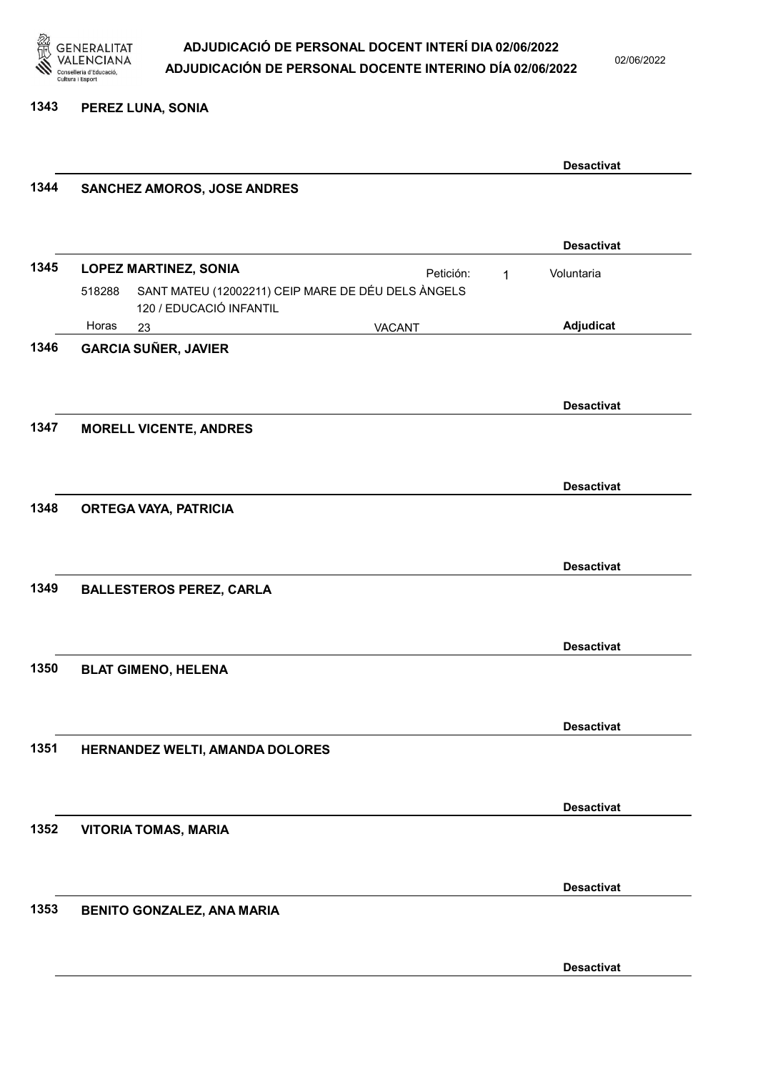

02/06/2022

1343 PEREZ LUNA, SONIA

|      |                                                              |           |   | <b>Desactivat</b> |  |
|------|--------------------------------------------------------------|-----------|---|-------------------|--|
| 1344 | SANCHEZ AMOROS, JOSE ANDRES                                  |           |   |                   |  |
|      |                                                              |           |   |                   |  |
|      |                                                              |           |   | <b>Desactivat</b> |  |
| 1345 | <b>LOPEZ MARTINEZ, SONIA</b>                                 | Petición: |   | Voluntaria        |  |
|      | SANT MATEU (12002211) CEIP MARE DE DÉU DELS ÀNGELS<br>518288 |           | 1 |                   |  |
|      | 120 / EDUCACIÓ INFANTIL                                      |           |   |                   |  |
|      | Horas<br>23                                                  | VACANT    |   | Adjudicat         |  |
| 1346 | <b>GARCIA SUÑER, JAVIER</b>                                  |           |   |                   |  |
|      |                                                              |           |   |                   |  |
|      |                                                              |           |   | <b>Desactivat</b> |  |
| 1347 | <b>MORELL VICENTE, ANDRES</b>                                |           |   |                   |  |
|      |                                                              |           |   |                   |  |
|      |                                                              |           |   |                   |  |
|      |                                                              |           |   | <b>Desactivat</b> |  |
| 1348 | <b>ORTEGA VAYA, PATRICIA</b>                                 |           |   |                   |  |
|      |                                                              |           |   |                   |  |
|      |                                                              |           |   | <b>Desactivat</b> |  |
| 1349 | <b>BALLESTEROS PEREZ, CARLA</b>                              |           |   |                   |  |
|      |                                                              |           |   |                   |  |
|      |                                                              |           |   |                   |  |
|      |                                                              |           |   | <b>Desactivat</b> |  |
| 1350 | <b>BLAT GIMENO, HELENA</b>                                   |           |   |                   |  |
|      |                                                              |           |   |                   |  |
|      |                                                              |           |   | <b>Desactivat</b> |  |
| 1351 | HERNANDEZ WELTI, AMANDA DOLORES                              |           |   |                   |  |
|      |                                                              |           |   |                   |  |
|      |                                                              |           |   |                   |  |
| 1352 |                                                              |           |   | <b>Desactivat</b> |  |
|      | <b>VITORIA TOMAS, MARIA</b>                                  |           |   |                   |  |
|      |                                                              |           |   |                   |  |
|      |                                                              |           |   | <b>Desactivat</b> |  |
| 1353 | <b>BENITO GONZALEZ, ANA MARIA</b>                            |           |   |                   |  |
|      |                                                              |           |   |                   |  |
|      |                                                              |           |   | <b>Desactivat</b> |  |
|      |                                                              |           |   |                   |  |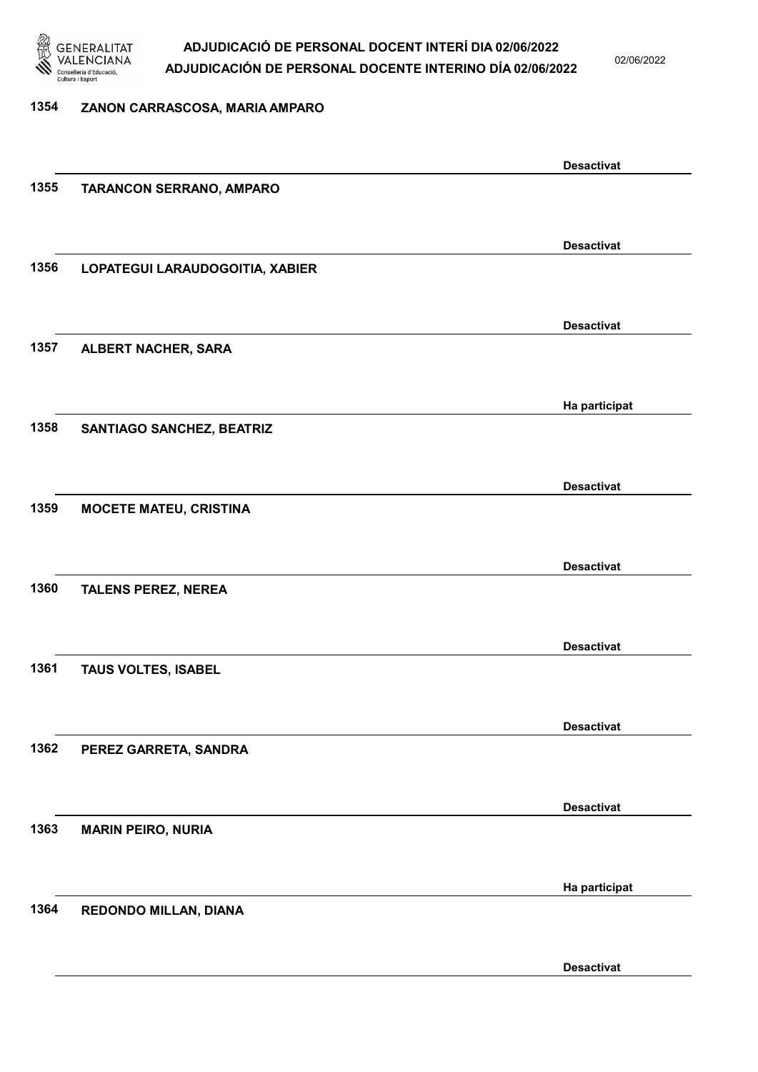

02/06/2022

#### 1354 ZANON CARRASCOSA, MARIA AMPARO

|      |                                  | <b>Desactivat</b> |
|------|----------------------------------|-------------------|
| 1355 | TARANCON SERRANO, AMPARO         |                   |
|      |                                  |                   |
|      |                                  | <b>Desactivat</b> |
| 1356 | LOPATEGUI LARAUDOGOITIA, XABIER  |                   |
|      |                                  |                   |
|      |                                  |                   |
|      |                                  | <b>Desactivat</b> |
| 1357 | ALBERT NACHER, SARA              |                   |
|      |                                  |                   |
|      |                                  | Ha participat     |
| 1358 | <b>SANTIAGO SANCHEZ, BEATRIZ</b> |                   |
|      |                                  |                   |
|      |                                  |                   |
|      |                                  | <b>Desactivat</b> |
| 1359 | <b>MOCETE MATEU, CRISTINA</b>    |                   |
|      |                                  |                   |
|      |                                  | <b>Desactivat</b> |
| 1360 | <b>TALENS PEREZ, NEREA</b>       |                   |
|      |                                  |                   |
|      |                                  | <b>Desactivat</b> |
| 1361 | TAUS VOLTES, ISABEL              |                   |
|      |                                  |                   |
|      |                                  |                   |
|      |                                  | <b>Desactivat</b> |
| 1362 | PEREZ GARRETA, SANDRA            |                   |
|      |                                  |                   |
|      |                                  | <b>Desactivat</b> |
| 1363 | <b>MARIN PEIRO, NURIA</b>        |                   |
|      |                                  |                   |
|      |                                  |                   |
|      |                                  | Ha participat     |
| 1364 | REDONDO MILLAN, DIANA            |                   |
|      |                                  |                   |
|      |                                  | <b>Desactivat</b> |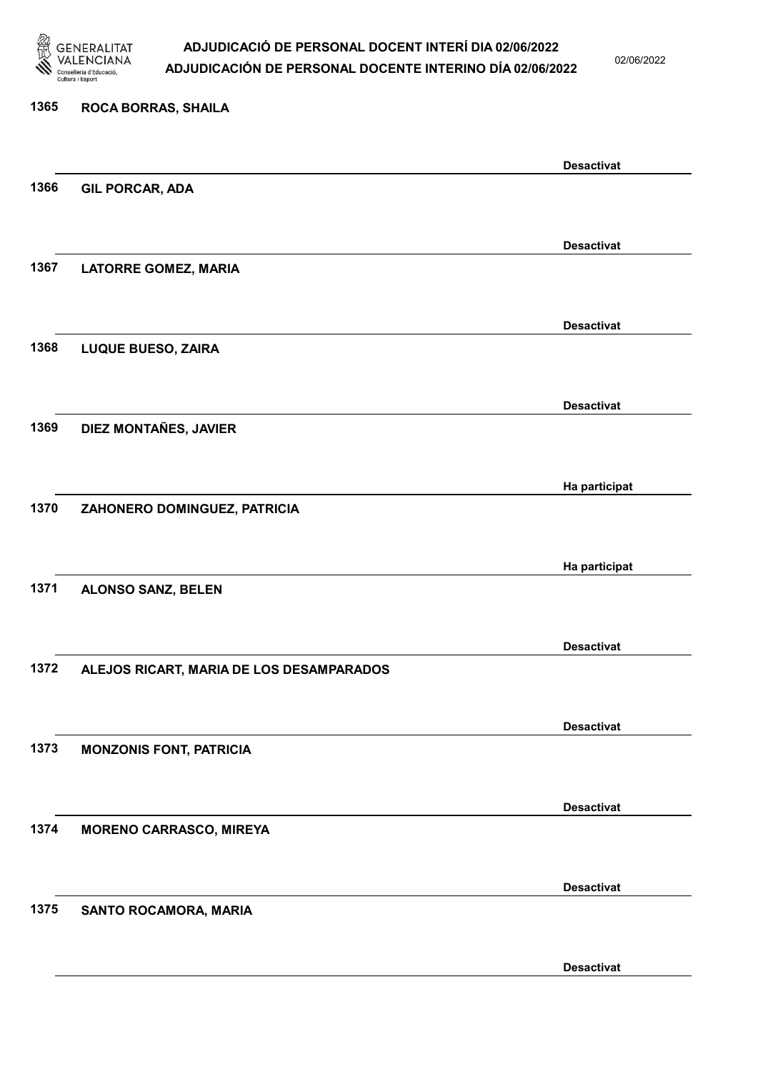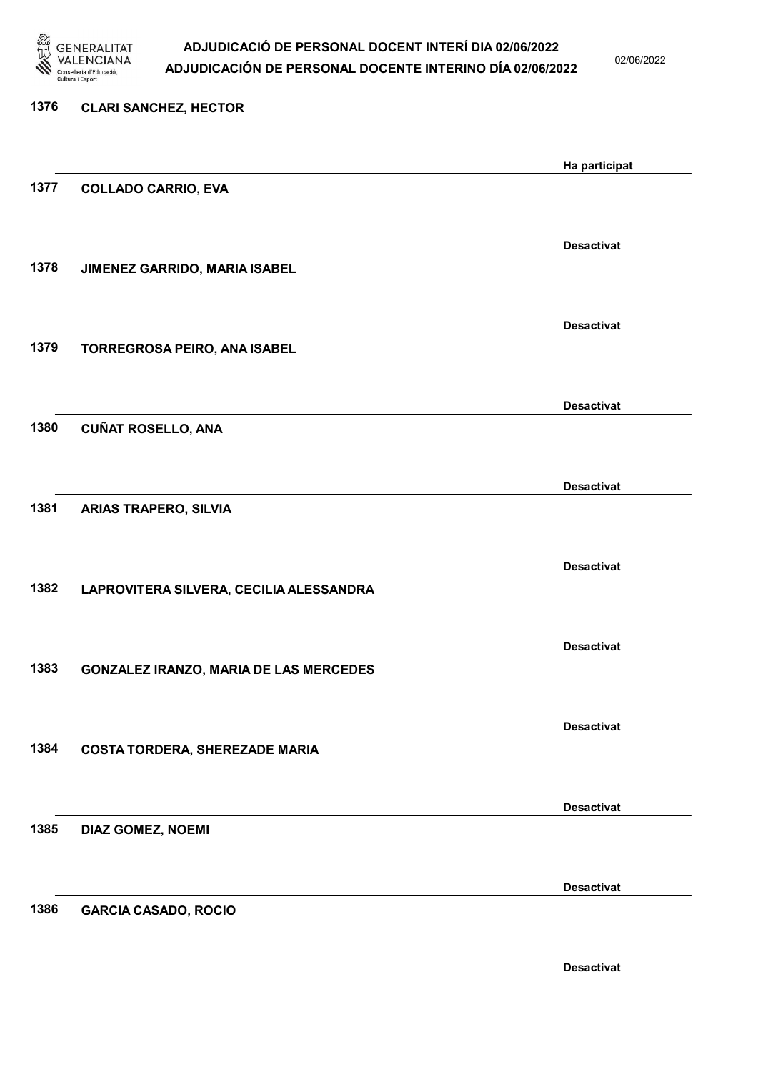

02/06/2022

| 1376 | <b>CLARI SANCHEZ, HECTOR</b>                  |                   |
|------|-----------------------------------------------|-------------------|
|      |                                               | Ha participat     |
| 1377 | <b>COLLADO CARRIO, EVA</b>                    |                   |
|      |                                               | <b>Desactivat</b> |
| 1378 | JIMENEZ GARRIDO, MARIA ISABEL                 |                   |
|      |                                               | <b>Desactivat</b> |
| 1379 | TORREGROSA PEIRO, ANA ISABEL                  |                   |
|      |                                               | <b>Desactivat</b> |
| 1380 | <b>CUÑAT ROSELLO, ANA</b>                     |                   |
|      |                                               | <b>Desactivat</b> |
| 1381 | <b>ARIAS TRAPERO, SILVIA</b>                  |                   |
|      |                                               | <b>Desactivat</b> |
| 1382 | LAPROVITERA SILVERA, CECILIA ALESSANDRA       |                   |
|      |                                               | <b>Desactivat</b> |
| 1383 | <b>GONZALEZ IRANZO, MARIA DE LAS MERCEDES</b> |                   |
|      |                                               | <b>Desactivat</b> |
| 1384 | <b>COSTA TORDERA, SHEREZADE MARIA</b>         |                   |
|      |                                               | <b>Desactivat</b> |
| 1385 | DIAZ GOMEZ, NOEMI                             |                   |
|      |                                               | <b>Desactivat</b> |
| 1386 | <b>GARCIA CASADO, ROCIO</b>                   |                   |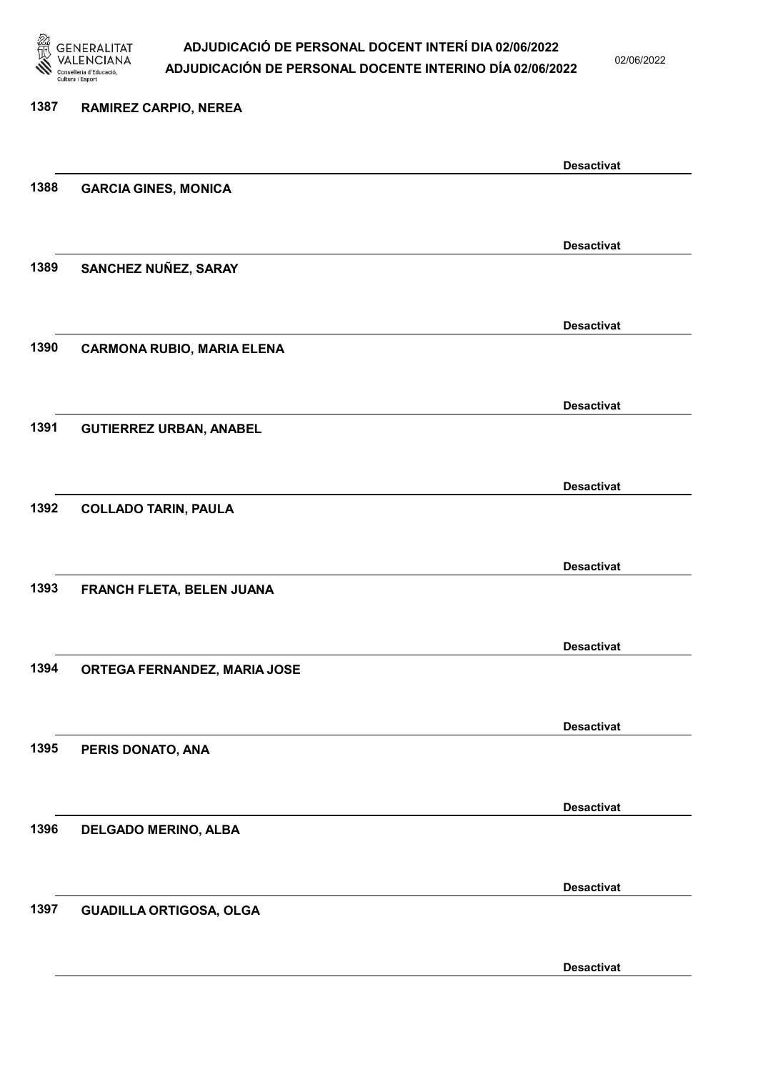

02/06/2022

Desactivat

# 1387 RAMIREZ CARPIO, NEREA Desactivat 1388 GARCIA GINES, MONICA Desactivat 1389 SANCHEZ NUÑEZ, SARAY Desactivat 1390 CARMONA RUBIO, MARIA ELENA Desactivat 1391 GUTIERREZ URBAN, ANABEL Desactivat 1392 COLLADO TARIN, PAULA Desactivat 1393 FRANCH FLETA, BELEN JUANA Desactivat 1394 ORTEGA FERNANDEZ, MARIA JOSE Desactivat 1395 PERIS DONATO, ANA Desactivat 1396 DELGADO MERINO, ALBA Desactivat 1397 GUADILLA ORTIGOSA, OLGA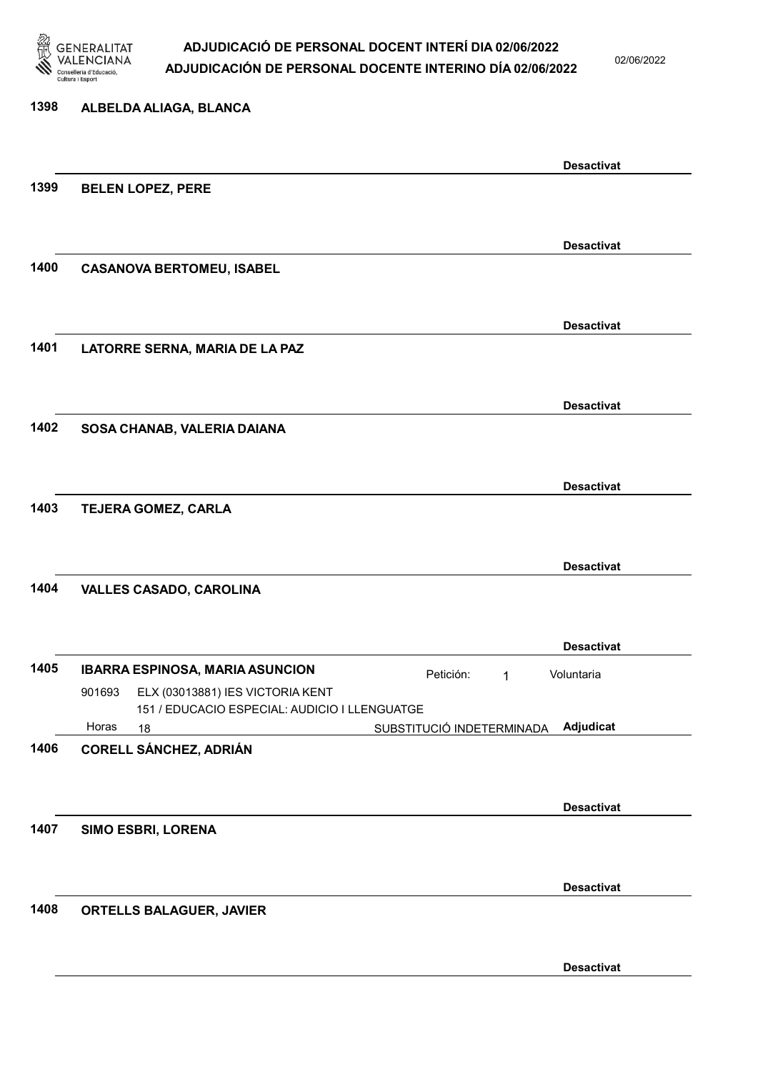

02/06/2022

### 1398 ALBELDA ALIAGA, BLANCA Desactivat 1399 BELEN LOPEZ, PERE Desactivat 1400 CASANOVA BERTOMEU, ISABEL Desactivat 1401 LATORRE SERNA, MARIA DE LA PAZ Desactivat 1402 SOSA CHANAB, VALERIA DAIANA Desactivat 1403 TEJERA GOMEZ, CARLA Desactivat 1404 VALLES CASADO, CAROLINA Desactivat 1405 IBARRA ESPINOSA, MARIA ASUNCION Petición: 1 18 SUBSTITUCIÓ INDETERMINADA ELX (03013881) IES VICTORIA KENT 151 / EDUCACIO ESPECIAL: AUDICIO I LLENGUATGE Adjudicat Voluntaria 901693 Horas 1406 CORELL SÁNCHEZ, ADRIÁN Desactivat 1407 SIMO ESBRI, LORENA Desactivat 1408 ORTELLS BALAGUER, JAVIER Desactivat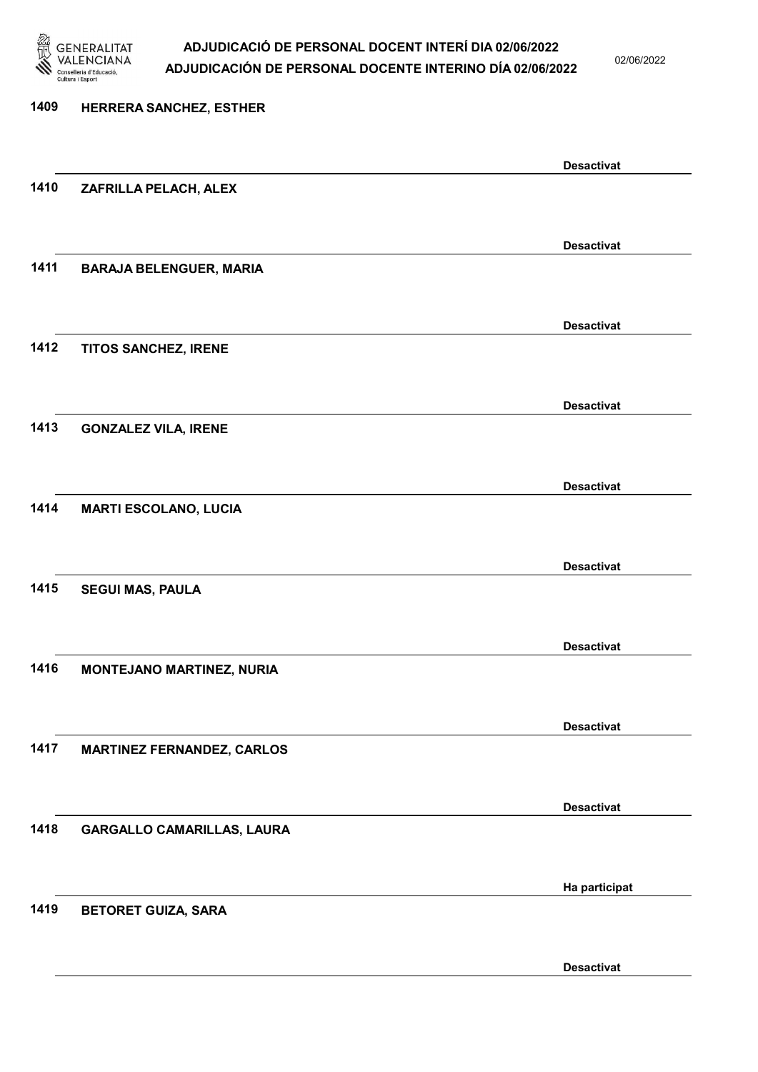

02/06/2022

| 1409 | HERRERA SANCHEZ, ESTHER           |                   |
|------|-----------------------------------|-------------------|
|      |                                   | <b>Desactivat</b> |
| 1410 | ZAFRILLA PELACH, ALEX             |                   |
|      |                                   | <b>Desactivat</b> |
| 1411 | <b>BARAJA BELENGUER, MARIA</b>    |                   |
|      |                                   | <b>Desactivat</b> |
| 1412 | TITOS SANCHEZ, IRENE              |                   |
|      |                                   | <b>Desactivat</b> |
| 1413 | <b>GONZALEZ VILA, IRENE</b>       |                   |
|      |                                   | <b>Desactivat</b> |
| 1414 | <b>MARTI ESCOLANO, LUCIA</b>      |                   |
|      |                                   | <b>Desactivat</b> |
| 1415 | <b>SEGUI MAS, PAULA</b>           |                   |
|      |                                   | <b>Desactivat</b> |
| 1416 | <b>MONTEJANO MARTINEZ, NURIA</b>  |                   |
|      |                                   | <b>Desactivat</b> |
| 1417 | <b>MARTINEZ FERNANDEZ, CARLOS</b> |                   |
|      |                                   | <b>Desactivat</b> |
| 1418 | GARGALLO CAMARILLAS, LAURA        |                   |
|      |                                   | Ha participat     |
| 1419 | <b>BETORET GUIZA, SARA</b>        |                   |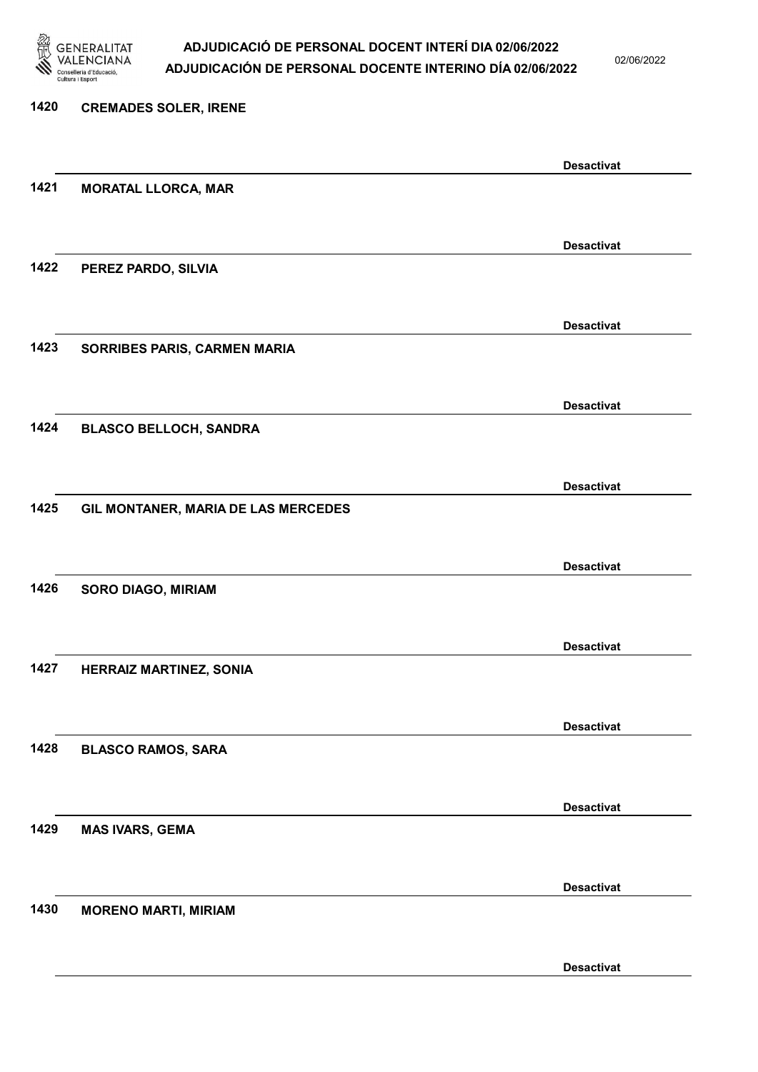

02/06/2022

Desactivat

# 1420 CREMADES SOLER, IRENE Desactivat 1421 MORATAL LLORCA, MAR Desactivat 1422 PEREZ PARDO, SILVIA Desactivat 1423 SORRIBES PARIS, CARMEN MARIA Desactivat 1424 BLASCO BELLOCH, SANDRA Desactivat 1425 GIL MONTANER, MARIA DE LAS MERCEDES Desactivat 1426 SORO DIAGO, MIRIAM Desactivat 1427 HERRAIZ MARTINEZ, SONIA Desactivat 1428 BLASCO RAMOS, SARA Desactivat 1429 MAS IVARS, GEMA Desactivat 1430 MORENO MARTI, MIRIAM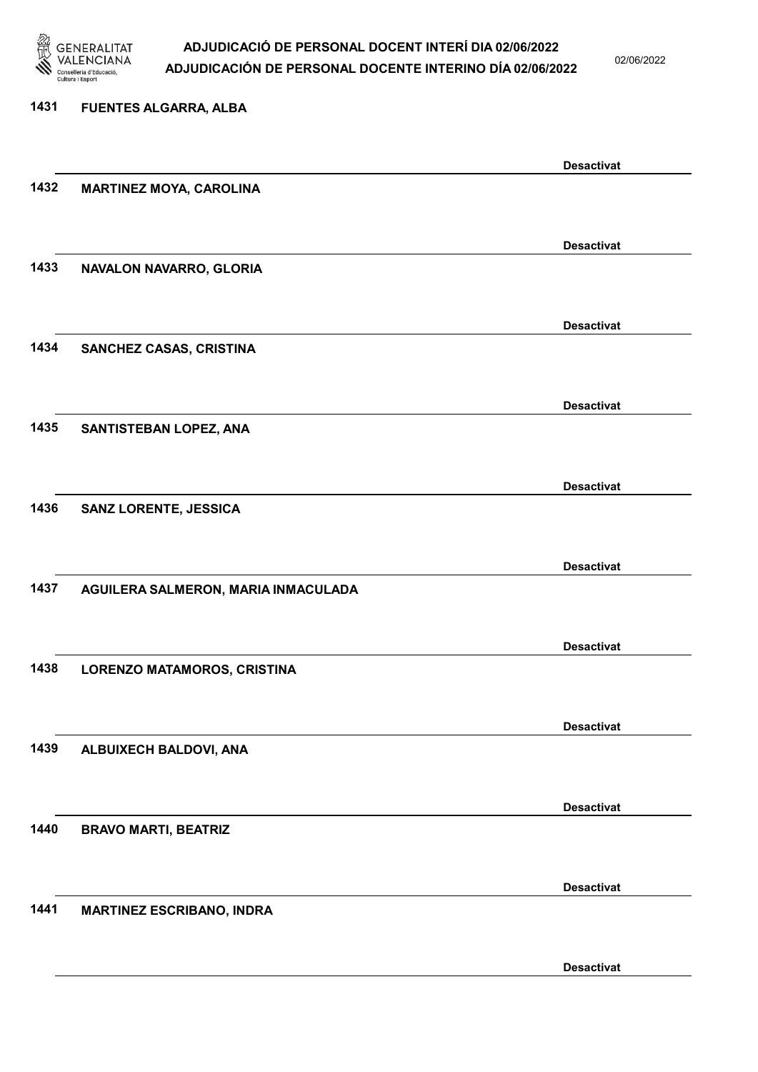

02/06/2022

### 1431 FUENTES ALGARRA, ALBA Desactivat 1432 MARTINEZ MOYA, CAROLINA Desactivat 1433 NAVALON NAVARRO, GLORIA Desactivat 1434 SANCHEZ CASAS, CRISTINA Desactivat 1435 SANTISTEBAN LOPEZ, ANA Desactivat 1436 SANZ LORENTE, JESSICA Desactivat 1437 AGUILERA SALMERON, MARIA INMACULADA Desactivat 1438 LORENZO MATAMOROS, CRISTINA Desactivat 1439 ALBUIXECH BALDOVI, ANA Desactivat 1440 BRAVO MARTI, BEATRIZ Desactivat 1441 MARTINEZ ESCRIBANO, INDRA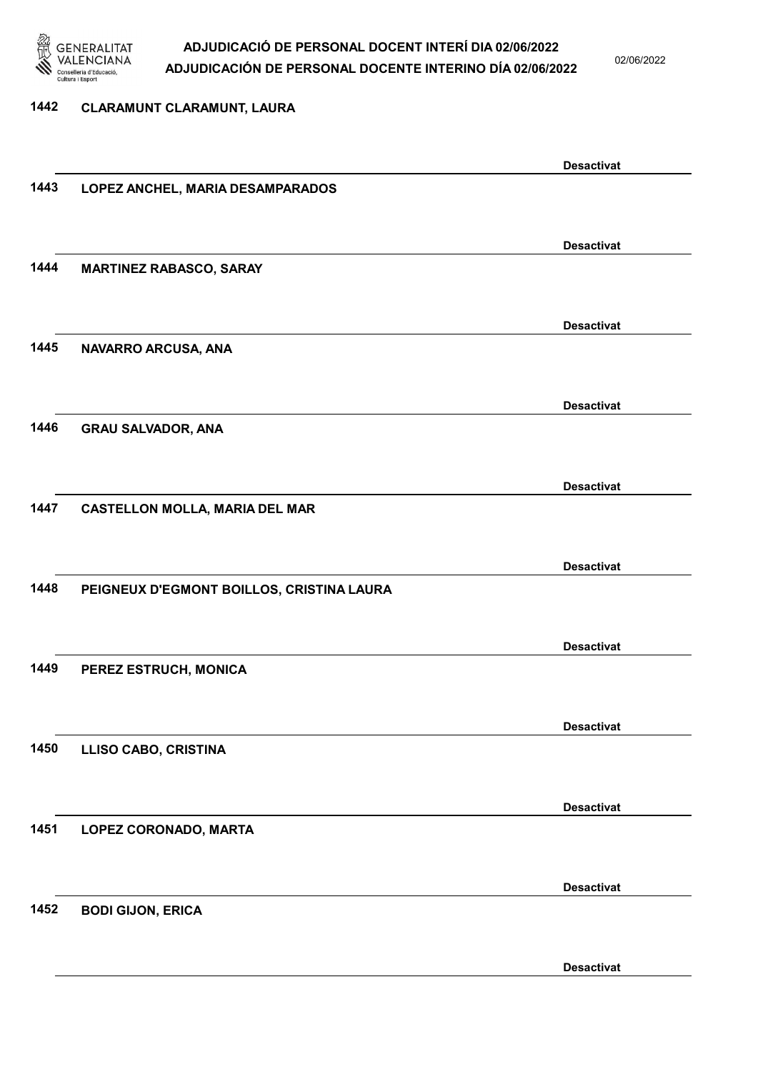

02/06/2022

#### 1442 CLARAMUNT CLARAMUNT, LAURA

|      |                                           | <b>Desactivat</b> |
|------|-------------------------------------------|-------------------|
| 1443 | LOPEZ ANCHEL, MARIA DESAMPARADOS          |                   |
|      |                                           |                   |
|      |                                           | <b>Desactivat</b> |
| 1444 | <b>MARTINEZ RABASCO, SARAY</b>            |                   |
|      |                                           |                   |
|      |                                           | <b>Desactivat</b> |
| 1445 | NAVARRO ARCUSA, ANA                       |                   |
|      |                                           |                   |
|      |                                           | <b>Desactivat</b> |
| 1446 | <b>GRAU SALVADOR, ANA</b>                 |                   |
|      |                                           |                   |
|      |                                           | <b>Desactivat</b> |
| 1447 | <b>CASTELLON MOLLA, MARIA DEL MAR</b>     |                   |
|      |                                           |                   |
|      |                                           | <b>Desactivat</b> |
| 1448 | PEIGNEUX D'EGMONT BOILLOS, CRISTINA LAURA |                   |
|      |                                           |                   |
|      |                                           | <b>Desactivat</b> |
| 1449 | PEREZ ESTRUCH, MONICA                     |                   |
|      |                                           |                   |
|      |                                           | <b>Desactivat</b> |
| 1450 | <b>LLISO CABO, CRISTINA</b>               |                   |
|      |                                           |                   |
|      |                                           | <b>Desactivat</b> |
| 1451 | LOPEZ CORONADO, MARTA                     |                   |
|      |                                           |                   |
|      |                                           | <b>Desactivat</b> |
| 1452 | <b>BODI GIJON, ERICA</b>                  |                   |
|      |                                           |                   |
|      |                                           | <b>Desactivat</b> |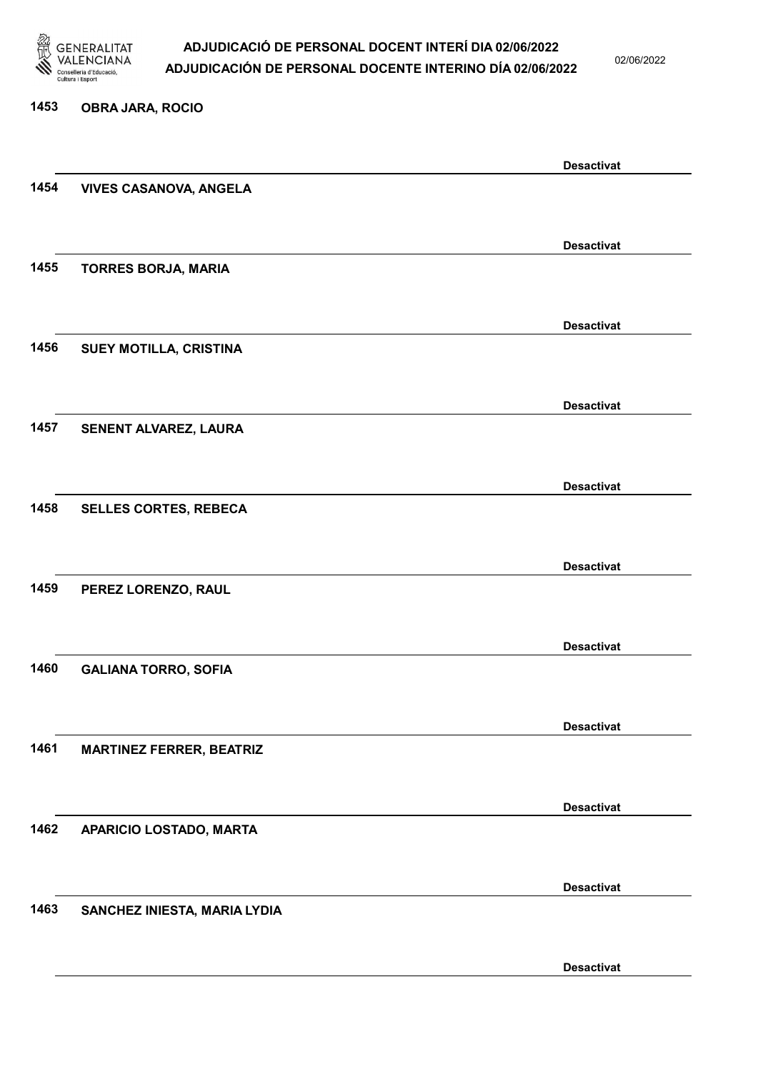

02/06/2022

#### 1453 OBRA JARA, ROCIO

|      |                                 | <b>Desactivat</b> |
|------|---------------------------------|-------------------|
| 1454 | <b>VIVES CASANOVA, ANGELA</b>   |                   |
|      |                                 |                   |
|      |                                 | <b>Desactivat</b> |
| 1455 | <b>TORRES BORJA, MARIA</b>      |                   |
|      |                                 |                   |
|      |                                 | <b>Desactivat</b> |
| 1456 | SUEY MOTILLA, CRISTINA          |                   |
|      |                                 |                   |
|      |                                 |                   |
|      |                                 | <b>Desactivat</b> |
| 1457 | SENENT ALVAREZ, LAURA           |                   |
|      |                                 |                   |
|      |                                 | <b>Desactivat</b> |
| 1458 | <b>SELLES CORTES, REBECA</b>    |                   |
|      |                                 |                   |
|      |                                 | <b>Desactivat</b> |
| 1459 | PEREZ LORENZO, RAUL             |                   |
|      |                                 |                   |
|      |                                 | <b>Desactivat</b> |
| 1460 | <b>GALIANA TORRO, SOFIA</b>     |                   |
|      |                                 |                   |
|      |                                 | <b>Desactivat</b> |
| 1461 | <b>MARTINEZ FERRER, BEATRIZ</b> |                   |
|      |                                 |                   |
|      |                                 |                   |
| 1462 | APARICIO LOSTADO, MARTA         | <b>Desactivat</b> |
|      |                                 |                   |
|      |                                 |                   |
|      |                                 | <b>Desactivat</b> |
| 1463 | SANCHEZ INIESTA, MARIA LYDIA    |                   |
|      |                                 |                   |
|      |                                 | <b>Desactivat</b> |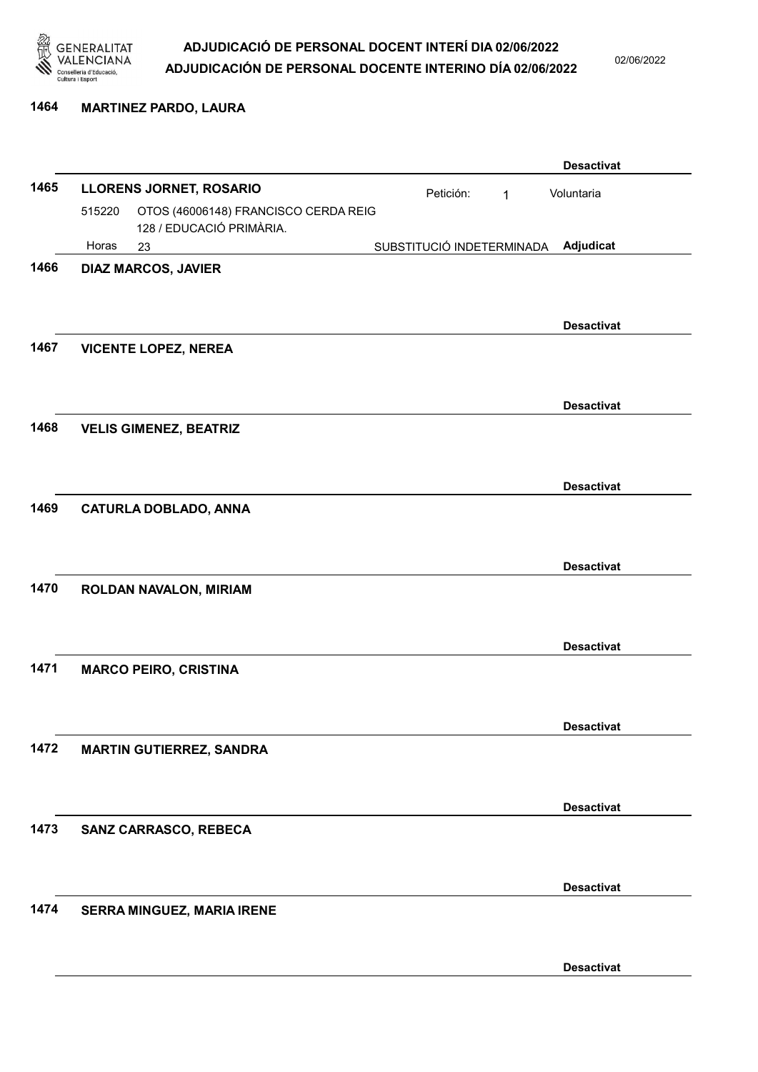

02/06/2022

#### 1464 MARTINEZ PARDO, LAURA

|      |        |                                      |                           |              | <b>Desactivat</b> |
|------|--------|--------------------------------------|---------------------------|--------------|-------------------|
| 1465 |        | <b>LLORENS JORNET, ROSARIO</b>       | Petición:                 | $\mathbf{1}$ | Voluntaria        |
|      | 515220 | OTOS (46006148) FRANCISCO CERDA REIG |                           |              |                   |
|      | Horas  | 128 / EDUCACIÓ PRIMÀRIA.             |                           |              | Adjudicat         |
| 1466 |        | 23<br><b>DIAZ MARCOS, JAVIER</b>     | SUBSTITUCIÓ INDETERMINADA |              |                   |
|      |        |                                      |                           |              |                   |
|      |        |                                      |                           |              |                   |
|      |        |                                      |                           |              | <b>Desactivat</b> |
| 1467 |        | <b>VICENTE LOPEZ, NEREA</b>          |                           |              |                   |
|      |        |                                      |                           |              |                   |
|      |        |                                      |                           |              | <b>Desactivat</b> |
| 1468 |        | <b>VELIS GIMENEZ, BEATRIZ</b>        |                           |              |                   |
|      |        |                                      |                           |              |                   |
|      |        |                                      |                           |              |                   |
|      |        |                                      |                           |              | <b>Desactivat</b> |
| 1469 |        | <b>CATURLA DOBLADO, ANNA</b>         |                           |              |                   |
|      |        |                                      |                           |              |                   |
|      |        |                                      |                           |              | <b>Desactivat</b> |
| 1470 |        | ROLDAN NAVALON, MIRIAM               |                           |              |                   |
|      |        |                                      |                           |              |                   |
|      |        |                                      |                           |              |                   |
|      |        |                                      |                           |              | <b>Desactivat</b> |
| 1471 |        | <b>MARCO PEIRO, CRISTINA</b>         |                           |              |                   |
|      |        |                                      |                           |              |                   |
|      |        |                                      |                           |              | <b>Desactivat</b> |
| 1472 |        | <b>MARTIN GUTIERREZ, SANDRA</b>      |                           |              |                   |
|      |        |                                      |                           |              |                   |
|      |        |                                      |                           |              |                   |
|      |        |                                      |                           |              | <b>Desactivat</b> |
| 1473 |        | SANZ CARRASCO, REBECA                |                           |              |                   |
|      |        |                                      |                           |              |                   |
|      |        |                                      |                           |              | <b>Desactivat</b> |
| 1474 |        | SERRA MINGUEZ, MARIA IRENE           |                           |              |                   |
|      |        |                                      |                           |              |                   |
|      |        |                                      |                           |              |                   |
|      |        |                                      |                           |              | <b>Desactivat</b> |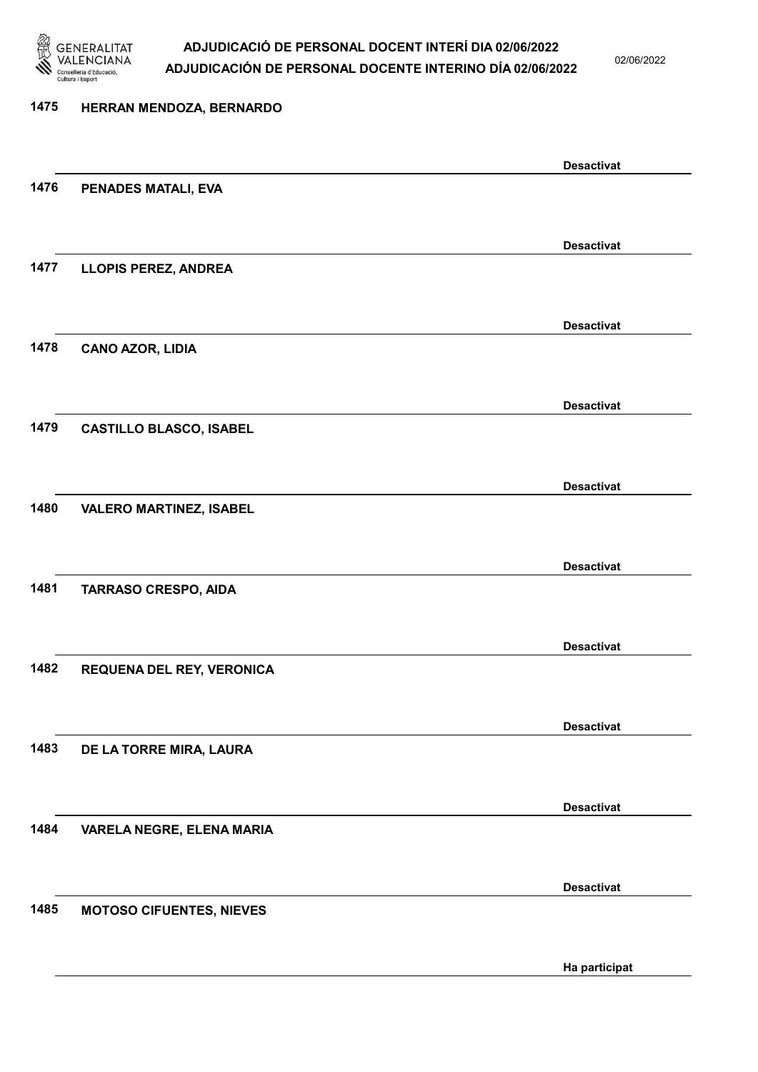

02/06/2022

Ha participat

# 1475 HERRAN MENDOZA, BERNARDO Desactivat 1476 PENADES MATALI, EVA Desactivat 1477 LLOPIS PEREZ, ANDREA Desactivat 1478 CANO AZOR, LIDIA Desactivat 1479 CASTILLO BLASCO, ISABEL Desactivat 1480 VALERO MARTINEZ, ISABEL Desactivat 1481 TARRASO CRESPO, AIDA Desactivat 1482 REQUENA DEL REY, VERONICA Desactivat 1483 DE LA TORRE MIRA, LAURA Desactivat 1484 VARELA NEGRE, ELENA MARIA Desactivat 1485 MOTOSO CIFUENTES, NIEVES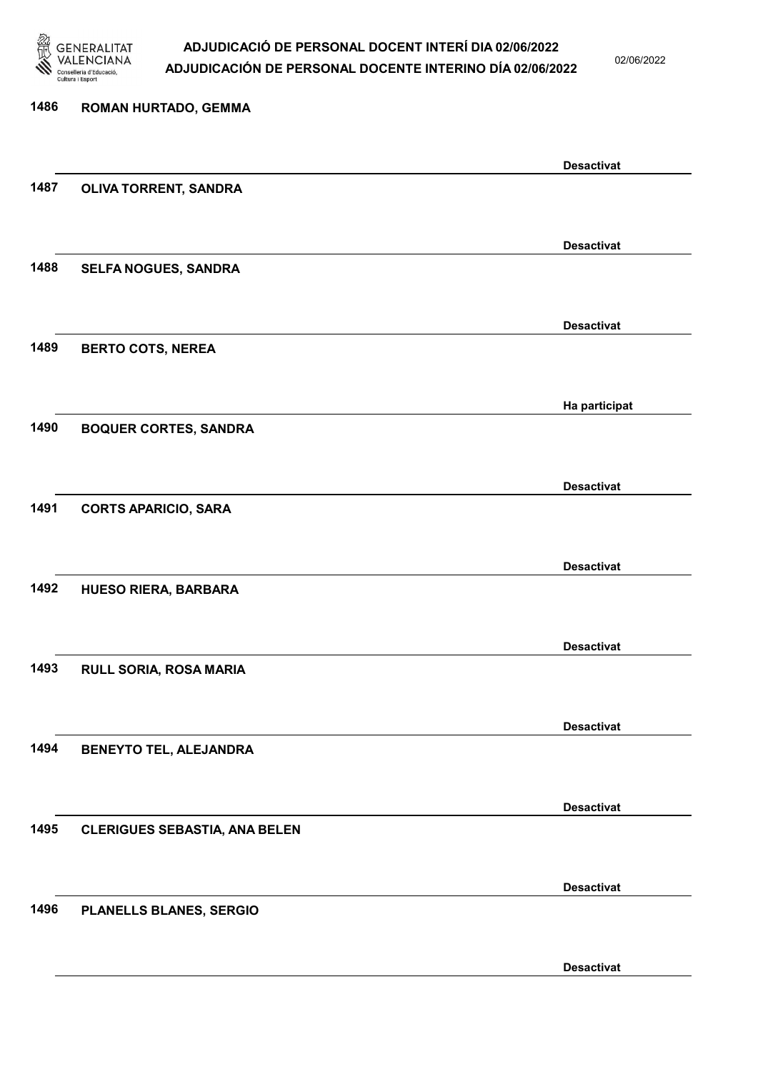

02/06/2022

Desactivat

# 1486 ROMAN HURTADO, GEMMA Desactivat 1487 OLIVA TORRENT, SANDRA Desactivat 1488 SELFA NOGUES, SANDRA Desactivat 1489 BERTO COTS, NEREA Ha participat 1490 BOQUER CORTES, SANDRA Desactivat 1491 CORTS APARICIO, SARA Desactivat 1492 HUESO RIERA, BARBARA Desactivat 1493 RULL SORIA, ROSA MARIA Desactivat 1494 BENEYTO TEL, ALEJANDRA Desactivat 1495 CLERIGUES SEBASTIA, ANA BELEN Desactivat 1496 PLANELLS BLANES, SERGIO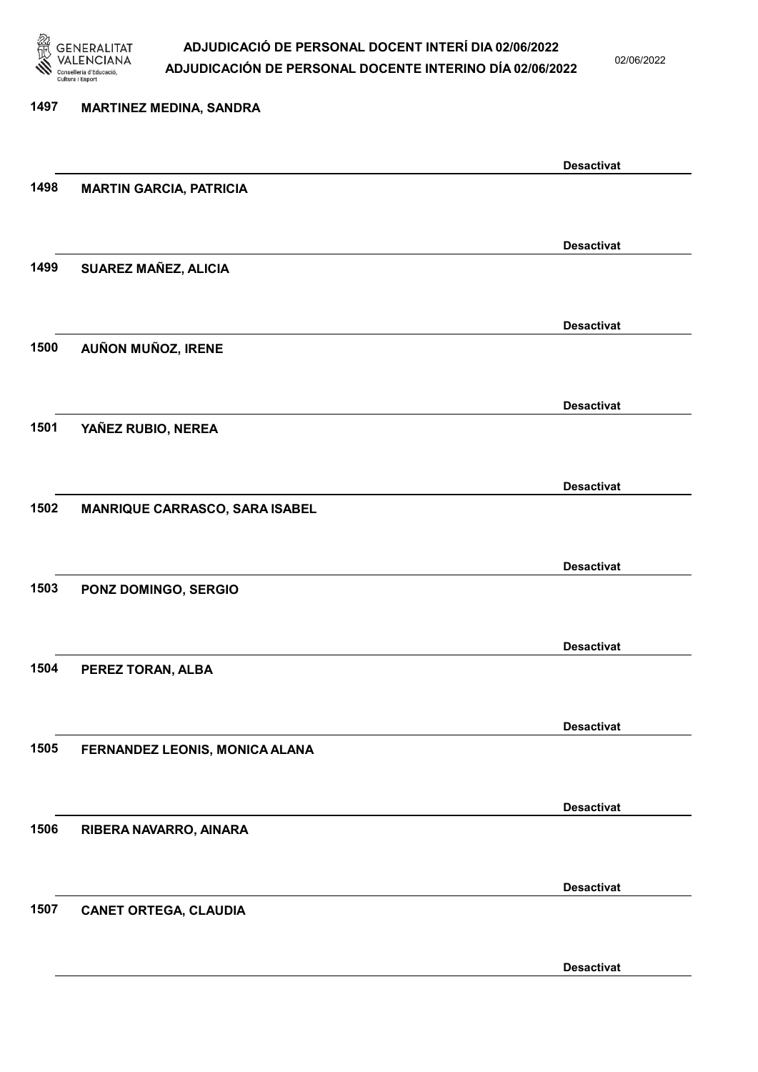

02/06/2022

Desactivat

# 1497 MARTINEZ MEDINA, SANDRA Desactivat 1498 MARTIN GARCIA, PATRICIA Desactivat 1499 SUAREZ MAÑEZ, ALICIA Desactivat 1500 AUÑON MUÑOZ, IRENE Desactivat 1501 YAÑEZ RUBIO, NEREA Desactivat 1502 MANRIQUE CARRASCO, SARA ISABEL Desactivat 1503 PONZ DOMINGO, SERGIO Desactivat 1504 PEREZ TORAN, ALBA Desactivat 1505 FERNANDEZ LEONIS, MONICA ALANA Desactivat 1506 RIBERA NAVARRO, AINARA Desactivat 1507 CANET ORTEGA, CLAUDIA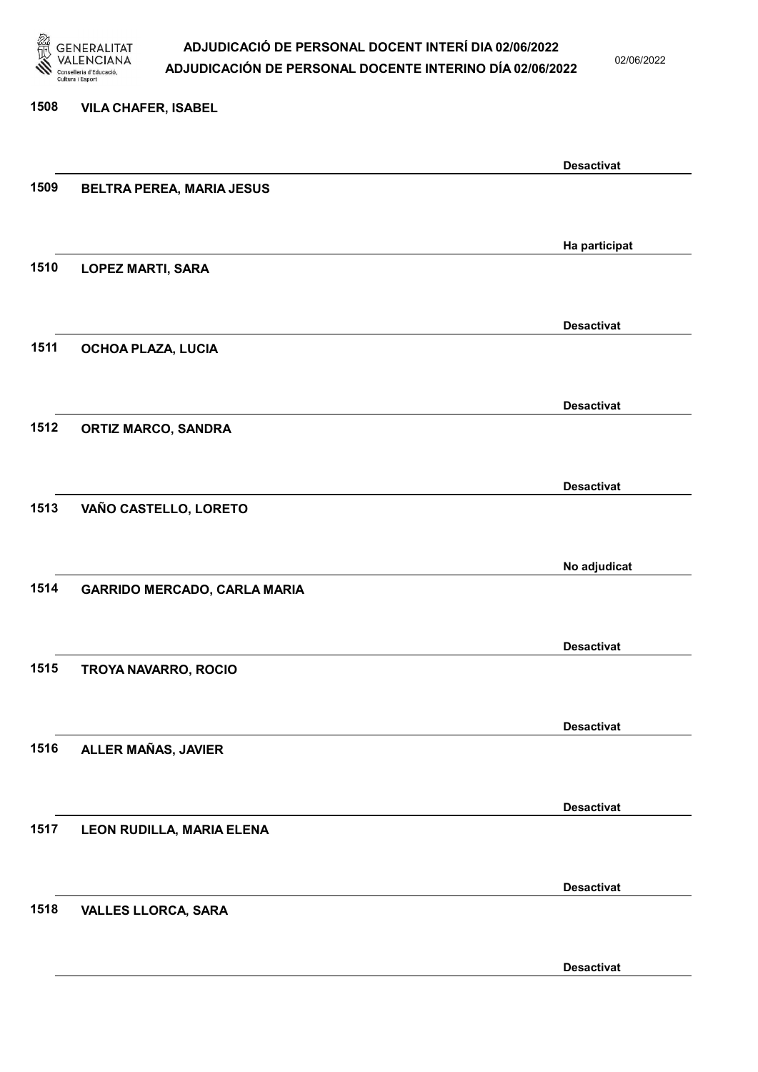

02/06/2022

#### 1508 VILA CHAFER, ISABEL

|      |                                     | <b>Desactivat</b> |
|------|-------------------------------------|-------------------|
| 1509 | <b>BELTRA PEREA, MARIA JESUS</b>    |                   |
|      |                                     |                   |
|      |                                     |                   |
|      |                                     | Ha participat     |
| 1510 |                                     |                   |
|      | <b>LOPEZ MARTI, SARA</b>            |                   |
|      |                                     |                   |
|      |                                     |                   |
|      |                                     | <b>Desactivat</b> |
| 1511 | OCHOA PLAZA, LUCIA                  |                   |
|      |                                     |                   |
|      |                                     |                   |
|      |                                     | <b>Desactivat</b> |
| 1512 | <b>ORTIZ MARCO, SANDRA</b>          |                   |
|      |                                     |                   |
|      |                                     |                   |
|      |                                     | <b>Desactivat</b> |
| 1513 | VAÑO CASTELLO, LORETO               |                   |
|      |                                     |                   |
|      |                                     |                   |
|      |                                     |                   |
|      |                                     | No adjudicat      |
| 1514 | <b>GARRIDO MERCADO, CARLA MARIA</b> |                   |
|      |                                     |                   |
|      |                                     |                   |
|      |                                     | <b>Desactivat</b> |
| 1515 | TROYA NAVARRO, ROCIO                |                   |
|      |                                     |                   |
|      |                                     |                   |
|      |                                     | <b>Desactivat</b> |
| 1516 | ALLER MAÑAS, JAVIER                 |                   |
|      |                                     |                   |
|      |                                     |                   |
|      |                                     | <b>Desactivat</b> |
| 1517 | LEON RUDILLA, MARIA ELENA           |                   |
|      |                                     |                   |
|      |                                     |                   |
|      |                                     | <b>Desactivat</b> |
|      |                                     |                   |
| 1518 | <b>VALLES LLORCA, SARA</b>          |                   |
|      |                                     |                   |
|      |                                     |                   |
|      |                                     | <b>Desactivat</b> |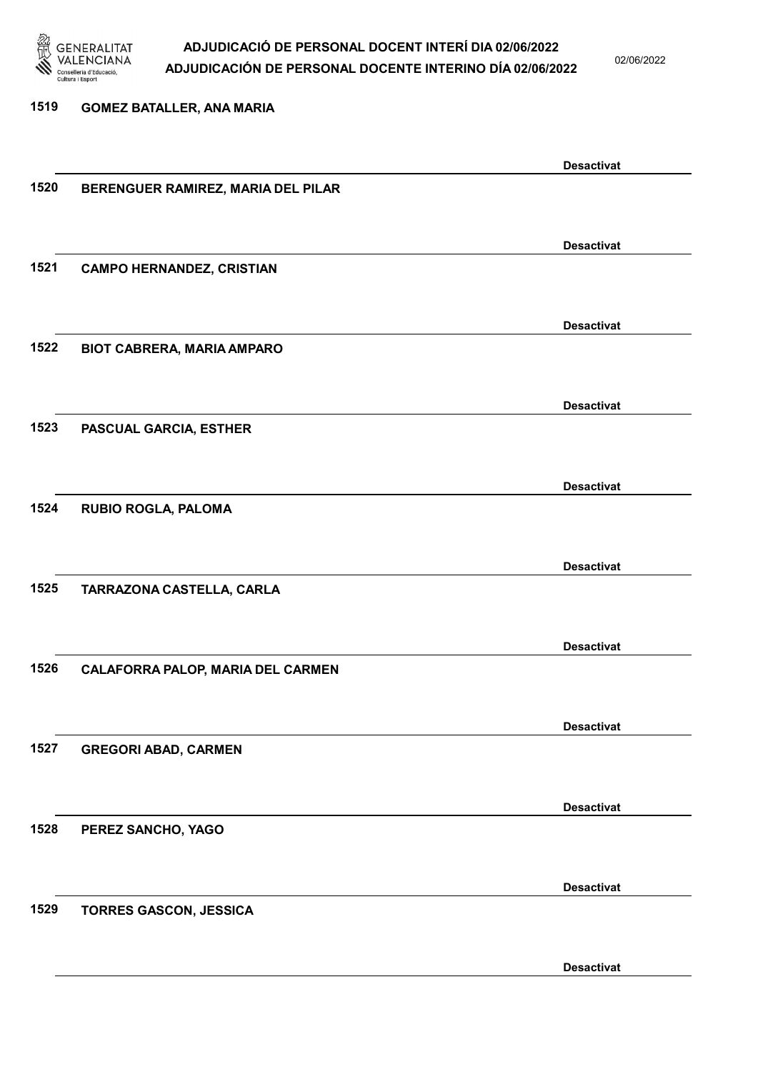

02/06/2022

Desactivat

### 1519 GOMEZ BATALLER, ANA MARIA Desactivat 1520 BERENGUER RAMIREZ, MARIA DEL PILAR Desactivat 1521 CAMPO HERNANDEZ, CRISTIAN Desactivat 1522 BIOT CABRERA, MARIA AMPARO Desactivat 1523 PASCUAL GARCIA, ESTHER Desactivat 1524 RUBIO ROGLA, PALOMA Desactivat 1525 TARRAZONA CASTELLA, CARLA Desactivat 1526 CALAFORRA PALOP, MARIA DEL CARMEN Desactivat 1527 GREGORI ABAD, CARMEN Desactivat 1528 PEREZ SANCHO, YAGO Desactivat 1529 TORRES GASCON, JESSICA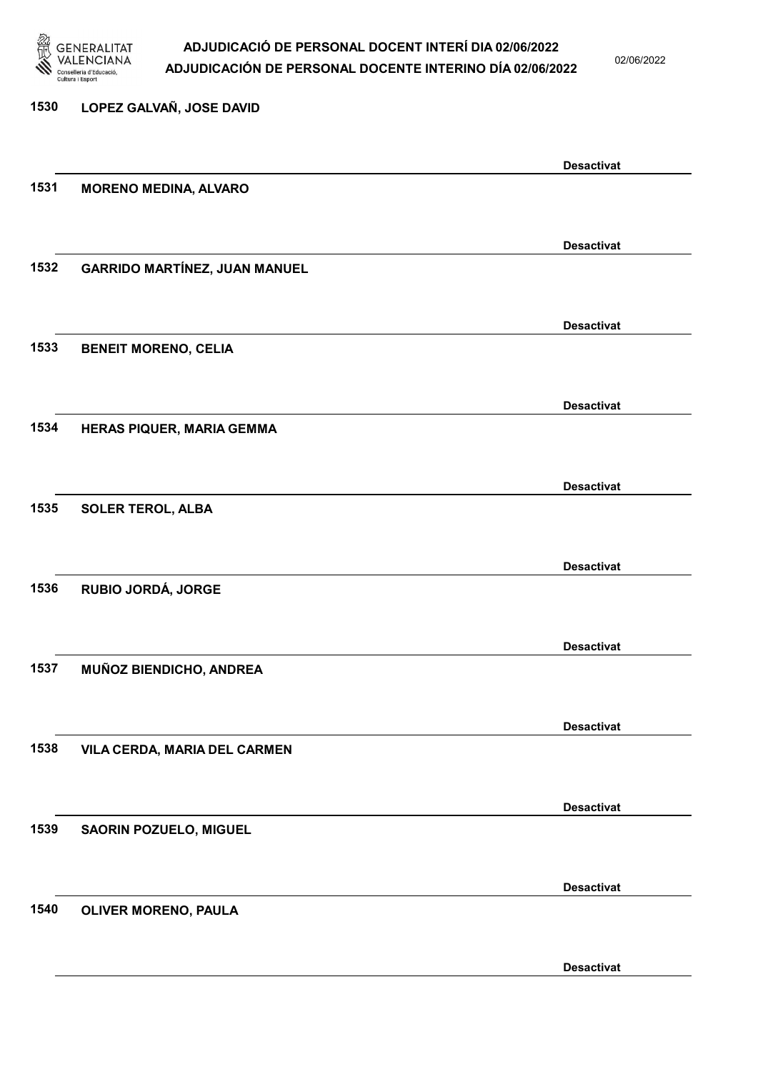

02/06/2022

Desactivat

# 1530 LOPEZ GALVAÑ, JOSE DAVID Desactivat 1531 MORENO MEDINA, ALVARO Desactivat 1532 GARRIDO MARTÍNEZ, JUAN MANUEL Desactivat 1533 BENEIT MORENO, CELIA Desactivat 1534 HERAS PIQUER, MARIA GEMMA Desactivat 1535 SOLER TEROL, ALBA Desactivat 1536 RUBIO JORDÁ, JORGE Desactivat 1537 MUÑOZ BIENDICHO, ANDREA Desactivat 1538 VILA CERDA, MARIA DEL CARMEN Desactivat 1539 SAORIN POZUELO, MIGUEL Desactivat 1540 OLIVER MORENO, PAULA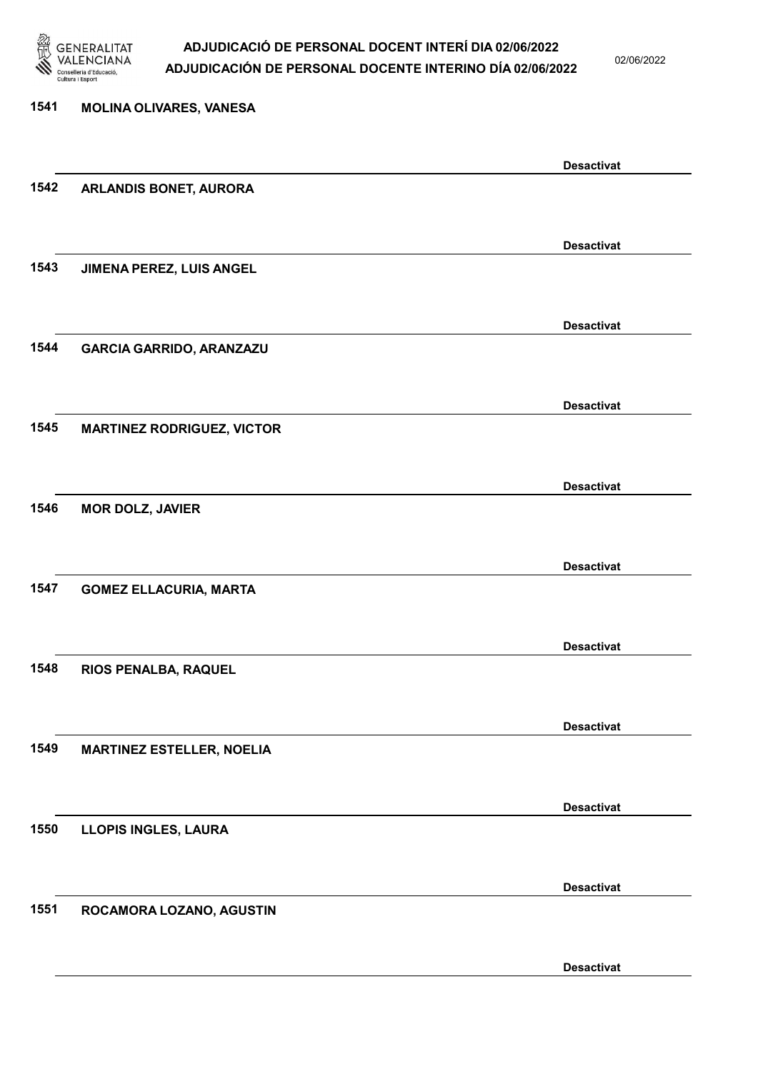

02/06/2022

| 1541 | <b>MOLINA OLIVARES, VANESA</b>    |                   |
|------|-----------------------------------|-------------------|
|      |                                   | <b>Desactivat</b> |
| 1542 | <b>ARLANDIS BONET, AURORA</b>     |                   |
|      |                                   | <b>Desactivat</b> |
| 1543 | JIMENA PEREZ, LUIS ANGEL          |                   |
|      |                                   | <b>Desactivat</b> |
| 1544 | <b>GARCIA GARRIDO, ARANZAZU</b>   |                   |
|      |                                   | <b>Desactivat</b> |
| 1545 | <b>MARTINEZ RODRIGUEZ, VICTOR</b> |                   |
|      |                                   | <b>Desactivat</b> |
| 1546 | <b>MOR DOLZ, JAVIER</b>           |                   |
|      |                                   | <b>Desactivat</b> |
| 1547 | <b>GOMEZ ELLACURIA, MARTA</b>     |                   |
|      |                                   | <b>Desactivat</b> |
| 1548 | RIOS PENALBA, RAQUEL              |                   |
|      |                                   | <b>Desactivat</b> |
| 1549 | <b>MARTINEZ ESTELLER, NOELIA</b>  |                   |
|      |                                   | <b>Desactivat</b> |
| 1550 | LLOPIS INGLES, LAURA              |                   |
|      |                                   |                   |
| 1551 | ROCAMORA LOZANO, AGUSTIN          | <b>Desactivat</b> |
|      |                                   |                   |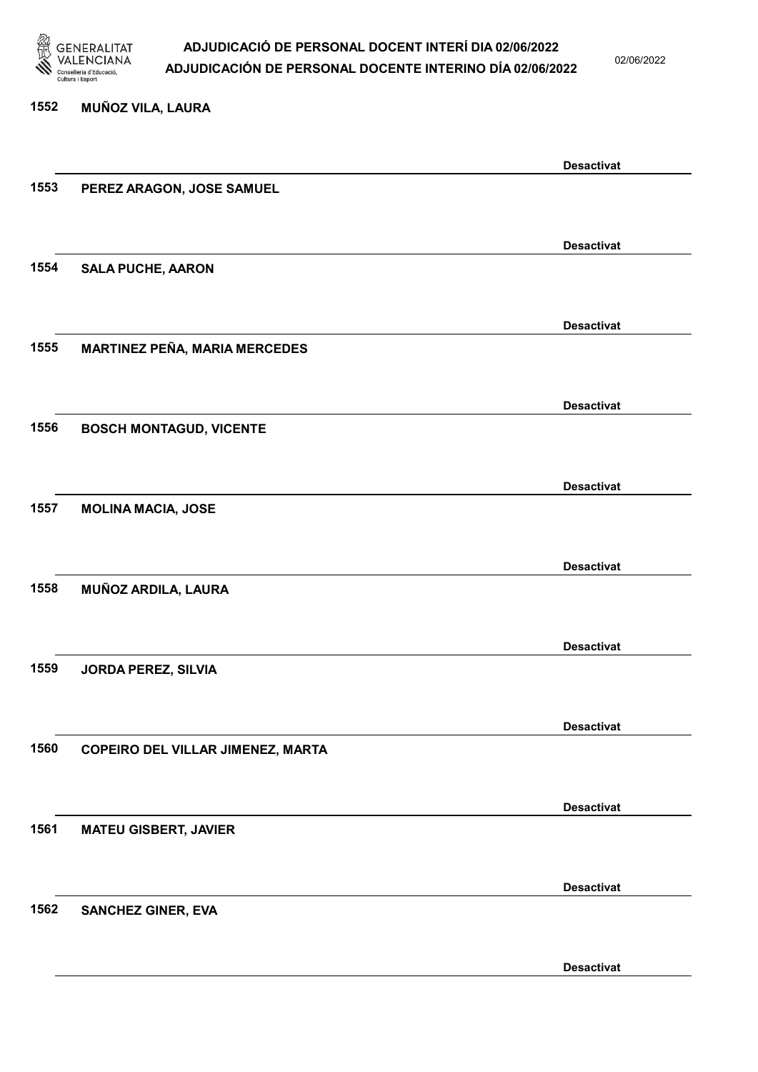

1552 MUÑOZ VILA, LAURA

#### ADJUDICACIÓ DE PERSONAL DOCENT INTERÍ DIA 02/06/2022 ADJUDICACIÓN DE PERSONAL DOCENTE INTERINO DÍA 02/06/2022

02/06/2022

Desactivat

# Desactivat 1553 PEREZ ARAGON, JOSE SAMUEL Desactivat 1554 SALA PUCHE, AARON Desactivat 1555 MARTINEZ PEÑA, MARIA MERCEDES Desactivat 1556 BOSCH MONTAGUD, VICENTE Desactivat 1557 MOLINA MACIA, JOSE Desactivat 1558 MUÑOZ ARDILA, LAURA Desactivat 1559 JORDA PEREZ, SILVIA Desactivat 1560 COPEIRO DEL VILLAR JIMENEZ, MARTA Desactivat 1561 MATEU GISBERT, JAVIER Desactivat 1562 SANCHEZ GINER, EVA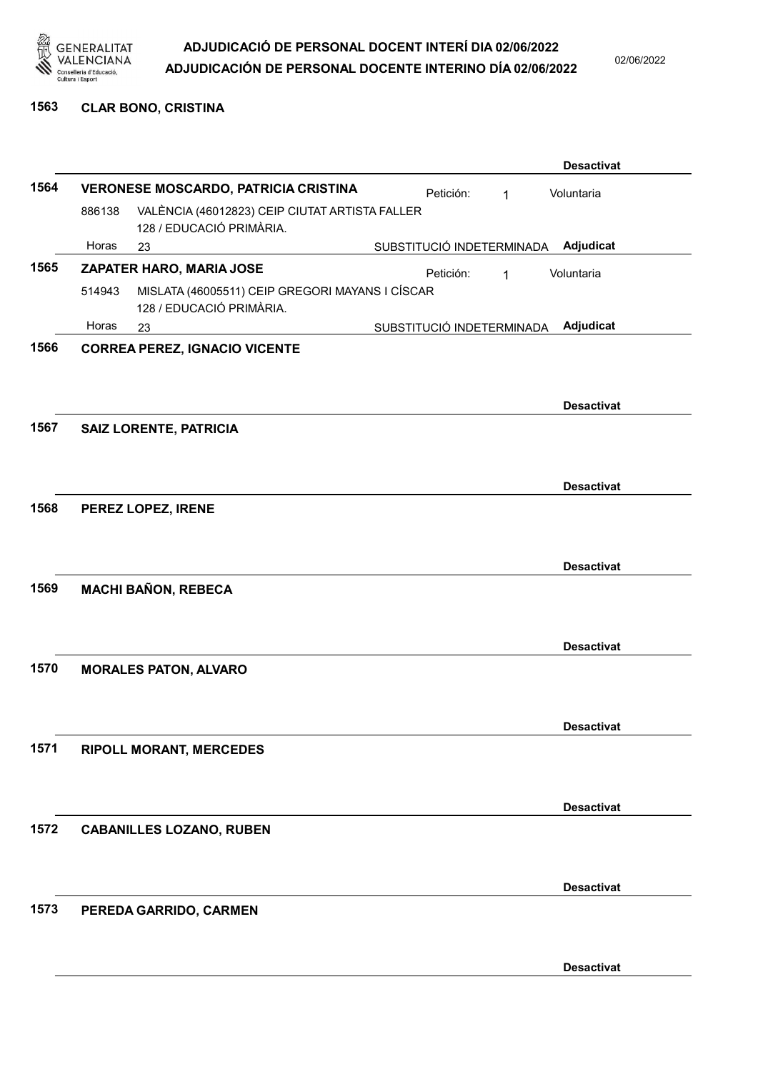

02/06/2022

1563 CLAR BONO, CRISTINA

|      |        |                                                                             |                           |           |   | <b>Desactivat</b> |
|------|--------|-----------------------------------------------------------------------------|---------------------------|-----------|---|-------------------|
| 1564 |        | <b>VERONESE MOSCARDO, PATRICIA CRISTINA</b>                                 |                           | Petición: | 1 | Voluntaria        |
|      | 886138 | VALÈNCIA (46012823) CEIP CIUTAT ARTISTA FALLER<br>128 / EDUCACIÓ PRIMÀRIA.  |                           |           |   |                   |
|      | Horas  | 23                                                                          | SUBSTITUCIÓ INDETERMINADA |           |   | Adjudicat         |
| 1565 |        | ZAPATER HARO, MARIA JOSE                                                    |                           | Petición: | 1 | Voluntaria        |
|      | 514943 | MISLATA (46005511) CEIP GREGORI MAYANS I CÍSCAR<br>128 / EDUCACIÓ PRIMÀRIA. |                           |           |   |                   |
|      | Horas  | 23                                                                          | SUBSTITUCIÓ INDETERMINADA |           |   | Adjudicat         |
| 1566 |        | <b>CORREA PEREZ, IGNACIO VICENTE</b>                                        |                           |           |   |                   |
|      |        |                                                                             |                           |           |   | <b>Desactivat</b> |
| 1567 |        | SAIZ LORENTE, PATRICIA                                                      |                           |           |   |                   |
|      |        |                                                                             |                           |           |   | <b>Desactivat</b> |
| 1568 |        | PEREZ LOPEZ, IRENE                                                          |                           |           |   |                   |
|      |        |                                                                             |                           |           |   | <b>Desactivat</b> |
| 1569 |        | <b>MACHI BAÑON, REBECA</b>                                                  |                           |           |   |                   |
|      |        |                                                                             |                           |           |   | <b>Desactivat</b> |
| 1570 |        | <b>MORALES PATON, ALVARO</b>                                                |                           |           |   |                   |
|      |        |                                                                             |                           |           |   | <b>Desactivat</b> |
| 1571 |        | <b>RIPOLL MORANT, MERCEDES</b>                                              |                           |           |   |                   |
|      |        |                                                                             |                           |           |   | <b>Desactivat</b> |
| 1572 |        | <b>CABANILLES LOZANO, RUBEN</b>                                             |                           |           |   |                   |
|      |        |                                                                             |                           |           |   | <b>Desactivat</b> |
| 1573 |        | PEREDA GARRIDO, CARMEN                                                      |                           |           |   |                   |
|      |        |                                                                             |                           |           |   | <b>Desactivat</b> |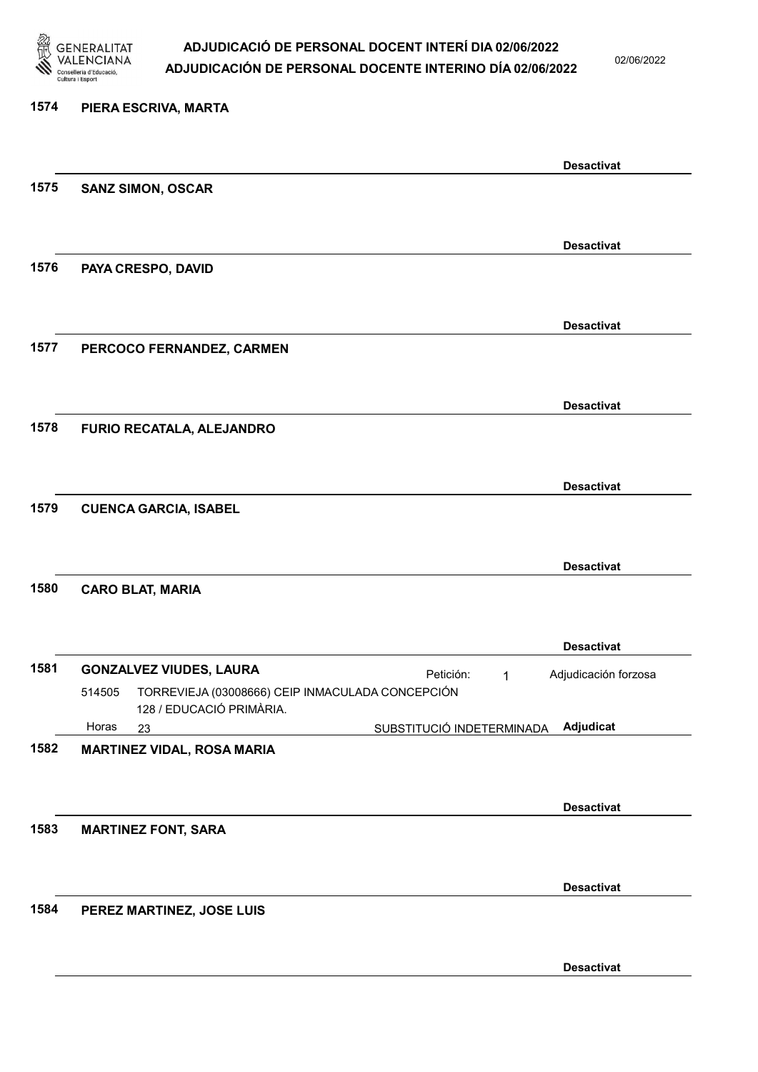

02/06/2022

### 1574 PIERA ESCRIVA, MARTA Desactivat 1575 SANZ SIMON, OSCAR Desactivat 1576 PAYA CRESPO, DAVID Desactivat 1577 PERCOCO FERNANDEZ, CARMEN Desactivat 1578 FURIO RECATALA, ALEJANDRO Desactivat 1579 CUENCA GARCIA, ISABEL Desactivat 1580 CARO BLAT, MARIA Desactivat 1581 GONZALVEZ VIUDES, LAURA **El proportante de la proportante de la proportante de la proportante de la proporta** 23 SUBSTITUCIÓ INDETERMINADA TORREVIEJA (03008666) CEIP INMACULADA CONCEPCIÓN 128 / EDUCACIÓ PRIMÀRIA. Adjudicat Adjudicación forzosa 514505 Horas 1582 MARTINEZ VIDAL, ROSA MARIA Desactivat 1583 MARTINEZ FONT, SARA Desactivat 1584 PEREZ MARTINEZ, JOSE LUIS Desactivat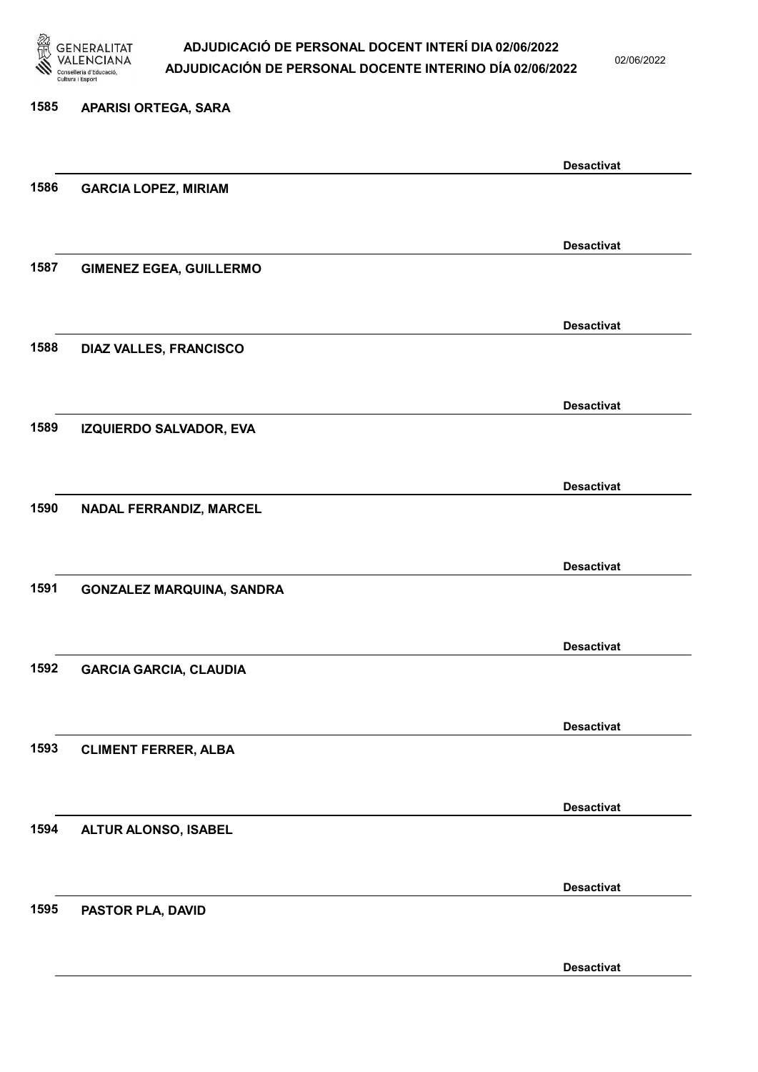

02/06/2022

Desactivat

# 1585 APARISI ORTEGA, SARA Desactivat 1586 GARCIA LOPEZ, MIRIAM Desactivat 1587 GIMENEZ EGEA, GUILLERMO Desactivat 1588 DIAZ VALLES, FRANCISCO Desactivat 1589 IZQUIERDO SALVADOR, EVA Desactivat 1590 NADAL FERRANDIZ, MARCEL Desactivat 1591 GONZALEZ MARQUINA, SANDRA Desactivat 1592 GARCIA GARCIA, CLAUDIA Desactivat 1593 CLIMENT FERRER, ALBA Desactivat 1594 ALTUR ALONSO, ISABEL Desactivat 1595 PASTOR PLA, DAVID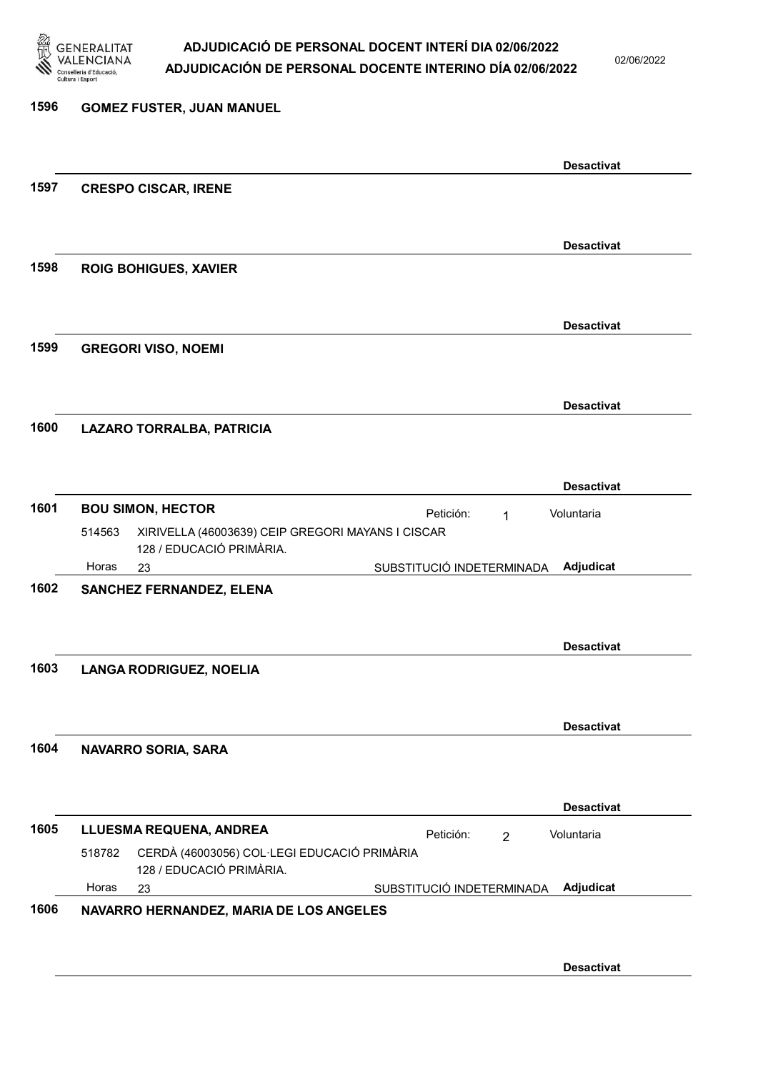

02/06/2022

### 1596 GOMEZ FUSTER, JUAN MANUEL Desactivat 1597 CRESPO CISCAR, IRENE Desactivat 1598 ROIG BOHIGUES, XAVIER Desactivat 1599 GREGORI VISO, NOEMI Desactivat 1600 LAZARO TORRALBA, PATRICIA Desactivat 1601 BOU SIMON, HECTOR **Petición:** 1 23 SUBSTITUCIÓ INDETERMINADA XIRIVELLA (46003639) CEIP GREGORI MAYANS I CISCAR 128 / EDUCACIÓ PRIMÀRIA. Adjudicat Voluntaria 514563 Horas 1602 SANCHEZ FERNANDEZ, ELENA Desactivat 1603 LANGA RODRIGUEZ, NOELIA Desactivat 1604 NAVARRO SORIA, SARA Desactivat 1605 LLUESMA REQUENA, ANDREA Petición: 2 23 SUBSTITUCIÓ INDETERMINADA CERDÀ (46003056) COL·LEGI EDUCACIÓ PRIMÀRIA 128 / EDUCACIÓ PRIMÀRIA. Adjudicat Voluntaria 518782 Horas 1606 NAVARRO HERNANDEZ, MARIA DE LOS ANGELES Desactivat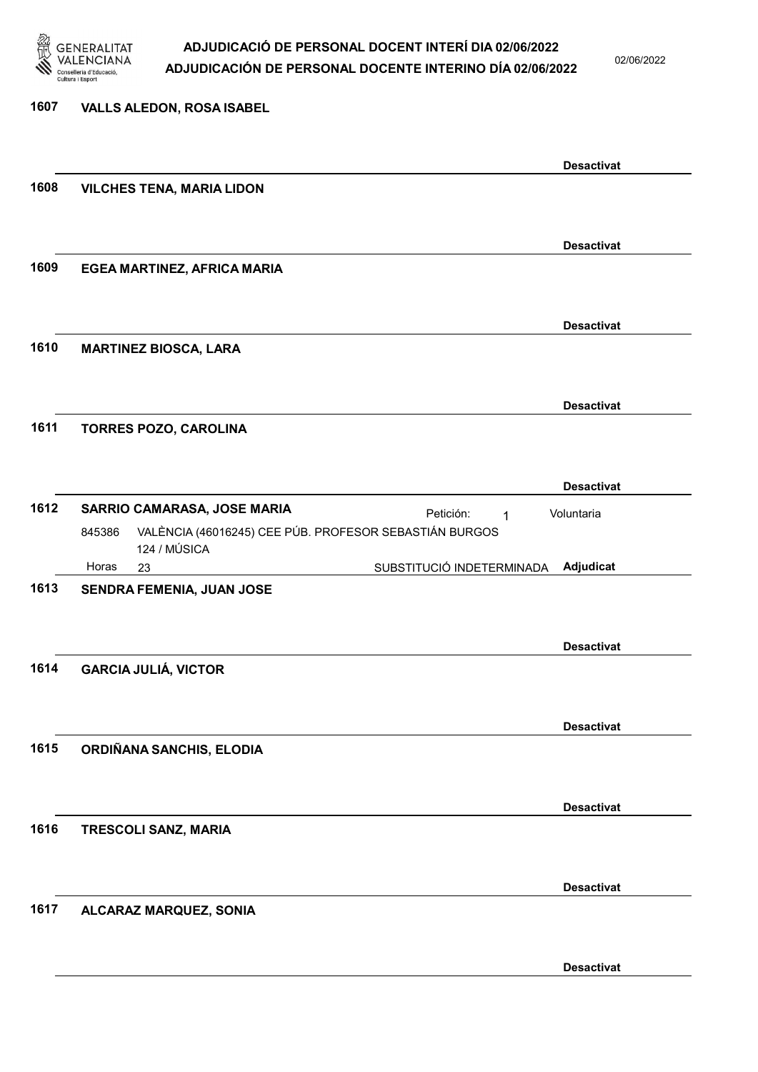

02/06/2022

| 1607 | <b>VALLS ALEDON, ROSA ISABEL</b>                                                 |                   |
|------|----------------------------------------------------------------------------------|-------------------|
|      |                                                                                  | <b>Desactivat</b> |
| 1608 | <b>VILCHES TENA, MARIA LIDON</b>                                                 |                   |
|      |                                                                                  |                   |
|      |                                                                                  | <b>Desactivat</b> |
| 1609 | EGEA MARTINEZ, AFRICA MARIA                                                      |                   |
|      |                                                                                  | <b>Desactivat</b> |
| 1610 | <b>MARTINEZ BIOSCA, LARA</b>                                                     |                   |
|      |                                                                                  |                   |
|      |                                                                                  | <b>Desactivat</b> |
| 1611 | <b>TORRES POZO, CAROLINA</b>                                                     |                   |
|      |                                                                                  |                   |
|      |                                                                                  | <b>Desactivat</b> |
| 1612 | SARRIO CAMARASA, JOSE MARIA<br>Petición:<br>1                                    | Voluntaria        |
|      | VALÈNCIA (46016245) CEE PÚB. PROFESOR SEBASTIÁN BURGOS<br>845386<br>124 / MÚSICA |                   |
|      | Horas<br>SUBSTITUCIÓ INDETERMINADA<br>23                                         | Adjudicat         |
| 1613 | SENDRA FEMENIA, JUAN JOSE                                                        |                   |
|      |                                                                                  |                   |
|      |                                                                                  | <b>Desactivat</b> |
| 1614 | <b>GARCIA JULIÁ, VICTOR</b>                                                      |                   |
|      |                                                                                  |                   |
| 1615 | ORDIÑANA SANCHIS, ELODIA                                                         | <b>Desactivat</b> |
|      |                                                                                  |                   |
|      |                                                                                  | <b>Desactivat</b> |
| 1616 | TRESCOLI SANZ, MARIA                                                             |                   |
|      |                                                                                  |                   |
|      |                                                                                  | <b>Desactivat</b> |
| 1617 | ALCARAZ MARQUEZ, SONIA                                                           |                   |
|      |                                                                                  |                   |
|      |                                                                                  |                   |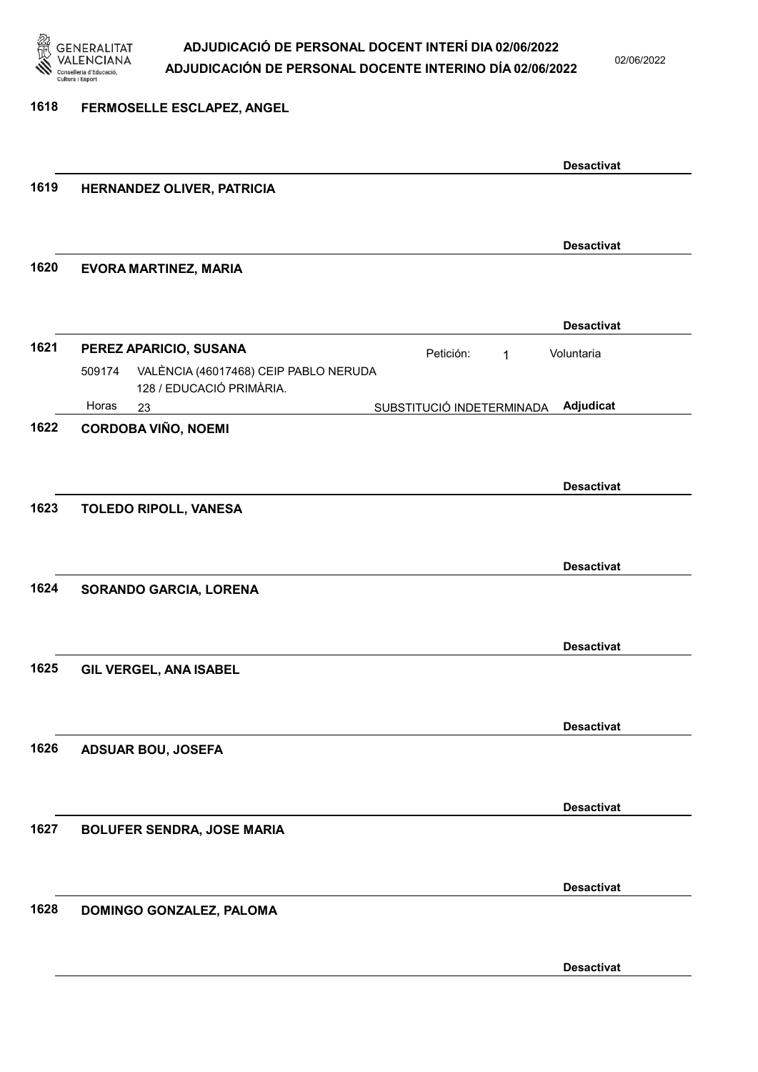

02/06/2022

#### 1618 FERMOSELLE ESCLAPEZ, ANGEL

|      |                                                                           |                           | <b>Desactivat</b> |
|------|---------------------------------------------------------------------------|---------------------------|-------------------|
| 1619 | HERNANDEZ OLIVER, PATRICIA                                                |                           |                   |
|      |                                                                           |                           | <b>Desactivat</b> |
| 1620 | <b>EVORA MARTINEZ, MARIA</b>                                              |                           |                   |
|      |                                                                           |                           | <b>Desactivat</b> |
| 1621 | PEREZ APARICIO, SUSANA<br>VALÈNCIA (46017468) CEIP PABLO NERUDA<br>509174 | Petición:<br>1            | Voluntaria        |
|      | 128 / EDUCACIÓ PRIMÀRIA.<br>Horas<br>23                                   | SUBSTITUCIÓ INDETERMINADA | Adjudicat         |
| 1622 | <b>CORDOBA VIÑO, NOEMI</b>                                                |                           |                   |
|      |                                                                           |                           | <b>Desactivat</b> |
| 1623 | TOLEDO RIPOLL, VANESA                                                     |                           |                   |
|      |                                                                           |                           | <b>Desactivat</b> |
| 1624 | SORANDO GARCIA, LORENA                                                    |                           |                   |
|      |                                                                           |                           | <b>Desactivat</b> |
| 1625 | GIL VERGEL, ANA ISABEL                                                    |                           |                   |
|      |                                                                           |                           | <b>Desactivat</b> |
| 1626 | <b>ADSUAR BOU, JOSEFA</b>                                                 |                           |                   |
|      |                                                                           |                           | <b>Desactivat</b> |
| 1627 | <b>BOLUFER SENDRA, JOSE MARIA</b>                                         |                           |                   |
|      |                                                                           |                           | <b>Desactivat</b> |
| 1628 | DOMINGO GONZALEZ, PALOMA                                                  |                           |                   |
|      |                                                                           |                           | <b>Desactivat</b> |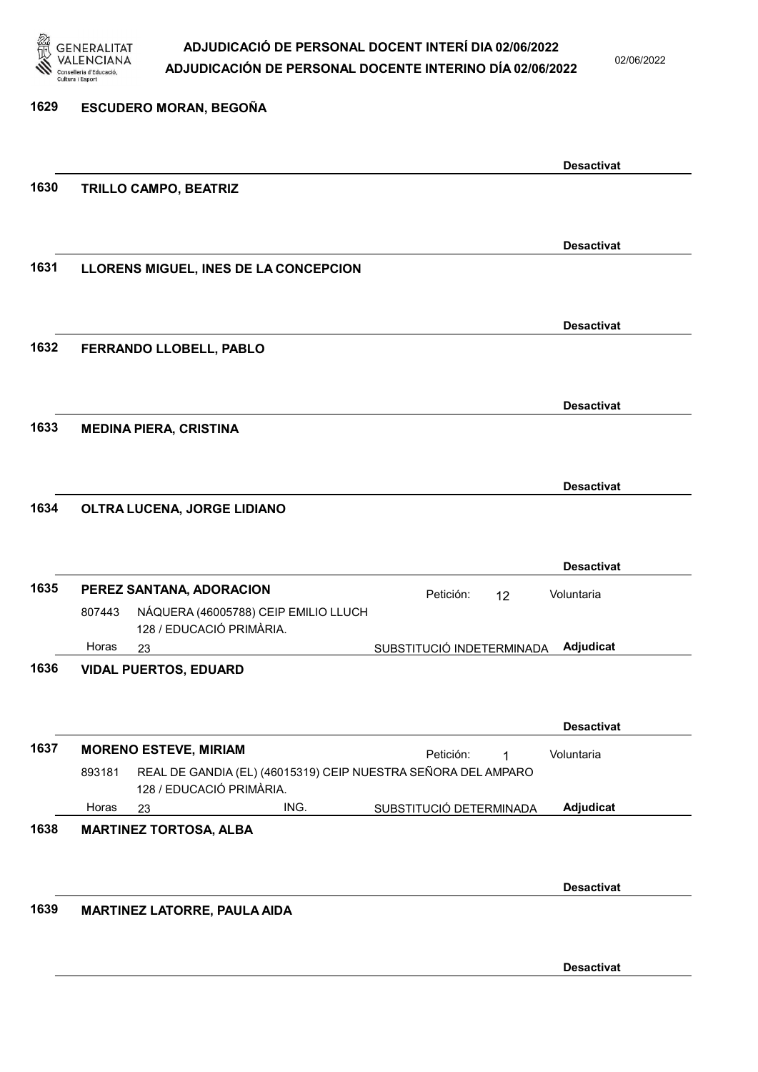

02/06/2022

| 1629 |        | <b>ESCUDERO MORAN, BEGOÑA</b>                                                             |      |                           |    |                   |  |
|------|--------|-------------------------------------------------------------------------------------------|------|---------------------------|----|-------------------|--|
|      |        |                                                                                           |      |                           |    | <b>Desactivat</b> |  |
| 1630 |        | <b>TRILLO CAMPO, BEATRIZ</b>                                                              |      |                           |    |                   |  |
|      |        |                                                                                           |      |                           |    |                   |  |
|      |        |                                                                                           |      |                           |    | <b>Desactivat</b> |  |
| 1631 |        | LLORENS MIGUEL, INES DE LA CONCEPCION                                                     |      |                           |    |                   |  |
|      |        |                                                                                           |      |                           |    | <b>Desactivat</b> |  |
| 1632 |        | FERRANDO LLOBELL, PABLO                                                                   |      |                           |    |                   |  |
|      |        |                                                                                           |      |                           |    |                   |  |
|      |        |                                                                                           |      |                           |    | <b>Desactivat</b> |  |
| 1633 |        | <b>MEDINA PIERA, CRISTINA</b>                                                             |      |                           |    |                   |  |
|      |        |                                                                                           |      |                           |    |                   |  |
|      |        |                                                                                           |      |                           |    | <b>Desactivat</b> |  |
| 1634 |        | OLTRA LUCENA, JORGE LIDIANO                                                               |      |                           |    |                   |  |
|      |        |                                                                                           |      |                           |    |                   |  |
|      |        |                                                                                           |      |                           |    | <b>Desactivat</b> |  |
| 1635 |        | PEREZ SANTANA, ADORACION                                                                  |      | Petición:                 | 12 | Voluntaria        |  |
|      | 807443 | NÁQUERA (46005788) CEIP EMILIO LLUCH<br>128 / EDUCACIÓ PRIMÀRIA.                          |      |                           |    |                   |  |
|      | Horas  | 23                                                                                        |      | SUBSTITUCIÓ INDETERMINADA |    | Adjudicat         |  |
| 1636 |        | <b>VIDAL PUERTOS, EDUARD</b>                                                              |      |                           |    |                   |  |
|      |        |                                                                                           |      |                           |    |                   |  |
|      |        |                                                                                           |      |                           |    | <b>Desactivat</b> |  |
| 1637 |        | <b>MORENO ESTEVE, MIRIAM</b>                                                              |      | Petición:                 | 1  | Voluntaria        |  |
|      | 893181 | REAL DE GANDIA (EL) (46015319) CEIP NUESTRA SEÑORA DEL AMPARO<br>128 / EDUCACIÓ PRIMÀRIA. |      |                           |    |                   |  |
|      | Horas  | 23                                                                                        | ING. | SUBSTITUCIÓ DETERMINADA   |    | Adjudicat         |  |
| 1638 |        | <b>MARTINEZ TORTOSA, ALBA</b>                                                             |      |                           |    |                   |  |
|      |        |                                                                                           |      |                           |    |                   |  |
|      |        |                                                                                           |      |                           |    | <b>Desactivat</b> |  |
| 1639 |        | MARTINEZ LATORRE, PAULA AIDA                                                              |      |                           |    |                   |  |
|      |        |                                                                                           |      |                           |    |                   |  |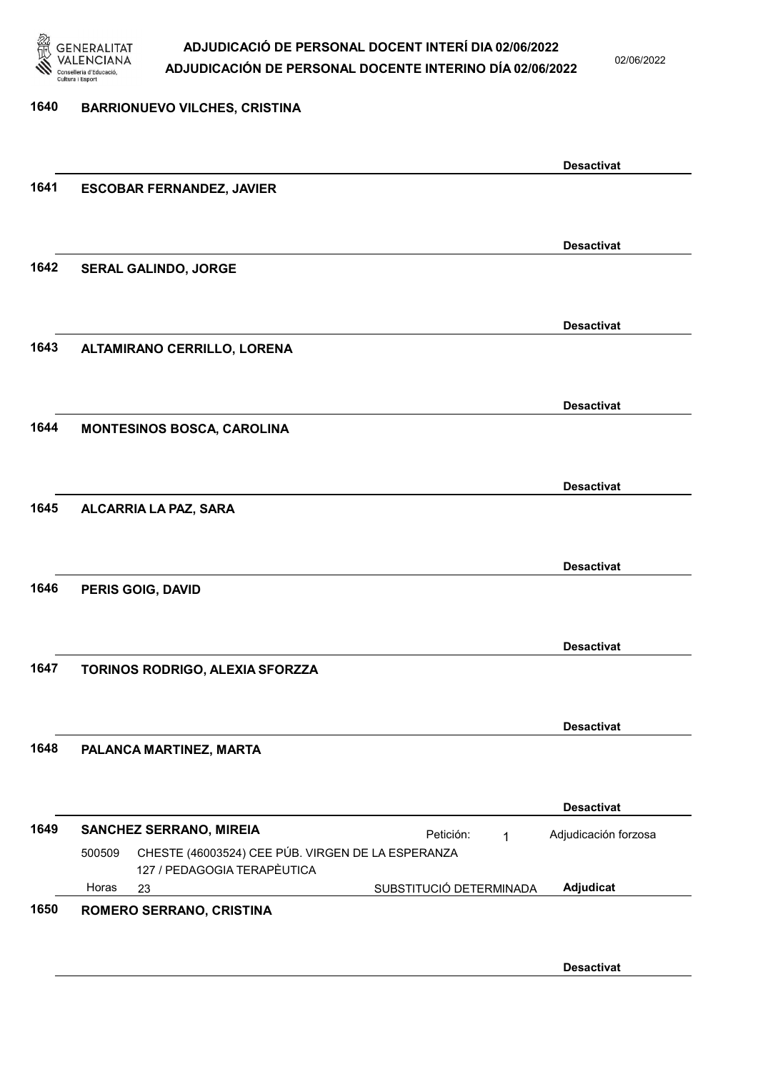

02/06/2022

### 1640 BARRIONUEVO VILCHES, CRISTINA Desactivat 1641 ESCOBAR FERNANDEZ, JAVIER Desactivat 1642 SERAL GALINDO, JORGE Desactivat 1643 ALTAMIRANO CERRILLO, LORENA Desactivat 1644 MONTESINOS BOSCA, CAROLINA Desactivat 1645 ALCARRIA LA PAZ, SARA Desactivat 1646 PERIS GOIG, DAVID Desactivat 1647 TORINOS RODRIGO, ALEXIA SFORZZA Desactivat 1648 PALANCA MARTINEZ, MARTA Desactivat 1649 SANCHEZ SERRANO, MIREIA **El proportante de la proportante de la proportante de la proportante de la proporta** 23 SUBSTITUCIÓ DETERMINADA CHESTE (46003524) CEE PÚB. VIRGEN DE LA ESPERANZA 127 / PEDAGOGIA TERAPÈUTICA Adjudicat Adjudicación forzosa 500509 Horas 1650 ROMERO SERRANO, CRISTINA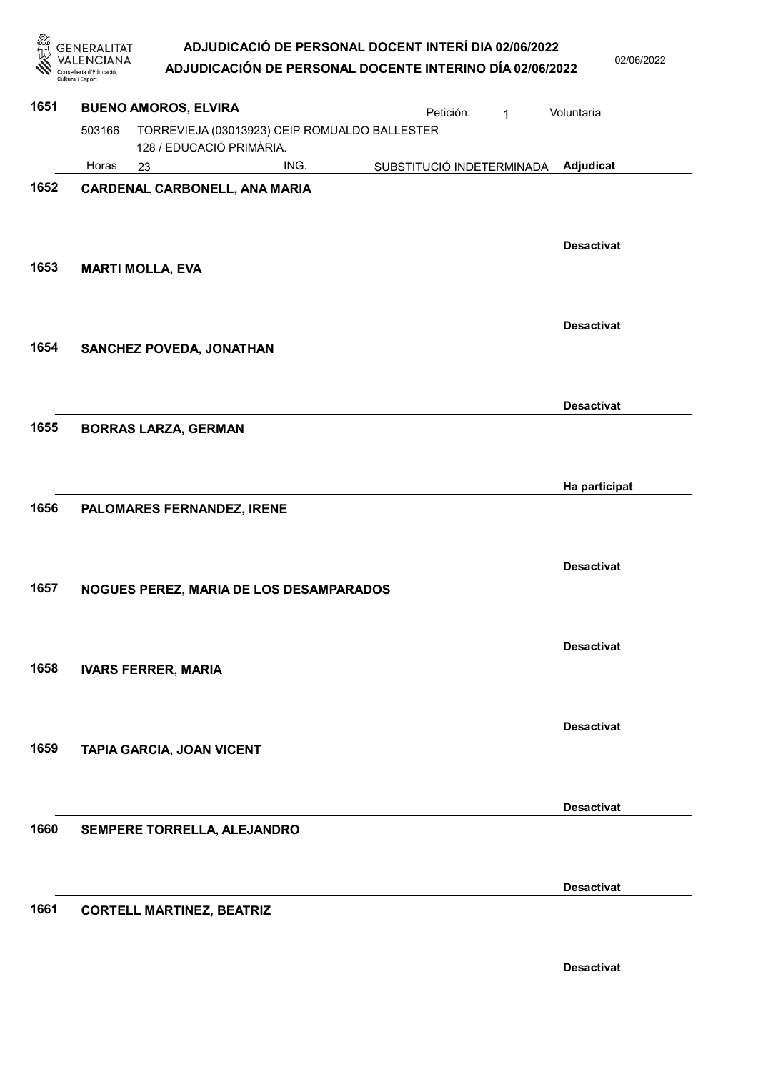| 忽    | <b>GENERALITAT</b><br>NCIANA)<br>onselleria d'Educació<br>Cultura i Esport | ADJUDICACIÓ DE PERSONAL DOCENT INTERÍ DIA 02/06/2022<br>ADJUDICACIÓN DE PERSONAL DOCENTE INTERINO DÍA 02/06/2022 | 02/06/2022        |
|------|----------------------------------------------------------------------------|------------------------------------------------------------------------------------------------------------------|-------------------|
| 1651 |                                                                            | <b>BUENO AMOROS, ELVIRA</b><br>Petición:<br>1                                                                    | Voluntaria        |
|      | 503166                                                                     | TORREVIEJA (03013923) CEIP ROMUALDO BALLESTER<br>128 / EDUCACIÓ PRIMÀRIA.                                        |                   |
|      | Horas                                                                      | ING.<br>SUBSTITUCIÓ INDETERMINADA<br>23                                                                          | Adjudicat         |
| 1652 |                                                                            | <b>CARDENAL CARBONELL, ANA MARIA</b>                                                                             | <b>Desactivat</b> |
| 1653 |                                                                            | <b>MARTI MOLLA, EVA</b>                                                                                          |                   |
|      |                                                                            |                                                                                                                  | <b>Desactivat</b> |
| 1654 |                                                                            | SANCHEZ POVEDA, JONATHAN                                                                                         |                   |
|      |                                                                            |                                                                                                                  | <b>Desactivat</b> |
| 1655 |                                                                            | <b>BORRAS LARZA, GERMAN</b>                                                                                      |                   |
|      |                                                                            |                                                                                                                  | Ha participat     |
| 1656 |                                                                            | PALOMARES FERNANDEZ, IRENE                                                                                       |                   |
| 1657 |                                                                            | NOGUES PEREZ, MARIA DE LOS DESAMPARADOS                                                                          | <b>Desactivat</b> |
|      |                                                                            |                                                                                                                  | <b>Desactivat</b> |
| 1658 |                                                                            | <b>IVARS FERRER, MARIA</b>                                                                                       |                   |
|      |                                                                            |                                                                                                                  | <b>Desactivat</b> |
| 1659 |                                                                            | <b>TAPIA GARCIA, JOAN VICENT</b>                                                                                 |                   |
|      |                                                                            |                                                                                                                  | <b>Desactivat</b> |
| 1660 |                                                                            | SEMPERE TORRELLA, ALEJANDRO                                                                                      |                   |
|      |                                                                            |                                                                                                                  | <b>Desactivat</b> |
| 1661 |                                                                            | <b>CORTELL MARTINEZ, BEATRIZ</b>                                                                                 |                   |
|      |                                                                            |                                                                                                                  | <b>Desactivat</b> |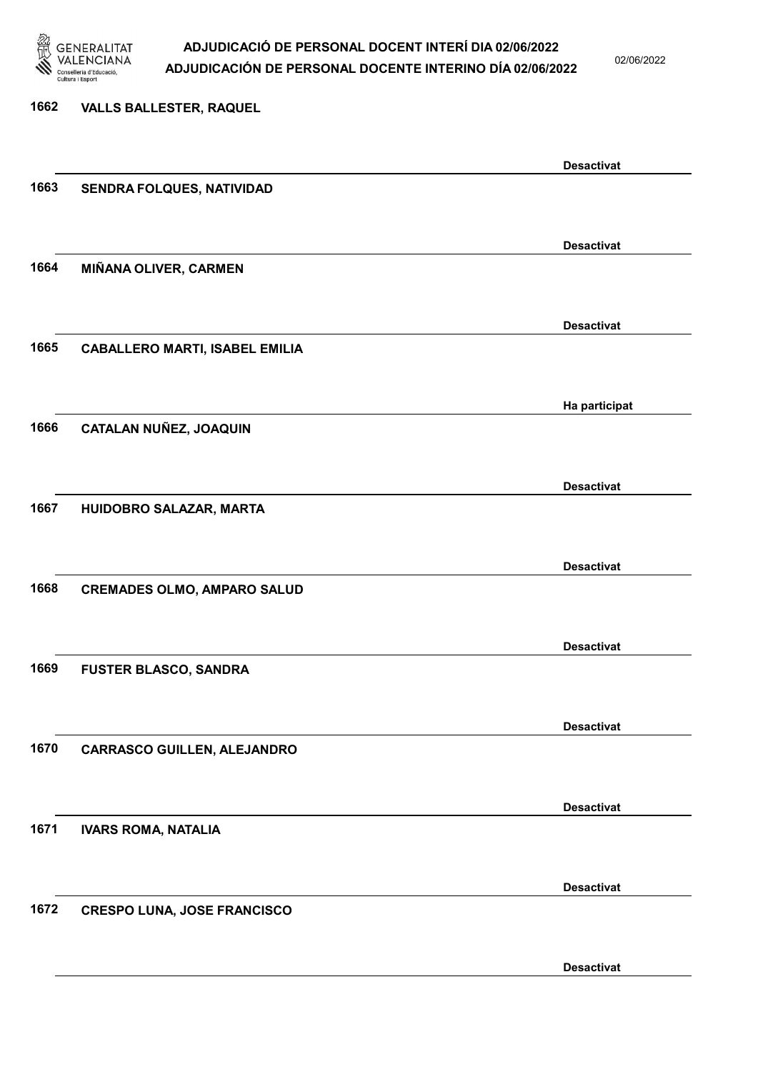

02/06/2022

| 1662 | <b>VALLS BALLESTER, RAQUEL</b>        |                   |
|------|---------------------------------------|-------------------|
|      |                                       | <b>Desactivat</b> |
| 1663 | SENDRA FOLQUES, NATIVIDAD             |                   |
|      |                                       |                   |
|      |                                       | <b>Desactivat</b> |
| 1664 | MIÑANA OLIVER, CARMEN                 |                   |
|      |                                       | <b>Desactivat</b> |
| 1665 | <b>CABALLERO MARTI, ISABEL EMILIA</b> |                   |
|      |                                       |                   |
|      |                                       | Ha participat     |
| 1666 | CATALAN NUÑEZ, JOAQUIN                |                   |
|      |                                       |                   |
|      |                                       | <b>Desactivat</b> |
| 1667 | HUIDOBRO SALAZAR, MARTA               |                   |
|      |                                       |                   |
|      |                                       | <b>Desactivat</b> |
| 1668 | <b>CREMADES OLMO, AMPARO SALUD</b>    |                   |
|      |                                       |                   |
|      |                                       | <b>Desactivat</b> |
| 1669 | <b>FUSTER BLASCO, SANDRA</b>          |                   |
|      |                                       |                   |
|      |                                       |                   |
| 1670 |                                       | <b>Desactivat</b> |
|      | <b>CARRASCO GUILLEN, ALEJANDRO</b>    |                   |
|      |                                       |                   |
|      |                                       | <b>Desactivat</b> |
| 1671 | <b>IVARS ROMA, NATALIA</b>            |                   |
|      |                                       |                   |
|      |                                       | <b>Desactivat</b> |
| 1672 | <b>CRESPO LUNA, JOSE FRANCISCO</b>    |                   |
|      |                                       |                   |
|      |                                       |                   |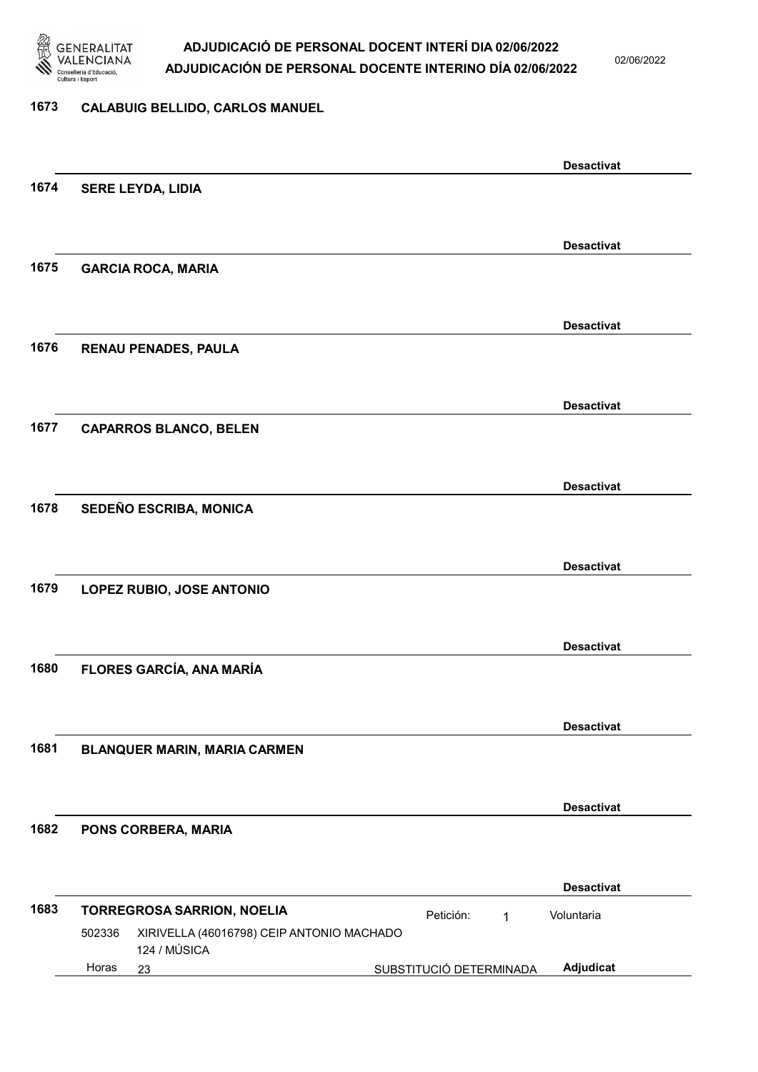

02/06/2022

#### 1673 CALABUIG BELLIDO, CARLOS MANUEL

|      |                                                     |                         |   | <b>Desactivat</b> |  |
|------|-----------------------------------------------------|-------------------------|---|-------------------|--|
| 1674 | <b>SERE LEYDA, LIDIA</b>                            |                         |   |                   |  |
|      |                                                     |                         |   |                   |  |
|      |                                                     |                         |   | <b>Desactivat</b> |  |
| 1675 | <b>GARCIA ROCA, MARIA</b>                           |                         |   |                   |  |
|      |                                                     |                         |   |                   |  |
|      |                                                     |                         |   | <b>Desactivat</b> |  |
| 1676 | <b>RENAU PENADES, PAULA</b>                         |                         |   |                   |  |
|      |                                                     |                         |   |                   |  |
|      |                                                     |                         |   | <b>Desactivat</b> |  |
| 1677 | <b>CAPARROS BLANCO, BELEN</b>                       |                         |   |                   |  |
|      |                                                     |                         |   |                   |  |
|      |                                                     |                         |   | <b>Desactivat</b> |  |
| 1678 | SEDEÑO ESCRIBA, MONICA                              |                         |   |                   |  |
|      |                                                     |                         |   |                   |  |
|      |                                                     |                         |   | <b>Desactivat</b> |  |
| 1679 | LOPEZ RUBIO, JOSE ANTONIO                           |                         |   |                   |  |
|      |                                                     |                         |   |                   |  |
|      |                                                     |                         |   | <b>Desactivat</b> |  |
| 1680 | FLORES GARCÍA, ANA MARÍA                            |                         |   |                   |  |
|      |                                                     |                         |   |                   |  |
|      |                                                     |                         |   | <b>Desactivat</b> |  |
| 1681 | <b>BLANQUER MARIN, MARIA CARMEN</b>                 |                         |   |                   |  |
|      |                                                     |                         |   |                   |  |
|      |                                                     |                         |   | <b>Desactivat</b> |  |
| 1682 | PONS CORBERA, MARIA                                 |                         |   |                   |  |
|      |                                                     |                         |   |                   |  |
|      |                                                     |                         |   | <b>Desactivat</b> |  |
| 1683 | TORREGROSA SARRION, NOELIA                          | Petición:               | 1 | Voluntaria        |  |
|      | XIRIVELLA (46016798) CEIP ANTONIO MACHADO<br>502336 |                         |   |                   |  |
|      | 124 / MÚSICA<br>Horas<br>23                         | SUBSTITUCIÓ DETERMINADA |   | Adjudicat         |  |
|      |                                                     |                         |   |                   |  |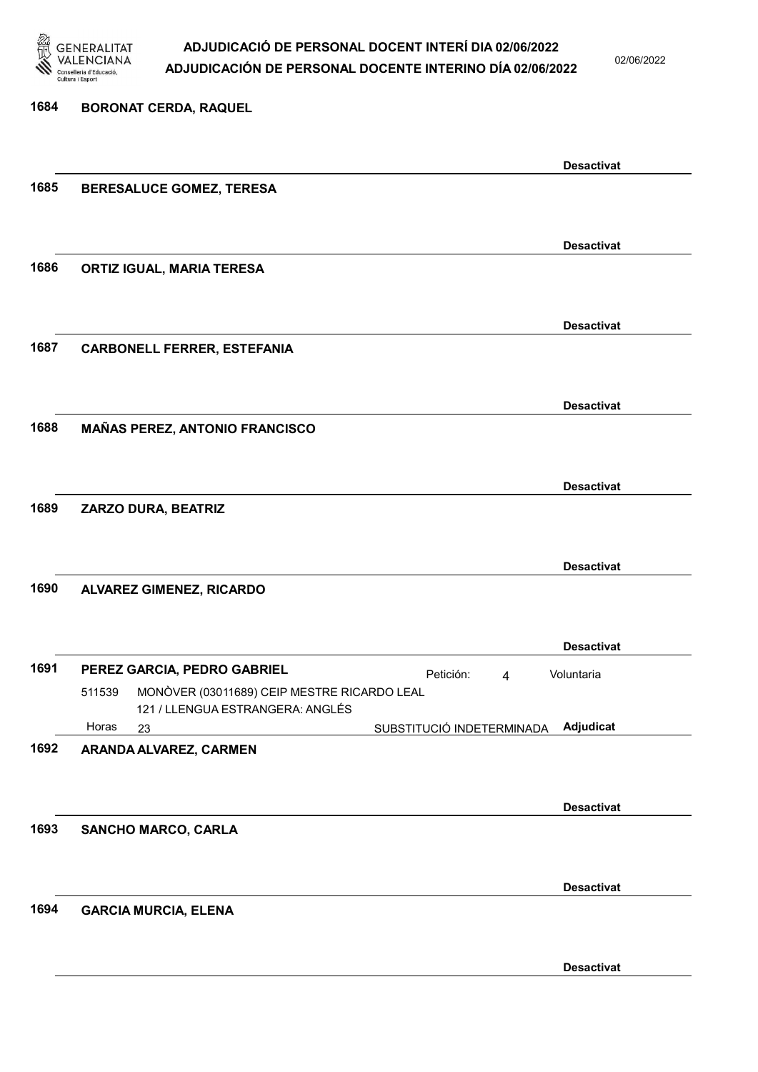

02/06/2022

| 1684 | <b>BORONAT CERDA, RAQUEL</b>                                                              |                   |
|------|-------------------------------------------------------------------------------------------|-------------------|
|      |                                                                                           |                   |
|      |                                                                                           | <b>Desactivat</b> |
| 1685 | BERESALUCE GOMEZ, TERESA                                                                  |                   |
|      |                                                                                           |                   |
|      |                                                                                           | <b>Desactivat</b> |
| 1686 | <b>ORTIZ IGUAL, MARIA TERESA</b>                                                          |                   |
|      |                                                                                           |                   |
|      |                                                                                           | <b>Desactivat</b> |
| 1687 | <b>CARBONELL FERRER, ESTEFANIA</b>                                                        |                   |
|      |                                                                                           |                   |
|      |                                                                                           | <b>Desactivat</b> |
| 1688 | <b>MAÑAS PEREZ, ANTONIO FRANCISCO</b>                                                     |                   |
|      |                                                                                           |                   |
|      |                                                                                           | <b>Desactivat</b> |
| 1689 | ZARZO DURA, BEATRIZ                                                                       |                   |
|      |                                                                                           |                   |
|      |                                                                                           | <b>Desactivat</b> |
| 1690 | <b>ALVAREZ GIMENEZ, RICARDO</b>                                                           |                   |
|      |                                                                                           |                   |
|      |                                                                                           | <b>Desactivat</b> |
| 1691 | PEREZ GARCIA, PEDRO GABRIEL<br>Petición:<br>4                                             | Voluntaria        |
|      | MONÒVER (03011689) CEIP MESTRE RICARDO LEAL<br>511539<br>121 / LLENGUA ESTRANGERA: ANGLÉS |                   |
|      | Horas<br>SUBSTITUCIÓ INDETERMINADA<br>23                                                  | Adjudicat         |
| 1692 | ARANDA ALVAREZ, CARMEN                                                                    |                   |
|      |                                                                                           |                   |
|      |                                                                                           | <b>Desactivat</b> |
| 1693 | SANCHO MARCO, CARLA                                                                       |                   |
|      |                                                                                           |                   |
|      |                                                                                           | <b>Desactivat</b> |
| 1694 | <b>GARCIA MURCIA, ELENA</b>                                                               |                   |
|      |                                                                                           |                   |
|      |                                                                                           | <b>Desactivat</b> |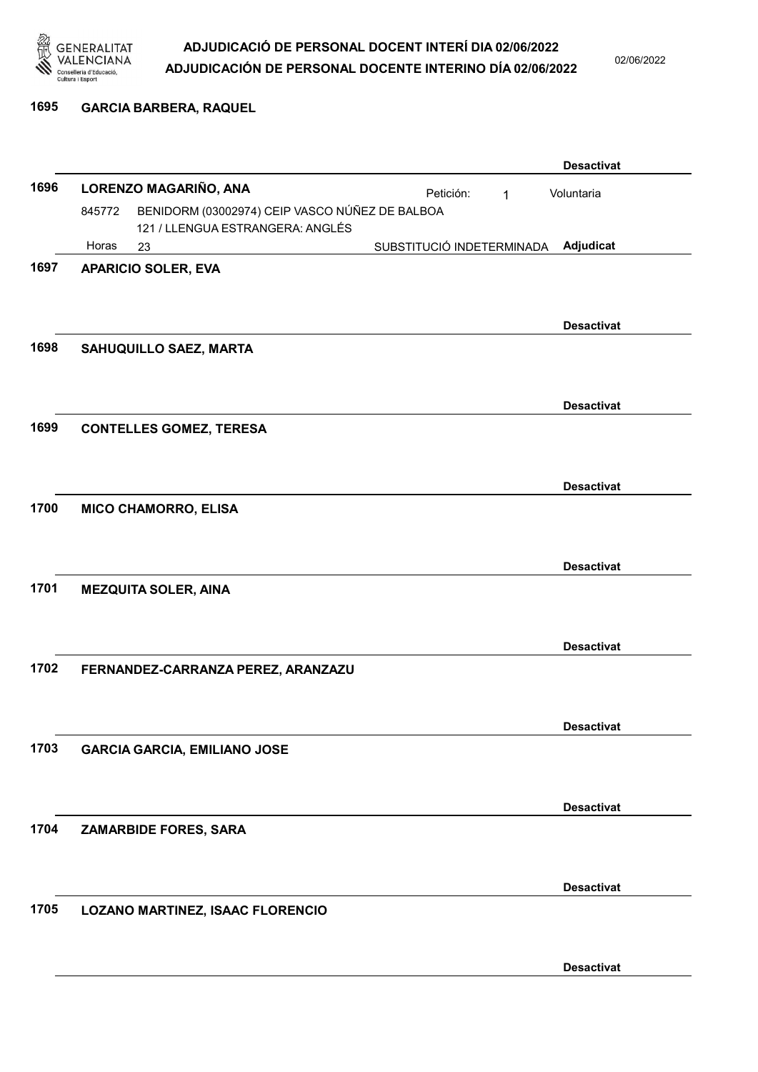

02/06/2022

#### 1695 GARCIA BARBERA, RAQUEL

|      |        |                                                |                           |             | <b>Desactivat</b> |
|------|--------|------------------------------------------------|---------------------------|-------------|-------------------|
| 1696 |        | LORENZO MAGARIÑO, ANA                          | Petición:                 | $\mathbf 1$ | Voluntaria        |
|      | 845772 | BENIDORM (03002974) CEIP VASCO NÚÑEZ DE BALBOA |                           |             |                   |
|      | Horas  | 121 / LLENGUA ESTRANGERA: ANGLÉS<br>23         | SUBSTITUCIÓ INDETERMINADA |             | Adjudicat         |
| 1697 |        | <b>APARICIO SOLER, EVA</b>                     |                           |             |                   |
|      |        |                                                |                           |             |                   |
|      |        |                                                |                           |             |                   |
|      |        |                                                |                           |             | <b>Desactivat</b> |
| 1698 |        | SAHUQUILLO SAEZ, MARTA                         |                           |             |                   |
|      |        |                                                |                           |             |                   |
|      |        |                                                |                           |             | <b>Desactivat</b> |
| 1699 |        | <b>CONTELLES GOMEZ, TERESA</b>                 |                           |             |                   |
|      |        |                                                |                           |             |                   |
|      |        |                                                |                           |             |                   |
| 1700 |        |                                                |                           |             | <b>Desactivat</b> |
|      |        | <b>MICO CHAMORRO, ELISA</b>                    |                           |             |                   |
|      |        |                                                |                           |             |                   |
|      |        |                                                |                           |             | <b>Desactivat</b> |
| 1701 |        | <b>MEZQUITA SOLER, AINA</b>                    |                           |             |                   |
|      |        |                                                |                           |             |                   |
|      |        |                                                |                           |             | <b>Desactivat</b> |
| 1702 |        | FERNANDEZ-CARRANZA PEREZ, ARANZAZU             |                           |             |                   |
|      |        |                                                |                           |             |                   |
|      |        |                                                |                           |             |                   |
|      |        |                                                |                           |             | <b>Desactivat</b> |
| 1703 |        | <b>GARCIA GARCIA, EMILIANO JOSE</b>            |                           |             |                   |
|      |        |                                                |                           |             |                   |
|      |        |                                                |                           |             | <b>Desactivat</b> |
| 1704 |        | ZAMARBIDE FORES, SARA                          |                           |             |                   |
|      |        |                                                |                           |             |                   |
|      |        |                                                |                           |             | <b>Desactivat</b> |
| 1705 |        |                                                |                           |             |                   |
|      |        | LOZANO MARTINEZ, ISAAC FLORENCIO               |                           |             |                   |
|      |        |                                                |                           |             |                   |
|      |        |                                                |                           |             | <b>Desactivat</b> |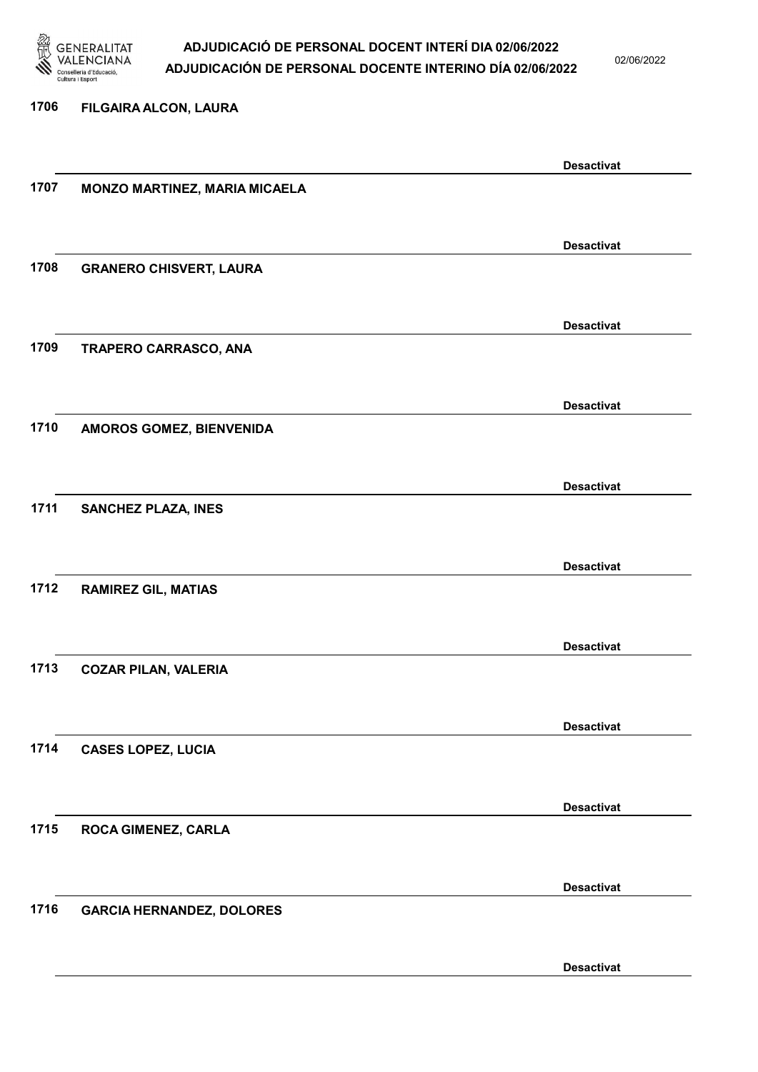

02/06/2022

#### 1706 FILGAIRA ALCON, LAURA

|      |                                  | <b>Desactivat</b> |
|------|----------------------------------|-------------------|
| 1707 | MONZO MARTINEZ, MARIA MICAELA    |                   |
|      |                                  |                   |
|      |                                  | <b>Desactivat</b> |
| 1708 | <b>GRANERO CHISVERT, LAURA</b>   |                   |
|      |                                  |                   |
|      |                                  | <b>Desactivat</b> |
| 1709 | TRAPERO CARRASCO, ANA            |                   |
|      |                                  |                   |
|      |                                  |                   |
|      |                                  | <b>Desactivat</b> |
| 1710 | AMOROS GOMEZ, BIENVENIDA         |                   |
|      |                                  |                   |
|      |                                  | <b>Desactivat</b> |
| 1711 | <b>SANCHEZ PLAZA, INES</b>       |                   |
|      |                                  |                   |
|      |                                  | <b>Desactivat</b> |
| 1712 | <b>RAMIREZ GIL, MATIAS</b>       |                   |
|      |                                  |                   |
|      |                                  | <b>Desactivat</b> |
| 1713 | <b>COZAR PILAN, VALERIA</b>      |                   |
|      |                                  |                   |
|      |                                  | <b>Desactivat</b> |
| 1714 | <b>CASES LOPEZ, LUCIA</b>        |                   |
|      |                                  |                   |
|      |                                  | <b>Desactivat</b> |
| 1715 | ROCA GIMENEZ, CARLA              |                   |
|      |                                  |                   |
|      |                                  |                   |
| 1716 |                                  | <b>Desactivat</b> |
|      | <b>GARCIA HERNANDEZ, DOLORES</b> |                   |
|      |                                  |                   |
|      |                                  | <b>Desactivat</b> |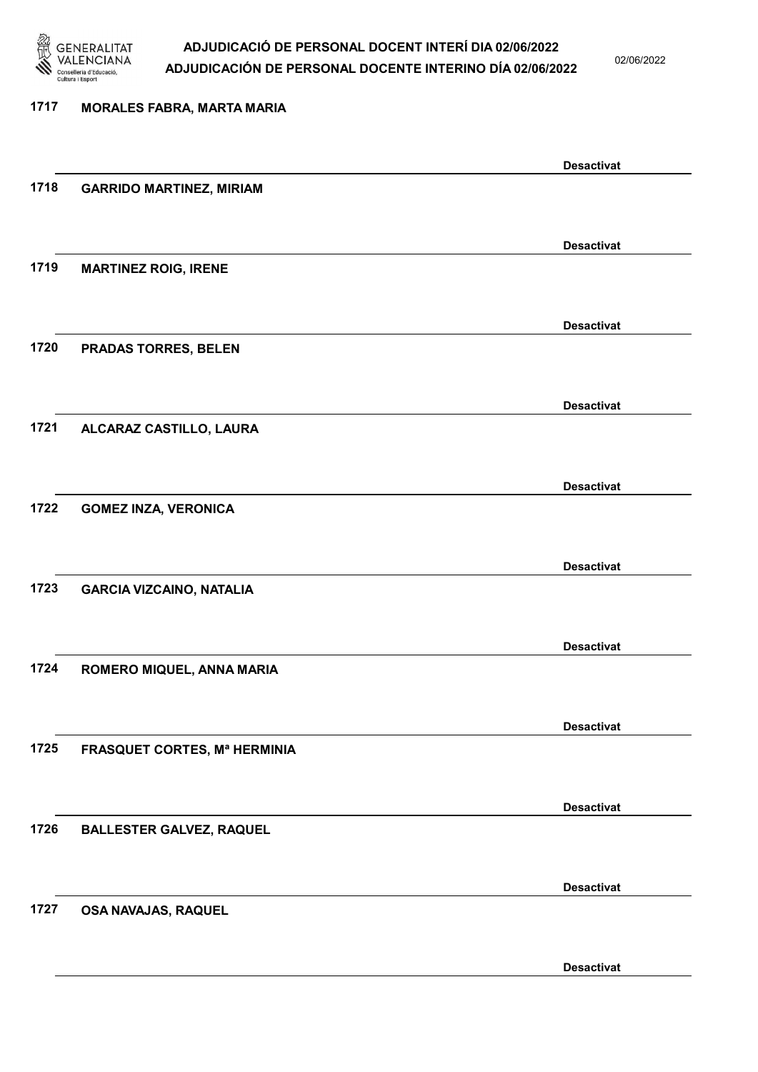

02/06/2022

#### 1717 MORALES FABRA, MARTA MARIA

|      |                                     | <b>Desactivat</b> |
|------|-------------------------------------|-------------------|
| 1718 | <b>GARRIDO MARTINEZ, MIRIAM</b>     |                   |
|      |                                     |                   |
|      |                                     | <b>Desactivat</b> |
| 1719 | <b>MARTINEZ ROIG, IRENE</b>         |                   |
|      |                                     |                   |
|      |                                     | <b>Desactivat</b> |
| 1720 | PRADAS TORRES, BELEN                |                   |
|      |                                     |                   |
| 1721 | ALCARAZ CASTILLO, LAURA             | <b>Desactivat</b> |
|      |                                     |                   |
|      |                                     | <b>Desactivat</b> |
| 1722 | <b>GOMEZ INZA, VERONICA</b>         |                   |
|      |                                     |                   |
|      |                                     | <b>Desactivat</b> |
| 1723 | <b>GARCIA VIZCAINO, NATALIA</b>     |                   |
|      |                                     |                   |
| 1724 |                                     | <b>Desactivat</b> |
|      | ROMERO MIQUEL, ANNA MARIA           |                   |
|      |                                     | <b>Desactivat</b> |
| 1725 | <b>FRASQUET CORTES, Mª HERMINIA</b> |                   |
|      |                                     |                   |
|      |                                     | <b>Desactivat</b> |
| 1726 | <b>BALLESTER GALVEZ, RAQUEL</b>     |                   |
|      |                                     |                   |
|      |                                     | <b>Desactivat</b> |
| 1727 | OSA NAVAJAS, RAQUEL                 |                   |
|      |                                     |                   |
|      |                                     | <b>Desactivat</b> |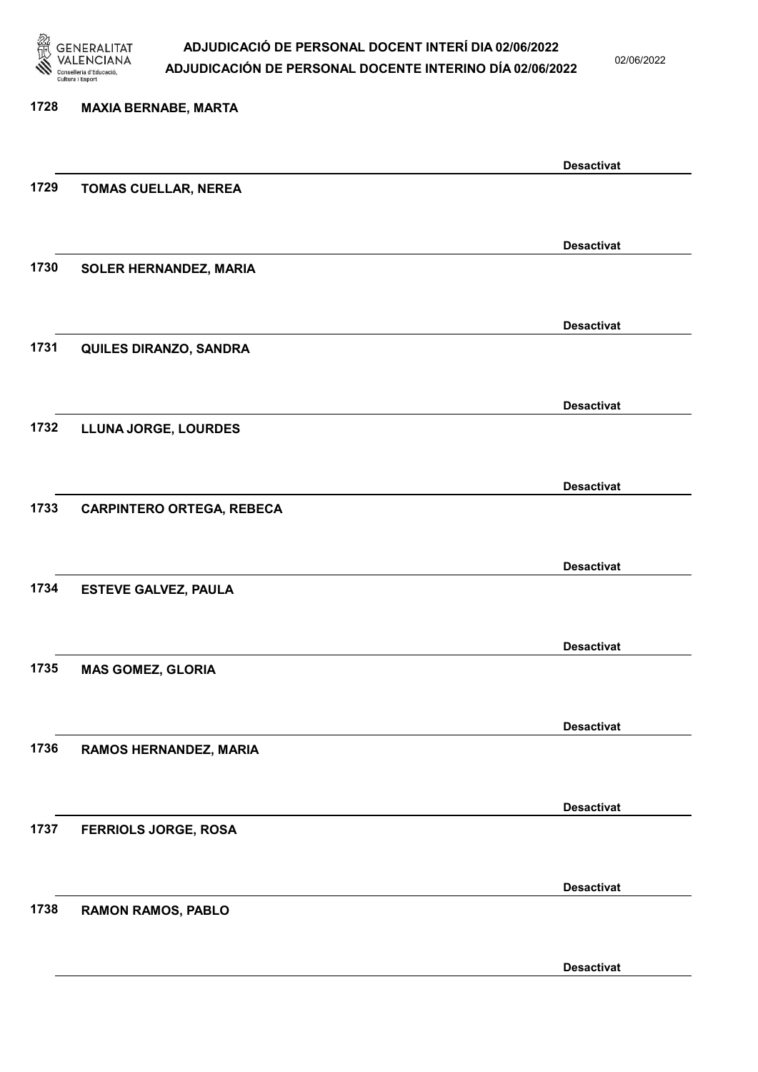

02/06/2022

### 1728 MAXIA BERNABE, MARTA Desactivat 1729 TOMAS CUELLAR, NEREA Desactivat 1730 SOLER HERNANDEZ, MARIA Desactivat 1731 QUILES DIRANZO, SANDRA Desactivat 1732 LLUNA JORGE, LOURDES Desactivat 1733 CARPINTERO ORTEGA, REBECA Desactivat 1734 ESTEVE GALVEZ, PAULA Desactivat 1735 MAS GOMEZ, GLORIA Desactivat 1736 RAMOS HERNANDEZ, MARIA Desactivat 1737 FERRIOLS JORGE, ROSA Desactivat 1738 RAMON RAMOS, PABLO Desactivat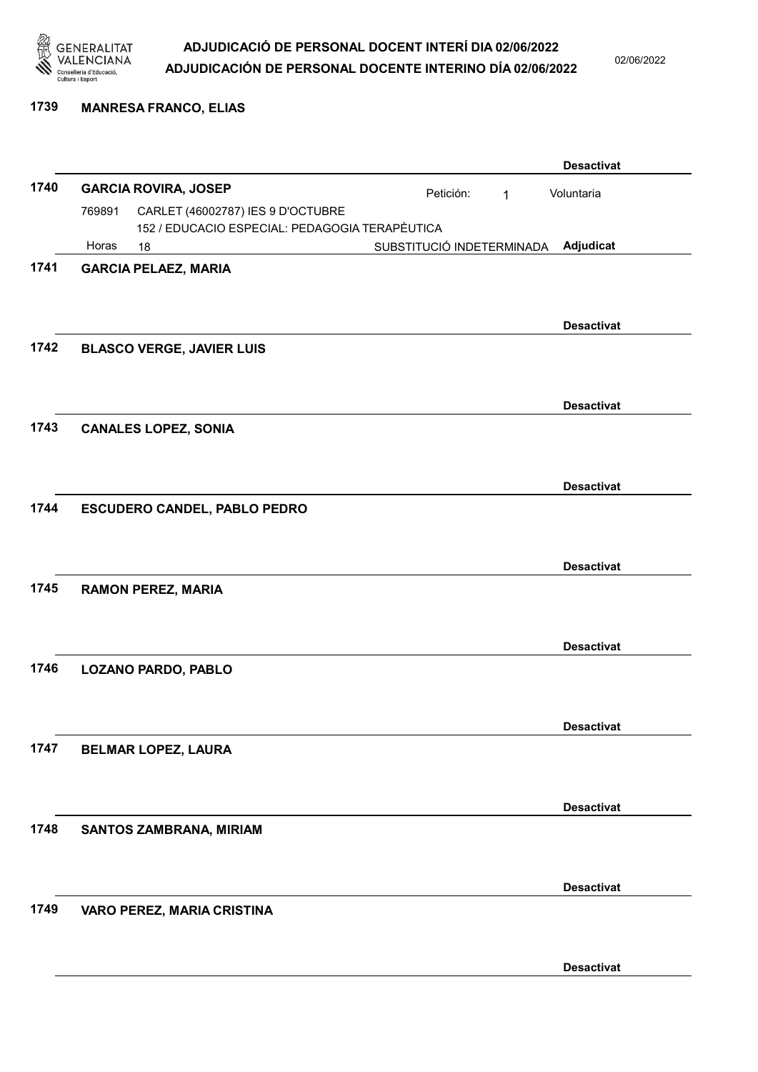

02/06/2022

#### 1739 MANRESA FRANCO, ELIAS

|      |        |                                                |                           |   | <b>Desactivat</b> |
|------|--------|------------------------------------------------|---------------------------|---|-------------------|
| 1740 |        | <b>GARCIA ROVIRA, JOSEP</b>                    | Petición:                 | 1 | Voluntaria        |
|      | 769891 | CARLET (46002787) IES 9 D'OCTUBRE              |                           |   |                   |
|      | Horas  | 152 / EDUCACIO ESPECIAL: PEDAGOGIA TERAPÈUTICA |                           |   |                   |
| 1741 |        | 18                                             | SUBSTITUCIÓ INDETERMINADA |   | Adjudicat         |
|      |        | <b>GARCIA PELAEZ, MARIA</b>                    |                           |   |                   |
|      |        |                                                |                           |   |                   |
|      |        |                                                |                           |   | <b>Desactivat</b> |
| 1742 |        | <b>BLASCO VERGE, JAVIER LUIS</b>               |                           |   |                   |
|      |        |                                                |                           |   |                   |
|      |        |                                                |                           |   |                   |
|      |        |                                                |                           |   | <b>Desactivat</b> |
| 1743 |        | <b>CANALES LOPEZ, SONIA</b>                    |                           |   |                   |
|      |        |                                                |                           |   |                   |
|      |        |                                                |                           |   | <b>Desactivat</b> |
| 1744 |        | <b>ESCUDERO CANDEL, PABLO PEDRO</b>            |                           |   |                   |
|      |        |                                                |                           |   |                   |
|      |        |                                                |                           |   |                   |
|      |        |                                                |                           |   | <b>Desactivat</b> |
| 1745 |        | <b>RAMON PEREZ, MARIA</b>                      |                           |   |                   |
|      |        |                                                |                           |   |                   |
|      |        |                                                |                           |   | <b>Desactivat</b> |
| 1746 |        | LOZANO PARDO, PABLO                            |                           |   |                   |
|      |        |                                                |                           |   |                   |
|      |        |                                                |                           |   |                   |
|      |        |                                                |                           |   | <b>Desactivat</b> |
| 1747 |        | <b>BELMAR LOPEZ, LAURA</b>                     |                           |   |                   |
|      |        |                                                |                           |   |                   |
|      |        |                                                |                           |   |                   |
|      |        |                                                |                           |   | <b>Desactivat</b> |
| 1748 |        | SANTOS ZAMBRANA, MIRIAM                        |                           |   |                   |
|      |        |                                                |                           |   |                   |
|      |        |                                                |                           |   | <b>Desactivat</b> |
| 1749 |        | VARO PEREZ, MARIA CRISTINA                     |                           |   |                   |
|      |        |                                                |                           |   |                   |
|      |        |                                                |                           |   |                   |
|      |        |                                                |                           |   | <b>Desactivat</b> |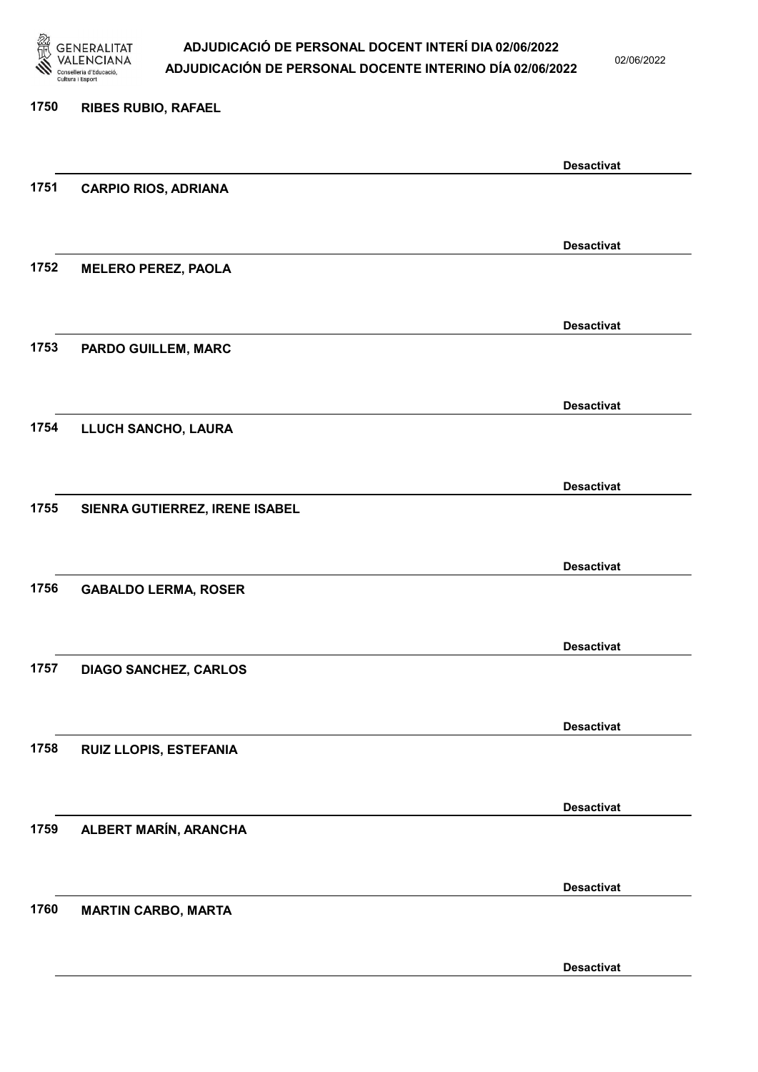

02/06/2022

Desactivat

# 1750 RIBES RUBIO, RAFAEL Desactivat 1751 CARPIO RIOS, ADRIANA Desactivat 1752 MELERO PEREZ, PAOLA Desactivat 1753 PARDO GUILLEM, MARC Desactivat 1754 LLUCH SANCHO, LAURA Desactivat 1755 SIENRA GUTIERREZ, IRENE ISABEL Desactivat 1756 GABALDO LERMA, ROSER Desactivat 1757 DIAGO SANCHEZ, CARLOS Desactivat 1758 RUIZ LLOPIS, ESTEFANIA Desactivat 1759 ALBERT MARÍN, ARANCHA Desactivat 1760 MARTIN CARBO, MARTA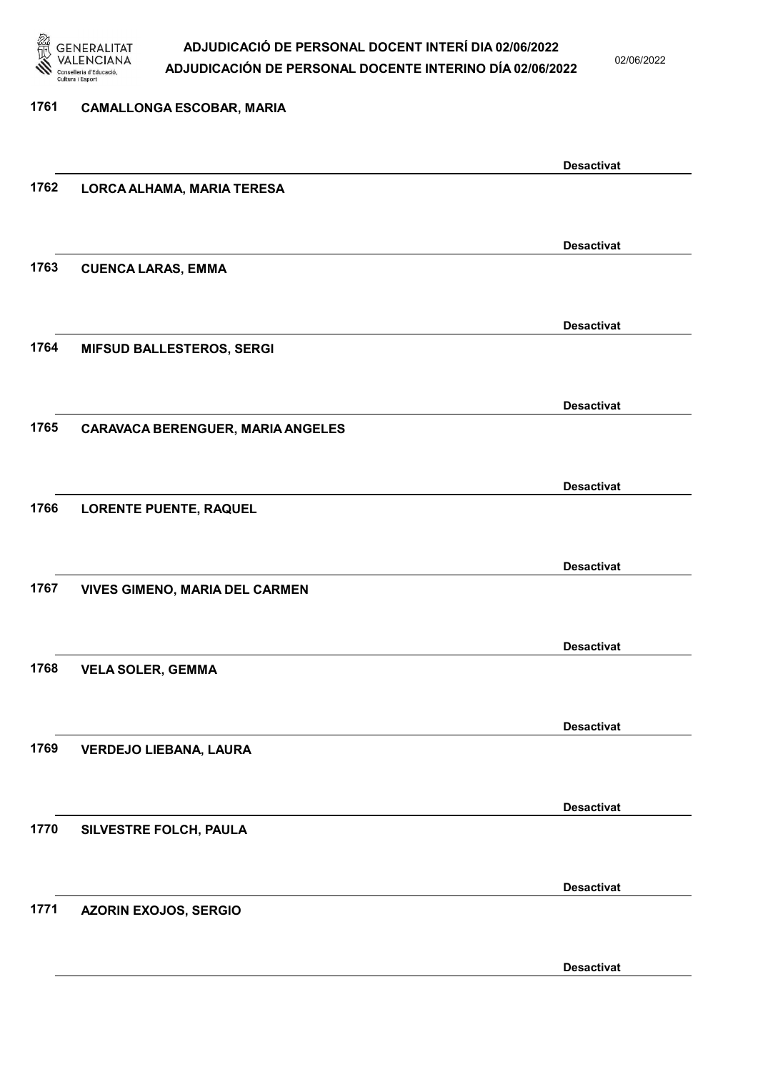

02/06/2022

| 1761 | <b>CAMALLONGA ESCOBAR, MARIA</b>         |                   |
|------|------------------------------------------|-------------------|
|      |                                          |                   |
|      |                                          | <b>Desactivat</b> |
| 1762 | LORCA ALHAMA, MARIA TERESA               |                   |
|      |                                          |                   |
|      |                                          | <b>Desactivat</b> |
| 1763 | <b>CUENCA LARAS, EMMA</b>                |                   |
|      |                                          |                   |
|      |                                          | <b>Desactivat</b> |
| 1764 | <b>MIFSUD BALLESTEROS, SERGI</b>         |                   |
|      |                                          |                   |
|      |                                          | <b>Desactivat</b> |
| 1765 | <b>CARAVACA BERENGUER, MARIA ANGELES</b> |                   |
|      |                                          |                   |
|      |                                          | <b>Desactivat</b> |
| 1766 | <b>LORENTE PUENTE, RAQUEL</b>            |                   |
|      |                                          |                   |
|      |                                          | <b>Desactivat</b> |
| 1767 | <b>VIVES GIMENO, MARIA DEL CARMEN</b>    |                   |
|      |                                          |                   |
|      |                                          | <b>Desactivat</b> |
| 1768 | <b>VELA SOLER, GEMMA</b>                 |                   |
|      |                                          |                   |
|      |                                          | <b>Desactivat</b> |
| 1769 | <b>VERDEJO LIEBANA, LAURA</b>            |                   |
|      |                                          |                   |
|      |                                          | <b>Desactivat</b> |
| 1770 | SILVESTRE FOLCH, PAULA                   |                   |
|      |                                          |                   |
| 1771 |                                          | <b>Desactivat</b> |
|      | AZORIN EXOJOS, SERGIO                    |                   |
|      |                                          |                   |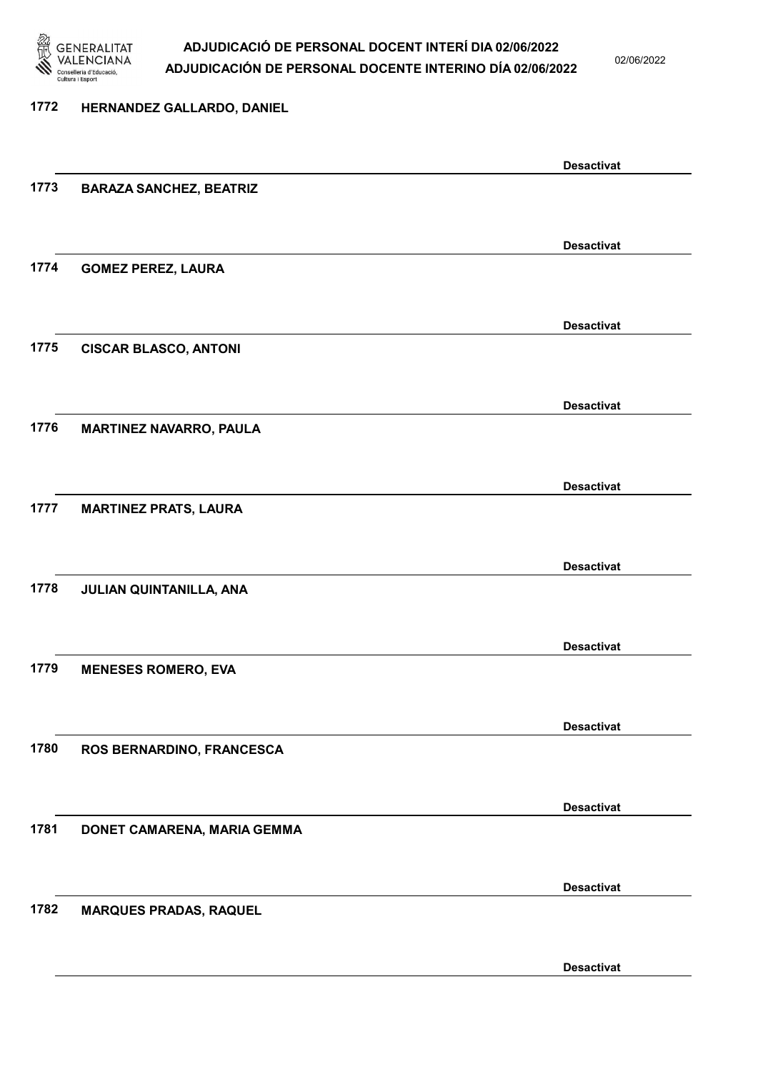

02/06/2022

Desactivat

# 1772 HERNANDEZ GALLARDO, DANIEL Desactivat 1773 BARAZA SANCHEZ, BEATRIZ Desactivat 1774 GOMEZ PEREZ, LAURA Desactivat 1775 CISCAR BLASCO, ANTONI Desactivat 1776 MARTINEZ NAVARRO, PAULA Desactivat 1777 MARTINEZ PRATS, LAURA Desactivat 1778 JULIAN QUINTANILLA, ANA Desactivat 1779 MENESES ROMERO, EVA Desactivat 1780 ROS BERNARDINO, FRANCESCA Desactivat 1781 DONET CAMARENA, MARIA GEMMA Desactivat 1782 MARQUES PRADAS, RAQUEL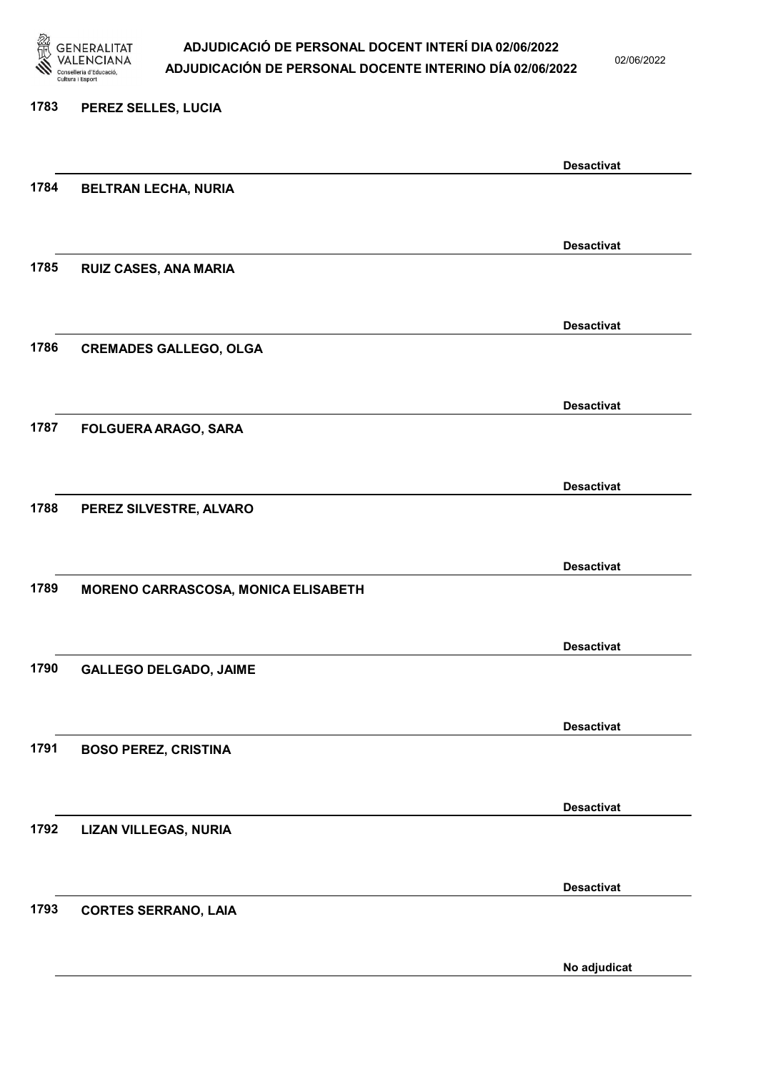

02/06/2022

#### 1783 PEREZ SELLES, LUCIA

|      |                                     | <b>Desactivat</b> |
|------|-------------------------------------|-------------------|
| 1784 | BELTRAN LECHA, NURIA                |                   |
|      |                                     |                   |
|      |                                     | <b>Desactivat</b> |
| 1785 | RUIZ CASES, ANA MARIA               |                   |
|      |                                     |                   |
|      |                                     | <b>Desactivat</b> |
| 1786 | <b>CREMADES GALLEGO, OLGA</b>       |                   |
|      |                                     |                   |
|      |                                     | <b>Desactivat</b> |
| 1787 | FOLGUERA ARAGO, SARA                |                   |
|      |                                     |                   |
|      |                                     | <b>Desactivat</b> |
| 1788 | PEREZ SILVESTRE, ALVARO             |                   |
|      |                                     |                   |
|      |                                     | <b>Desactivat</b> |
| 1789 | MORENO CARRASCOSA, MONICA ELISABETH |                   |
|      |                                     |                   |
|      |                                     | <b>Desactivat</b> |
| 1790 | <b>GALLEGO DELGADO, JAIME</b>       |                   |
|      |                                     |                   |
|      |                                     | <b>Desactivat</b> |
| 1791 | <b>BOSO PEREZ, CRISTINA</b>         |                   |
|      |                                     |                   |
|      |                                     | <b>Desactivat</b> |
| 1792 | <b>LIZAN VILLEGAS, NURIA</b>        |                   |
|      |                                     |                   |
|      |                                     | <b>Desactivat</b> |
| 1793 | <b>CORTES SERRANO, LAIA</b>         |                   |
|      |                                     |                   |
|      |                                     | No adjudicat      |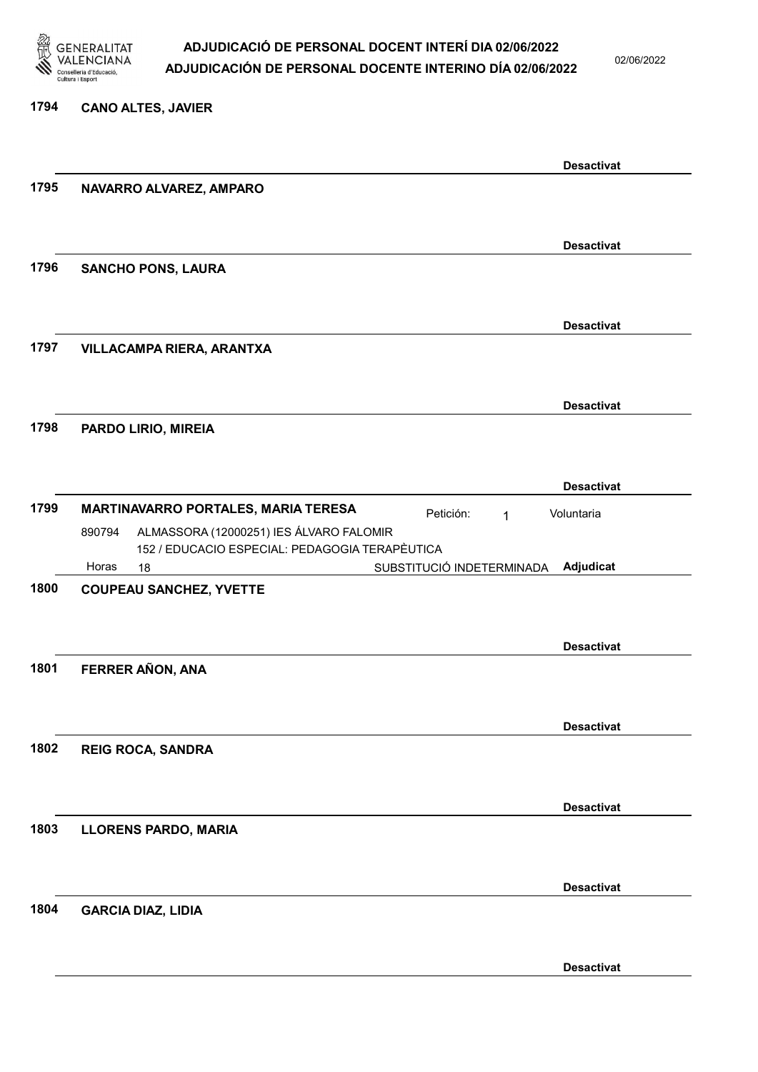

02/06/2022

#### 1794 CANO ALTES, JAVIER

|      |                                                   |                           | <b>Desactivat</b> |
|------|---------------------------------------------------|---------------------------|-------------------|
| 1795 | NAVARRO ALVAREZ, AMPARO                           |                           |                   |
|      |                                                   |                           |                   |
|      |                                                   |                           |                   |
|      |                                                   |                           | <b>Desactivat</b> |
| 1796 | <b>SANCHO PONS, LAURA</b>                         |                           |                   |
|      |                                                   |                           |                   |
|      |                                                   |                           | <b>Desactivat</b> |
| 1797 | VILLACAMPA RIERA, ARANTXA                         |                           |                   |
|      |                                                   |                           |                   |
|      |                                                   |                           |                   |
|      |                                                   |                           | <b>Desactivat</b> |
| 1798 | PARDO LIRIO, MIREIA                               |                           |                   |
|      |                                                   |                           |                   |
|      |                                                   |                           | <b>Desactivat</b> |
| 1799 | MARTINAVARRO PORTALES, MARIA TERESA               | Petición:<br>1            | Voluntaria        |
|      | ALMASSORA (12000251) IES ÁLVARO FALOMIR<br>890794 |                           |                   |
|      | 152 / EDUCACIO ESPECIAL: PEDAGOGIA TERAPÈUTICA    |                           |                   |
|      | Horas<br>18                                       | SUBSTITUCIÓ INDETERMINADA | Adjudicat         |
| 1800 | <b>COUPEAU SANCHEZ, YVETTE</b>                    |                           |                   |
|      |                                                   |                           |                   |
|      |                                                   |                           | <b>Desactivat</b> |
| 1801 | FERRER AÑON, ANA                                  |                           |                   |
|      |                                                   |                           |                   |
|      |                                                   |                           |                   |
|      |                                                   |                           | <b>Desactivat</b> |
| 1802 | <b>REIG ROCA, SANDRA</b>                          |                           |                   |
|      |                                                   |                           |                   |
|      |                                                   |                           | <b>Desactivat</b> |
| 1803 | <b>LLORENS PARDO, MARIA</b>                       |                           |                   |
|      |                                                   |                           |                   |
|      |                                                   |                           |                   |
|      |                                                   |                           | <b>Desactivat</b> |
| 1804 | <b>GARCIA DIAZ, LIDIA</b>                         |                           |                   |
|      |                                                   |                           |                   |
|      |                                                   |                           | <b>Desactivat</b> |
|      |                                                   |                           |                   |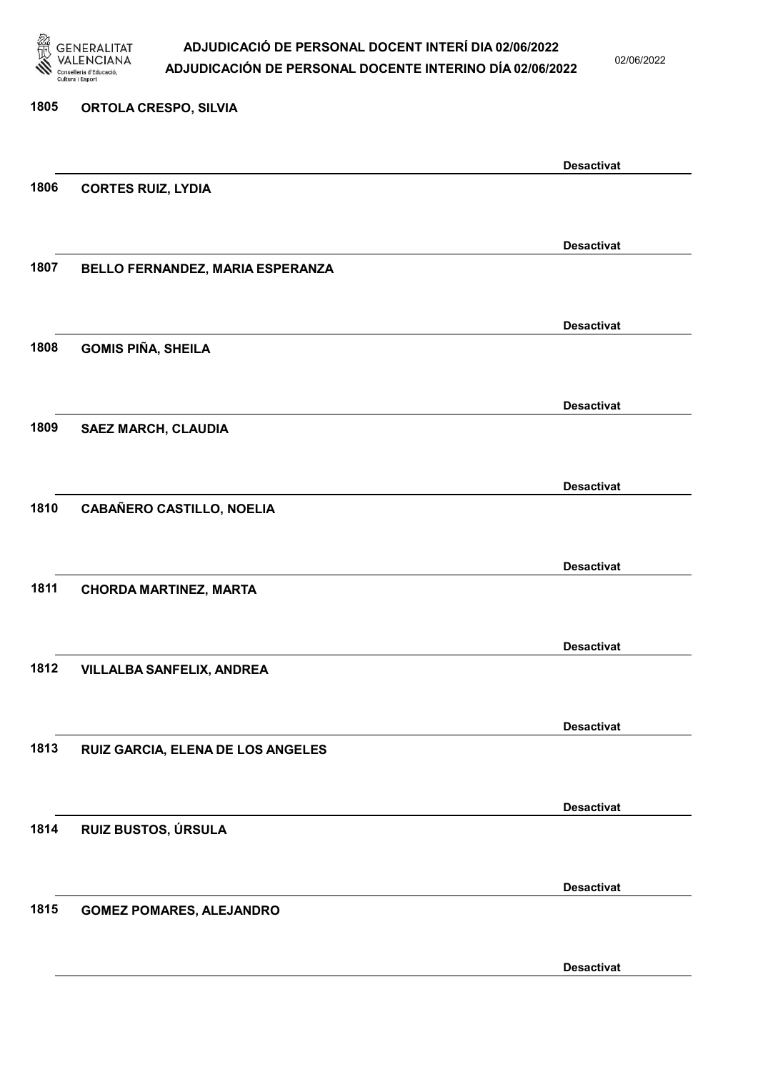

02/06/2022

| 1805 | <b>ORTOLA CRESPO, SILVIA</b>      |                   |
|------|-----------------------------------|-------------------|
|      |                                   | <b>Desactivat</b> |
| 1806 | <b>CORTES RUIZ, LYDIA</b>         |                   |
|      |                                   |                   |
| 1807 | BELLO FERNANDEZ, MARIA ESPERANZA  | <b>Desactivat</b> |
|      |                                   |                   |
|      |                                   | <b>Desactivat</b> |
| 1808 | <b>GOMIS PIÑA, SHEILA</b>         |                   |
|      |                                   |                   |
| 1809 | <b>SAEZ MARCH, CLAUDIA</b>        | <b>Desactivat</b> |
|      |                                   |                   |
|      |                                   | <b>Desactivat</b> |
| 1810 | <b>CABAÑERO CASTILLO, NOELIA</b>  |                   |
|      |                                   | <b>Desactivat</b> |
| 1811 | <b>CHORDA MARTINEZ, MARTA</b>     |                   |
|      |                                   |                   |
| 1812 | <b>VILLALBA SANFELIX, ANDREA</b>  | <b>Desactivat</b> |
|      |                                   |                   |
|      |                                   | <b>Desactivat</b> |
| 1813 | RUIZ GARCIA, ELENA DE LOS ANGELES |                   |
|      |                                   | <b>Desactivat</b> |
| 1814 | RUIZ BUSTOS, ÚRSULA               |                   |
|      |                                   |                   |
|      |                                   | <b>Desactivat</b> |
| 1815 | <b>GOMEZ POMARES, ALEJANDRO</b>   |                   |
|      |                                   |                   |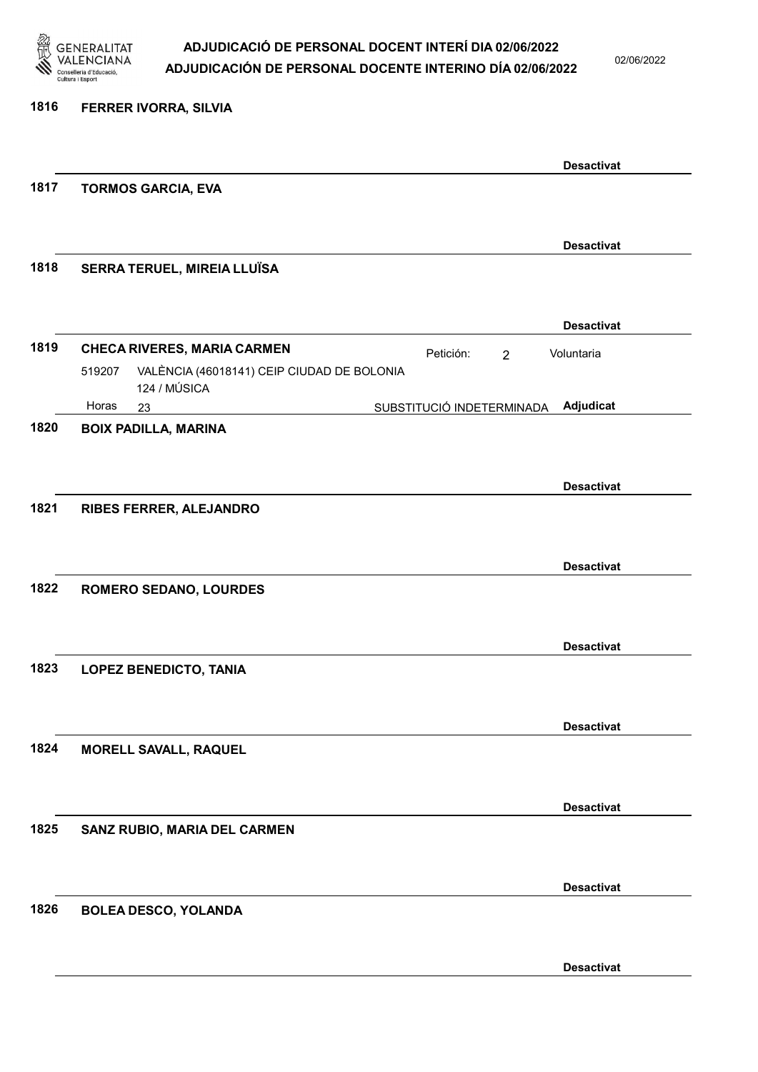

02/06/2022

| 1816 | FERRER IVORRA, SILVIA                                                |                             |                   |
|------|----------------------------------------------------------------------|-----------------------------|-------------------|
|      |                                                                      |                             |                   |
|      |                                                                      |                             | <b>Desactivat</b> |
| 1817 | <b>TORMOS GARCIA, EVA</b>                                            |                             |                   |
|      |                                                                      |                             |                   |
|      |                                                                      |                             | <b>Desactivat</b> |
| 1818 | SERRA TERUEL, MIREIA LLUÏSA                                          |                             |                   |
|      |                                                                      |                             |                   |
|      |                                                                      |                             | <b>Desactivat</b> |
| 1819 | <b>CHECA RIVERES, MARIA CARMEN</b>                                   | Petición:<br>$\overline{2}$ | Voluntaria        |
|      | VALÈNCIA (46018141) CEIP CIUDAD DE BOLONIA<br>519207<br>124 / MÚSICA |                             |                   |
|      | Horas<br>23                                                          | SUBSTITUCIÓ INDETERMINADA   | Adjudicat         |
| 1820 | <b>BOIX PADILLA, MARINA</b>                                          |                             |                   |
|      |                                                                      |                             |                   |
|      |                                                                      |                             | <b>Desactivat</b> |
| 1821 | <b>RIBES FERRER, ALEJANDRO</b>                                       |                             |                   |
|      |                                                                      |                             |                   |
|      |                                                                      |                             | <b>Desactivat</b> |
| 1822 | <b>ROMERO SEDANO, LOURDES</b>                                        |                             |                   |
|      |                                                                      |                             |                   |
|      |                                                                      |                             | <b>Desactivat</b> |
| 1823 | <b>LOPEZ BENEDICTO, TANIA</b>                                        |                             |                   |
|      |                                                                      |                             |                   |
|      |                                                                      |                             | <b>Desactivat</b> |
| 1824 | <b>MORELL SAVALL, RAQUEL</b>                                         |                             |                   |
|      |                                                                      |                             |                   |
|      |                                                                      |                             | <b>Desactivat</b> |
| 1825 | SANZ RUBIO, MARIA DEL CARMEN                                         |                             |                   |
|      |                                                                      |                             |                   |
|      |                                                                      |                             | <b>Desactivat</b> |
| 1826 | <b>BOLEA DESCO, YOLANDA</b>                                          |                             |                   |
|      |                                                                      |                             |                   |
|      |                                                                      |                             |                   |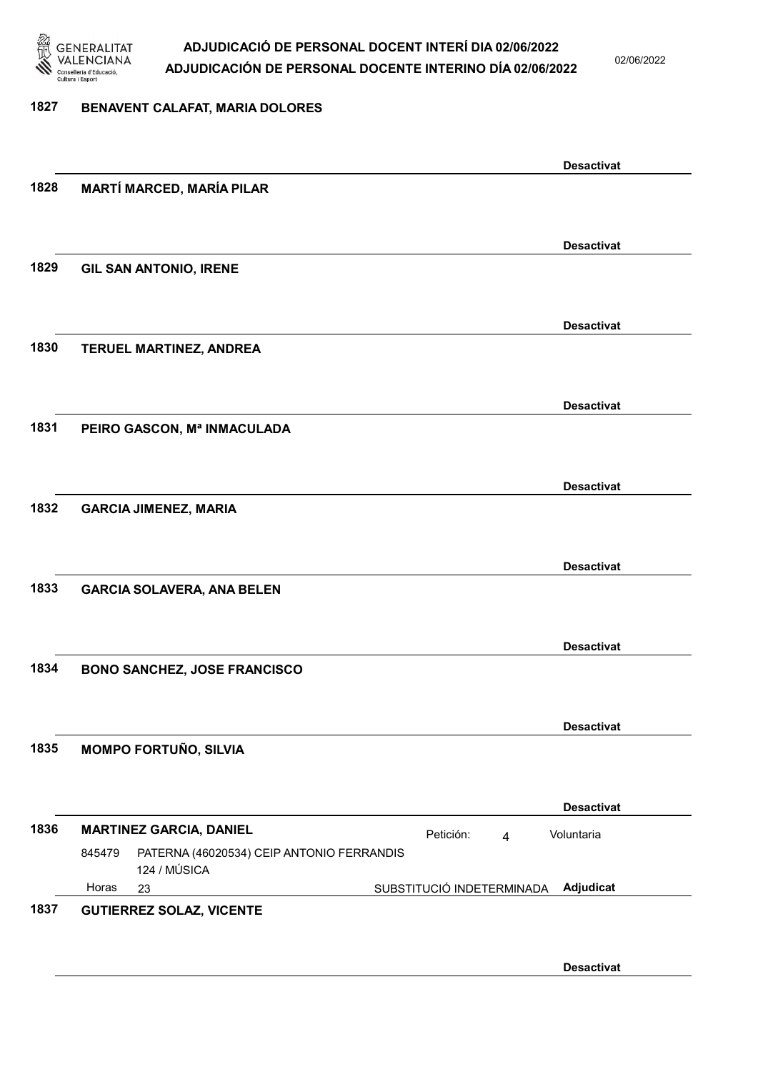

02/06/2022

#### 1827 BENAVENT CALAFAT, MARIA DOLORES

|      |                                                                     | <b>Desactivat</b>                         |
|------|---------------------------------------------------------------------|-------------------------------------------|
| 1828 | <b>MARTÍ MARCED, MARÍA PILAR</b>                                    |                                           |
|      |                                                                     |                                           |
|      |                                                                     | <b>Desactivat</b>                         |
| 1829 | <b>GIL SAN ANTONIO, IRENE</b>                                       |                                           |
|      |                                                                     |                                           |
|      |                                                                     | <b>Desactivat</b>                         |
| 1830 | TERUEL MARTINEZ, ANDREA                                             |                                           |
|      |                                                                     |                                           |
|      |                                                                     | <b>Desactivat</b>                         |
| 1831 | PEIRO GASCON, Mª INMACULADA                                         |                                           |
|      |                                                                     |                                           |
|      |                                                                     | <b>Desactivat</b>                         |
| 1832 | <b>GARCIA JIMENEZ, MARIA</b>                                        |                                           |
|      |                                                                     |                                           |
|      |                                                                     | <b>Desactivat</b>                         |
| 1833 | <b>GARCIA SOLAVERA, ANA BELEN</b>                                   |                                           |
|      |                                                                     |                                           |
|      |                                                                     | <b>Desactivat</b>                         |
| 1834 | <b>BONO SANCHEZ, JOSE FRANCISCO</b>                                 |                                           |
|      |                                                                     |                                           |
|      |                                                                     | <b>Desactivat</b>                         |
| 1835 | <b>MOMPO FORTUÑO, SILVIA</b>                                        |                                           |
|      |                                                                     |                                           |
|      |                                                                     | <b>Desactivat</b>                         |
| 1836 | <b>MARTINEZ GARCIA, DANIEL</b>                                      | Voluntaria<br>Petición:<br>$\overline{4}$ |
|      | 845479<br>PATERNA (46020534) CEIP ANTONIO FERRANDIS<br>124 / MÚSICA |                                           |
|      | Horas<br>23                                                         | SUBSTITUCIÓ INDETERMINADA<br>Adjudicat    |
| 1837 | <b>GUTIERREZ SOLAZ, VICENTE</b>                                     |                                           |
|      |                                                                     |                                           |
|      |                                                                     | <b>Desactivat</b>                         |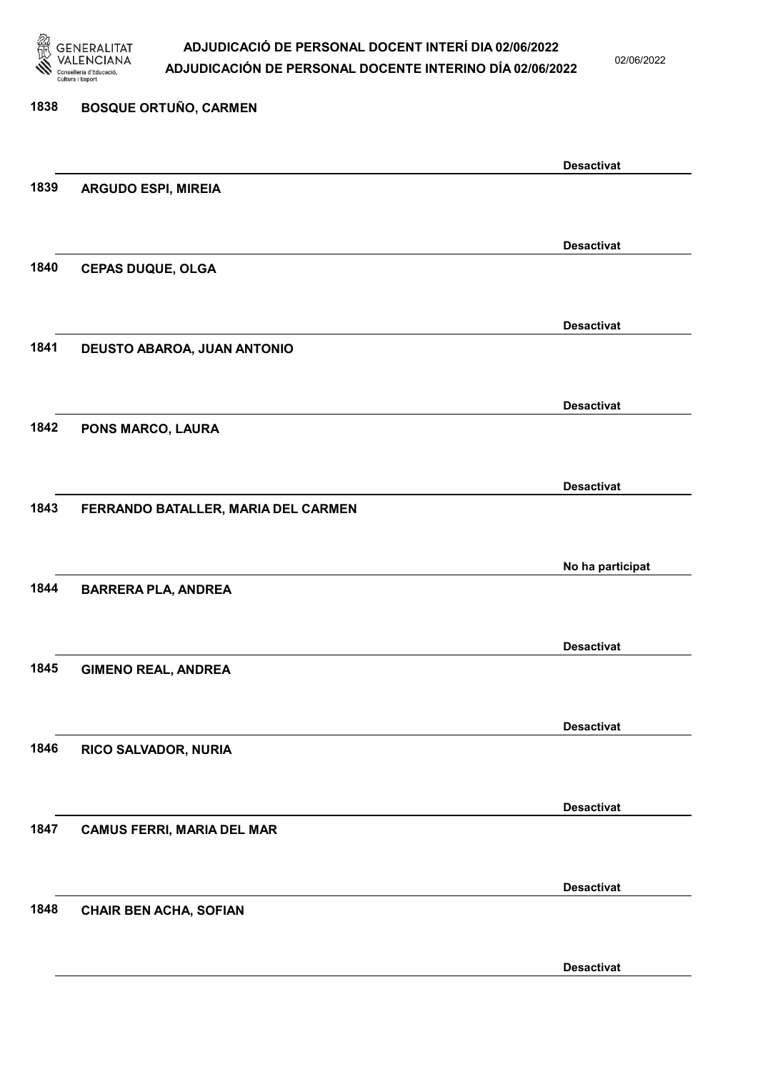

02/06/2022

### 1838 BOSQUE ORTUÑO, CARMEN Desactivat 1839 ARGUDO ESPI, MIREIA Desactivat 1840 CEPAS DUQUE, OLGA Desactivat 1841 DEUSTO ABAROA, JUAN ANTONIO Desactivat 1842 PONS MARCO, LAURA Desactivat 1843 FERRANDO BATALLER, MARIA DEL CARMEN No ha participat 1844 BARRERA PLA, ANDREA Desactivat 1845 GIMENO REAL, ANDREA Desactivat 1846 RICO SALVADOR, NURIA Desactivat 1847 CAMUS FERRI, MARIA DEL MAR Desactivat 1848 CHAIR BEN ACHA, SOFIAN Desactivat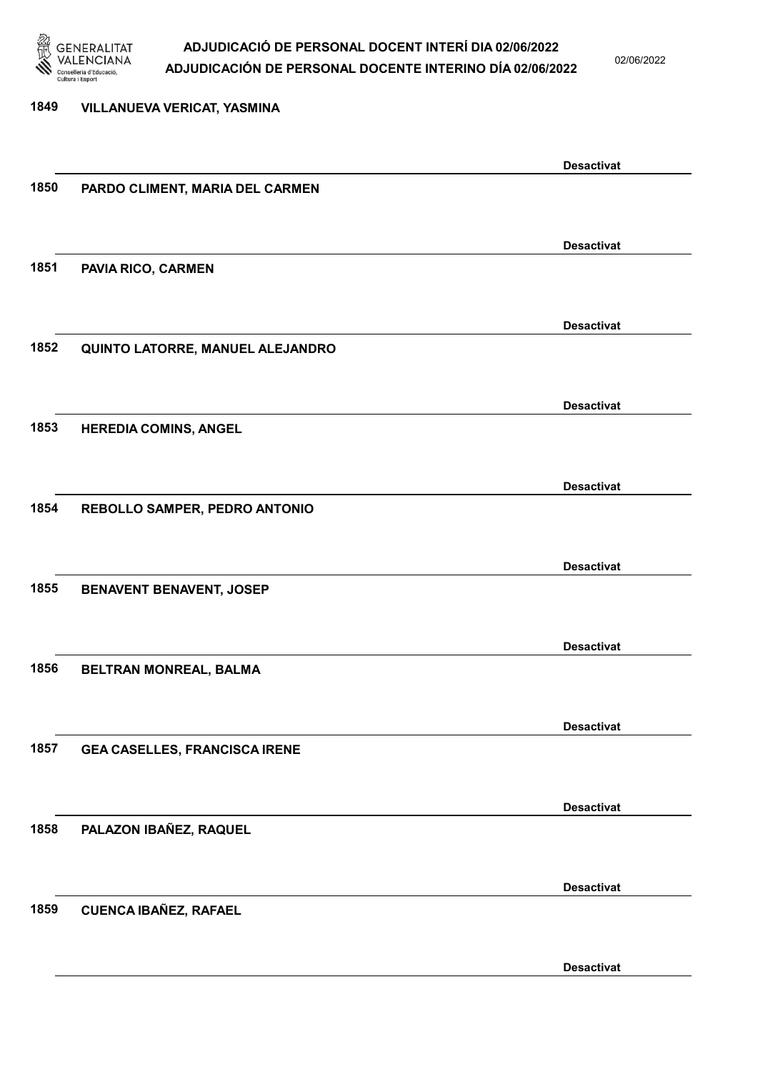

02/06/2022

| 1849 | <b>VILLANUEVA VERICAT, YASMINA</b>   |                   |
|------|--------------------------------------|-------------------|
|      |                                      | <b>Desactivat</b> |
| 1850 | PARDO CLIMENT, MARIA DEL CARMEN      |                   |
|      |                                      |                   |
| 1851 | PAVIA RICO, CARMEN                   | <b>Desactivat</b> |
|      |                                      |                   |
|      |                                      | <b>Desactivat</b> |
| 1852 | QUINTO LATORRE, MANUEL ALEJANDRO     |                   |
|      |                                      | <b>Desactivat</b> |
| 1853 | <b>HEREDIA COMINS, ANGEL</b>         |                   |
|      |                                      |                   |
| 1854 | REBOLLO SAMPER, PEDRO ANTONIO        | <b>Desactivat</b> |
|      |                                      |                   |
|      |                                      | <b>Desactivat</b> |
| 1855 | <b>BENAVENT BENAVENT, JOSEP</b>      |                   |
|      |                                      | <b>Desactivat</b> |
| 1856 | BELTRAN MONREAL, BALMA               |                   |
|      |                                      |                   |
|      |                                      | <b>Desactivat</b> |
| 1857 | <b>GEA CASELLES, FRANCISCA IRENE</b> |                   |
|      |                                      | <b>Desactivat</b> |
| 1858 | PALAZON IBAÑEZ, RAQUEL               |                   |
|      |                                      |                   |
| 1859 | <b>CUENCA IBAÑEZ, RAFAEL</b>         | <b>Desactivat</b> |
|      |                                      |                   |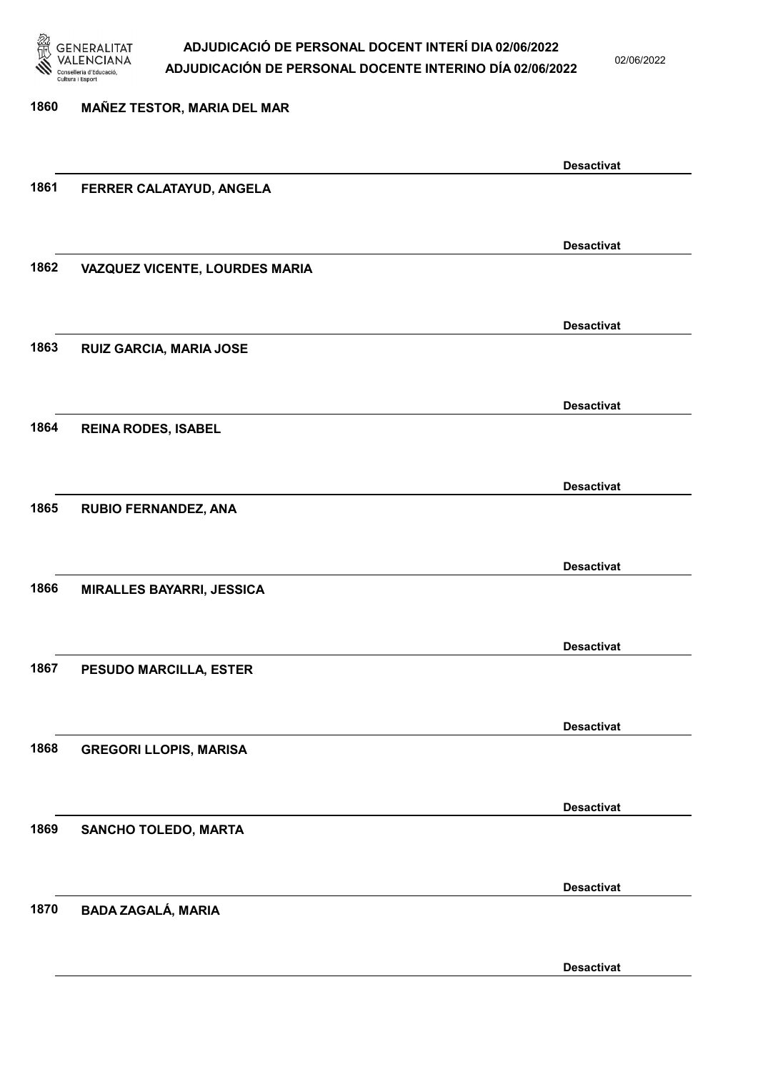

02/06/2022

### 1860 MAÑEZ TESTOR, MARIA DEL MAR Desactivat 1861 FERRER CALATAYUD, ANGELA Desactivat 1862 VAZQUEZ VICENTE, LOURDES MARIA Desactivat 1863 RUIZ GARCIA, MARIA JOSE Desactivat 1864 REINA RODES, ISABEL Desactivat 1865 RUBIO FERNANDEZ, ANA Desactivat 1866 MIRALLES BAYARRI, JESSICA Desactivat 1867 PESUDO MARCILLA, ESTER Desactivat 1868 GREGORI LLOPIS, MARISA Desactivat 1869 SANCHO TOLEDO, MARTA Desactivat 1870 BADA ZAGALÁ, MARIA Desactivat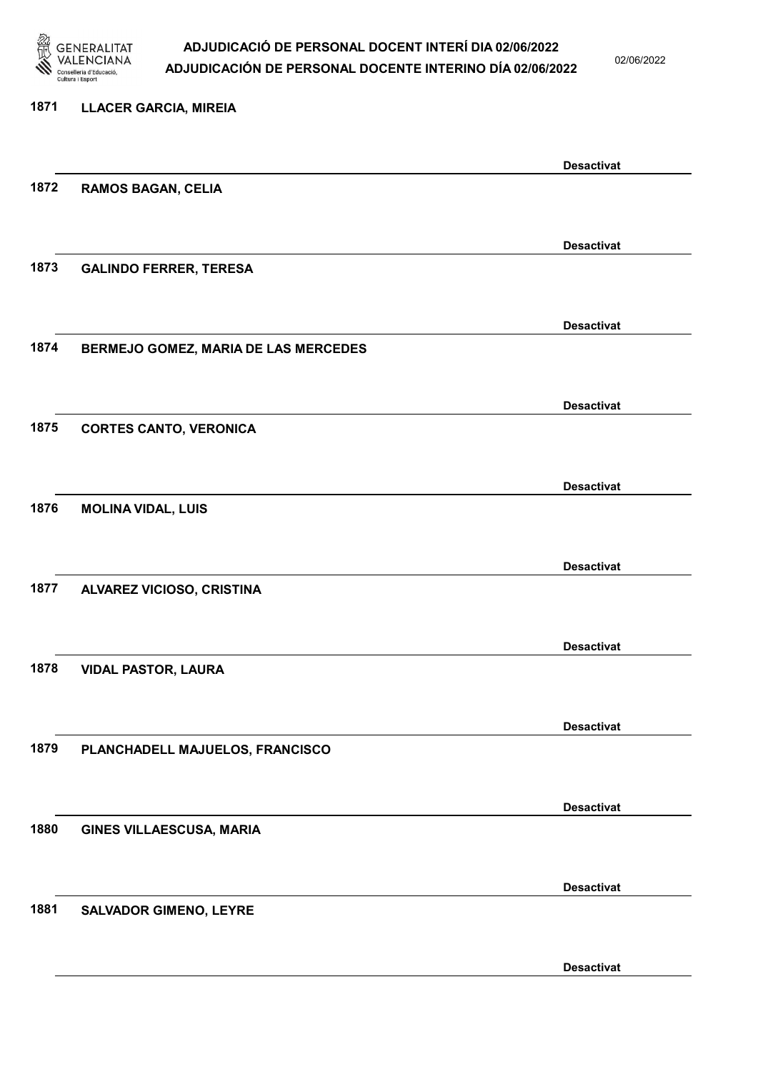

02/06/2022

### 1871 LLACER GARCIA, MIREIA Desactivat 1872 RAMOS BAGAN, CELIA Desactivat 1873 GALINDO FERRER, TERESA Desactivat 1874 BERMEJO GOMEZ, MARIA DE LAS MERCEDES Desactivat 1875 CORTES CANTO, VERONICA Desactivat 1876 MOLINA VIDAL, LUIS Desactivat 1877 ALVAREZ VICIOSO, CRISTINA Desactivat 1878 VIDAL PASTOR, LAURA Desactivat 1879 PLANCHADELL MAJUELOS, FRANCISCO Desactivat 1880 GINES VILLAESCUSA, MARIA Desactivat 1881 SALVADOR GIMENO, LEYRE Desactivat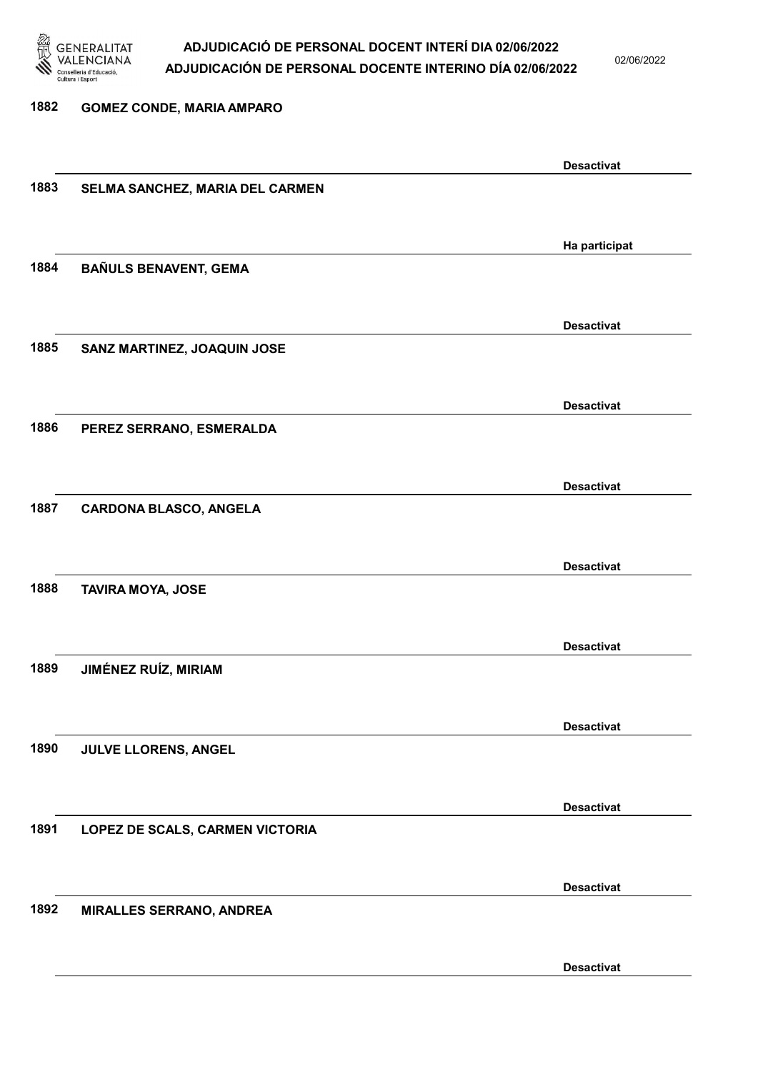

02/06/2022

### 1882 GOMEZ CONDE, MARIA AMPARO Desactivat 1883 SELMA SANCHEZ, MARIA DEL CARMEN Ha participat 1884 BAÑULS BENAVENT, GEMA Desactivat 1885 SANZ MARTINEZ, JOAQUIN JOSE Desactivat 1886 PEREZ SERRANO, ESMERALDA Desactivat 1887 CARDONA BLASCO, ANGELA Desactivat 1888 TAVIRA MOYA, JOSE Desactivat 1889 JIMÉNEZ RUÍZ, MIRIAM Desactivat 1890 JULVE LLORENS, ANGEL Desactivat 1891 LOPEZ DE SCALS, CARMEN VICTORIA Desactivat 1892 MIRALLES SERRANO, ANDREA Desactivat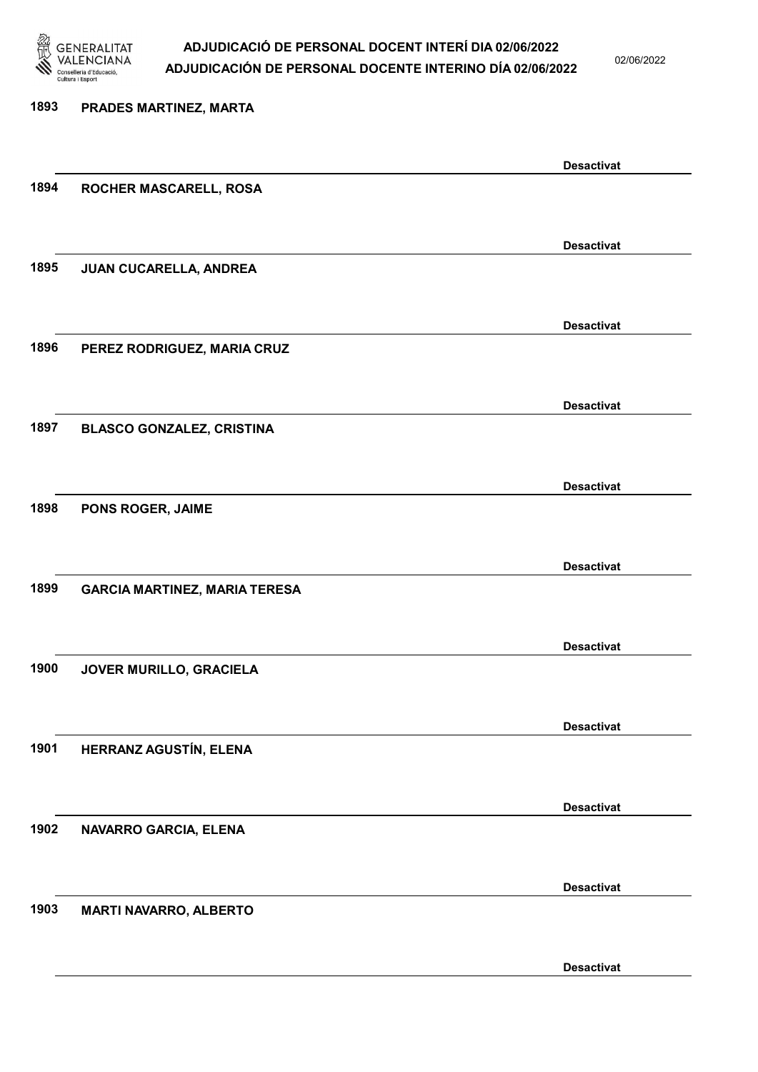

02/06/2022

| 1893 | PRADES MARTINEZ, MARTA               |                   |
|------|--------------------------------------|-------------------|
|      |                                      |                   |
|      |                                      | <b>Desactivat</b> |
| 1894 | ROCHER MASCARELL, ROSA               |                   |
|      |                                      |                   |
|      |                                      | <b>Desactivat</b> |
| 1895 | JUAN CUCARELLA, ANDREA               |                   |
|      |                                      |                   |
|      |                                      | <b>Desactivat</b> |
| 1896 | PEREZ RODRIGUEZ, MARIA CRUZ          |                   |
|      |                                      |                   |
|      |                                      | <b>Desactivat</b> |
| 1897 | <b>BLASCO GONZALEZ, CRISTINA</b>     |                   |
|      |                                      |                   |
|      |                                      | <b>Desactivat</b> |
| 1898 | PONS ROGER, JAIME                    |                   |
|      |                                      |                   |
|      |                                      | <b>Desactivat</b> |
| 1899 | <b>GARCIA MARTINEZ, MARIA TERESA</b> |                   |
|      |                                      |                   |
|      |                                      | <b>Desactivat</b> |
| 1900 | JOVER MURILLO, GRACIELA              |                   |
|      |                                      |                   |
|      |                                      | <b>Desactivat</b> |
| 1901 | HERRANZ AGUSTÍN, ELENA               |                   |
|      |                                      |                   |
| 1902 |                                      | <b>Desactivat</b> |
|      | NAVARRO GARCIA, ELENA                |                   |
|      |                                      |                   |
| 1903 |                                      | <b>Desactivat</b> |
|      | <b>MARTI NAVARRO, ALBERTO</b>        |                   |
|      |                                      |                   |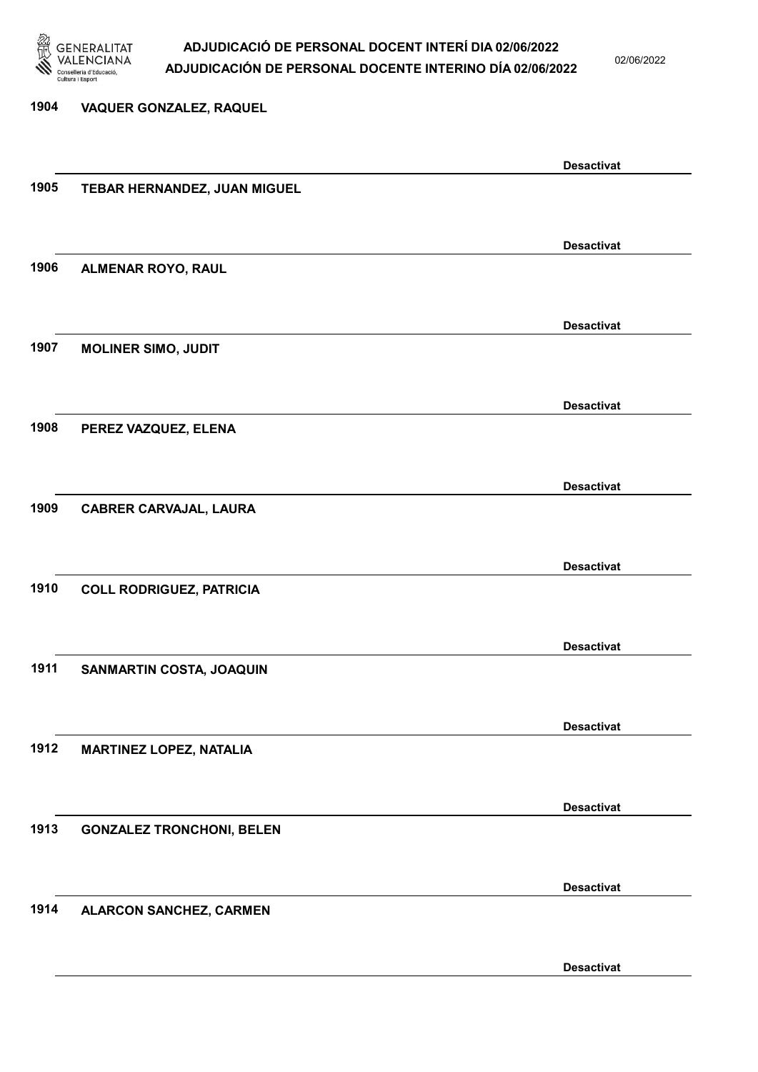

02/06/2022

# 1904 VAQUER GONZALEZ, RAQUEL Desactivat 1905 TEBAR HERNANDEZ, JUAN MIGUEL Desactivat 1906 ALMENAR ROYO, RAUL Desactivat 1907 MOLINER SIMO, JUDIT Desactivat 1908 PEREZ VAZQUEZ, ELENA Desactivat 1909 CABRER CARVAJAL, LAURA Desactivat 1910 COLL RODRIGUEZ, PATRICIA Desactivat 1911 SANMARTIN COSTA, JOAQUIN Desactivat 1912 MARTINEZ LOPEZ, NATALIA Desactivat 1913 GONZALEZ TRONCHONI, BELEN Desactivat 1914 ALARCON SANCHEZ, CARMEN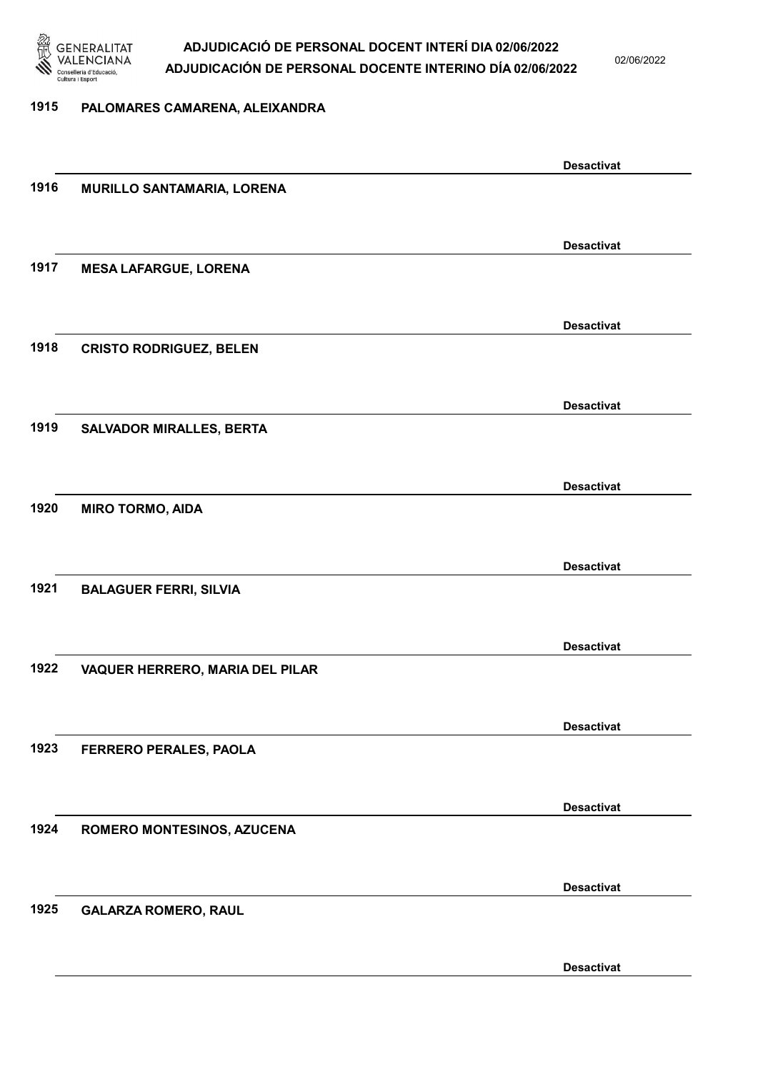

02/06/2022

#### 1915 PALOMARES CAMARENA, ALEIXANDRA

|      |                                 | <b>Desactivat</b> |
|------|---------------------------------|-------------------|
| 1916 | MURILLO SANTAMARIA, LORENA      |                   |
|      |                                 |                   |
|      |                                 | <b>Desactivat</b> |
| 1917 | <b>MESA LAFARGUE, LORENA</b>    |                   |
|      |                                 |                   |
|      |                                 |                   |
|      |                                 | <b>Desactivat</b> |
| 1918 | <b>CRISTO RODRIGUEZ, BELEN</b>  |                   |
|      |                                 |                   |
|      |                                 | <b>Desactivat</b> |
| 1919 | <b>SALVADOR MIRALLES, BERTA</b> |                   |
|      |                                 |                   |
|      |                                 | <b>Desactivat</b> |
| 1920 | <b>MIRO TORMO, AIDA</b>         |                   |
|      |                                 |                   |
|      |                                 |                   |
|      |                                 | <b>Desactivat</b> |
| 1921 | <b>BALAGUER FERRI, SILVIA</b>   |                   |
|      |                                 |                   |
|      |                                 | <b>Desactivat</b> |
| 1922 | VAQUER HERRERO, MARIA DEL PILAR |                   |
|      |                                 |                   |
|      |                                 | <b>Desactivat</b> |
| 1923 | FERRERO PERALES, PAOLA          |                   |
|      |                                 |                   |
|      |                                 |                   |
|      |                                 | <b>Desactivat</b> |
| 1924 | ROMERO MONTESINOS, AZUCENA      |                   |
|      |                                 |                   |
|      |                                 | <b>Desactivat</b> |
| 1925 | <b>GALARZA ROMERO, RAUL</b>     |                   |
|      |                                 |                   |
|      |                                 | <b>Desactivat</b> |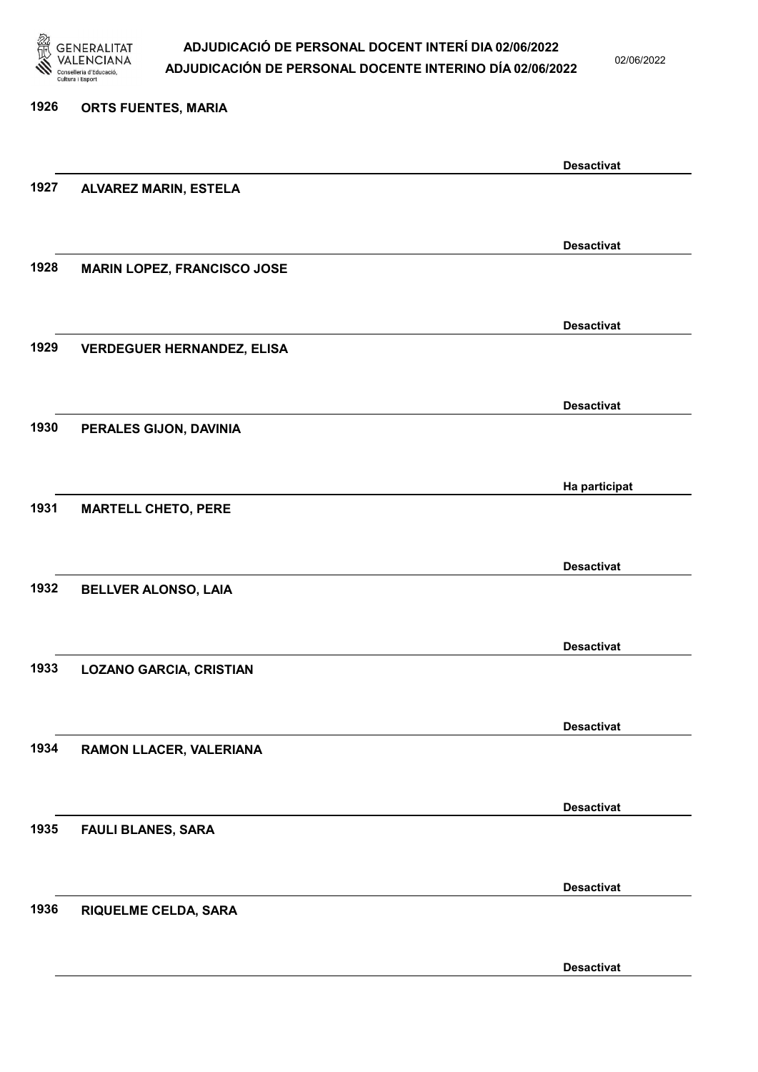

02/06/2022

| 1926 | <b>ORTS FUENTES, MARIA</b>         |                   |
|------|------------------------------------|-------------------|
|      |                                    | <b>Desactivat</b> |
| 1927 | ALVAREZ MARIN, ESTELA              |                   |
|      |                                    | <b>Desactivat</b> |
| 1928 | <b>MARIN LOPEZ, FRANCISCO JOSE</b> |                   |
|      |                                    | <b>Desactivat</b> |
| 1929 | <b>VERDEGUER HERNANDEZ, ELISA</b>  |                   |
|      |                                    | <b>Desactivat</b> |
| 1930 | PERALES GIJON, DAVINIA             |                   |
|      |                                    | Ha participat     |
| 1931 | <b>MARTELL CHETO, PERE</b>         |                   |
|      |                                    | <b>Desactivat</b> |
| 1932 | <b>BELLVER ALONSO, LAIA</b>        |                   |
|      |                                    | <b>Desactivat</b> |
| 1933 | <b>LOZANO GARCIA, CRISTIAN</b>     |                   |
|      |                                    | <b>Desactivat</b> |
| 1934 | RAMON LLACER, VALERIANA            |                   |
|      |                                    | <b>Desactivat</b> |
| 1935 | <b>FAULI BLANES, SARA</b>          |                   |
|      |                                    | <b>Desactivat</b> |
| 1936 | RIQUELME CELDA, SARA               |                   |
|      |                                    | <b>Desactivat</b> |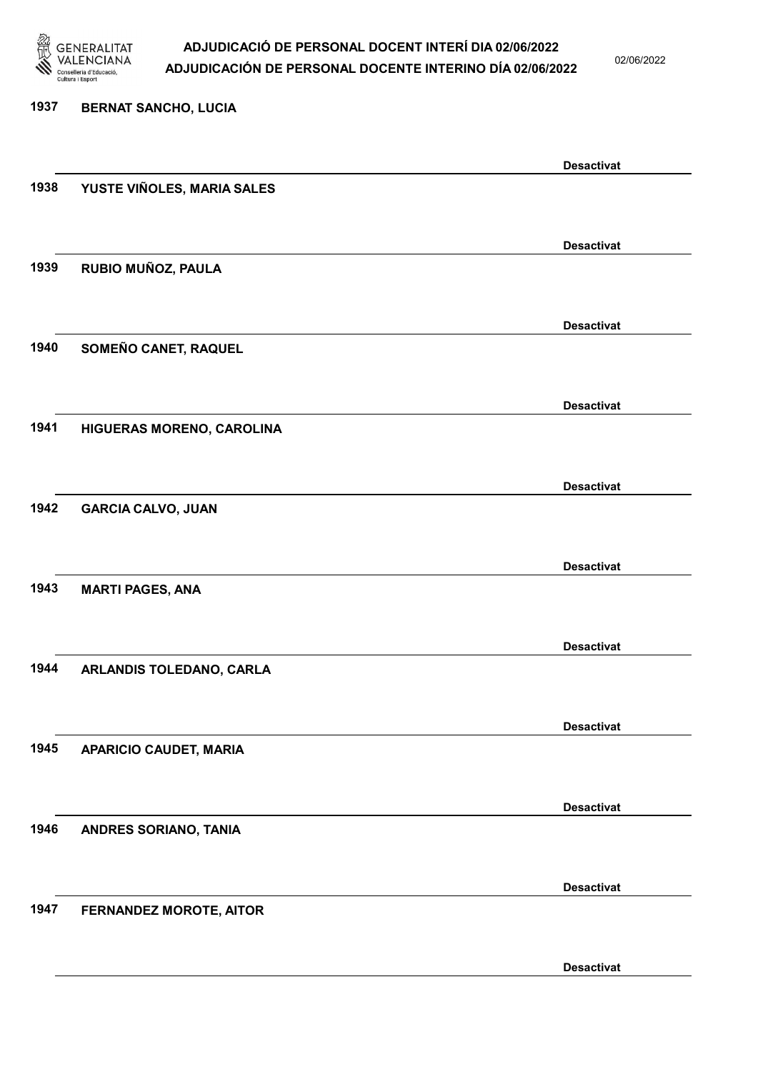

02/06/2022

Desactivat

# 1937 BERNAT SANCHO, LUCIA Desactivat 1938 YUSTE VIÑOLES, MARIA SALES Desactivat 1939 RUBIO MUÑOZ, PAULA Desactivat 1940 SOMEÑO CANET, RAQUEL Desactivat 1941 HIGUERAS MORENO, CAROLINA Desactivat 1942 GARCIA CALVO, JUAN Desactivat 1943 MARTI PAGES, ANA Desactivat 1944 ARLANDIS TOLEDANO, CARLA Desactivat 1945 APARICIO CAUDET, MARIA Desactivat 1946 ANDRES SORIANO, TANIA Desactivat 1947 FERNANDEZ MOROTE, AITOR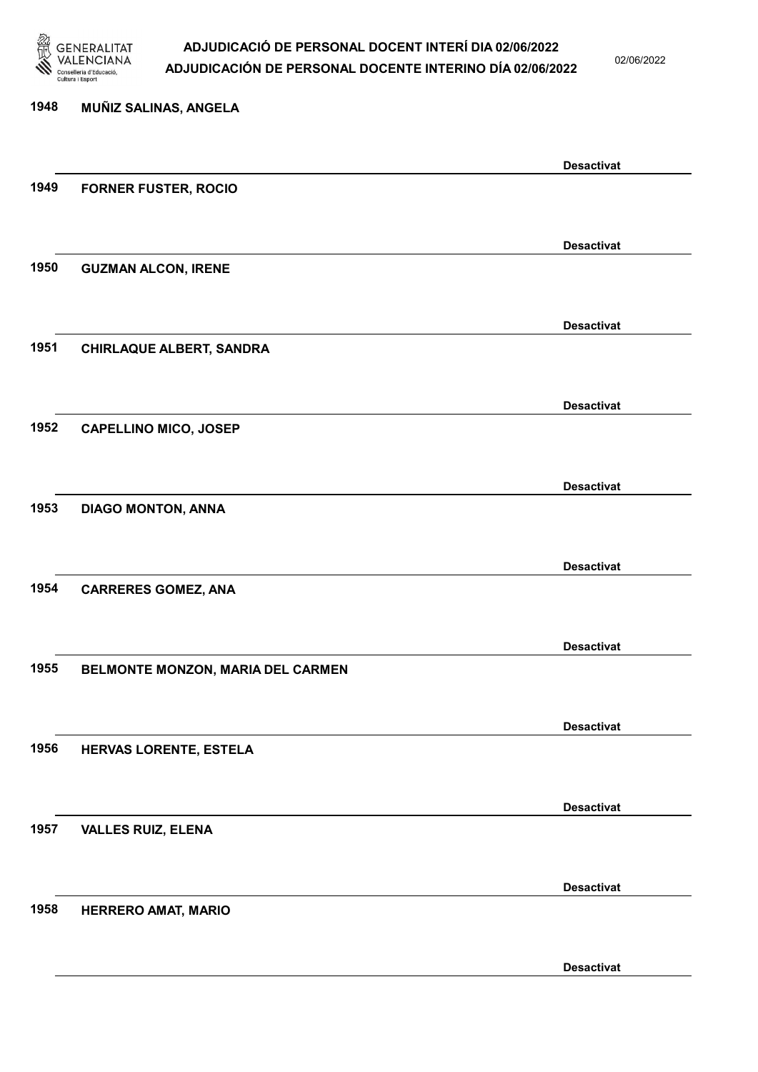

02/06/2022

Desactivat

# 1948 MUÑIZ SALINAS, ANGELA Desactivat 1949 FORNER FUSTER, ROCIO Desactivat 1950 GUZMAN ALCON, IRENE Desactivat 1951 CHIRLAQUE ALBERT, SANDRA Desactivat 1952 CAPELLINO MICO, JOSEP Desactivat 1953 DIAGO MONTON, ANNA Desactivat 1954 CARRERES GOMEZ, ANA Desactivat 1955 BELMONTE MONZON, MARIA DEL CARMEN Desactivat 1956 HERVAS LORENTE, ESTELA Desactivat 1957 VALLES RUIZ, ELENA Desactivat 1958 HERRERO AMAT, MARIO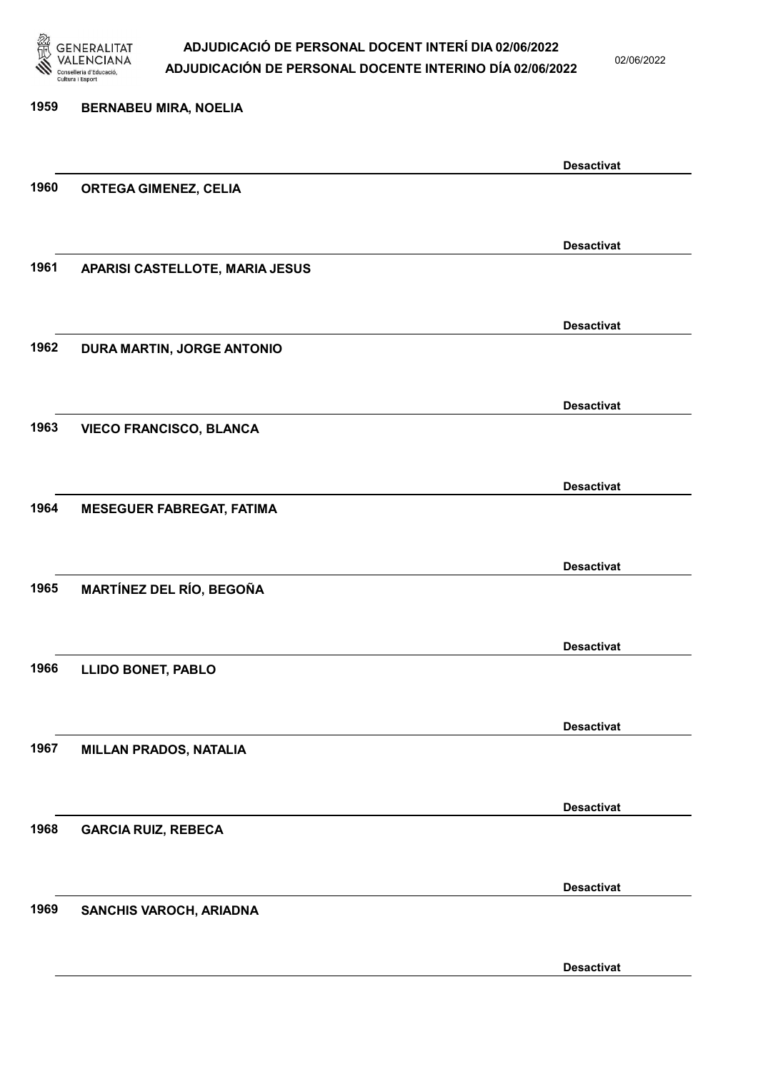

02/06/2022

### 1959 BERNABEU MIRA, NOELIA Desactivat 1960 ORTEGA GIMENEZ, CELIA Desactivat 1961 APARISI CASTELLOTE, MARIA JESUS Desactivat 1962 DURA MARTIN, JORGE ANTONIO Desactivat 1963 VIECO FRANCISCO, BLANCA Desactivat 1964 MESEGUER FABREGAT, FATIMA Desactivat 1965 MARTÍNEZ DEL RÍO, BEGOÑA Desactivat 1966 LLIDO BONET, PABLO Desactivat 1967 MILLAN PRADOS, NATALIA Desactivat 1968 GARCIA RUIZ, REBECA Desactivat 1969 SANCHIS VAROCH, ARIADNA Desactivat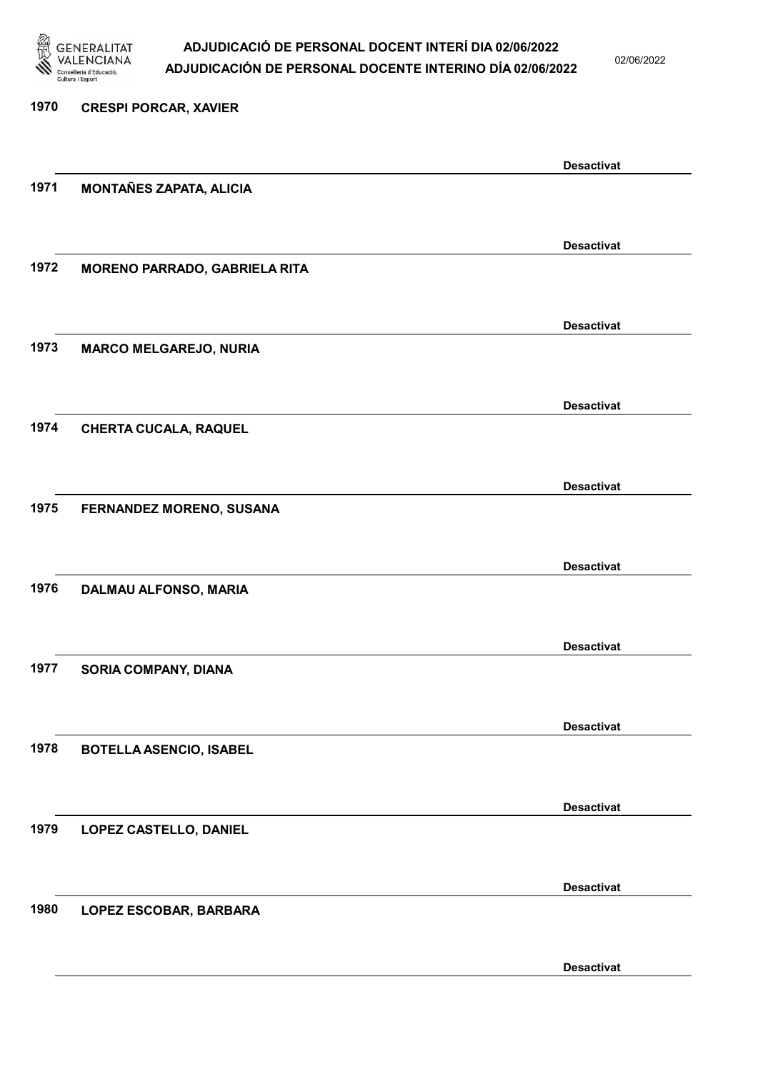

02/06/2022

| 1970 | <b>CRESPI PORCAR, XAVIER</b>         |                   |
|------|--------------------------------------|-------------------|
|      |                                      | <b>Desactivat</b> |
| 1971 | <b>MONTAÑES ZAPATA, ALICIA</b>       |                   |
|      |                                      |                   |
| 1972 | <b>MORENO PARRADO, GABRIELA RITA</b> | <b>Desactivat</b> |
|      |                                      |                   |
| 1973 | <b>MARCO MELGAREJO, NURIA</b>        | <b>Desactivat</b> |
|      |                                      |                   |
| 1974 | <b>CHERTA CUCALA, RAQUEL</b>         | <b>Desactivat</b> |
|      |                                      |                   |
| 1975 | FERNANDEZ MORENO, SUSANA             | <b>Desactivat</b> |
|      |                                      |                   |
| 1976 | DALMAU ALFONSO, MARIA                | <b>Desactivat</b> |
|      |                                      |                   |
|      |                                      | <b>Desactivat</b> |
| 1977 | SORIA COMPANY, DIANA                 |                   |
|      |                                      | <b>Desactivat</b> |
| 1978 | <b>BOTELLA ASENCIO, ISABEL</b>       |                   |
|      |                                      | <b>Desactivat</b> |
| 1979 | LOPEZ CASTELLO, DANIEL               |                   |
|      |                                      | <b>Desactivat</b> |
| 1980 | LOPEZ ESCOBAR, BARBARA               |                   |
|      |                                      |                   |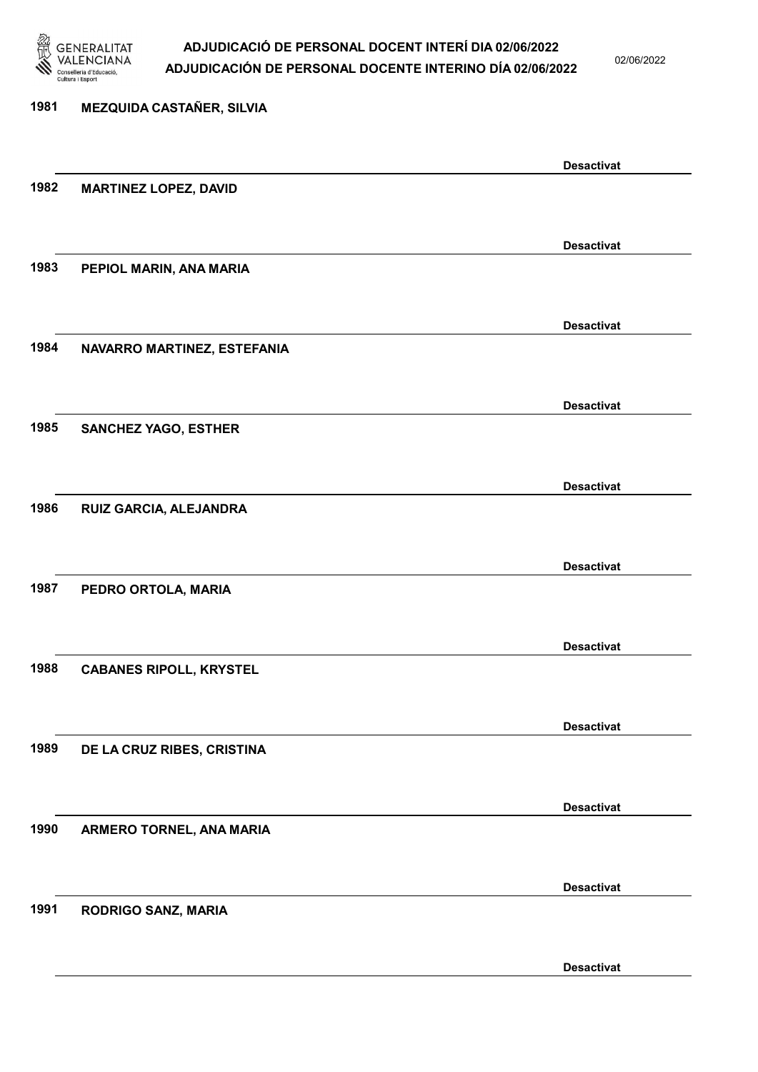

02/06/2022

Desactivat

# 1981 MEZQUIDA CASTAÑER, SILVIA Desactivat 1982 MARTINEZ LOPEZ, DAVID Desactivat 1983 PEPIOL MARIN, ANA MARIA Desactivat 1984 NAVARRO MARTINEZ, ESTEFANIA Desactivat 1985 SANCHEZ YAGO, ESTHER Desactivat 1986 RUIZ GARCIA, ALEJANDRA Desactivat 1987 PEDRO ORTOLA, MARIA Desactivat 1988 CABANES RIPOLL, KRYSTEL Desactivat 1989 DE LA CRUZ RIBES, CRISTINA Desactivat 1990 ARMERO TORNEL, ANA MARIA Desactivat 1991 RODRIGO SANZ, MARIA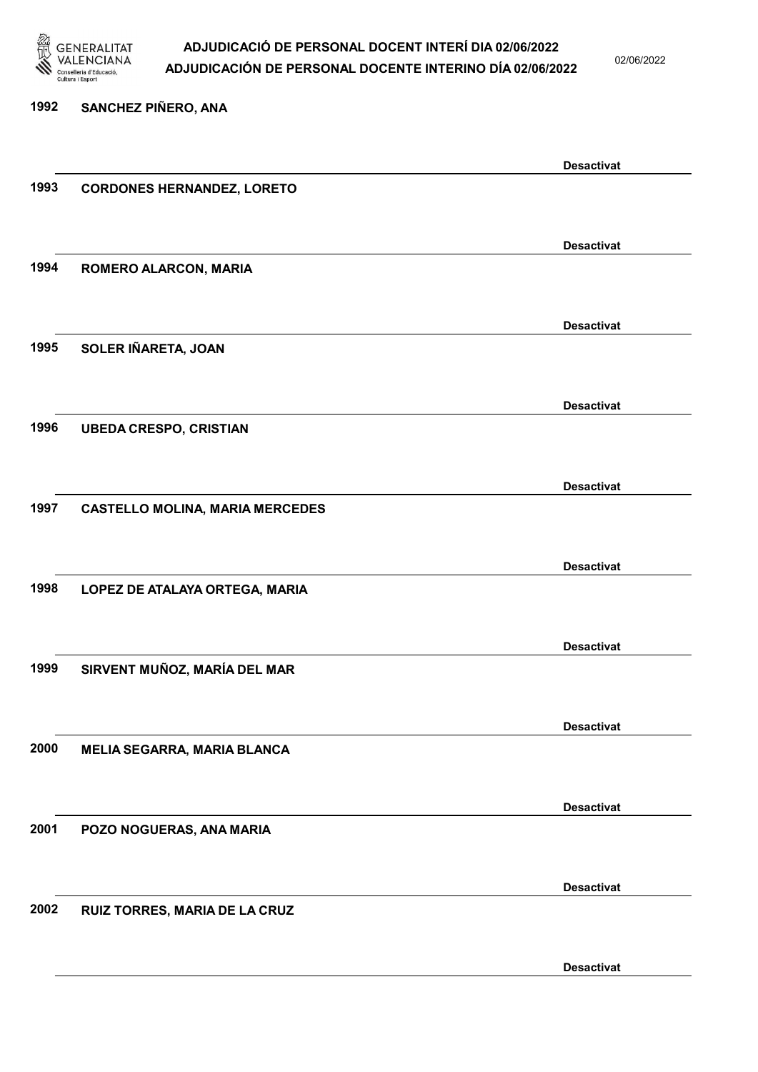

02/06/2022

### 1992 SANCHEZ PIÑERO, ANA Desactivat 1993 CORDONES HERNANDEZ, LORETO Desactivat 1994 ROMERO ALARCON, MARIA Desactivat 1995 SOLER IÑARETA, JOAN Desactivat 1996 UBEDA CRESPO, CRISTIAN Desactivat 1997 CASTELLO MOLINA, MARIA MERCEDES Desactivat 1998 LOPEZ DE ATALAYA ORTEGA, MARIA Desactivat 1999 SIRVENT MUÑOZ, MARÍA DEL MAR Desactivat 2000 MELIA SEGARRA, MARIA BLANCA Desactivat 2001 POZO NOGUERAS, ANA MARIA Desactivat 2002 RUIZ TORRES, MARIA DE LA CRUZ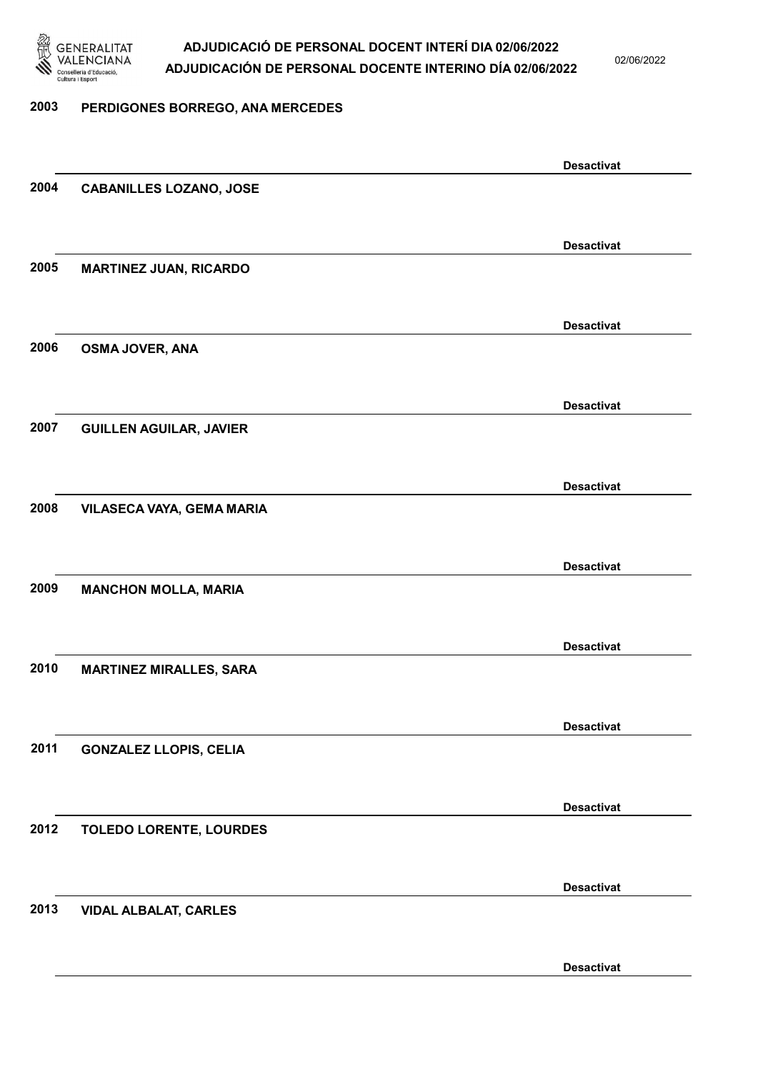

02/06/2022

#### 2003 PERDIGONES BORREGO, ANA MERCEDES

|      |                                | <b>Desactivat</b> |
|------|--------------------------------|-------------------|
| 2004 | <b>CABANILLES LOZANO, JOSE</b> |                   |
|      |                                |                   |
|      |                                | <b>Desactivat</b> |
| 2005 |                                |                   |
|      | <b>MARTINEZ JUAN, RICARDO</b>  |                   |
|      |                                |                   |
|      |                                | <b>Desactivat</b> |
| 2006 | OSMA JOVER, ANA                |                   |
|      |                                |                   |
|      |                                | <b>Desactivat</b> |
| 2007 | <b>GUILLEN AGUILAR, JAVIER</b> |                   |
|      |                                |                   |
|      |                                |                   |
|      |                                | <b>Desactivat</b> |
| 2008 | VILASECA VAYA, GEMA MARIA      |                   |
|      |                                |                   |
|      |                                | <b>Desactivat</b> |
| 2009 | <b>MANCHON MOLLA, MARIA</b>    |                   |
|      |                                |                   |
|      |                                |                   |
|      |                                | <b>Desactivat</b> |
| 2010 | <b>MARTINEZ MIRALLES, SARA</b> |                   |
|      |                                |                   |
|      |                                | <b>Desactivat</b> |
| 2011 | <b>GONZALEZ LLOPIS, CELIA</b>  |                   |
|      |                                |                   |
|      |                                |                   |
|      |                                | <b>Desactivat</b> |
| 2012 | <b>TOLEDO LORENTE, LOURDES</b> |                   |
|      |                                |                   |
|      |                                | <b>Desactivat</b> |
| 2013 | <b>VIDAL ALBALAT, CARLES</b>   |                   |
|      |                                |                   |
|      |                                |                   |
|      |                                | <b>Desactivat</b> |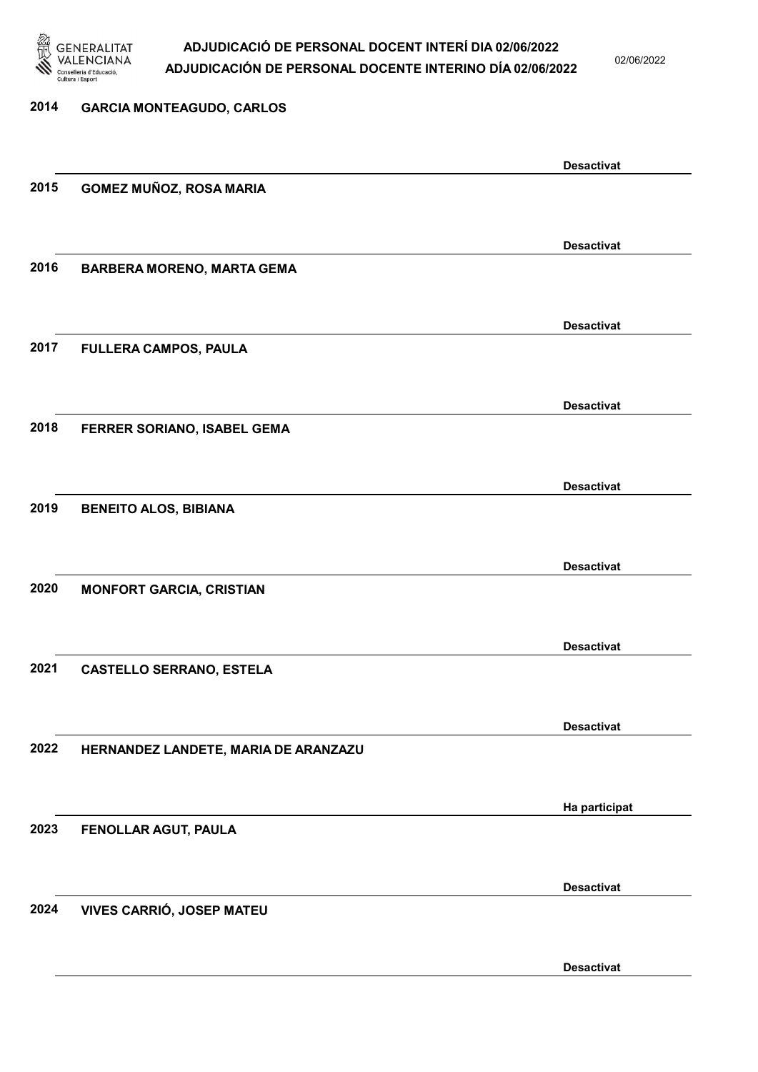

02/06/2022

### 2014 GARCIA MONTEAGUDO, CARLOS Desactivat 2015 GOMEZ MUÑOZ, ROSA MARIA Desactivat 2016 BARBERA MORENO, MARTA GEMA Desactivat 2017 FULLERA CAMPOS, PAULA Desactivat 2018 FERRER SORIANO, ISABEL GEMA Desactivat 2019 BENEITO ALOS, BIBIANA Desactivat 2020 MONFORT GARCIA, CRISTIAN Desactivat 2021 CASTELLO SERRANO, ESTELA Desactivat 2022 HERNANDEZ LANDETE, MARIA DE ARANZAZU Ha participat 2023 FENOLLAR AGUT, PAULA Desactivat 2024 VIVES CARRIÓ, JOSEP MATEU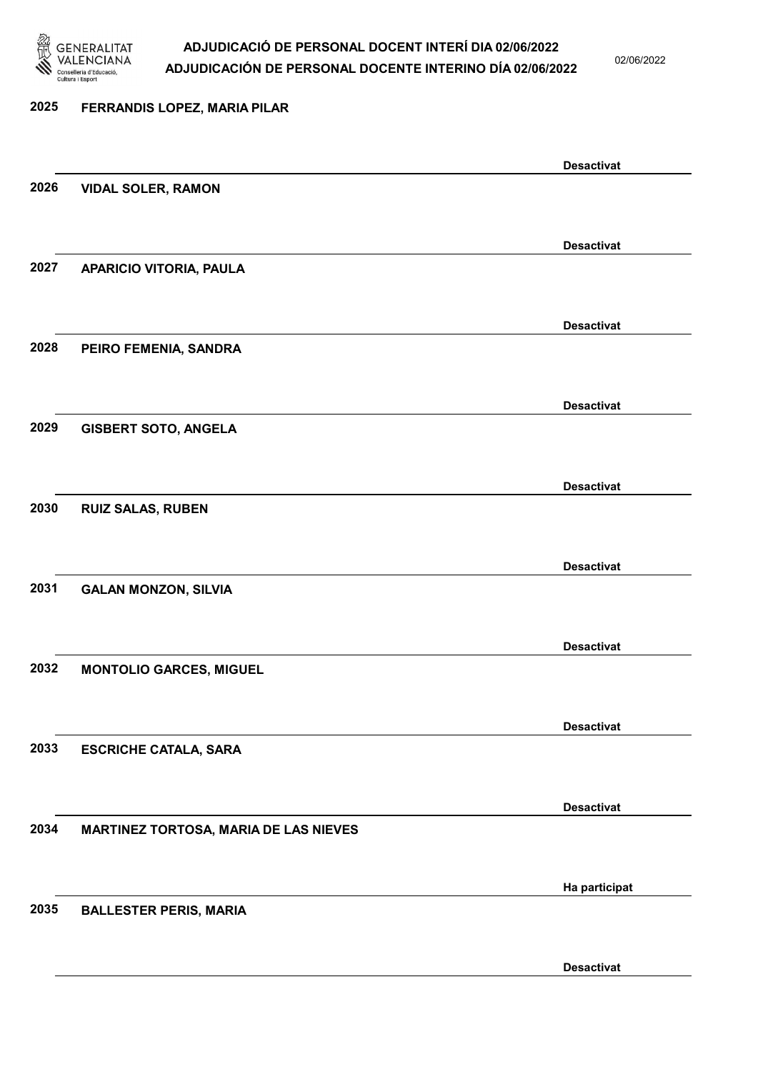

02/06/2022

Desactivat

### 2025 FERRANDIS LOPEZ, MARIA PILAR Desactivat 2026 VIDAL SOLER, RAMON Desactivat 2027 APARICIO VITORIA, PAULA Desactivat 2028 PEIRO FEMENIA, SANDRA Desactivat 2029 GISBERT SOTO, ANGELA Desactivat 2030 RUIZ SALAS, RUBEN Desactivat 2031 GALAN MONZON, SILVIA Desactivat 2032 MONTOLIO GARCES, MIGUEL Desactivat 2033 ESCRICHE CATALA, SARA Desactivat 2034 MARTINEZ TORTOSA, MARIA DE LAS NIEVES Ha participat 2035 BALLESTER PERIS, MARIA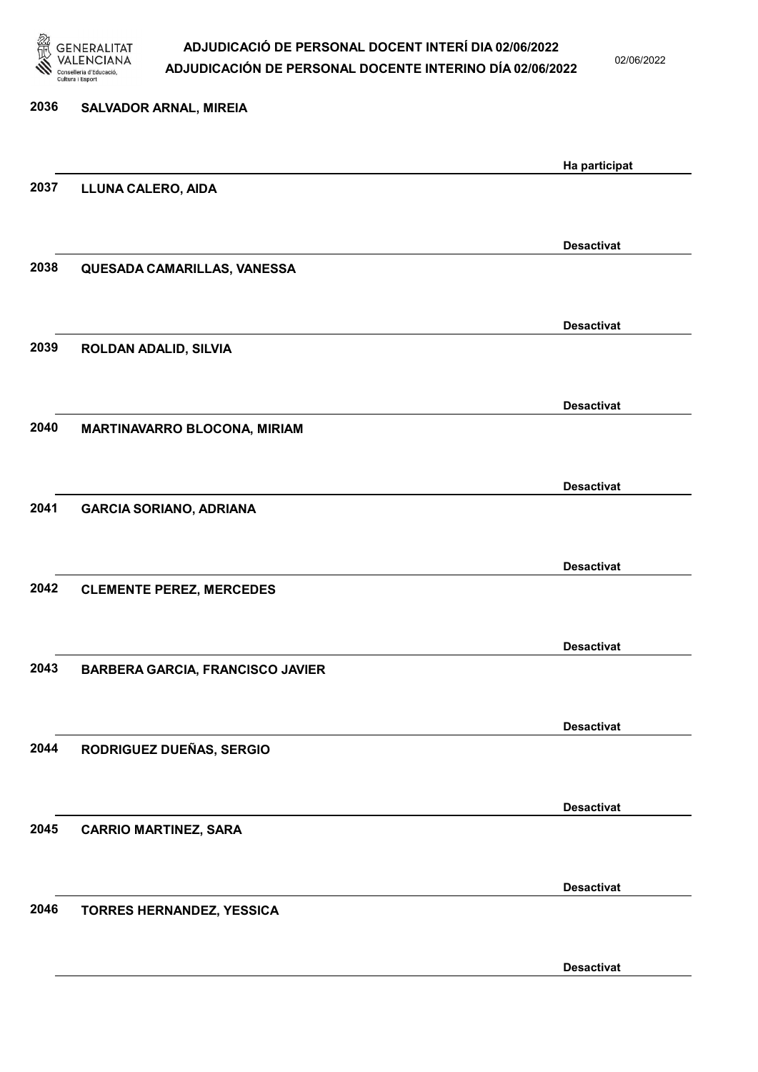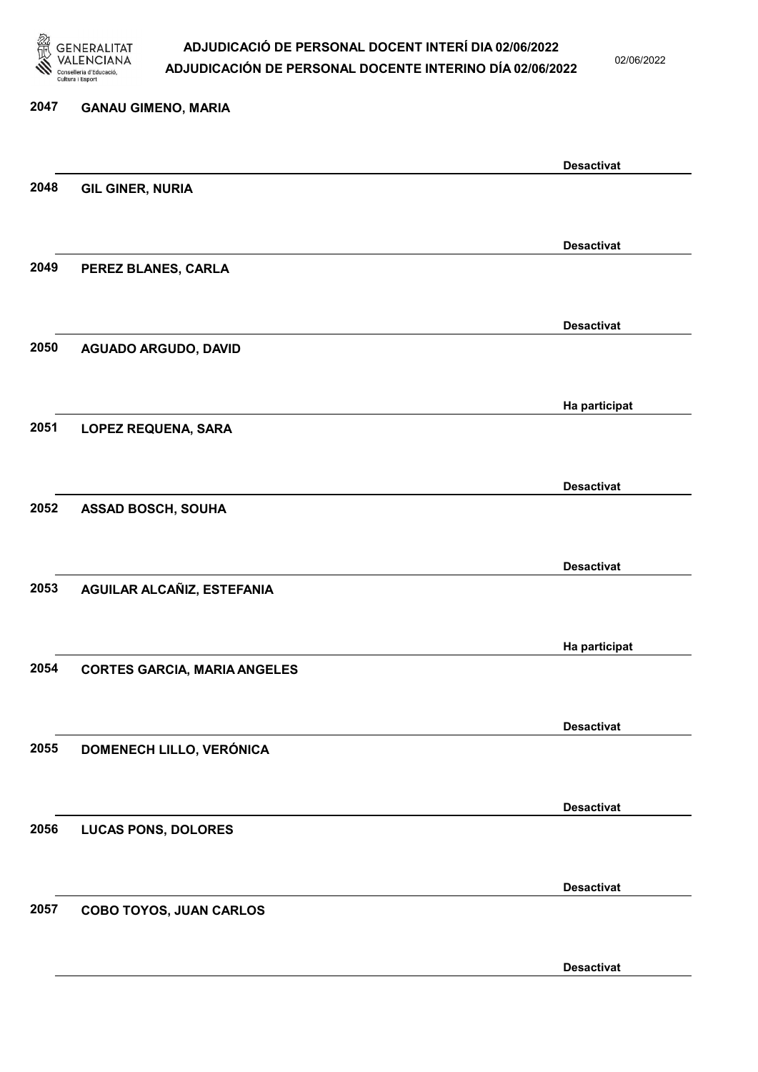

02/06/2022

Desactivat

# 2047 GANAU GIMENO, MARIA Desactivat 2048 GIL GINER, NURIA Desactivat 2049 PEREZ BLANES, CARLA Desactivat 2050 AGUADO ARGUDO, DAVID Ha participat 2051 LOPEZ REQUENA, SARA Desactivat 2052 ASSAD BOSCH, SOUHA Desactivat 2053 AGUILAR ALCAÑIZ, ESTEFANIA Ha participat 2054 CORTES GARCIA, MARIA ANGELES Desactivat 2055 DOMENECH LILLO, VERÓNICA Desactivat 2056 LUCAS PONS, DOLORES Desactivat 2057 COBO TOYOS, JUAN CARLOS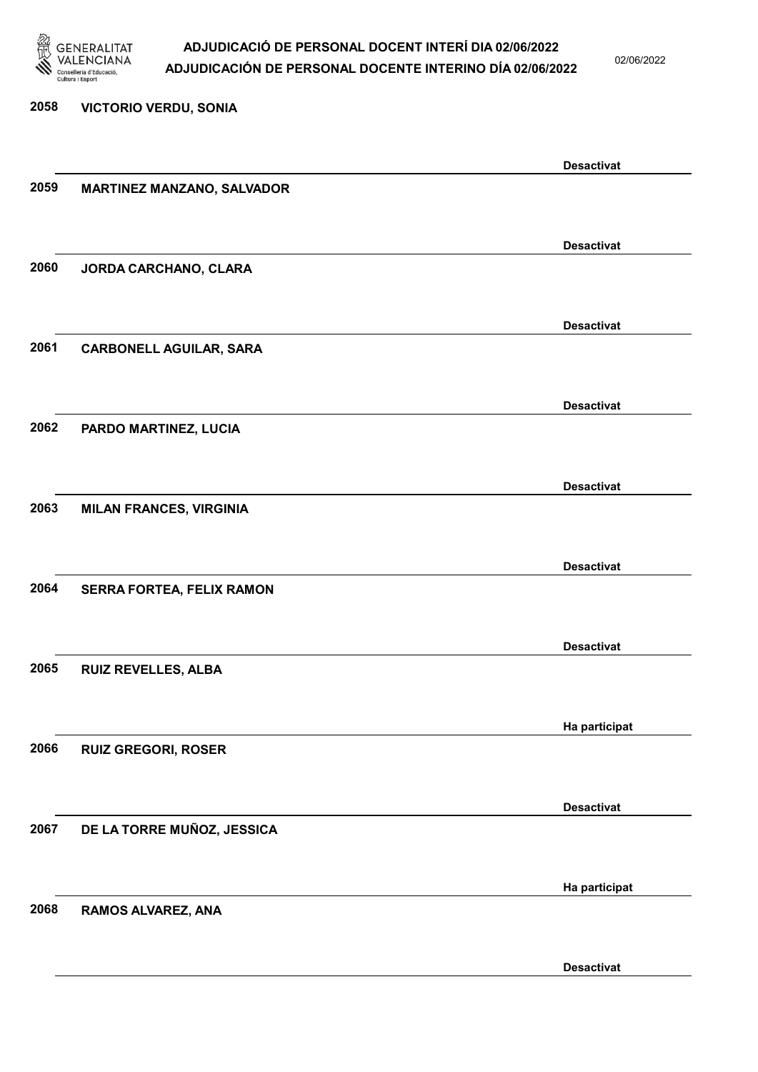

2058 VICTORIO VERDU, SONIA

### ADJUDICACIÓ DE PERSONAL DOCENT INTERÍ DIA 02/06/2022 ADJUDICACIÓN DE PERSONAL DOCENTE INTERINO DÍA 02/06/2022

02/06/2022

# Desactivat 2059 MARTINEZ MANZANO, SALVADOR Desactivat 2060 JORDA CARCHANO, CLARA Desactivat 2061 CARBONELL AGUILAR, SARA Desactivat 2062 PARDO MARTINEZ, LUCIA Desactivat 2063 MILAN FRANCES, VIRGINIA Desactivat 2064 SERRA FORTEA, FELIX RAMON Desactivat 2065 RUIZ REVELLES, ALBA Ha participat 2066 RUIZ GREGORI, ROSER Desactivat 2067 DE LA TORRE MUÑOZ, JESSICA Ha participat 2068 RAMOS ALVAREZ, ANA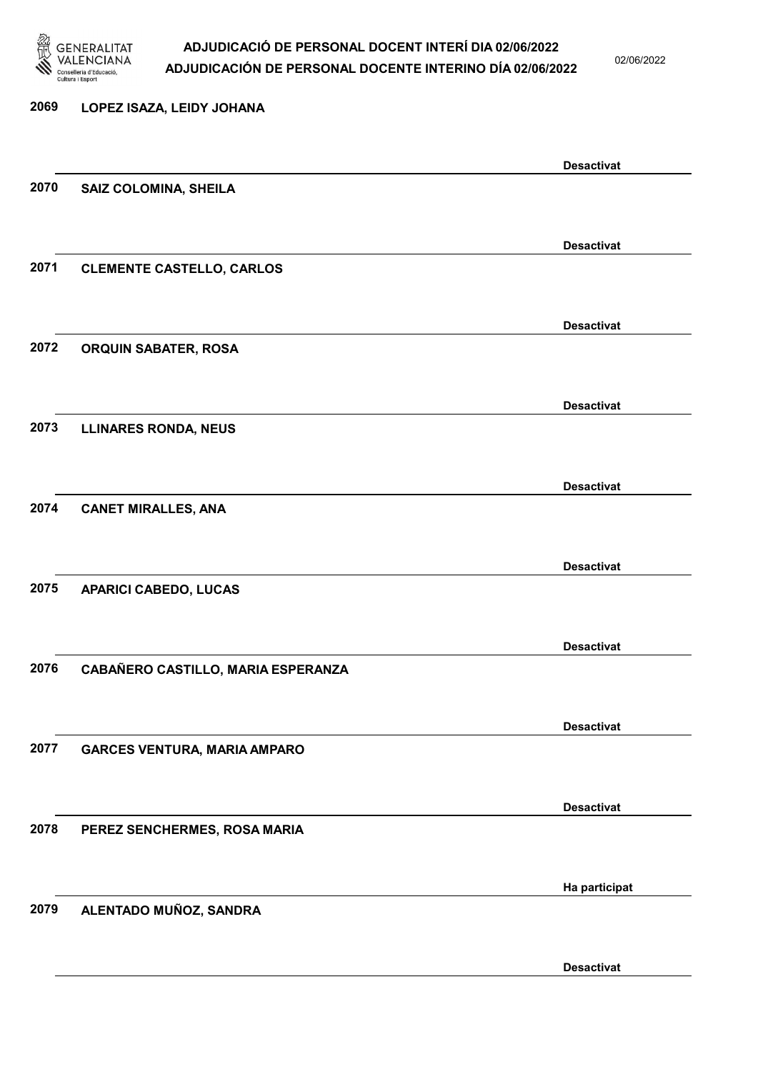

02/06/2022

Desactivat

# 2069 LOPEZ ISAZA, LEIDY JOHANA Desactivat 2070 SAIZ COLOMINA, SHEILA Desactivat 2071 CLEMENTE CASTELLO, CARLOS Desactivat 2072 ORQUIN SABATER, ROSA Desactivat 2073 LLINARES RONDA, NEUS Desactivat 2074 CANET MIRALLES, ANA Desactivat 2075 APARICI CABEDO, LUCAS Desactivat 2076 CABAÑERO CASTILLO, MARIA ESPERANZA Desactivat 2077 GARCES VENTURA, MARIA AMPARO Desactivat 2078 PEREZ SENCHERMES, ROSA MARIA Ha participat 2079 ALENTADO MUÑOZ, SANDRA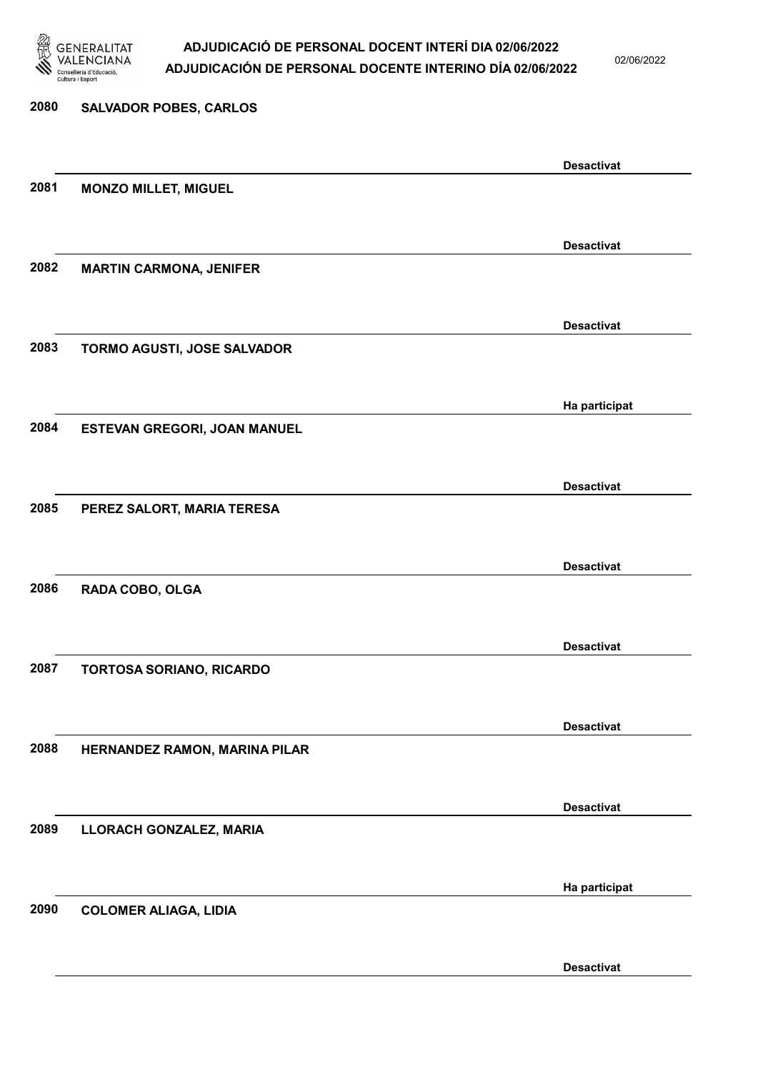

02/06/2022

| 2080 | <b>SALVADOR POBES, CARLOS</b>  |                   |
|------|--------------------------------|-------------------|
|      |                                | <b>Desactivat</b> |
| 2081 | <b>MONZO MILLET, MIGUEL</b>    |                   |
|      |                                |                   |
| 2082 | <b>MARTIN CARMONA, JENIFER</b> | <b>Desactivat</b> |
|      |                                |                   |
|      |                                | <b>Desactivat</b> |
| 2083 | TORMO AGUSTI, JOSE SALVADOR    |                   |
|      |                                |                   |
| 2084 | ESTEVAN GREGORI, JOAN MANUEL   | Ha participat     |
|      |                                |                   |
|      |                                | <b>Desactivat</b> |
| 2085 | PEREZ SALORT, MARIA TERESA     |                   |
|      |                                | <b>Desactivat</b> |
| 2086 | RADA COBO, OLGA                |                   |
|      |                                |                   |
| 2087 | TORTOSA SORIANO, RICARDO       | <b>Desactivat</b> |
|      |                                |                   |
|      |                                | <b>Desactivat</b> |
| 2088 | HERNANDEZ RAMON, MARINA PILAR  |                   |
|      |                                | <b>Desactivat</b> |
| 2089 | LLORACH GONZALEZ, MARIA        |                   |
|      |                                |                   |
|      |                                | Ha participat     |
| 2090 | <b>COLOMER ALIAGA, LIDIA</b>   |                   |
|      |                                | <b>Desactivat</b> |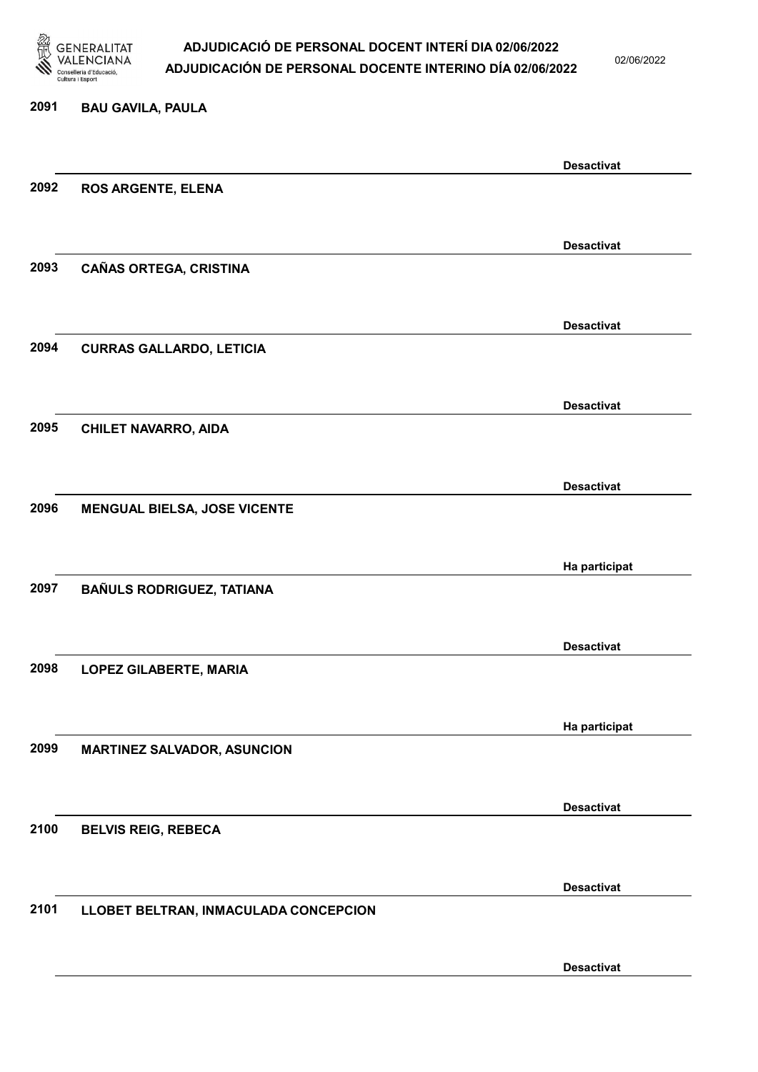

02/06/2022

#### 2091 BAU GAVILA, PAULA

|      |                                       | <b>Desactivat</b> |
|------|---------------------------------------|-------------------|
| 2092 | <b>ROS ARGENTE, ELENA</b>             |                   |
|      |                                       |                   |
|      |                                       | <b>Desactivat</b> |
| 2093 | CAÑAS ORTEGA, CRISTINA                |                   |
|      |                                       |                   |
|      |                                       |                   |
|      |                                       | <b>Desactivat</b> |
| 2094 | <b>CURRAS GALLARDO, LETICIA</b>       |                   |
|      |                                       |                   |
|      |                                       | <b>Desactivat</b> |
| 2095 | <b>CHILET NAVARRO, AIDA</b>           |                   |
|      |                                       |                   |
|      |                                       | <b>Desactivat</b> |
| 2096 | <b>MENGUAL BIELSA, JOSE VICENTE</b>   |                   |
|      |                                       |                   |
|      |                                       |                   |
|      |                                       | Ha participat     |
| 2097 | BAÑULS RODRIGUEZ, TATIANA             |                   |
|      |                                       |                   |
|      |                                       | <b>Desactivat</b> |
| 2098 | <b>LOPEZ GILABERTE, MARIA</b>         |                   |
|      |                                       |                   |
|      |                                       | Ha participat     |
| 2099 | <b>MARTINEZ SALVADOR, ASUNCION</b>    |                   |
|      |                                       |                   |
|      |                                       |                   |
|      |                                       | <b>Desactivat</b> |
| 2100 | <b>BELVIS REIG, REBECA</b>            |                   |
|      |                                       |                   |
|      |                                       | <b>Desactivat</b> |
| 2101 | LLOBET BELTRAN, INMACULADA CONCEPCION |                   |
|      |                                       |                   |
|      |                                       | <b>Desactivat</b> |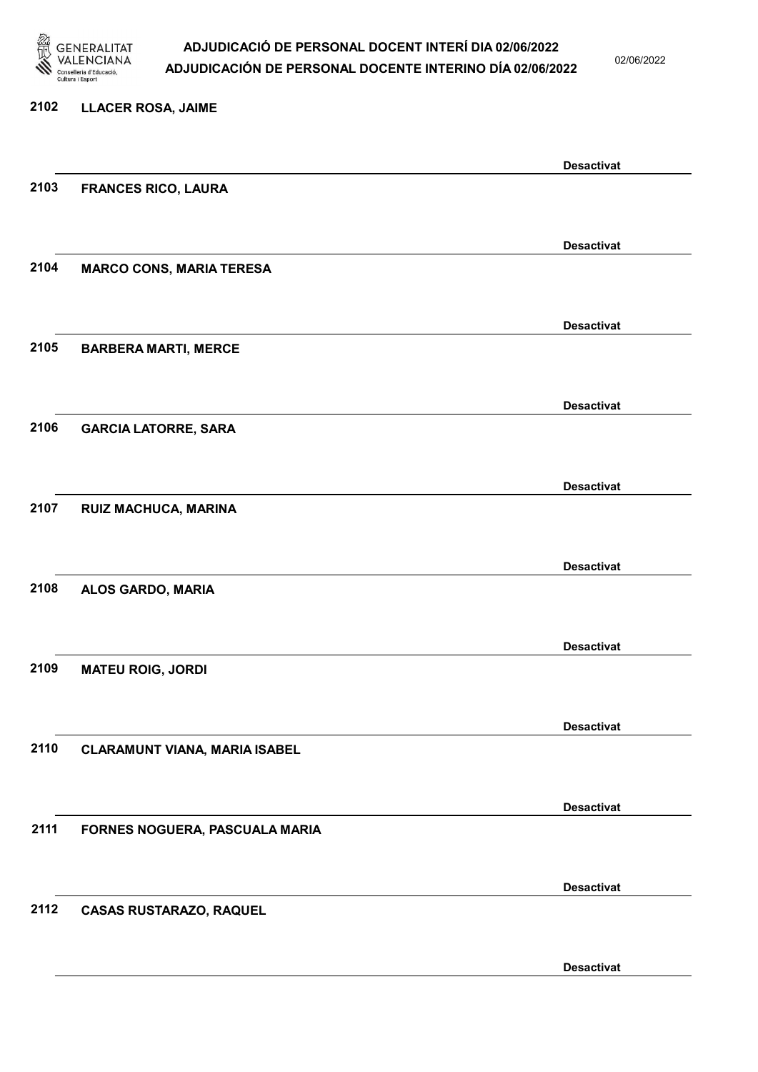

02/06/2022

Desactivat

# 2102 LLACER ROSA, JAIME Desactivat 2103 FRANCES RICO, LAURA Desactivat 2104 MARCO CONS, MARIA TERESA Desactivat 2105 BARBERA MARTI, MERCE Desactivat 2106 GARCIA LATORRE, SARA Desactivat 2107 RUIZ MACHUCA, MARINA Desactivat 2108 ALOS GARDO, MARIA Desactivat 2109 MATEU ROIG, JORDI Desactivat 2110 CLARAMUNT VIANA, MARIA ISABEL Desactivat 2111 FORNES NOGUERA, PASCUALA MARIA Desactivat 2112 CASAS RUSTARAZO, RAQUEL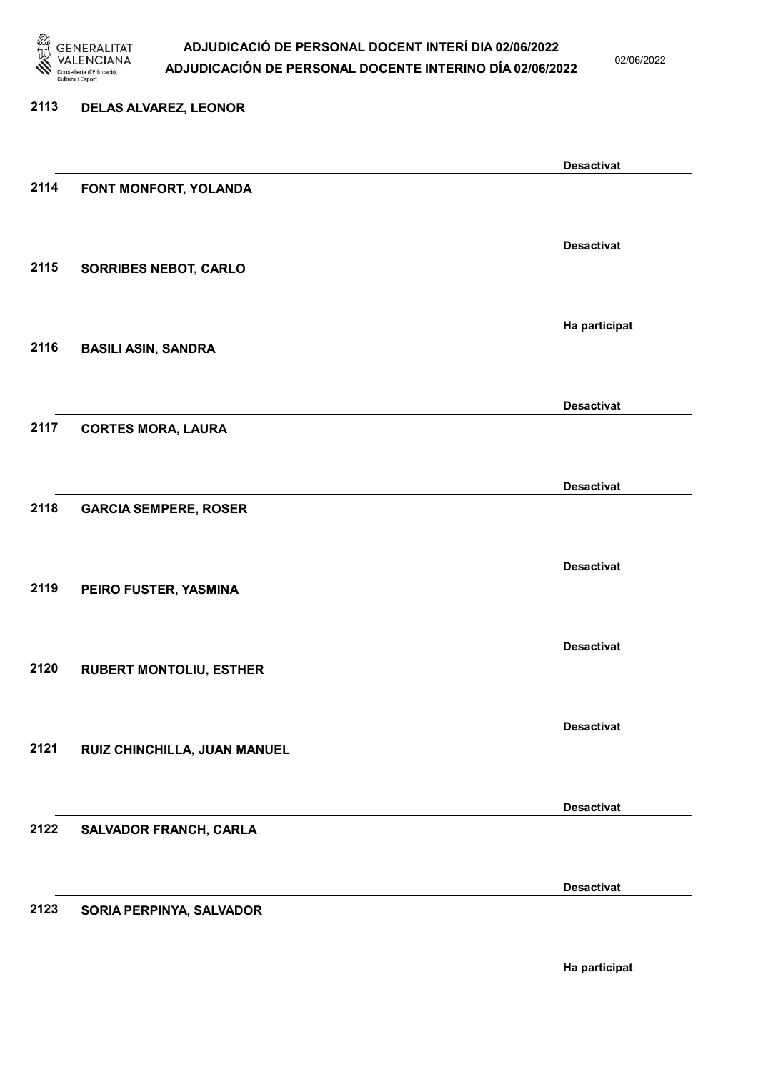

02/06/2022

Ha participat

### 2113 DELAS ALVAREZ, LEONOR Desactivat 2114 FONT MONFORT, YOLANDA Desactivat 2115 SORRIBES NEBOT, CARLO Ha participat 2116 BASILI ASIN, SANDRA Desactivat 2117 CORTES MORA, LAURA Desactivat 2118 GARCIA SEMPERE, ROSER Desactivat 2119 PEIRO FUSTER, YASMINA Desactivat 2120 RUBERT MONTOLIU, ESTHER Desactivat 2121 RUIZ CHINCHILLA, JUAN MANUEL Desactivat 2122 SALVADOR FRANCH, CARLA Desactivat 2123 SORIA PERPINYA, SALVADOR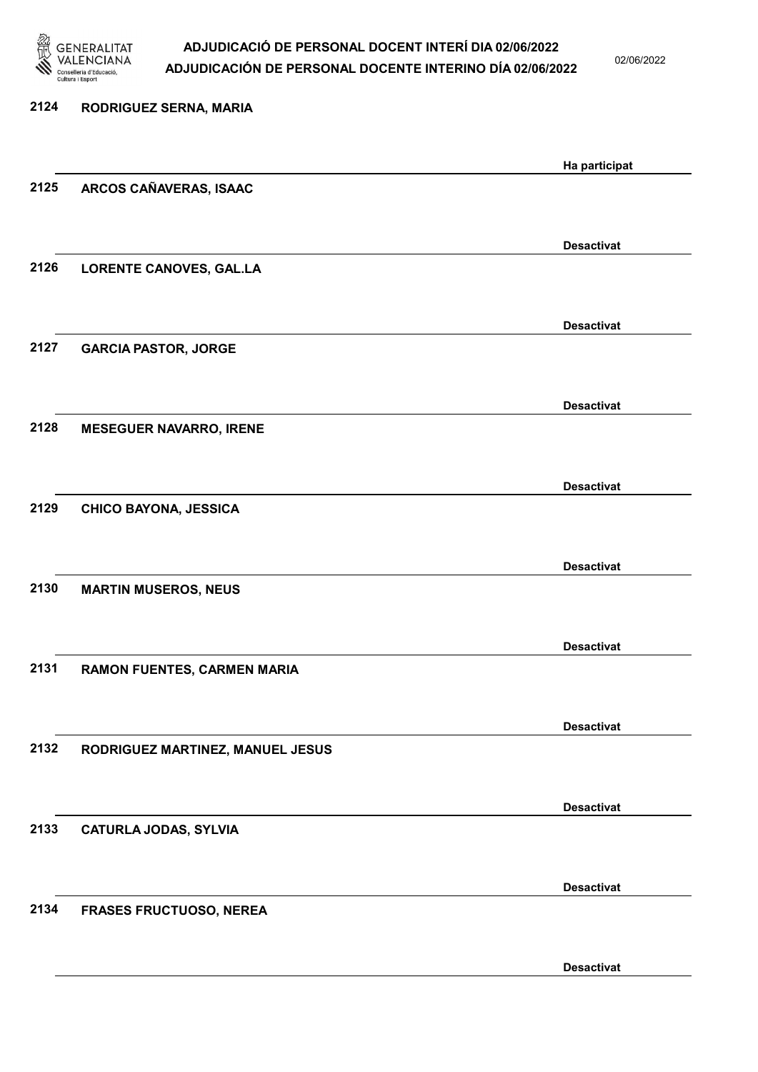

02/06/2022

| 2124 | RODRIGUEZ SERNA, MARIA           |                   |
|------|----------------------------------|-------------------|
|      |                                  | Ha participat     |
| 2125 | ARCOS CAÑAVERAS, ISAAC           |                   |
|      |                                  | <b>Desactivat</b> |
| 2126 | LORENTE CANOVES, GAL.LA          |                   |
|      |                                  | <b>Desactivat</b> |
| 2127 | <b>GARCIA PASTOR, JORGE</b>      |                   |
|      |                                  | <b>Desactivat</b> |
| 2128 | <b>MESEGUER NAVARRO, IRENE</b>   |                   |
|      |                                  | <b>Desactivat</b> |
| 2129 | <b>CHICO BAYONA, JESSICA</b>     |                   |
|      |                                  | <b>Desactivat</b> |
| 2130 | <b>MARTIN MUSEROS, NEUS</b>      |                   |
|      |                                  | <b>Desactivat</b> |
| 2131 | RAMON FUENTES, CARMEN MARIA      |                   |
|      |                                  | <b>Desactivat</b> |
| 2132 | RODRIGUEZ MARTINEZ, MANUEL JESUS |                   |
|      |                                  | <b>Desactivat</b> |
| 2133 | <b>CATURLA JODAS, SYLVIA</b>     |                   |
|      |                                  | <b>Desactivat</b> |
| 2134 | <b>FRASES FRUCTUOSO, NEREA</b>   |                   |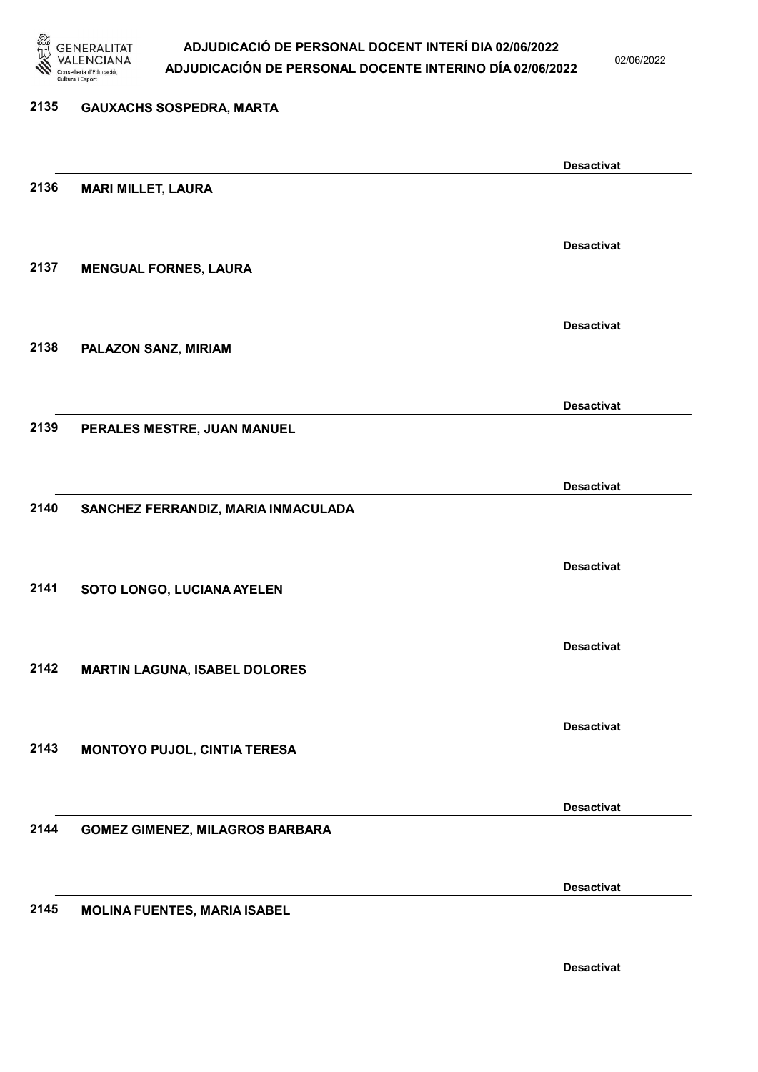

02/06/2022

#### 2135 GAUXACHS SOSPEDRA, MARTA

Desactivat 2136 MARI MILLET, LAURA Desactivat 2137 MENGUAL FORNES, LAURA Desactivat 2138 PALAZON SANZ, MIRIAM Desactivat 2139 PERALES MESTRE, JUAN MANUEL Desactivat 2140 SANCHEZ FERRANDIZ, MARIA INMACULADA Desactivat 2141 SOTO LONGO, LUCIANA AYELEN Desactivat 2142 MARTIN LAGUNA, ISABEL DOLORES Desactivat 2143 MONTOYO PUJOL, CINTIA TERESA Desactivat 2144 GOMEZ GIMENEZ, MILAGROS BARBARA Desactivat 2145 MOLINA FUENTES, MARIA ISABEL Desactivat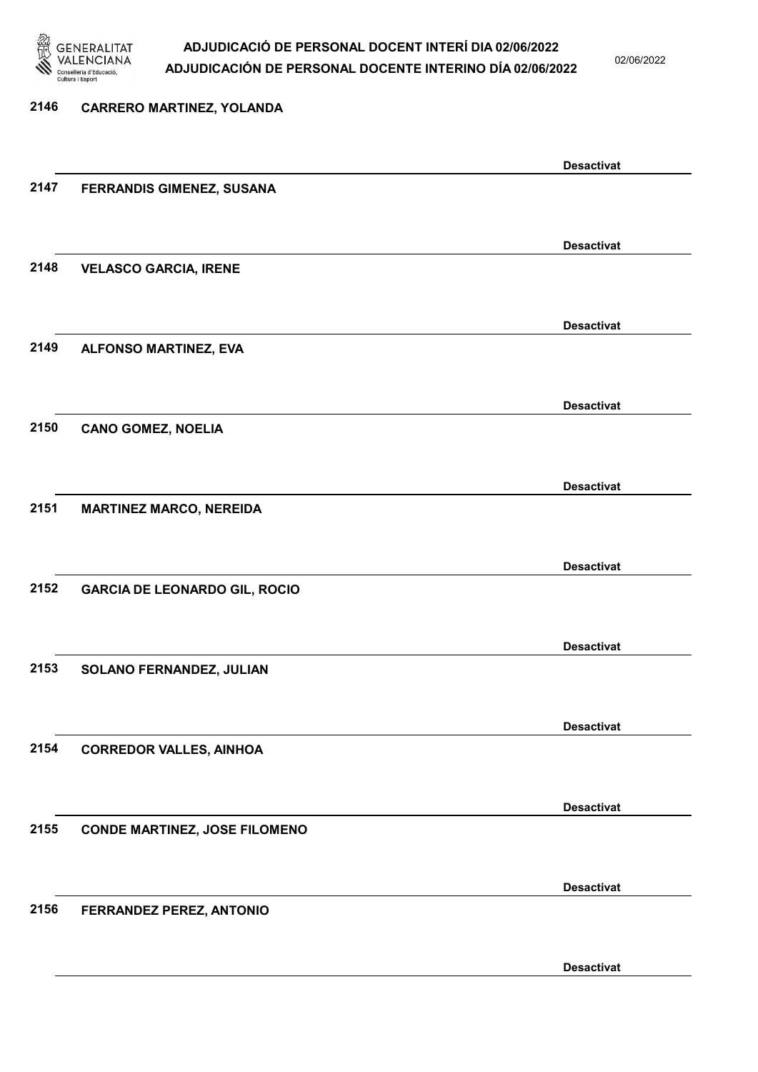

02/06/2022

#### 2146 CARRERO MARTINEZ, YOLANDA

|      |                                      | <b>Desactivat</b> |
|------|--------------------------------------|-------------------|
| 2147 | FERRANDIS GIMENEZ, SUSANA            |                   |
|      |                                      |                   |
|      |                                      |                   |
|      |                                      | <b>Desactivat</b> |
| 2148 | <b>VELASCO GARCIA, IRENE</b>         |                   |
|      |                                      |                   |
|      |                                      |                   |
|      |                                      | <b>Desactivat</b> |
| 2149 | ALFONSO MARTINEZ, EVA                |                   |
|      |                                      |                   |
|      |                                      |                   |
|      |                                      | <b>Desactivat</b> |
| 2150 | <b>CANO GOMEZ, NOELIA</b>            |                   |
|      |                                      |                   |
|      |                                      |                   |
|      |                                      | <b>Desactivat</b> |
| 2151 | <b>MARTINEZ MARCO, NEREIDA</b>       |                   |
|      |                                      |                   |
|      |                                      |                   |
|      |                                      | <b>Desactivat</b> |
| 2152 | <b>GARCIA DE LEONARDO GIL, ROCIO</b> |                   |
|      |                                      |                   |
|      |                                      |                   |
|      |                                      | <b>Desactivat</b> |
| 2153 | SOLANO FERNANDEZ, JULIAN             |                   |
|      |                                      |                   |
|      |                                      |                   |
|      |                                      | <b>Desactivat</b> |
| 2154 | <b>CORREDOR VALLES, AINHOA</b>       |                   |
|      |                                      |                   |
|      |                                      |                   |
|      |                                      | <b>Desactivat</b> |
| 2155 | <b>CONDE MARTINEZ, JOSE FILOMENO</b> |                   |
|      |                                      |                   |
|      |                                      |                   |
|      |                                      | <b>Desactivat</b> |
| 2156 | FERRANDEZ PEREZ, ANTONIO             |                   |
|      |                                      |                   |
|      |                                      |                   |
|      |                                      | <b>Desactivat</b> |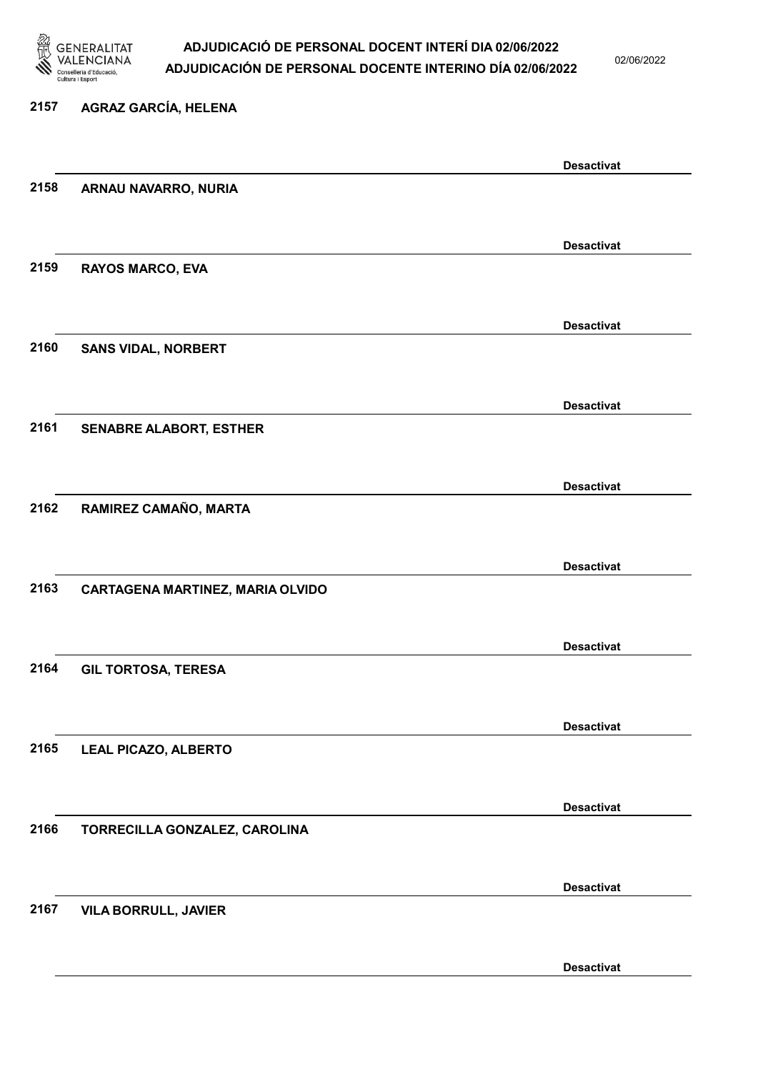

02/06/2022

### 2157 AGRAZ GARCÍA, HELENA

|      |                                         | <b>Desactivat</b> |
|------|-----------------------------------------|-------------------|
| 2158 | ARNAU NAVARRO, NURIA                    |                   |
|      |                                         |                   |
|      |                                         | <b>Desactivat</b> |
| 2159 | <b>RAYOS MARCO, EVA</b>                 |                   |
|      |                                         |                   |
|      |                                         |                   |
|      |                                         | <b>Desactivat</b> |
| 2160 | <b>SANS VIDAL, NORBERT</b>              |                   |
|      |                                         |                   |
|      |                                         | <b>Desactivat</b> |
| 2161 | <b>SENABRE ALABORT, ESTHER</b>          |                   |
|      |                                         |                   |
|      |                                         | <b>Desactivat</b> |
| 2162 | RAMIREZ CAMAÑO, MARTA                   |                   |
|      |                                         |                   |
|      |                                         |                   |
|      |                                         | <b>Desactivat</b> |
| 2163 | <b>CARTAGENA MARTINEZ, MARIA OLVIDO</b> |                   |
|      |                                         |                   |
|      |                                         | <b>Desactivat</b> |
| 2164 | <b>GIL TORTOSA, TERESA</b>              |                   |
|      |                                         |                   |
|      |                                         | <b>Desactivat</b> |
| 2165 | <b>LEAL PICAZO, ALBERTO</b>             |                   |
|      |                                         |                   |
|      |                                         |                   |
|      |                                         | <b>Desactivat</b> |
| 2166 | TORRECILLA GONZALEZ, CAROLINA           |                   |
|      |                                         |                   |
|      |                                         | <b>Desactivat</b> |
| 2167 | <b>VILA BORRULL, JAVIER</b>             |                   |
|      |                                         |                   |
|      |                                         | <b>Desactivat</b> |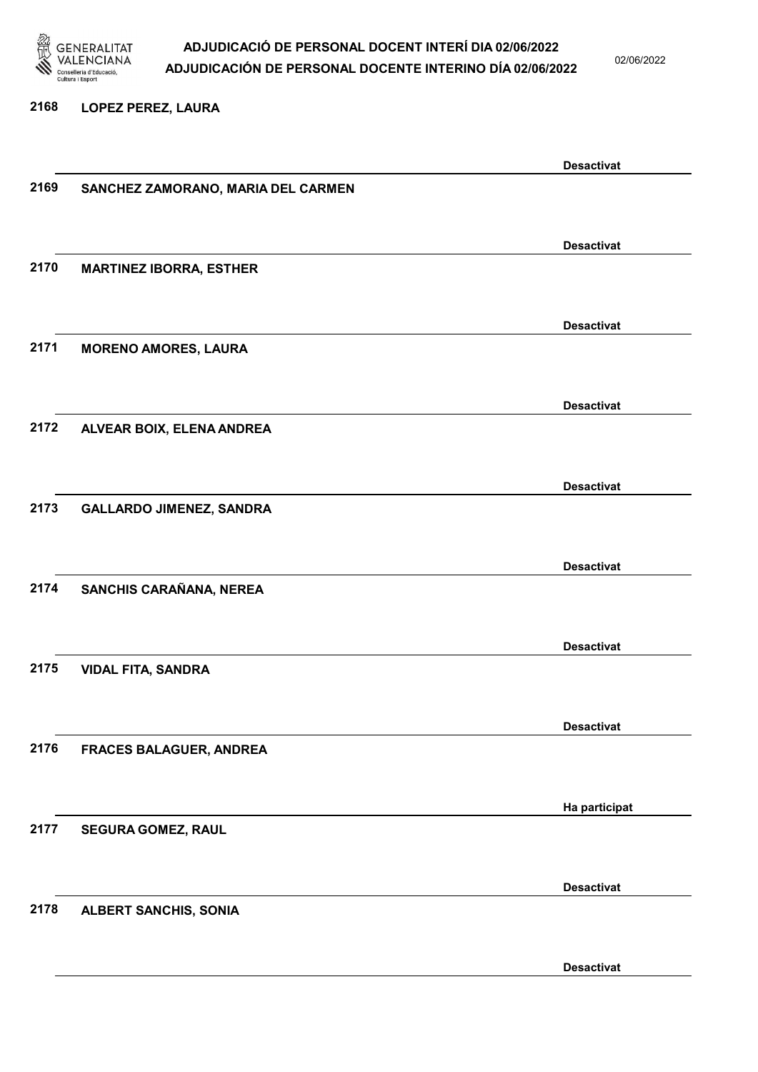

02/06/2022

#### 2168 LOPEZ PEREZ, LAURA

|      |                                    | <b>Desactivat</b> |
|------|------------------------------------|-------------------|
| 2169 | SANCHEZ ZAMORANO, MARIA DEL CARMEN |                   |
|      |                                    |                   |
|      |                                    |                   |
|      |                                    | <b>Desactivat</b> |
|      |                                    |                   |
| 2170 | <b>MARTINEZ IBORRA, ESTHER</b>     |                   |
|      |                                    |                   |
|      |                                    |                   |
|      |                                    | <b>Desactivat</b> |
| 2171 | <b>MORENO AMORES, LAURA</b>        |                   |
|      |                                    |                   |
|      |                                    |                   |
|      |                                    | <b>Desactivat</b> |
| 2172 | ALVEAR BOIX, ELENA ANDREA          |                   |
|      |                                    |                   |
|      |                                    |                   |
|      |                                    | <b>Desactivat</b> |
| 2173 |                                    |                   |
|      | <b>GALLARDO JIMENEZ, SANDRA</b>    |                   |
|      |                                    |                   |
|      |                                    | <b>Desactivat</b> |
|      |                                    |                   |
| 2174 | SANCHIS CARAÑANA, NEREA            |                   |
|      |                                    |                   |
|      |                                    |                   |
|      |                                    | <b>Desactivat</b> |
| 2175 | <b>VIDAL FITA, SANDRA</b>          |                   |
|      |                                    |                   |
|      |                                    |                   |
|      |                                    | <b>Desactivat</b> |
| 2176 | <b>FRACES BALAGUER, ANDREA</b>     |                   |
|      |                                    |                   |
|      |                                    |                   |
|      |                                    | Ha participat     |
| 2177 | <b>SEGURA GOMEZ, RAUL</b>          |                   |
|      |                                    |                   |
|      |                                    |                   |
|      |                                    | <b>Desactivat</b> |
|      |                                    |                   |
| 2178 | <b>ALBERT SANCHIS, SONIA</b>       |                   |
|      |                                    |                   |
|      |                                    |                   |
|      |                                    | <b>Desactivat</b> |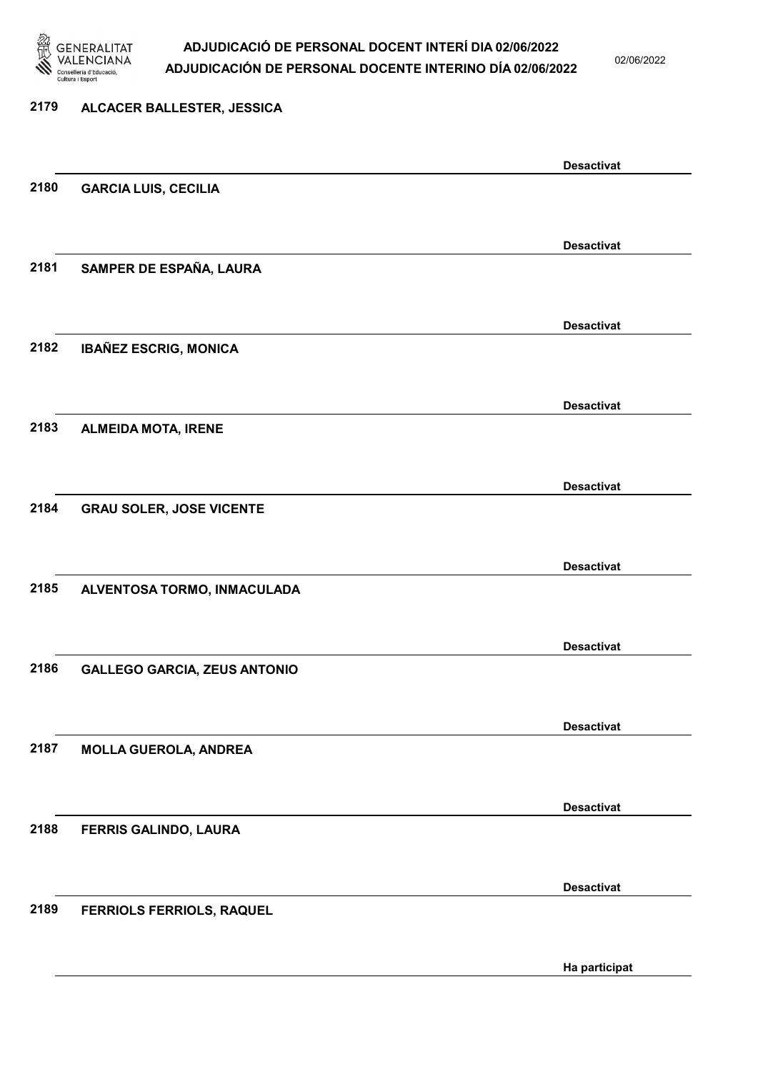

02/06/2022

Ha participat

# 2179 ALCACER BALLESTER, JESSICA Desactivat 2180 GARCIA LUIS, CECILIA Desactivat 2181 SAMPER DE ESPAÑA, LAURA Desactivat 2182 IBAÑEZ ESCRIG, MONICA Desactivat 2183 ALMEIDA MOTA, IRENE Desactivat 2184 GRAU SOLER, JOSE VICENTE Desactivat 2185 ALVENTOSA TORMO, INMACULADA Desactivat 2186 GALLEGO GARCIA, ZEUS ANTONIO Desactivat 2187 MOLLA GUEROLA, ANDREA Desactivat 2188 FERRIS GALINDO, LAURA Desactivat 2189 FERRIOLS FERRIOLS, RAQUEL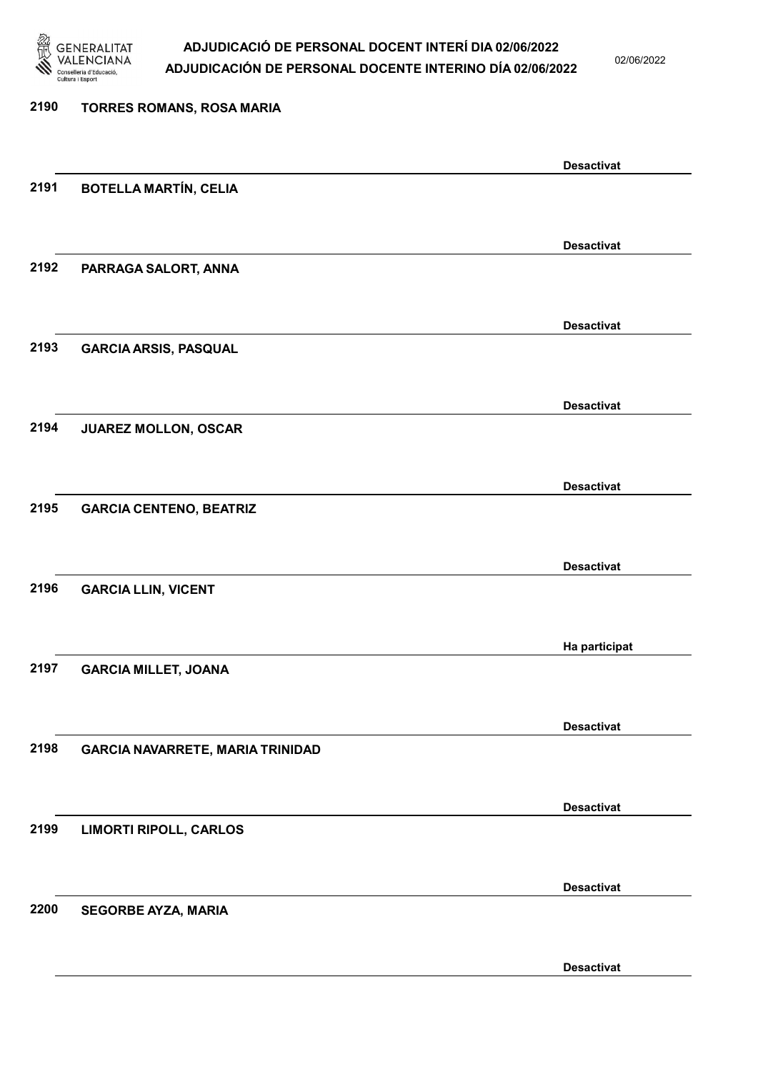

02/06/2022

Desactivat

## 2190 TORRES ROMANS, ROSA MARIA Desactivat 2191 BOTELLA MARTÍN, CELIA Desactivat 2192 PARRAGA SALORT, ANNA Desactivat 2193 GARCIA ARSIS, PASQUAL Desactivat 2194 JUAREZ MOLLON, OSCAR Desactivat 2195 GARCIA CENTENO, BEATRIZ Desactivat 2196 GARCIA LLIN, VICENT Ha participat 2197 GARCIA MILLET, JOANA Desactivat 2198 GARCIA NAVARRETE, MARIA TRINIDAD Desactivat 2199 LIMORTI RIPOLL, CARLOS Desactivat 2200 SEGORBE AYZA, MARIA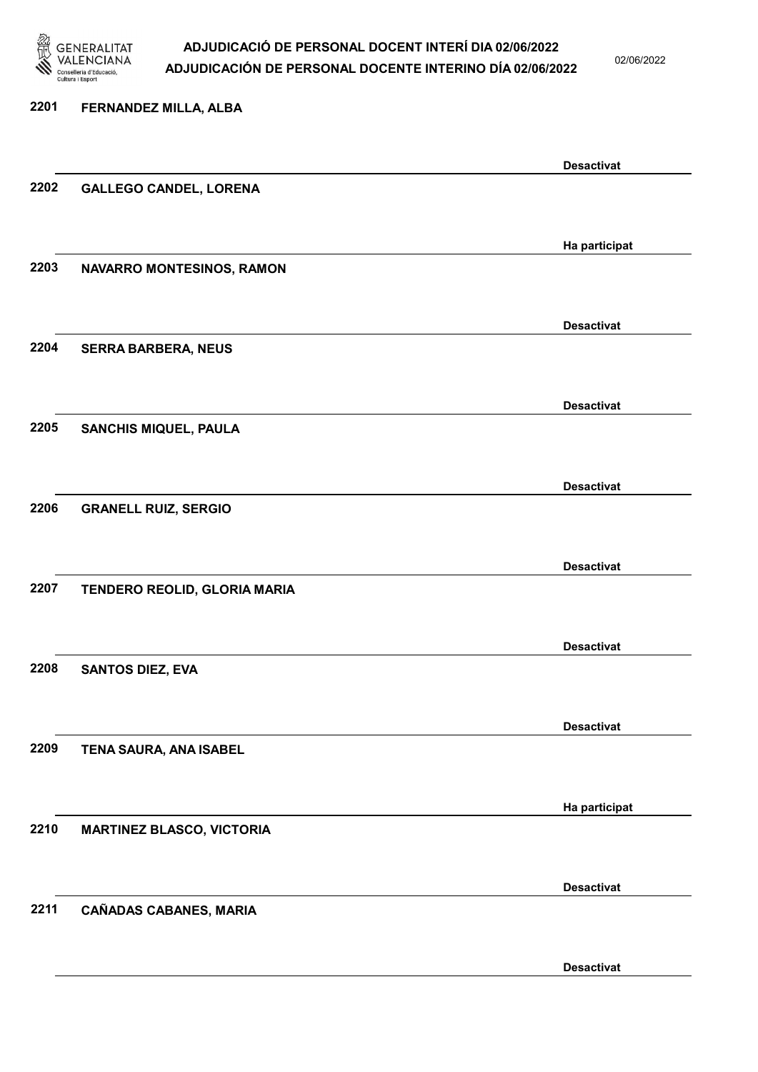

02/06/2022

Desactivat

### 2201 FERNANDEZ MILLA, ALBA Desactivat 2202 GALLEGO CANDEL, LORENA Ha participat 2203 NAVARRO MONTESINOS, RAMON Desactivat 2204 SERRA BARBERA, NEUS Desactivat 2205 SANCHIS MIQUEL, PAULA Desactivat 2206 GRANELL RUIZ, SERGIO Desactivat 2207 TENDERO REOLID, GLORIA MARIA Desactivat 2208 SANTOS DIEZ, EVA Desactivat 2209 TENA SAURA, ANA ISABEL Ha participat 2210 MARTINEZ BLASCO, VICTORIA Desactivat 2211 CAÑADAS CABANES, MARIA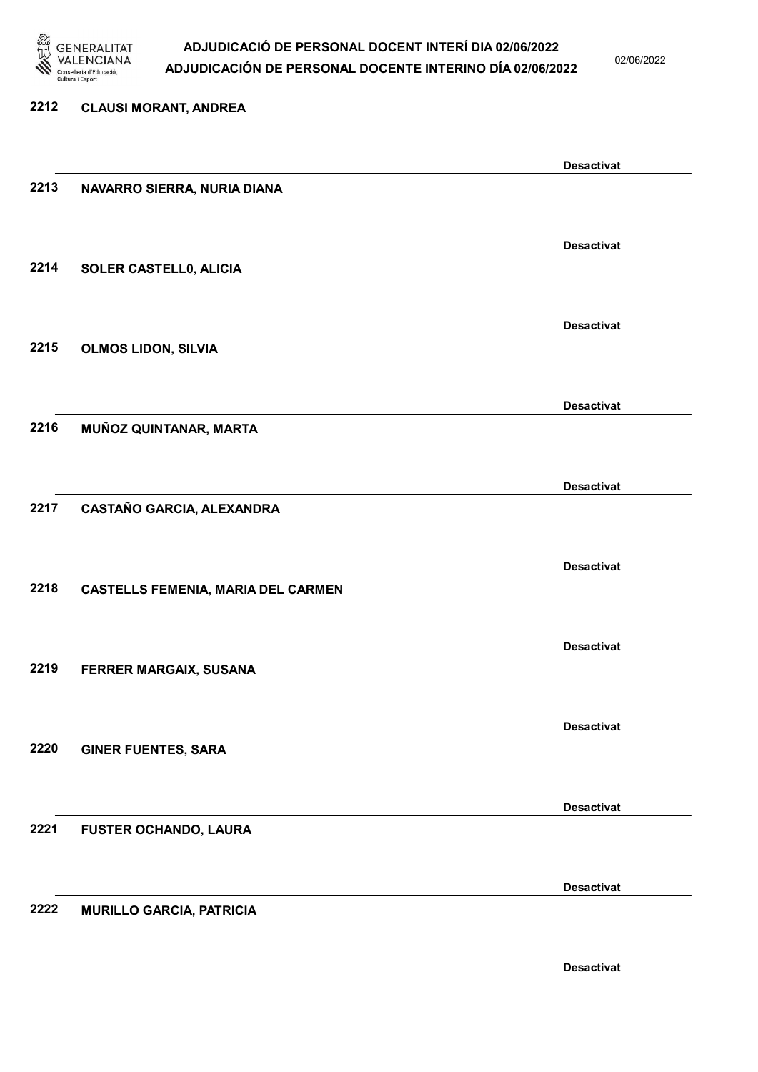

02/06/2022

Desactivat

# 2212 CLAUSI MORANT, ANDREA Desactivat 2213 NAVARRO SIERRA, NURIA DIANA Desactivat 2214 SOLER CASTELL0, ALICIA Desactivat 2215 OLMOS LIDON, SILVIA Desactivat 2216 MUÑOZ QUINTANAR, MARTA Desactivat 2217 CASTAÑO GARCIA, ALEXANDRA Desactivat 2218 CASTELLS FEMENIA, MARIA DEL CARMEN Desactivat 2219 FERRER MARGAIX, SUSANA Desactivat 2220 GINER FUENTES, SARA Desactivat 2221 FUSTER OCHANDO, LAURA Desactivat 2222 MURILLO GARCIA, PATRICIA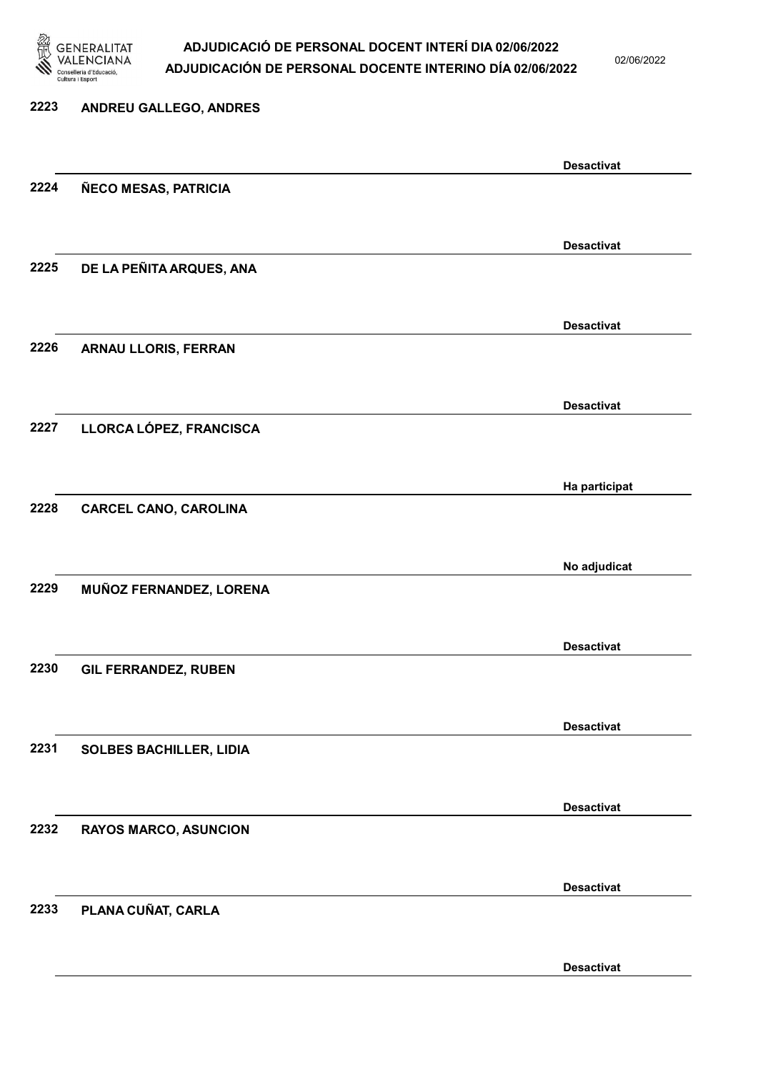

02/06/2022

| 2223 | ANDREU GALLEGO, ANDRES         |                   |
|------|--------------------------------|-------------------|
|      |                                | <b>Desactivat</b> |
| 2224 | ÑECO MESAS, PATRICIA           |                   |
|      |                                | <b>Desactivat</b> |
| 2225 | DE LA PEÑITA ARQUES, ANA       |                   |
|      |                                | <b>Desactivat</b> |
| 2226 | ARNAU LLORIS, FERRAN           |                   |
|      |                                | <b>Desactivat</b> |
| 2227 | LLORCA LÓPEZ, FRANCISCA        |                   |
|      |                                | Ha participat     |
| 2228 | <b>CARCEL CANO, CAROLINA</b>   |                   |
|      |                                | No adjudicat      |
| 2229 | MUÑOZ FERNANDEZ, LORENA        |                   |
| 2230 |                                | <b>Desactivat</b> |
|      | <b>GIL FERRANDEZ, RUBEN</b>    |                   |
| 2231 | <b>SOLBES BACHILLER, LIDIA</b> | <b>Desactivat</b> |
|      |                                |                   |
| 2232 | <b>RAYOS MARCO, ASUNCION</b>   | <b>Desactivat</b> |
|      |                                |                   |
| 2233 | PLANA CUÑAT, CARLA             | <b>Desactivat</b> |
|      |                                |                   |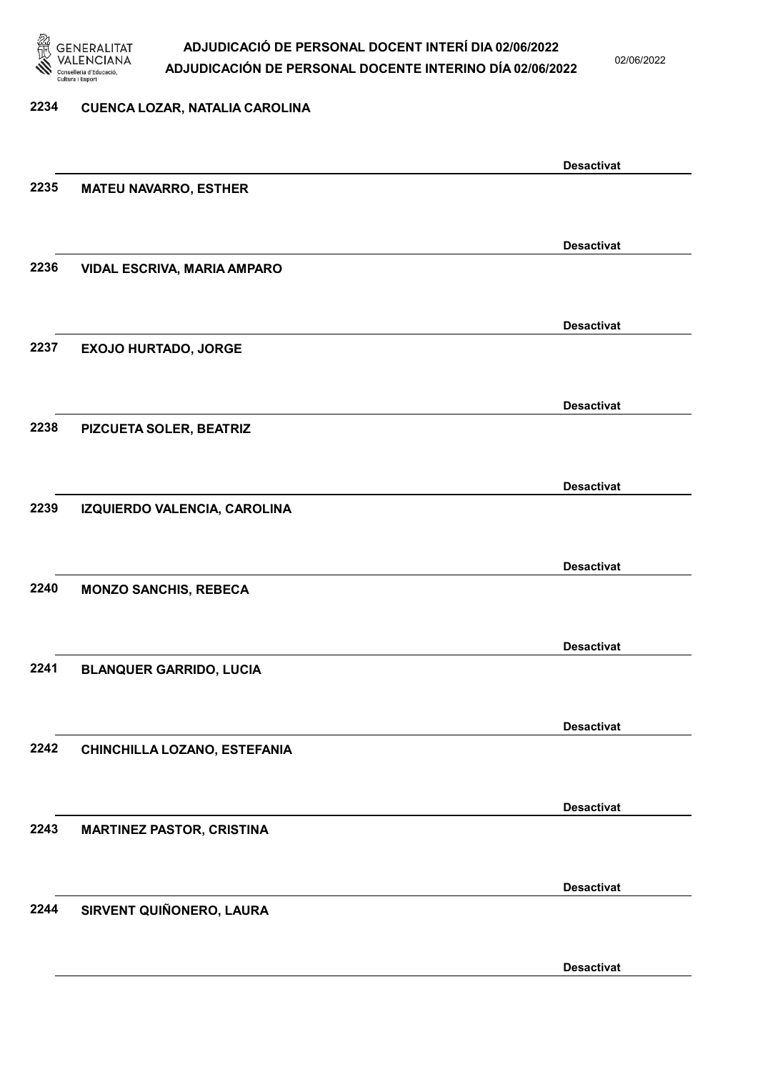

2234 CUENCA LOZAR, NATALIA CAROLINA

### ADJUDICACIÓ DE PERSONAL DOCENT INTERÍ DIA 02/06/2022 ADJUDICACIÓN DE PERSONAL DOCENTE INTERINO DÍA 02/06/2022

02/06/2022

# Desactivat 2235 MATEU NAVARRO, ESTHER Desactivat 2236 VIDAL ESCRIVA, MARIA AMPARO Desactivat 2237 EXOJO HURTADO, JORGE Desactivat 2238 PIZCUETA SOLER, BEATRIZ Desactivat 2239 IZQUIERDO VALENCIA, CAROLINA Desactivat 2240 MONZO SANCHIS, REBECA Desactivat 2241 BLANQUER GARRIDO, LUCIA Desactivat 2242 CHINCHILLA LOZANO, ESTEFANIA Desactivat 2243 MARTINEZ PASTOR, CRISTINA Desactivat 2244 SIRVENT QUIÑONERO, LAURA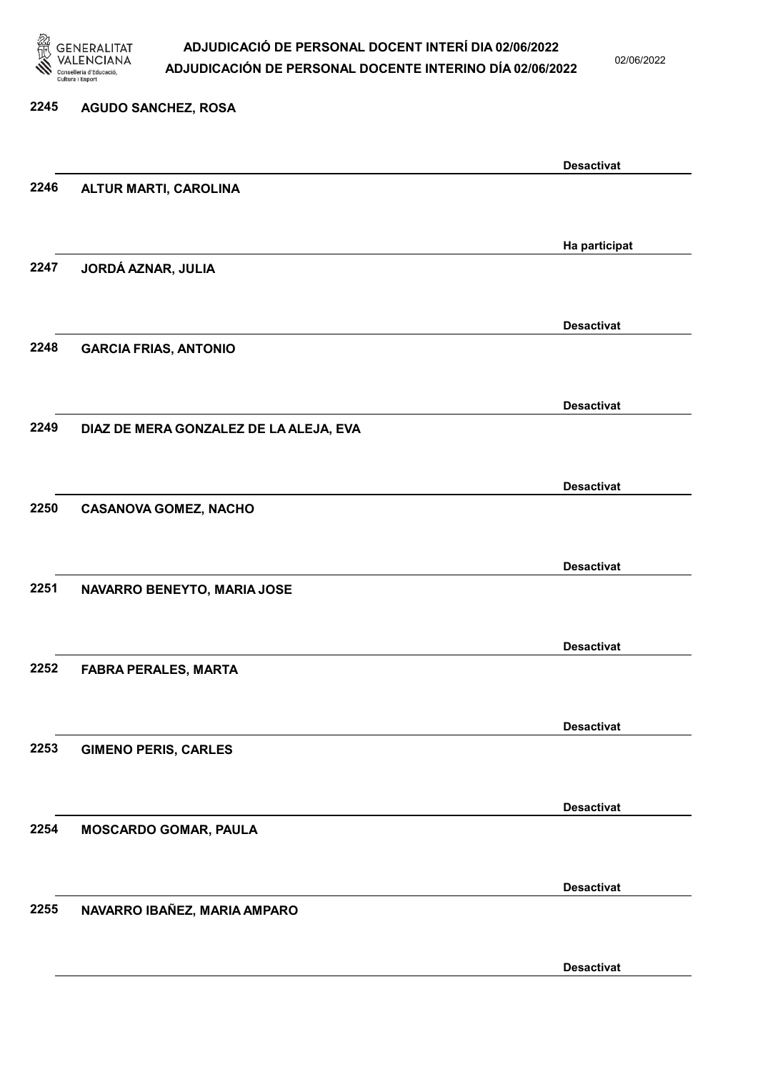

02/06/2022

### 2245 AGUDO SANCHEZ, ROSA Desactivat 2246 ALTUR MARTI, CAROLINA Ha participat 2247 JORDÁ AZNAR, JULIA Desactivat 2248 GARCIA FRIAS, ANTONIO Desactivat 2249 DIAZ DE MERA GONZALEZ DE LA ALEJA, EVA Desactivat 2250 CASANOVA GOMEZ, NACHO Desactivat 2251 NAVARRO BENEYTO, MARIA JOSE Desactivat 2252 FABRA PERALES, MARTA Desactivat 2253 GIMENO PERIS, CARLES Desactivat 2254 MOSCARDO GOMAR, PAULA Desactivat 2255 NAVARRO IBAÑEZ, MARIA AMPARO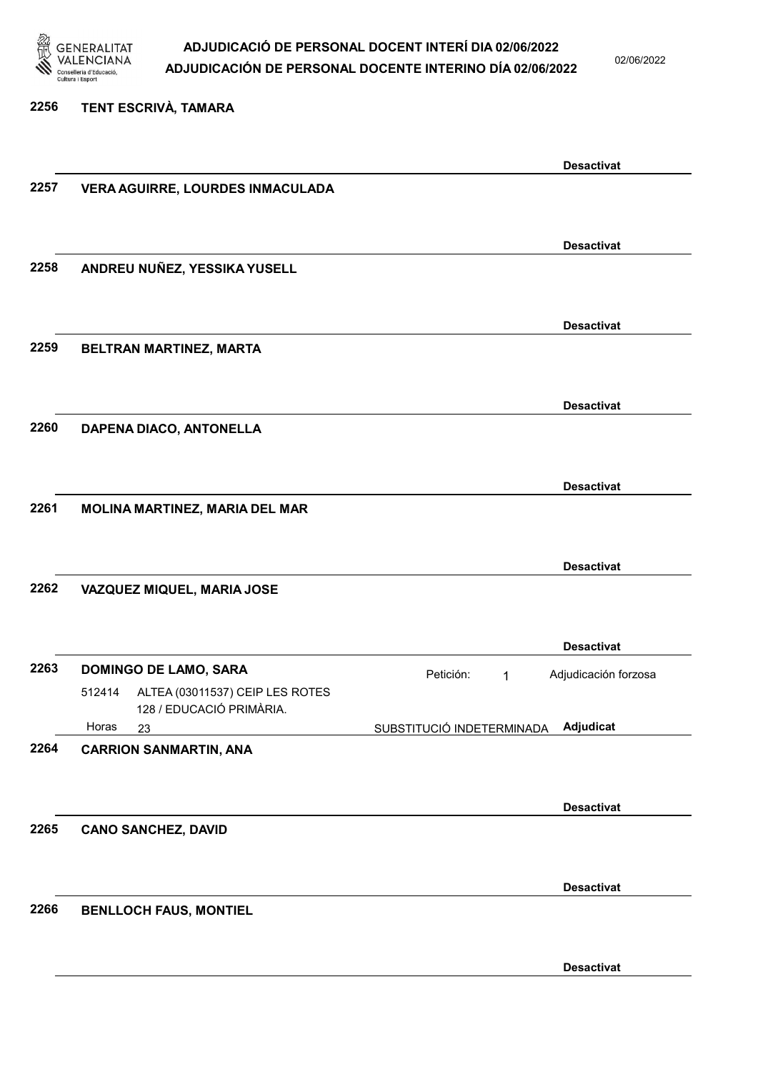

02/06/2022

#### 2256 TENT ESCRIVÀ, TAMARA

|      |                                                                       | <b>Desactivat</b>                             |
|------|-----------------------------------------------------------------------|-----------------------------------------------|
| 2257 | VERA AGUIRRE, LOURDES INMACULADA                                      |                                               |
|      |                                                                       |                                               |
|      |                                                                       | <b>Desactivat</b>                             |
| 2258 | ANDREU NUÑEZ, YESSIKA YUSELL                                          |                                               |
|      |                                                                       |                                               |
|      |                                                                       |                                               |
|      |                                                                       | <b>Desactivat</b>                             |
| 2259 | BELTRAN MARTINEZ, MARTA                                               |                                               |
|      |                                                                       |                                               |
|      |                                                                       | <b>Desactivat</b>                             |
| 2260 | DAPENA DIACO, ANTONELLA                                               |                                               |
|      |                                                                       |                                               |
|      |                                                                       | <b>Desactivat</b>                             |
| 2261 | MOLINA MARTINEZ, MARIA DEL MAR                                        |                                               |
|      |                                                                       |                                               |
|      |                                                                       |                                               |
| 2262 |                                                                       | <b>Desactivat</b>                             |
|      | VAZQUEZ MIQUEL, MARIA JOSE                                            |                                               |
|      |                                                                       |                                               |
|      |                                                                       | <b>Desactivat</b>                             |
| 2263 | <b>DOMINGO DE LAMO, SARA</b>                                          | Petición:<br>Adjudicación forzosa<br>1        |
|      | ALTEA (03011537) CEIP LES ROTES<br>512414<br>128 / EDUCACIÓ PRIMÀRIA. |                                               |
|      | Horas<br>23                                                           | <b>Adjudicat</b><br>SUBSTITUCIÓ INDETERMINADA |
| 2264 | <b>CARRION SANMARTIN, ANA</b>                                         |                                               |
|      |                                                                       |                                               |
|      |                                                                       | <b>Desactivat</b>                             |
| 2265 | <b>CANO SANCHEZ, DAVID</b>                                            |                                               |
|      |                                                                       |                                               |
|      |                                                                       |                                               |
|      |                                                                       | <b>Desactivat</b>                             |
| 2266 | <b>BENLLOCH FAUS, MONTIEL</b>                                         |                                               |
|      |                                                                       |                                               |
|      |                                                                       | <b>Desactivat</b>                             |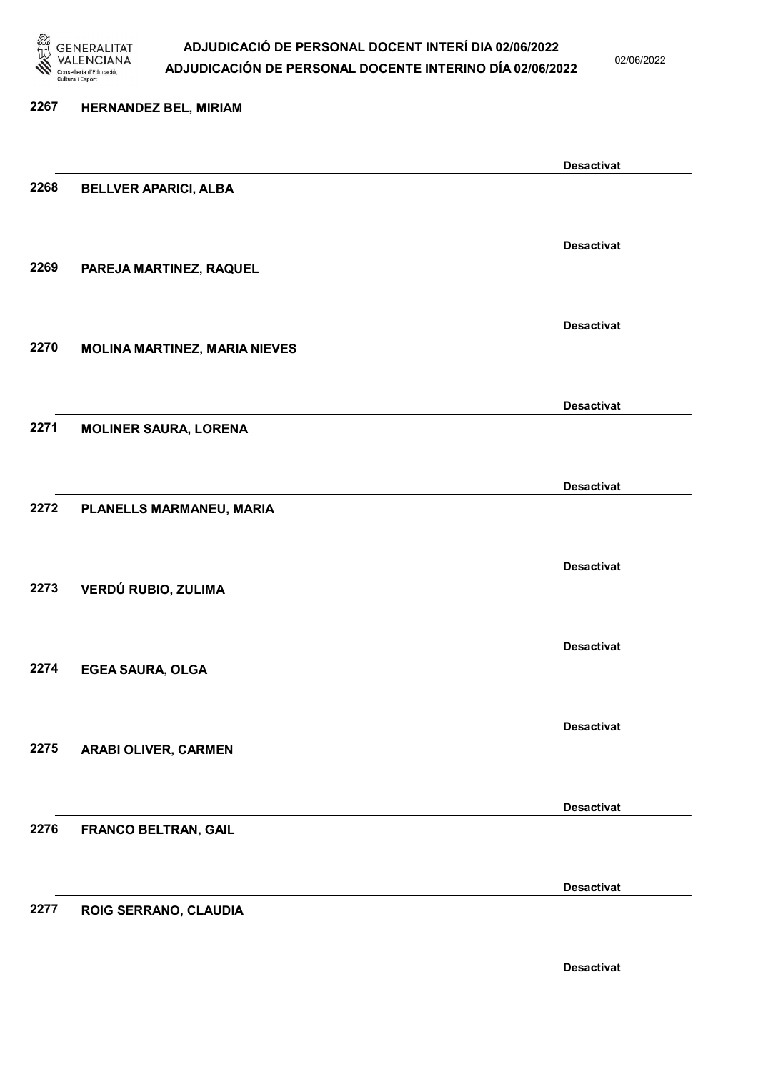

02/06/2022

### 2267 HERNANDEZ BEL, MIRIAM Desactivat 2268 BELLVER APARICI, ALBA Desactivat 2269 PAREJA MARTINEZ, RAQUEL Desactivat 2270 MOLINA MARTINEZ, MARIA NIEVES Desactivat 2271 MOLINER SAURA, LORENA Desactivat 2272 PLANELLS MARMANEU, MARIA Desactivat 2273 VERDÚ RUBIO, ZULIMA Desactivat 2274 EGEA SAURA, OLGA Desactivat 2275 ARABI OLIVER, CARMEN Desactivat 2276 FRANCO BELTRAN, GAIL Desactivat 2277 ROIG SERRANO, CLAUDIA Desactivat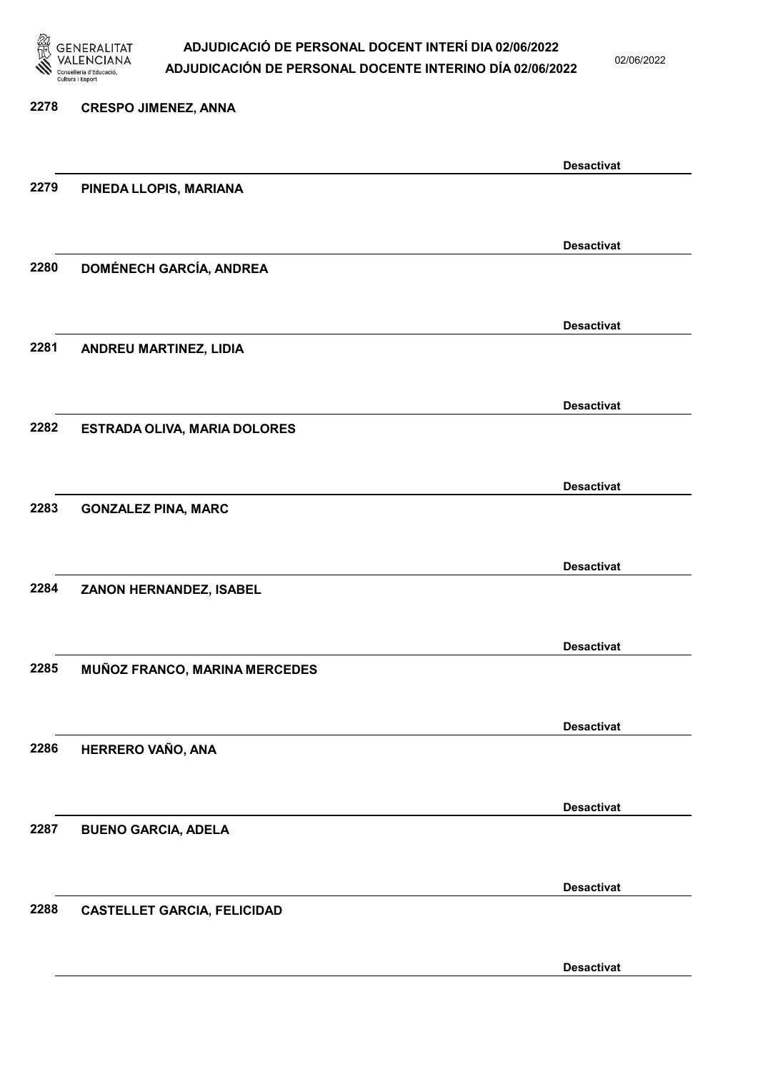

02/06/2022

Desactivat

# 2278 CRESPO JIMENEZ, ANNA Desactivat 2279 PINEDA LLOPIS, MARIANA Desactivat 2280 DOMÉNECH GARCÍA, ANDREA Desactivat 2281 ANDREU MARTINEZ, LIDIA Desactivat 2282 ESTRADA OLIVA, MARIA DOLORES Desactivat 2283 GONZALEZ PINA, MARC Desactivat 2284 ZANON HERNANDEZ, ISABEL Desactivat 2285 MUÑOZ FRANCO, MARINA MERCEDES Desactivat 2286 HERRERO VAÑO, ANA Desactivat 2287 BUENO GARCIA, ADELA Desactivat 2288 CASTELLET GARCIA, FELICIDAD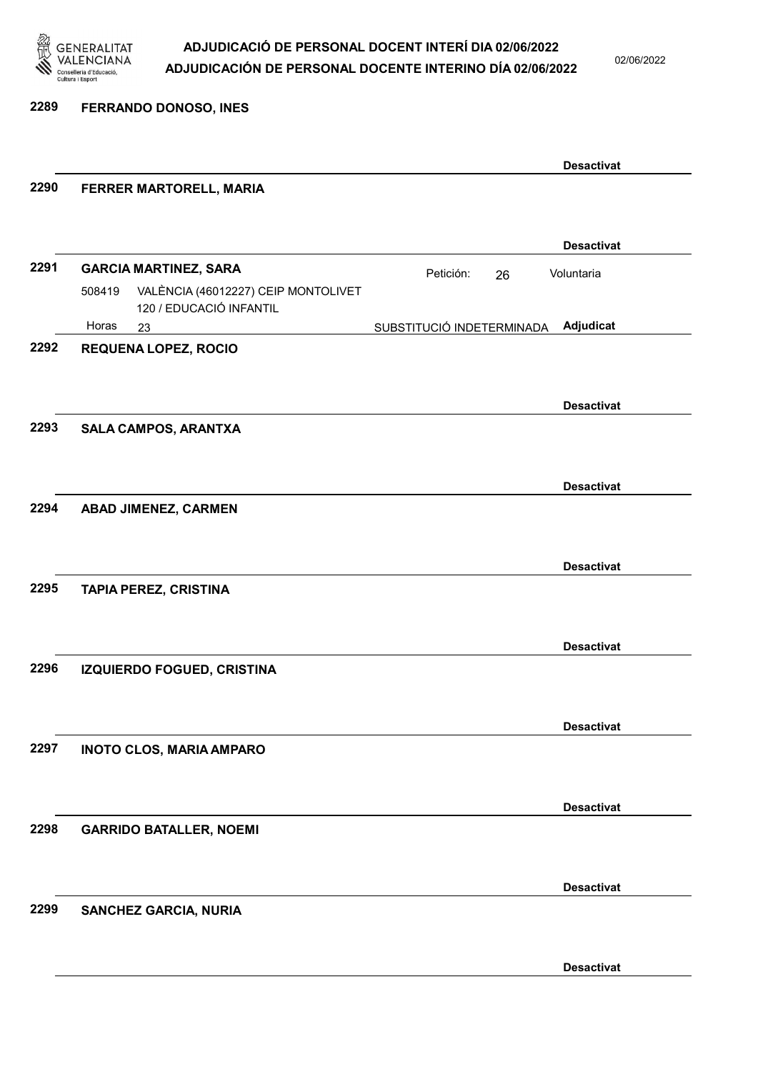

02/06/2022

2289 FERRANDO DONOSO, INES

|      |                                                                          |                           | <b>Desactivat</b> |
|------|--------------------------------------------------------------------------|---------------------------|-------------------|
| 2290 | FERRER MARTORELL, MARIA                                                  |                           |                   |
|      |                                                                          |                           |                   |
|      |                                                                          |                           | <b>Desactivat</b> |
| 2291 | <b>GARCIA MARTINEZ, SARA</b>                                             | Petición:<br>26           | Voluntaria        |
|      | VALÈNCIA (46012227) CEIP MONTOLIVET<br>508419<br>120 / EDUCACIÓ INFANTIL |                           |                   |
|      | Horas<br>23                                                              | SUBSTITUCIÓ INDETERMINADA | Adjudicat         |
| 2292 | <b>REQUENA LOPEZ, ROCIO</b>                                              |                           |                   |
|      |                                                                          |                           |                   |
|      |                                                                          |                           | <b>Desactivat</b> |
| 2293 | SALA CAMPOS, ARANTXA                                                     |                           |                   |
|      |                                                                          |                           |                   |
|      |                                                                          |                           | <b>Desactivat</b> |
| 2294 | <b>ABAD JIMENEZ, CARMEN</b>                                              |                           |                   |
|      |                                                                          |                           |                   |
|      |                                                                          |                           | <b>Desactivat</b> |
| 2295 | <b>TAPIA PEREZ, CRISTINA</b>                                             |                           |                   |
|      |                                                                          |                           |                   |
|      |                                                                          |                           |                   |
|      |                                                                          |                           | <b>Desactivat</b> |
| 2296 | <b>IZQUIERDO FOGUED, CRISTINA</b>                                        |                           |                   |
|      |                                                                          |                           |                   |
|      |                                                                          |                           | <b>Desactivat</b> |
| 2297 | <b>INOTO CLOS, MARIA AMPARO</b>                                          |                           |                   |
|      |                                                                          |                           |                   |
|      |                                                                          |                           | <b>Desactivat</b> |
| 2298 | <b>GARRIDO BATALLER, NOEMI</b>                                           |                           |                   |
|      |                                                                          |                           |                   |
|      |                                                                          |                           | <b>Desactivat</b> |
| 2299 | <b>SANCHEZ GARCIA, NURIA</b>                                             |                           |                   |
|      |                                                                          |                           |                   |
|      |                                                                          |                           |                   |
|      |                                                                          |                           | <b>Desactivat</b> |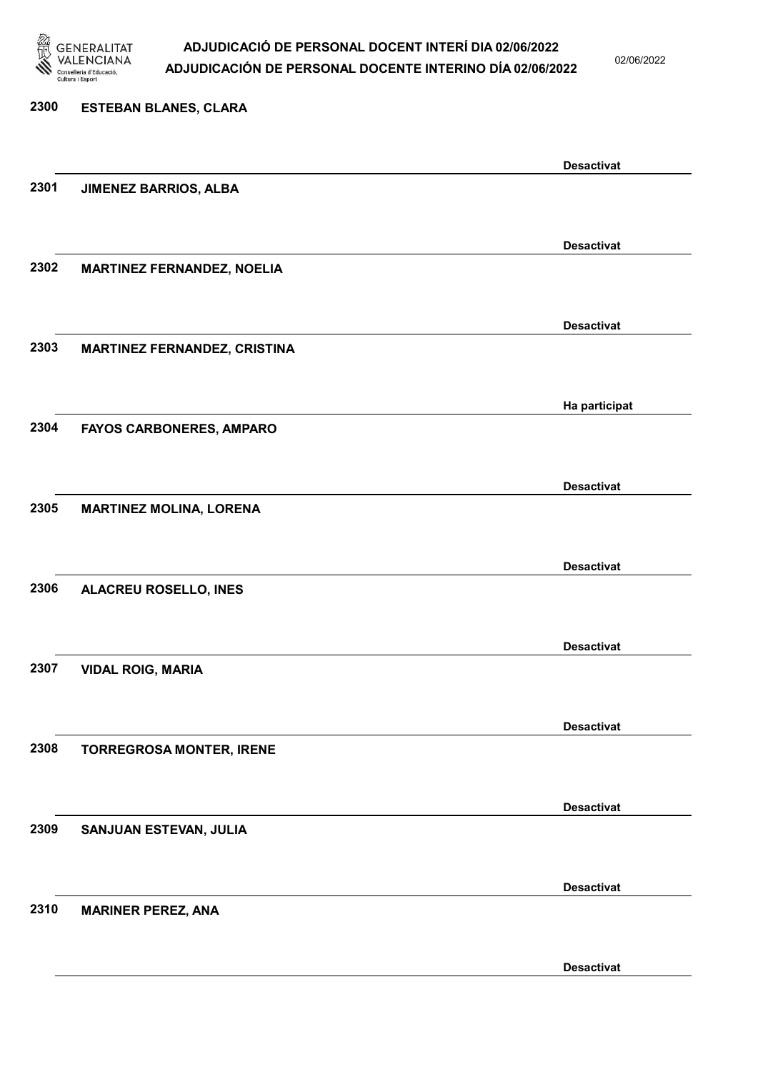

02/06/2022

Desactivat

# 2300 ESTEBAN BLANES, CLARA Desactivat 2301 JIMENEZ BARRIOS, ALBA Desactivat 2302 MARTINEZ FERNANDEZ, NOELIA Desactivat 2303 MARTINEZ FERNANDEZ, CRISTINA Ha participat 2304 FAYOS CARBONERES, AMPARO Desactivat 2305 MARTINEZ MOLINA, LORENA Desactivat 2306 ALACREU ROSELLO, INES Desactivat 2307 VIDAL ROIG, MARIA Desactivat 2308 TORREGROSA MONTER, IRENE Desactivat 2309 SANJUAN ESTEVAN, JULIA Desactivat 2310 MARINER PEREZ, ANA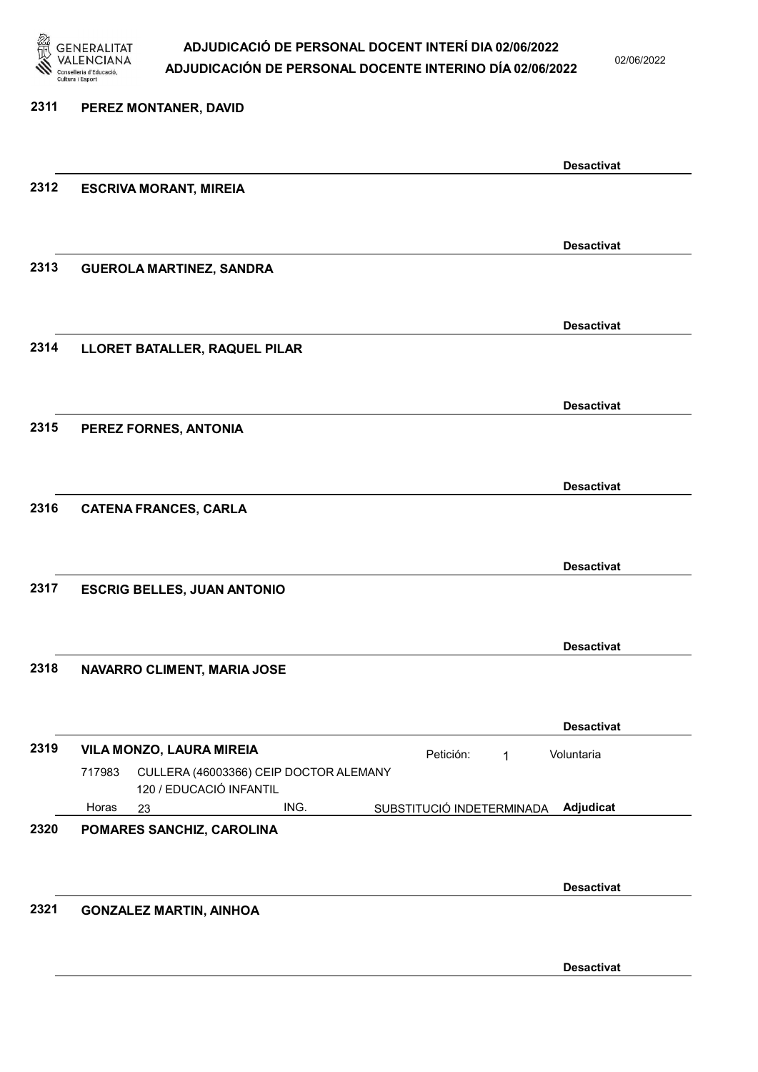

02/06/2022

| 2311 | PEREZ MONTANER, DAVID                                                        |                           |                   |
|------|------------------------------------------------------------------------------|---------------------------|-------------------|
|      |                                                                              |                           | <b>Desactivat</b> |
| 2312 | <b>ESCRIVA MORANT, MIREIA</b>                                                |                           |                   |
|      |                                                                              |                           | <b>Desactivat</b> |
| 2313 | <b>GUEROLA MARTINEZ, SANDRA</b>                                              |                           |                   |
|      |                                                                              |                           | <b>Desactivat</b> |
| 2314 | LLORET BATALLER, RAQUEL PILAR                                                |                           |                   |
|      |                                                                              |                           | <b>Desactivat</b> |
| 2315 | PEREZ FORNES, ANTONIA                                                        |                           |                   |
|      |                                                                              |                           | <b>Desactivat</b> |
| 2316 | <b>CATENA FRANCES, CARLA</b>                                                 |                           |                   |
|      |                                                                              |                           | <b>Desactivat</b> |
| 2317 | <b>ESCRIG BELLES, JUAN ANTONIO</b>                                           |                           |                   |
|      |                                                                              |                           | <b>Desactivat</b> |
| 2318 | NAVARRO CLIMENT, MARIA JOSE                                                  |                           |                   |
|      |                                                                              |                           | <b>Desactivat</b> |
| 2319 | VILA MONZO, LAURA MIREIA<br>CULLERA (46003366) CEIP DOCTOR ALEMANY<br>717983 | Petición:<br>$\mathbf{1}$ | Voluntaria        |
|      | 120 / EDUCACIÓ INFANTIL                                                      |                           |                   |
| 2320 | Horas<br>ING.<br>23<br>POMARES SANCHIZ, CAROLINA                             | SUBSTITUCIÓ INDETERMINADA | Adjudicat         |
|      |                                                                              |                           |                   |
|      |                                                                              |                           | <b>Desactivat</b> |
| 2321 | <b>GONZALEZ MARTIN, AINHOA</b>                                               |                           |                   |
|      |                                                                              |                           |                   |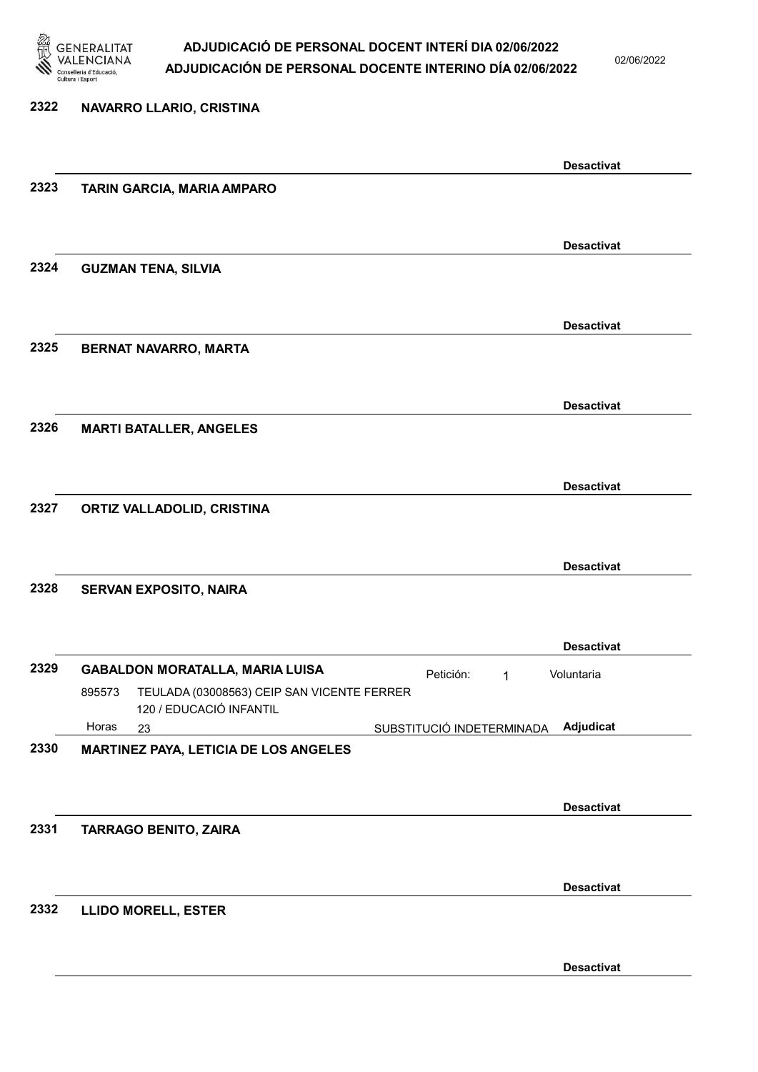

02/06/2022

| 2322 | NAVARRO LLARIO, CRISTINA                                                                       |                           |                   |
|------|------------------------------------------------------------------------------------------------|---------------------------|-------------------|
|      |                                                                                                |                           | <b>Desactivat</b> |
| 2323 | TARIN GARCIA, MARIA AMPARO                                                                     |                           |                   |
|      |                                                                                                |                           | <b>Desactivat</b> |
| 2324 | <b>GUZMAN TENA, SILVIA</b>                                                                     |                           |                   |
|      |                                                                                                |                           | <b>Desactivat</b> |
| 2325 | BERNAT NAVARRO, MARTA                                                                          |                           |                   |
|      |                                                                                                |                           | <b>Desactivat</b> |
| 2326 | <b>MARTI BATALLER, ANGELES</b>                                                                 |                           |                   |
|      |                                                                                                |                           | <b>Desactivat</b> |
| 2327 | ORTIZ VALLADOLID, CRISTINA                                                                     |                           |                   |
|      |                                                                                                |                           | <b>Desactivat</b> |
| 2328 | <b>SERVAN EXPOSITO, NAIRA</b>                                                                  |                           |                   |
|      |                                                                                                |                           | <b>Desactivat</b> |
| 2329 | <b>GABALDON MORATALLA, MARIA LUISA</b><br>TEULADA (03008563) CEIP SAN VICENTE FERRER<br>895573 | Petición:<br>1            | Voluntaria        |
|      | 120 / EDUCACIÓ INFANTIL<br>Horas<br>23                                                         | SUBSTITUCIÓ INDETERMINADA | Adjudicat         |
| 2330 | MARTINEZ PAYA, LETICIA DE LOS ANGELES                                                          |                           |                   |
|      |                                                                                                |                           | <b>Desactivat</b> |
| 2331 | <b>TARRAGO BENITO, ZAIRA</b>                                                                   |                           |                   |
|      |                                                                                                |                           | <b>Desactivat</b> |
| 2332 | <b>LLIDO MORELL, ESTER</b>                                                                     |                           |                   |
|      |                                                                                                |                           | <b>Desactivat</b> |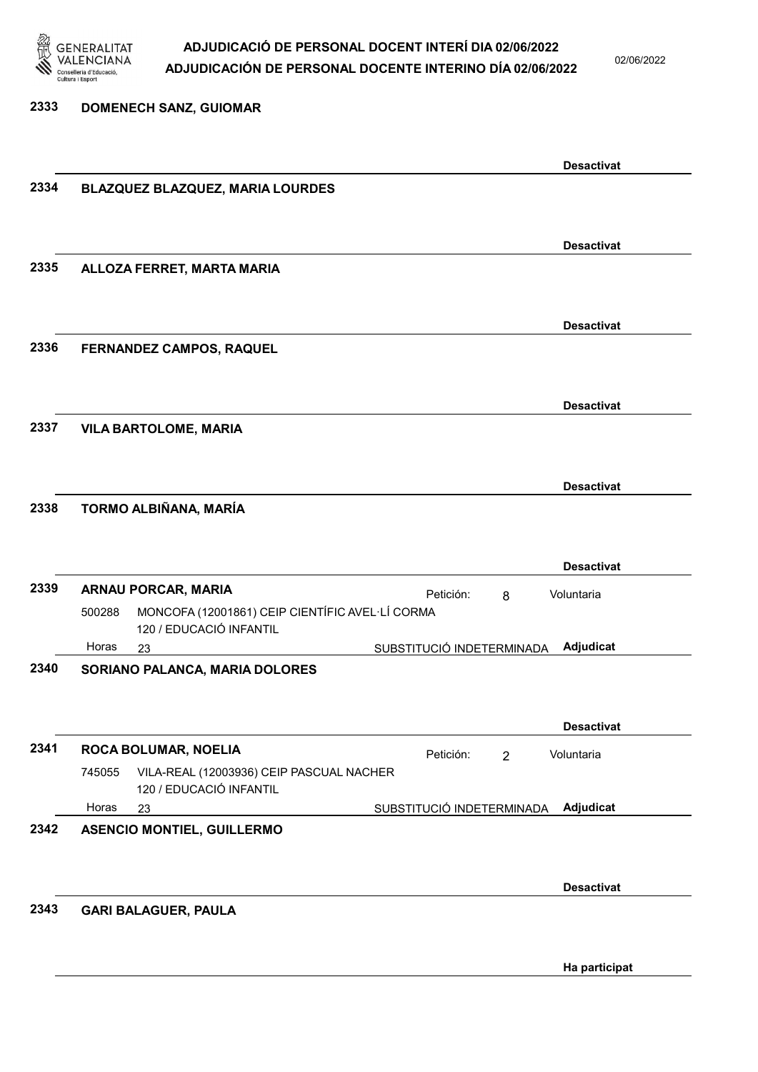

02/06/2022

| 2333 |        | <b>DOMENECH SANZ, GUIOMAR</b>                                       |                           |   |                   |  |
|------|--------|---------------------------------------------------------------------|---------------------------|---|-------------------|--|
|      |        |                                                                     |                           |   |                   |  |
|      |        |                                                                     |                           |   | <b>Desactivat</b> |  |
| 2334 |        | BLAZQUEZ BLAZQUEZ, MARIA LOURDES                                    |                           |   |                   |  |
|      |        |                                                                     |                           |   |                   |  |
|      |        |                                                                     |                           |   | <b>Desactivat</b> |  |
| 2335 |        | ALLOZA FERRET, MARTA MARIA                                          |                           |   |                   |  |
|      |        |                                                                     |                           |   |                   |  |
|      |        |                                                                     |                           |   | <b>Desactivat</b> |  |
| 2336 |        | FERNANDEZ CAMPOS, RAQUEL                                            |                           |   |                   |  |
|      |        |                                                                     |                           |   |                   |  |
| 2337 |        |                                                                     |                           |   | <b>Desactivat</b> |  |
|      |        | <b>VILA BARTOLOME, MARIA</b>                                        |                           |   |                   |  |
|      |        |                                                                     |                           |   |                   |  |
| 2338 |        | TORMO ALBIÑANA, MARÍA                                               |                           |   | <b>Desactivat</b> |  |
|      |        |                                                                     |                           |   |                   |  |
|      |        |                                                                     |                           |   | <b>Desactivat</b> |  |
| 2339 |        | <b>ARNAU PORCAR, MARIA</b>                                          | Petición:                 | 8 | Voluntaria        |  |
|      | 500288 | MONCOFA (12001861) CEIP CIENTÍFIC AVEL·LÍ CORMA                     |                           |   |                   |  |
|      | Horas  | 120 / EDUCACIÓ INFANTIL<br>23                                       | SUBSTITUCIÓ INDETERMINADA |   | Adjudicat         |  |
| 2340 |        | SORIANO PALANCA, MARIA DOLORES                                      |                           |   |                   |  |
|      |        |                                                                     |                           |   |                   |  |
|      |        |                                                                     |                           |   | <b>Desactivat</b> |  |
| 2341 |        | ROCA BOLUMAR, NOELIA                                                | Petición:                 | 2 | Voluntaria        |  |
|      | 745055 | VILA-REAL (12003936) CEIP PASCUAL NACHER<br>120 / EDUCACIÓ INFANTIL |                           |   |                   |  |
|      | Horas  | 23                                                                  | SUBSTITUCIÓ INDETERMINADA |   | Adjudicat         |  |
| 2342 |        | <b>ASENCIO MONTIEL, GUILLERMO</b>                                   |                           |   |                   |  |
|      |        |                                                                     |                           |   |                   |  |
|      |        |                                                                     |                           |   | <b>Desactivat</b> |  |
| 2343 |        | <b>GARI BALAGUER, PAULA</b>                                         |                           |   |                   |  |
|      |        |                                                                     |                           |   |                   |  |

Ha participat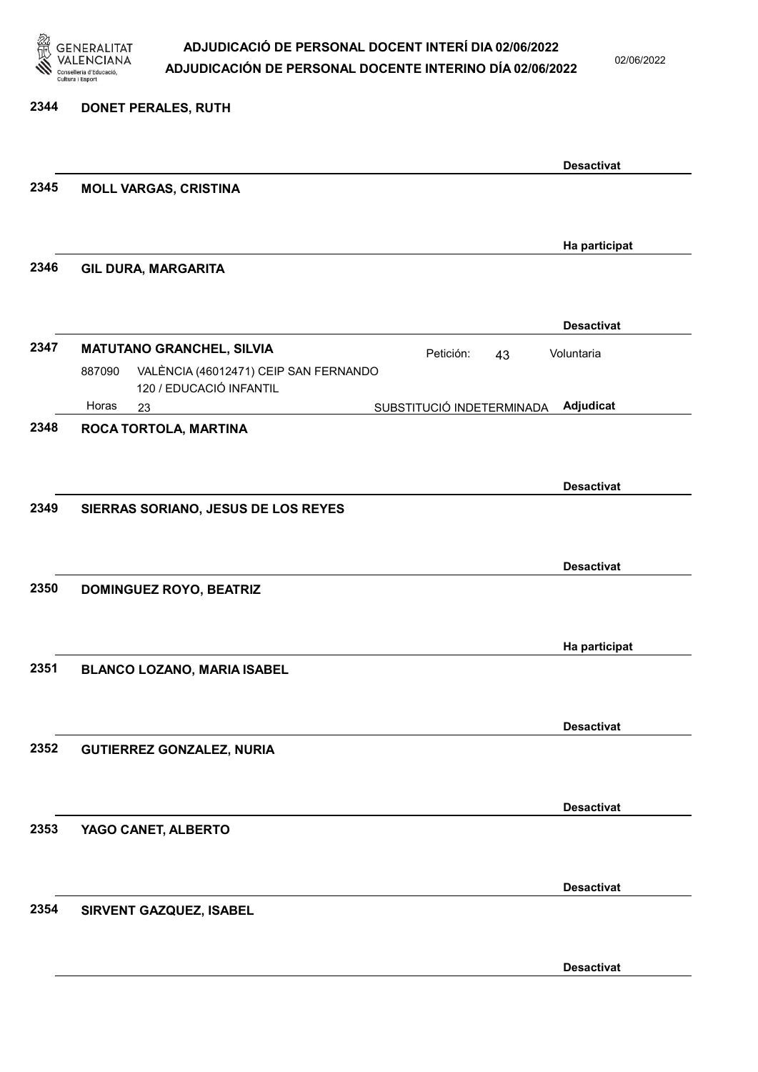

02/06/2022

| 2344 | <b>DONET PERALES, RUTH</b>                                                 |                           |                   |
|------|----------------------------------------------------------------------------|---------------------------|-------------------|
|      |                                                                            |                           | <b>Desactivat</b> |
| 2345 | <b>MOLL VARGAS, CRISTINA</b>                                               |                           |                   |
|      |                                                                            |                           | Ha participat     |
| 2346 | <b>GIL DURA, MARGARITA</b>                                                 |                           |                   |
|      |                                                                            |                           | <b>Desactivat</b> |
| 2347 | <b>MATUTANO GRANCHEL, SILVIA</b>                                           | Petición:<br>43           | Voluntaria        |
|      | VALÈNCIA (46012471) CEIP SAN FERNANDO<br>887090<br>120 / EDUCACIÓ INFANTIL |                           |                   |
| 2348 | Horas<br>23<br>ROCA TORTOLA, MARTINA                                       | SUBSTITUCIÓ INDETERMINADA | Adjudicat         |
|      |                                                                            |                           |                   |
|      |                                                                            |                           | <b>Desactivat</b> |
| 2349 | SIERRAS SORIANO, JESUS DE LOS REYES                                        |                           |                   |
|      |                                                                            |                           |                   |
|      |                                                                            |                           | <b>Desactivat</b> |
| 2350 | <b>DOMINGUEZ ROYO, BEATRIZ</b>                                             |                           |                   |
|      |                                                                            |                           | Ha participat     |
| 2351 | BLANCO LOZANO, MARIA ISABEL                                                |                           |                   |
|      |                                                                            |                           |                   |
|      |                                                                            |                           | <b>Desactivat</b> |
| 2352 | <b>GUTIERREZ GONZALEZ, NURIA</b>                                           |                           |                   |
|      |                                                                            |                           | <b>Desactivat</b> |
| 2353 | YAGO CANET, ALBERTO                                                        |                           |                   |
|      |                                                                            |                           |                   |
|      |                                                                            |                           | <b>Desactivat</b> |
| 2354 | SIRVENT GAZQUEZ, ISABEL                                                    |                           |                   |
|      |                                                                            |                           |                   |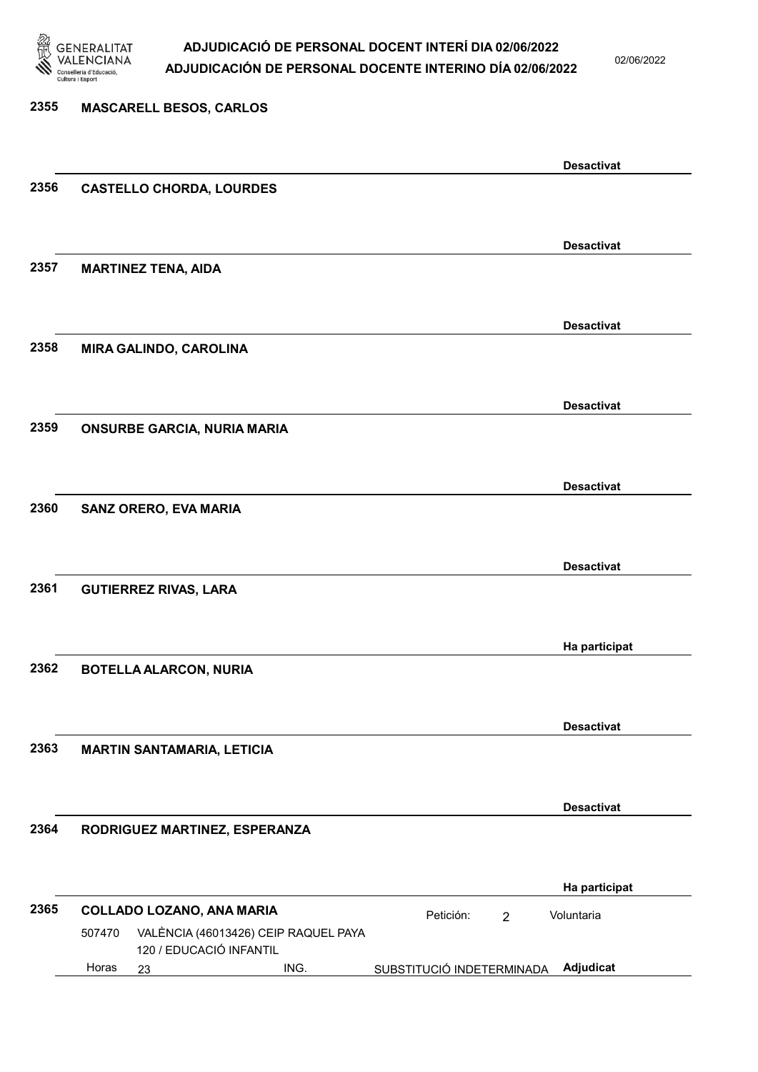

02/06/2022

### 2355 MASCARELL BESOS, CARLOS Desactivat 2356 CASTELLO CHORDA, LOURDES Desactivat 2357 MARTINEZ TENA, AIDA Desactivat 2358 MIRA GALINDO, CAROLINA Desactivat 2359 ONSURBE GARCIA, NURIA MARIA Desactivat 2360 SANZ ORERO, EVA MARIA Desactivat 2361 GUTIERREZ RIVAS, LARA Ha participat 2362 BOTELLA ALARCON, NURIA Desactivat 2363 MARTIN SANTAMARIA, LETICIA Desactivat 2364 RODRIGUEZ MARTINEZ, ESPERANZA Ha participat 2365 COLLADO LOZANO, ANA MARIA **Petición:** 2 23 ING. SUBSTITUCIÓ INDETERMINADA Adjudicat VALÈNCIA (46013426) CEIP RAQUEL PAYA 120 / EDUCACIÓ INFANTIL Voluntaria 507470 Horas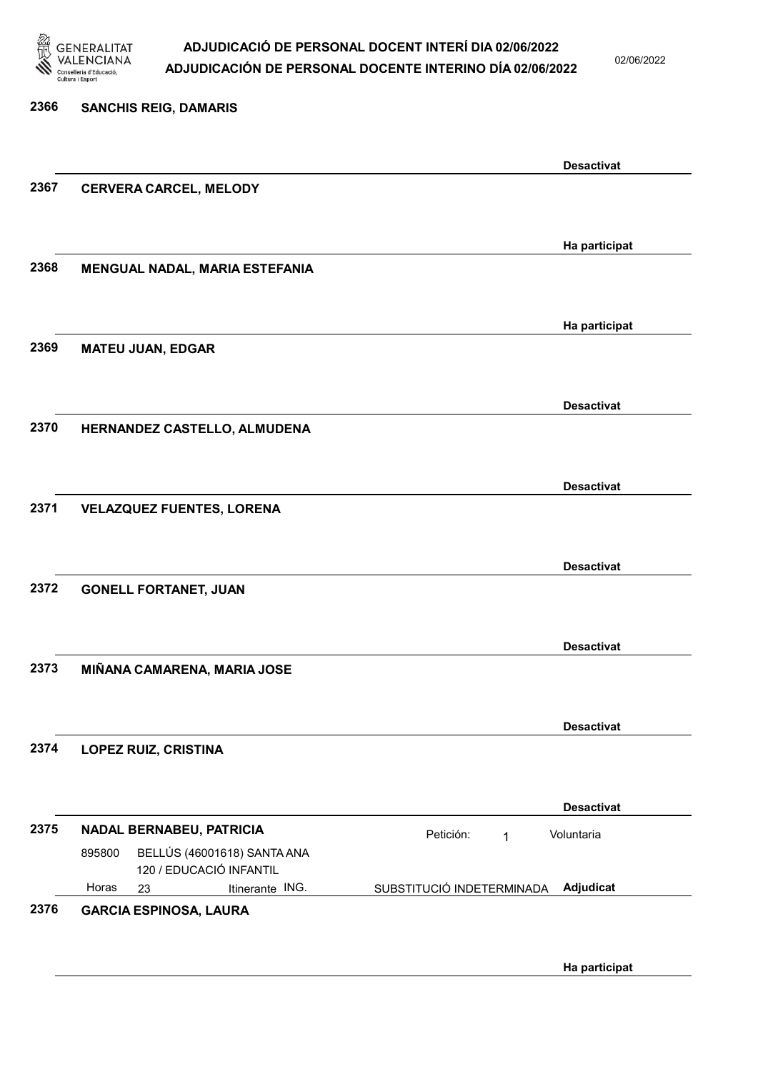

02/06/2022

| 2366 | <b>SANCHIS REIG, DAMARIS</b>                                     |                                         |
|------|------------------------------------------------------------------|-----------------------------------------|
|      |                                                                  | <b>Desactivat</b>                       |
| 2367 | <b>CERVERA CARCEL, MELODY</b>                                    |                                         |
|      |                                                                  | Ha participat                           |
| 2368 | MENGUAL NADAL, MARIA ESTEFANIA                                   |                                         |
|      |                                                                  | Ha participat                           |
| 2369 | <b>MATEU JUAN, EDGAR</b>                                         |                                         |
|      |                                                                  | <b>Desactivat</b>                       |
| 2370 | HERNANDEZ CASTELLO, ALMUDENA                                     |                                         |
| 2371 | <b>VELAZQUEZ FUENTES, LORENA</b>                                 | <b>Desactivat</b>                       |
|      |                                                                  |                                         |
|      |                                                                  | <b>Desactivat</b>                       |
| 2372 | <b>GONELL FORTANET, JUAN</b>                                     |                                         |
|      |                                                                  | <b>Desactivat</b>                       |
| 2373 | MIÑANA CAMARENA, MARIA JOSE                                      |                                         |
|      |                                                                  | <b>Desactivat</b>                       |
| 2374 | <b>LOPEZ RUIZ, CRISTINA</b>                                      |                                         |
|      |                                                                  | <b>Desactivat</b>                       |
| 2375 | NADAL BERNABEU, PATRICIA                                         | Petición:<br>Voluntaria<br>$\mathbf{1}$ |
|      | BELLÚS (46001618) SANTA ANA<br>895800<br>120 / EDUCACIÓ INFANTIL |                                         |
|      | Horas<br>Itinerante ING.<br>23                                   | Adjudicat<br>SUBSTITUCIÓ INDETERMINADA  |
| 2376 | <b>GARCIA ESPINOSA, LAURA</b>                                    |                                         |
|      |                                                                  |                                         |

Ha participat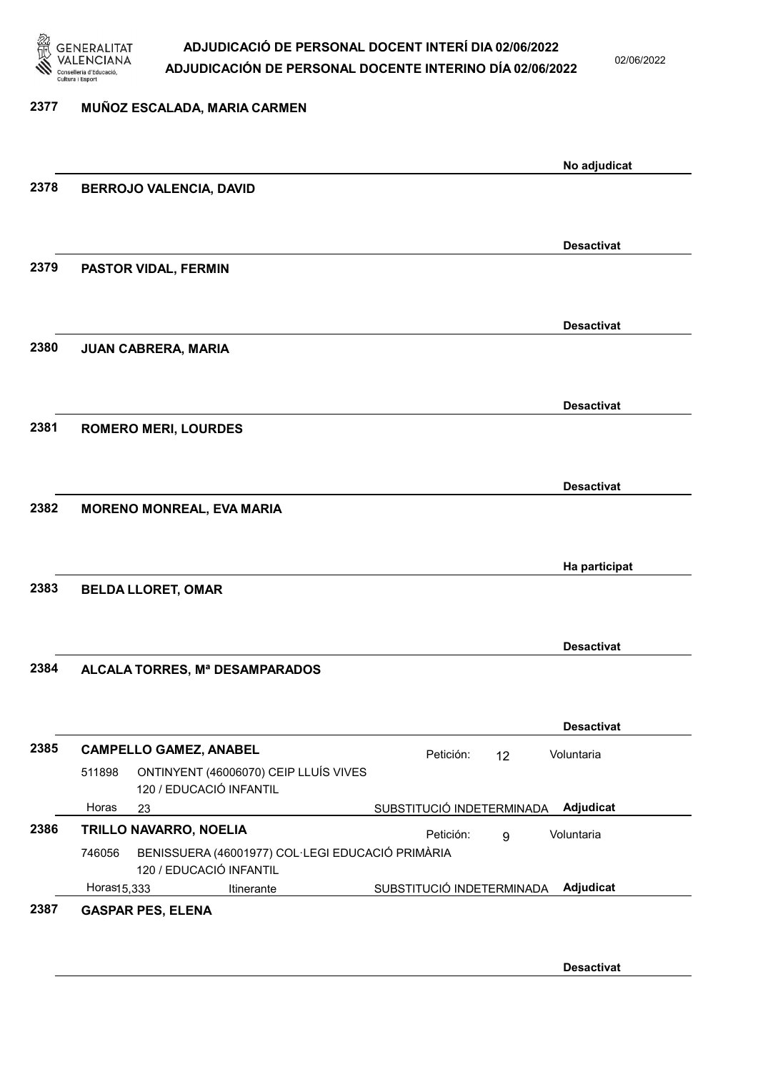

02/06/2022

| 2377 | MUÑOZ ESCALADA, MARIA CARMEN                                                          |                           |    |                   |
|------|---------------------------------------------------------------------------------------|---------------------------|----|-------------------|
|      |                                                                                       |                           |    | No adjudicat      |
| 2378 | <b>BERROJO VALENCIA, DAVID</b>                                                        |                           |    |                   |
|      |                                                                                       |                           |    |                   |
|      |                                                                                       |                           |    | <b>Desactivat</b> |
| 2379 | PASTOR VIDAL, FERMIN                                                                  |                           |    |                   |
|      |                                                                                       |                           |    |                   |
|      |                                                                                       |                           |    | <b>Desactivat</b> |
| 2380 | <b>JUAN CABRERA, MARIA</b>                                                            |                           |    |                   |
|      |                                                                                       |                           |    |                   |
|      |                                                                                       |                           |    | <b>Desactivat</b> |
| 2381 | <b>ROMERO MERI, LOURDES</b>                                                           |                           |    |                   |
|      |                                                                                       |                           |    |                   |
|      |                                                                                       |                           |    | <b>Desactivat</b> |
| 2382 | <b>MORENO MONREAL, EVA MARIA</b>                                                      |                           |    |                   |
|      |                                                                                       |                           |    |                   |
| 2383 | <b>BELDA LLORET, OMAR</b>                                                             |                           |    | Ha participat     |
|      |                                                                                       |                           |    |                   |
|      |                                                                                       |                           |    | <b>Desactivat</b> |
| 2384 | ALCALA TORRES, Mª DESAMPARADOS                                                        |                           |    |                   |
|      |                                                                                       |                           |    |                   |
|      |                                                                                       |                           |    | <b>Desactivat</b> |
| 2385 | <b>CAMPELLO GAMEZ, ANABEL</b>                                                         | Petición:                 | 12 | Voluntaria        |
|      | ONTINYENT (46006070) CEIP LLUÍS VIVES<br>511898<br>120 / EDUCACIÓ INFANTIL            |                           |    |                   |
|      | Horas<br>23                                                                           | SUBSTITUCIÓ INDETERMINADA |    | Adjudicat         |
| 2386 | TRILLO NAVARRO, NOELIA                                                                | Petición:                 | 9  | Voluntaria        |
|      | BENISSUERA (46001977) COL·LEGI EDUCACIÓ PRIMÀRIA<br>746056<br>120 / EDUCACIÓ INFANTIL |                           |    |                   |
|      | Horas15,333<br>Itinerante                                                             | SUBSTITUCIÓ INDETERMINADA |    | Adjudicat         |
| 2387 | <b>GASPAR PES, ELENA</b>                                                              |                           |    |                   |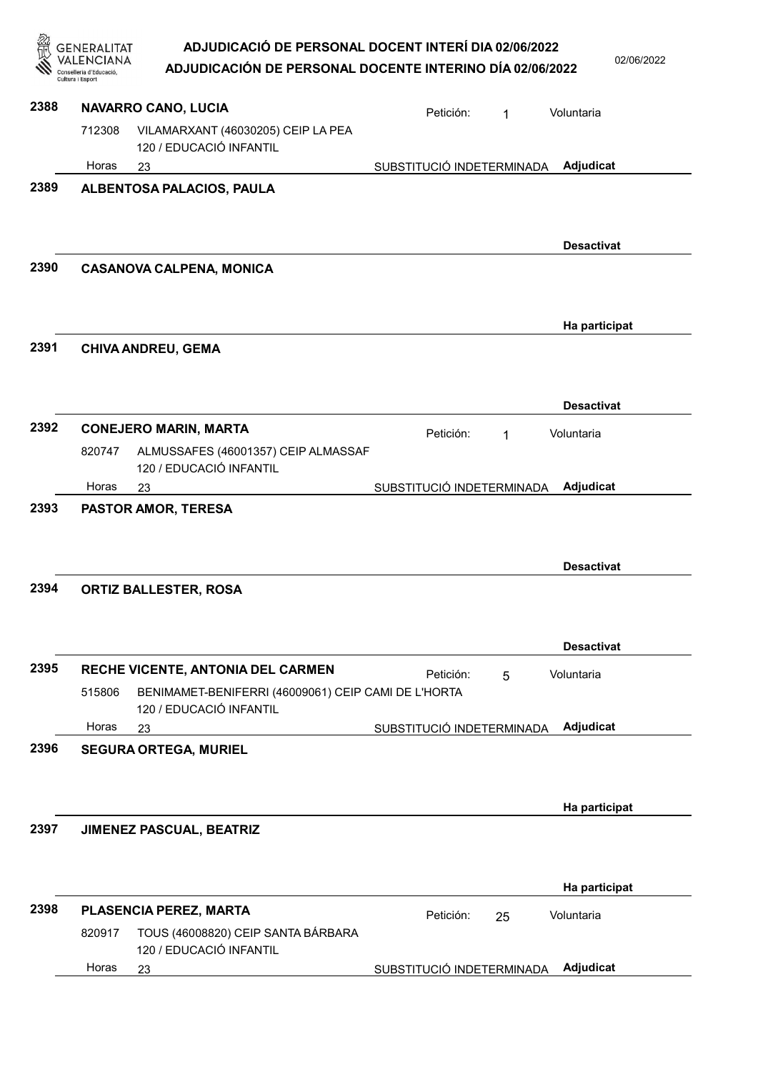|      | GENERALITAT                               | ADJUDICACIÓ DE PERSONAL DOCENT INTERÍ DIA 02/06/2022                                                                |                           |    | 02/06/2022        |
|------|-------------------------------------------|---------------------------------------------------------------------------------------------------------------------|---------------------------|----|-------------------|
|      | onselleria d'Educació<br>Cultura i Esport | ADJUDICACIÓN DE PERSONAL DOCENTE INTERINO DÍA 02/06/2022                                                            |                           |    |                   |
| 2388 |                                           | NAVARRO CANO, LUCIA                                                                                                 | Petición:                 | 1  | Voluntaria        |
|      | 712308                                    | VILAMARXANT (46030205) CEIP LA PEA<br>120 / EDUCACIÓ INFANTIL                                                       |                           |    |                   |
|      | Horas                                     | 23                                                                                                                  | SUBSTITUCIÓ INDETERMINADA |    | <b>Adjudicat</b>  |
| 2389 |                                           | ALBENTOSA PALACIOS, PAULA                                                                                           |                           |    |                   |
|      |                                           |                                                                                                                     |                           |    | <b>Desactivat</b> |
| 2390 |                                           | <b>CASANOVA CALPENA, MONICA</b>                                                                                     |                           |    |                   |
| 2391 |                                           |                                                                                                                     |                           |    | Ha participat     |
|      |                                           | <b>CHIVA ANDREU, GEMA</b>                                                                                           |                           |    |                   |
|      |                                           |                                                                                                                     |                           |    |                   |
| 2392 |                                           | <b>CONEJERO MARIN, MARTA</b>                                                                                        |                           |    | <b>Desactivat</b> |
|      | 820747                                    | ALMUSSAFES (46001357) CEIP ALMASSAF<br>120 / EDUCACIÓ INFANTIL                                                      | Petición:                 | 1  | Voluntaria        |
|      | Horas                                     | 23                                                                                                                  | SUBSTITUCIÓ INDETERMINADA |    | Adjudicat         |
| 2394 |                                           | <b>ORTIZ BALLESTER, ROSA</b>                                                                                        |                           |    | <b>Desactivat</b> |
|      |                                           |                                                                                                                     |                           |    | <b>Desactivat</b> |
| 2395 | 515806                                    | RECHE VICENTE, ANTONIA DEL CARMEN<br>BENIMAMET-BENIFERRI (46009061) CEIP CAMI DE L'HORTA<br>120 / EDUCACIÓ INFANTIL | Petición:                 | 5  | Voluntaria        |
|      | Horas                                     | 23                                                                                                                  | SUBSTITUCIÓ INDETERMINADA |    | Adjudicat         |
| 2396 |                                           | <b>SEGURA ORTEGA, MURIEL</b>                                                                                        |                           |    |                   |
|      |                                           |                                                                                                                     |                           |    | Ha participat     |
| 2397 |                                           | JIMENEZ PASCUAL, BEATRIZ                                                                                            |                           |    |                   |
|      |                                           |                                                                                                                     |                           |    | Ha participat     |
| 2398 |                                           | PLASENCIA PEREZ, MARTA                                                                                              | Petición:                 | 25 | Voluntaria        |
|      | 820917<br>Horas                           | TOUS (46008820) CEIP SANTA BÁRBARA<br>120 / EDUCACIÓ INFANTIL                                                       |                           |    | Adjudicat         |
|      |                                           | 23                                                                                                                  | SUBSTITUCIÓ INDETERMINADA |    |                   |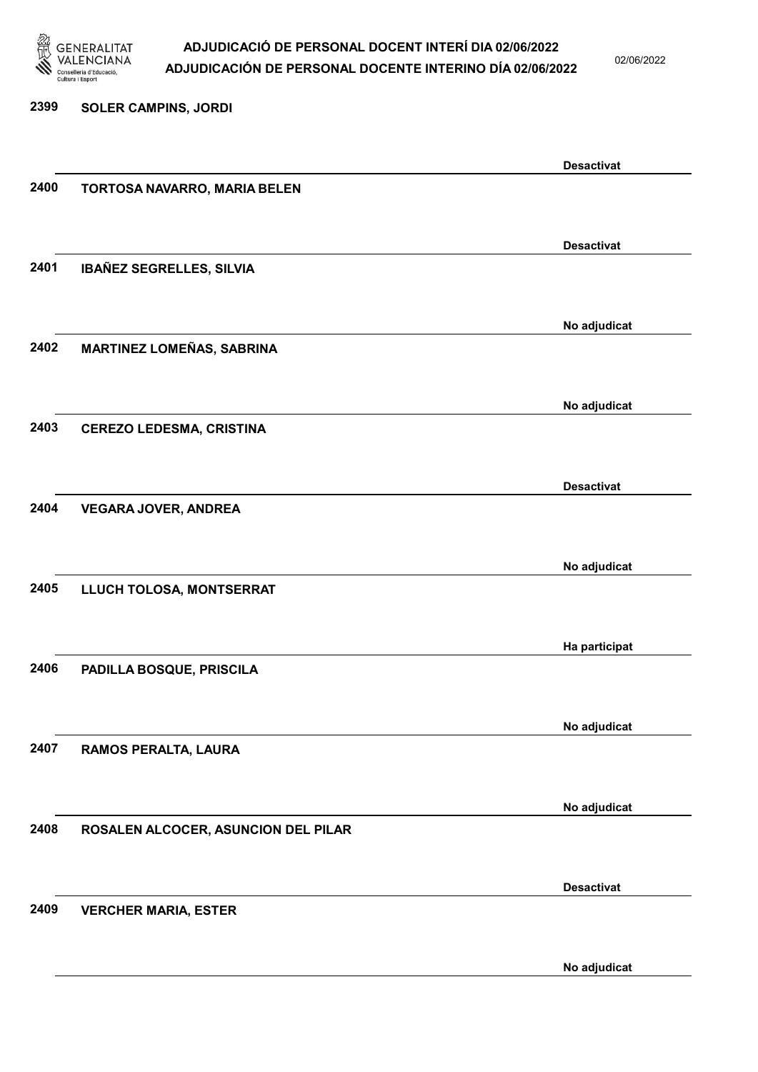

02/06/2022

2399 SOLER CAMPINS, JORDI Desactivat 2400 TORTOSA NAVARRO, MARIA BELEN Desactivat 2401 IBAÑEZ SEGRELLES, SILVIA No adjudicat 2402 MARTINEZ LOMEÑAS, SABRINA No adjudicat 2403 CEREZO LEDESMA, CRISTINA Desactivat 2404 VEGARA JOVER, ANDREA No adjudicat 2405 LLUCH TOLOSA, MONTSERRAT Ha participat 2406 PADILLA BOSQUE, PRISCILA No adjudicat 2407 RAMOS PERALTA, LAURA No adjudicat 2408 ROSALEN ALCOCER, ASUNCION DEL PILAR Desactivat 2409 VERCHER MARIA, ESTER

No adjudicat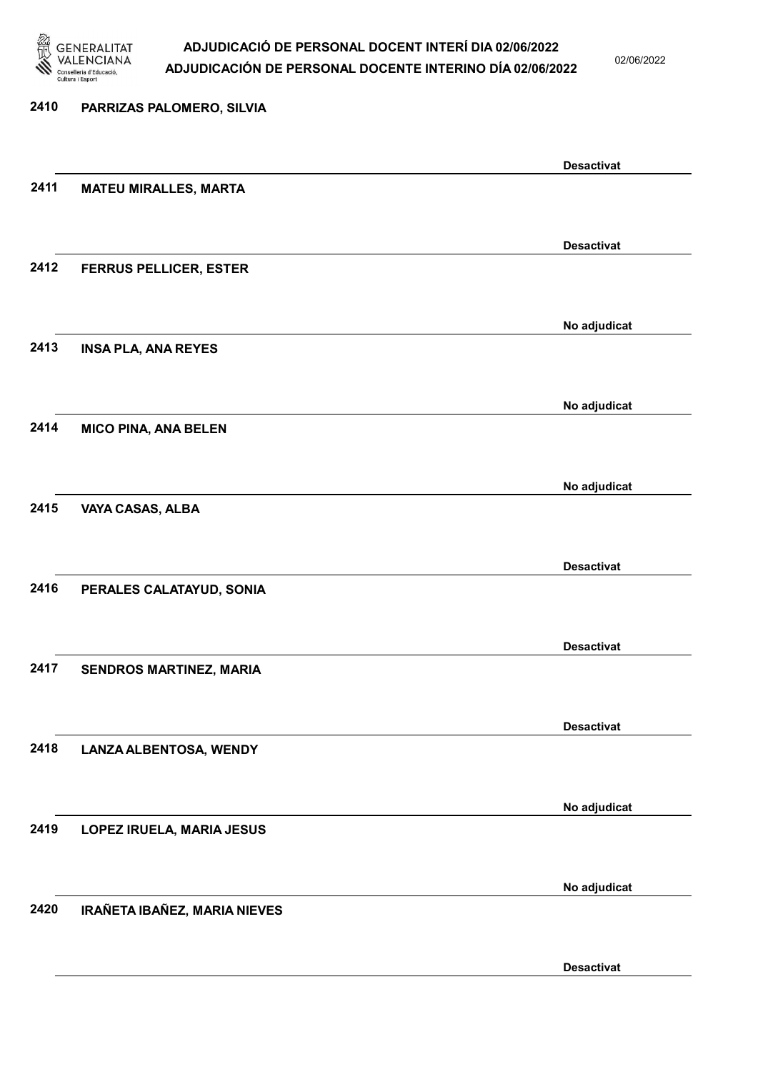

02/06/2022

| 2410 | PARRIZAS PALOMERO, SILVIA     |                   |
|------|-------------------------------|-------------------|
|      |                               | <b>Desactivat</b> |
| 2411 | <b>MATEU MIRALLES, MARTA</b>  |                   |
|      |                               | <b>Desactivat</b> |
| 2412 | <b>FERRUS PELLICER, ESTER</b> |                   |
|      |                               | No adjudicat      |
| 2413 | <b>INSA PLA, ANA REYES</b>    |                   |
|      |                               | No adjudicat      |
| 2414 | <b>MICO PINA, ANA BELEN</b>   |                   |
|      |                               | No adjudicat      |
| 2415 | VAYA CASAS, ALBA              |                   |
|      |                               | <b>Desactivat</b> |
| 2416 | PERALES CALATAYUD, SONIA      |                   |
|      |                               | <b>Desactivat</b> |
| 2417 | SENDROS MARTINEZ, MARIA       |                   |
|      |                               | <b>Desactivat</b> |
| 2418 | <b>LANZA ALBENTOSA, WENDY</b> |                   |
|      |                               | No adjudicat      |
| 2419 | LOPEZ IRUELA, MARIA JESUS     |                   |
|      |                               | No adjudicat      |
| 2420 | IRAÑETA IBAÑEZ, MARIA NIEVES  |                   |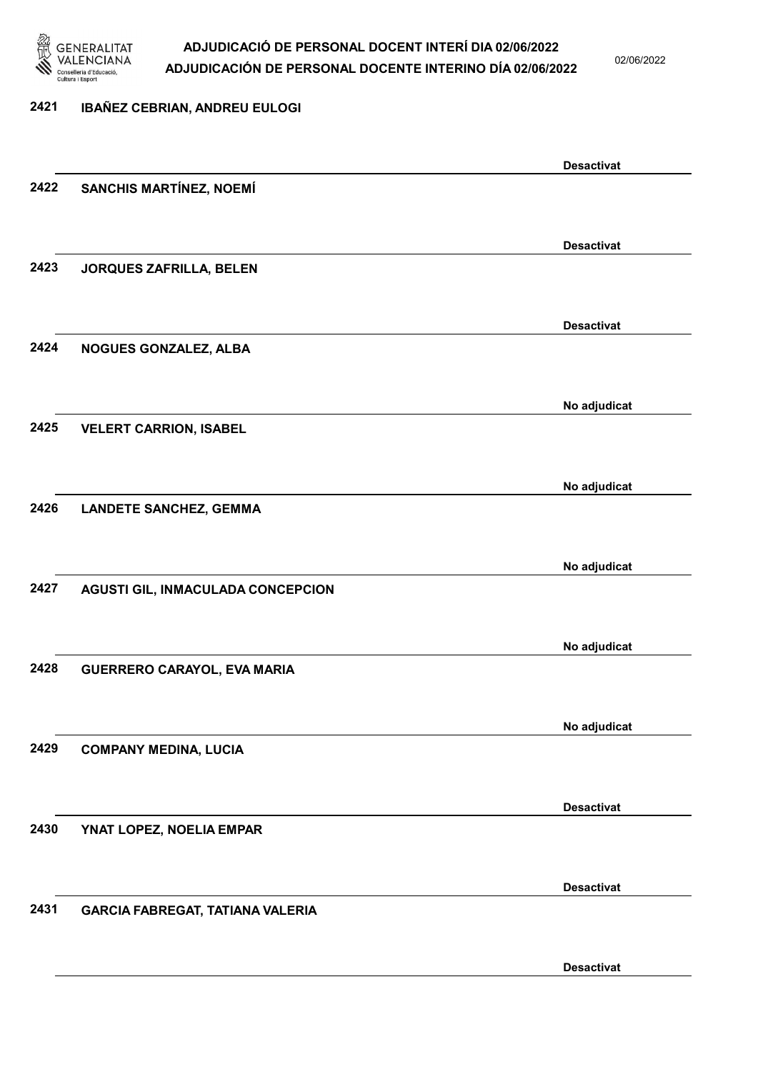

02/06/2022

## 2421 IBAÑEZ CEBRIAN, ANDREU EULOGI

|      |                                         | <b>Desactivat</b> |
|------|-----------------------------------------|-------------------|
| 2422 | SANCHIS MARTÍNEZ, NOEMÍ                 |                   |
|      |                                         |                   |
|      |                                         |                   |
|      |                                         | <b>Desactivat</b> |
| 2423 | <b>JORQUES ZAFRILLA, BELEN</b>          |                   |
|      |                                         |                   |
|      |                                         | <b>Desactivat</b> |
| 2424 | NOGUES GONZALEZ, ALBA                   |                   |
|      |                                         |                   |
|      |                                         |                   |
|      |                                         | No adjudicat      |
| 2425 | <b>VELERT CARRION, ISABEL</b>           |                   |
|      |                                         |                   |
|      |                                         |                   |
|      |                                         | No adjudicat      |
| 2426 | <b>LANDETE SANCHEZ, GEMMA</b>           |                   |
|      |                                         |                   |
|      |                                         | No adjudicat      |
| 2427 | AGUSTI GIL, INMACULADA CONCEPCION       |                   |
|      |                                         |                   |
|      |                                         |                   |
|      |                                         | No adjudicat      |
| 2428 | <b>GUERRERO CARAYOL, EVA MARIA</b>      |                   |
|      |                                         |                   |
|      |                                         |                   |
|      |                                         | No adjudicat      |
| 2429 | <b>COMPANY MEDINA, LUCIA</b>            |                   |
|      |                                         |                   |
|      |                                         | <b>Desactivat</b> |
| 2430 | YNAT LOPEZ, NOELIA EMPAR                |                   |
|      |                                         |                   |
|      |                                         |                   |
|      |                                         | <b>Desactivat</b> |
| 2431 | <b>GARCIA FABREGAT, TATIANA VALERIA</b> |                   |
|      |                                         |                   |
|      |                                         |                   |
|      |                                         | <b>Desactivat</b> |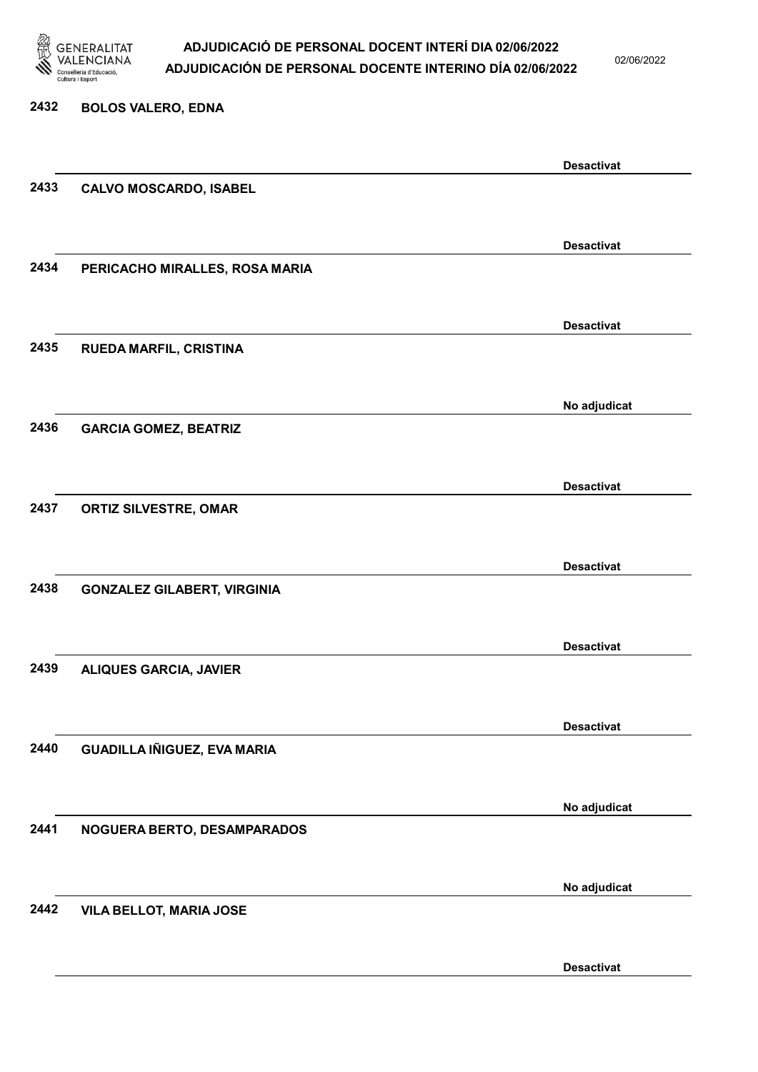

02/06/2022

# 2432 BOLOS VALERO, EDNA Desactivat 2433 CALVO MOSCARDO, ISABEL Desactivat 2434 PERICACHO MIRALLES, ROSA MARIA Desactivat 2435 RUEDA MARFIL, CRISTINA No adjudicat 2436 GARCIA GOMEZ, BEATRIZ Desactivat 2437 ORTIZ SILVESTRE, OMAR Desactivat 2438 GONZALEZ GILABERT, VIRGINIA Desactivat 2439 ALIQUES GARCIA, JAVIER Desactivat 2440 GUADILLA IÑIGUEZ, EVA MARIA No adjudicat 2441 NOGUERA BERTO, DESAMPARADOS No adjudicat 2442 VILA BELLOT, MARIA JOSE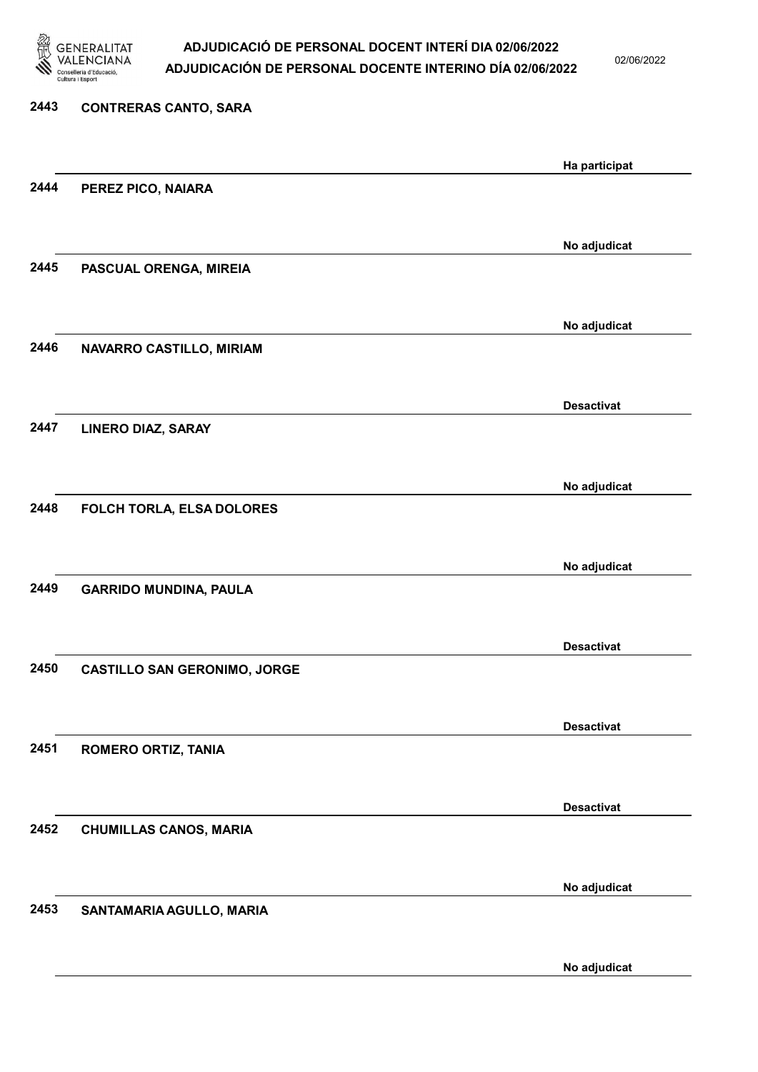

02/06/2022

# 2443 CONTRERAS CANTO, SARA Ha participat 2444 PEREZ PICO, NAIARA No adjudicat 2445 PASCUAL ORENGA, MIREIA No adjudicat 2446 NAVARRO CASTILLO, MIRIAM Desactivat 2447 LINERO DIAZ, SARAY No adjudicat 2448 FOLCH TORLA, ELSA DOLORES No adjudicat 2449 GARRIDO MUNDINA, PAULA Desactivat 2450 CASTILLO SAN GERONIMO, JORGE Desactivat 2451 ROMERO ORTIZ, TANIA Desactivat 2452 CHUMILLAS CANOS, MARIA No adjudicat 2453 SANTAMARIA AGULLO, MARIA

No adjudicat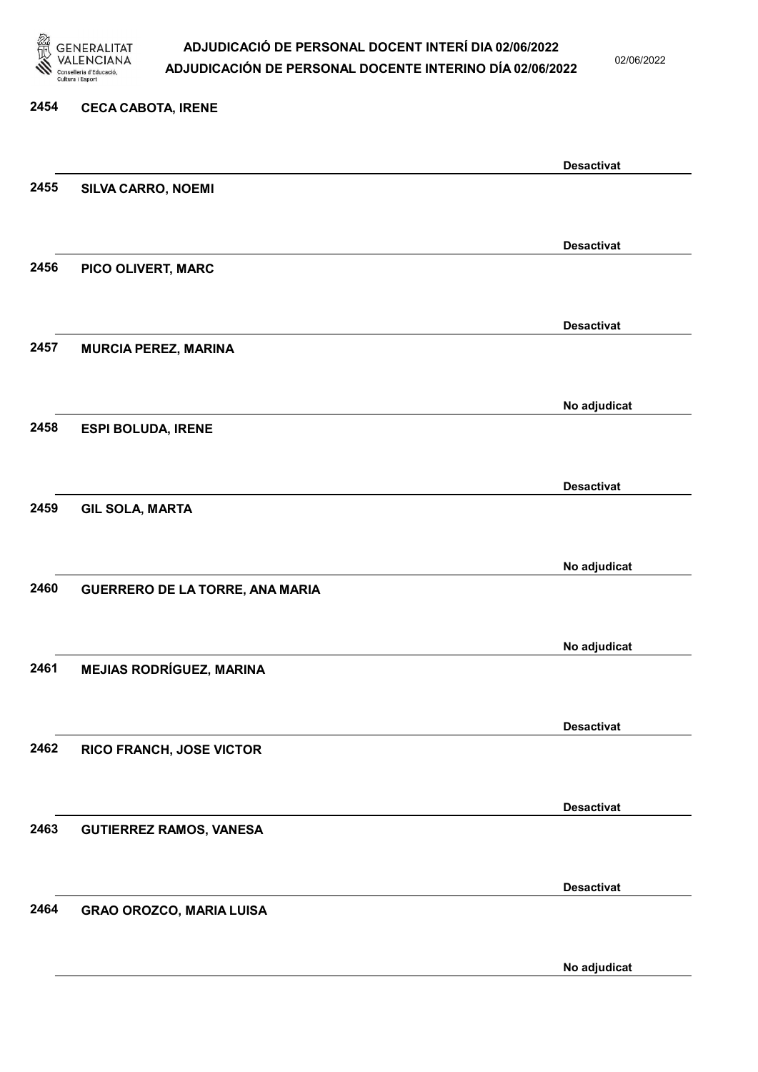

02/06/2022

#### 2454 CECA CABOTA, IRENE

|      |                                 | <b>Desactivat</b> |
|------|---------------------------------|-------------------|
| 2455 | SILVA CARRO, NOEMI              |                   |
|      |                                 |                   |
|      |                                 | <b>Desactivat</b> |
| 2456 | PICO OLIVERT, MARC              |                   |
|      |                                 |                   |
|      |                                 | <b>Desactivat</b> |
| 2457 | <b>MURCIA PEREZ, MARINA</b>     |                   |
|      |                                 |                   |
|      |                                 | No adjudicat      |
| 2458 | <b>ESPI BOLUDA, IRENE</b>       |                   |
|      |                                 |                   |
|      |                                 | <b>Desactivat</b> |
| 2459 | <b>GIL SOLA, MARTA</b>          |                   |
|      |                                 |                   |
|      |                                 |                   |
| 2460 | GUERRERO DE LA TORRE, ANA MARIA | No adjudicat      |
|      |                                 |                   |
|      |                                 |                   |
| 2461 |                                 | No adjudicat      |
|      | <b>MEJIAS RODRÍGUEZ, MARINA</b> |                   |
|      |                                 |                   |
|      |                                 | <b>Desactivat</b> |
| 2462 | RICO FRANCH, JOSE VICTOR        |                   |
|      |                                 |                   |
|      |                                 | <b>Desactivat</b> |
| 2463 | <b>GUTIERREZ RAMOS, VANESA</b>  |                   |
|      |                                 |                   |
|      |                                 | <b>Desactivat</b> |
| 2464 | <b>GRAO OROZCO, MARIA LUISA</b> |                   |
|      |                                 |                   |
|      |                                 | No adjudicat      |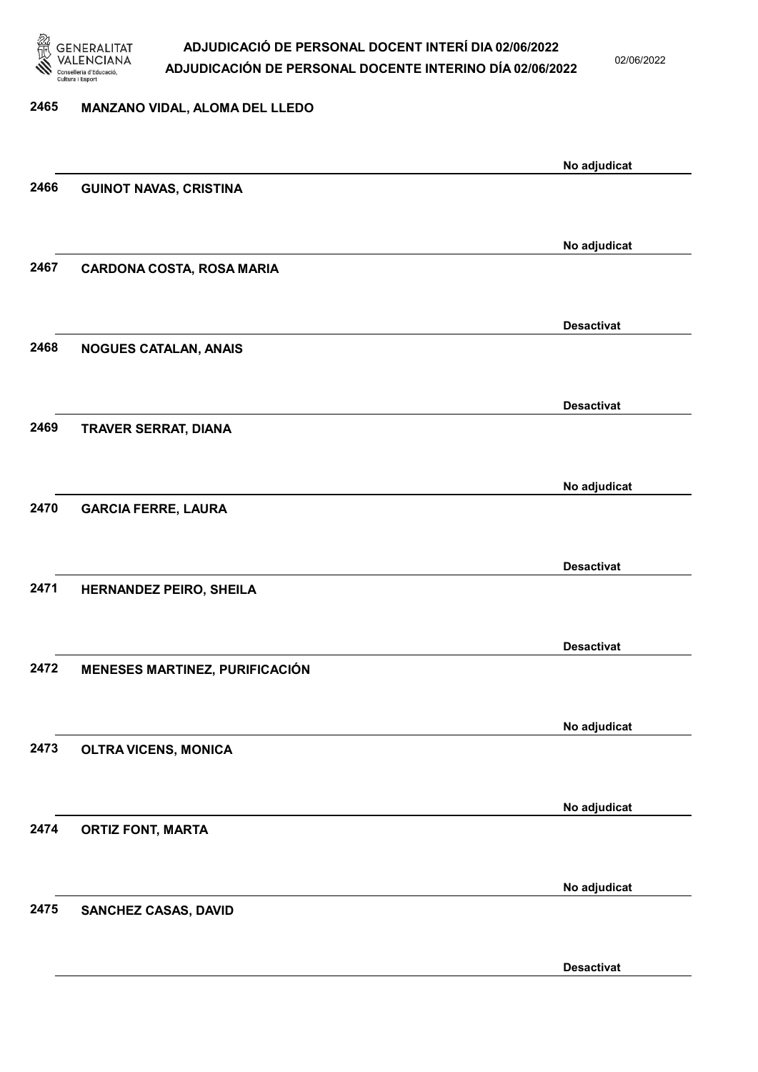

02/06/2022

Desactivat

# 2465 MANZANO VIDAL, ALOMA DEL LLEDO No adjudicat 2466 GUINOT NAVAS, CRISTINA No adjudicat 2467 CARDONA COSTA, ROSA MARIA Desactivat 2468 NOGUES CATALAN, ANAIS Desactivat 2469 TRAVER SERRAT, DIANA No adjudicat 2470 GARCIA FERRE, LAURA Desactivat 2471 HERNANDEZ PEIRO, SHEILA Desactivat 2472 MENESES MARTINEZ, PURIFICACIÓN No adjudicat 2473 OLTRA VICENS, MONICA No adjudicat 2474 ORTIZ FONT, MARTA No adjudicat 2475 SANCHEZ CASAS, DAVID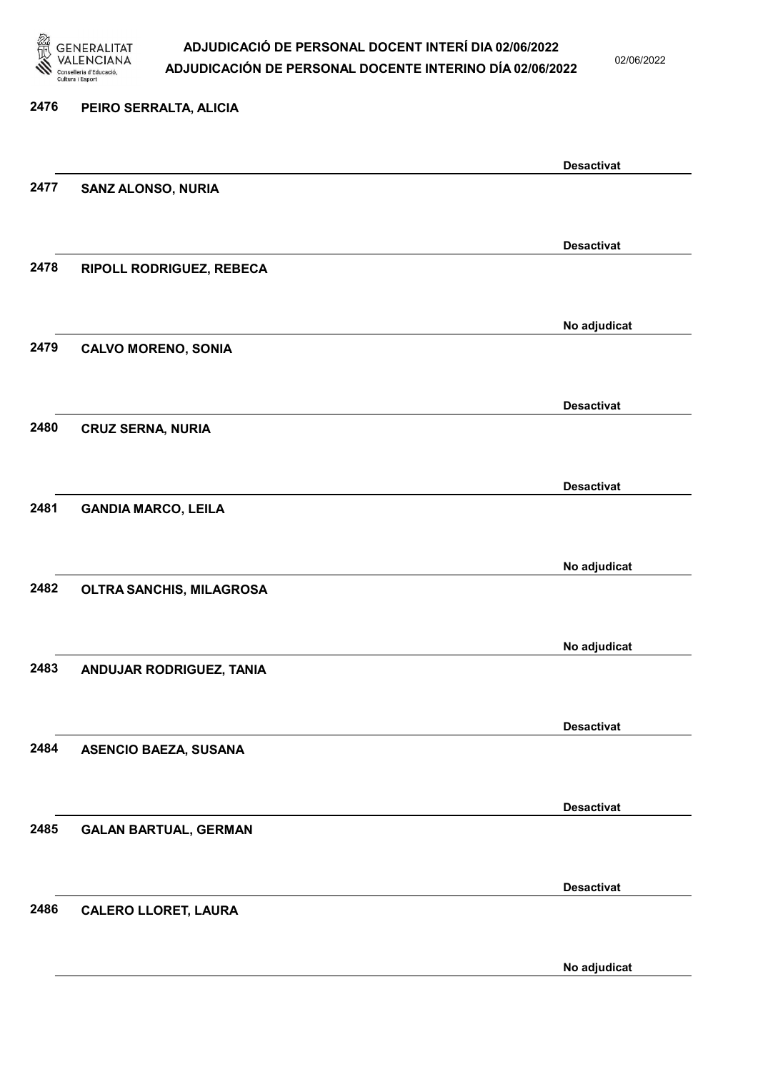

02/06/2022

No adjudicat

# 2476 PEIRO SERRALTA, ALICIA Desactivat 2477 SANZ ALONSO, NURIA Desactivat 2478 RIPOLL RODRIGUEZ, REBECA No adjudicat 2479 CALVO MORENO, SONIA Desactivat 2480 CRUZ SERNA, NURIA Desactivat 2481 GANDIA MARCO, LEILA No adjudicat 2482 OLTRA SANCHIS, MILAGROSA No adjudicat 2483 ANDUJAR RODRIGUEZ, TANIA Desactivat 2484 ASENCIO BAEZA, SUSANA Desactivat 2485 GALAN BARTUAL, GERMAN Desactivat 2486 CALERO LLORET, LAURA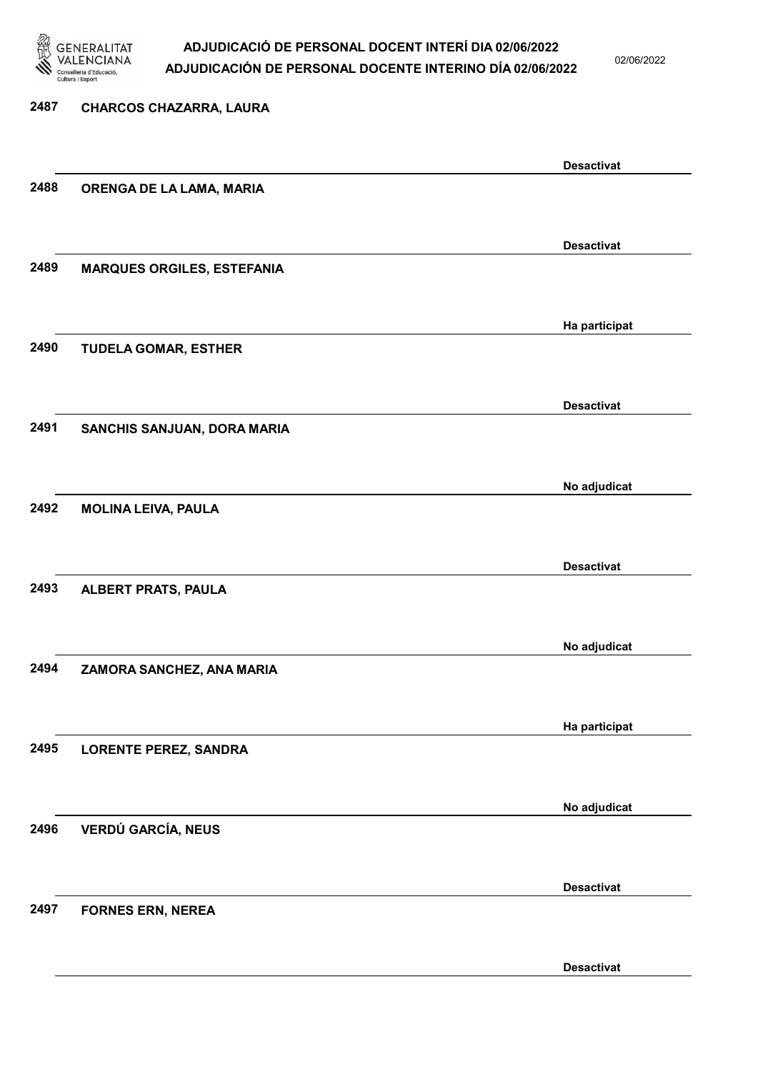

02/06/2022

| 2487 | <b>CHARCOS CHAZARRA, LAURA</b>    |                   |
|------|-----------------------------------|-------------------|
|      |                                   |                   |
|      |                                   | <b>Desactivat</b> |
| 2488 | ORENGA DE LA LAMA, MARIA          |                   |
|      |                                   |                   |
|      |                                   | <b>Desactivat</b> |
| 2489 | <b>MARQUES ORGILES, ESTEFANIA</b> |                   |
|      |                                   |                   |
|      |                                   | Ha participat     |
| 2490 | <b>TUDELA GOMAR, ESTHER</b>       |                   |
|      |                                   |                   |
|      |                                   | <b>Desactivat</b> |
| 2491 | SANCHIS SANJUAN, DORA MARIA       |                   |
|      |                                   |                   |
|      |                                   | No adjudicat      |
| 2492 | <b>MOLINA LEIVA, PAULA</b>        |                   |
|      |                                   |                   |
|      |                                   | <b>Desactivat</b> |
| 2493 | <b>ALBERT PRATS, PAULA</b>        |                   |
|      |                                   |                   |
|      |                                   | No adjudicat      |
| 2494 | ZAMORA SANCHEZ, ANA MARIA         |                   |
|      |                                   |                   |
|      |                                   | Ha participat     |
| 2495 | <b>LORENTE PEREZ, SANDRA</b>      |                   |
|      |                                   |                   |
|      |                                   | No adjudicat      |
| 2496 | <b>VERDÚ GARCÍA, NEUS</b>         |                   |
|      |                                   |                   |
|      |                                   | <b>Desactivat</b> |
| 2497 | <b>FORNES ERN, NEREA</b>          |                   |
|      |                                   |                   |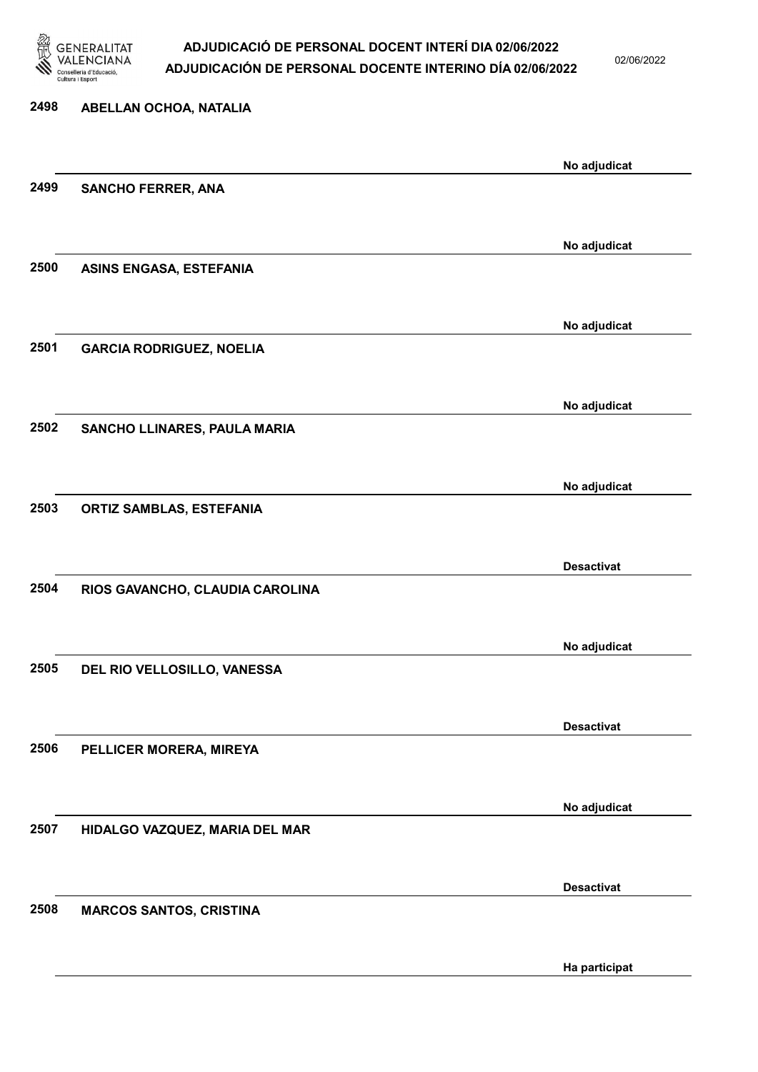

02/06/2022

# 2498 ABELLAN OCHOA, NATALIA No adjudicat 2499 SANCHO FERRER, ANA No adjudicat 2500 ASINS ENGASA, ESTEFANIA No adjudicat 2501 GARCIA RODRIGUEZ, NOELIA No adjudicat 2502 SANCHO LLINARES, PAULA MARIA No adjudicat 2503 ORTIZ SAMBLAS, ESTEFANIA Desactivat 2504 RIOS GAVANCHO, CLAUDIA CAROLINA No adjudicat 2505 DEL RIO VELLOSILLO, VANESSA Desactivat 2506 PELLICER MORERA, MIREYA No adjudicat 2507 HIDALGO VAZQUEZ, MARIA DEL MAR Desactivat 2508 MARCOS SANTOS, CRISTINA

Ha participat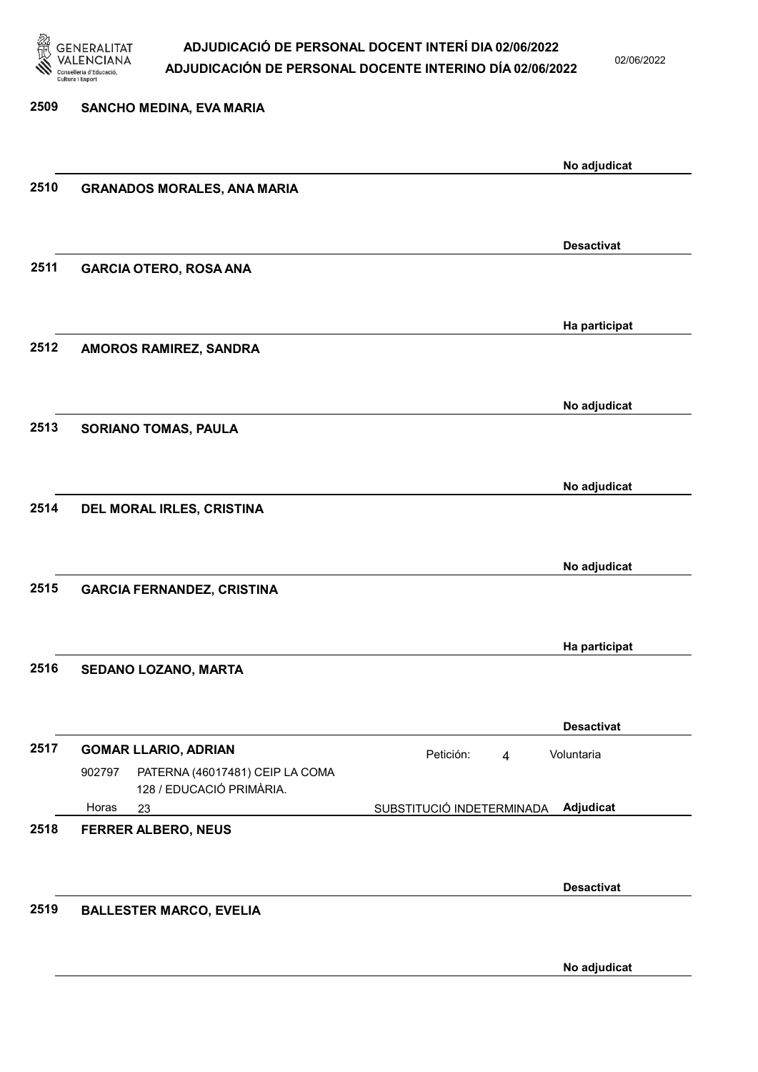

02/06/2022

| 2509 | SANCHO MEDINA, EVA MARIA                                              |                                        |
|------|-----------------------------------------------------------------------|----------------------------------------|
|      |                                                                       | No adjudicat                           |
| 2510 | <b>GRANADOS MORALES, ANA MARIA</b>                                    |                                        |
|      |                                                                       |                                        |
|      |                                                                       | <b>Desactivat</b>                      |
| 2511 | <b>GARCIA OTERO, ROSA ANA</b>                                         |                                        |
|      |                                                                       | Ha participat                          |
| 2512 | AMOROS RAMIREZ, SANDRA                                                |                                        |
|      |                                                                       | No adjudicat                           |
| 2513 | <b>SORIANO TOMAS, PAULA</b>                                           |                                        |
|      |                                                                       | No adjudicat                           |
| 2514 | DEL MORAL IRLES, CRISTINA                                             |                                        |
|      |                                                                       |                                        |
|      |                                                                       | No adjudicat                           |
| 2515 | <b>GARCIA FERNANDEZ, CRISTINA</b>                                     |                                        |
|      |                                                                       | Ha participat                          |
| 2516 | SEDANO LOZANO, MARTA                                                  |                                        |
|      |                                                                       | <b>Desactivat</b>                      |
| 2517 | <b>GOMAR LLARIO, ADRIAN</b>                                           | Petición:<br>Voluntaria<br>4           |
|      | 902797<br>PATERNA (46017481) CEIP LA COMA<br>128 / EDUCACIÓ PRIMÀRIA. |                                        |
|      | Horas<br>23                                                           | SUBSTITUCIÓ INDETERMINADA<br>Adjudicat |
| 2518 | <b>FERRER ALBERO, NEUS</b>                                            |                                        |
|      |                                                                       | <b>Desactivat</b>                      |
| 2519 | <b>BALLESTER MARCO, EVELIA</b>                                        |                                        |
|      |                                                                       |                                        |

No adjudicat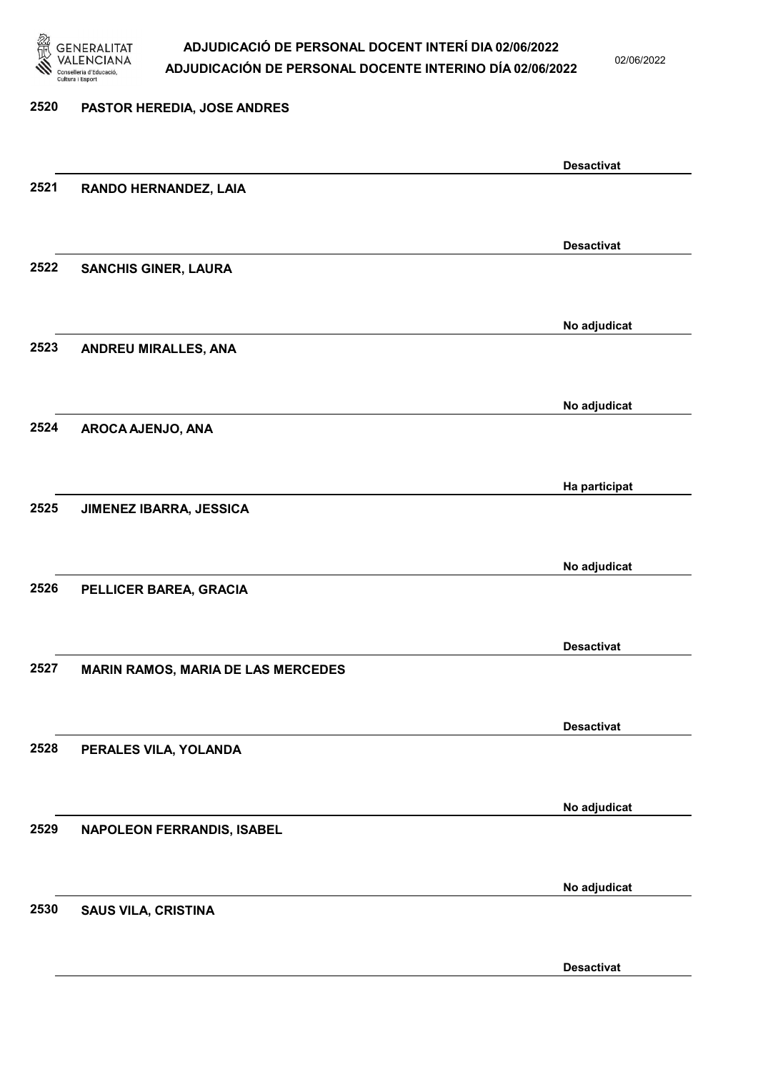

02/06/2022

# 2520 PASTOR HEREDIA, JOSE ANDRES Desactivat 2521 RANDO HERNANDEZ, LAIA Desactivat 2522 SANCHIS GINER, LAURA No adjudicat 2523 ANDREU MIRALLES, ANA No adjudicat 2524 AROCA AJENJO, ANA Ha participat 2525 JIMENEZ IBARRA, JESSICA No adjudicat 2526 PELLICER BAREA, GRACIA Desactivat 2527 MARIN RAMOS, MARIA DE LAS MERCEDES Desactivat 2528 PERALES VILA, YOLANDA No adjudicat 2529 NAPOLEON FERRANDIS, ISABEL No adjudicat 2530 SAUS VILA, CRISTINA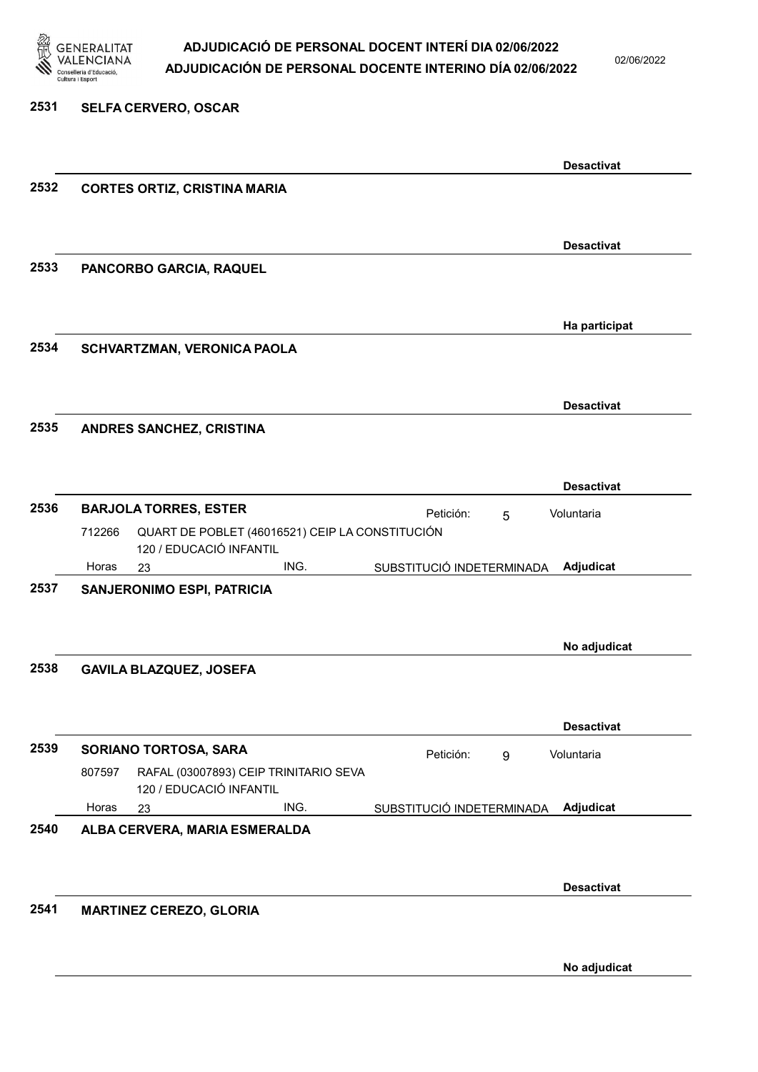

02/06/2022

#### 2531 SELFA CERVERO, OSCAR

|      |        |                                                                            |      |                           |   | <b>Desactivat</b> |
|------|--------|----------------------------------------------------------------------------|------|---------------------------|---|-------------------|
| 2532 |        | <b>CORTES ORTIZ, CRISTINA MARIA</b>                                        |      |                           |   |                   |
|      |        |                                                                            |      |                           |   |                   |
|      |        |                                                                            |      |                           |   |                   |
|      |        |                                                                            |      |                           |   | <b>Desactivat</b> |
| 2533 |        | PANCORBO GARCIA, RAQUEL                                                    |      |                           |   |                   |
|      |        |                                                                            |      |                           |   |                   |
|      |        |                                                                            |      |                           |   | Ha participat     |
| 2534 |        | SCHVARTZMAN, VERONICA PAOLA                                                |      |                           |   |                   |
|      |        |                                                                            |      |                           |   |                   |
|      |        |                                                                            |      |                           |   | <b>Desactivat</b> |
| 2535 |        | ANDRES SANCHEZ, CRISTINA                                                   |      |                           |   |                   |
|      |        |                                                                            |      |                           |   |                   |
|      |        |                                                                            |      |                           |   |                   |
|      |        |                                                                            |      |                           |   | <b>Desactivat</b> |
| 2536 |        | <b>BARJOLA TORRES, ESTER</b>                                               |      | Petición:                 | 5 | Voluntaria        |
|      | 712266 | QUART DE POBLET (46016521) CEIP LA CONSTITUCIÓN<br>120 / EDUCACIÓ INFANTIL |      |                           |   |                   |
|      | Horas  | 23                                                                         | ING. | SUBSTITUCIÓ INDETERMINADA |   | Adjudicat         |
| 2537 |        | SANJERONIMO ESPI, PATRICIA                                                 |      |                           |   |                   |
|      |        |                                                                            |      |                           |   |                   |
|      |        |                                                                            |      |                           |   | No adjudicat      |
| 2538 |        | <b>GAVILA BLAZQUEZ, JOSEFA</b>                                             |      |                           |   |                   |
|      |        |                                                                            |      |                           |   |                   |
|      |        |                                                                            |      |                           |   |                   |
|      |        |                                                                            |      |                           |   | <b>Desactivat</b> |
| 2539 |        | SORIANO TORTOSA, SARA                                                      |      | Petición:                 | 9 | Voluntaria        |
|      | 807597 | RAFAL (03007893) CEIP TRINITARIO SEVA<br>120 / EDUCACIÓ INFANTIL           |      |                           |   |                   |
|      | Horas  | 23                                                                         | ING. | SUBSTITUCIÓ INDETERMINADA |   | Adjudicat         |
| 2540 |        | ALBA CERVERA, MARIA ESMERALDA                                              |      |                           |   |                   |
|      |        |                                                                            |      |                           |   |                   |
|      |        |                                                                            |      |                           |   |                   |
|      |        |                                                                            |      |                           |   | <b>Desactivat</b> |
| 2541 |        | <b>MARTINEZ CEREZO, GLORIA</b>                                             |      |                           |   |                   |
|      |        |                                                                            |      |                           |   |                   |
|      |        |                                                                            |      |                           |   | No adjudicat      |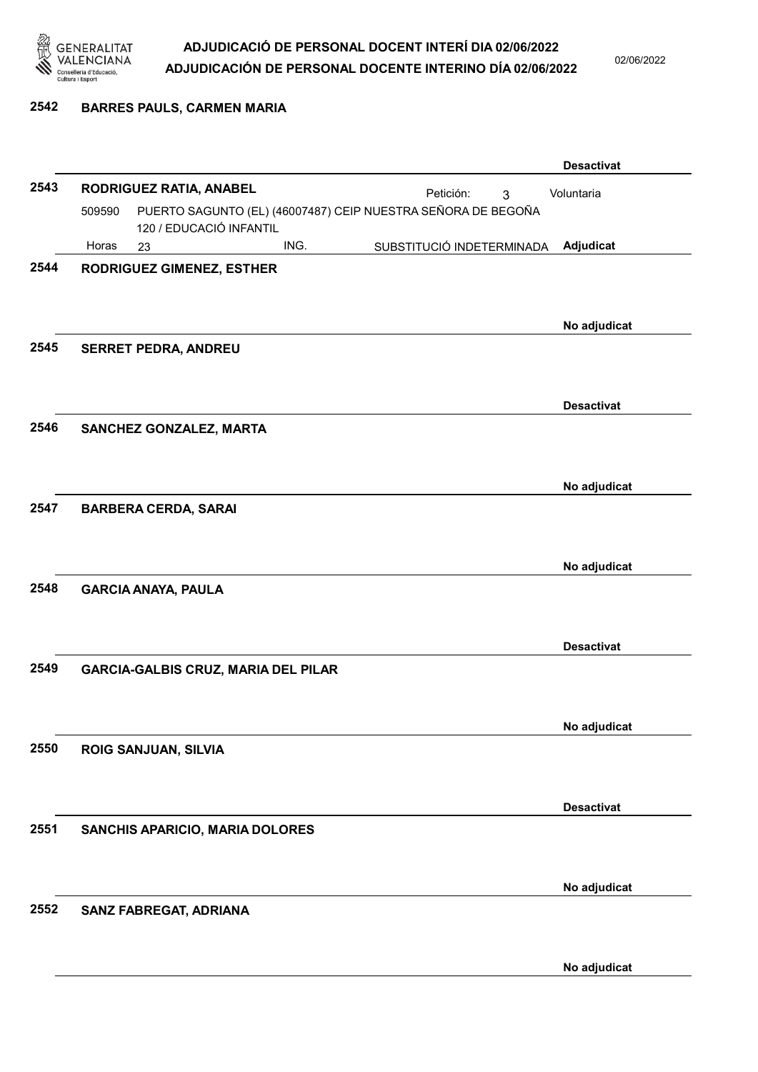

02/06/2022

#### 2542 BARRES PAULS, CARMEN MARIA

|      |                                                                        |                                            |      |                           |   | <b>Desactivat</b> |
|------|------------------------------------------------------------------------|--------------------------------------------|------|---------------------------|---|-------------------|
| 2543 |                                                                        | RODRIGUEZ RATIA, ANABEL                    |      | Petición:                 | 3 | Voluntaria        |
|      | PUERTO SAGUNTO (EL) (46007487) CEIP NUESTRA SEÑORA DE BEGOÑA<br>509590 |                                            |      |                           |   |                   |
|      | Horas                                                                  | 120 / EDUCACIÓ INFANTIL<br>23              | ING. | SUBSTITUCIÓ INDETERMINADA |   | Adjudicat         |
| 2544 |                                                                        | <b>RODRIGUEZ GIMENEZ, ESTHER</b>           |      |                           |   |                   |
|      |                                                                        |                                            |      |                           |   |                   |
|      |                                                                        |                                            |      |                           |   |                   |
| 2545 |                                                                        |                                            |      |                           |   | No adjudicat      |
|      |                                                                        | <b>SERRET PEDRA, ANDREU</b>                |      |                           |   |                   |
|      |                                                                        |                                            |      |                           |   |                   |
|      |                                                                        |                                            |      |                           |   | <b>Desactivat</b> |
| 2546 |                                                                        | SANCHEZ GONZALEZ, MARTA                    |      |                           |   |                   |
|      |                                                                        |                                            |      |                           |   |                   |
|      |                                                                        |                                            |      |                           |   | No adjudicat      |
| 2547 |                                                                        | <b>BARBERA CERDA, SARAI</b>                |      |                           |   |                   |
|      |                                                                        |                                            |      |                           |   |                   |
|      |                                                                        |                                            |      |                           |   |                   |
| 2548 |                                                                        |                                            |      |                           |   | No adjudicat      |
|      |                                                                        | <b>GARCIA ANAYA, PAULA</b>                 |      |                           |   |                   |
|      |                                                                        |                                            |      |                           |   |                   |
|      |                                                                        |                                            |      |                           |   | <b>Desactivat</b> |
| 2549 |                                                                        | <b>GARCIA-GALBIS CRUZ, MARIA DEL PILAR</b> |      |                           |   |                   |
|      |                                                                        |                                            |      |                           |   |                   |
|      |                                                                        |                                            |      |                           |   | No adjudicat      |
| 2550 |                                                                        | ROIG SANJUAN, SILVIA                       |      |                           |   |                   |
|      |                                                                        |                                            |      |                           |   |                   |
|      |                                                                        |                                            |      |                           |   | <b>Desactivat</b> |
| 2551 |                                                                        | SANCHIS APARICIO, MARIA DOLORES            |      |                           |   |                   |
|      |                                                                        |                                            |      |                           |   |                   |
|      |                                                                        |                                            |      |                           |   |                   |
|      |                                                                        |                                            |      |                           |   | No adjudicat      |
| 2552 |                                                                        | SANZ FABREGAT, ADRIANA                     |      |                           |   |                   |
|      |                                                                        |                                            |      |                           |   |                   |
|      |                                                                        |                                            |      |                           |   | No adjudicat      |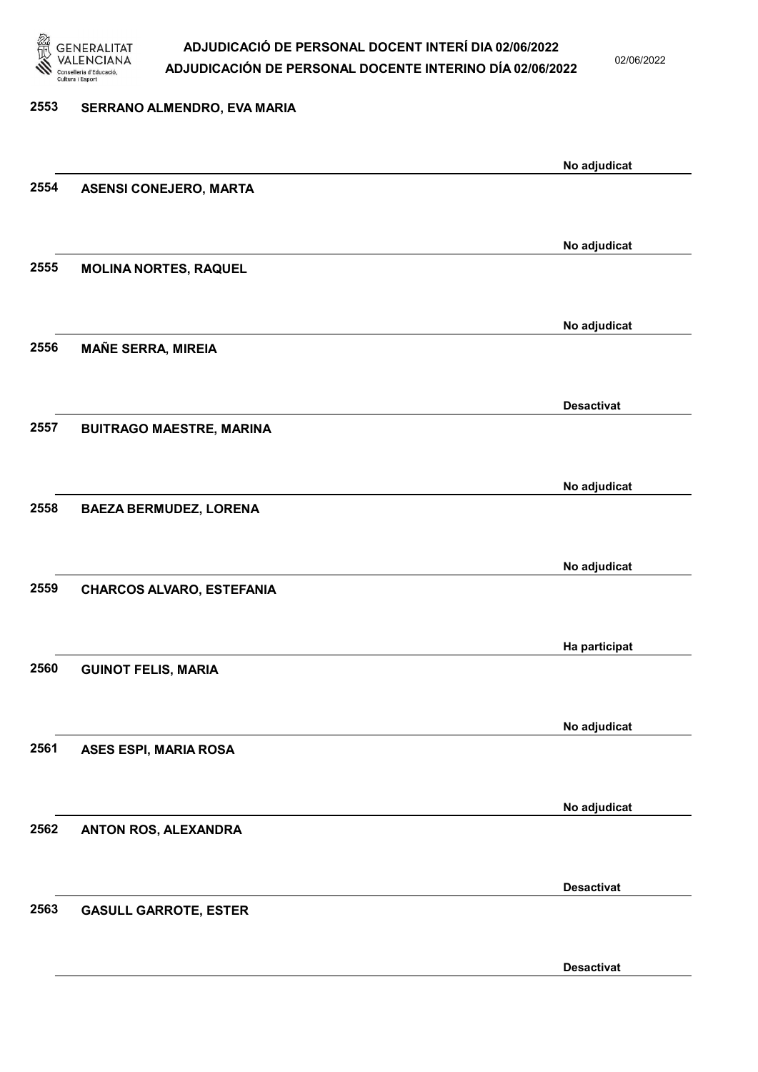

02/06/2022

## 2553 SERRANO ALMENDRO, EVA MARIA No adjudicat 2554 ASENSI CONEJERO, MARTA No adjudicat 2555 MOLINA NORTES, RAQUEL No adjudicat 2556 MAÑE SERRA, MIREIA Desactivat 2557 BUITRAGO MAESTRE, MARINA No adjudicat 2558 BAEZA BERMUDEZ, LORENA No adjudicat 2559 CHARCOS ALVARO, ESTEFANIA Ha participat 2560 GUINOT FELIS, MARIA No adjudicat 2561 ASES ESPI, MARIA ROSA No adjudicat 2562 ANTON ROS, ALEXANDRA Desactivat 2563 GASULL GARROTE, ESTER Desactivat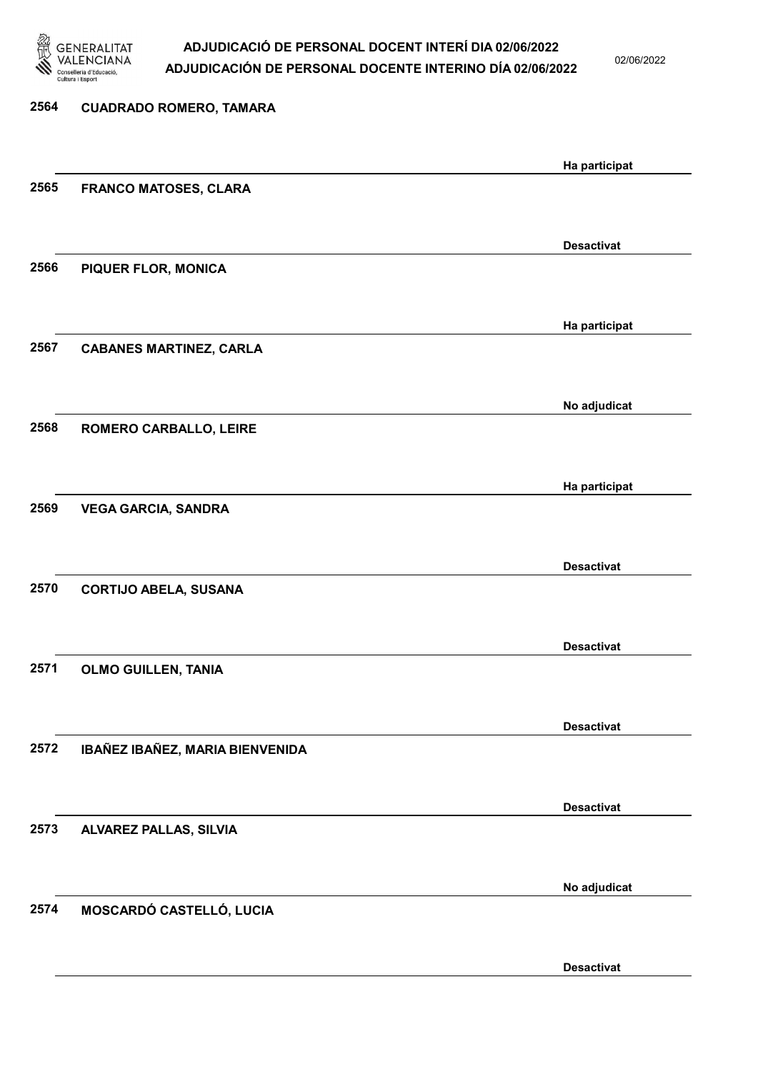

02/06/2022

| 2564 | <b>CUADRADO ROMERO, TAMARA</b>  |                   |
|------|---------------------------------|-------------------|
|      |                                 |                   |
|      |                                 | Ha participat     |
| 2565 | <b>FRANCO MATOSES, CLARA</b>    |                   |
|      |                                 |                   |
|      |                                 | <b>Desactivat</b> |
| 2566 | <b>PIQUER FLOR, MONICA</b>      |                   |
|      |                                 |                   |
|      |                                 | Ha participat     |
| 2567 | <b>CABANES MARTINEZ, CARLA</b>  |                   |
|      |                                 |                   |
|      |                                 | No adjudicat      |
| 2568 | ROMERO CARBALLO, LEIRE          |                   |
|      |                                 |                   |
|      |                                 | Ha participat     |
| 2569 | <b>VEGA GARCIA, SANDRA</b>      |                   |
|      |                                 |                   |
|      |                                 | <b>Desactivat</b> |
| 2570 | <b>CORTIJO ABELA, SUSANA</b>    |                   |
|      |                                 |                   |
|      |                                 | <b>Desactivat</b> |
| 2571 | <b>OLMO GUILLEN, TANIA</b>      |                   |
|      |                                 |                   |
|      |                                 | <b>Desactivat</b> |
| 2572 | IBAÑEZ IBAÑEZ, MARIA BIENVENIDA |                   |
|      |                                 |                   |
|      |                                 | <b>Desactivat</b> |
| 2573 | <b>ALVAREZ PALLAS, SILVIA</b>   |                   |
|      |                                 |                   |
|      |                                 |                   |
| 2574 | MOSCARDÓ CASTELLÓ, LUCIA        | No adjudicat      |
|      |                                 |                   |
|      |                                 |                   |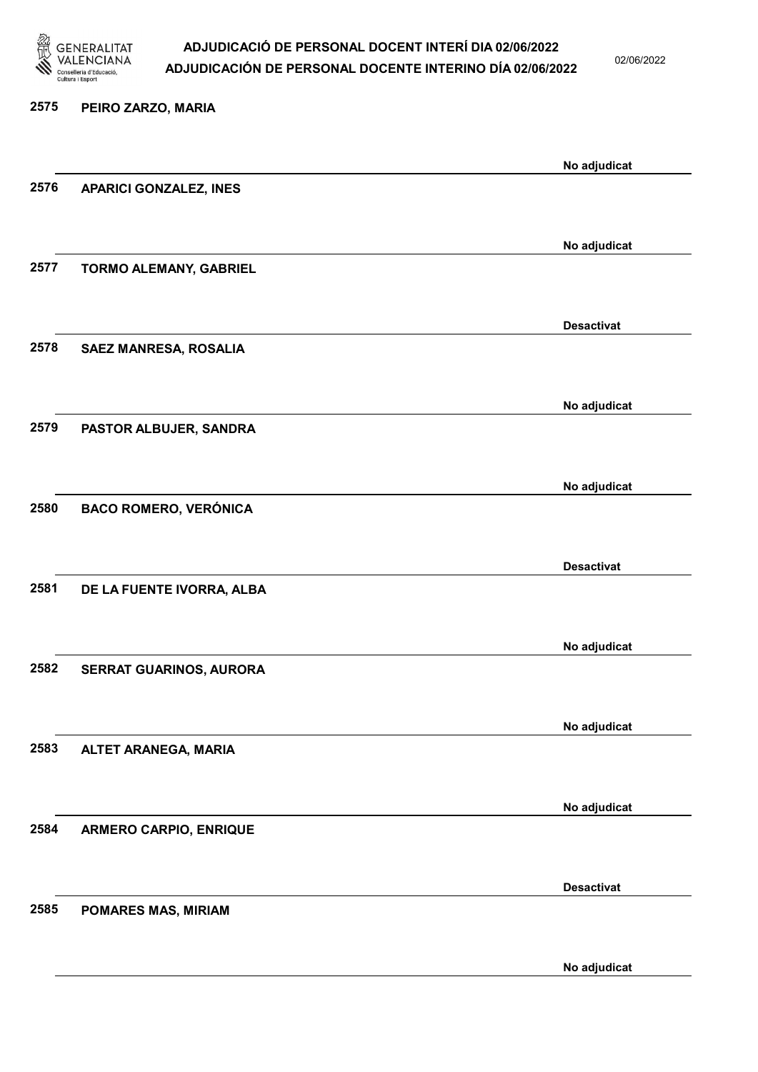

02/06/2022

| 2575 | PEIRO ZARZO, MARIA             |                   |
|------|--------------------------------|-------------------|
|      |                                | No adjudicat      |
| 2576 | <b>APARICI GONZALEZ, INES</b>  |                   |
|      |                                | No adjudicat      |
| 2577 | <b>TORMO ALEMANY, GABRIEL</b>  |                   |
|      |                                | <b>Desactivat</b> |
| 2578 | SAEZ MANRESA, ROSALIA          |                   |
|      |                                | No adjudicat      |
| 2579 | PASTOR ALBUJER, SANDRA         |                   |
|      |                                | No adjudicat      |
| 2580 | <b>BACO ROMERO, VERÓNICA</b>   |                   |
|      |                                | <b>Desactivat</b> |
| 2581 | DE LA FUENTE IVORRA, ALBA      |                   |
|      |                                | No adjudicat      |
| 2582 | <b>SERRAT GUARINOS, AURORA</b> |                   |
|      |                                | No adjudicat      |
| 2583 | ALTET ARANEGA, MARIA           |                   |
|      |                                | No adjudicat      |
| 2584 | <b>ARMERO CARPIO, ENRIQUE</b>  |                   |
|      |                                | <b>Desactivat</b> |
| 2585 | POMARES MAS, MIRIAM            |                   |

No adjudicat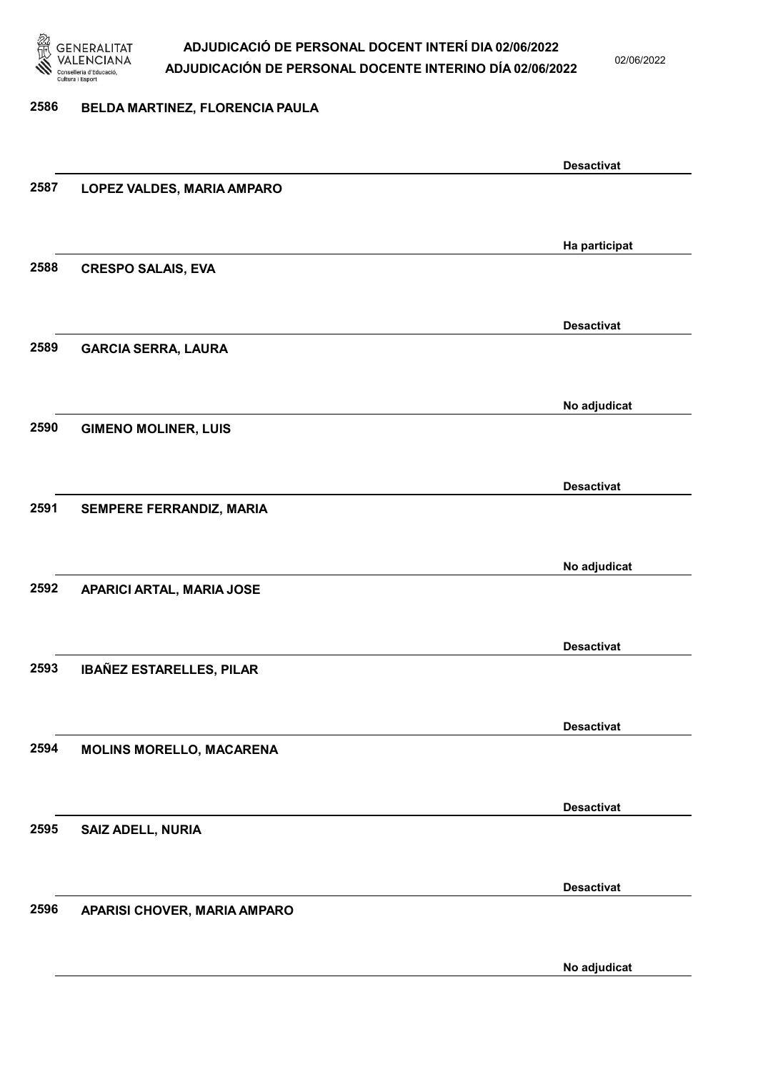

02/06/2022

#### 2586 BELDA MARTINEZ, FLORENCIA PAULA

|      |                                 | <b>Desactivat</b> |
|------|---------------------------------|-------------------|
| 2587 | LOPEZ VALDES, MARIA AMPARO      |                   |
|      |                                 |                   |
|      |                                 | Ha participat     |
| 2588 | <b>CRESPO SALAIS, EVA</b>       |                   |
|      |                                 |                   |
|      |                                 | <b>Desactivat</b> |
| 2589 | <b>GARCIA SERRA, LAURA</b>      |                   |
|      |                                 |                   |
|      |                                 | No adjudicat      |
| 2590 | <b>GIMENO MOLINER, LUIS</b>     |                   |
|      |                                 |                   |
| 2591 | SEMPERE FERRANDIZ, MARIA        | <b>Desactivat</b> |
|      |                                 |                   |
|      |                                 | No adjudicat      |
| 2592 | APARICI ARTAL, MARIA JOSE       |                   |
|      |                                 |                   |
|      |                                 | <b>Desactivat</b> |
| 2593 | IBAÑEZ ESTARELLES, PILAR        |                   |
|      |                                 |                   |
|      |                                 | <b>Desactivat</b> |
| 2594 | <b>MOLINS MORELLO, MACARENA</b> |                   |
|      |                                 |                   |
|      |                                 | <b>Desactivat</b> |
| 2595 | SAIZ ADELL, NURIA               |                   |
|      |                                 |                   |
| 2596 | APARISI CHOVER, MARIA AMPARO    | <b>Desactivat</b> |
|      |                                 |                   |
|      |                                 | No adjudicat      |
|      |                                 |                   |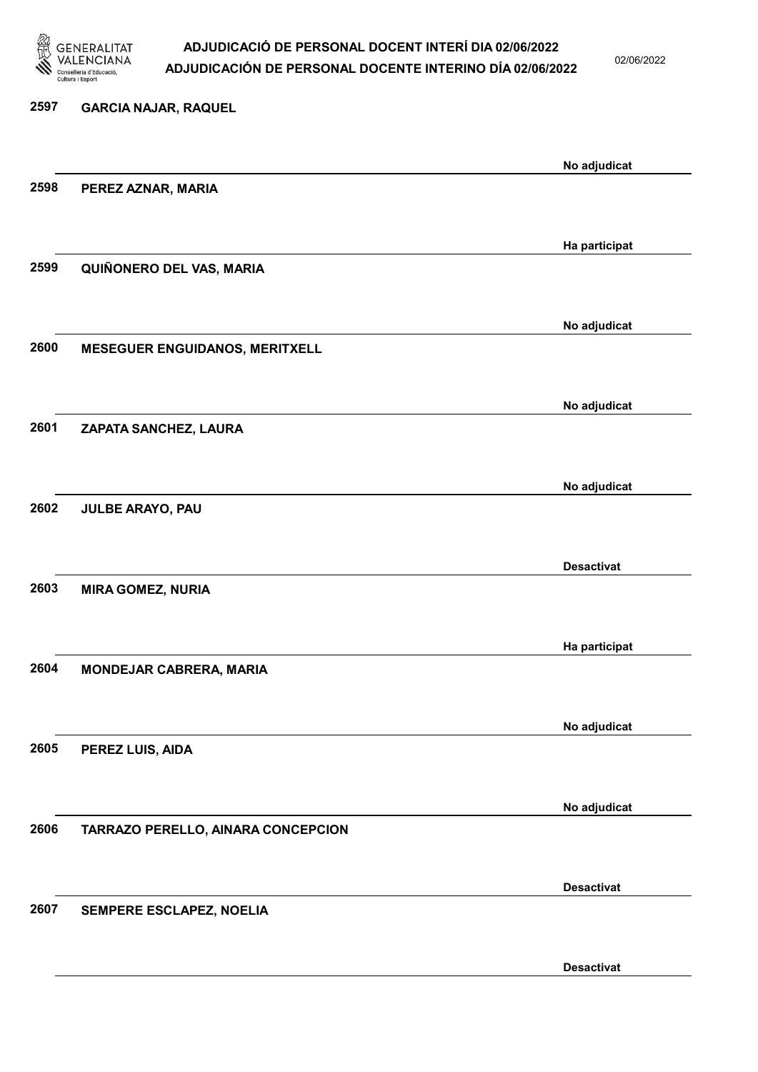

02/06/2022

## 2597 GARCIA NAJAR, RAQUEL No adjudicat 2598 PEREZ AZNAR, MARIA Ha participat 2599 QUIÑONERO DEL VAS, MARIA No adjudicat 2600 MESEGUER ENGUIDANOS, MERITXELL No adjudicat 2601 ZAPATA SANCHEZ, LAURA No adjudicat 2602 JULBE ARAYO, PAU Desactivat 2603 MIRA GOMEZ, NURIA Ha participat 2604 MONDEJAR CABRERA, MARIA No adjudicat 2605 PEREZ LUIS, AIDA No adjudicat 2606 TARRAZO PERELLO, AINARA CONCEPCION Desactivat 2607 SEMPERE ESCLAPEZ, NOELIA Desactivat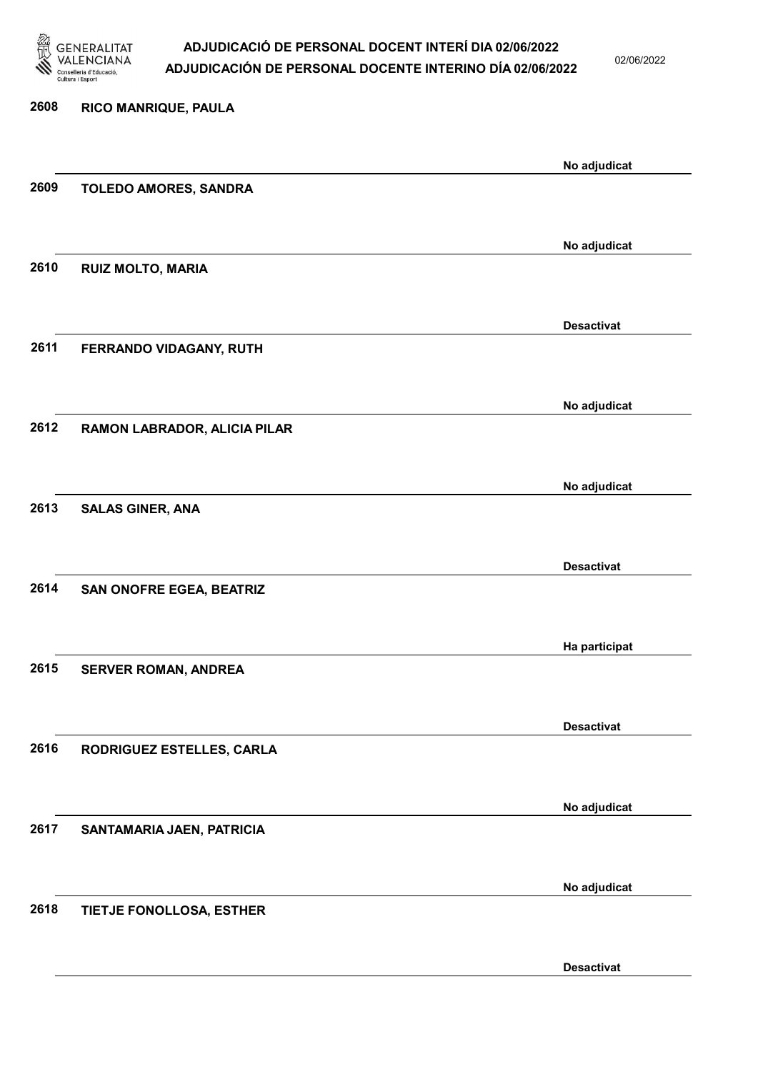

02/06/2022

| 2608 | RICO MANRIQUE, PAULA         |                   |
|------|------------------------------|-------------------|
|      |                              | No adjudicat      |
| 2609 | TOLEDO AMORES, SANDRA        |                   |
|      |                              | No adjudicat      |
| 2610 | <b>RUIZ MOLTO, MARIA</b>     |                   |
|      |                              | <b>Desactivat</b> |
| 2611 | FERRANDO VIDAGANY, RUTH      |                   |
|      |                              | No adjudicat      |
| 2612 | RAMON LABRADOR, ALICIA PILAR |                   |
|      |                              |                   |
| 2613 | <b>SALAS GINER, ANA</b>      | No adjudicat      |
|      |                              |                   |
| 2614 | SAN ONOFRE EGEA, BEATRIZ     | <b>Desactivat</b> |
|      |                              |                   |
| 2615 | <b>SERVER ROMAN, ANDREA</b>  | Ha participat     |
|      |                              |                   |
| 2616 | RODRIGUEZ ESTELLES, CARLA    | <b>Desactivat</b> |
|      |                              |                   |
| 2617 | SANTAMARIA JAEN, PATRICIA    | No adjudicat      |
|      |                              |                   |
| 2618 | TIETJE FONOLLOSA, ESTHER     | No adjudicat      |
|      |                              |                   |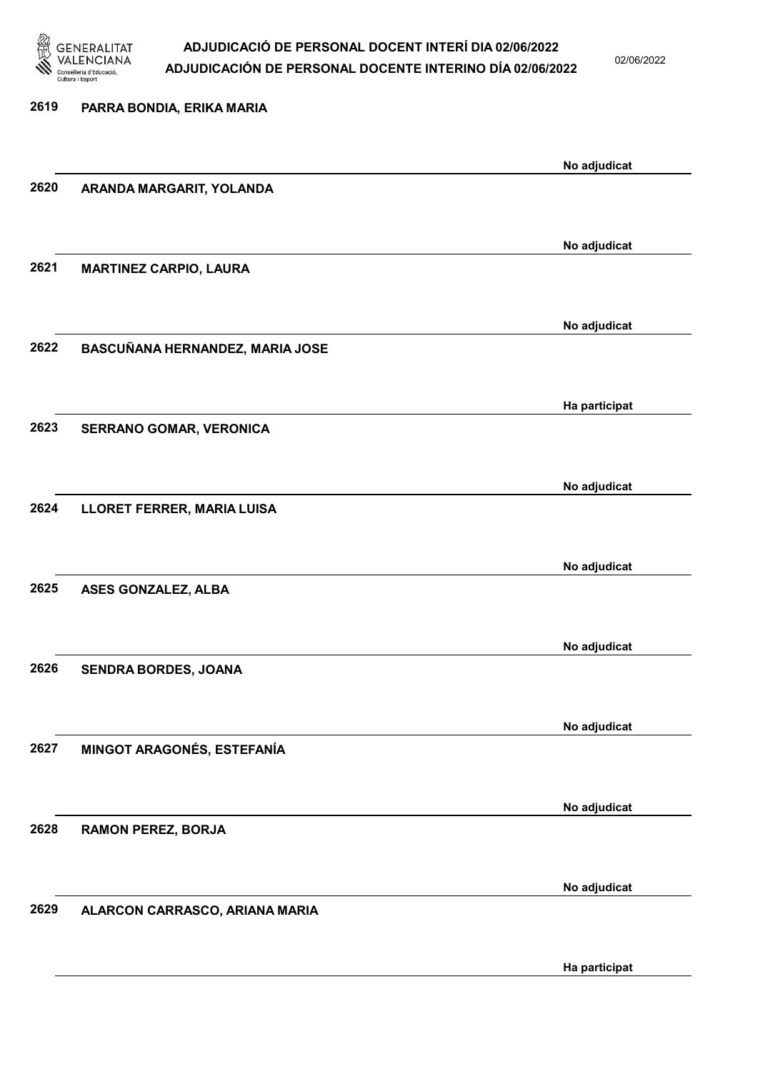

02/06/2022

Ha participat

| 2619 | PARRA BONDIA, ERIKA MARIA       |               |
|------|---------------------------------|---------------|
|      |                                 |               |
| 2620 | ARANDA MARGARIT, YOLANDA        | No adjudicat  |
|      |                                 |               |
|      |                                 | No adjudicat  |
| 2621 | <b>MARTINEZ CARPIO, LAURA</b>   |               |
|      |                                 |               |
| 2622 | BASCUÑANA HERNANDEZ, MARIA JOSE | No adjudicat  |
|      |                                 |               |
|      |                                 | Ha participat |
| 2623 | SERRANO GOMAR, VERONICA         |               |
|      |                                 | No adjudicat  |
| 2624 | LLORET FERRER, MARIA LUISA      |               |
|      |                                 |               |
|      |                                 | No adjudicat  |
| 2625 | ASES GONZALEZ, ALBA             |               |
|      |                                 | No adjudicat  |
| 2626 | SENDRA BORDES, JOANA            |               |
|      |                                 |               |
| 2627 |                                 | No adjudicat  |
|      | MINGOT ARAGONÉS, ESTEFANÍA      |               |
|      |                                 | No adjudicat  |
| 2628 | <b>RAMON PEREZ, BORJA</b>       |               |
|      |                                 |               |
| 2629 | ALARCON CARRASCO, ARIANA MARIA  | No adjudicat  |
|      |                                 |               |
|      |                                 |               |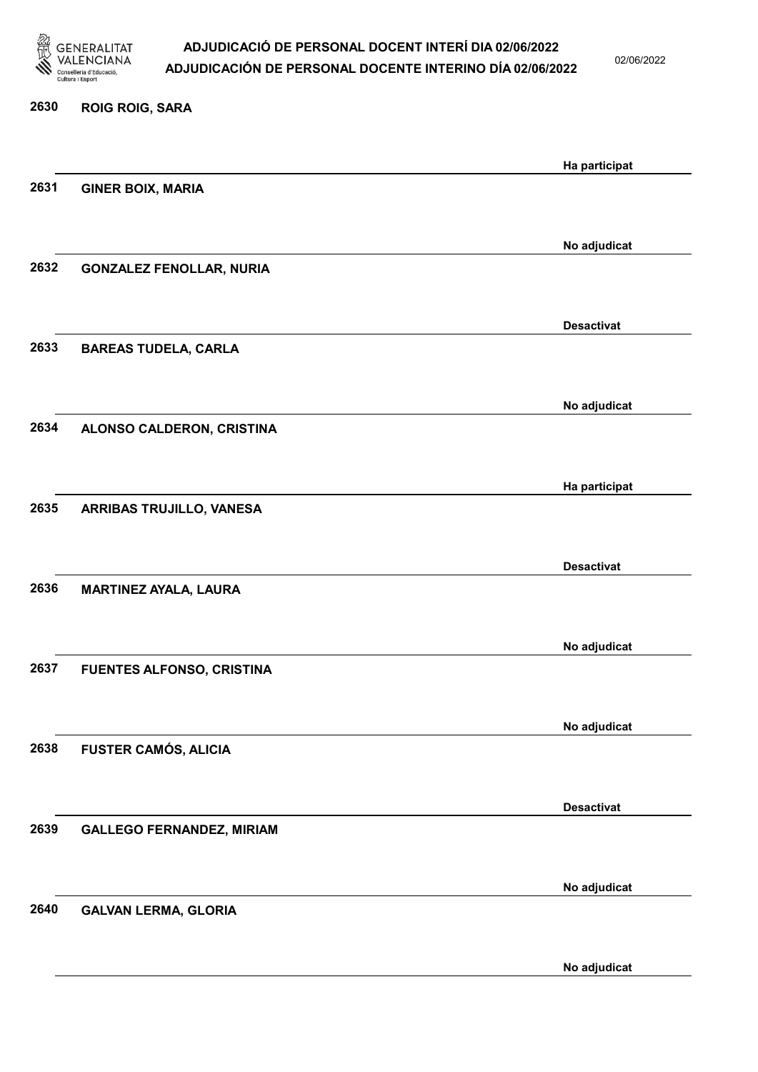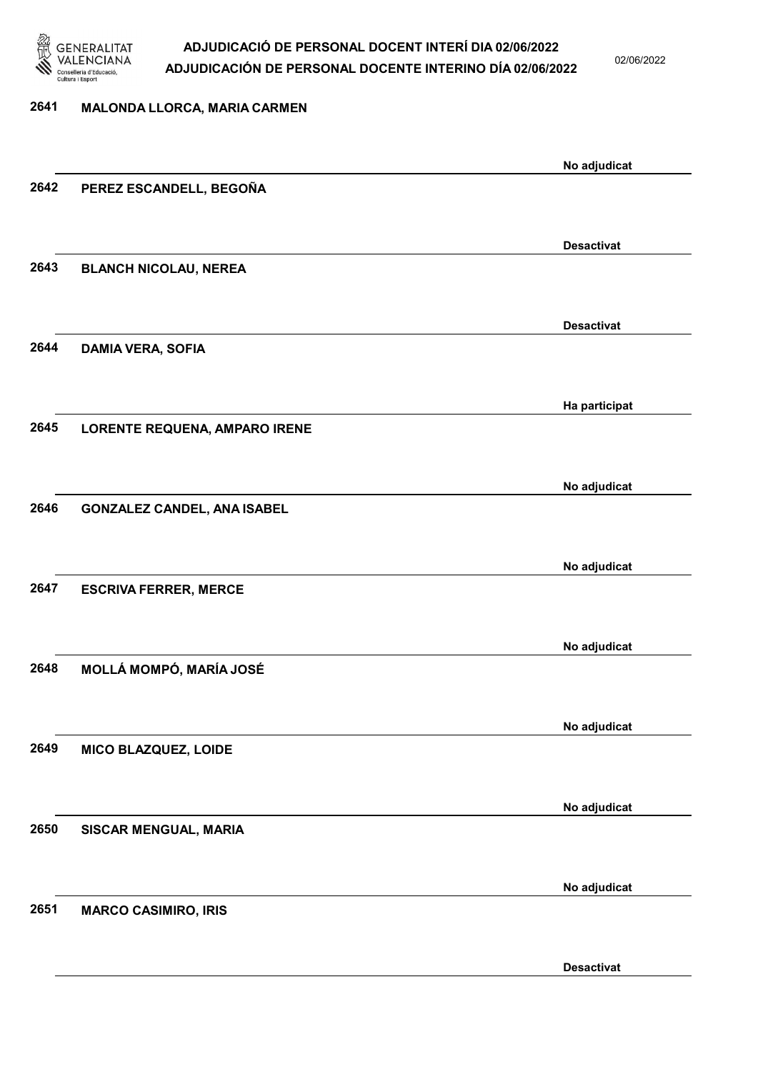

02/06/2022

| 2641 | MALONDA LLORCA, MARIA CARMEN       |                   |
|------|------------------------------------|-------------------|
|      |                                    |                   |
|      |                                    | No adjudicat      |
| 2642 | PEREZ ESCANDELL, BEGOÑA            |                   |
|      |                                    |                   |
|      |                                    | <b>Desactivat</b> |
| 2643 | <b>BLANCH NICOLAU, NEREA</b>       |                   |
|      |                                    |                   |
|      |                                    | <b>Desactivat</b> |
| 2644 | <b>DAMIA VERA, SOFIA</b>           |                   |
|      |                                    |                   |
|      |                                    | Ha participat     |
| 2645 | LORENTE REQUENA, AMPARO IRENE      |                   |
|      |                                    |                   |
|      |                                    | No adjudicat      |
| 2646 | <b>GONZALEZ CANDEL, ANA ISABEL</b> |                   |
|      |                                    |                   |
|      |                                    | No adjudicat      |
| 2647 | <b>ESCRIVA FERRER, MERCE</b>       |                   |
|      |                                    |                   |
|      |                                    | No adjudicat      |
| 2648 | MOLLÁ MOMPÓ, MARÍA JOSÉ            |                   |
|      |                                    |                   |
|      |                                    | No adjudicat      |
| 2649 | MICO BLAZQUEZ, LOIDE               |                   |
|      |                                    |                   |
|      |                                    | No adjudicat      |
| 2650 | SISCAR MENGUAL, MARIA              |                   |
|      |                                    |                   |
|      |                                    | No adjudicat      |
| 2651 | <b>MARCO CASIMIRO, IRIS</b>        |                   |
|      |                                    |                   |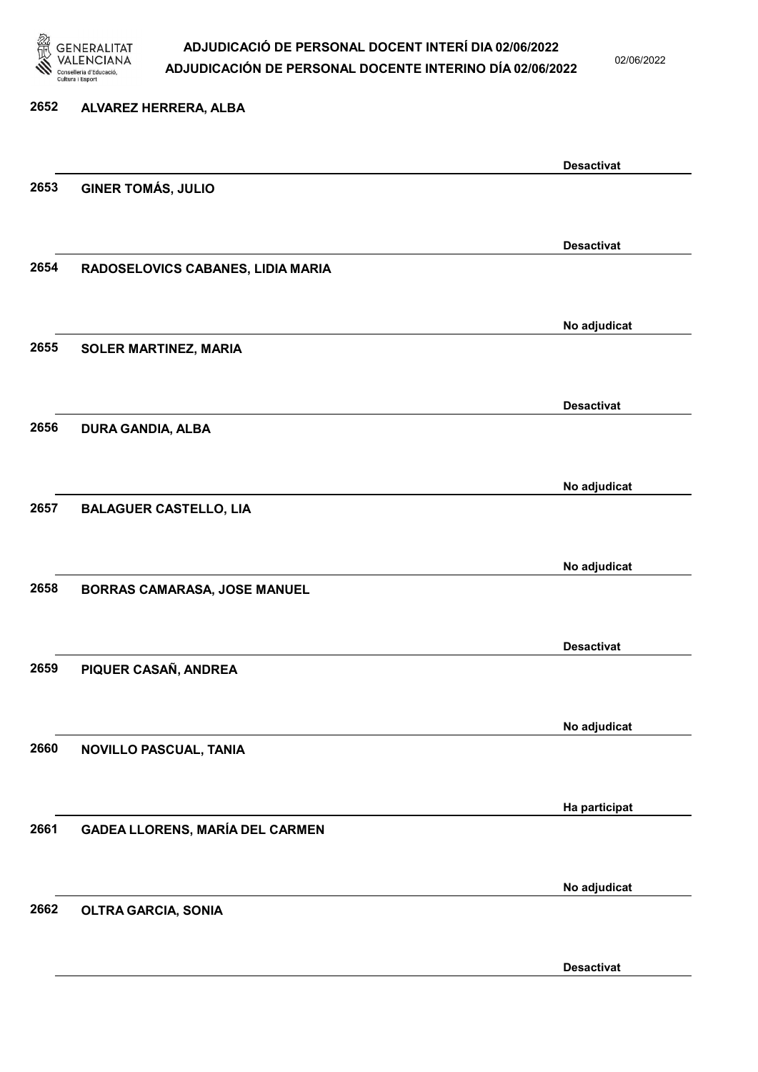

02/06/2022

| 2652 | ALVAREZ HERRERA, ALBA                  |                   |
|------|----------------------------------------|-------------------|
|      |                                        | <b>Desactivat</b> |
| 2653 | <b>GINER TOMÁS, JULIO</b>              |                   |
|      |                                        | <b>Desactivat</b> |
| 2654 | RADOSELOVICS CABANES, LIDIA MARIA      |                   |
|      |                                        |                   |
| 2655 | <b>SOLER MARTINEZ, MARIA</b>           | No adjudicat      |
|      |                                        |                   |
|      |                                        | <b>Desactivat</b> |
| 2656 | DURA GANDIA, ALBA                      |                   |
|      |                                        | No adjudicat      |
| 2657 | <b>BALAGUER CASTELLO, LIA</b>          |                   |
|      |                                        | No adjudicat      |
| 2658 | <b>BORRAS CAMARASA, JOSE MANUEL</b>    |                   |
|      |                                        |                   |
| 2659 | PIQUER CASAÑ, ANDREA                   | <b>Desactivat</b> |
|      |                                        |                   |
| 2660 | NOVILLO PASCUAL, TANIA                 | No adjudicat      |
|      |                                        |                   |
|      |                                        | Ha participat     |
| 2661 | <b>GADEA LLORENS, MARÍA DEL CARMEN</b> |                   |
|      |                                        | No adjudicat      |
| 2662 | <b>OLTRA GARCIA, SONIA</b>             |                   |
|      |                                        |                   |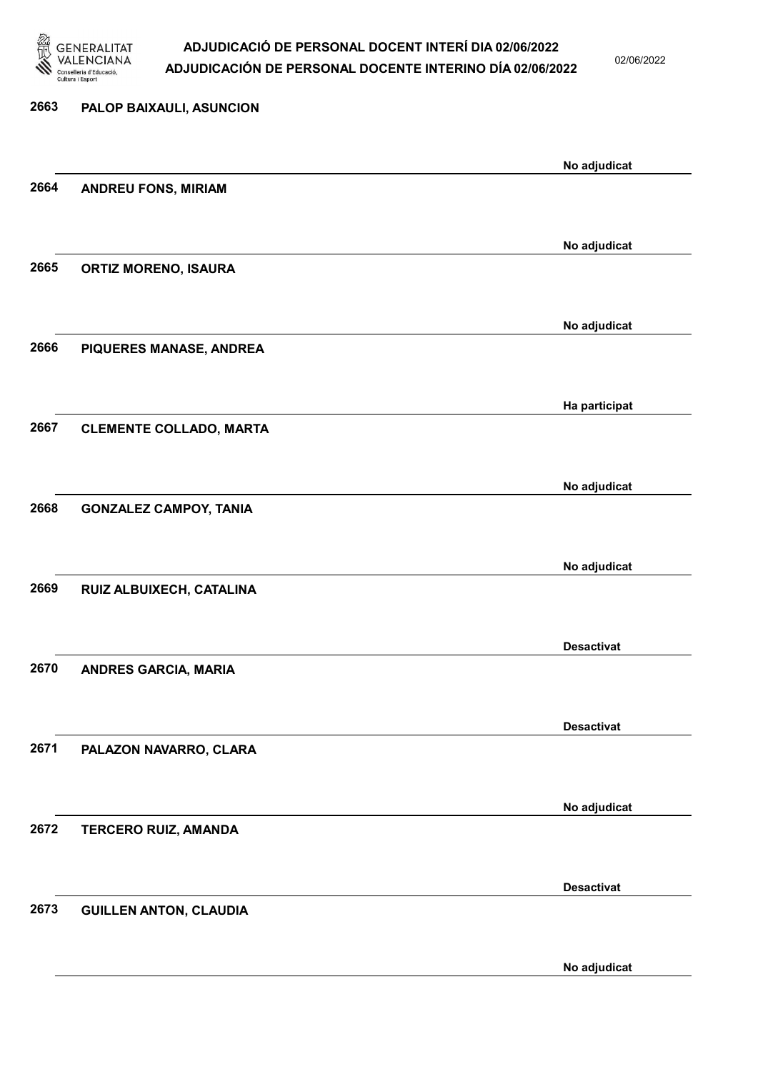

02/06/2022

No adjudicat

# 2663 PALOP BAIXAULI, ASUNCION No adjudicat 2664 ANDREU FONS, MIRIAM No adjudicat 2665 ORTIZ MORENO, ISAURA No adjudicat 2666 PIQUERES MANASE, ANDREA Ha participat 2667 CLEMENTE COLLADO, MARTA No adjudicat 2668 GONZALEZ CAMPOY, TANIA No adjudicat 2669 RUIZ ALBUIXECH, CATALINA Desactivat 2670 ANDRES GARCIA, MARIA Desactivat 2671 PALAZON NAVARRO, CLARA No adjudicat 2672 TERCERO RUIZ, AMANDA Desactivat 2673 GUILLEN ANTON, CLAUDIA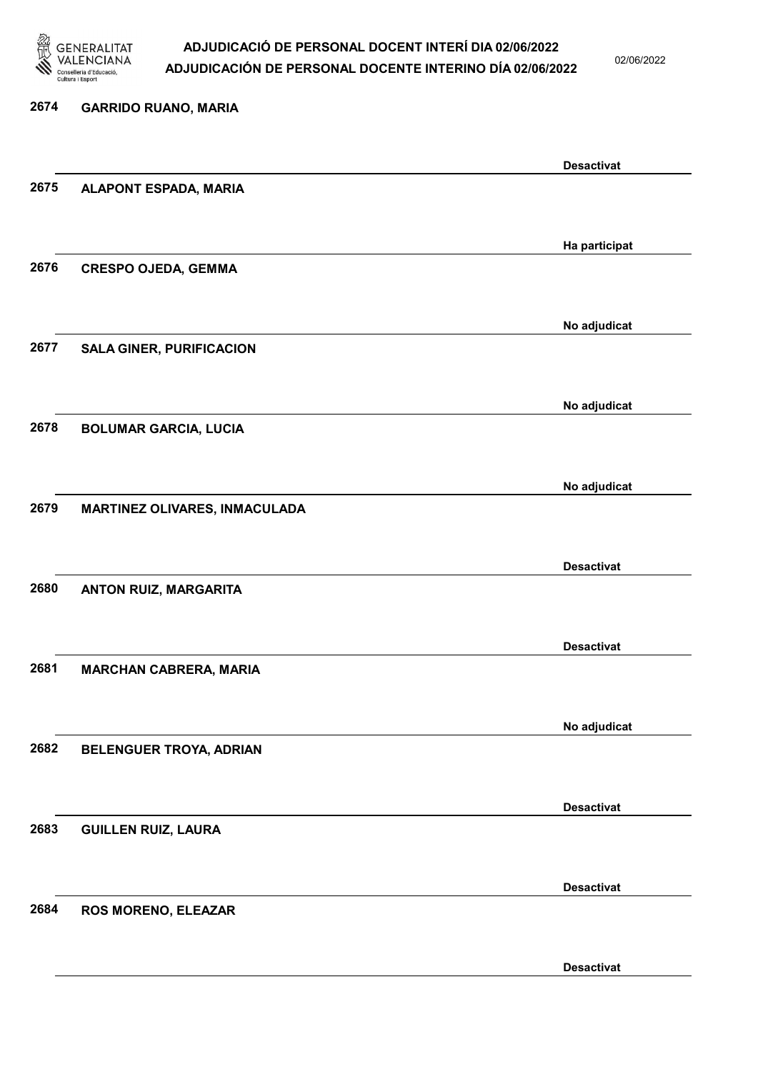

02/06/2022

#### 2674 GARRIDO RUANO, MARIA

|      |                                 | <b>Desactivat</b> |
|------|---------------------------------|-------------------|
| 2675 | <b>ALAPONT ESPADA, MARIA</b>    |                   |
|      |                                 |                   |
|      |                                 |                   |
|      |                                 | Ha participat     |
| 2676 | <b>CRESPO OJEDA, GEMMA</b>      |                   |
|      |                                 |                   |
|      |                                 |                   |
|      |                                 | No adjudicat      |
| 2677 | <b>SALA GINER, PURIFICACION</b> |                   |
|      |                                 |                   |
|      |                                 |                   |
|      |                                 | No adjudicat      |
| 2678 | <b>BOLUMAR GARCIA, LUCIA</b>    |                   |
|      |                                 |                   |
|      |                                 |                   |
|      |                                 | No adjudicat      |
| 2679 | MARTINEZ OLIVARES, INMACULADA   |                   |
|      |                                 |                   |
|      |                                 |                   |
|      |                                 | <b>Desactivat</b> |
| 2680 | ANTON RUIZ, MARGARITA           |                   |
|      |                                 |                   |
|      |                                 |                   |
|      |                                 | <b>Desactivat</b> |
| 2681 | <b>MARCHAN CABRERA, MARIA</b>   |                   |
|      |                                 |                   |
|      |                                 |                   |
|      |                                 | No adjudicat      |
| 2682 | BELENGUER TROYA, ADRIAN         |                   |
|      |                                 |                   |
|      |                                 |                   |
|      |                                 | <b>Desactivat</b> |
| 2683 | <b>GUILLEN RUIZ, LAURA</b>      |                   |
|      |                                 |                   |
|      |                                 |                   |
|      |                                 | <b>Desactivat</b> |
| 2684 | ROS MORENO, ELEAZAR             |                   |
|      |                                 |                   |
|      |                                 | <b>Desactivat</b> |
|      |                                 |                   |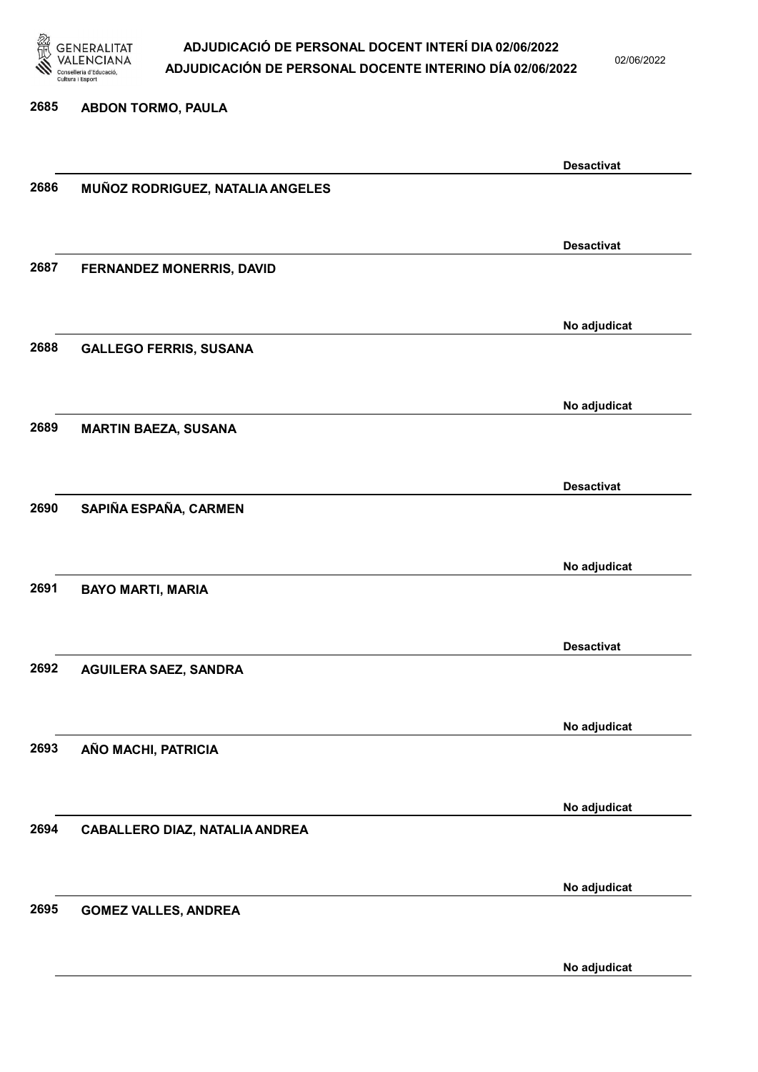

02/06/2022

#### 2685 ABDON TORMO, PAULA

|      |                                       | <b>Desactivat</b> |
|------|---------------------------------------|-------------------|
| 2686 | MUÑOZ RODRIGUEZ, NATALIA ANGELES      |                   |
|      |                                       |                   |
|      |                                       |                   |
|      |                                       | <b>Desactivat</b> |
|      |                                       |                   |
| 2687 | FERNANDEZ MONERRIS, DAVID             |                   |
|      |                                       |                   |
|      |                                       |                   |
|      |                                       | No adjudicat      |
| 2688 | <b>GALLEGO FERRIS, SUSANA</b>         |                   |
|      |                                       |                   |
|      |                                       |                   |
|      |                                       | No adjudicat      |
| 2689 | <b>MARTIN BAEZA, SUSANA</b>           |                   |
|      |                                       |                   |
|      |                                       |                   |
|      |                                       | <b>Desactivat</b> |
| 2690 |                                       |                   |
|      | SAPIÑA ESPAÑA, CARMEN                 |                   |
|      |                                       |                   |
|      |                                       |                   |
|      |                                       | No adjudicat      |
| 2691 | <b>BAYO MARTI, MARIA</b>              |                   |
|      |                                       |                   |
|      |                                       |                   |
|      |                                       | <b>Desactivat</b> |
| 2692 | <b>AGUILERA SAEZ, SANDRA</b>          |                   |
|      |                                       |                   |
|      |                                       |                   |
|      |                                       | No adjudicat      |
| 2693 | AÑO MACHI, PATRICIA                   |                   |
|      |                                       |                   |
|      |                                       |                   |
|      |                                       |                   |
|      |                                       | No adjudicat      |
| 2694 | <b>CABALLERO DIAZ, NATALIA ANDREA</b> |                   |
|      |                                       |                   |
|      |                                       |                   |
|      |                                       | No adjudicat      |
| 2695 | <b>GOMEZ VALLES, ANDREA</b>           |                   |
|      |                                       |                   |
|      |                                       |                   |
|      |                                       | No adjudicat      |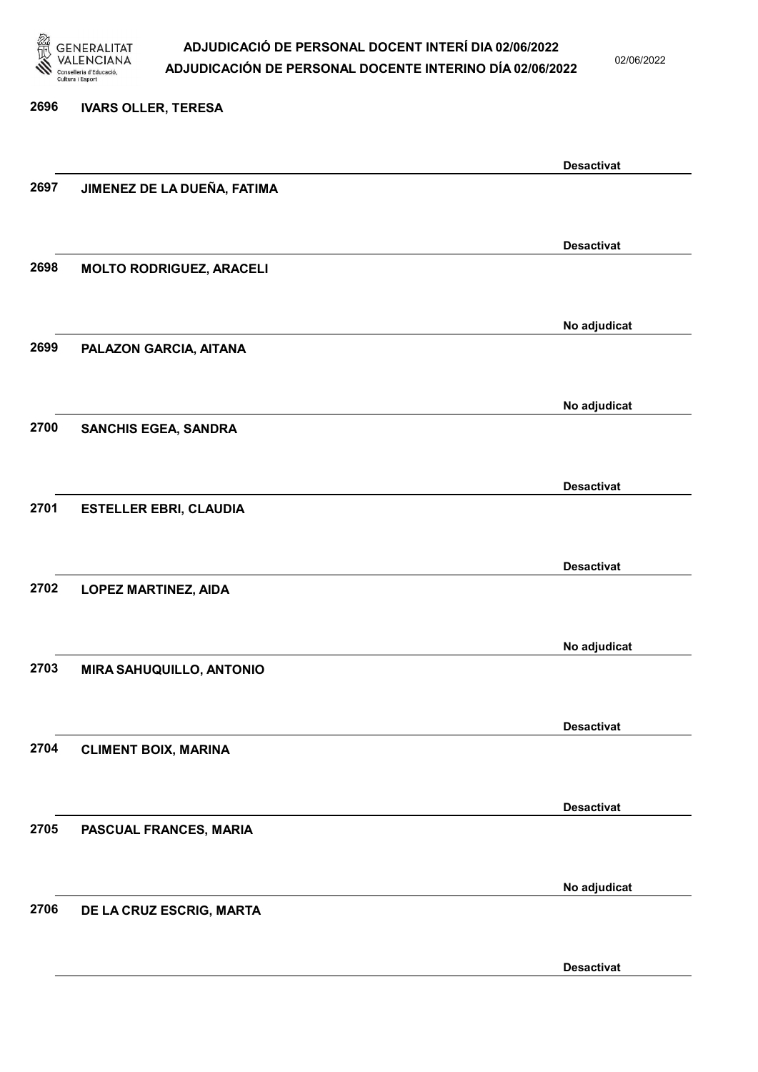

02/06/2022

# 2696 IVARS OLLER, TERESA Desactivat 2697 JIMENEZ DE LA DUEÑA, FATIMA Desactivat 2698 MOLTO RODRIGUEZ, ARACELI No adjudicat 2699 PALAZON GARCIA, AITANA No adjudicat 2700 SANCHIS EGEA, SANDRA Desactivat 2701 ESTELLER EBRI, CLAUDIA Desactivat 2702 LOPEZ MARTINEZ, AIDA No adjudicat 2703 MIRA SAHUQUILLO, ANTONIO Desactivat 2704 CLIMENT BOIX, MARINA Desactivat 2705 PASCUAL FRANCES, MARIA No adjudicat 2706 DE LA CRUZ ESCRIG, MARTA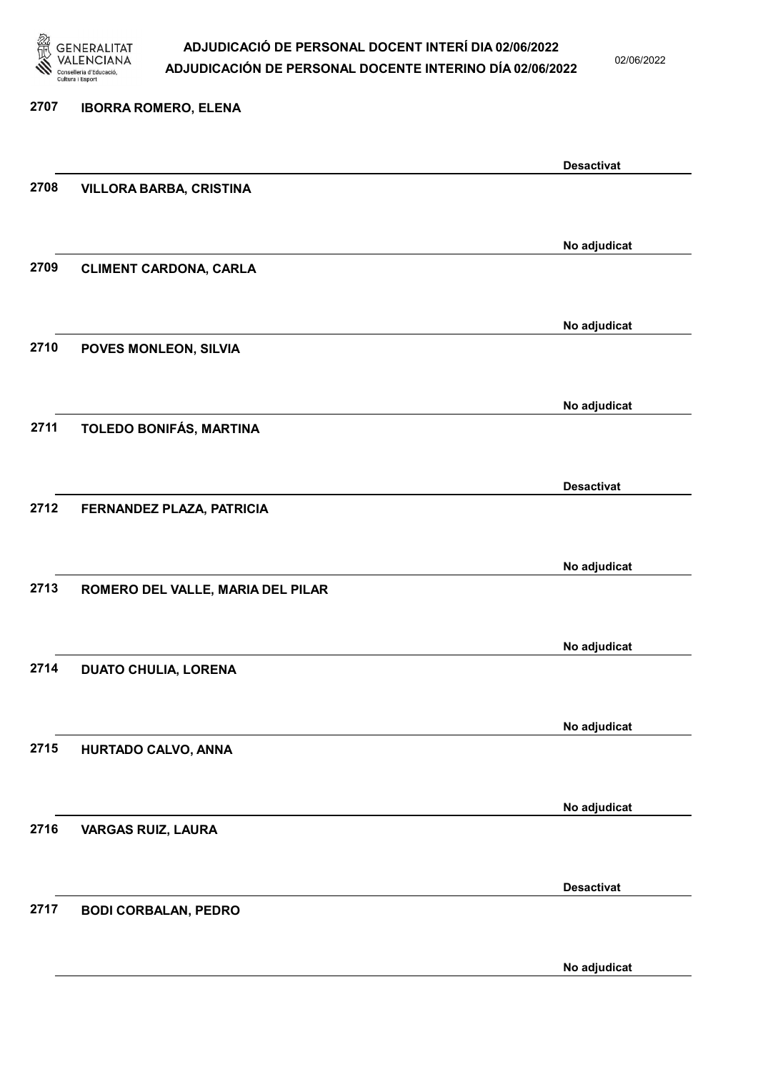

02/06/2022

#### 2707 IBORRA ROMERO, ELENA

|      |                                   | <b>Desactivat</b> |
|------|-----------------------------------|-------------------|
| 2708 | <b>VILLORA BARBA, CRISTINA</b>    |                   |
|      |                                   |                   |
|      |                                   | No adjudicat      |
| 2709 | <b>CLIMENT CARDONA, CARLA</b>     |                   |
|      |                                   |                   |
|      |                                   | No adjudicat      |
| 2710 | POVES MONLEON, SILVIA             |                   |
|      |                                   |                   |
|      |                                   | No adjudicat      |
| 2711 | TOLEDO BONIFÁS, MARTINA           |                   |
|      |                                   |                   |
|      |                                   | <b>Desactivat</b> |
| 2712 | FERNANDEZ PLAZA, PATRICIA         |                   |
|      |                                   |                   |
|      |                                   | No adjudicat      |
| 2713 | ROMERO DEL VALLE, MARIA DEL PILAR |                   |
|      |                                   |                   |
|      |                                   | No adjudicat      |
| 2714 | <b>DUATO CHULIA, LORENA</b>       |                   |
|      |                                   |                   |
|      |                                   | No adjudicat      |
| 2715 | HURTADO CALVO, ANNA               |                   |
|      |                                   |                   |
|      |                                   | No adjudicat      |
| 2716 | <b>VARGAS RUIZ, LAURA</b>         |                   |
|      |                                   |                   |
|      |                                   | <b>Desactivat</b> |
| 2717 | <b>BODI CORBALAN, PEDRO</b>       |                   |
|      |                                   |                   |
|      |                                   | No adjudicat      |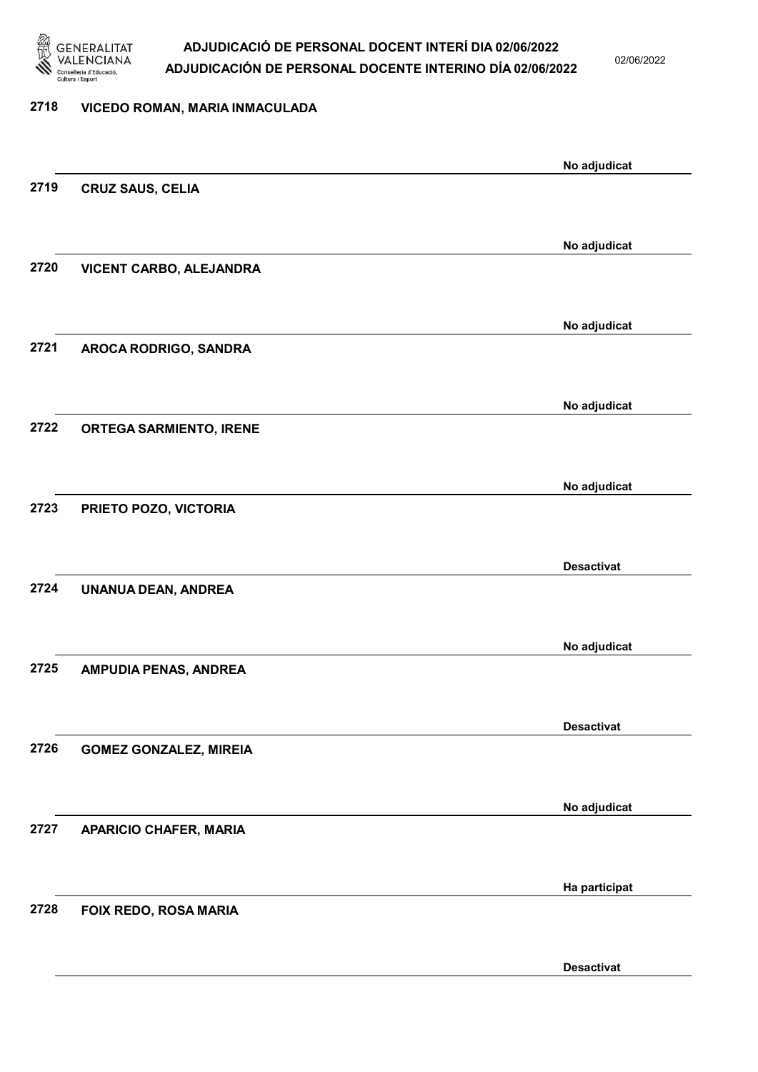

02/06/2022

#### 2718 VICEDO ROMAN, MARIA INMACULADA

| No adjudicat<br>2719<br><b>CRUZ SAUS, CELIA</b><br>No adjudicat<br>2720<br>VICENT CARBO, ALEJANDRA<br>No adjudicat<br>2721<br>AROCA RODRIGO, SANDRA<br>No adjudicat<br>2722<br><b>ORTEGA SARMIENTO, IRENE</b><br>No adjudicat<br>2723<br>PRIETO POZO, VICTORIA<br><b>Desactivat</b><br>2724<br>UNANUA DEAN, ANDREA<br>No adjudicat |  |
|------------------------------------------------------------------------------------------------------------------------------------------------------------------------------------------------------------------------------------------------------------------------------------------------------------------------------------|--|
|                                                                                                                                                                                                                                                                                                                                    |  |
|                                                                                                                                                                                                                                                                                                                                    |  |
|                                                                                                                                                                                                                                                                                                                                    |  |
|                                                                                                                                                                                                                                                                                                                                    |  |
|                                                                                                                                                                                                                                                                                                                                    |  |
|                                                                                                                                                                                                                                                                                                                                    |  |
|                                                                                                                                                                                                                                                                                                                                    |  |
|                                                                                                                                                                                                                                                                                                                                    |  |
|                                                                                                                                                                                                                                                                                                                                    |  |
|                                                                                                                                                                                                                                                                                                                                    |  |
|                                                                                                                                                                                                                                                                                                                                    |  |
|                                                                                                                                                                                                                                                                                                                                    |  |
|                                                                                                                                                                                                                                                                                                                                    |  |
|                                                                                                                                                                                                                                                                                                                                    |  |
|                                                                                                                                                                                                                                                                                                                                    |  |
|                                                                                                                                                                                                                                                                                                                                    |  |
|                                                                                                                                                                                                                                                                                                                                    |  |
|                                                                                                                                                                                                                                                                                                                                    |  |
|                                                                                                                                                                                                                                                                                                                                    |  |
|                                                                                                                                                                                                                                                                                                                                    |  |
| 2725<br>AMPUDIA PENAS, ANDREA                                                                                                                                                                                                                                                                                                      |  |
|                                                                                                                                                                                                                                                                                                                                    |  |
| <b>Desactivat</b>                                                                                                                                                                                                                                                                                                                  |  |
| 2726<br><b>GOMEZ GONZALEZ, MIREIA</b>                                                                                                                                                                                                                                                                                              |  |
|                                                                                                                                                                                                                                                                                                                                    |  |
| No adjudicat                                                                                                                                                                                                                                                                                                                       |  |
| 2727<br><b>APARICIO CHAFER, MARIA</b>                                                                                                                                                                                                                                                                                              |  |
|                                                                                                                                                                                                                                                                                                                                    |  |
| Ha participat                                                                                                                                                                                                                                                                                                                      |  |
| 2728<br>FOIX REDO, ROSA MARIA                                                                                                                                                                                                                                                                                                      |  |
|                                                                                                                                                                                                                                                                                                                                    |  |
| <b>Desactivat</b>                                                                                                                                                                                                                                                                                                                  |  |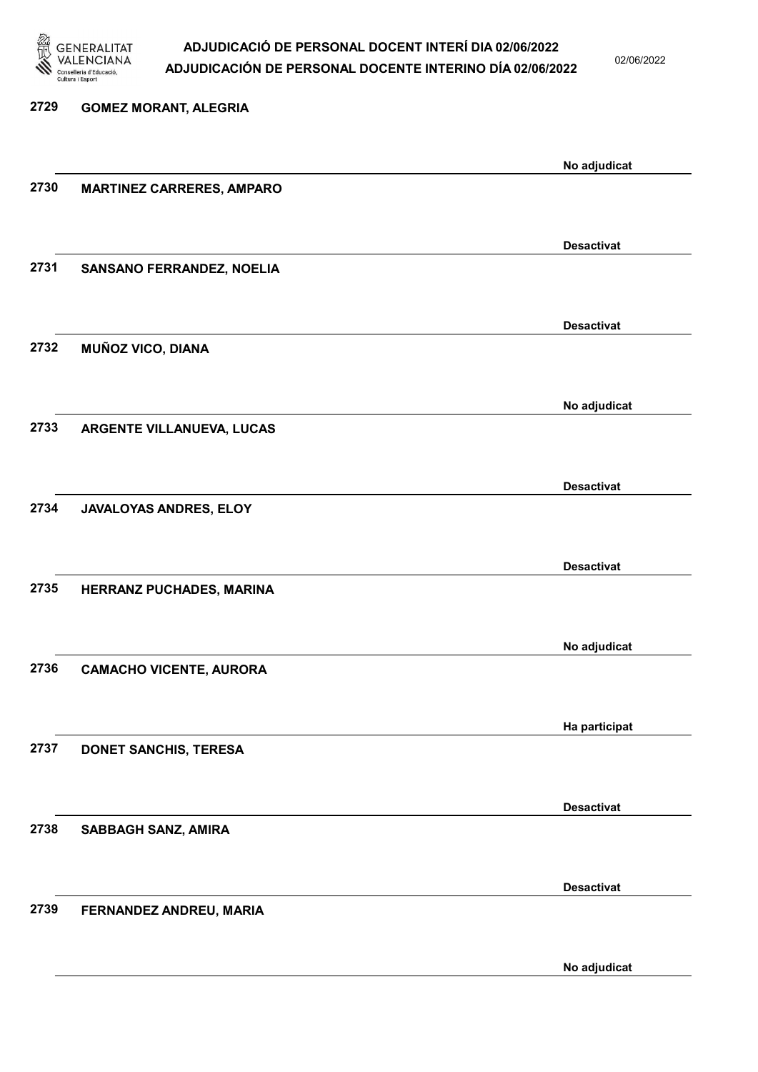

02/06/2022

| 2729 | <b>GOMEZ MORANT, ALEGRIA</b>     |                   |
|------|----------------------------------|-------------------|
|      |                                  | No adjudicat      |
| 2730 | <b>MARTINEZ CARRERES, AMPARO</b> |                   |
|      |                                  | <b>Desactivat</b> |
| 2731 | SANSANO FERRANDEZ, NOELIA        |                   |
|      |                                  | <b>Desactivat</b> |
| 2732 | <b>MUÑOZ VICO, DIANA</b>         |                   |
|      |                                  | No adjudicat      |
| 2733 | ARGENTE VILLANUEVA, LUCAS        |                   |
|      |                                  | <b>Desactivat</b> |
| 2734 | JAVALOYAS ANDRES, ELOY           |                   |
|      |                                  | <b>Desactivat</b> |
| 2735 | HERRANZ PUCHADES, MARINA         |                   |
|      |                                  | No adjudicat      |
| 2736 | <b>CAMACHO VICENTE, AURORA</b>   |                   |
|      |                                  | Ha participat     |
| 2737 | <b>DONET SANCHIS, TERESA</b>     |                   |
|      |                                  | <b>Desactivat</b> |
| 2738 | SABBAGH SANZ, AMIRA              |                   |
|      |                                  | <b>Desactivat</b> |
| 2739 | FERNANDEZ ANDREU, MARIA          |                   |
|      |                                  |                   |

No adjudicat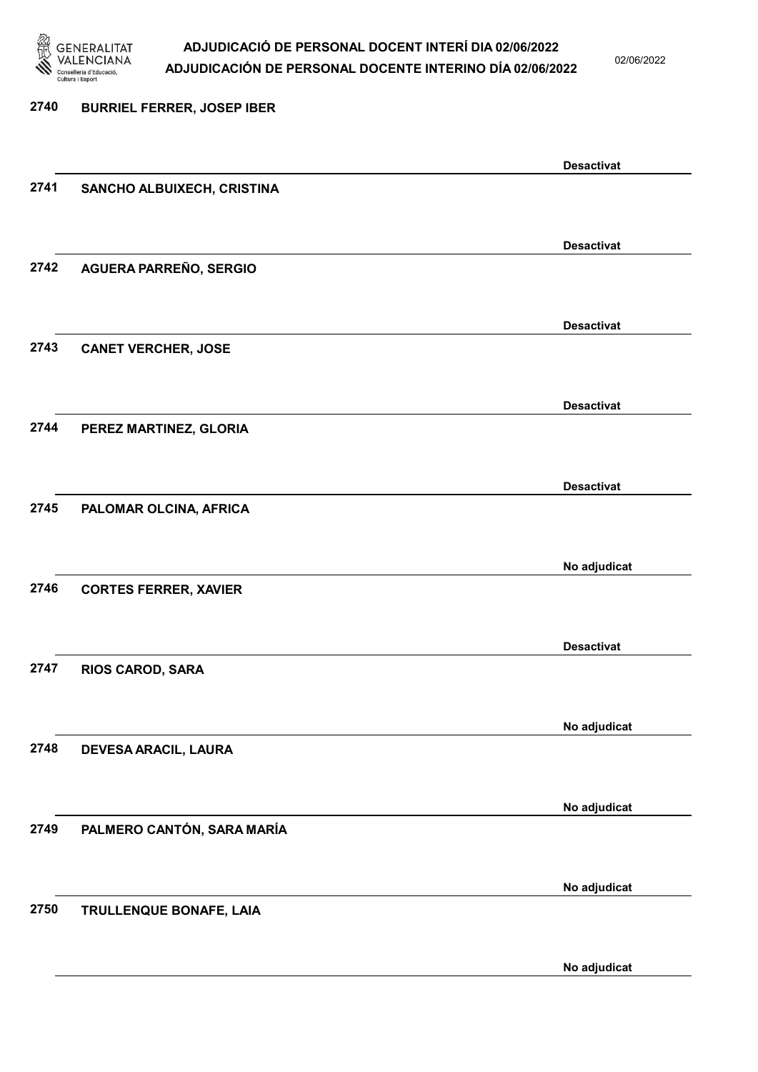

02/06/2022

## 2740 BURRIEL FERRER, JOSEP IBER Desactivat 2741 SANCHO ALBUIXECH, CRISTINA Desactivat 2742 AGUERA PARREÑO, SERGIO Desactivat 2743 CANET VERCHER, JOSE Desactivat 2744 PEREZ MARTINEZ, GLORIA Desactivat 2745 PALOMAR OLCINA, AFRICA No adjudicat 2746 CORTES FERRER, XAVIER Desactivat 2747 RIOS CAROD, SARA No adjudicat 2748 DEVESA ARACIL, LAURA No adjudicat 2749 PALMERO CANTÓN, SARA MARÍA No adjudicat 2750 TRULLENQUE BONAFE, LAIA No adjudicat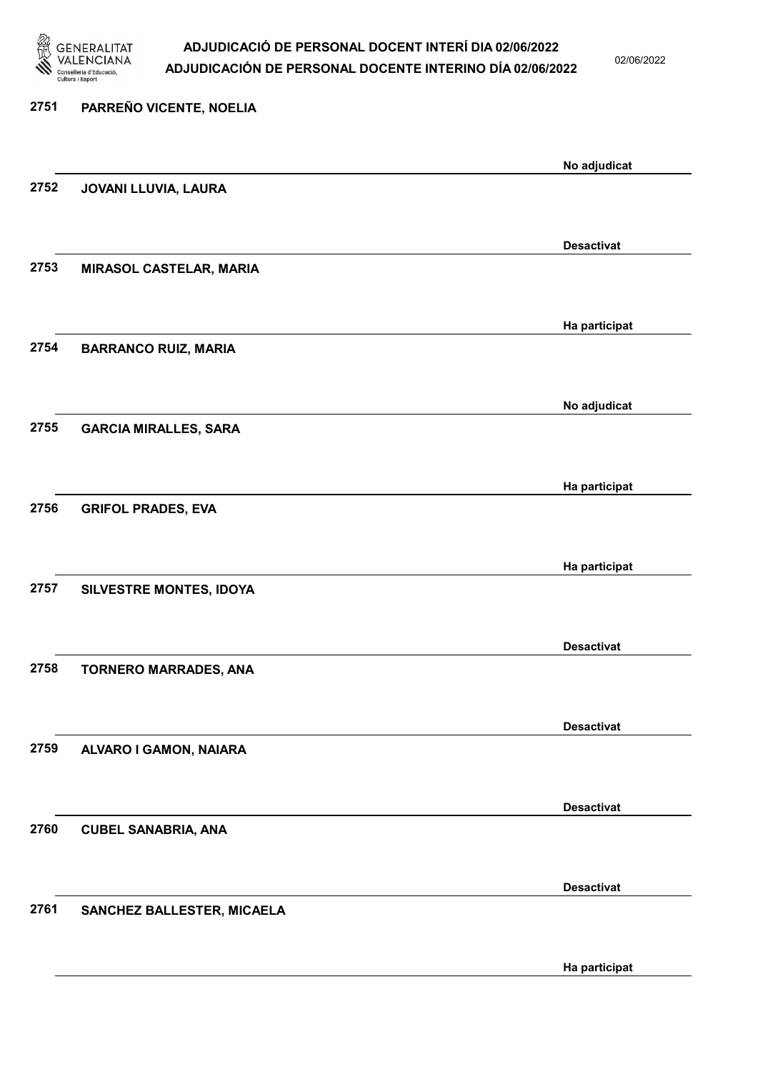

02/06/2022

Ha participat

| 2751 | PARREÑO VICENTE, NOELIA        |                   |
|------|--------------------------------|-------------------|
|      |                                | No adjudicat      |
| 2752 | JOVANI LLUVIA, LAURA           |                   |
|      |                                | <b>Desactivat</b> |
| 2753 | <b>MIRASOL CASTELAR, MARIA</b> |                   |
|      |                                | Ha participat     |
| 2754 | <b>BARRANCO RUIZ, MARIA</b>    |                   |
|      |                                | No adjudicat      |
| 2755 | <b>GARCIA MIRALLES, SARA</b>   |                   |
|      |                                | Ha participat     |
| 2756 | <b>GRIFOL PRADES, EVA</b>      |                   |
|      |                                | Ha participat     |
| 2757 | SILVESTRE MONTES, IDOYA        |                   |
|      |                                | <b>Desactivat</b> |
| 2758 | <b>TORNERO MARRADES, ANA</b>   |                   |
|      |                                | <b>Desactivat</b> |
| 2759 | ALVARO I GAMON, NAIARA         |                   |
|      |                                | <b>Desactivat</b> |
| 2760 | <b>CUBEL SANABRIA, ANA</b>     |                   |
|      |                                | <b>Desactivat</b> |
| 2761 | SANCHEZ BALLESTER, MICAELA     |                   |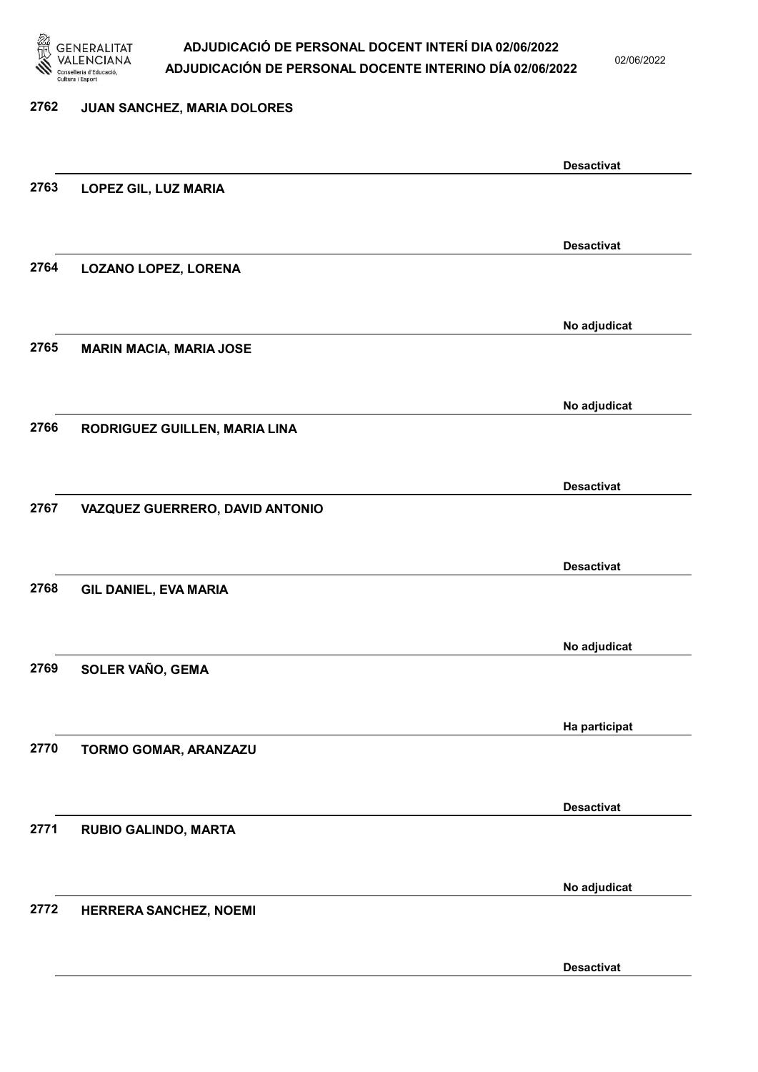

02/06/2022

# 2762 JUAN SANCHEZ, MARIA DOLORES Desactivat 2763 LOPEZ GIL, LUZ MARIA Desactivat 2764 LOZANO LOPEZ, LORENA No adjudicat 2765 MARIN MACIA, MARIA JOSE No adjudicat 2766 RODRIGUEZ GUILLEN, MARIA LINA Desactivat 2767 VAZQUEZ GUERRERO, DAVID ANTONIO Desactivat 2768 GIL DANIEL, EVA MARIA No adjudicat 2769 SOLER VAÑO, GEMA Ha participat 2770 TORMO GOMAR, ARANZAZU Desactivat 2771 RUBIO GALINDO, MARTA No adjudicat 2772 HERRERA SANCHEZ, NOEMI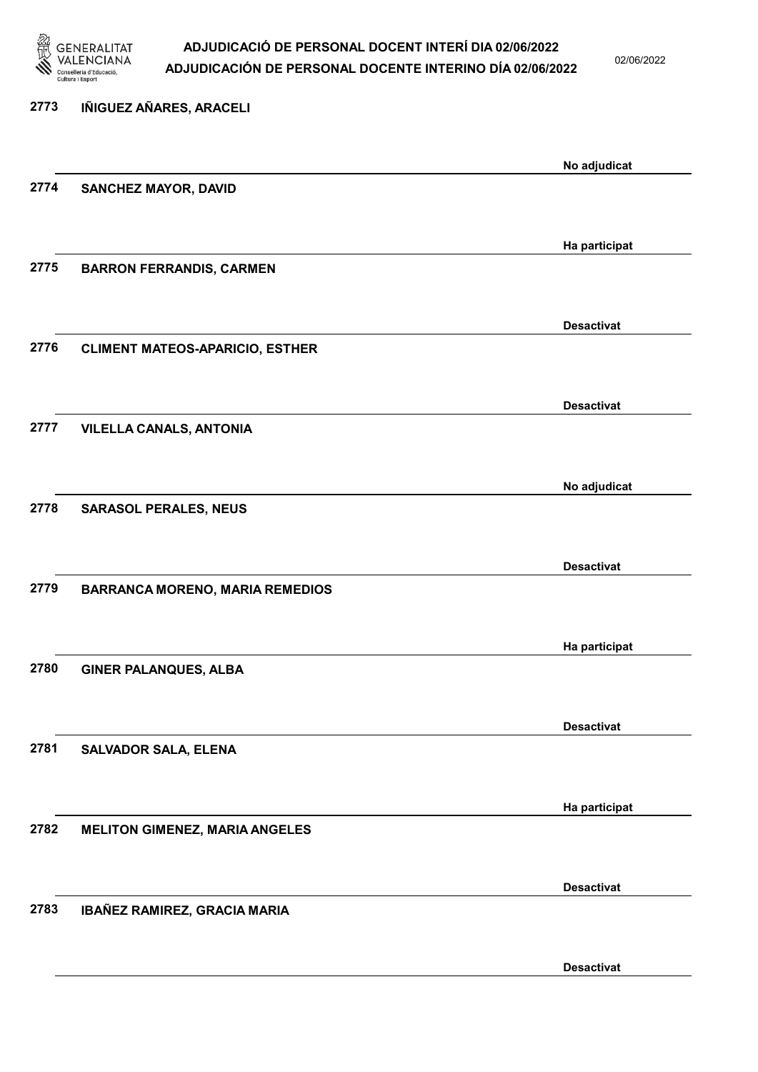

02/06/2022

Desactivat

| 2773 | IÑIGUEZ AÑARES, ARACELI                |                   |
|------|----------------------------------------|-------------------|
|      |                                        | No adjudicat      |
| 2774 | <b>SANCHEZ MAYOR, DAVID</b>            |                   |
|      |                                        |                   |
|      |                                        | Ha participat     |
| 2775 | <b>BARRON FERRANDIS, CARMEN</b>        |                   |
|      |                                        |                   |
| 2776 | <b>CLIMENT MATEOS-APARICIO, ESTHER</b> | <b>Desactivat</b> |
|      |                                        |                   |
|      |                                        | <b>Desactivat</b> |
| 2777 | <b>VILELLA CANALS, ANTONIA</b>         |                   |
|      |                                        |                   |
|      |                                        | No adjudicat      |
| 2778 | <b>SARASOL PERALES, NEUS</b>           |                   |
|      |                                        | <b>Desactivat</b> |
| 2779 | <b>BARRANCA MORENO, MARIA REMEDIOS</b> |                   |
|      |                                        |                   |
|      |                                        | Ha participat     |
| 2780 | <b>GINER PALANQUES, ALBA</b>           |                   |
|      |                                        |                   |
|      |                                        | <b>Desactivat</b> |
| 2781 | <b>SALVADOR SALA, ELENA</b>            |                   |
|      |                                        | Ha participat     |
| 2782 | <b>MELITON GIMENEZ, MARIA ANGELES</b>  |                   |
|      |                                        |                   |
|      |                                        | <b>Desactivat</b> |
| 2783 | IBAÑEZ RAMIREZ, GRACIA MARIA           |                   |
|      |                                        |                   |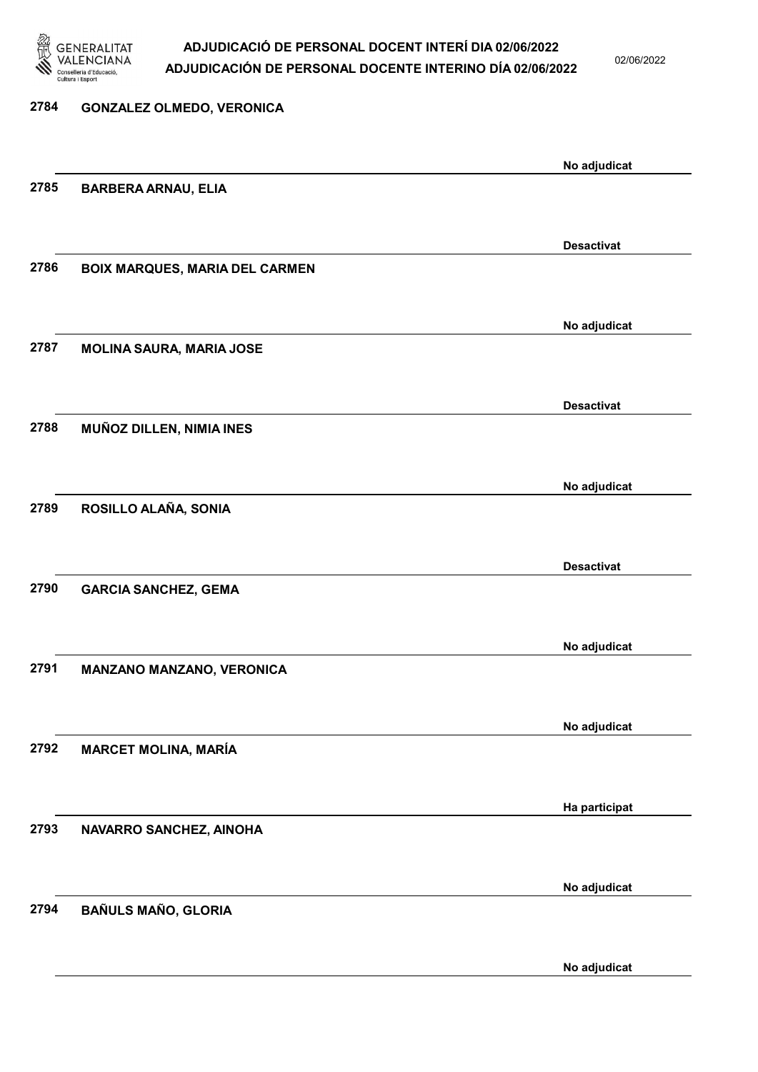

02/06/2022

# 2784 GONZALEZ OLMEDO, VERONICA No adjudicat 2785 BARBERA ARNAU, ELIA Desactivat 2786 BOIX MARQUES, MARIA DEL CARMEN No adjudicat 2787 MOLINA SAURA, MARIA JOSE Desactivat 2788 MUÑOZ DILLEN, NIMIA INES No adjudicat 2789 ROSILLO ALAÑA, SONIA Desactivat 2790 GARCIA SANCHEZ, GEMA No adjudicat 2791 MANZANO MANZANO, VERONICA No adjudicat 2792 MARCET MOLINA, MARÍA Ha participat 2793 NAVARRO SANCHEZ, AINOHA No adjudicat 2794 BAÑULS MAÑO, GLORIA No adjudicat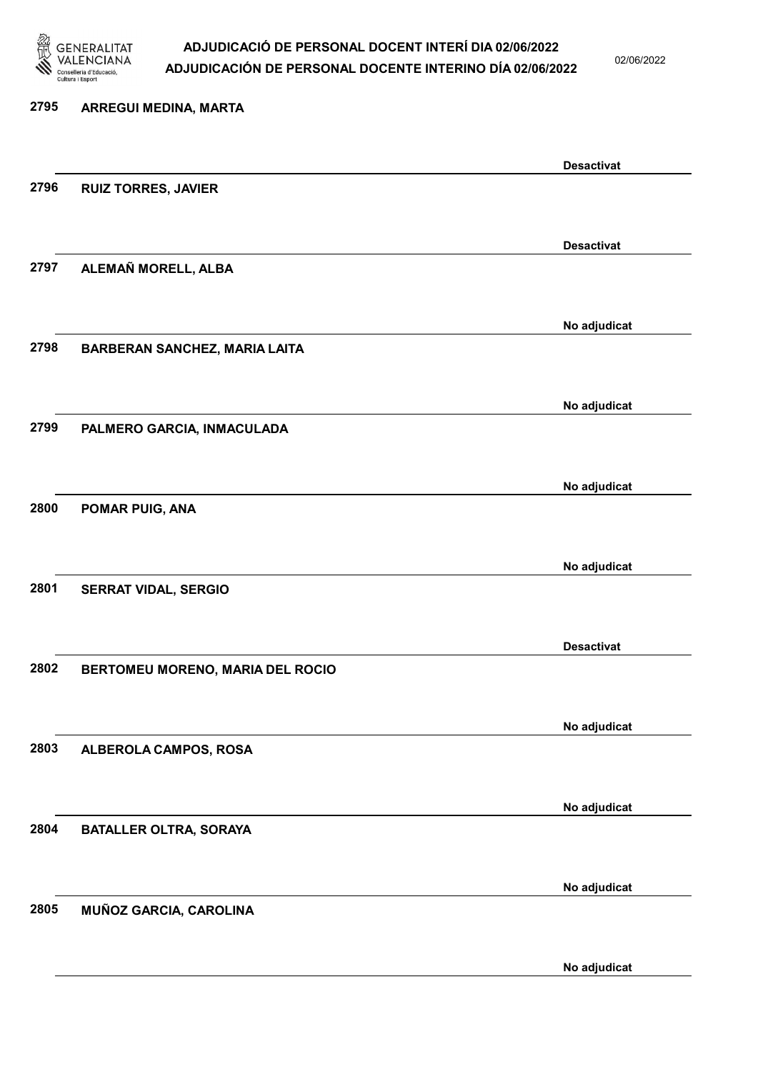

02/06/2022

| 2795 | <b>ARREGUI MEDINA, MARTA</b>         |                   |
|------|--------------------------------------|-------------------|
|      |                                      | <b>Desactivat</b> |
| 2796 | <b>RUIZ TORRES, JAVIER</b>           |                   |
|      |                                      | <b>Desactivat</b> |
| 2797 | ALEMAÑ MORELL, ALBA                  |                   |
|      |                                      | No adjudicat      |
| 2798 | <b>BARBERAN SANCHEZ, MARIA LAITA</b> |                   |
|      |                                      |                   |
| 2799 | PALMERO GARCIA, INMACULADA           | No adjudicat      |
|      |                                      |                   |
|      |                                      | No adjudicat      |
| 2800 | POMAR PUIG, ANA                      |                   |
|      |                                      |                   |
|      |                                      | No adjudicat      |
| 2801 | <b>SERRAT VIDAL, SERGIO</b>          |                   |
|      |                                      | <b>Desactivat</b> |
| 2802 | BERTOMEU MORENO, MARIA DEL ROCIO     |                   |
|      |                                      |                   |
|      |                                      | No adjudicat      |
| 2803 | ALBEROLA CAMPOS, ROSA                |                   |
|      |                                      |                   |
| 2804 | <b>BATALLER OLTRA, SORAYA</b>        | No adjudicat      |
|      |                                      |                   |
|      |                                      | No adjudicat      |
| 2805 | MUÑOZ GARCIA, CAROLINA               |                   |
|      |                                      |                   |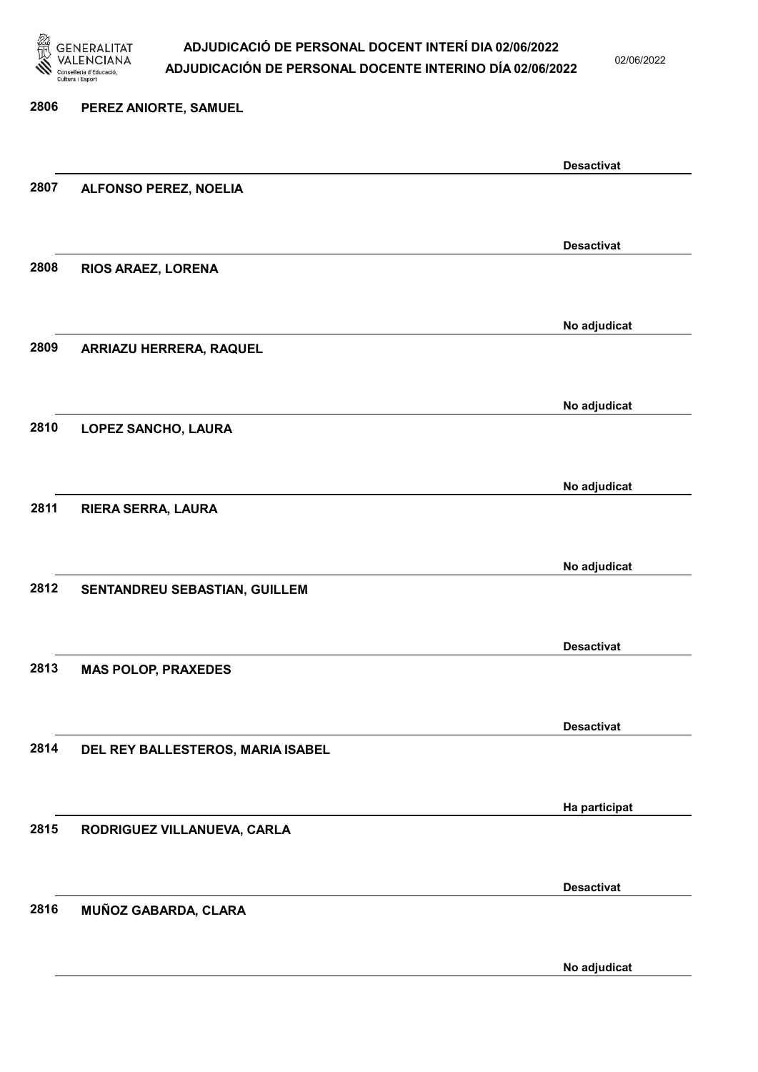

02/06/2022

No adjudicat

# 2806 PEREZ ANIORTE, SAMUEL Desactivat 2807 ALFONSO PEREZ, NOELIA Desactivat 2808 RIOS ARAEZ, LORENA No adjudicat 2809 ARRIAZU HERRERA, RAQUEL No adjudicat 2810 LOPEZ SANCHO, LAURA No adjudicat 2811 RIERA SERRA, LAURA No adjudicat 2812 SENTANDREU SEBASTIAN, GUILLEM Desactivat 2813 MAS POLOP, PRAXEDES Desactivat 2814 DEL REY BALLESTEROS, MARIA ISABEL Ha participat 2815 RODRIGUEZ VILLANUEVA, CARLA Desactivat 2816 MUÑOZ GABARDA, CLARA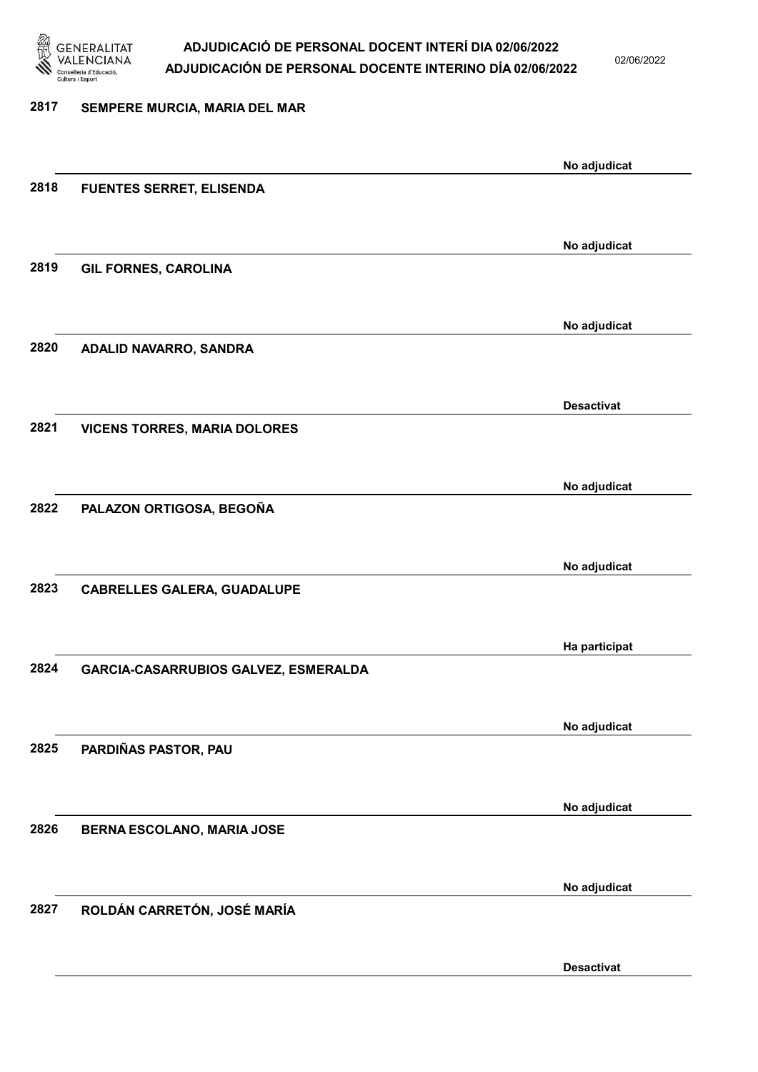

02/06/2022

# 2817 SEMPERE MURCIA, MARIA DEL MAR No adjudicat 2818 FUENTES SERRET, ELISENDA No adjudicat 2819 GIL FORNES, CAROLINA No adjudicat 2820 ADALID NAVARRO, SANDRA Desactivat 2821 VICENS TORRES, MARIA DOLORES No adjudicat 2822 PALAZON ORTIGOSA, BEGOÑA No adjudicat 2823 CABRELLES GALERA, GUADALUPE Ha participat 2824 GARCIA-CASARRUBIOS GALVEZ, ESMERALDA No adjudicat 2825 PARDIÑAS PASTOR, PAU No adjudicat 2826 BERNA ESCOLANO, MARIA JOSE No adjudicat 2827 ROLDÁN CARRETÓN, JOSÉ MARÍA

Desactivat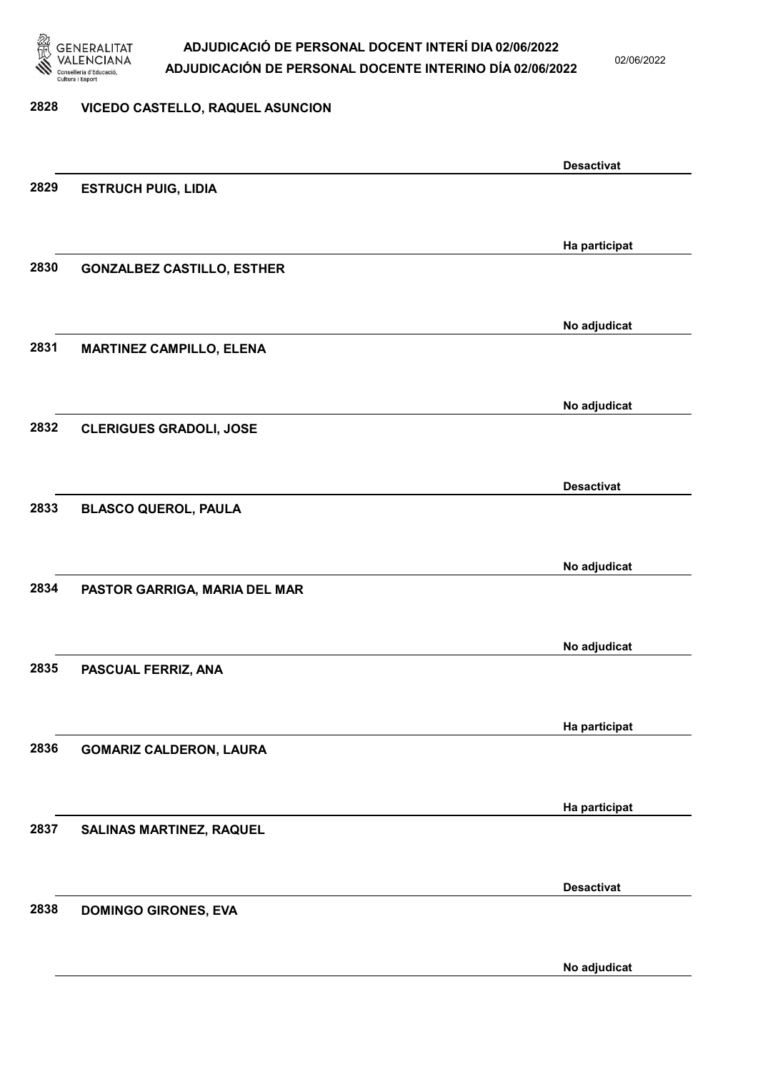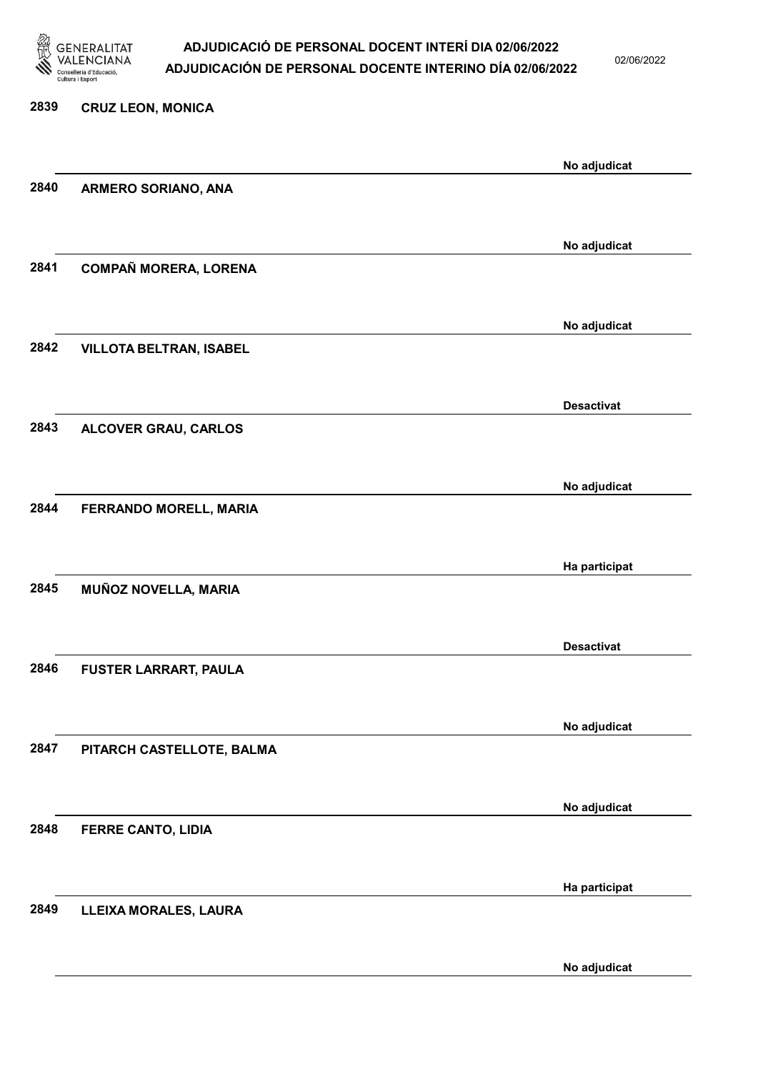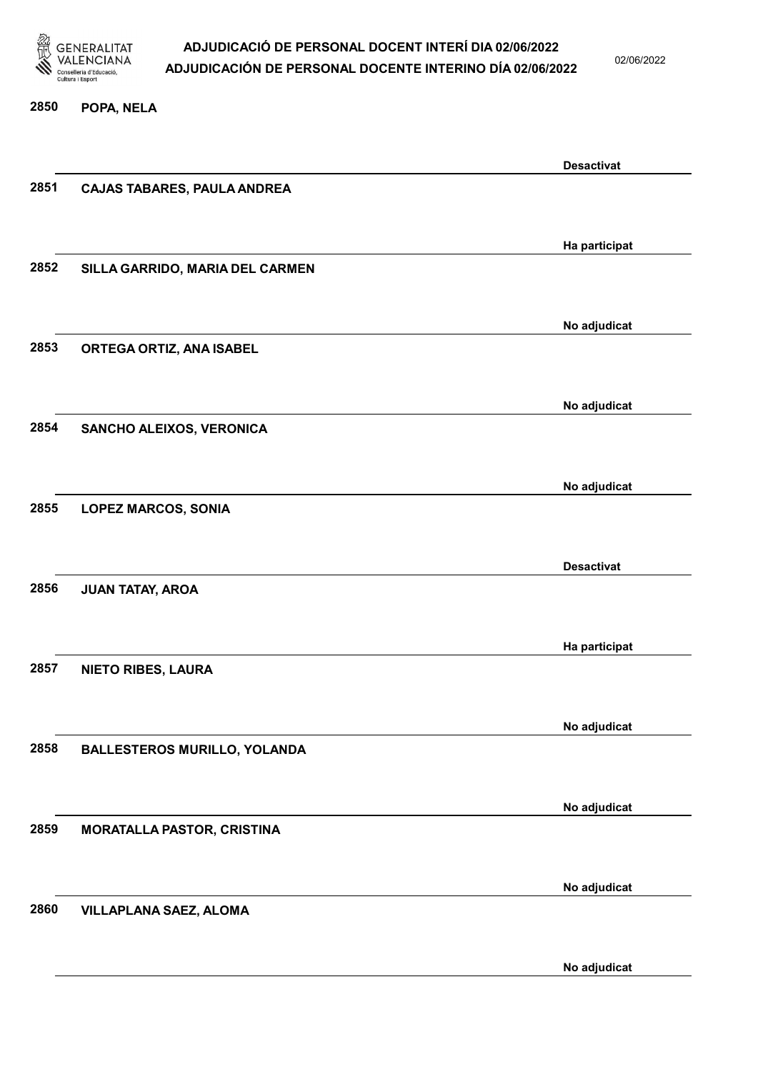

02/06/2022

#### 2850 POPA, NELA

|      |                                     | <b>Desactivat</b> |
|------|-------------------------------------|-------------------|
| 2851 | <b>CAJAS TABARES, PAULA ANDREA</b>  |                   |
|      |                                     |                   |
|      |                                     | Ha participat     |
| 2852 | SILLA GARRIDO, MARIA DEL CARMEN     |                   |
|      |                                     |                   |
|      |                                     | No adjudicat      |
| 2853 | ORTEGA ORTIZ, ANA ISABEL            |                   |
|      |                                     |                   |
|      |                                     | No adjudicat      |
| 2854 | SANCHO ALEIXOS, VERONICA            |                   |
|      |                                     |                   |
| 2855 | <b>LOPEZ MARCOS, SONIA</b>          | No adjudicat      |
|      |                                     |                   |
|      |                                     | <b>Desactivat</b> |
| 2856 | <b>JUAN TATAY, AROA</b>             |                   |
|      |                                     |                   |
|      |                                     | Ha participat     |
| 2857 | <b>NIETO RIBES, LAURA</b>           |                   |
|      |                                     |                   |
|      |                                     | No adjudicat      |
| 2858 | <b>BALLESTEROS MURILLO, YOLANDA</b> |                   |
|      |                                     |                   |
|      |                                     | No adjudicat      |
| 2859 | <b>MORATALLA PASTOR, CRISTINA</b>   |                   |
|      |                                     |                   |
|      |                                     | No adjudicat      |
| 2860 | <b>VILLAPLANA SAEZ, ALOMA</b>       |                   |
|      |                                     |                   |
|      |                                     | No adjudicat      |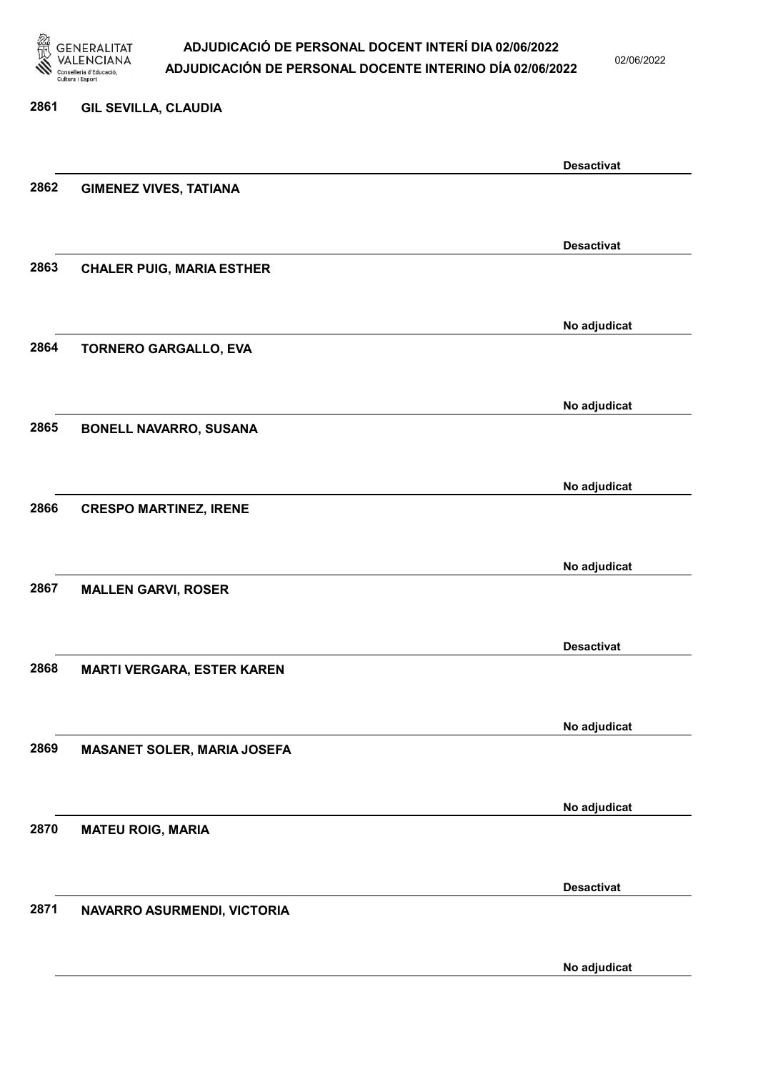

02/06/2022

No adjudicat

# 2861 GIL SEVILLA, CLAUDIA Desactivat 2862 GIMENEZ VIVES, TATIANA Desactivat 2863 CHALER PUIG, MARIA ESTHER No adjudicat 2864 TORNERO GARGALLO, EVA No adjudicat 2865 BONELL NAVARRO, SUSANA No adjudicat 2866 CRESPO MARTINEZ, IRENE No adjudicat 2867 MALLEN GARVI, ROSER Desactivat 2868 MARTI VERGARA, ESTER KAREN No adjudicat 2869 MASANET SOLER, MARIA JOSEFA No adjudicat 2870 MATEU ROIG, MARIA Desactivat 2871 NAVARRO ASURMENDI, VICTORIA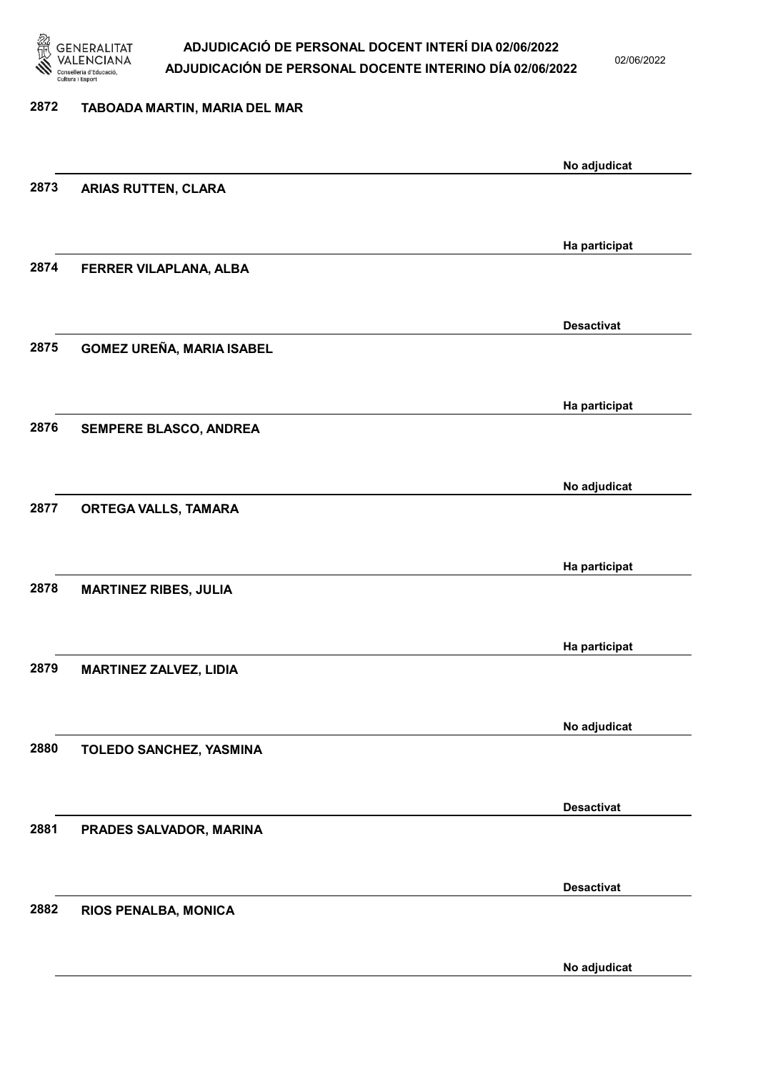

02/06/2022

# 2872 TABOADA MARTIN, MARIA DEL MAR No adjudicat 2873 ARIAS RUTTEN, CLARA Ha participat 2874 FERRER VILAPLANA, ALBA Desactivat 2875 GOMEZ UREÑA, MARIA ISABEL Ha participat 2876 SEMPERE BLASCO, ANDREA No adjudicat 2877 ORTEGA VALLS, TAMARA Ha participat 2878 MARTINEZ RIBES, JULIA Ha participat 2879 MARTINEZ ZALVEZ, LIDIA No adjudicat 2880 TOLEDO SANCHEZ, YASMINA Desactivat 2881 PRADES SALVADOR, MARINA Desactivat 2882 RIOS PENALBA, MONICA No adjudicat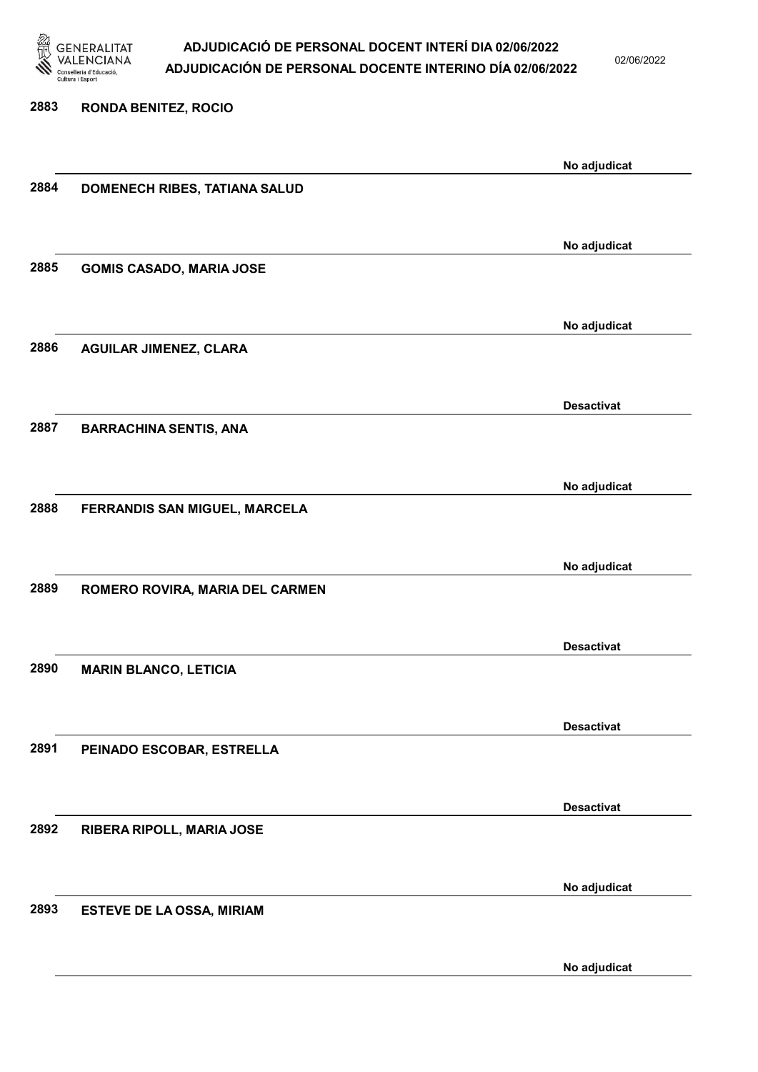

02/06/2022

| 2883 | <b>RONDA BENITEZ, ROCIO</b>      |                   |
|------|----------------------------------|-------------------|
|      |                                  |                   |
|      |                                  | No adjudicat      |
| 2884 | DOMENECH RIBES, TATIANA SALUD    |                   |
|      |                                  |                   |
|      |                                  | No adjudicat      |
| 2885 | <b>GOMIS CASADO, MARIA JOSE</b>  |                   |
|      |                                  |                   |
|      |                                  |                   |
|      |                                  | No adjudicat      |
| 2886 | <b>AGUILAR JIMENEZ, CLARA</b>    |                   |
|      |                                  |                   |
|      |                                  | <b>Desactivat</b> |
| 2887 | <b>BARRACHINA SENTIS, ANA</b>    |                   |
|      |                                  |                   |
|      |                                  |                   |
|      |                                  | No adjudicat      |
| 2888 | FERRANDIS SAN MIGUEL, MARCELA    |                   |
|      |                                  |                   |
|      |                                  | No adjudicat      |
| 2889 | ROMERO ROVIRA, MARIA DEL CARMEN  |                   |
|      |                                  |                   |
|      |                                  |                   |
|      |                                  | <b>Desactivat</b> |
| 2890 | <b>MARIN BLANCO, LETICIA</b>     |                   |
|      |                                  |                   |
|      |                                  | <b>Desactivat</b> |
| 2891 | PEINADO ESCOBAR, ESTRELLA        |                   |
|      |                                  |                   |
|      |                                  |                   |
|      |                                  | <b>Desactivat</b> |
| 2892 | RIBERA RIPOLL, MARIA JOSE        |                   |
|      |                                  |                   |
|      |                                  | No adjudicat      |
| 2893 |                                  |                   |
|      | <b>ESTEVE DE LA OSSA, MIRIAM</b> |                   |
|      |                                  |                   |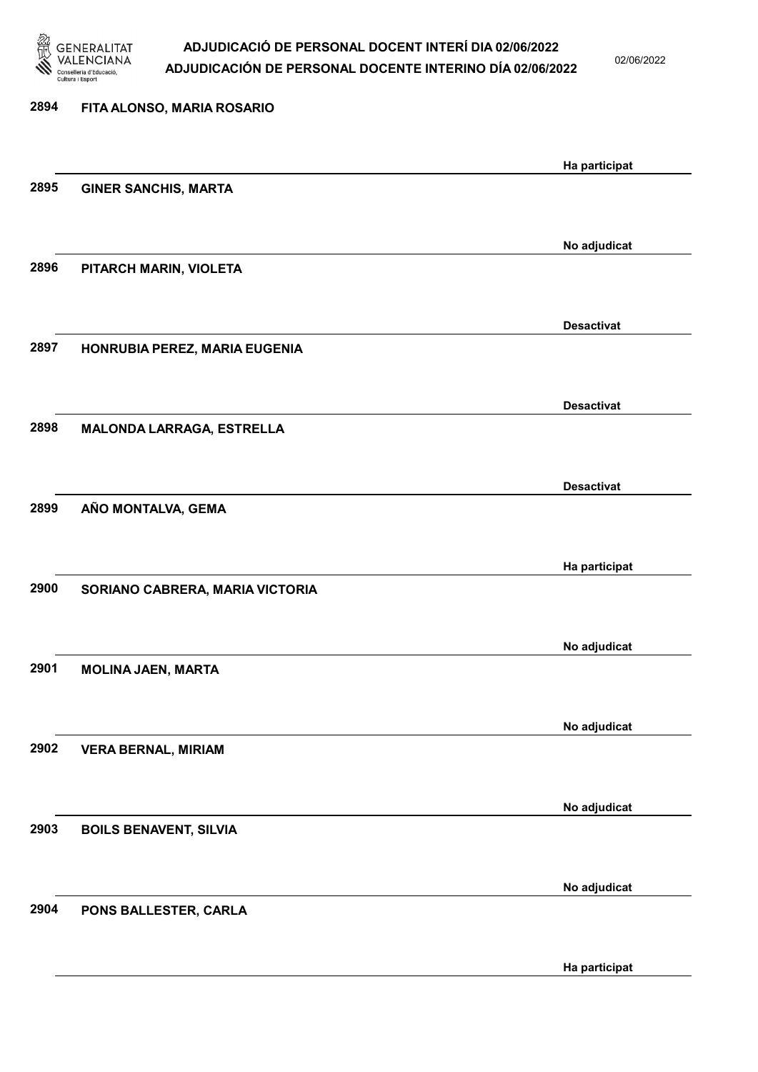

02/06/2022

| 2894 | FITA ALONSO, MARIA ROSARIO      |                   |
|------|---------------------------------|-------------------|
|      |                                 | Ha participat     |
| 2895 | <b>GINER SANCHIS, MARTA</b>     |                   |
|      |                                 |                   |
| 2896 |                                 | No adjudicat      |
|      | PITARCH MARIN, VIOLETA          |                   |
|      |                                 | <b>Desactivat</b> |
| 2897 | HONRUBIA PEREZ, MARIA EUGENIA   |                   |
|      |                                 |                   |
|      |                                 | <b>Desactivat</b> |
| 2898 | MALONDA LARRAGA, ESTRELLA       |                   |
|      |                                 | <b>Desactivat</b> |
| 2899 | AÑO MONTALVA, GEMA              |                   |
|      |                                 |                   |
|      |                                 | Ha participat     |
| 2900 | SORIANO CABRERA, MARIA VICTORIA |                   |
|      |                                 |                   |
| 2901 | <b>MOLINA JAEN, MARTA</b>       | No adjudicat      |
|      |                                 |                   |
|      |                                 | No adjudicat      |
| 2902 | <b>VERA BERNAL, MIRIAM</b>      |                   |
|      |                                 |                   |
| 2903 | <b>BOILS BENAVENT, SILVIA</b>   | No adjudicat      |
|      |                                 |                   |
|      |                                 | No adjudicat      |
| 2904 | PONS BALLESTER, CARLA           |                   |
|      |                                 |                   |

Ha participat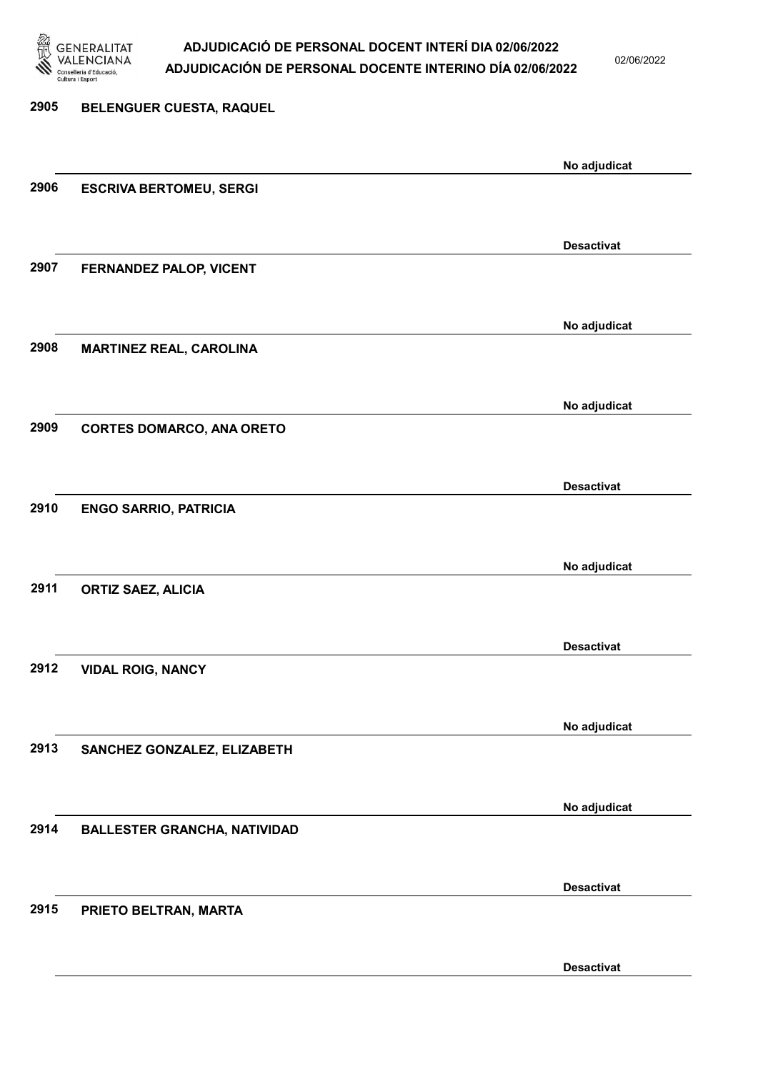

02/06/2022

# 2905 BELENGUER CUESTA, RAQUEL No adjudicat 2906 ESCRIVA BERTOMEU, SERGI Desactivat 2907 FERNANDEZ PALOP, VICENT No adjudicat 2908 MARTINEZ REAL, CAROLINA No adjudicat 2909 CORTES DOMARCO, ANA ORETO Desactivat 2910 ENGO SARRIO, PATRICIA No adjudicat 2911 ORTIZ SAEZ, ALICIA Desactivat 2912 VIDAL ROIG, NANCY No adjudicat 2913 SANCHEZ GONZALEZ, ELIZABETH No adjudicat 2914 BALLESTER GRANCHA, NATIVIDAD Desactivat 2915 PRIETO BELTRAN, MARTA Desactivat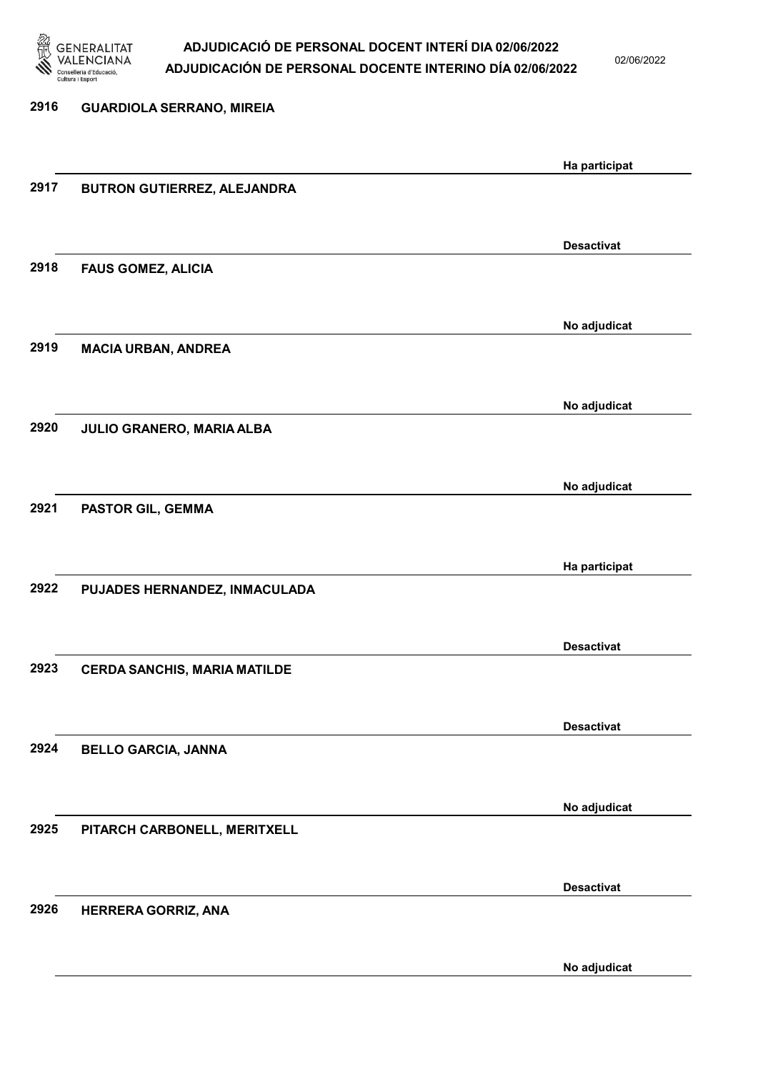

02/06/2022

| 2916 | <b>GUARDIOLA SERRANO, MIREIA</b>    |                   |
|------|-------------------------------------|-------------------|
|      |                                     | Ha participat     |
| 2917 | BUTRON GUTIERREZ, ALEJANDRA         |                   |
|      |                                     | <b>Desactivat</b> |
| 2918 | <b>FAUS GOMEZ, ALICIA</b>           |                   |
|      |                                     | No adjudicat      |
| 2919 | <b>MACIA URBAN, ANDREA</b>          |                   |
|      |                                     | No adjudicat      |
| 2920 | JULIO GRANERO, MARIA ALBA           |                   |
| 2921 |                                     | No adjudicat      |
|      | PASTOR GIL, GEMMA                   |                   |
| 2922 | PUJADES HERNANDEZ, INMACULADA       | Ha participat     |
|      |                                     |                   |
| 2923 | <b>CERDA SANCHIS, MARIA MATILDE</b> | <b>Desactivat</b> |
|      |                                     |                   |
| 2924 | <b>BELLO GARCIA, JANNA</b>          | <b>Desactivat</b> |
|      |                                     |                   |
| 2925 | PITARCH CARBONELL, MERITXELL        | No adjudicat      |
|      |                                     |                   |
| 2926 | HERRERA GORRIZ, ANA                 | <b>Desactivat</b> |
|      |                                     |                   |
|      |                                     | No adjudicat      |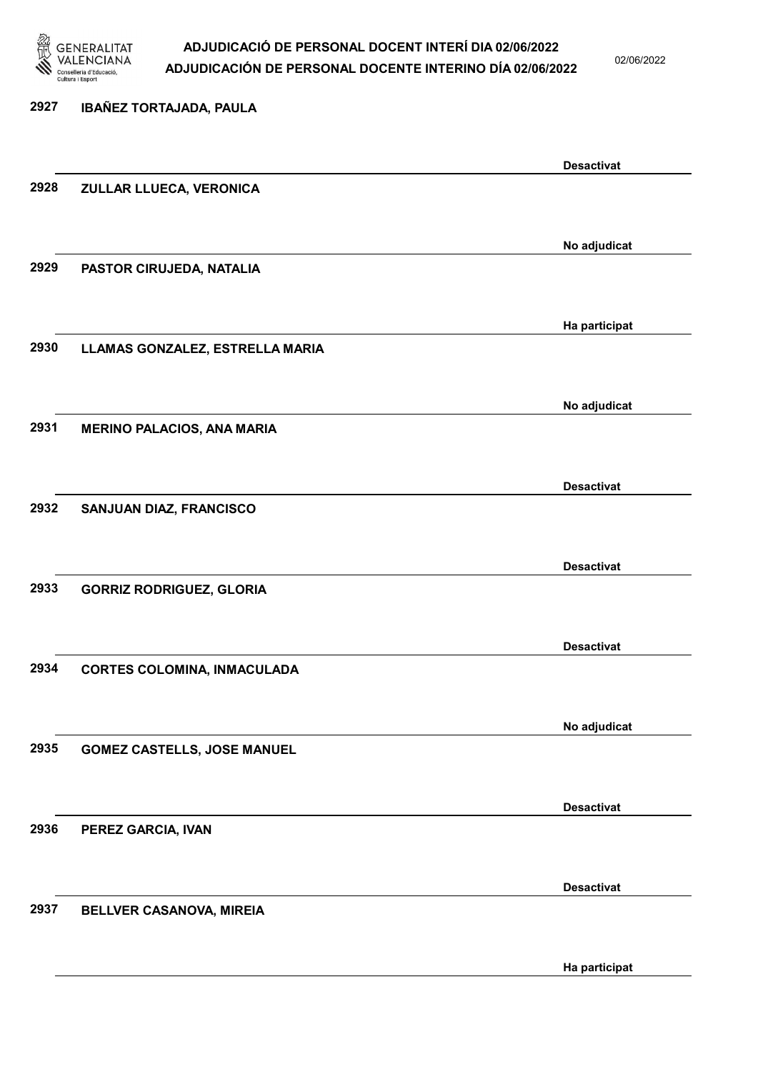

02/06/2022

Ha participat

# 2927 IBAÑEZ TORTAJADA, PAULA Desactivat 2928 ZULLAR LLUECA, VERONICA No adjudicat 2929 PASTOR CIRUJEDA, NATALIA Ha participat 2930 LLAMAS GONZALEZ, ESTRELLA MARIA No adjudicat 2931 MERINO PALACIOS, ANA MARIA Desactivat 2932 SANJUAN DIAZ, FRANCISCO Desactivat 2933 GORRIZ RODRIGUEZ, GLORIA Desactivat 2934 CORTES COLOMINA, INMACULADA No adjudicat 2935 GOMEZ CASTELLS, JOSE MANUEL Desactivat 2936 PEREZ GARCIA, IVAN Desactivat 2937 BELLVER CASANOVA, MIREIA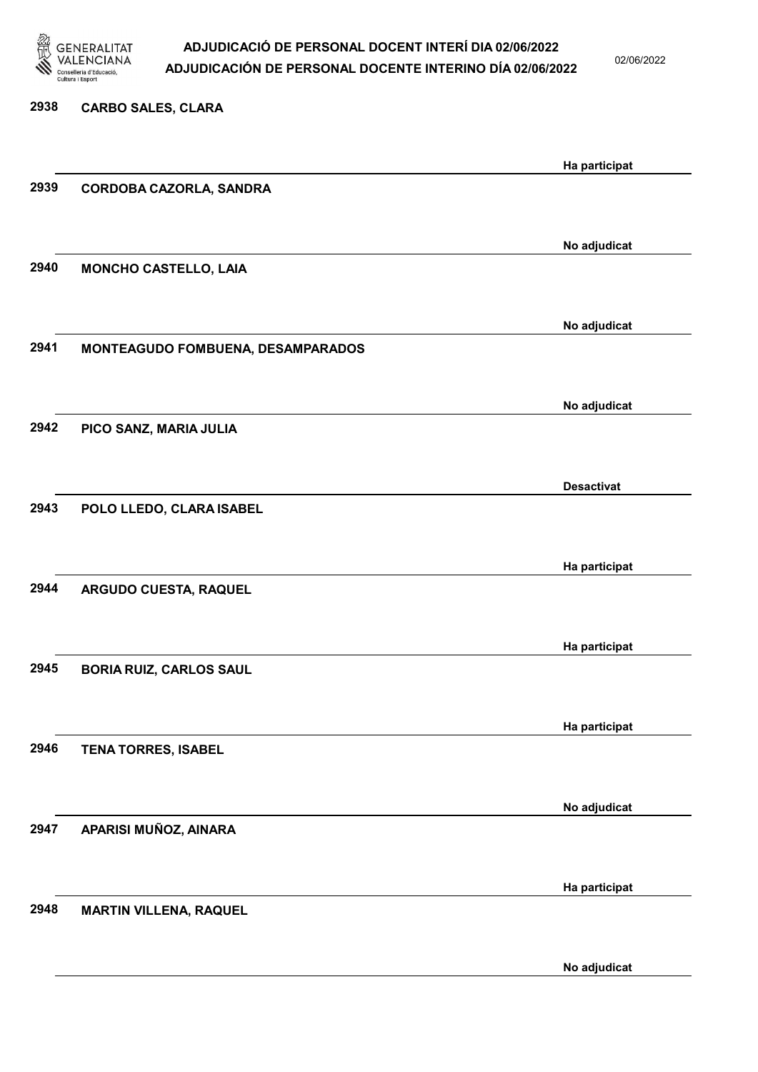

02/06/2022

| 2938 | <b>CARBO SALES, CLARA</b>         |                   |
|------|-----------------------------------|-------------------|
|      |                                   |                   |
|      |                                   | Ha participat     |
| 2939 | <b>CORDOBA CAZORLA, SANDRA</b>    |                   |
|      |                                   |                   |
|      |                                   | No adjudicat      |
| 2940 | <b>MONCHO CASTELLO, LAIA</b>      |                   |
|      |                                   |                   |
|      |                                   | No adjudicat      |
| 2941 | MONTEAGUDO FOMBUENA, DESAMPARADOS |                   |
|      |                                   |                   |
|      |                                   | No adjudicat      |
| 2942 | PICO SANZ, MARIA JULIA            |                   |
|      |                                   |                   |
|      |                                   | <b>Desactivat</b> |
| 2943 | POLO LLEDO, CLARA ISABEL          |                   |
|      |                                   |                   |
|      |                                   | Ha participat     |
| 2944 | ARGUDO CUESTA, RAQUEL             |                   |
|      |                                   |                   |
|      |                                   | Ha participat     |
| 2945 | <b>BORIA RUIZ, CARLOS SAUL</b>    |                   |
|      |                                   |                   |
|      |                                   | Ha participat     |
| 2946 | <b>TENA TORRES, ISABEL</b>        |                   |
|      |                                   |                   |
|      |                                   | No adjudicat      |
| 2947 | APARISI MUÑOZ, AINARA             |                   |
|      |                                   |                   |
|      |                                   | Ha participat     |
| 2948 | <b>MARTIN VILLENA, RAQUEL</b>     |                   |
|      |                                   |                   |
|      |                                   |                   |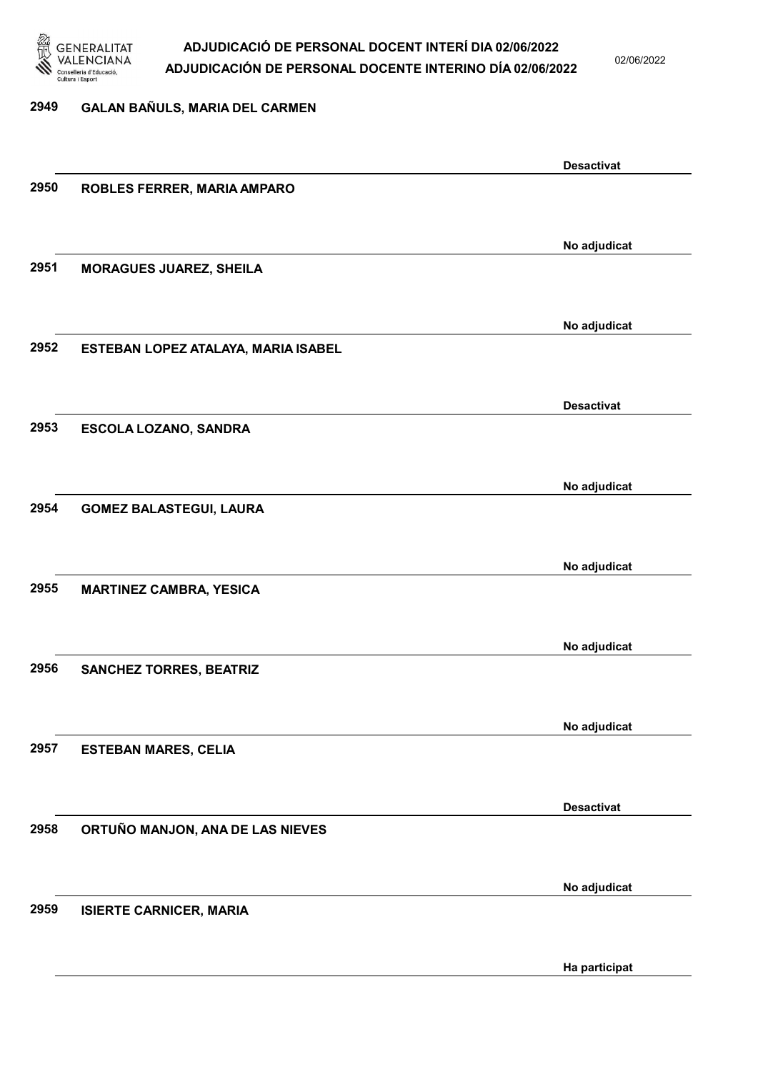

02/06/2022

#### 2949 GALAN BAÑULS, MARIA DEL CARMEN

|      |                                     | <b>Desactivat</b> |
|------|-------------------------------------|-------------------|
| 2950 | ROBLES FERRER, MARIA AMPARO         |                   |
|      |                                     |                   |
|      |                                     |                   |
|      |                                     | No adjudicat      |
| 2951 | <b>MORAGUES JUAREZ, SHEILA</b>      |                   |
|      |                                     |                   |
|      |                                     |                   |
|      |                                     | No adjudicat      |
| 2952 | ESTEBAN LOPEZ ATALAYA, MARIA ISABEL |                   |
|      |                                     |                   |
|      |                                     |                   |
|      |                                     | <b>Desactivat</b> |
| 2953 | <b>ESCOLA LOZANO, SANDRA</b>        |                   |
|      |                                     |                   |
|      |                                     |                   |
|      |                                     | No adjudicat      |
| 2954 | <b>GOMEZ BALASTEGUI, LAURA</b>      |                   |
|      |                                     |                   |
|      |                                     |                   |
|      |                                     | No adjudicat      |
| 2955 | <b>MARTINEZ CAMBRA, YESICA</b>      |                   |
|      |                                     |                   |
|      |                                     |                   |
|      |                                     | No adjudicat      |
| 2956 | <b>SANCHEZ TORRES, BEATRIZ</b>      |                   |
|      |                                     |                   |
|      |                                     |                   |
|      |                                     | No adjudicat      |
| 2957 | <b>ESTEBAN MARES, CELIA</b>         |                   |
|      |                                     |                   |
|      |                                     | <b>Desactivat</b> |
|      |                                     |                   |
| 2958 | ORTUÑO MANJON, ANA DE LAS NIEVES    |                   |
|      |                                     |                   |
|      |                                     | No adjudicat      |
| 2959 |                                     |                   |
|      | <b>ISIERTE CARNICER, MARIA</b>      |                   |
|      |                                     |                   |
|      |                                     | Ha participat     |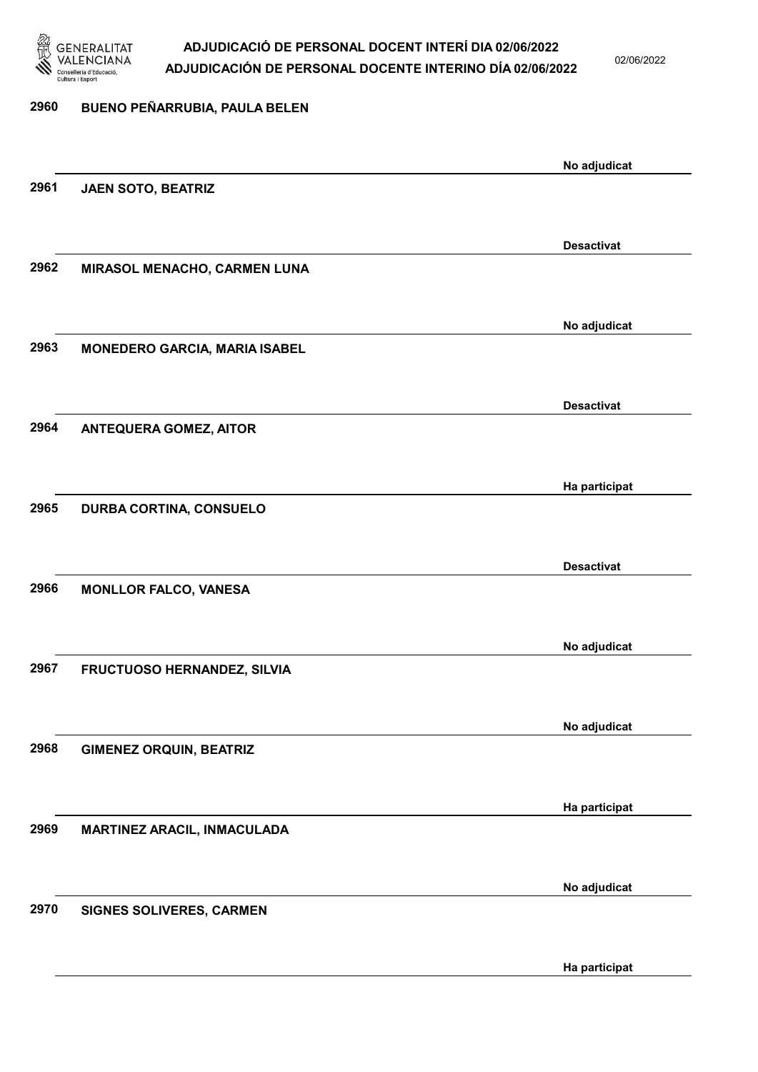

02/06/2022

| 2960 | BUENO PEÑARRUBIA, PAULA BELEN        |                   |
|------|--------------------------------------|-------------------|
|      |                                      |                   |
| 2961 |                                      | No adjudicat      |
|      | JAEN SOTO, BEATRIZ                   |                   |
|      |                                      | <b>Desactivat</b> |
| 2962 | MIRASOL MENACHO, CARMEN LUNA         |                   |
|      |                                      |                   |
|      |                                      | No adjudicat      |
| 2963 | <b>MONEDERO GARCIA, MARIA ISABEL</b> |                   |
|      |                                      |                   |
| 2964 | <b>ANTEQUERA GOMEZ, AITOR</b>        | <b>Desactivat</b> |
|      |                                      |                   |
|      |                                      | Ha participat     |
| 2965 | <b>DURBA CORTINA, CONSUELO</b>       |                   |
|      |                                      |                   |
|      |                                      | <b>Desactivat</b> |
| 2966 | <b>MONLLOR FALCO, VANESA</b>         |                   |
|      |                                      |                   |
| 2967 | FRUCTUOSO HERNANDEZ, SILVIA          | No adjudicat      |
|      |                                      |                   |
|      |                                      | No adjudicat      |
| 2968 | <b>GIMENEZ ORQUIN, BEATRIZ</b>       |                   |
|      |                                      |                   |
| 2969 | MARTINEZ ARACIL, INMACULADA          | Ha participat     |
|      |                                      |                   |
|      |                                      | No adjudicat      |
| 2970 | SIGNES SOLIVERES, CARMEN             |                   |
|      |                                      |                   |

Ha participat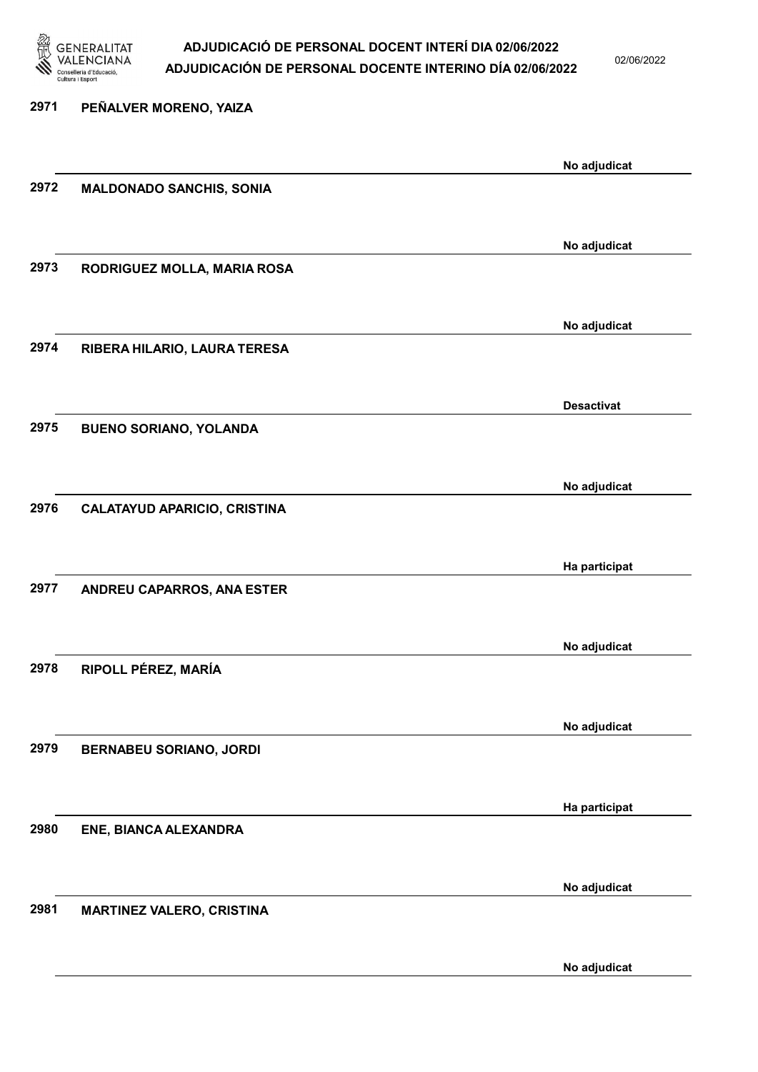

02/06/2022

| 2971 | PEÑALVER MORENO, YAIZA              |                   |
|------|-------------------------------------|-------------------|
|      |                                     |                   |
|      |                                     | No adjudicat      |
| 2972 | <b>MALDONADO SANCHIS, SONIA</b>     |                   |
|      |                                     |                   |
|      |                                     | No adjudicat      |
| 2973 | RODRIGUEZ MOLLA, MARIA ROSA         |                   |
|      |                                     |                   |
|      |                                     |                   |
|      |                                     | No adjudicat      |
| 2974 | RIBERA HILARIO, LAURA TERESA        |                   |
|      |                                     |                   |
|      |                                     | <b>Desactivat</b> |
| 2975 | <b>BUENO SORIANO, YOLANDA</b>       |                   |
|      |                                     |                   |
|      |                                     | No adjudicat      |
| 2976 | <b>CALATAYUD APARICIO, CRISTINA</b> |                   |
|      |                                     |                   |
|      |                                     |                   |
|      |                                     | Ha participat     |
| 2977 | ANDREU CAPARROS, ANA ESTER          |                   |
|      |                                     |                   |
|      |                                     | No adjudicat      |
| 2978 | RIPOLL PÉREZ, MARÍA                 |                   |
|      |                                     |                   |
|      |                                     |                   |
| 2979 |                                     | No adjudicat      |
|      | <b>BERNABEU SORIANO, JORDI</b>      |                   |
|      |                                     |                   |
|      |                                     | Ha participat     |
| 2980 | ENE, BIANCA ALEXANDRA               |                   |
|      |                                     |                   |
|      |                                     | No adjudicat      |
| 2981 | <b>MARTINEZ VALERO, CRISTINA</b>    |                   |
|      |                                     |                   |
|      |                                     |                   |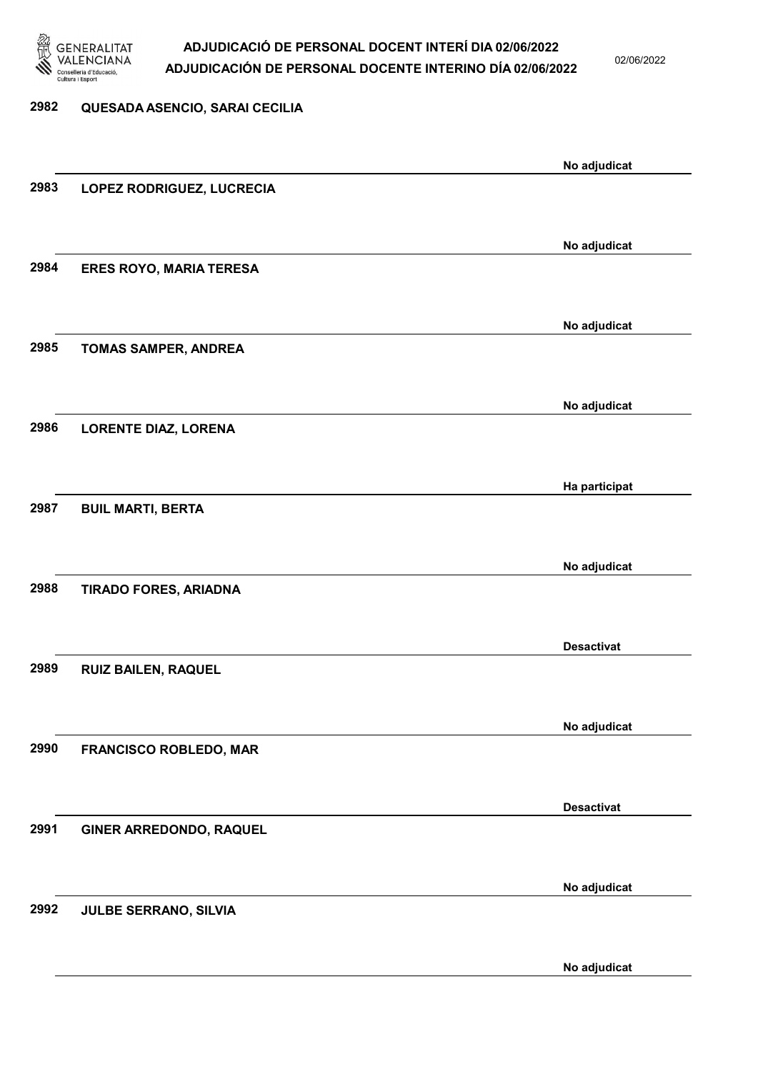

02/06/2022

No adjudicat

# 2982 QUESADA ASENCIO, SARAI CECILIA No adjudicat 2983 LOPEZ RODRIGUEZ, LUCRECIA No adjudicat 2984 ERES ROYO, MARIA TERESA No adjudicat 2985 TOMAS SAMPER, ANDREA No adjudicat 2986 LORENTE DIAZ, LORENA Ha participat 2987 BUIL MARTI, BERTA No adjudicat 2988 TIRADO FORES, ARIADNA Desactivat 2989 RUIZ BAILEN, RAQUEL No adjudicat 2990 FRANCISCO ROBLEDO, MAR Desactivat 2991 GINER ARREDONDO, RAQUEL No adjudicat 2992 JULBE SERRANO, SILVIA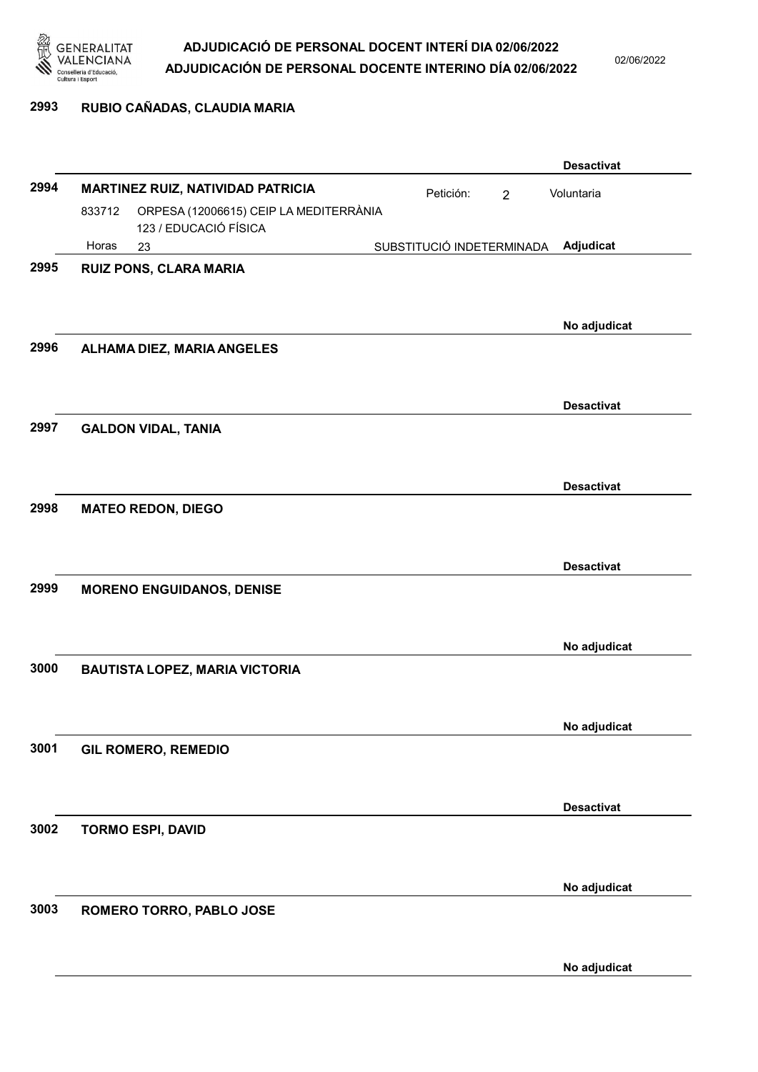

02/06/2022

# 2993 RUBIO CAÑADAS, CLAUDIA MARIA

|      |        |                                                                 |                           |                | <b>Desactivat</b> |
|------|--------|-----------------------------------------------------------------|---------------------------|----------------|-------------------|
| 2994 |        | MARTINEZ RUIZ, NATIVIDAD PATRICIA                               | Petición:                 | $\overline{2}$ | Voluntaria        |
|      | 833712 | ORPESA (12006615) CEIP LA MEDITERRÀNIA<br>123 / EDUCACIÓ FÍSICA |                           |                |                   |
|      | Horas  | 23                                                              | SUBSTITUCIÓ INDETERMINADA |                | Adjudicat         |
| 2995 |        | RUIZ PONS, CLARA MARIA                                          |                           |                | No adjudicat      |
| 2996 |        | ALHAMA DIEZ, MARIA ANGELES                                      |                           |                |                   |
|      |        |                                                                 |                           |                | <b>Desactivat</b> |
| 2997 |        | <b>GALDON VIDAL, TANIA</b>                                      |                           |                |                   |
|      |        |                                                                 |                           |                | <b>Desactivat</b> |
| 2998 |        | <b>MATEO REDON, DIEGO</b>                                       |                           |                | <b>Desactivat</b> |
| 2999 |        | <b>MORENO ENGUIDANOS, DENISE</b>                                |                           |                |                   |
|      |        |                                                                 |                           |                | No adjudicat      |
| 3000 |        | <b>BAUTISTA LOPEZ, MARIA VICTORIA</b>                           |                           |                |                   |
|      |        |                                                                 |                           |                | No adjudicat      |
| 3001 |        | <b>GIL ROMERO, REMEDIO</b>                                      |                           |                |                   |
|      |        |                                                                 |                           |                | <b>Desactivat</b> |
| 3002 |        | <b>TORMO ESPI, DAVID</b>                                        |                           |                |                   |
|      |        |                                                                 |                           |                | No adjudicat      |
| 3003 |        | ROMERO TORRO, PABLO JOSE                                        |                           |                |                   |
|      |        |                                                                 |                           |                | No adjudicat      |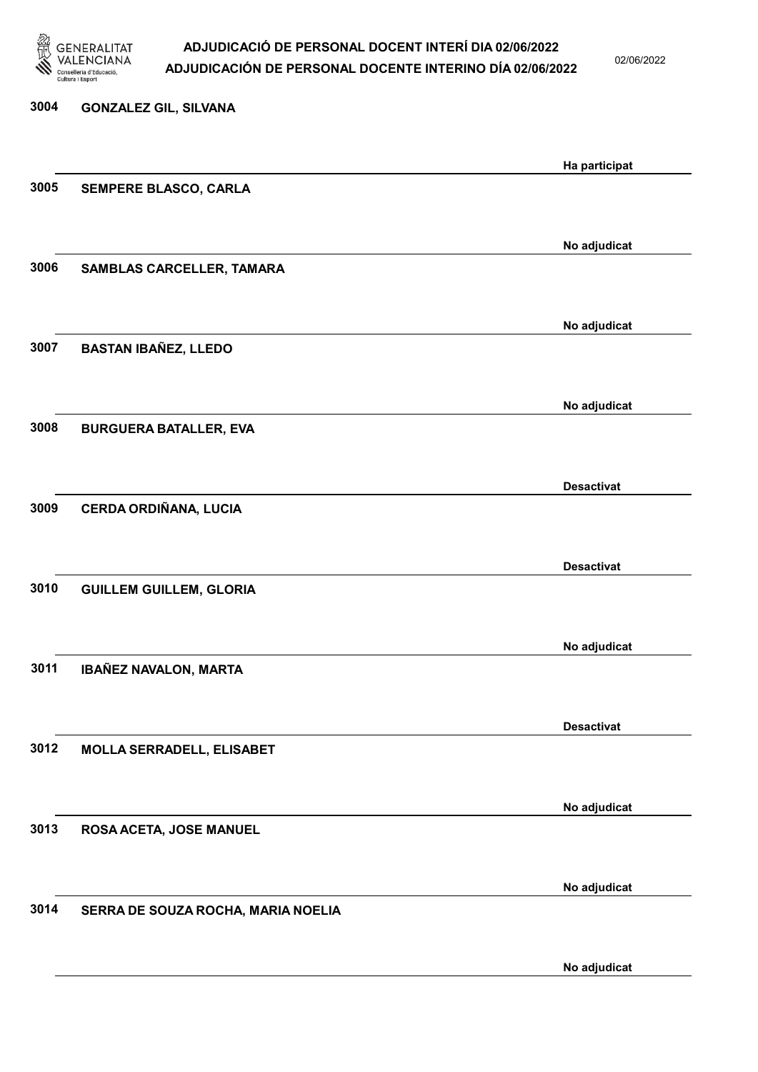

02/06/2022

No adjudicat

3004 GONZALEZ GIL, SILVANA Ha participat 3005 SEMPERE BLASCO, CARLA No adjudicat 3006 SAMBLAS CARCELLER, TAMARA No adjudicat 3007 BASTAN IBAÑEZ, LLEDO No adjudicat 3008 BURGUERA BATALLER, EVA Desactivat 3009 CERDA ORDIÑANA, LUCIA Desactivat 3010 GUILLEM GUILLEM, GLORIA No adjudicat 3011 IBAÑEZ NAVALON, MARTA Desactivat 3012 MOLLA SERRADELL, ELISABET No adjudicat 3013 ROSA ACETA, JOSE MANUEL No adjudicat 3014 SERRA DE SOUZA ROCHA, MARIA NOELIA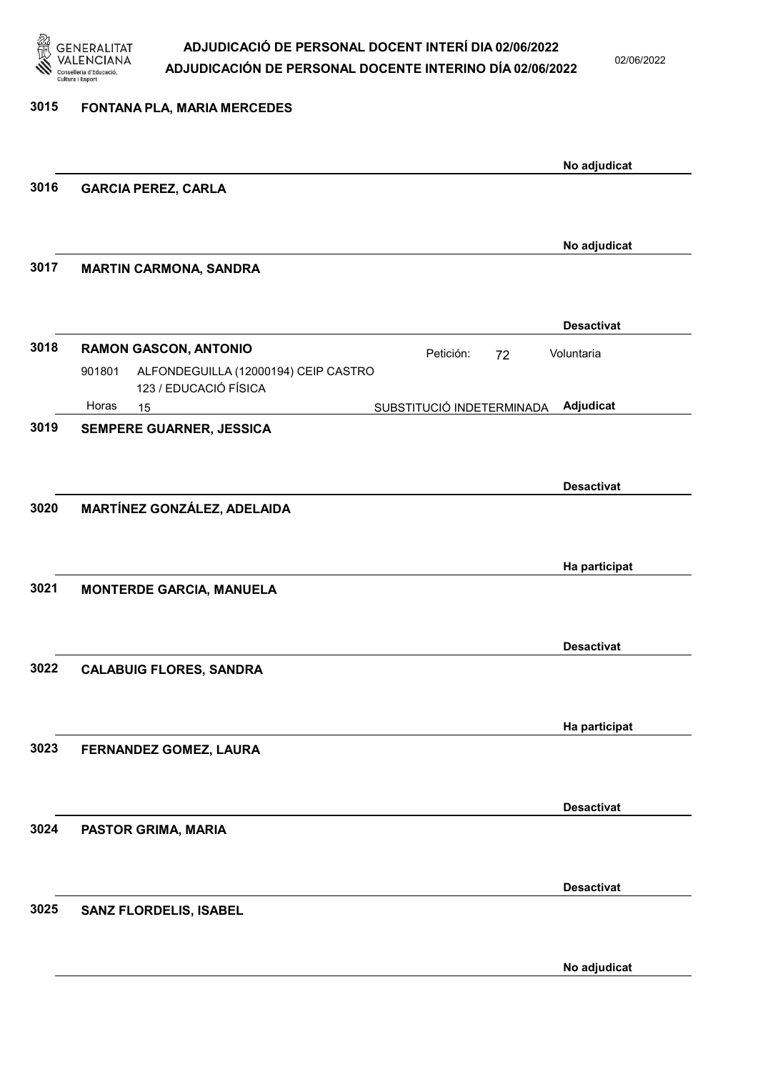

02/06/2022

| 3015 | FONTANA PLA, MARIA MERCEDES                                             |                                        |  |
|------|-------------------------------------------------------------------------|----------------------------------------|--|
|      |                                                                         | No adjudicat                           |  |
| 3016 | <b>GARCIA PEREZ, CARLA</b>                                              |                                        |  |
|      |                                                                         | No adjudicat                           |  |
| 3017 | <b>MARTIN CARMONA, SANDRA</b>                                           |                                        |  |
|      |                                                                         | <b>Desactivat</b>                      |  |
| 3018 | <b>RAMON GASCON, ANTONIO</b>                                            | Petición:<br>Voluntaria<br>72          |  |
|      | ALFONDEGUILLA (12000194) CEIP CASTRO<br>901801<br>123 / EDUCACIÓ FÍSICA |                                        |  |
|      | Horas<br>15                                                             | Adjudicat<br>SUBSTITUCIÓ INDETERMINADA |  |
| 3019 | SEMPERE GUARNER, JESSICA                                                |                                        |  |
|      |                                                                         |                                        |  |
|      |                                                                         | <b>Desactivat</b>                      |  |
| 3020 | MARTÍNEZ GONZÁLEZ, ADELAIDA                                             |                                        |  |
|      |                                                                         |                                        |  |
|      |                                                                         | Ha participat                          |  |
| 3021 | <b>MONTERDE GARCIA, MANUELA</b>                                         |                                        |  |
|      |                                                                         |                                        |  |
|      |                                                                         |                                        |  |
|      |                                                                         | <b>Desactivat</b>                      |  |
| 3022 | <b>CALABUIG FLORES, SANDRA</b>                                          |                                        |  |
|      |                                                                         |                                        |  |
|      |                                                                         | Ha participat                          |  |
| 3023 | FERNANDEZ GOMEZ, LAURA                                                  |                                        |  |
|      |                                                                         |                                        |  |
|      |                                                                         |                                        |  |
|      |                                                                         | <b>Desactivat</b>                      |  |
| 3024 | PASTOR GRIMA, MARIA                                                     |                                        |  |
|      |                                                                         |                                        |  |
|      |                                                                         | <b>Desactivat</b>                      |  |
| 3025 | SANZ FLORDELIS, ISABEL                                                  |                                        |  |
|      |                                                                         |                                        |  |
|      |                                                                         |                                        |  |
|      |                                                                         | No adjudicat                           |  |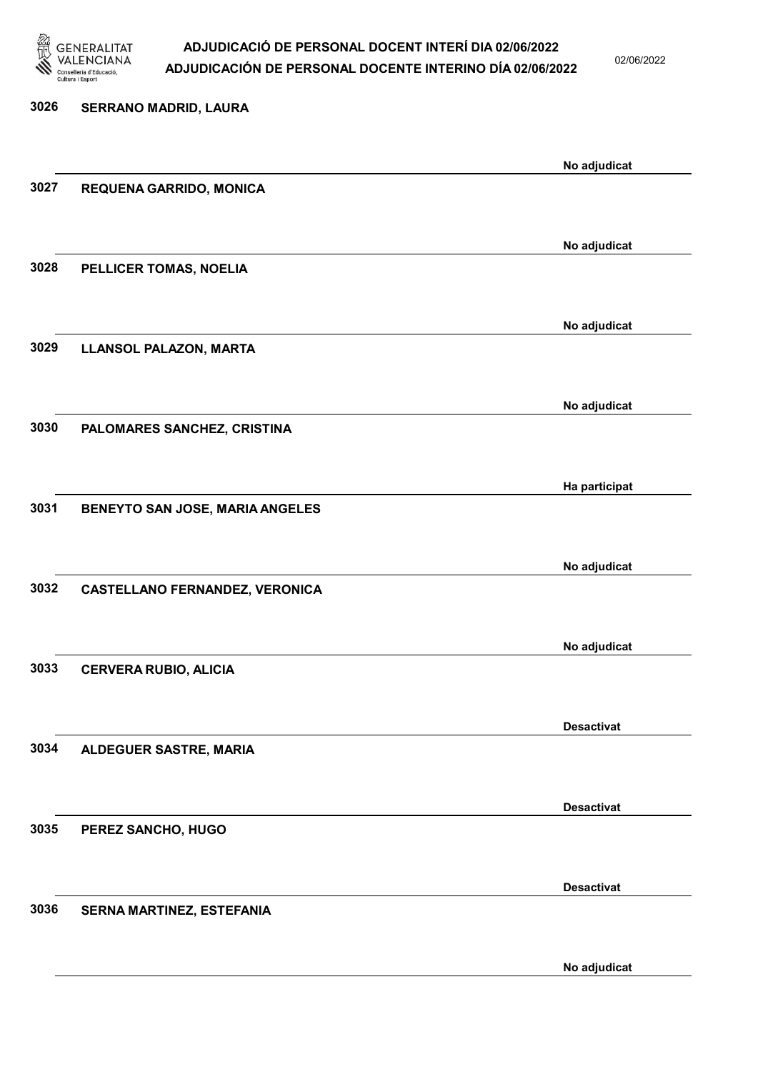

02/06/2022

No adjudicat

# 3026 SERRANO MADRID, LAURA No adjudicat 3027 REQUENA GARRIDO, MONICA No adjudicat 3028 PELLICER TOMAS, NOELIA No adjudicat 3029 LLANSOL PALAZON, MARTA No adjudicat 3030 PALOMARES SANCHEZ, CRISTINA Ha participat 3031 BENEYTO SAN JOSE, MARIA ANGELES No adjudicat 3032 CASTELLANO FERNANDEZ, VERONICA No adjudicat 3033 CERVERA RUBIO, ALICIA Desactivat 3034 ALDEGUER SASTRE, MARIA Desactivat 3035 PEREZ SANCHO, HUGO Desactivat 3036 SERNA MARTINEZ, ESTEFANIA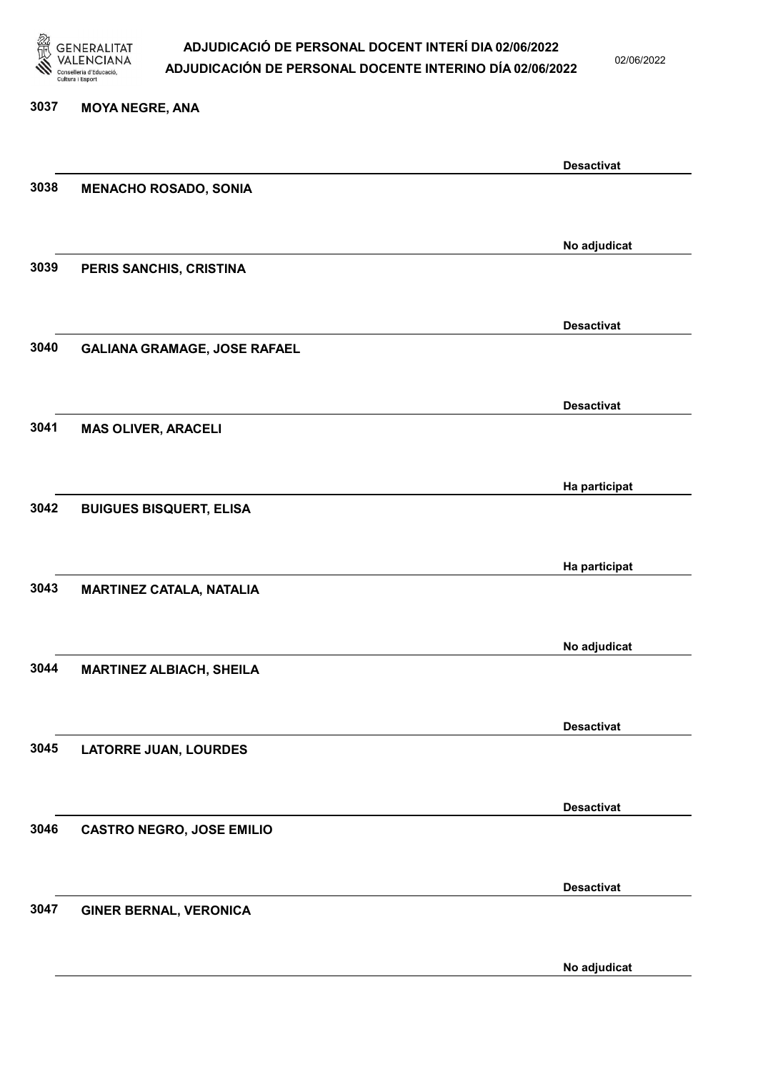

02/06/2022

#### 3037 MOYA NEGRE, ANA

|      |                                     | <b>Desactivat</b> |
|------|-------------------------------------|-------------------|
| 3038 | <b>MENACHO ROSADO, SONIA</b>        |                   |
|      |                                     |                   |
|      |                                     | No adjudicat      |
| 3039 | PERIS SANCHIS, CRISTINA             |                   |
|      |                                     |                   |
|      |                                     | <b>Desactivat</b> |
| 3040 | <b>GALIANA GRAMAGE, JOSE RAFAEL</b> |                   |
|      |                                     |                   |
| 3041 |                                     | <b>Desactivat</b> |
|      | <b>MAS OLIVER, ARACELI</b>          |                   |
|      |                                     |                   |
| 3042 | <b>BUIGUES BISQUERT, ELISA</b>      | Ha participat     |
|      |                                     |                   |
|      |                                     | Ha participat     |
| 3043 | <b>MARTINEZ CATALA, NATALIA</b>     |                   |
|      |                                     |                   |
|      |                                     | No adjudicat      |
| 3044 | <b>MARTINEZ ALBIACH, SHEILA</b>     |                   |
|      |                                     |                   |
|      |                                     | <b>Desactivat</b> |
| 3045 | <b>LATORRE JUAN, LOURDES</b>        |                   |
|      |                                     |                   |
| 3046 | <b>CASTRO NEGRO, JOSE EMILIO</b>    | <b>Desactivat</b> |
|      |                                     |                   |
|      |                                     | <b>Desactivat</b> |
| 3047 | <b>GINER BERNAL, VERONICA</b>       |                   |
|      |                                     |                   |
|      |                                     | No adjudicat      |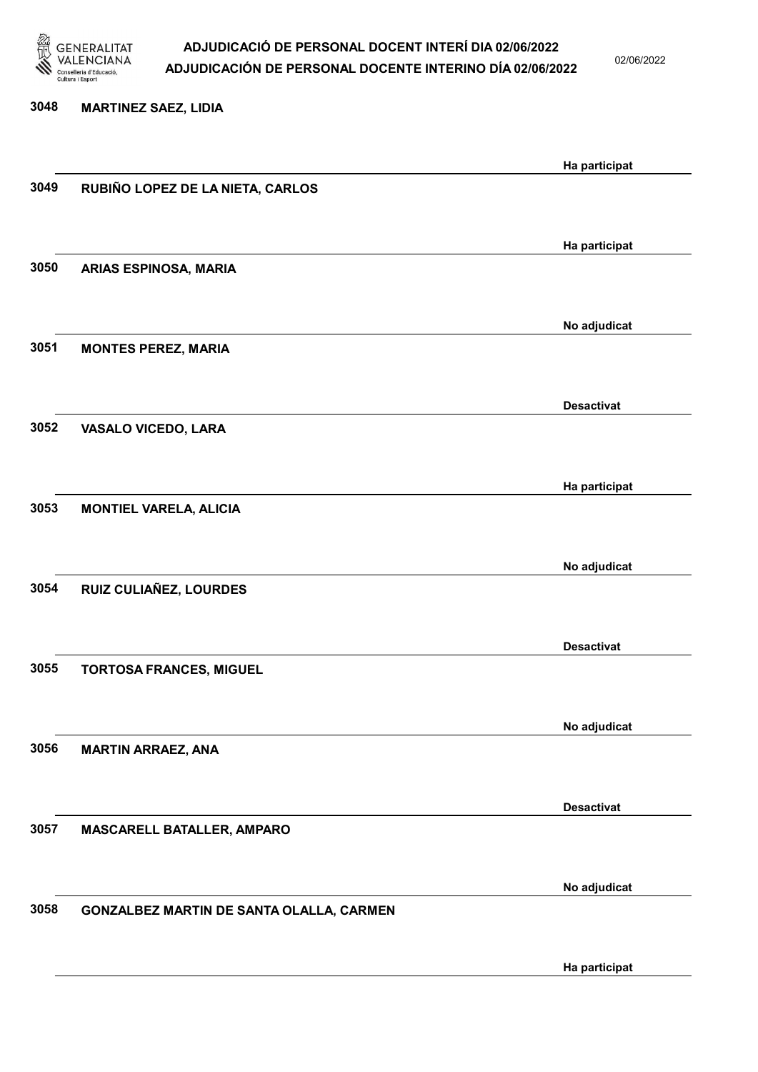

02/06/2022

Ha participat

# 3048 MARTINEZ SAEZ, LIDIA Ha participat 3049 RUBIÑO LOPEZ DE LA NIETA, CARLOS Ha participat 3050 ARIAS ESPINOSA, MARIA No adjudicat 3051 MONTES PEREZ, MARIA Desactivat 3052 VASALO VICEDO, LARA Ha participat 3053 MONTIEL VARELA, ALICIA No adjudicat 3054 RUIZ CULIAÑEZ, LOURDES Desactivat 3055 TORTOSA FRANCES, MIGUEL No adjudicat 3056 MARTIN ARRAEZ, ANA Desactivat 3057 MASCARELL BATALLER, AMPARO No adjudicat 3058 GONZALBEZ MARTIN DE SANTA OLALLA, CARMEN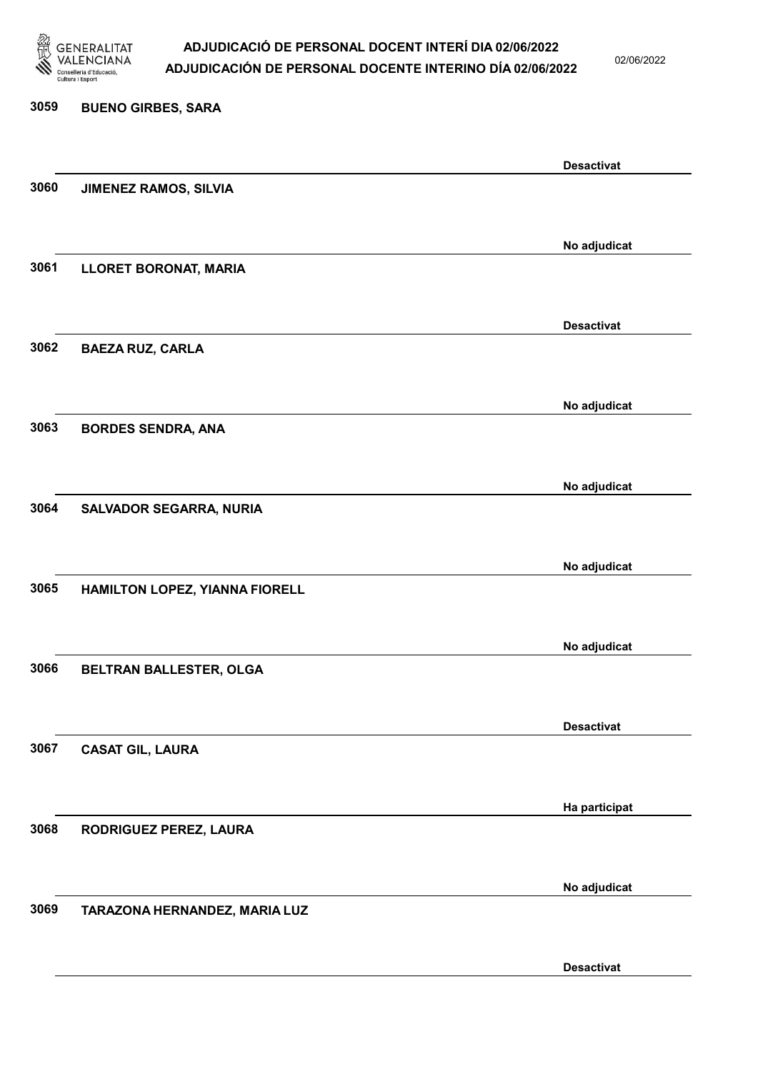

02/06/2022

Desactivat

| 3059 | <b>BUENO GIRBES, SARA</b>      |                   |
|------|--------------------------------|-------------------|
|      |                                | <b>Desactivat</b> |
| 3060 | JIMENEZ RAMOS, SILVIA          |                   |
|      |                                | No adjudicat      |
| 3061 | <b>LLORET BORONAT, MARIA</b>   |                   |
|      |                                | <b>Desactivat</b> |
| 3062 | <b>BAEZA RUZ, CARLA</b>        |                   |
|      |                                | No adjudicat      |
| 3063 | <b>BORDES SENDRA, ANA</b>      |                   |
|      |                                | No adjudicat      |
| 3064 | <b>SALVADOR SEGARRA, NURIA</b> |                   |
|      |                                | No adjudicat      |
| 3065 | HAMILTON LOPEZ, YIANNA FIORELL |                   |
|      |                                | No adjudicat      |
| 3066 | BELTRAN BALLESTER, OLGA        |                   |
|      |                                | <b>Desactivat</b> |
| 3067 | <b>CASAT GIL, LAURA</b>        |                   |
|      |                                | Ha participat     |
| 3068 | RODRIGUEZ PEREZ, LAURA         |                   |
|      |                                | No adjudicat      |
| 3069 | TARAZONA HERNANDEZ, MARIA LUZ  |                   |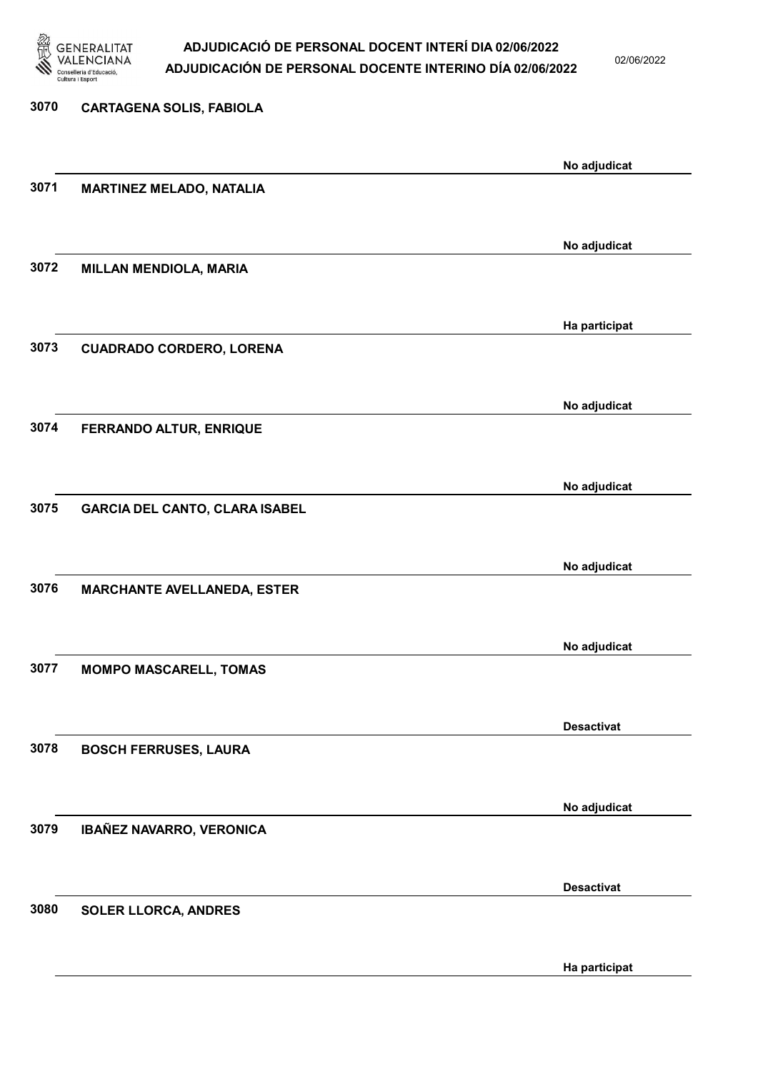

02/06/2022

| 3070 | <b>CARTAGENA SOLIS, FABIOLA</b>       |                   |
|------|---------------------------------------|-------------------|
|      |                                       | No adjudicat      |
| 3071 | <b>MARTINEZ MELADO, NATALIA</b>       |                   |
|      |                                       | No adjudicat      |
| 3072 | <b>MILLAN MENDIOLA, MARIA</b>         |                   |
|      |                                       | Ha participat     |
| 3073 | <b>CUADRADO CORDERO, LORENA</b>       |                   |
|      |                                       | No adjudicat      |
| 3074 | <b>FERRANDO ALTUR, ENRIQUE</b>        |                   |
|      |                                       | No adjudicat      |
| 3075 | <b>GARCIA DEL CANTO, CLARA ISABEL</b> |                   |
|      |                                       | No adjudicat      |
| 3076 | <b>MARCHANTE AVELLANEDA, ESTER</b>    |                   |
|      |                                       | No adjudicat      |
| 3077 | <b>MOMPO MASCARELL, TOMAS</b>         |                   |
|      |                                       | <b>Desactivat</b> |
| 3078 | <b>BOSCH FERRUSES, LAURA</b>          |                   |
|      |                                       | No adjudicat      |
| 3079 | IBAÑEZ NAVARRO, VERONICA              |                   |
|      |                                       | <b>Desactivat</b> |
| 3080 | <b>SOLER LLORCA, ANDRES</b>           |                   |

Ha participat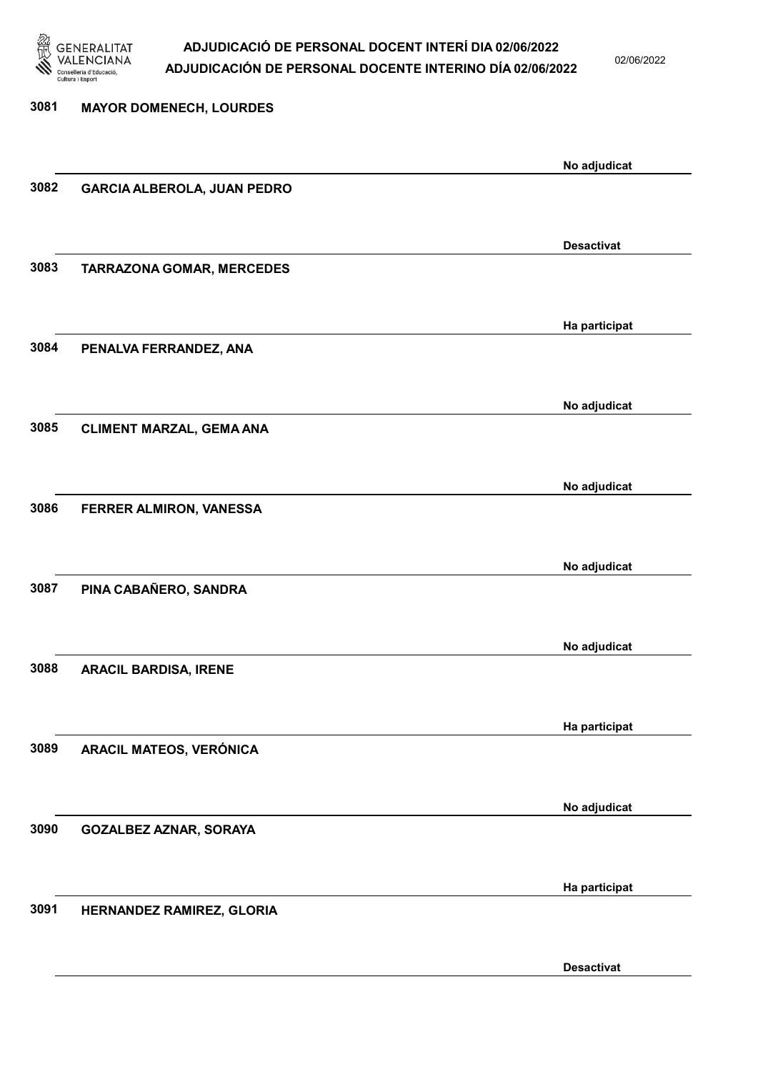

02/06/2022

# 3081 MAYOR DOMENECH, LOURDES No adjudicat 3082 GARCIA ALBEROLA, JUAN PEDRO Desactivat 3083 TARRAZONA GOMAR, MERCEDES Ha participat 3084 PENALVA FERRANDEZ, ANA No adjudicat 3085 CLIMENT MARZAL, GEMA ANA No adjudicat 3086 FERRER ALMIRON, VANESSA No adjudicat 3087 PINA CABAÑERO, SANDRA No adjudicat 3088 ARACIL BARDISA, IRENE Ha participat 3089 ARACIL MATEOS, VERÓNICA No adjudicat 3090 GOZALBEZ AZNAR, SORAYA Ha participat 3091 HERNANDEZ RAMIREZ, GLORIA Desactivat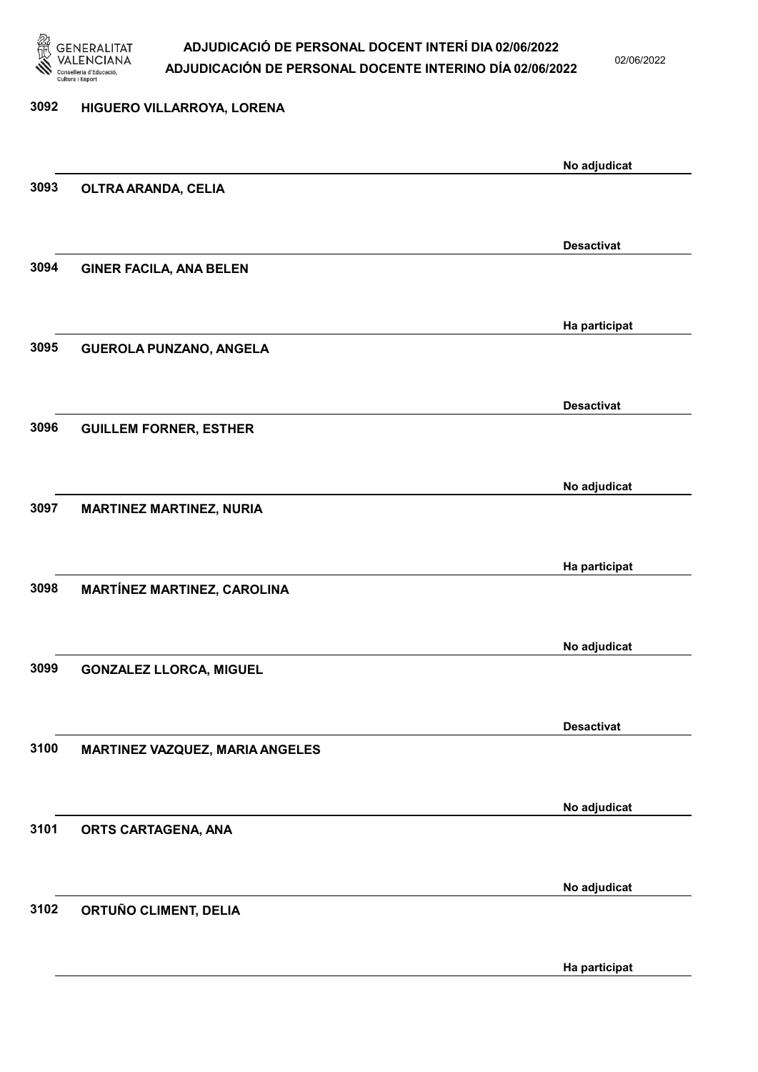

02/06/2022

# 3092 HIGUERO VILLARROYA, LORENA No adjudicat 3093 OLTRA ARANDA, CELIA Desactivat 3094 GINER FACILA, ANA BELEN Ha participat 3095 GUEROLA PUNZANO, ANGELA Desactivat 3096 GUILLEM FORNER, ESTHER No adjudicat 3097 MARTINEZ MARTINEZ, NURIA Ha participat 3098 MARTÍNEZ MARTINEZ, CAROLINA No adjudicat 3099 GONZALEZ LLORCA, MIGUEL Desactivat 3100 MARTINEZ VAZQUEZ, MARIA ANGELES No adjudicat 3101 ORTS CARTAGENA, ANA No adjudicat 3102 ORTUÑO CLIMENT, DELIA

Ha participat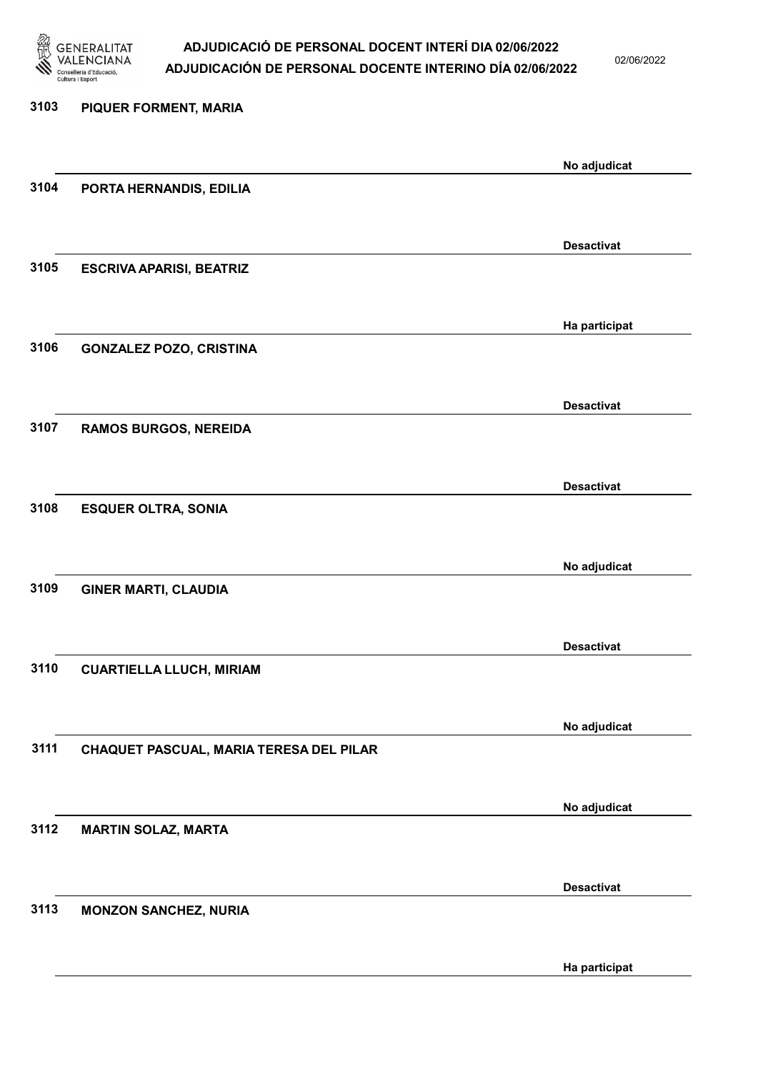

02/06/2022

Ha participat

# 3103 PIQUER FORMENT, MARIA No adjudicat 3104 PORTA HERNANDIS, EDILIA Desactivat 3105 ESCRIVA APARISI, BEATRIZ Ha participat 3106 GONZALEZ POZO, CRISTINA Desactivat 3107 RAMOS BURGOS, NEREIDA Desactivat 3108 ESQUER OLTRA, SONIA No adjudicat 3109 GINER MARTI, CLAUDIA Desactivat 3110 CUARTIELLA LLUCH, MIRIAM No adjudicat 3111 CHAQUET PASCUAL, MARIA TERESA DEL PILAR No adjudicat 3112 MARTIN SOLAZ, MARTA Desactivat 3113 MONZON SANCHEZ, NURIA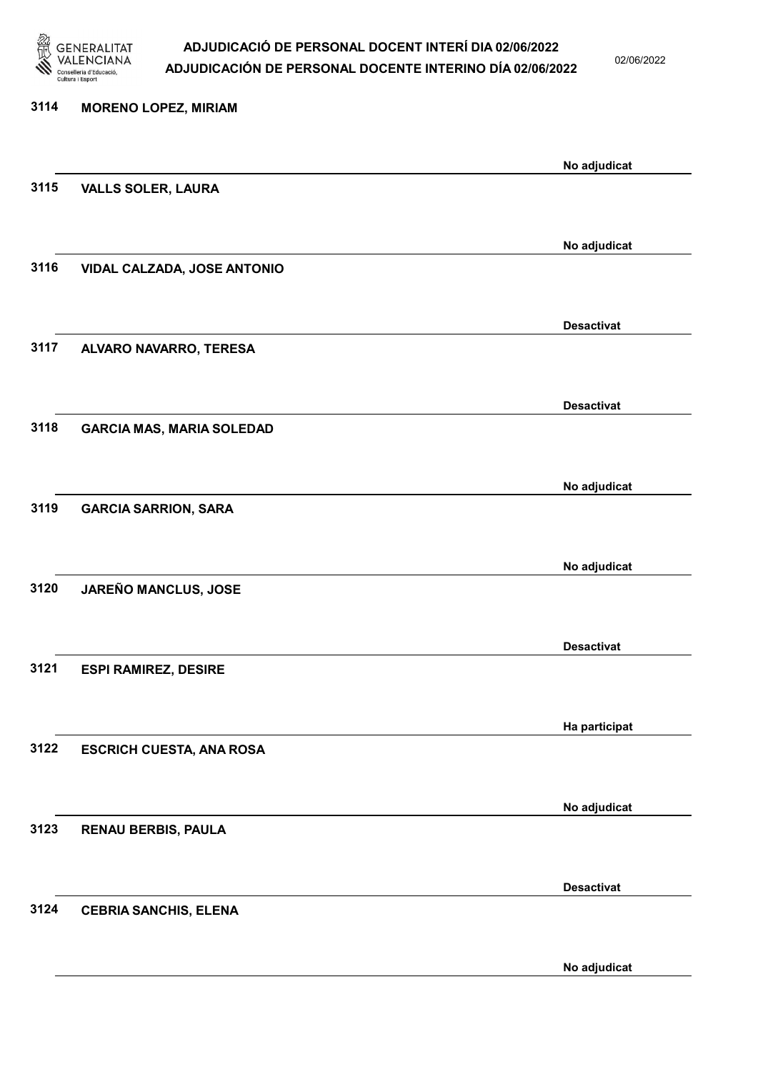

02/06/2022

| 3114 | <b>MORENO LOPEZ, MIRIAM</b>      |                   |
|------|----------------------------------|-------------------|
|      |                                  | No adjudicat      |
| 3115 | <b>VALLS SOLER, LAURA</b>        |                   |
|      |                                  |                   |
| 3116 | VIDAL CALZADA, JOSE ANTONIO      | No adjudicat      |
|      |                                  |                   |
|      |                                  | <b>Desactivat</b> |
| 3117 | ALVARO NAVARRO, TERESA           |                   |
|      |                                  |                   |
| 3118 | <b>GARCIA MAS, MARIA SOLEDAD</b> | <b>Desactivat</b> |
|      |                                  |                   |
|      |                                  | No adjudicat      |
| 3119 | <b>GARCIA SARRION, SARA</b>      |                   |
|      |                                  | No adjudicat      |
| 3120 | JAREÑO MANCLUS, JOSE             |                   |
|      |                                  |                   |
|      |                                  | <b>Desactivat</b> |
| 3121 | <b>ESPI RAMIREZ, DESIRE</b>      |                   |
|      |                                  | Ha participat     |
| 3122 | <b>ESCRICH CUESTA, ANA ROSA</b>  |                   |
|      |                                  |                   |
| 3123 | <b>RENAU BERBIS, PAULA</b>       | No adjudicat      |
|      |                                  |                   |
|      |                                  | <b>Desactivat</b> |
| 3124 | <b>CEBRIA SANCHIS, ELENA</b>     |                   |
|      |                                  |                   |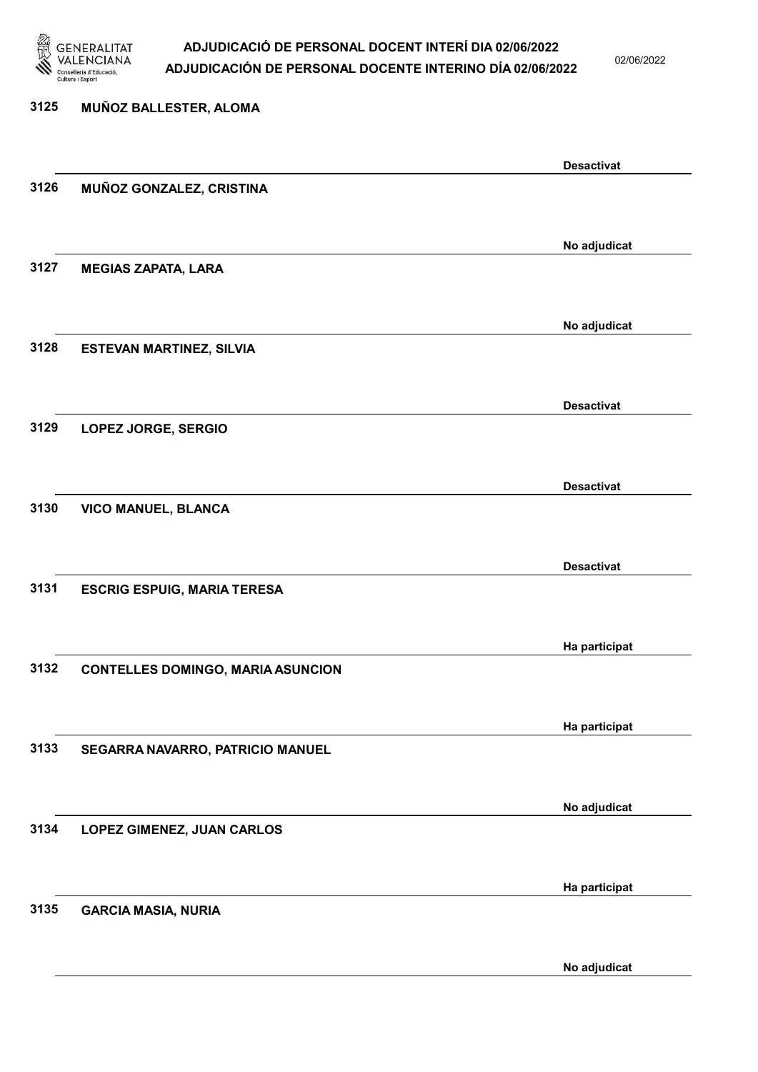

02/06/2022

# 3125 MUÑOZ BALLESTER, ALOMA Desactivat 3126 MUÑOZ GONZALEZ, CRISTINA No adjudicat 3127 MEGIAS ZAPATA, LARA No adjudicat 3128 ESTEVAN MARTINEZ, SILVIA Desactivat 3129 LOPEZ JORGE, SERGIO Desactivat 3130 VICO MANUEL, BLANCA Desactivat 3131 ESCRIG ESPUIG, MARIA TERESA Ha participat 3132 CONTELLES DOMINGO, MARIA ASUNCION Ha participat 3133 SEGARRA NAVARRO, PATRICIO MANUEL No adjudicat 3134 LOPEZ GIMENEZ, JUAN CARLOS Ha participat 3135 GARCIA MASIA, NURIA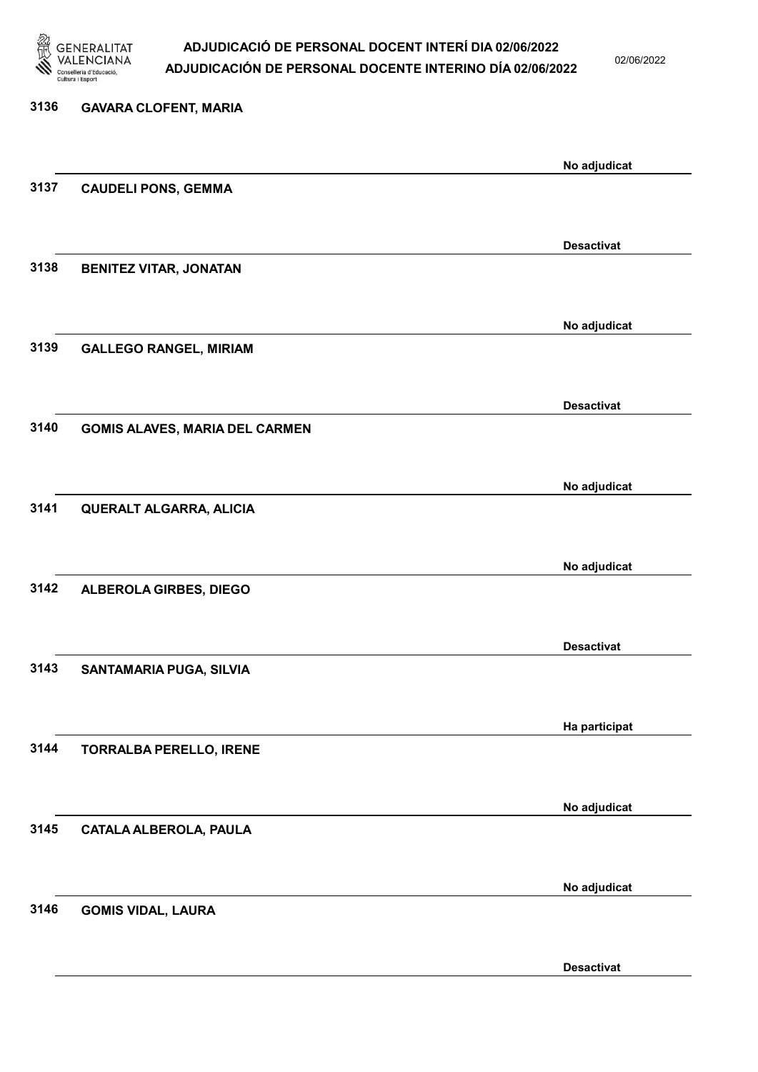

02/06/2022

| 3136 | <b>GAVARA CLOFENT, MARIA</b>          |                   |
|------|---------------------------------------|-------------------|
|      |                                       | No adjudicat      |
| 3137 | <b>CAUDELI PONS, GEMMA</b>            |                   |
|      |                                       | <b>Desactivat</b> |
| 3138 | <b>BENITEZ VITAR, JONATAN</b>         |                   |
|      |                                       | No adjudicat      |
| 3139 | <b>GALLEGO RANGEL, MIRIAM</b>         |                   |
|      |                                       | <b>Desactivat</b> |
| 3140 | <b>GOMIS ALAVES, MARIA DEL CARMEN</b> |                   |
|      |                                       | No adjudicat      |
| 3141 | QUERALT ALGARRA, ALICIA               |                   |
|      |                                       | No adjudicat      |
| 3142 | ALBEROLA GIRBES, DIEGO                |                   |
|      |                                       | <b>Desactivat</b> |
| 3143 | SANTAMARIA PUGA, SILVIA               |                   |
|      |                                       | Ha participat     |
| 3144 | <b>TORRALBA PERELLO, IRENE</b>        |                   |
|      |                                       | No adjudicat      |
| 3145 | <b>CATALA ALBEROLA, PAULA</b>         |                   |
|      |                                       | No adjudicat      |
| 3146 | <b>GOMIS VIDAL, LAURA</b>             |                   |

Desactivat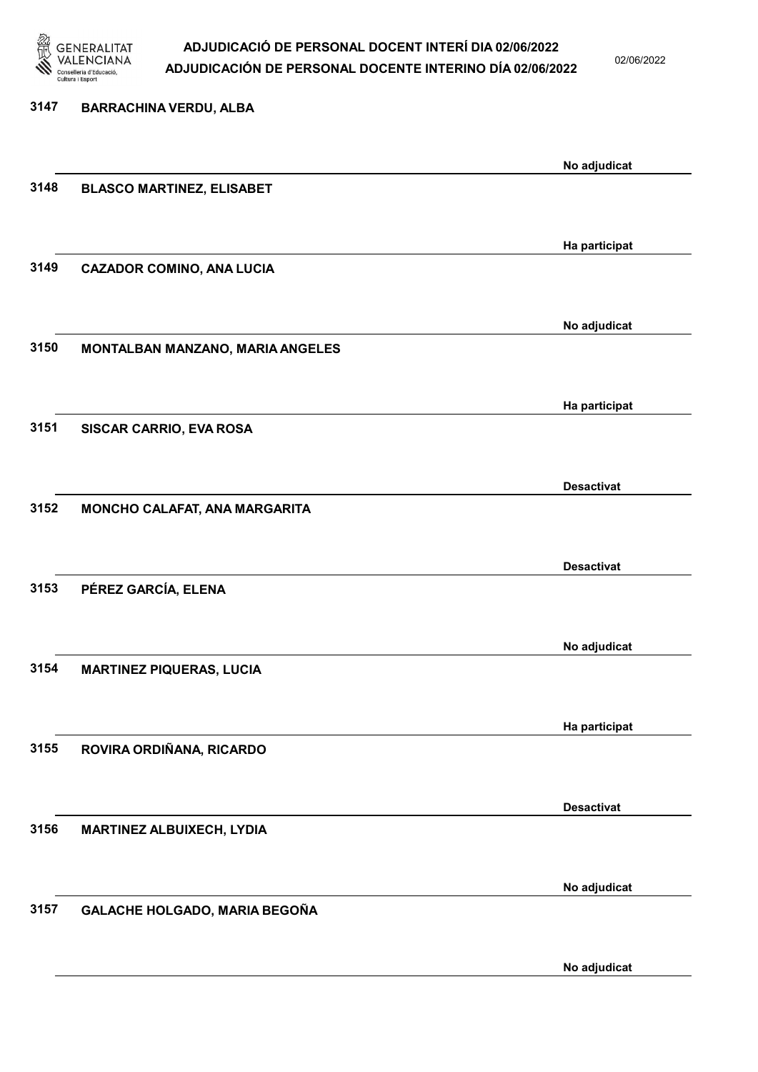

02/06/2022

| 3147 | <b>BARRACHINA VERDU, ALBA</b>    |                   |
|------|----------------------------------|-------------------|
|      |                                  | No adjudicat      |
| 3148 | <b>BLASCO MARTINEZ, ELISABET</b> |                   |
|      |                                  | Ha participat     |
| 3149 | <b>CAZADOR COMINO, ANA LUCIA</b> |                   |
|      |                                  | No adjudicat      |
| 3150 | MONTALBAN MANZANO, MARIA ANGELES |                   |
|      |                                  | Ha participat     |
| 3151 | SISCAR CARRIO, EVA ROSA          |                   |
|      |                                  | <b>Desactivat</b> |
| 3152 | MONCHO CALAFAT, ANA MARGARITA    |                   |
|      |                                  | <b>Desactivat</b> |
| 3153 | PÉREZ GARCÍA, ELENA              |                   |
|      |                                  | No adjudicat      |
| 3154 | <b>MARTINEZ PIQUERAS, LUCIA</b>  |                   |
|      |                                  | Ha participat     |
| 3155 | ROVIRA ORDIÑANA, RICARDO         |                   |
|      |                                  | <b>Desactivat</b> |
| 3156 | <b>MARTINEZ ALBUIXECH, LYDIA</b> |                   |
|      |                                  | No adjudicat      |
| 3157 | GALACHE HOLGADO, MARIA BEGOÑA    |                   |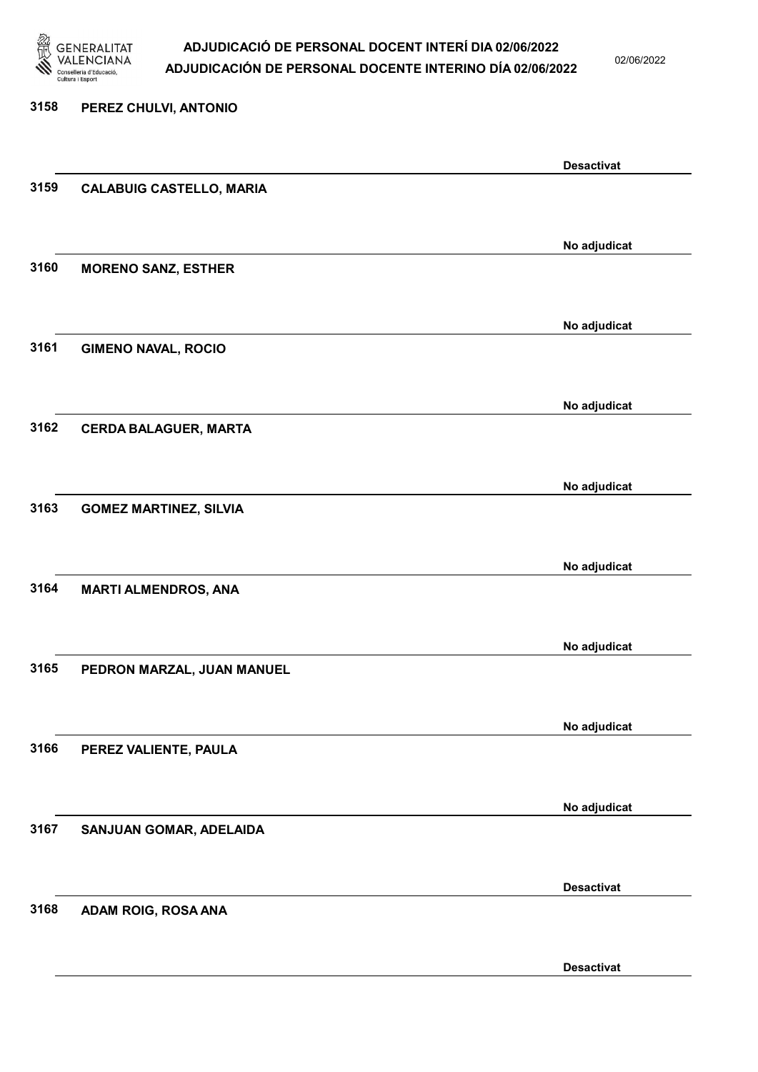

02/06/2022

#### 3158 PEREZ CHULVI, ANTONIO

|      |                                 | <b>Desactivat</b> |
|------|---------------------------------|-------------------|
| 3159 | <b>CALABUIG CASTELLO, MARIA</b> |                   |
|      |                                 |                   |
|      |                                 | No adjudicat      |
| 3160 | <b>MORENO SANZ, ESTHER</b>      |                   |
|      |                                 |                   |
|      |                                 |                   |
|      |                                 | No adjudicat      |
| 3161 | <b>GIMENO NAVAL, ROCIO</b>      |                   |
|      |                                 |                   |
|      |                                 | No adjudicat      |
| 3162 | <b>CERDA BALAGUER, MARTA</b>    |                   |
|      |                                 |                   |
|      |                                 | No adjudicat      |
| 3163 | <b>GOMEZ MARTINEZ, SILVIA</b>   |                   |
|      |                                 |                   |
|      |                                 |                   |
|      |                                 | No adjudicat      |
| 3164 | <b>MARTI ALMENDROS, ANA</b>     |                   |
|      |                                 |                   |
|      |                                 | No adjudicat      |
| 3165 | PEDRON MARZAL, JUAN MANUEL      |                   |
|      |                                 |                   |
|      |                                 | No adjudicat      |
| 3166 | PEREZ VALIENTE, PAULA           |                   |
|      |                                 |                   |
|      |                                 |                   |
| 3167 | SANJUAN GOMAR, ADELAIDA         | No adjudicat      |
|      |                                 |                   |
|      |                                 |                   |
|      |                                 | <b>Desactivat</b> |
| 3168 | ADAM ROIG, ROSA ANA             |                   |
|      |                                 |                   |
|      |                                 | <b>Desactivat</b> |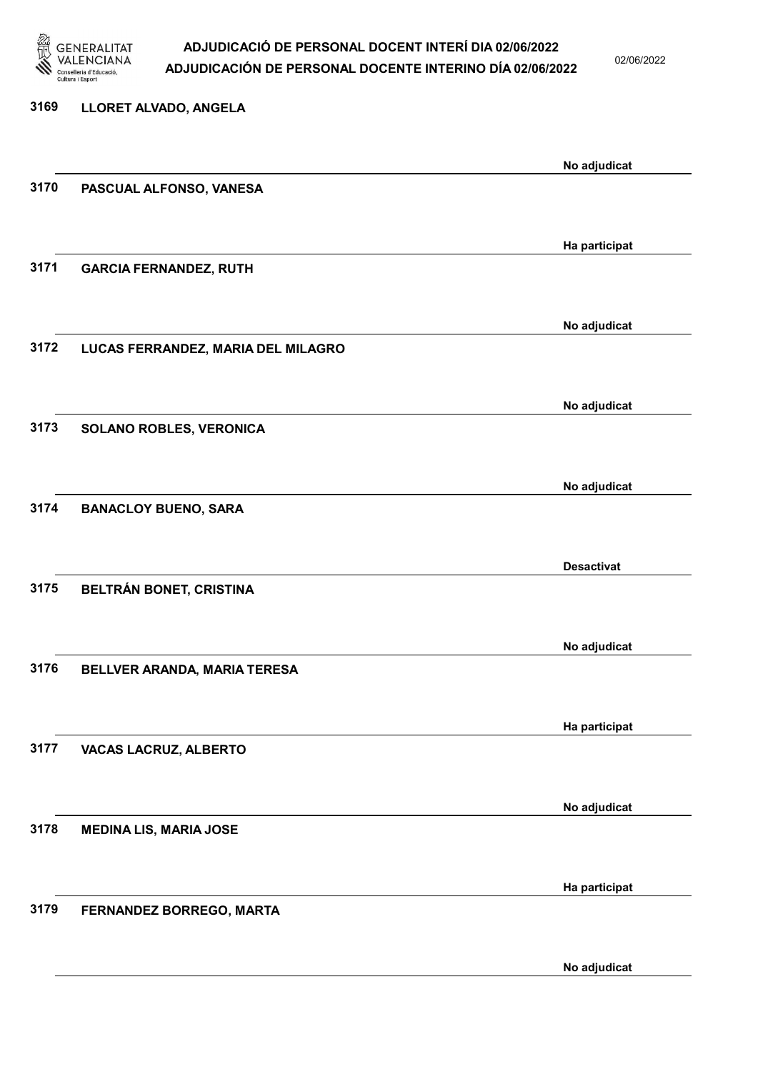

02/06/2022

| 3169 | LLORET ALVADO, ANGELA              |                   |
|------|------------------------------------|-------------------|
|      |                                    | No adjudicat      |
| 3170 | PASCUAL ALFONSO, VANESA            |                   |
| 3171 |                                    | Ha participat     |
|      | <b>GARCIA FERNANDEZ, RUTH</b>      |                   |
| 3172 | LUCAS FERRANDEZ, MARIA DEL MILAGRO | No adjudicat      |
|      |                                    |                   |
| 3173 | <b>SOLANO ROBLES, VERONICA</b>     | No adjudicat      |
|      |                                    | No adjudicat      |
| 3174 | <b>BANACLOY BUENO, SARA</b>        |                   |
|      |                                    | <b>Desactivat</b> |
| 3175 | BELTRÁN BONET, CRISTINA            |                   |
| 3176 |                                    | No adjudicat      |
|      | BELLVER ARANDA, MARIA TERESA       |                   |
| 3177 | VACAS LACRUZ, ALBERTO              | Ha participat     |
|      |                                    |                   |
| 3178 | <b>MEDINA LIS, MARIA JOSE</b>      | No adjudicat      |
|      |                                    | Ha participat     |
| 3179 | FERNANDEZ BORREGO, MARTA           |                   |
|      |                                    |                   |

No adjudicat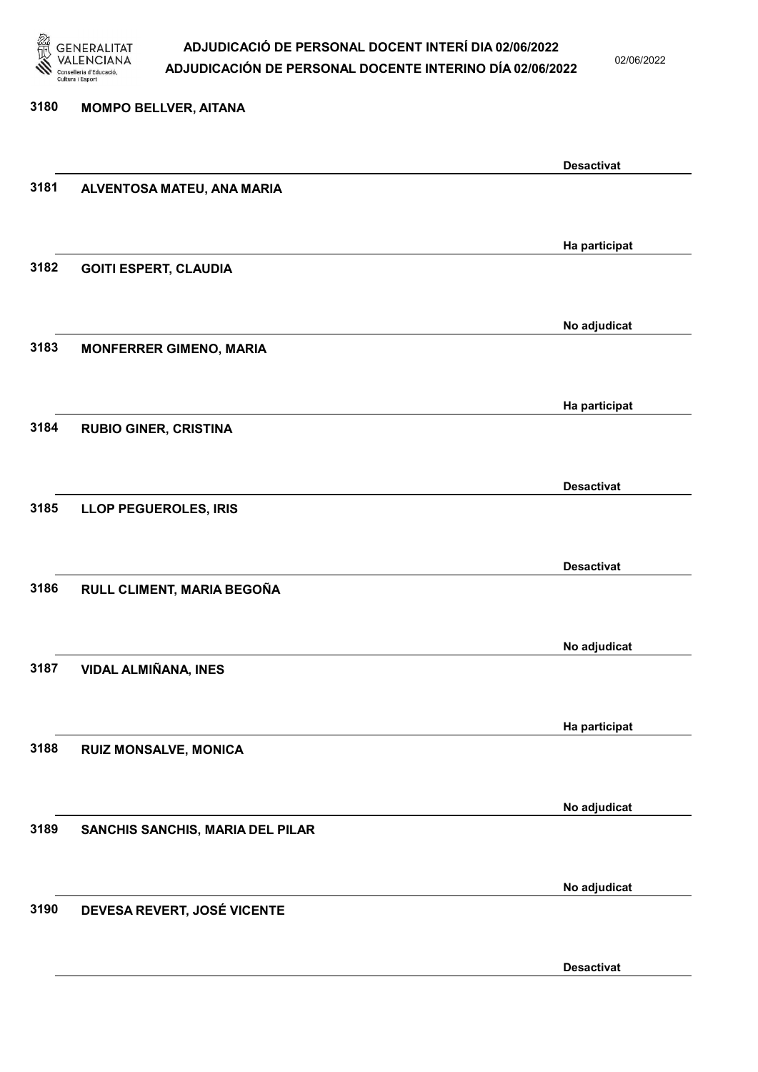

02/06/2022

#### 3180 MOMPO BELLVER, AITANA

|      |                                         | <b>Desactivat</b> |
|------|-----------------------------------------|-------------------|
| 3181 | ALVENTOSA MATEU, ANA MARIA              |                   |
|      |                                         |                   |
|      |                                         |                   |
| 3182 | <b>GOITI ESPERT, CLAUDIA</b>            | Ha participat     |
|      |                                         |                   |
|      |                                         |                   |
|      |                                         | No adjudicat      |
| 3183 | <b>MONFERRER GIMENO, MARIA</b>          |                   |
|      |                                         |                   |
|      |                                         | Ha participat     |
| 3184 | <b>RUBIO GINER, CRISTINA</b>            |                   |
|      |                                         |                   |
|      |                                         |                   |
|      |                                         | <b>Desactivat</b> |
| 3185 | <b>LLOP PEGUEROLES, IRIS</b>            |                   |
|      |                                         |                   |
|      |                                         | <b>Desactivat</b> |
| 3186 | RULL CLIMENT, MARIA BEGOÑA              |                   |
|      |                                         |                   |
|      |                                         | No adjudicat      |
| 3187 | <b>VIDAL ALMIÑANA, INES</b>             |                   |
|      |                                         |                   |
|      |                                         |                   |
|      |                                         | Ha participat     |
| 3188 | <b>RUIZ MONSALVE, MONICA</b>            |                   |
|      |                                         |                   |
|      |                                         | No adjudicat      |
| 3189 | <b>SANCHIS SANCHIS, MARIA DEL PILAR</b> |                   |
|      |                                         |                   |
|      |                                         |                   |
|      |                                         | No adjudicat      |
| 3190 | DEVESA REVERT, JOSÉ VICENTE             |                   |
|      |                                         |                   |
|      |                                         | <b>Desactivat</b> |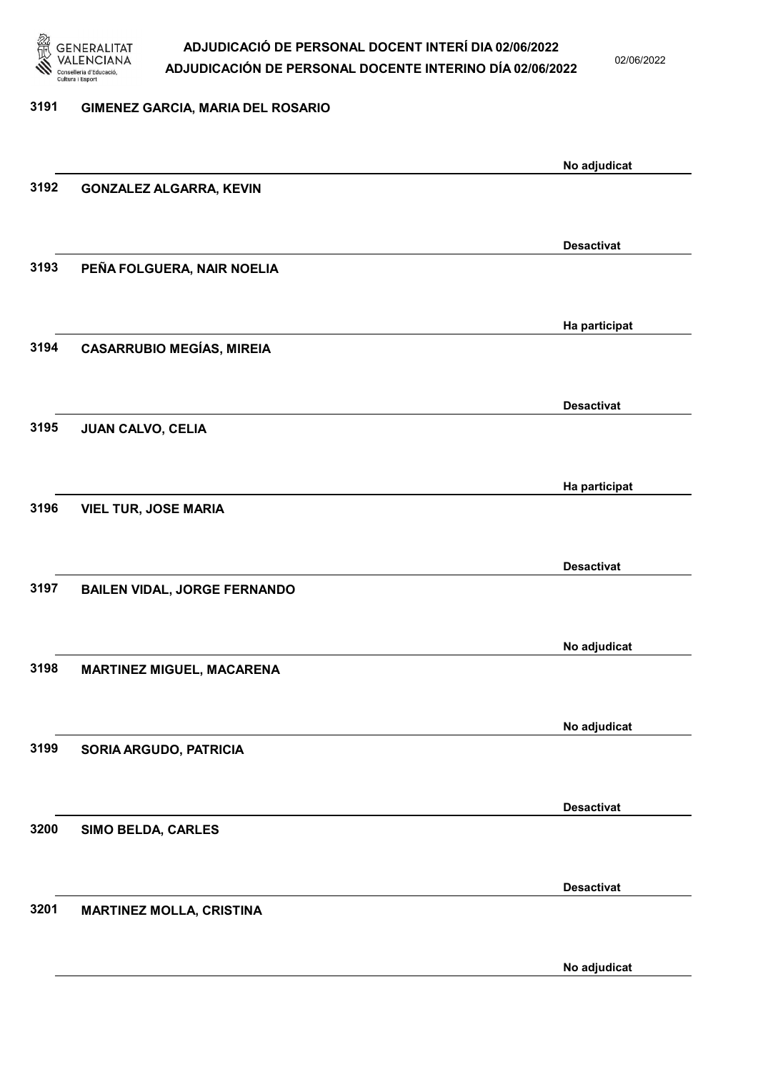

02/06/2022

#### 3191 GIMENEZ GARCIA, MARIA DEL ROSARIO

| No adjudicat<br>3192<br><b>GONZALEZ ALGARRA, KEVIN</b><br><b>Desactivat</b> |  |
|-----------------------------------------------------------------------------|--|
|                                                                             |  |
|                                                                             |  |
|                                                                             |  |
|                                                                             |  |
| PEÑA FOLGUERA, NAIR NOELIA<br>3193                                          |  |
|                                                                             |  |
|                                                                             |  |
| Ha participat                                                               |  |
| <b>CASARRUBIO MEGÍAS, MIREIA</b><br>3194                                    |  |
|                                                                             |  |
| <b>Desactivat</b>                                                           |  |
| 3195<br><b>JUAN CALVO, CELIA</b>                                            |  |
|                                                                             |  |
| Ha participat                                                               |  |
| 3196<br><b>VIEL TUR, JOSE MARIA</b>                                         |  |
|                                                                             |  |
|                                                                             |  |
| <b>Desactivat</b>                                                           |  |
| 3197<br><b>BAILEN VIDAL, JORGE FERNANDO</b>                                 |  |
|                                                                             |  |
| No adjudicat                                                                |  |
| 3198<br><b>MARTINEZ MIGUEL, MACARENA</b>                                    |  |
|                                                                             |  |
| No adjudicat                                                                |  |
| 3199<br>SORIA ARGUDO, PATRICIA                                              |  |
|                                                                             |  |
|                                                                             |  |
| <b>Desactivat</b>                                                           |  |
| 3200<br>SIMO BELDA, CARLES                                                  |  |
|                                                                             |  |
| <b>Desactivat</b>                                                           |  |
| 3201<br><b>MARTINEZ MOLLA, CRISTINA</b>                                     |  |
|                                                                             |  |
| No adjudicat                                                                |  |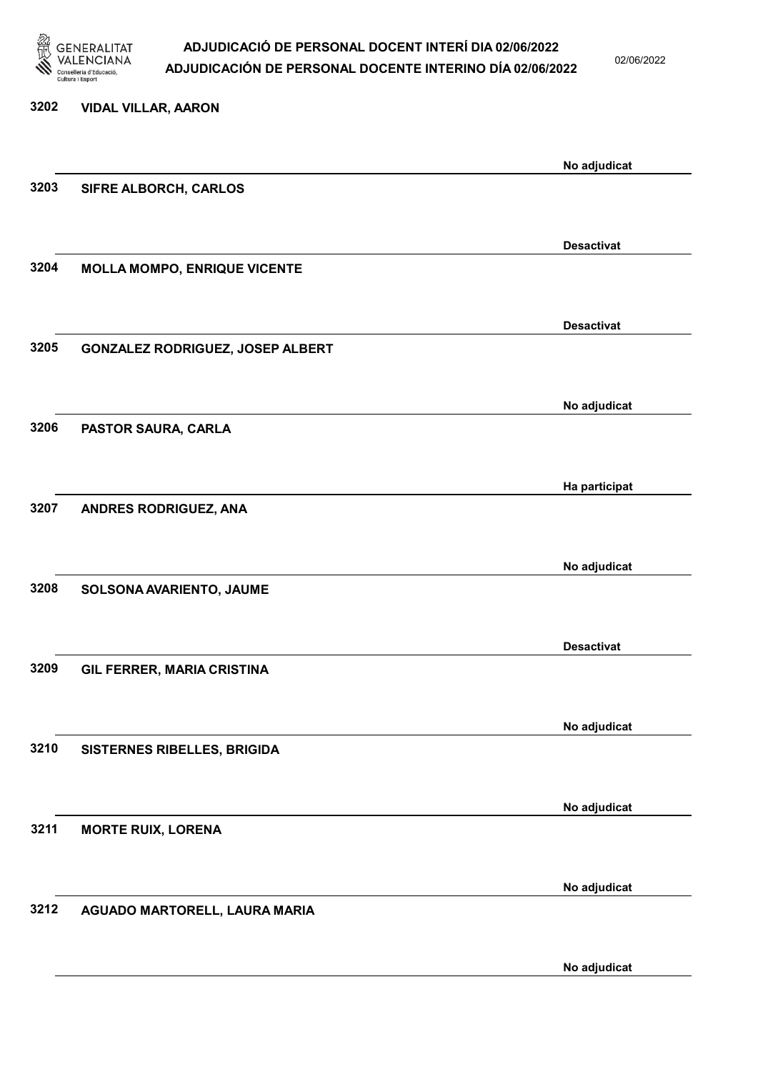

02/06/2022

| 3202 | <b>VIDAL VILLAR, AARON</b>          |                   |
|------|-------------------------------------|-------------------|
|      |                                     | No adjudicat      |
| 3203 | SIFRE ALBORCH, CARLOS               |                   |
|      |                                     |                   |
|      |                                     | <b>Desactivat</b> |
| 3204 | <b>MOLLA MOMPO, ENRIQUE VICENTE</b> |                   |
|      |                                     | <b>Desactivat</b> |
|      |                                     |                   |
| 3205 | GONZALEZ RODRIGUEZ, JOSEP ALBERT    |                   |
|      |                                     | No adjudicat      |
| 3206 | PASTOR SAURA, CARLA                 |                   |
|      |                                     |                   |
|      |                                     |                   |
|      |                                     | Ha participat     |
| 3207 | ANDRES RODRIGUEZ, ANA               |                   |
|      |                                     |                   |
|      |                                     | No adjudicat      |
| 3208 | SOLSONA AVARIENTO, JAUME            |                   |
|      |                                     |                   |
|      |                                     |                   |
|      |                                     | <b>Desactivat</b> |
| 3209 | <b>GIL FERRER, MARIA CRISTINA</b>   |                   |
|      |                                     |                   |
|      |                                     | No adjudicat      |
| 3210 | SISTERNES RIBELLES, BRIGIDA         |                   |
|      |                                     |                   |
|      |                                     |                   |
| 3211 |                                     | No adjudicat      |
|      | <b>MORTE RUIX, LORENA</b>           |                   |
|      |                                     |                   |
|      |                                     | No adjudicat      |
| 3212 | AGUADO MARTORELL, LAURA MARIA       |                   |
|      |                                     |                   |
|      |                                     |                   |

No adjudicat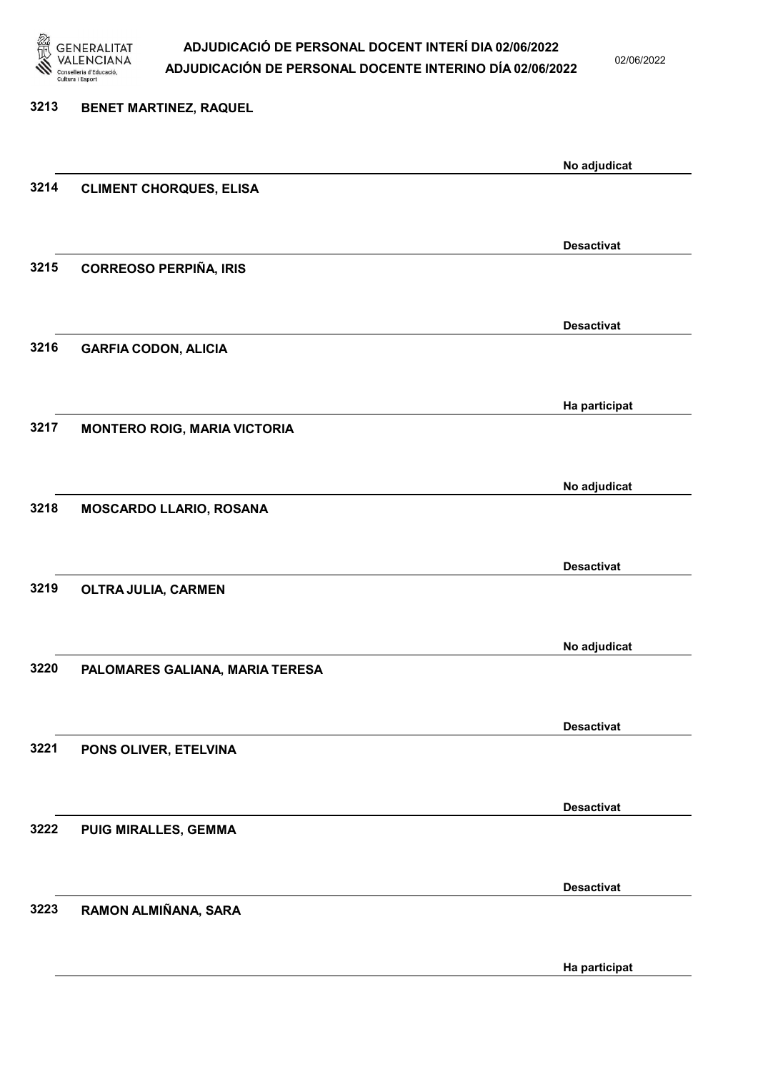

02/06/2022

| 3213 | BENET MARTINEZ, RAQUEL              |                   |
|------|-------------------------------------|-------------------|
|      |                                     | No adjudicat      |
| 3214 | <b>CLIMENT CHORQUES, ELISA</b>      |                   |
|      |                                     | <b>Desactivat</b> |
| 3215 | <b>CORREOSO PERPIÑA, IRIS</b>       |                   |
|      |                                     | <b>Desactivat</b> |
| 3216 | <b>GARFIA CODON, ALICIA</b>         |                   |
|      |                                     | Ha participat     |
| 3217 | <b>MONTERO ROIG, MARIA VICTORIA</b> |                   |
|      |                                     | No adjudicat      |
| 3218 | MOSCARDO LLARIO, ROSANA             |                   |
|      |                                     | <b>Desactivat</b> |
| 3219 | OLTRA JULIA, CARMEN                 |                   |
|      |                                     | No adjudicat      |
| 3220 | PALOMARES GALIANA, MARIA TERESA     |                   |
|      |                                     | <b>Desactivat</b> |
| 3221 | PONS OLIVER, ETELVINA               |                   |
|      |                                     | <b>Desactivat</b> |
| 3222 | PUIG MIRALLES, GEMMA                |                   |
|      |                                     | <b>Desactivat</b> |
| 3223 | RAMON ALMIÑANA, SARA                |                   |
|      |                                     |                   |

Ha participat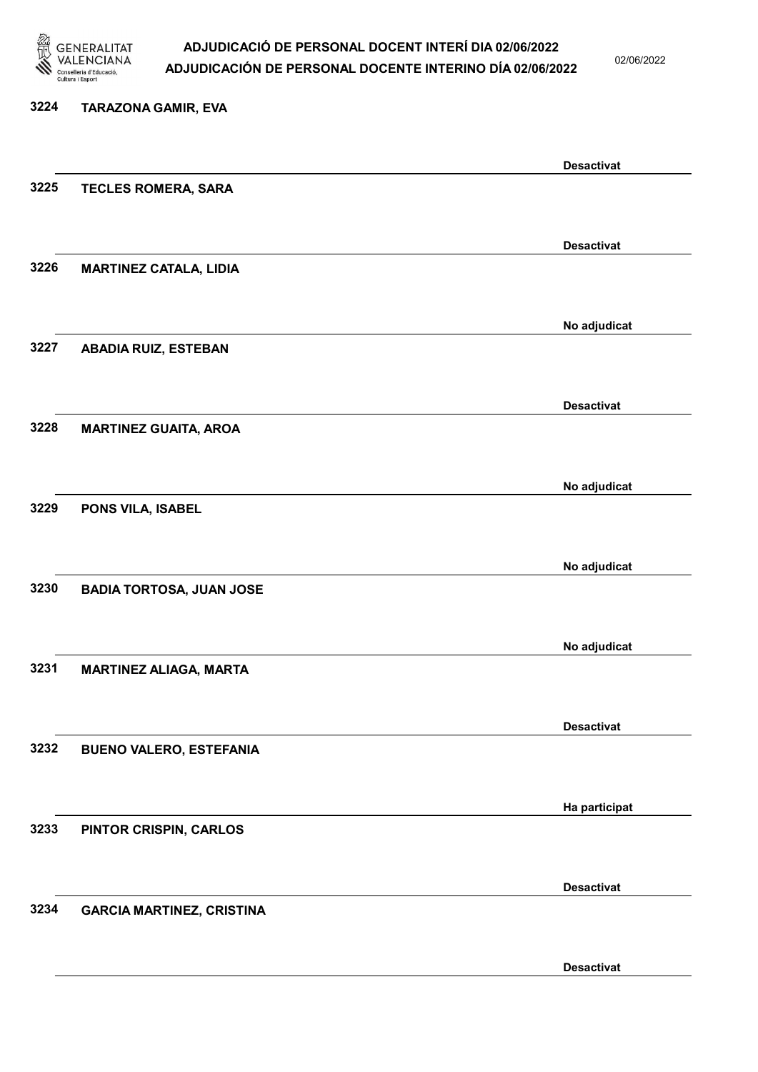

02/06/2022

## 3224 TARAZONA GAMIR, EVA Desactivat 3225 TECLES ROMERA, SARA Desactivat 3226 MARTINEZ CATALA, LIDIA No adjudicat 3227 ABADIA RUIZ, ESTEBAN Desactivat 3228 MARTINEZ GUAITA, AROA No adjudicat 3229 PONS VILA, ISABEL No adjudicat 3230 BADIA TORTOSA, JUAN JOSE No adjudicat 3231 MARTINEZ ALIAGA, MARTA Desactivat 3232 BUENO VALERO, ESTEFANIA Ha participat 3233 PINTOR CRISPIN, CARLOS Desactivat 3234 GARCIA MARTINEZ, CRISTINA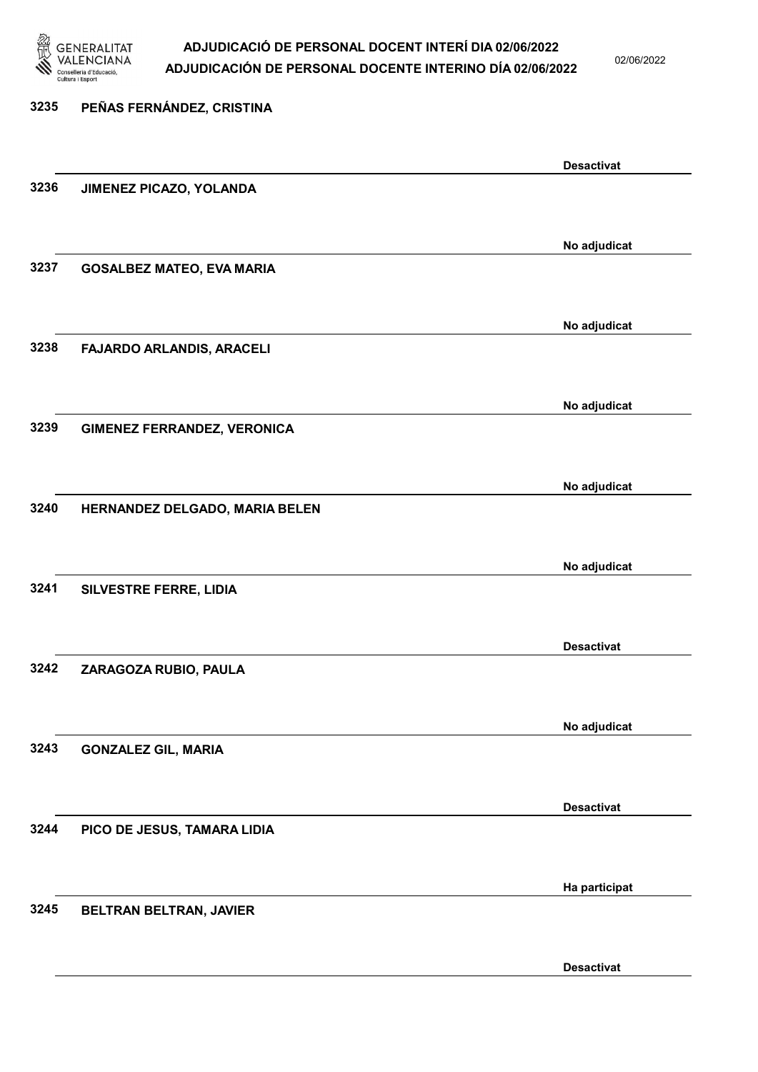

02/06/2022

| 3235 | PEÑAS FERNÁNDEZ, CRISTINA          |                   |
|------|------------------------------------|-------------------|
|      |                                    | <b>Desactivat</b> |
| 3236 | JIMENEZ PICAZO, YOLANDA            |                   |
|      |                                    | No adjudicat      |
| 3237 | <b>GOSALBEZ MATEO, EVA MARIA</b>   |                   |
|      |                                    | No adjudicat      |
| 3238 | FAJARDO ARLANDIS, ARACELI          |                   |
|      |                                    | No adjudicat      |
| 3239 | <b>GIMENEZ FERRANDEZ, VERONICA</b> |                   |
|      |                                    | No adjudicat      |
| 3240 | HERNANDEZ DELGADO, MARIA BELEN     |                   |
|      |                                    | No adjudicat      |
| 3241 | SILVESTRE FERRE, LIDIA             |                   |
|      |                                    | <b>Desactivat</b> |
| 3242 | ZARAGOZA RUBIO, PAULA              |                   |
|      |                                    | No adjudicat      |
| 3243 | <b>GONZALEZ GIL, MARIA</b>         |                   |
|      |                                    | <b>Desactivat</b> |
| 3244 | PICO DE JESUS, TAMARA LIDIA        |                   |
|      |                                    | Ha participat     |
| 3245 | BELTRAN BELTRAN, JAVIER            |                   |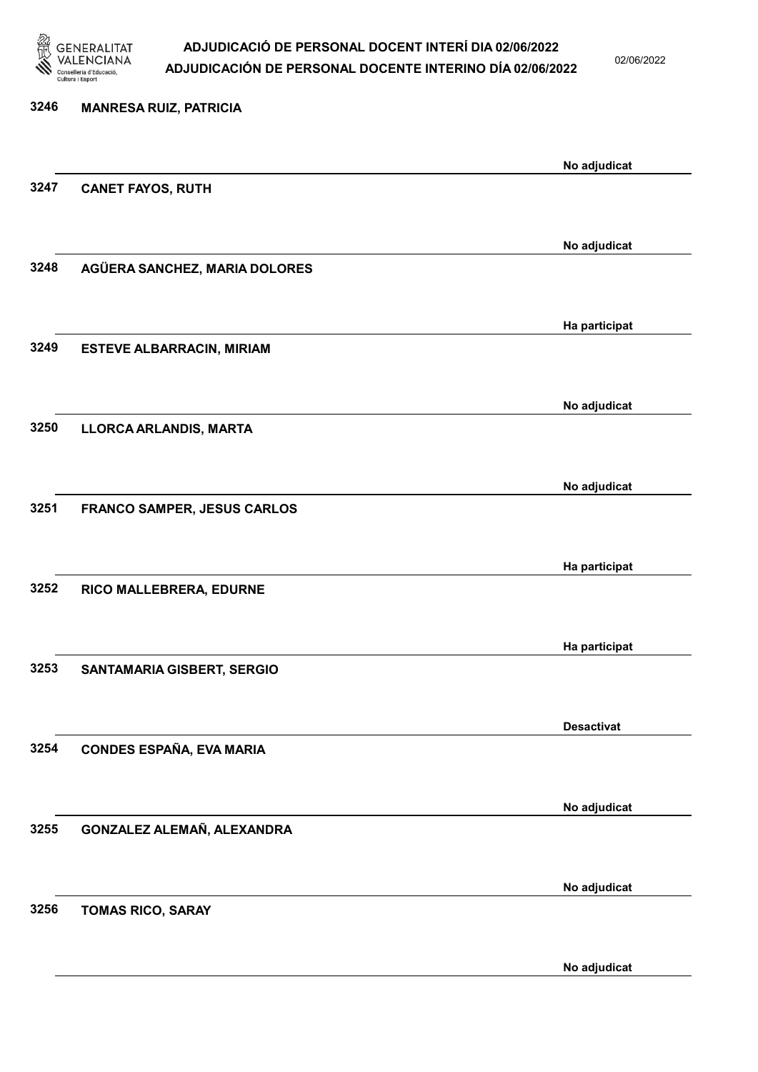

02/06/2022

| 3246 | <b>MANRESA RUIZ, PATRICIA</b>    |                   |
|------|----------------------------------|-------------------|
|      |                                  |                   |
|      |                                  | No adjudicat      |
| 3247 | <b>CANET FAYOS, RUTH</b>         |                   |
|      |                                  |                   |
|      |                                  | No adjudicat      |
| 3248 | AGÜERA SANCHEZ, MARIA DOLORES    |                   |
|      |                                  |                   |
|      |                                  |                   |
|      |                                  | Ha participat     |
| 3249 | <b>ESTEVE ALBARRACIN, MIRIAM</b> |                   |
|      |                                  |                   |
|      |                                  | No adjudicat      |
| 3250 | LLORCA ARLANDIS, MARTA           |                   |
|      |                                  |                   |
|      |                                  | No adjudicat      |
| 3251 | FRANCO SAMPER, JESUS CARLOS      |                   |
|      |                                  |                   |
|      |                                  |                   |
|      |                                  | Ha participat     |
| 3252 | RICO MALLEBRERA, EDURNE          |                   |
|      |                                  |                   |
|      |                                  | Ha participat     |
| 3253 | SANTAMARIA GISBERT, SERGIO       |                   |
|      |                                  |                   |
|      |                                  | <b>Desactivat</b> |
| 3254 | CONDES ESPAÑA, EVA MARIA         |                   |
|      |                                  |                   |
|      |                                  |                   |
|      |                                  | No adjudicat      |
| 3255 | GONZALEZ ALEMAÑ, ALEXANDRA       |                   |
|      |                                  |                   |
|      |                                  | No adjudicat      |
| 3256 | <b>TOMAS RICO, SARAY</b>         |                   |
|      |                                  |                   |
|      |                                  |                   |

No adjudicat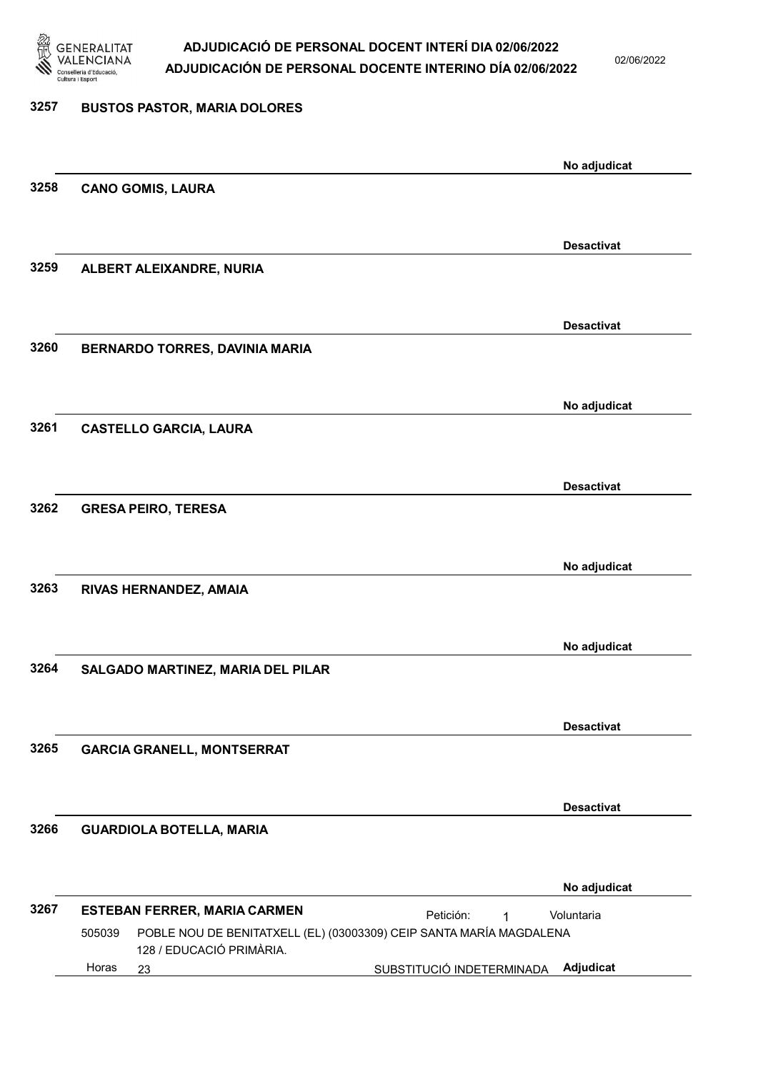

02/06/2022

### 3257 BUSTOS PASTOR, MARIA DOLORES No adjudicat 3258 CANO GOMIS, LAURA Desactivat 3259 ALBERT ALEIXANDRE, NURIA Desactivat 3260 BERNARDO TORRES, DAVINIA MARIA No adjudicat 3261 CASTELLO GARCIA, LAURA Desactivat 3262 GRESA PEIRO, TERESA No adjudicat 3263 RIVAS HERNANDEZ, AMAIA No adjudicat 3264 SALGADO MARTINEZ, MARIA DEL PILAR Desactivat 3265 GARCIA GRANELL, MONTSERRAT Desactivat 3266 GUARDIOLA BOTELLA, MARIA No adjudicat 3267 ESTEBAN FERRER, MARIA CARMEN 23 SUBSTITUCIÓ INDETERMINADA Adjudicat POBLE NOU DE BENITATXELL (EL) (03003309) CEIP SANTA MARÍA MAGDALENA 128 / EDUCACIÓ PRIMÀRIA. Voluntaria 505039 Horas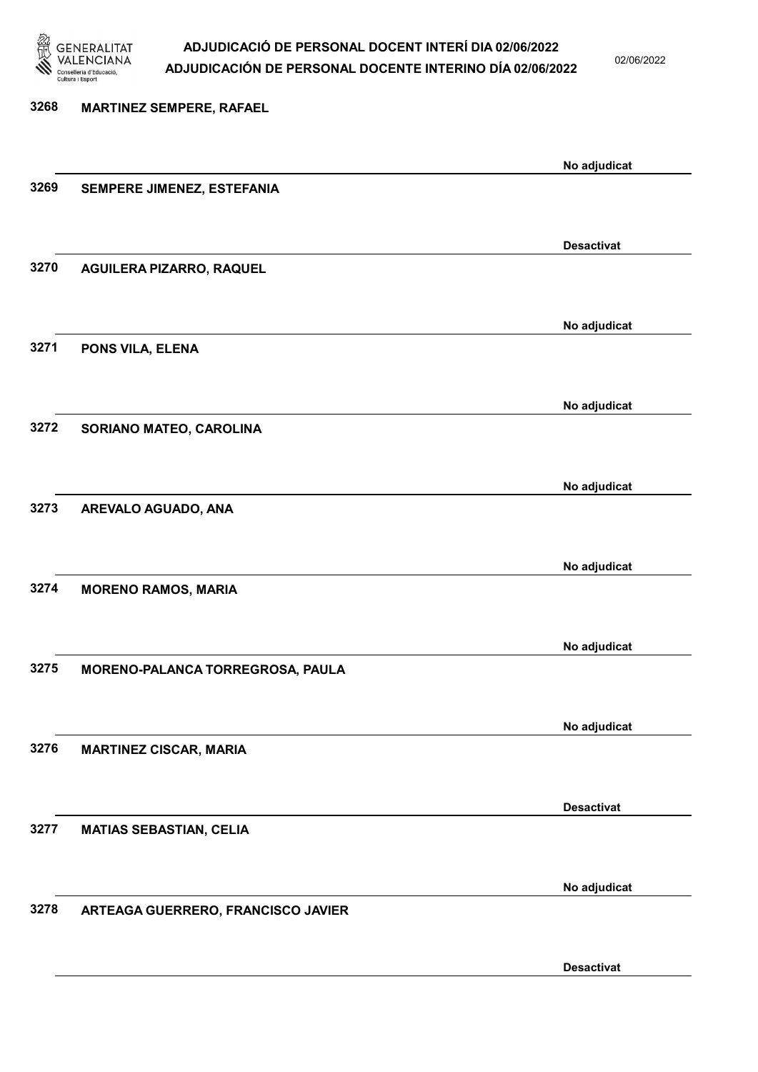

02/06/2022

| 3268 | <b>MARTINEZ SEMPERE, RAFAEL</b>    |                   |
|------|------------------------------------|-------------------|
|      |                                    |                   |
|      |                                    | No adjudicat      |
| 3269 | SEMPERE JIMENEZ, ESTEFANIA         |                   |
|      |                                    |                   |
|      |                                    | <b>Desactivat</b> |
| 3270 | AGUILERA PIZARRO, RAQUEL           |                   |
|      |                                    |                   |
|      |                                    | No adjudicat      |
| 3271 | PONS VILA, ELENA                   |                   |
|      |                                    |                   |
|      |                                    | No adjudicat      |
| 3272 | SORIANO MATEO, CAROLINA            |                   |
|      |                                    |                   |
|      |                                    | No adjudicat      |
| 3273 | AREVALO AGUADO, ANA                |                   |
|      |                                    |                   |
|      |                                    |                   |
| 3274 | <b>MORENO RAMOS, MARIA</b>         | No adjudicat      |
|      |                                    |                   |
|      |                                    |                   |
|      |                                    | No adjudicat      |
| 3275 | MORENO-PALANCA TORREGROSA, PAULA   |                   |
|      |                                    |                   |
|      |                                    | No adjudicat      |
| 3276 | <b>MARTINEZ CISCAR, MARIA</b>      |                   |
|      |                                    |                   |
|      |                                    | <b>Desactivat</b> |
| 3277 | <b>MATIAS SEBASTIAN, CELIA</b>     |                   |
|      |                                    |                   |
|      |                                    | No adjudicat      |
| 3278 | ARTEAGA GUERRERO, FRANCISCO JAVIER |                   |
|      |                                    |                   |
|      |                                    |                   |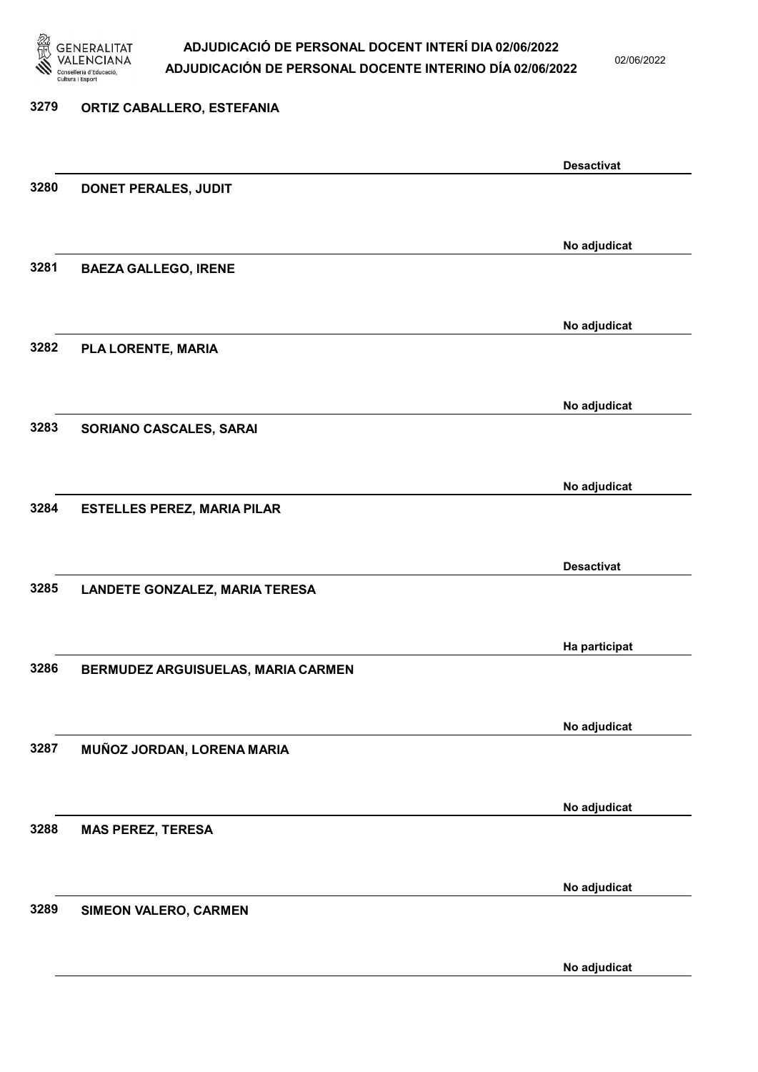

02/06/2022

#### 3279 ORTIZ CABALLERO, ESTEFANIA

|      |                                       | <b>Desactivat</b> |
|------|---------------------------------------|-------------------|
| 3280 | DONET PERALES, JUDIT                  |                   |
|      |                                       |                   |
|      |                                       |                   |
| 3281 |                                       | No adjudicat      |
|      | <b>BAEZA GALLEGO, IRENE</b>           |                   |
|      |                                       |                   |
|      |                                       | No adjudicat      |
| 3282 | PLA LORENTE, MARIA                    |                   |
|      |                                       |                   |
|      |                                       | No adjudicat      |
| 3283 | SORIANO CASCALES, SARAI               |                   |
|      |                                       |                   |
|      |                                       |                   |
|      |                                       | No adjudicat      |
| 3284 | <b>ESTELLES PEREZ, MARIA PILAR</b>    |                   |
|      |                                       |                   |
|      |                                       | <b>Desactivat</b> |
| 3285 | <b>LANDETE GONZALEZ, MARIA TERESA</b> |                   |
|      |                                       |                   |
|      |                                       |                   |
|      |                                       | Ha participat     |
| 3286 | BERMUDEZ ARGUISUELAS, MARIA CARMEN    |                   |
|      |                                       |                   |
|      |                                       | No adjudicat      |
| 3287 | MUÑOZ JORDAN, LORENA MARIA            |                   |
|      |                                       |                   |
|      |                                       |                   |
|      |                                       | No adjudicat      |
| 3288 | <b>MAS PEREZ, TERESA</b>              |                   |
|      |                                       |                   |
|      |                                       | No adjudicat      |
| 3289 | SIMEON VALERO, CARMEN                 |                   |
|      |                                       |                   |
|      |                                       | No adjudicat      |
|      |                                       |                   |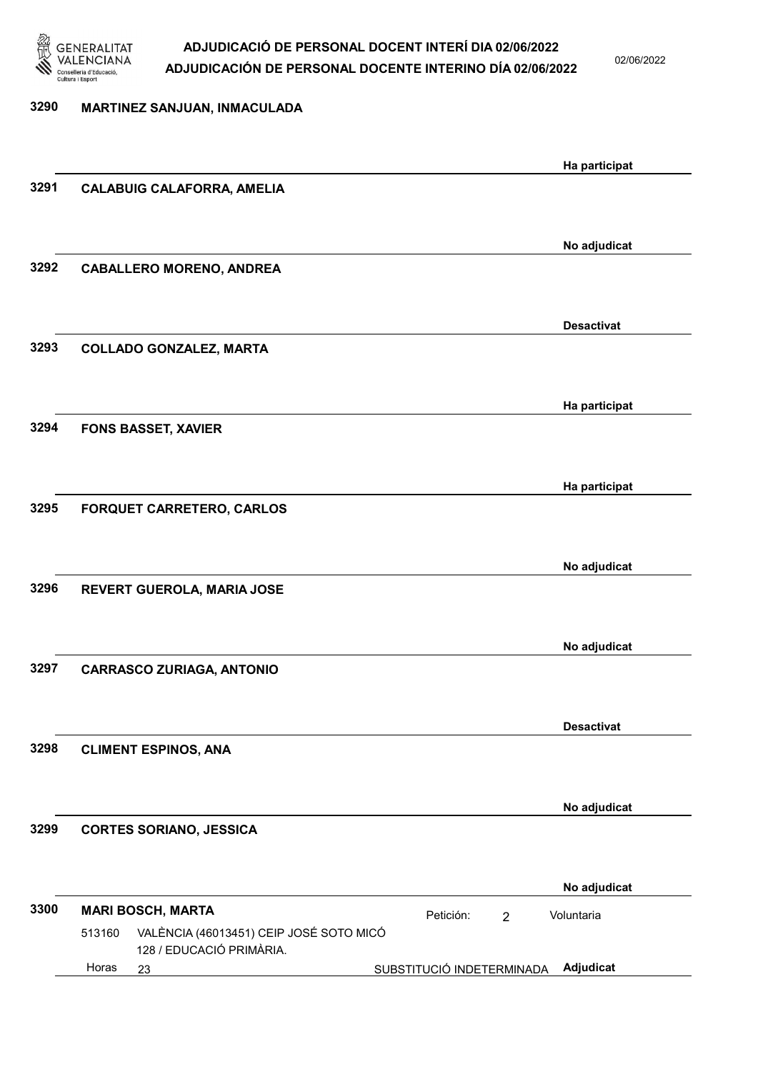

02/06/2022

| 3290 | MARTINEZ SANJUAN, INMACULADA                                                  |                             |                   |
|------|-------------------------------------------------------------------------------|-----------------------------|-------------------|
|      |                                                                               |                             |                   |
|      |                                                                               |                             | Ha participat     |
| 3291 | <b>CALABUIG CALAFORRA, AMELIA</b>                                             |                             |                   |
|      |                                                                               |                             |                   |
|      |                                                                               |                             | No adjudicat      |
| 3292 | <b>CABALLERO MORENO, ANDREA</b>                                               |                             |                   |
|      |                                                                               |                             |                   |
|      |                                                                               |                             |                   |
|      |                                                                               |                             | <b>Desactivat</b> |
| 3293 | <b>COLLADO GONZALEZ, MARTA</b>                                                |                             |                   |
|      |                                                                               |                             |                   |
|      |                                                                               |                             |                   |
|      |                                                                               |                             | Ha participat     |
| 3294 | <b>FONS BASSET, XAVIER</b>                                                    |                             |                   |
|      |                                                                               |                             |                   |
|      |                                                                               |                             | Ha participat     |
| 3295 | <b>FORQUET CARRETERO, CARLOS</b>                                              |                             |                   |
|      |                                                                               |                             |                   |
|      |                                                                               |                             |                   |
|      |                                                                               |                             | No adjudicat      |
| 3296 | REVERT GUEROLA, MARIA JOSE                                                    |                             |                   |
|      |                                                                               |                             |                   |
|      |                                                                               |                             |                   |
|      |                                                                               |                             | No adjudicat      |
| 3297 | <b>CARRASCO ZURIAGA, ANTONIO</b>                                              |                             |                   |
|      |                                                                               |                             |                   |
|      |                                                                               |                             | <b>Desactivat</b> |
| 3298 | <b>CLIMENT ESPINOS, ANA</b>                                                   |                             |                   |
|      |                                                                               |                             |                   |
|      |                                                                               |                             |                   |
|      |                                                                               |                             | No adjudicat      |
| 3299 | <b>CORTES SORIANO, JESSICA</b>                                                |                             |                   |
|      |                                                                               |                             |                   |
|      |                                                                               |                             |                   |
|      |                                                                               |                             | No adjudicat      |
| 3300 | <b>MARI BOSCH, MARTA</b>                                                      | Petición:<br>$\overline{2}$ | Voluntaria        |
|      | VALÈNCIA (46013451) CEIP JOSÉ SOTO MICÓ<br>513160<br>128 / EDUCACIÓ PRIMÀRIA. |                             |                   |
|      | Horas<br>23                                                                   | SUBSTITUCIÓ INDETERMINADA   | Adjudicat         |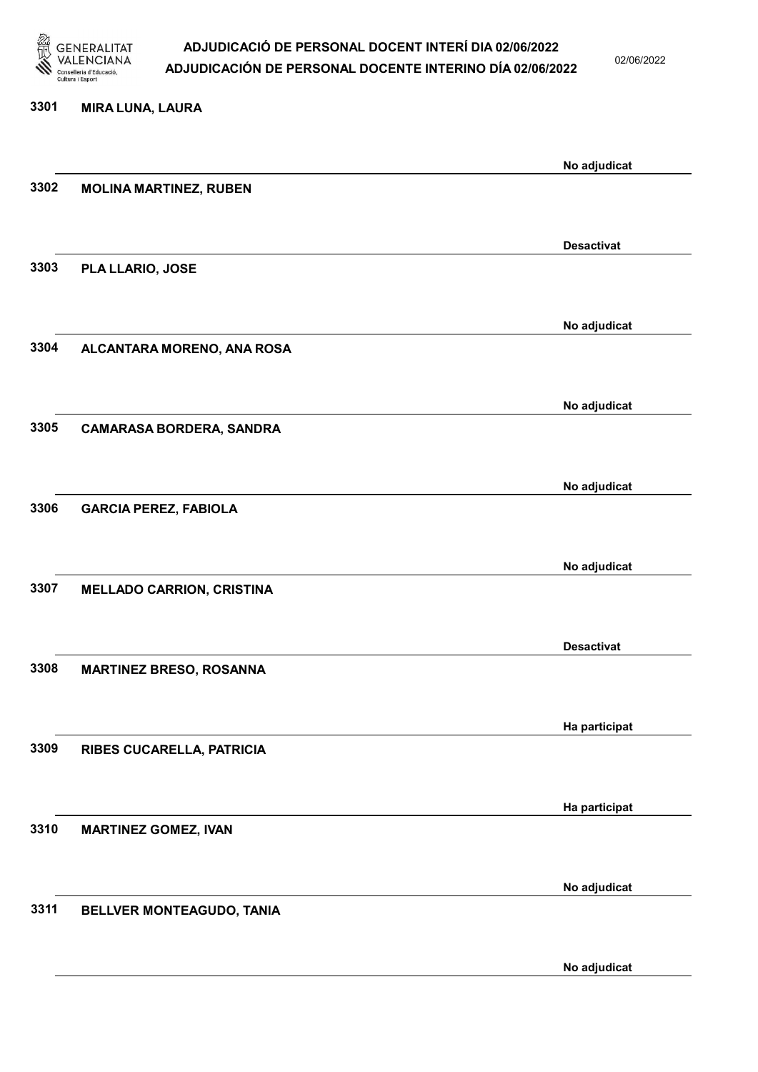

02/06/2022

#### 3301 MIRA LUNA, LAURA

|      |                                  | No adjudicat      |
|------|----------------------------------|-------------------|
| 3302 | <b>MOLINA MARTINEZ, RUBEN</b>    |                   |
|      |                                  |                   |
|      |                                  | <b>Desactivat</b> |
| 3303 | PLA LLARIO, JOSE                 |                   |
|      |                                  |                   |
|      |                                  | No adjudicat      |
| 3304 | ALCANTARA MORENO, ANA ROSA       |                   |
|      |                                  |                   |
|      |                                  | No adjudicat      |
| 3305 | <b>CAMARASA BORDERA, SANDRA</b>  |                   |
|      |                                  |                   |
|      |                                  |                   |
| 3306 | <b>GARCIA PEREZ, FABIOLA</b>     | No adjudicat      |
|      |                                  |                   |
|      |                                  |                   |
|      |                                  | No adjudicat      |
| 3307 | <b>MELLADO CARRION, CRISTINA</b> |                   |
|      |                                  |                   |
|      |                                  | <b>Desactivat</b> |
| 3308 | <b>MARTINEZ BRESO, ROSANNA</b>   |                   |
|      |                                  |                   |
|      |                                  | Ha participat     |
| 3309 | RIBES CUCARELLA, PATRICIA        |                   |
|      |                                  |                   |
|      |                                  | Ha participat     |
| 3310 | <b>MARTINEZ GOMEZ, IVAN</b>      |                   |
|      |                                  |                   |
|      |                                  | No adjudicat      |
| 3311 | BELLVER MONTEAGUDO, TANIA        |                   |
|      |                                  |                   |
|      |                                  | No adjudicat      |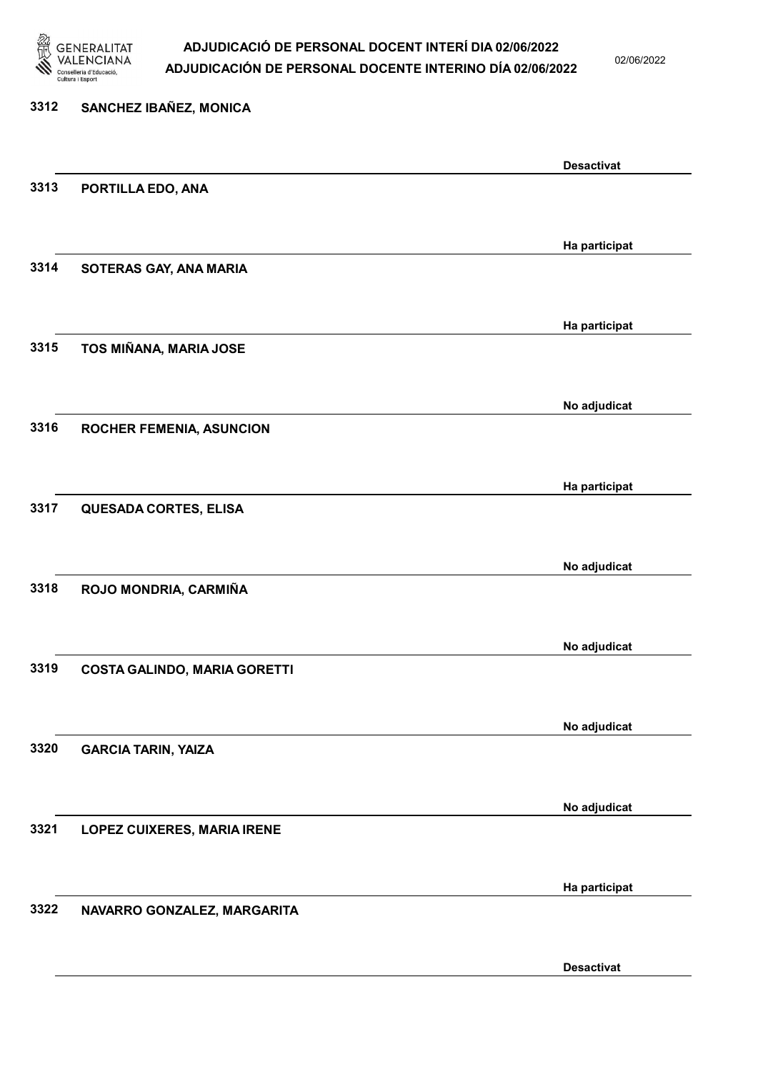

02/06/2022

### 3312 SANCHEZ IBAÑEZ, MONICA Desactivat 3313 PORTILLA EDO, ANA Ha participat 3314 SOTERAS GAY, ANA MARIA Ha participat 3315 TOS MIÑANA, MARIA JOSE No adjudicat 3316 ROCHER FEMENIA, ASUNCION Ha participat 3317 QUESADA CORTES, ELISA No adjudicat 3318 ROJO MONDRIA, CARMIÑA No adjudicat 3319 COSTA GALINDO, MARIA GORETTI No adjudicat 3320 GARCIA TARIN, YAIZA No adjudicat 3321 LOPEZ CUIXERES, MARIA IRENE Ha participat 3322 NAVARRO GONZALEZ, MARGARITA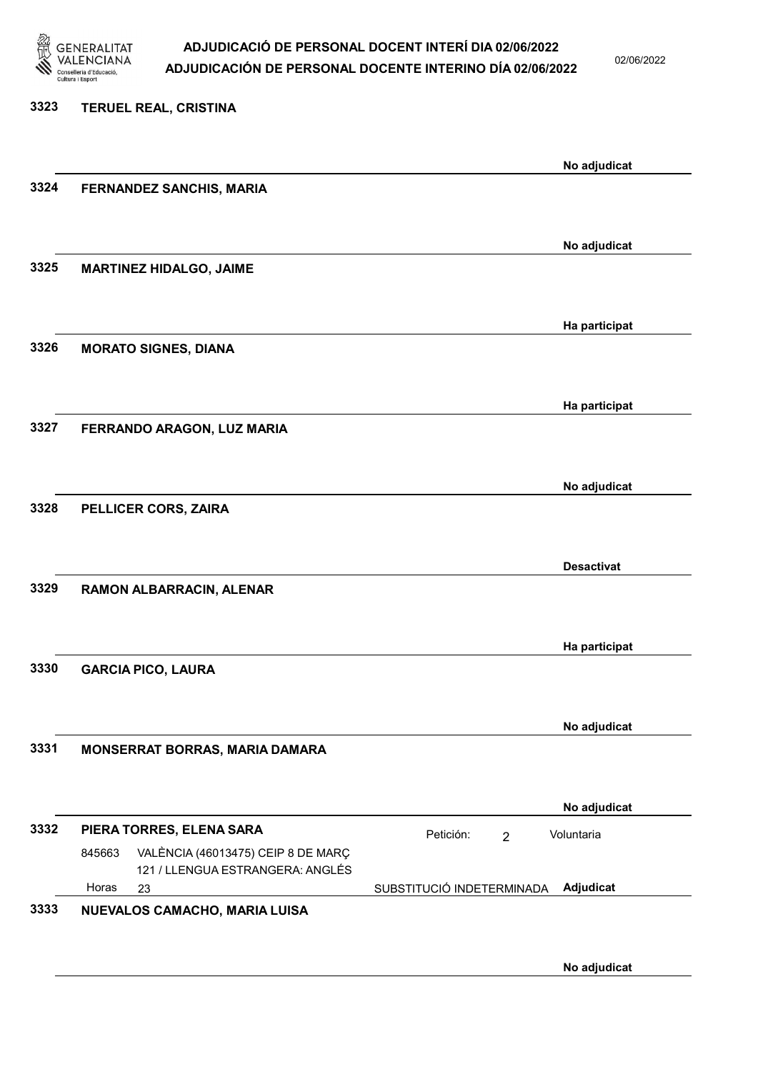

02/06/2022

| 3323 | <b>TERUEL REAL, CRISTINA</b>                                                     |                                        |
|------|----------------------------------------------------------------------------------|----------------------------------------|
|      |                                                                                  | No adjudicat                           |
| 3324 | <b>FERNANDEZ SANCHIS, MARIA</b>                                                  |                                        |
|      |                                                                                  | No adjudicat                           |
| 3325 | <b>MARTINEZ HIDALGO, JAIME</b>                                                   |                                        |
|      |                                                                                  | Ha participat                          |
| 3326 | <b>MORATO SIGNES, DIANA</b>                                                      |                                        |
|      |                                                                                  | Ha participat                          |
| 3327 | FERRANDO ARAGON, LUZ MARIA                                                       |                                        |
| 3328 | PELLICER CORS, ZAIRA                                                             | No adjudicat                           |
|      |                                                                                  |                                        |
|      |                                                                                  | <b>Desactivat</b>                      |
| 3329 | RAMON ALBARRACIN, ALENAR                                                         |                                        |
|      |                                                                                  | Ha participat                          |
| 3330 | <b>GARCIA PICO, LAURA</b>                                                        |                                        |
|      |                                                                                  | No adjudicat                           |
| 3331 | MONSERRAT BORRAS, MARIA DAMARA                                                   |                                        |
|      |                                                                                  | No adjudicat                           |
| 3332 | PIERA TORRES, ELENA SARA                                                         | Petición:<br>Voluntaria<br>2           |
|      | VALÈNCIA (46013475) CEIP 8 DE MARÇ<br>845663<br>121 / LLENGUA ESTRANGERA: ANGLÉS |                                        |
|      | Horas<br>23                                                                      | SUBSTITUCIÓ INDETERMINADA<br>Adjudicat |

No adjudicat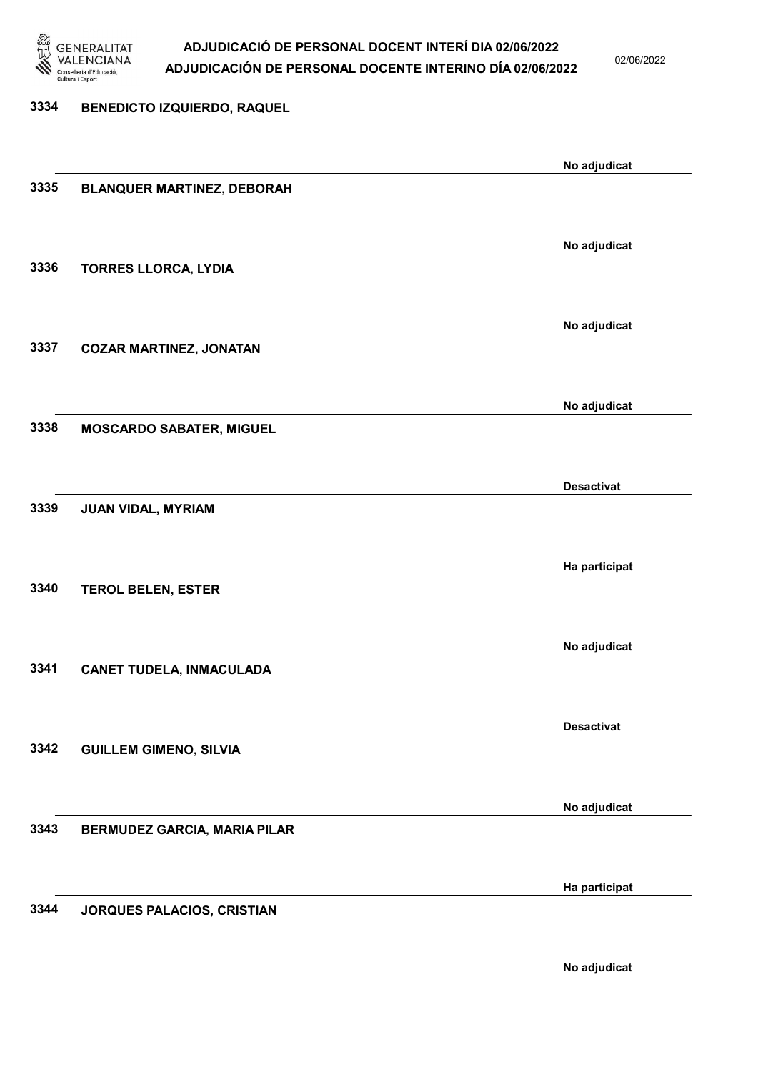

02/06/2022

#### 3334 BENEDICTO IZQUIERDO, RAQUEL

|      |                                   | No adjudicat      |
|------|-----------------------------------|-------------------|
| 3335 | <b>BLANQUER MARTINEZ, DEBORAH</b> |                   |
|      |                                   |                   |
|      |                                   |                   |
|      |                                   | No adjudicat      |
| 3336 | TORRES LLORCA, LYDIA              |                   |
|      |                                   |                   |
|      |                                   |                   |
|      |                                   | No adjudicat      |
| 3337 | <b>COZAR MARTINEZ, JONATAN</b>    |                   |
|      |                                   |                   |
|      |                                   |                   |
|      |                                   | No adjudicat      |
| 3338 | <b>MOSCARDO SABATER, MIGUEL</b>   |                   |
|      |                                   |                   |
|      |                                   |                   |
|      |                                   | <b>Desactivat</b> |
| 3339 | JUAN VIDAL, MYRIAM                |                   |
|      |                                   |                   |
|      |                                   | Ha participat     |
|      |                                   |                   |
| 3340 | <b>TEROL BELEN, ESTER</b>         |                   |
|      |                                   |                   |
|      |                                   | No adjudicat      |
| 3341 |                                   |                   |
|      | <b>CANET TUDELA, INMACULADA</b>   |                   |
|      |                                   |                   |
|      |                                   | <b>Desactivat</b> |
| 3342 |                                   |                   |
|      | <b>GUILLEM GIMENO, SILVIA</b>     |                   |
|      |                                   |                   |
|      |                                   | No adjudicat      |
| 3343 | BERMUDEZ GARCIA, MARIA PILAR      |                   |
|      |                                   |                   |
|      |                                   |                   |
|      |                                   | Ha participat     |
| 3344 | JORQUES PALACIOS, CRISTIAN        |                   |
|      |                                   |                   |
|      |                                   |                   |
|      |                                   | No adjudicat      |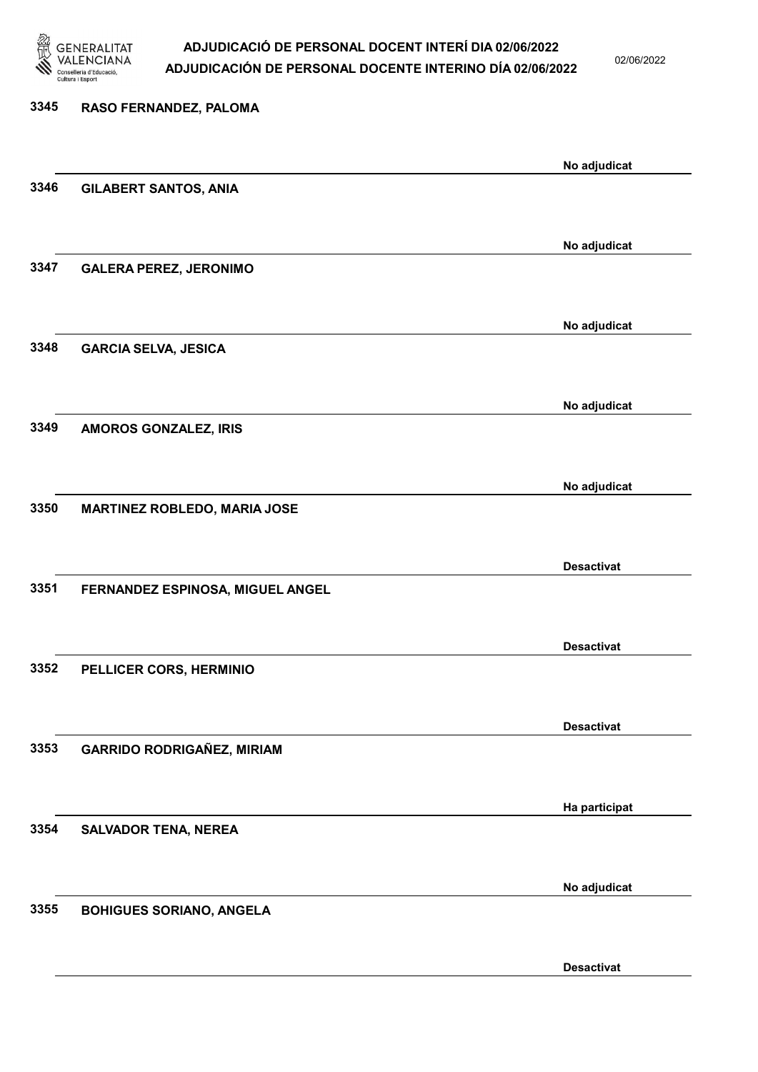

02/06/2022

Desactivat

# 3345 RASO FERNANDEZ, PALOMA No adjudicat 3346 GILABERT SANTOS, ANIA No adjudicat 3347 GALERA PEREZ, JERONIMO No adjudicat 3348 GARCIA SELVA, JESICA No adjudicat 3349 AMOROS GONZALEZ, IRIS No adjudicat 3350 MARTINEZ ROBLEDO, MARIA JOSE Desactivat 3351 FERNANDEZ ESPINOSA, MIGUEL ANGEL Desactivat 3352 PELLICER CORS, HERMINIO Desactivat 3353 GARRIDO RODRIGAÑEZ, MIRIAM Ha participat 3354 SALVADOR TENA, NEREA No adjudicat 3355 BOHIGUES SORIANO, ANGELA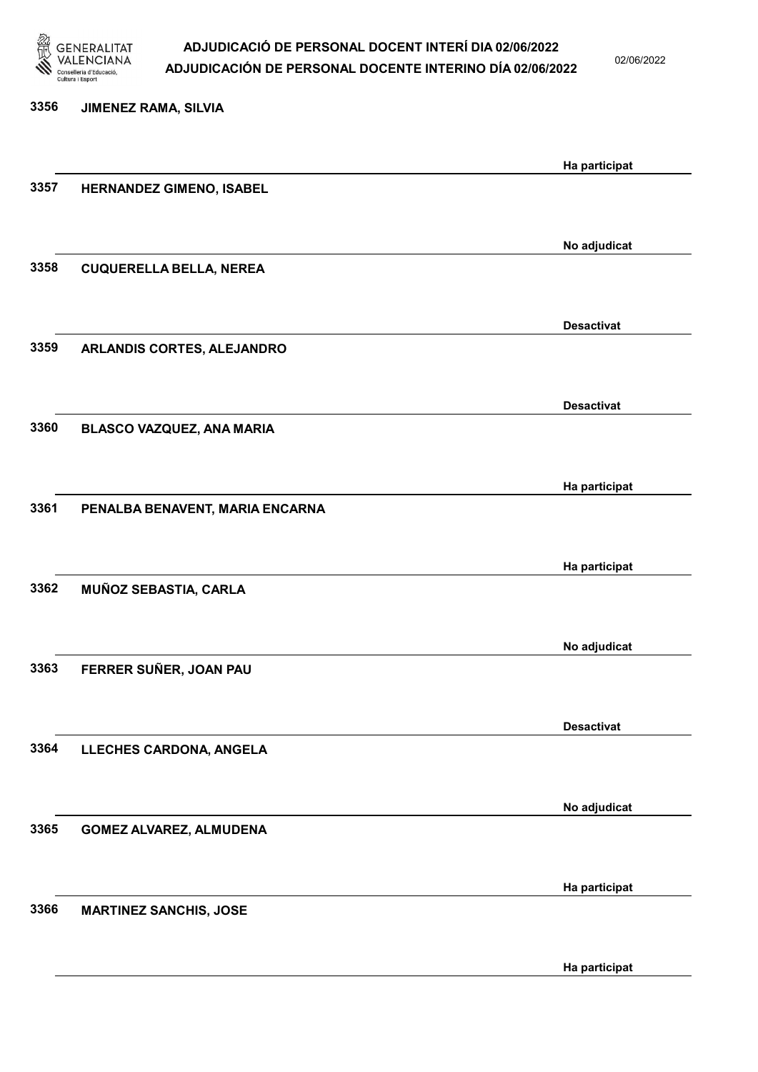

02/06/2022

3356 JIMENEZ RAMA, SILVIA Ha participat 3357 HERNANDEZ GIMENO, ISABEL No adjudicat 3358 CUQUERELLA BELLA, NEREA Desactivat 3359 ARLANDIS CORTES, ALEJANDRO Desactivat 3360 BLASCO VAZQUEZ, ANA MARIA Ha participat 3361 PENALBA BENAVENT, MARIA ENCARNA Ha participat 3362 MUÑOZ SEBASTIA, CARLA No adjudicat 3363 FERRER SUÑER, JOAN PAU Desactivat 3364 LLECHES CARDONA, ANGELA No adjudicat 3365 GOMEZ ALVAREZ, ALMUDENA Ha participat 3366 MARTINEZ SANCHIS, JOSE

Ha participat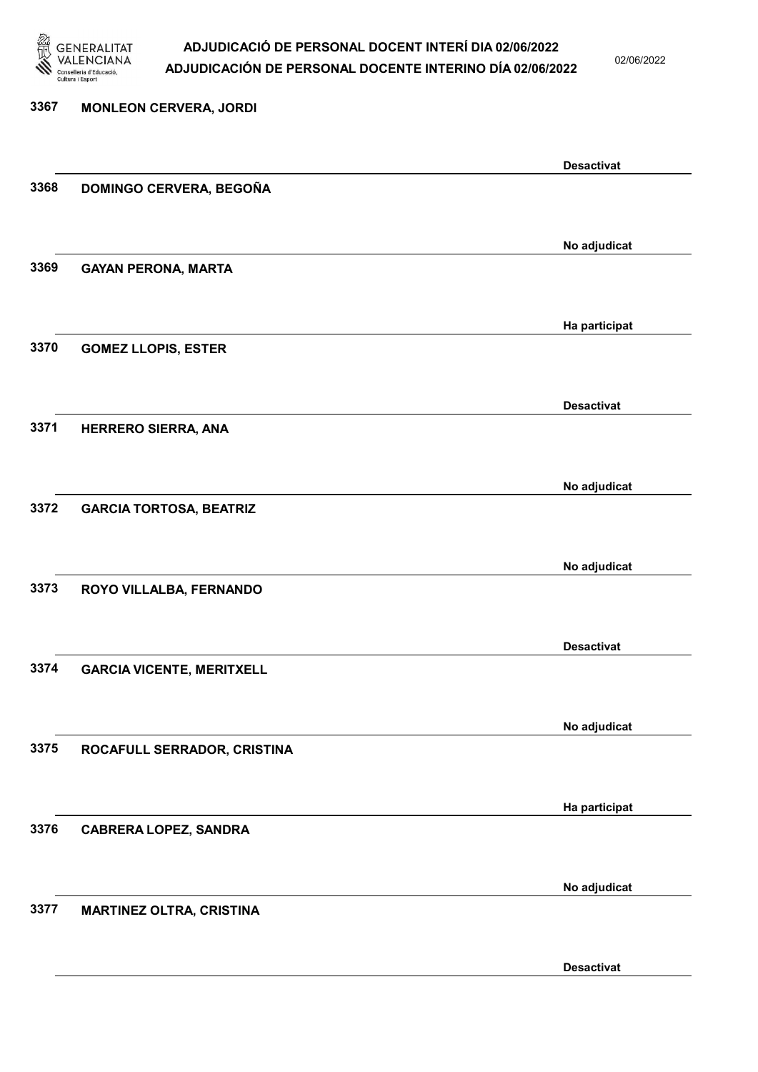

02/06/2022

Desactivat

# 3367 MONLEON CERVERA, JORDI Desactivat 3368 DOMINGO CERVERA, BEGOÑA No adjudicat 3369 GAYAN PERONA, MARTA Ha participat 3370 GOMEZ LLOPIS, ESTER Desactivat 3371 HERRERO SIERRA, ANA No adjudicat 3372 GARCIA TORTOSA, BEATRIZ No adjudicat 3373 ROYO VILLALBA, FERNANDO Desactivat 3374 GARCIA VICENTE, MERITXELL No adjudicat 3375 ROCAFULL SERRADOR, CRISTINA Ha participat 3376 CABRERA LOPEZ, SANDRA No adjudicat 3377 MARTINEZ OLTRA, CRISTINA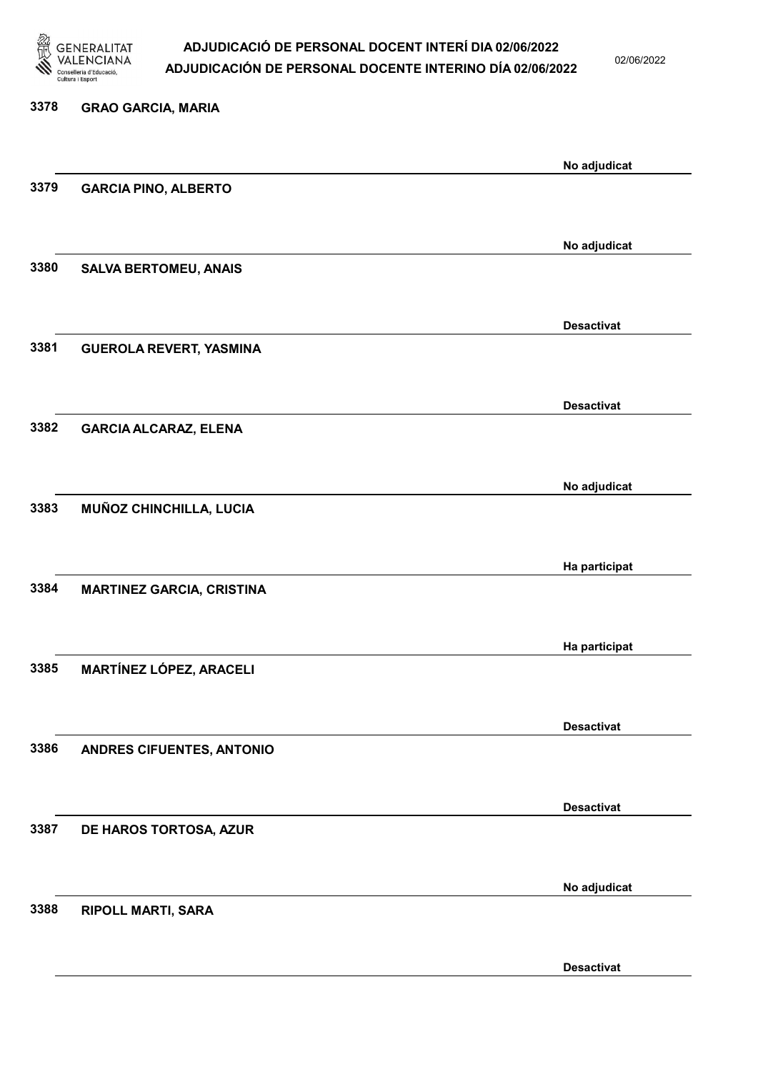

02/06/2022

Desactivat

# 3378 GRAO GARCIA, MARIA No adjudicat 3379 GARCIA PINO, ALBERTO No adjudicat 3380 SALVA BERTOMEU, ANAIS Desactivat 3381 GUEROLA REVERT, YASMINA Desactivat 3382 GARCIA ALCARAZ, ELENA No adjudicat 3383 MUÑOZ CHINCHILLA, LUCIA Ha participat 3384 MARTINEZ GARCIA, CRISTINA Ha participat 3385 MARTÍNEZ LÓPEZ, ARACELI Desactivat 3386 ANDRES CIFUENTES, ANTONIO Desactivat 3387 DE HAROS TORTOSA, AZUR No adjudicat 3388 RIPOLL MARTI, SARA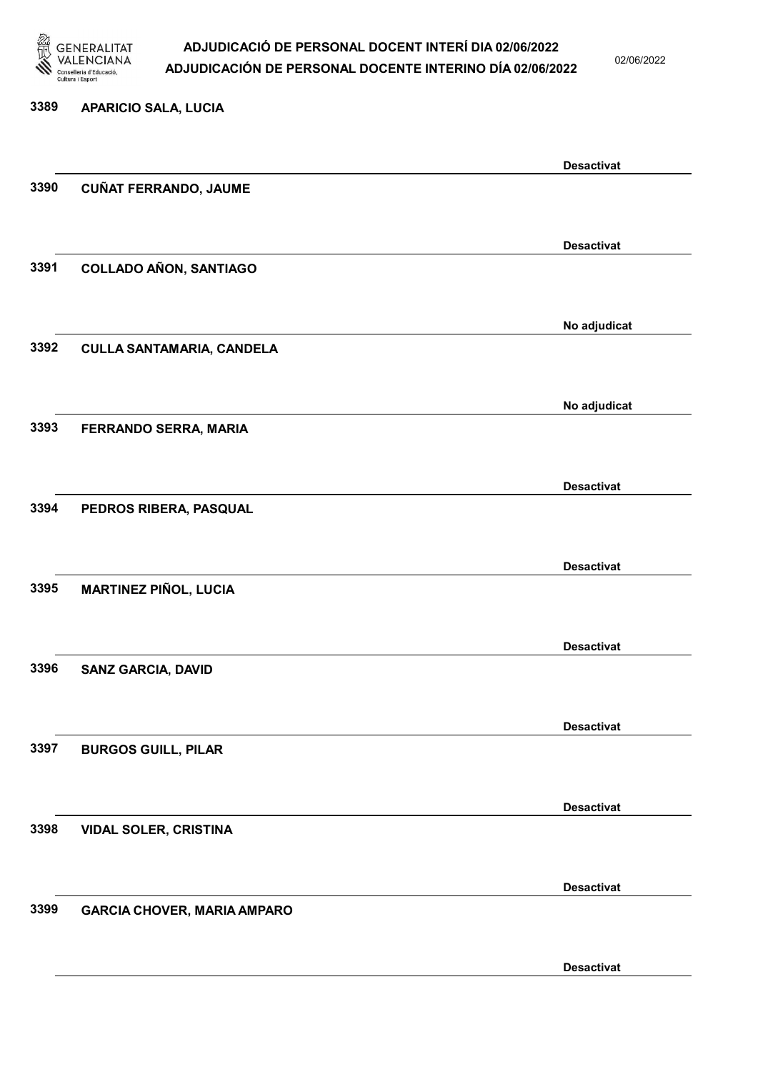

02/06/2022

### 3389 APARICIO SALA, LUCIA

|      |                                    | <b>Desactivat</b> |
|------|------------------------------------|-------------------|
| 3390 | <b>CUÑAT FERRANDO, JAUME</b>       |                   |
|      |                                    | <b>Desactivat</b> |
| 3391 | <b>COLLADO AÑON, SANTIAGO</b>      |                   |
|      |                                    | No adjudicat      |
| 3392 | <b>CULLA SANTAMARIA, CANDELA</b>   |                   |
|      |                                    | No adjudicat      |
| 3393 | FERRANDO SERRA, MARIA              |                   |
|      |                                    | <b>Desactivat</b> |
| 3394 | PEDROS RIBERA, PASQUAL             |                   |
|      |                                    | <b>Desactivat</b> |
| 3395 | <b>MARTINEZ PIÑOL, LUCIA</b>       |                   |
| 3396 |                                    | <b>Desactivat</b> |
|      | <b>SANZ GARCIA, DAVID</b>          |                   |
| 3397 |                                    | <b>Desactivat</b> |
|      | <b>BURGOS GUILL, PILAR</b>         |                   |
| 3398 |                                    | <b>Desactivat</b> |
|      | <b>VIDAL SOLER, CRISTINA</b>       |                   |
| 3399 | <b>GARCIA CHOVER, MARIA AMPARO</b> | <b>Desactivat</b> |
|      |                                    |                   |
|      |                                    | <b>Desactivat</b> |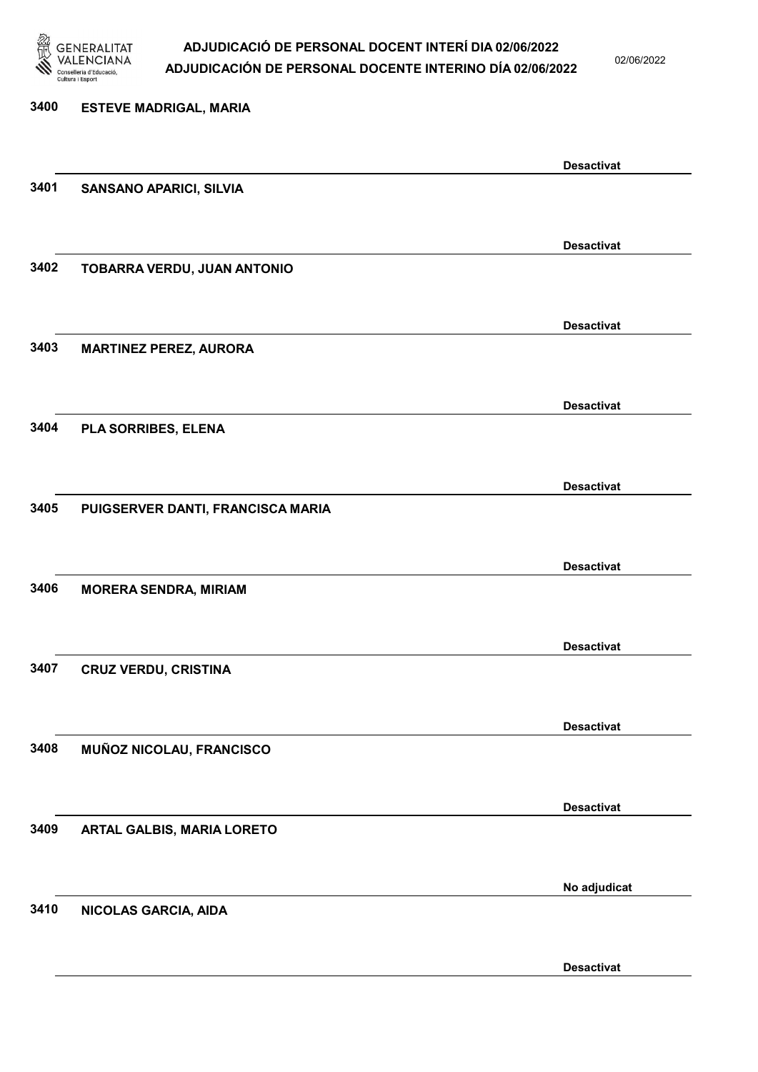

02/06/2022

Desactivat

# 3400 ESTEVE MADRIGAL, MARIA Desactivat 3401 SANSANO APARICI, SILVIA Desactivat 3402 TOBARRA VERDU, JUAN ANTONIO Desactivat 3403 MARTINEZ PEREZ, AURORA Desactivat 3404 PLA SORRIBES, ELENA Desactivat 3405 PUIGSERVER DANTI, FRANCISCA MARIA Desactivat 3406 MORERA SENDRA, MIRIAM Desactivat 3407 CRUZ VERDU, CRISTINA Desactivat 3408 MUÑOZ NICOLAU, FRANCISCO Desactivat 3409 ARTAL GALBIS, MARIA LORETO No adjudicat 3410 NICOLAS GARCIA, AIDA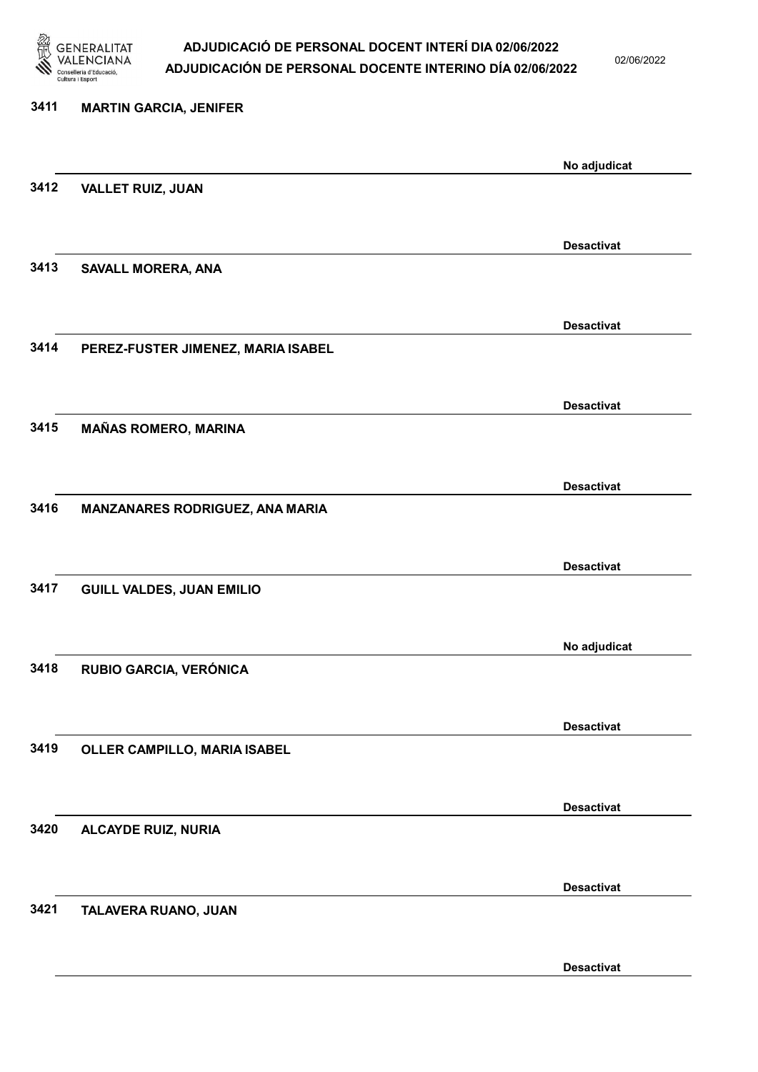

02/06/2022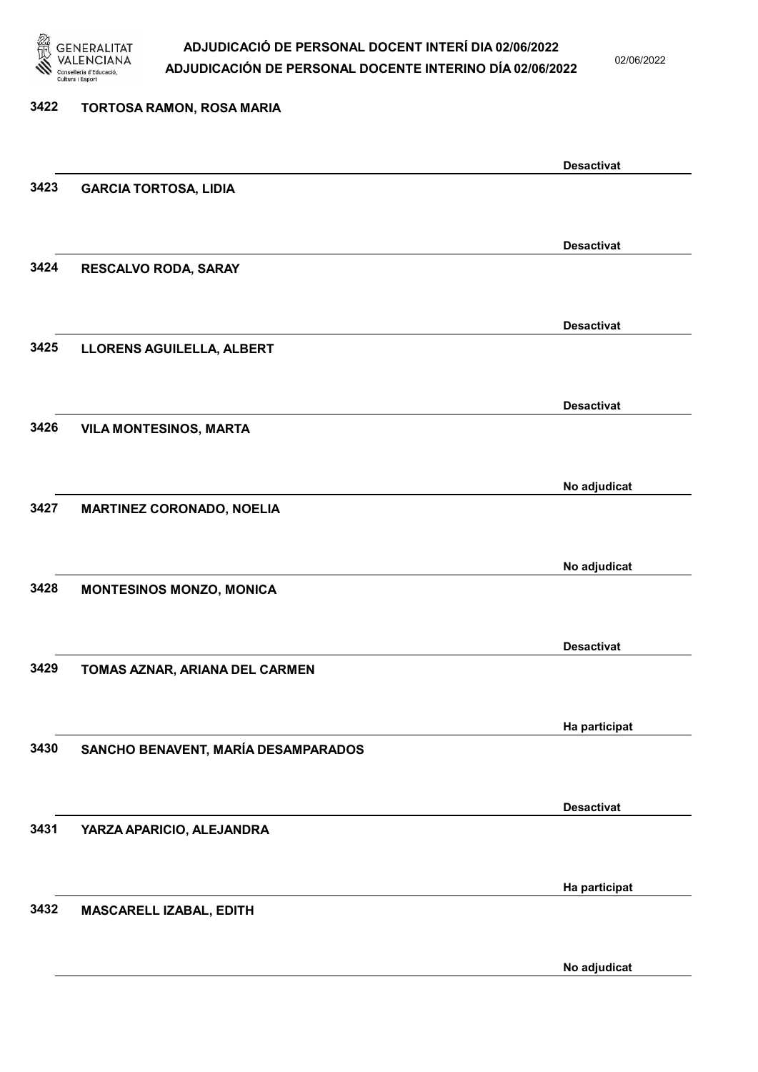

02/06/2022

| 3422 | TORTOSA RAMON, ROSA MARIA           |                   |
|------|-------------------------------------|-------------------|
|      |                                     | <b>Desactivat</b> |
| 3423 | <b>GARCIA TORTOSA, LIDIA</b>        |                   |
|      |                                     |                   |
| 3424 | RESCALVO RODA, SARAY                | <b>Desactivat</b> |
|      |                                     |                   |
|      |                                     | <b>Desactivat</b> |
| 3425 | LLORENS AGUILELLA, ALBERT           |                   |
|      |                                     | <b>Desactivat</b> |
| 3426 | <b>VILA MONTESINOS, MARTA</b>       |                   |
|      |                                     |                   |
| 3427 | <b>MARTINEZ CORONADO, NOELIA</b>    | No adjudicat      |
|      |                                     |                   |
|      |                                     | No adjudicat      |
| 3428 | <b>MONTESINOS MONZO, MONICA</b>     |                   |
|      |                                     | <b>Desactivat</b> |
| 3429 | TOMAS AZNAR, ARIANA DEL CARMEN      |                   |
|      |                                     |                   |
| 3430 | SANCHO BENAVENT, MARÍA DESAMPARADOS | Ha participat     |
|      |                                     |                   |
|      |                                     | <b>Desactivat</b> |
| 3431 | YARZA APARICIO, ALEJANDRA           |                   |
|      |                                     | Ha participat     |
| 3432 | MASCARELL IZABAL, EDITH             |                   |
|      |                                     |                   |

No adjudicat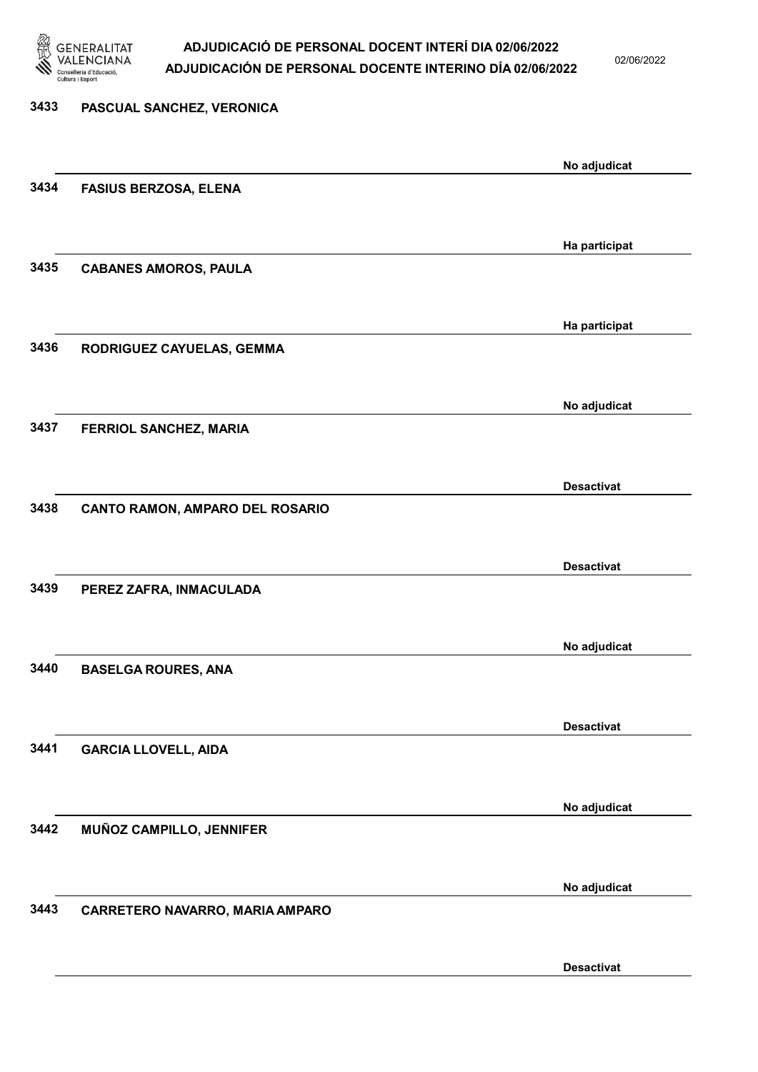

02/06/2022

| No adjudicat<br>Ha participat<br>Ha participat |
|------------------------------------------------|
|                                                |
|                                                |
|                                                |
|                                                |
|                                                |
|                                                |
|                                                |
|                                                |
| No adjudicat                                   |
|                                                |
| <b>Desactivat</b>                              |
|                                                |
|                                                |
| <b>Desactivat</b>                              |
|                                                |
| No adjudicat                                   |
|                                                |
|                                                |
| <b>Desactivat</b>                              |
|                                                |
| No adjudicat                                   |
|                                                |
|                                                |
| No adjudicat                                   |
|                                                |
|                                                |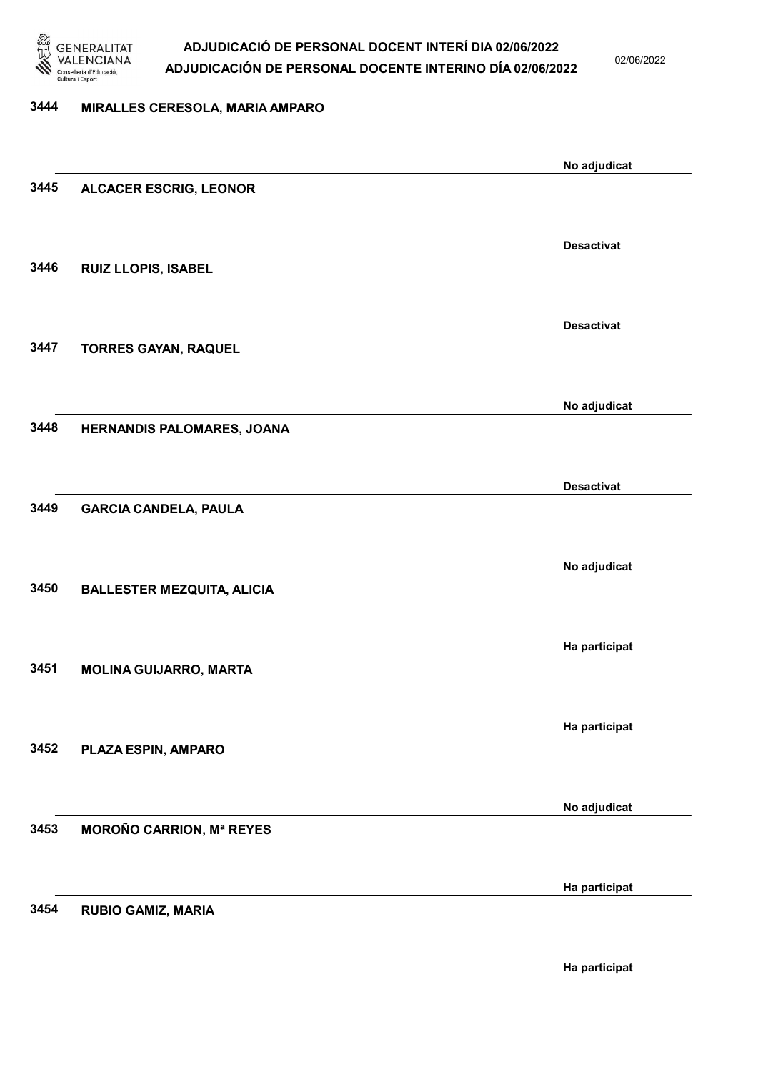

02/06/2022

### 3444 MIRALLES CERESOLA, MARIA AMPARO

|      |                                   | No adjudicat      |
|------|-----------------------------------|-------------------|
| 3445 | <b>ALCACER ESCRIG, LEONOR</b>     |                   |
|      |                                   |                   |
|      |                                   | <b>Desactivat</b> |
| 3446 | RUIZ LLOPIS, ISABEL               |                   |
|      |                                   |                   |
|      |                                   |                   |
|      |                                   | <b>Desactivat</b> |
| 3447 | <b>TORRES GAYAN, RAQUEL</b>       |                   |
|      |                                   |                   |
|      |                                   | No adjudicat      |
| 3448 | HERNANDIS PALOMARES, JOANA        |                   |
|      |                                   |                   |
|      |                                   |                   |
|      |                                   | <b>Desactivat</b> |
| 3449 | <b>GARCIA CANDELA, PAULA</b>      |                   |
|      |                                   |                   |
|      |                                   | No adjudicat      |
| 3450 | <b>BALLESTER MEZQUITA, ALICIA</b> |                   |
|      |                                   |                   |
|      |                                   |                   |
| 3451 |                                   | Ha participat     |
|      | <b>MOLINA GUIJARRO, MARTA</b>     |                   |
|      |                                   |                   |
|      |                                   | Ha participat     |
| 3452 | PLAZA ESPIN, AMPARO               |                   |
|      |                                   |                   |
|      |                                   | No adjudicat      |
| 3453 | <b>MOROÑO CARRION, Mª REYES</b>   |                   |
|      |                                   |                   |
|      |                                   |                   |
|      |                                   | Ha participat     |
| 3454 | <b>RUBIO GAMIZ, MARIA</b>         |                   |
|      |                                   |                   |
|      |                                   | Ha participat     |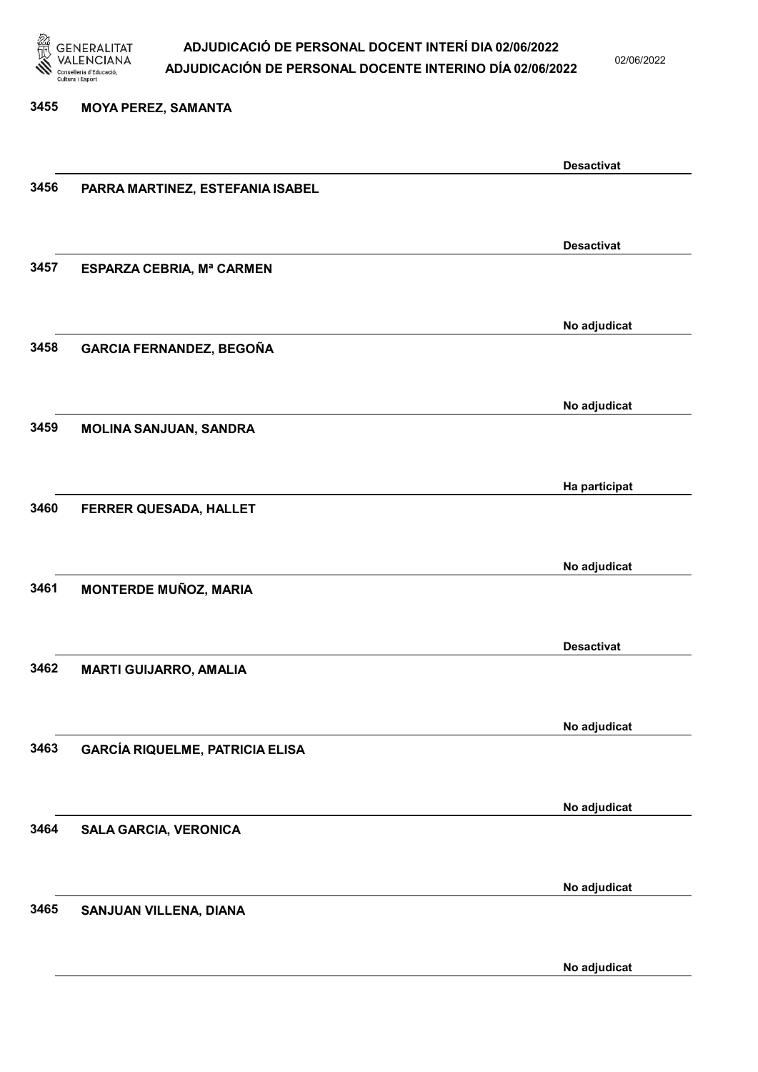

02/06/2022

#### 3455 MOYA PEREZ, SAMANTA

|      |                                        | <b>Desactivat</b> |
|------|----------------------------------------|-------------------|
| 3456 | PARRA MARTINEZ, ESTEFANIA ISABEL       |                   |
|      |                                        |                   |
|      |                                        |                   |
|      |                                        | <b>Desactivat</b> |
| 3457 |                                        |                   |
|      | ESPARZA CEBRIA, Mª CARMEN              |                   |
|      |                                        |                   |
|      |                                        |                   |
|      |                                        | No adjudicat      |
| 3458 | <b>GARCIA FERNANDEZ, BEGOÑA</b>        |                   |
|      |                                        |                   |
|      |                                        |                   |
|      |                                        | No adjudicat      |
| 3459 |                                        |                   |
|      | MOLINA SANJUAN, SANDRA                 |                   |
|      |                                        |                   |
|      |                                        |                   |
|      |                                        | Ha participat     |
| 3460 | FERRER QUESADA, HALLET                 |                   |
|      |                                        |                   |
|      |                                        |                   |
|      |                                        | No adjudicat      |
| 3461 | <b>MONTERDE MUÑOZ, MARIA</b>           |                   |
|      |                                        |                   |
|      |                                        |                   |
|      |                                        | <b>Desactivat</b> |
|      |                                        |                   |
| 3462 | <b>MARTI GUIJARRO, AMALIA</b>          |                   |
|      |                                        |                   |
|      |                                        |                   |
|      |                                        | No adjudicat      |
| 3463 | <b>GARCÍA RIQUELME, PATRICIA ELISA</b> |                   |
|      |                                        |                   |
|      |                                        |                   |
|      |                                        | No adjudicat      |
|      |                                        |                   |
| 3464 | <b>SALA GARCIA, VERONICA</b>           |                   |
|      |                                        |                   |
|      |                                        |                   |
|      |                                        | No adjudicat      |
| 3465 | SANJUAN VILLENA, DIANA                 |                   |
|      |                                        |                   |
|      |                                        |                   |
|      |                                        | No adjudicat      |
|      |                                        |                   |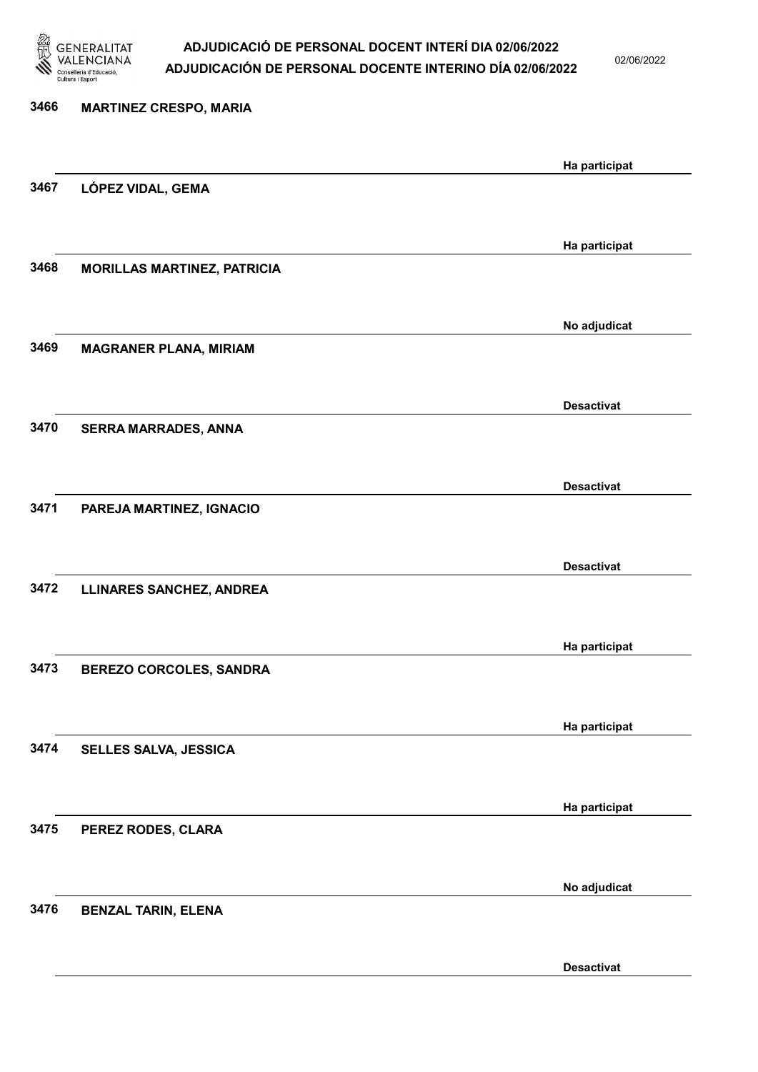

3476 BENZAL TARIN, ELENA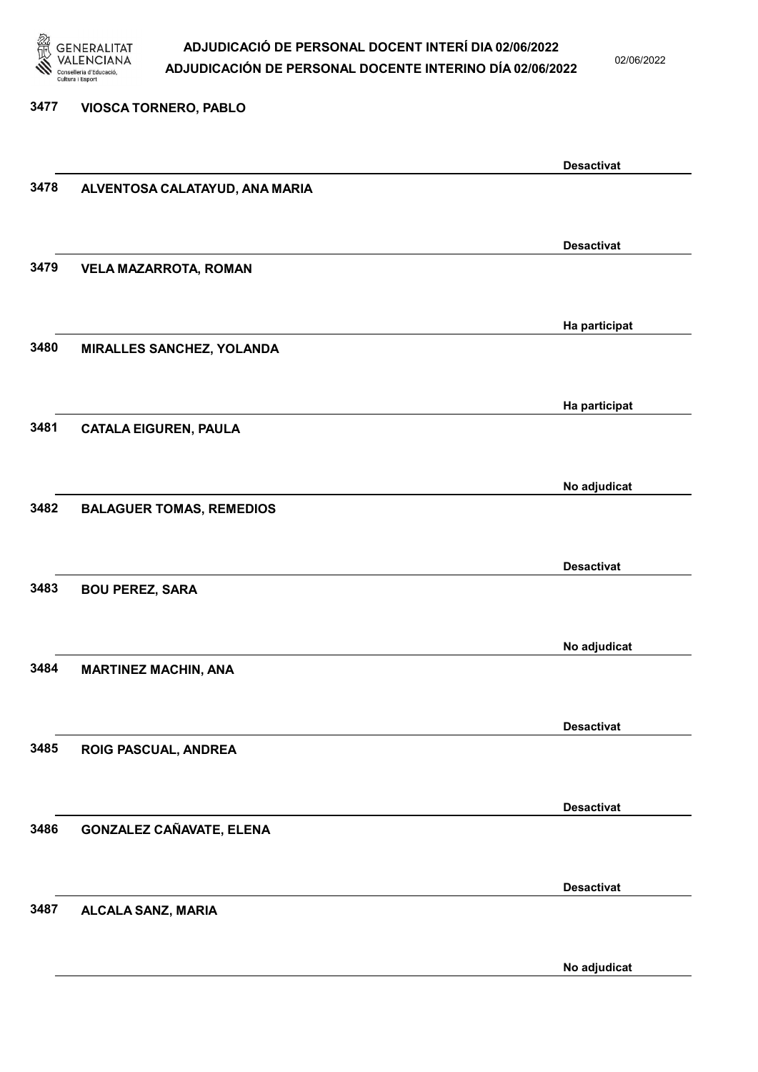

02/06/2022

#### 3477 VIOSCA TORNERO, PABLO

|      |                                 | <b>Desactivat</b> |
|------|---------------------------------|-------------------|
| 3478 | ALVENTOSA CALATAYUD, ANA MARIA  |                   |
|      |                                 |                   |
|      |                                 | <b>Desactivat</b> |
| 3479 | <b>VELA MAZARROTA, ROMAN</b>    |                   |
|      |                                 |                   |
|      |                                 | Ha participat     |
| 3480 | MIRALLES SANCHEZ, YOLANDA       |                   |
|      |                                 |                   |
|      |                                 | Ha participat     |
| 3481 | <b>CATALA EIGUREN, PAULA</b>    |                   |
|      |                                 |                   |
|      |                                 | No adjudicat      |
| 3482 | <b>BALAGUER TOMAS, REMEDIOS</b> |                   |
|      |                                 |                   |
|      |                                 | <b>Desactivat</b> |
| 3483 | <b>BOU PEREZ, SARA</b>          |                   |
|      |                                 |                   |
|      |                                 | No adjudicat      |
| 3484 | <b>MARTINEZ MACHIN, ANA</b>     |                   |
|      |                                 |                   |
|      |                                 | <b>Desactivat</b> |
| 3485 | ROIG PASCUAL, ANDREA            |                   |
|      |                                 |                   |
|      |                                 | <b>Desactivat</b> |
| 3486 | <b>GONZALEZ CAÑAVATE, ELENA</b> |                   |
|      |                                 |                   |
|      |                                 | <b>Desactivat</b> |
| 3487 | ALCALA SANZ, MARIA              |                   |
|      |                                 |                   |
|      |                                 | No adjudicat      |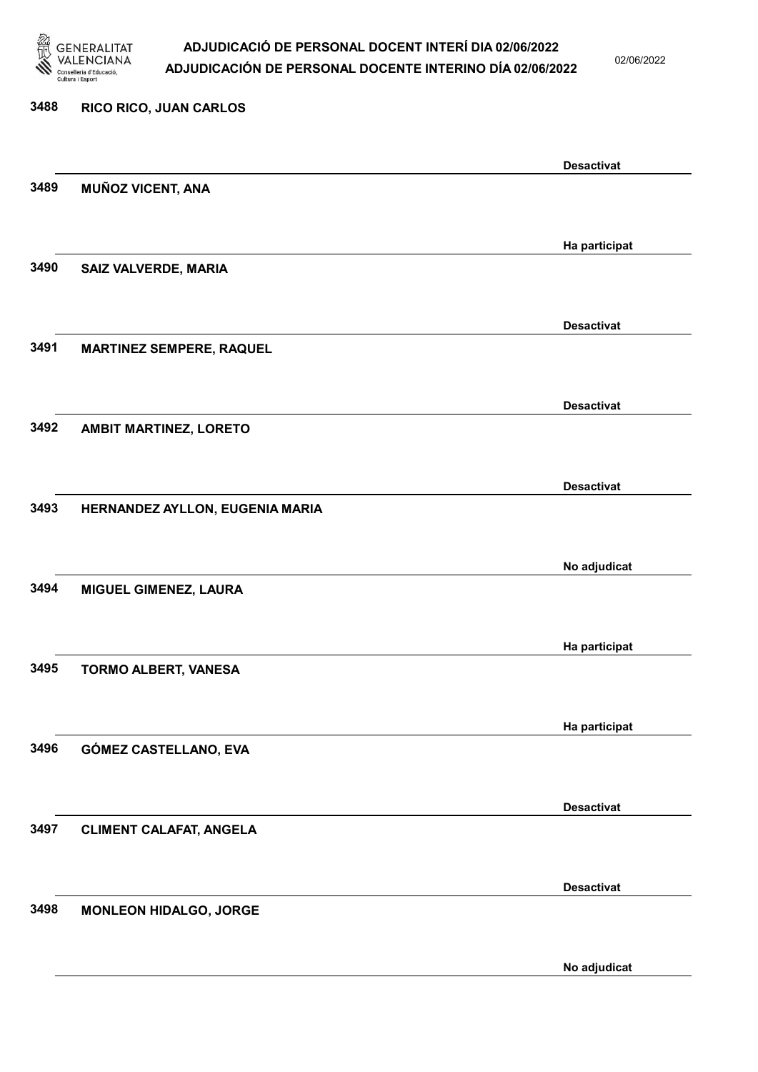

02/06/2022

No adjudicat

# 3488 RICO RICO, JUAN CARLOS Desactivat 3489 MUÑOZ VICENT, ANA Ha participat 3490 SAIZ VALVERDE, MARIA Desactivat 3491 MARTINEZ SEMPERE, RAQUEL Desactivat 3492 AMBIT MARTINEZ, LORETO Desactivat 3493 HERNANDEZ AYLLON, EUGENIA MARIA No adjudicat 3494 MIGUEL GIMENEZ, LAURA Ha participat 3495 TORMO ALBERT, VANESA Ha participat 3496 GÓMEZ CASTELLANO, EVA Desactivat 3497 CLIMENT CALAFAT, ANGELA Desactivat 3498 MONLEON HIDALGO, JORGE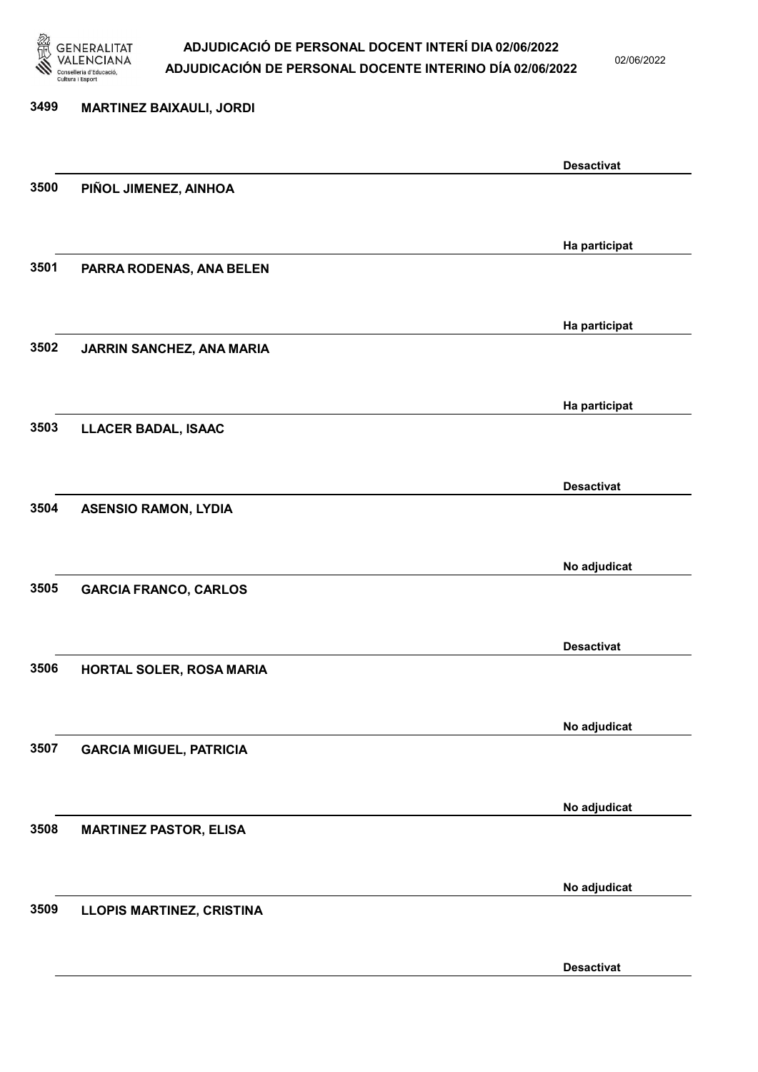

02/06/2022

Desactivat

# 3499 MARTINEZ BAIXAULI, JORDI Desactivat 3500 PIÑOL JIMENEZ, AINHOA Ha participat 3501 PARRA RODENAS, ANA BELEN Ha participat 3502 JARRIN SANCHEZ, ANA MARIA Ha participat 3503 LLACER BADAL, ISAAC Desactivat 3504 ASENSIO RAMON, LYDIA No adjudicat 3505 GARCIA FRANCO, CARLOS Desactivat 3506 HORTAL SOLER, ROSA MARIA No adjudicat 3507 GARCIA MIGUEL, PATRICIA No adjudicat 3508 MARTINEZ PASTOR, ELISA No adjudicat 3509 LLOPIS MARTINEZ, CRISTINA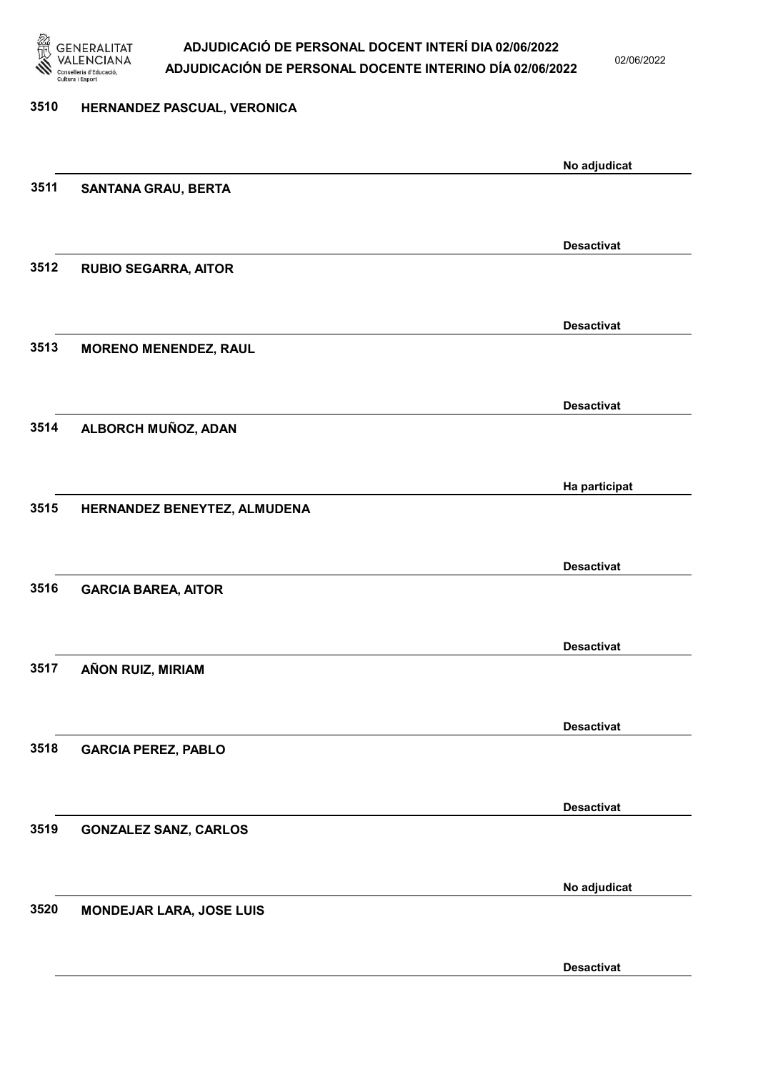

02/06/2022

# 3510 HERNANDEZ PASCUAL, VERONICA No adjudicat 3511 SANTANA GRAU, BERTA Desactivat 3512 RUBIO SEGARRA, AITOR Desactivat 3513 MORENO MENENDEZ, RAUL Desactivat 3514 ALBORCH MUÑOZ, ADAN Ha participat 3515 HERNANDEZ BENEYTEZ, ALMUDENA Desactivat 3516 GARCIA BAREA, AITOR Desactivat 3517 AÑON RUIZ, MIRIAM Desactivat 3518 GARCIA PEREZ, PABLO Desactivat 3519 GONZALEZ SANZ, CARLOS No adjudicat 3520 MONDEJAR LARA, JOSE LUIS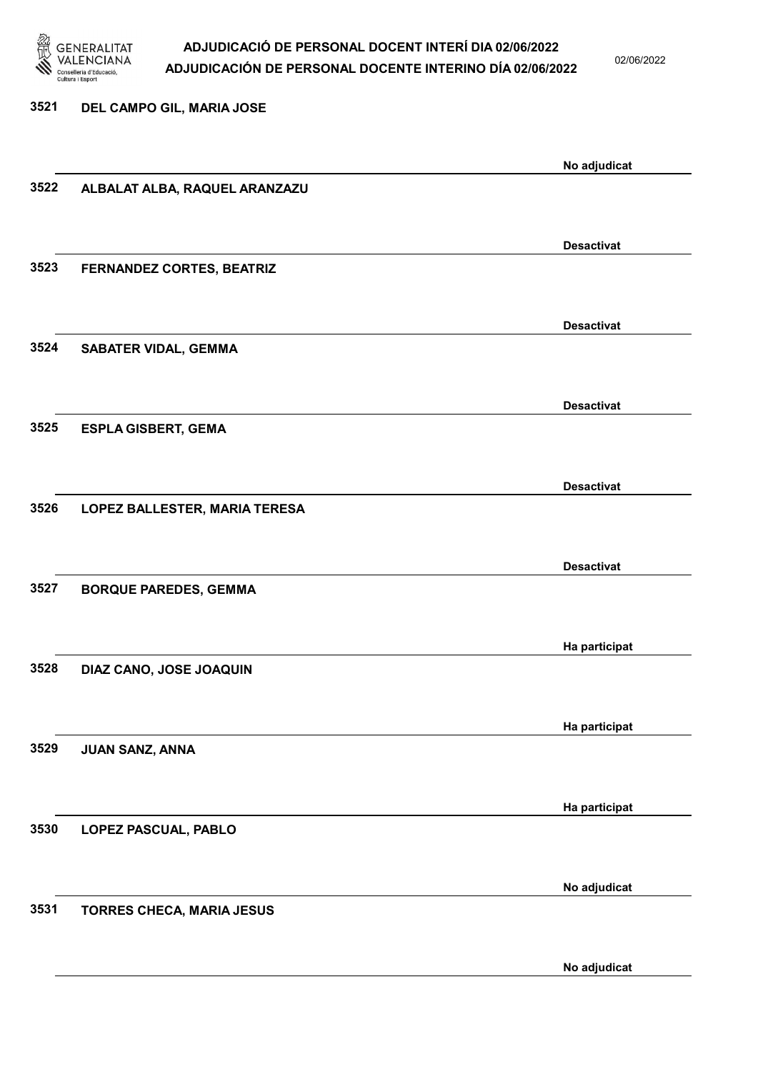

02/06/2022

| 3521 | DEL CAMPO GIL, MARIA JOSE     |                   |
|------|-------------------------------|-------------------|
|      |                               |                   |
|      |                               | No adjudicat      |
| 3522 | ALBALAT ALBA, RAQUEL ARANZAZU |                   |
|      |                               |                   |
|      |                               | <b>Desactivat</b> |
| 3523 | FERNANDEZ CORTES, BEATRIZ     |                   |
|      |                               |                   |
|      |                               | <b>Desactivat</b> |
| 3524 | <b>SABATER VIDAL, GEMMA</b>   |                   |
|      |                               |                   |
|      |                               | <b>Desactivat</b> |
| 3525 | <b>ESPLA GISBERT, GEMA</b>    |                   |
|      |                               |                   |
|      |                               | <b>Desactivat</b> |
| 3526 | LOPEZ BALLESTER, MARIA TERESA |                   |
|      |                               |                   |
| 3527 | <b>BORQUE PAREDES, GEMMA</b>  | <b>Desactivat</b> |
|      |                               |                   |
|      |                               | Ha participat     |
| 3528 | DIAZ CANO, JOSE JOAQUIN       |                   |
|      |                               |                   |
|      |                               | Ha participat     |
| 3529 | JUAN SANZ, ANNA               |                   |
|      |                               |                   |
|      |                               | Ha participat     |
| 3530 | LOPEZ PASCUAL, PABLO          |                   |
|      |                               |                   |
|      |                               | No adjudicat      |
| 3531 | TORRES CHECA, MARIA JESUS     |                   |
|      |                               |                   |

No adjudicat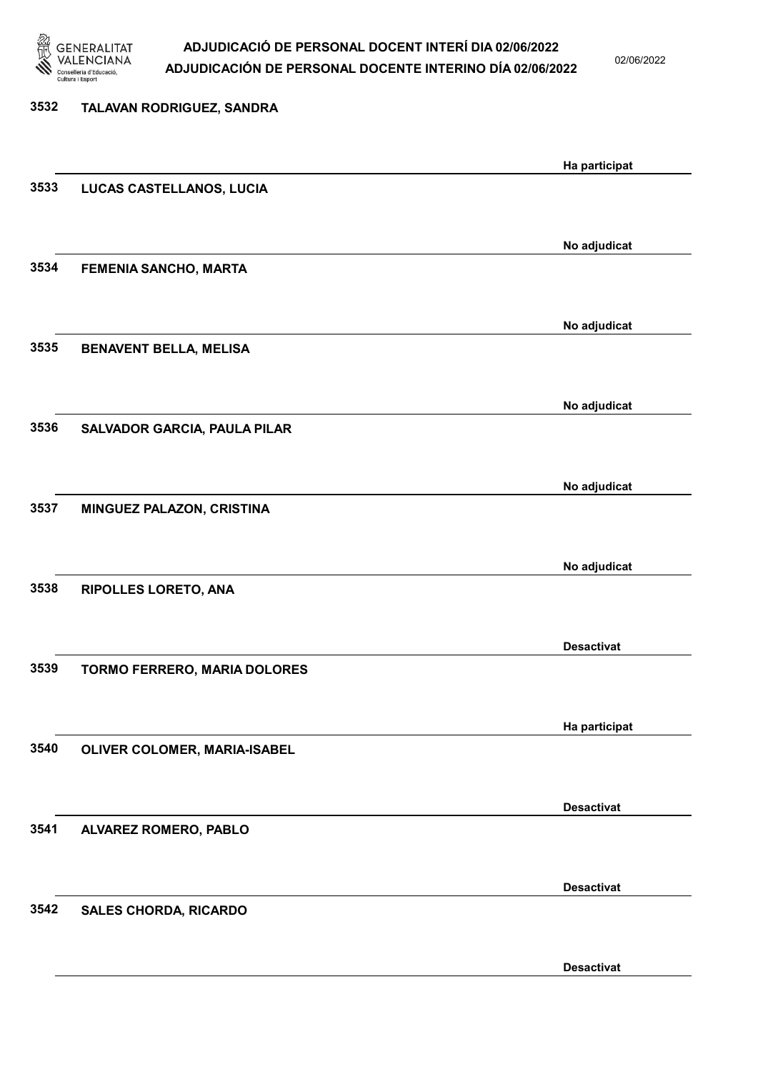

02/06/2022

| 3532 | TALAVAN RODRIGUEZ, SANDRA     |                   |
|------|-------------------------------|-------------------|
|      |                               | Ha participat     |
| 3533 | LUCAS CASTELLANOS, LUCIA      |                   |
|      |                               |                   |
| 3534 | <b>FEMENIA SANCHO, MARTA</b>  | No adjudicat      |
|      |                               |                   |
| 3535 | <b>BENAVENT BELLA, MELISA</b> | No adjudicat      |
|      |                               |                   |
|      |                               | No adjudicat      |
| 3536 | SALVADOR GARCIA, PAULA PILAR  |                   |
|      |                               | No adjudicat      |
| 3537 | MINGUEZ PALAZON, CRISTINA     |                   |
|      |                               | No adjudicat      |
| 3538 | <b>RIPOLLES LORETO, ANA</b>   |                   |
|      |                               |                   |
| 3539 | TORMO FERRERO, MARIA DOLORES  | <b>Desactivat</b> |
|      |                               |                   |
| 3540 | OLIVER COLOMER, MARIA-ISABEL  | Ha participat     |
|      |                               |                   |
|      |                               | <b>Desactivat</b> |
| 3541 | ALVAREZ ROMERO, PABLO         |                   |
|      |                               | <b>Desactivat</b> |
| 3542 | <b>SALES CHORDA, RICARDO</b>  |                   |
|      |                               |                   |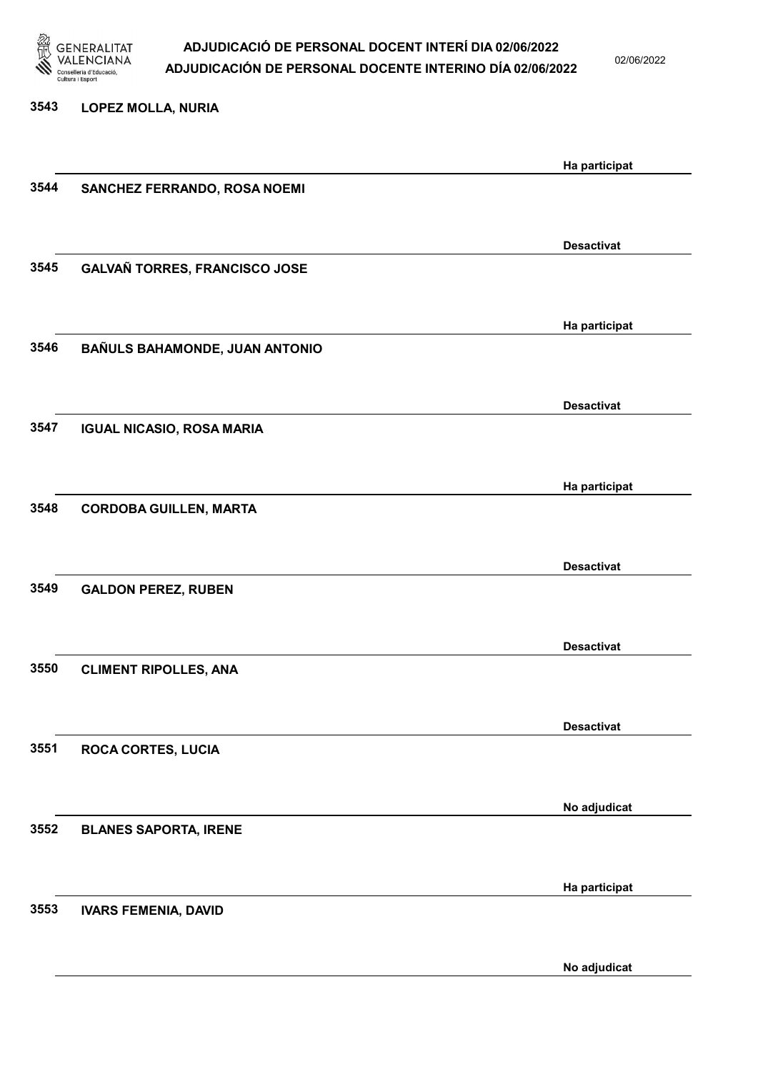

02/06/2022

# 3543 LOPEZ MOLLA, NURIA Ha participat 3544 SANCHEZ FERRANDO, ROSA NOEMI Desactivat 3545 GALVAÑ TORRES, FRANCISCO JOSE Ha participat 3546 BAÑULS BAHAMONDE, JUAN ANTONIO Desactivat 3547 IGUAL NICASIO, ROSA MARIA Ha participat 3548 CORDOBA GUILLEN, MARTA Desactivat 3549 GALDON PEREZ, RUBEN Desactivat 3550 CLIMENT RIPOLLES, ANA Desactivat 3551 ROCA CORTES, LUCIA No adjudicat 3552 BLANES SAPORTA, IRENE Ha participat 3553 IVARS FEMENIA, DAVID

No adjudicat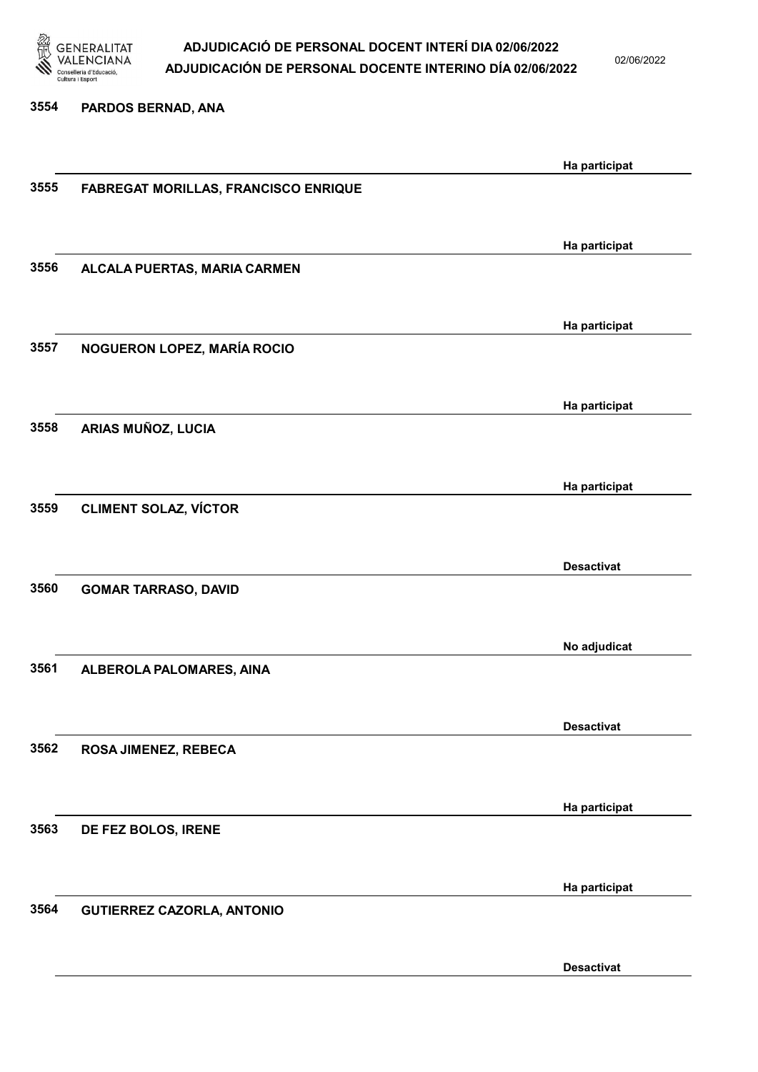

02/06/2022

#### 3554 PARDOS BERNAD, ANA

|      |                                             | Ha participat     |
|------|---------------------------------------------|-------------------|
| 3555 | <b>FABREGAT MORILLAS, FRANCISCO ENRIQUE</b> |                   |
|      |                                             |                   |
|      |                                             |                   |
|      |                                             | Ha participat     |
| 3556 | ALCALA PUERTAS, MARIA CARMEN                |                   |
|      |                                             |                   |
|      |                                             |                   |
|      |                                             | Ha participat     |
| 3557 | NOGUERON LOPEZ, MARÍA ROCIO                 |                   |
|      |                                             |                   |
|      |                                             |                   |
|      |                                             | Ha participat     |
| 3558 | ARIAS MUÑOZ, LUCIA                          |                   |
|      |                                             |                   |
|      |                                             |                   |
|      |                                             | Ha participat     |
| 3559 | <b>CLIMENT SOLAZ, VÍCTOR</b>                |                   |
|      |                                             |                   |
|      |                                             |                   |
|      |                                             | <b>Desactivat</b> |
| 3560 | <b>GOMAR TARRASO, DAVID</b>                 |                   |
|      |                                             |                   |
|      |                                             |                   |
|      |                                             | No adjudicat      |
| 3561 | ALBEROLA PALOMARES, AINA                    |                   |
|      |                                             |                   |
|      |                                             |                   |
|      |                                             | <b>Desactivat</b> |
| 3562 | ROSA JIMENEZ, REBECA                        |                   |
|      |                                             |                   |
|      |                                             |                   |
|      |                                             | Ha participat     |
| 3563 | DE FEZ BOLOS, IRENE                         |                   |
|      |                                             |                   |
|      |                                             |                   |
|      |                                             | Ha participat     |
| 3564 | <b>GUTIERREZ CAZORLA, ANTONIO</b>           |                   |
|      |                                             |                   |
|      |                                             |                   |
|      |                                             | <b>Desactivat</b> |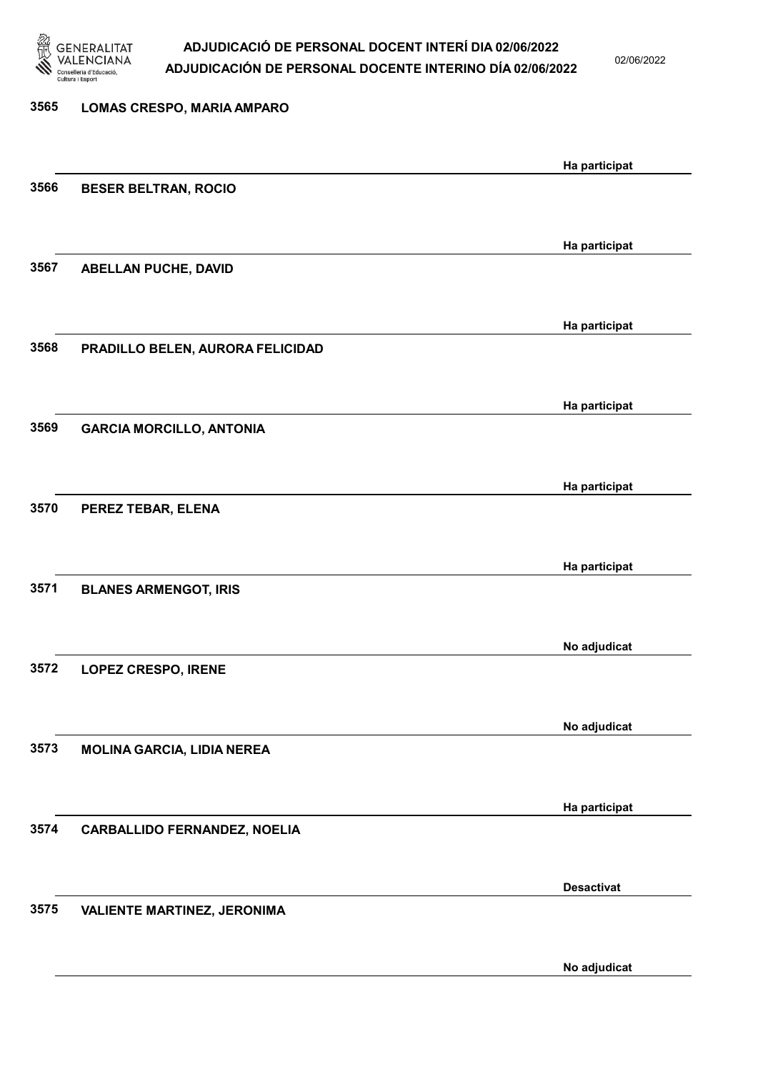

02/06/2022

| 3565 | LOMAS CRESPO, MARIA AMPARO          |                   |
|------|-------------------------------------|-------------------|
|      |                                     | Ha participat     |
| 3566 | <b>BESER BELTRAN, ROCIO</b>         |                   |
|      |                                     |                   |
|      |                                     | Ha participat     |
| 3567 | ABELLAN PUCHE, DAVID                |                   |
|      |                                     | Ha participat     |
| 3568 | PRADILLO BELEN, AURORA FELICIDAD    |                   |
|      |                                     |                   |
|      |                                     | Ha participat     |
| 3569 | <b>GARCIA MORCILLO, ANTONIA</b>     |                   |
|      |                                     |                   |
| 3570 | PEREZ TEBAR, ELENA                  | Ha participat     |
|      |                                     |                   |
|      |                                     | Ha participat     |
| 3571 | <b>BLANES ARMENGOT, IRIS</b>        |                   |
|      |                                     |                   |
| 3572 | <b>LOPEZ CRESPO, IRENE</b>          | No adjudicat      |
|      |                                     |                   |
|      |                                     | No adjudicat      |
| 3573 | <b>MOLINA GARCIA, LIDIA NEREA</b>   |                   |
|      |                                     |                   |
|      |                                     | Ha participat     |
| 3574 | <b>CARBALLIDO FERNANDEZ, NOELIA</b> |                   |
|      |                                     | <b>Desactivat</b> |
| 3575 | <b>VALIENTE MARTINEZ, JERONIMA</b>  |                   |
|      |                                     |                   |
|      |                                     |                   |

No adjudicat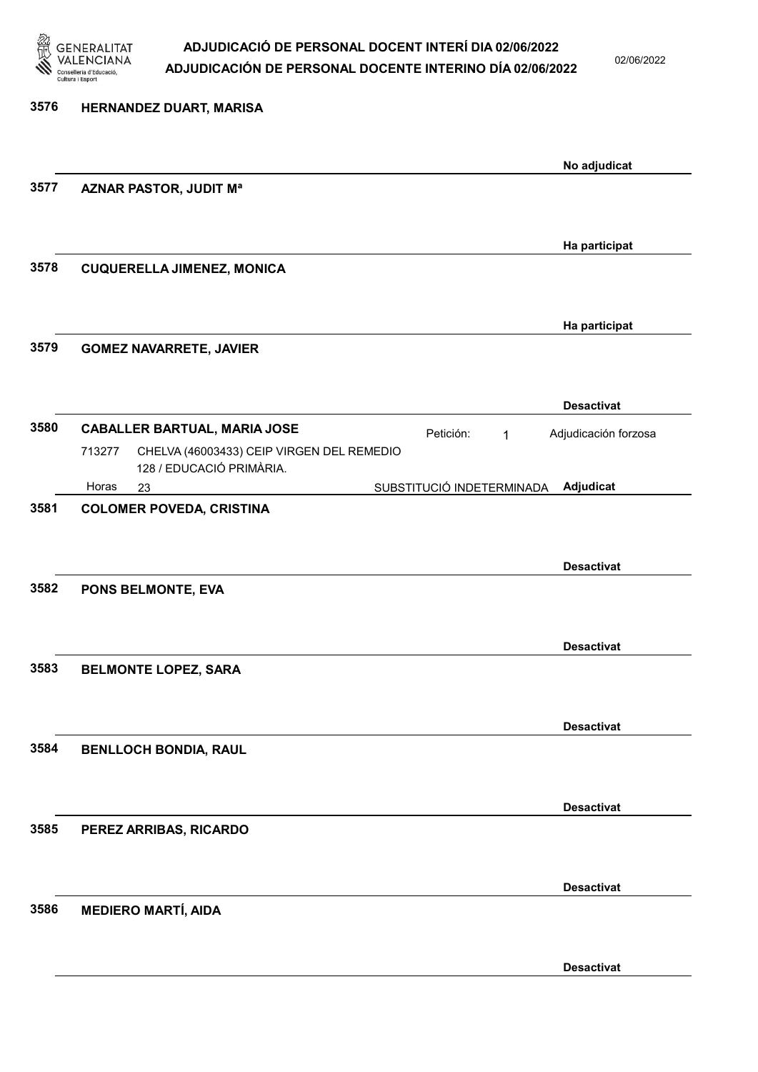

02/06/2022

| 3576 | HERNANDEZ DUART, MARISA                                                                                                |                                        |
|------|------------------------------------------------------------------------------------------------------------------------|----------------------------------------|
|      |                                                                                                                        | No adjudicat                           |
| 3577 | <b>AZNAR PASTOR, JUDIT Ma</b>                                                                                          |                                        |
|      |                                                                                                                        | Ha participat                          |
| 3578 | <b>CUQUERELLA JIMENEZ, MONICA</b>                                                                                      |                                        |
| 3579 | <b>GOMEZ NAVARRETE, JAVIER</b>                                                                                         | Ha participat                          |
|      |                                                                                                                        |                                        |
| 3580 |                                                                                                                        | <b>Desactivat</b>                      |
|      | <b>CABALLER BARTUAL, MARIA JOSE</b><br>CHELVA (46003433) CEIP VIRGEN DEL REMEDIO<br>713277<br>128 / EDUCACIÓ PRIMÀRIA. | Petición:<br>Adjudicación forzosa<br>1 |
|      | Horas<br>23                                                                                                            | Adjudicat<br>SUBSTITUCIÓ INDETERMINADA |
| 3582 | PONS BELMONTE, EVA                                                                                                     | <b>Desactivat</b>                      |
|      |                                                                                                                        | <b>Desactivat</b>                      |
| 3583 | <b>BELMONTE LOPEZ, SARA</b>                                                                                            | <b>Desactivat</b>                      |
| 3584 | <b>BENLLOCH BONDIA, RAUL</b>                                                                                           |                                        |
| 3585 | PEREZ ARRIBAS, RICARDO                                                                                                 | <b>Desactivat</b>                      |
| 3586 | <b>MEDIERO MARTÍ, AIDA</b>                                                                                             | <b>Desactivat</b>                      |
|      |                                                                                                                        |                                        |
|      |                                                                                                                        | <b>Desactivat</b>                      |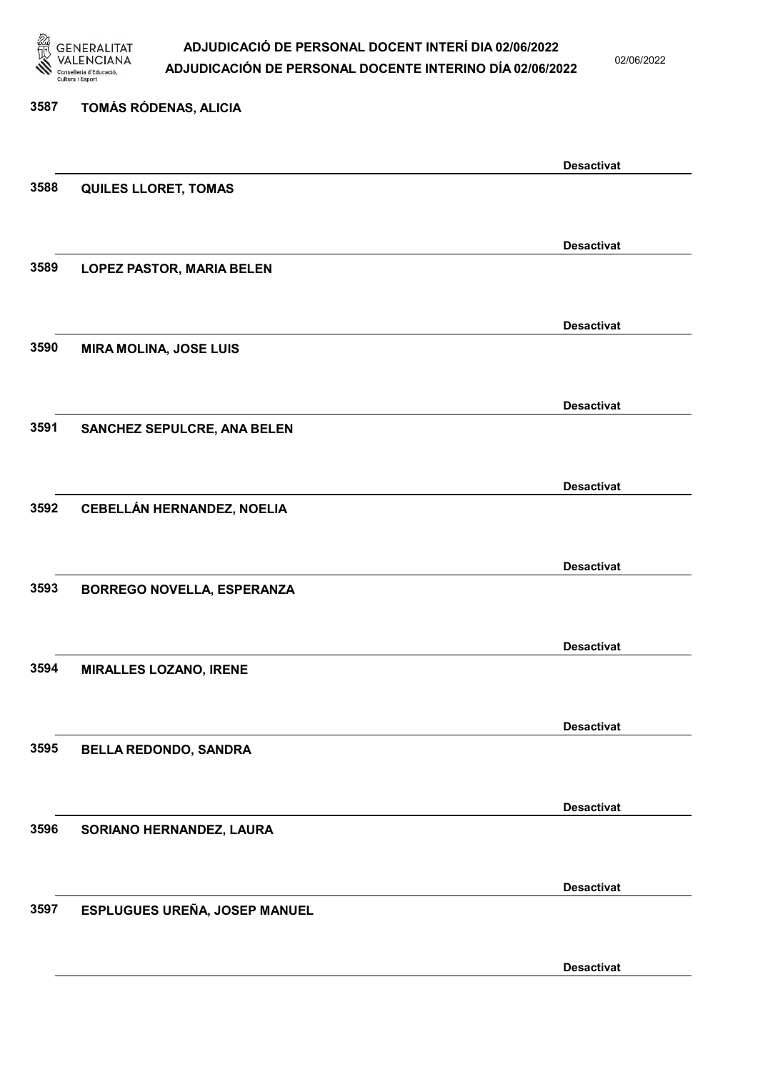

02/06/2022

Desactivat

| 3587 | TOMÁS RÓDENAS, ALICIA             |                   |
|------|-----------------------------------|-------------------|
|      |                                   | <b>Desactivat</b> |
| 3588 | <b>QUILES LLORET, TOMAS</b>       |                   |
|      |                                   |                   |
| 3589 | <b>LOPEZ PASTOR, MARIA BELEN</b>  | <b>Desactivat</b> |
|      |                                   |                   |
|      |                                   |                   |
| 3590 | <b>MIRA MOLINA, JOSE LUIS</b>     | <b>Desactivat</b> |
|      |                                   |                   |
|      |                                   |                   |
| 3591 |                                   | <b>Desactivat</b> |
|      | SANCHEZ SEPULCRE, ANA BELEN       |                   |
|      |                                   |                   |
|      |                                   | <b>Desactivat</b> |
| 3592 | CEBELLÁN HERNANDEZ, NOELIA        |                   |
|      |                                   |                   |
|      |                                   | <b>Desactivat</b> |
| 3593 | <b>BORREGO NOVELLA, ESPERANZA</b> |                   |
|      |                                   |                   |
|      |                                   | <b>Desactivat</b> |
| 3594 | <b>MIRALLES LOZANO, IRENE</b>     |                   |
|      |                                   |                   |
|      |                                   | <b>Desactivat</b> |
| 3595 | <b>BELLA REDONDO, SANDRA</b>      |                   |
|      |                                   |                   |
|      |                                   | <b>Desactivat</b> |
| 3596 | SORIANO HERNANDEZ, LAURA          |                   |
|      |                                   |                   |
|      |                                   | <b>Desactivat</b> |
| 3597 | ESPLUGUES UREÑA, JOSEP MANUEL     |                   |
|      |                                   |                   |
|      |                                   |                   |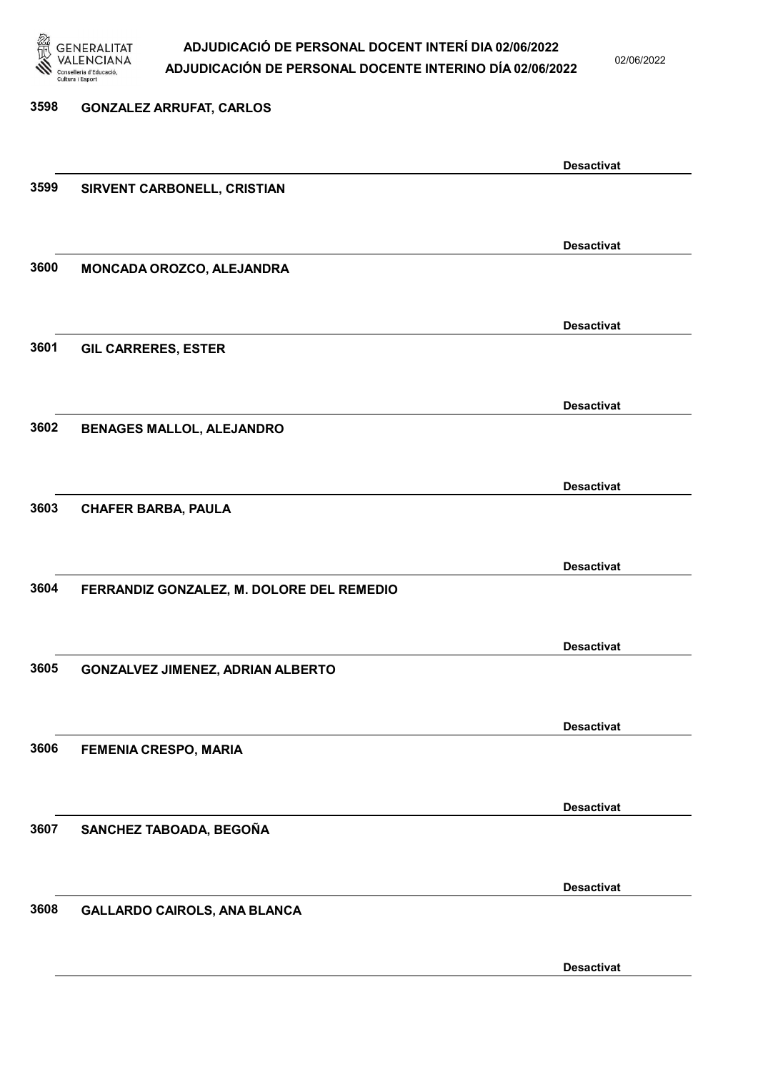

02/06/2022

| 3598 | <b>GONZALEZ ARRUFAT, CARLOS</b>           |                   |
|------|-------------------------------------------|-------------------|
|      |                                           |                   |
|      |                                           | <b>Desactivat</b> |
| 3599 | SIRVENT CARBONELL, CRISTIAN               |                   |
|      |                                           |                   |
|      |                                           | <b>Desactivat</b> |
| 3600 | MONCADA OROZCO, ALEJANDRA                 |                   |
|      |                                           |                   |
|      |                                           | <b>Desactivat</b> |
| 3601 | <b>GIL CARRERES, ESTER</b>                |                   |
|      |                                           |                   |
|      |                                           | <b>Desactivat</b> |
| 3602 | <b>BENAGES MALLOL, ALEJANDRO</b>          |                   |
|      |                                           |                   |
|      |                                           | <b>Desactivat</b> |
| 3603 | <b>CHAFER BARBA, PAULA</b>                |                   |
|      |                                           |                   |
|      |                                           | <b>Desactivat</b> |
| 3604 | FERRANDIZ GONZALEZ, M. DOLORE DEL REMEDIO |                   |
|      |                                           |                   |
|      |                                           | <b>Desactivat</b> |
| 3605 | <b>GONZALVEZ JIMENEZ, ADRIAN ALBERTO</b>  |                   |
|      |                                           |                   |
|      |                                           | <b>Desactivat</b> |
| 3606 | FEMENIA CRESPO, MARIA                     |                   |
|      |                                           |                   |
|      |                                           | <b>Desactivat</b> |
| 3607 | SANCHEZ TABOADA, BEGOÑA                   |                   |
|      |                                           |                   |
|      |                                           | <b>Desactivat</b> |
| 3608 | GALLARDO CAIROLS, ANA BLANCA              |                   |
|      |                                           |                   |
|      |                                           |                   |

Desactivat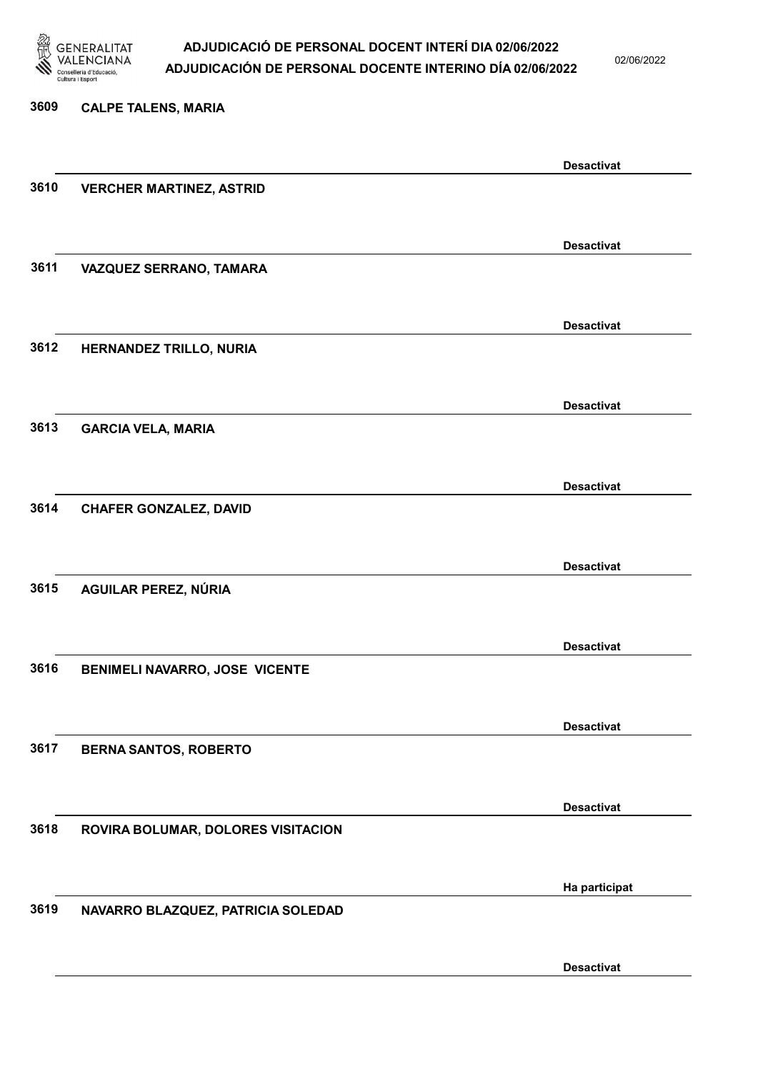

02/06/2022

Desactivat

# 3609 CALPE TALENS, MARIA Desactivat 3610 VERCHER MARTINEZ, ASTRID Desactivat 3611 VAZQUEZ SERRANO, TAMARA Desactivat 3612 HERNANDEZ TRILLO, NURIA Desactivat 3613 GARCIA VELA, MARIA Desactivat 3614 CHAFER GONZALEZ, DAVID Desactivat 3615 AGUILAR PEREZ, NÚRIA Desactivat 3616 BENIMELI NAVARRO, JOSE VICENTE Desactivat 3617 BERNA SANTOS, ROBERTO Desactivat 3618 ROVIRA BOLUMAR, DOLORES VISITACION Ha participat 3619 NAVARRO BLAZQUEZ, PATRICIA SOLEDAD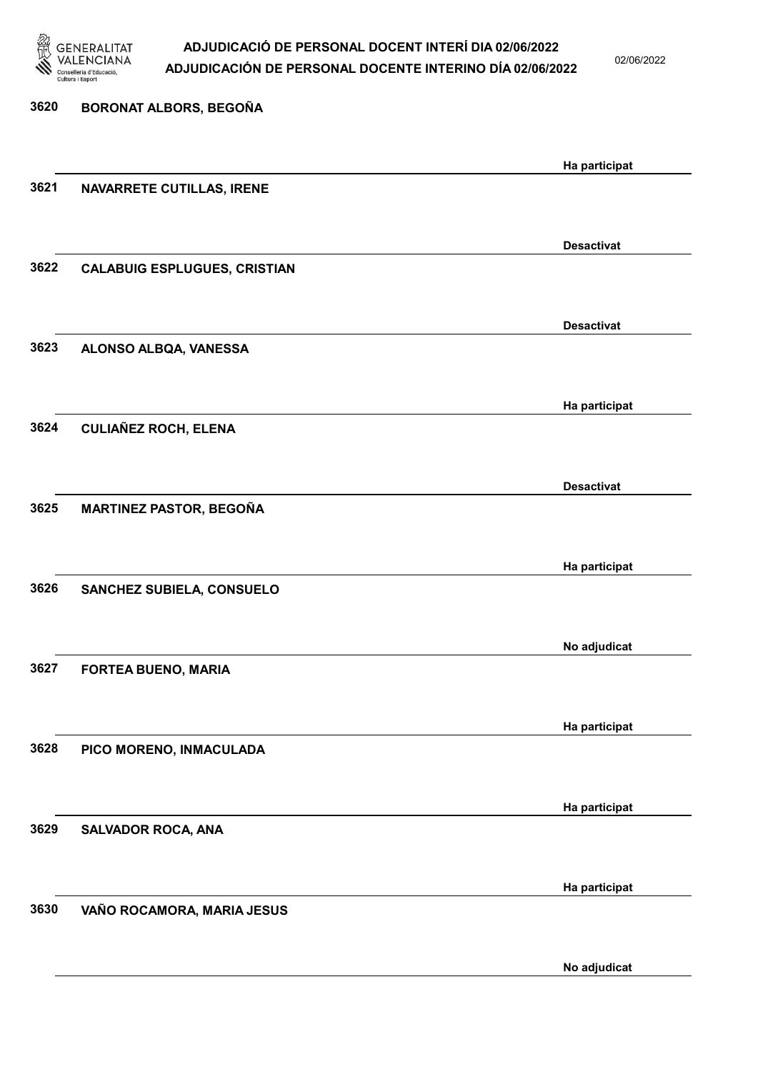

02/06/2022

| 3620 | BORONAT ALBORS, BEGOÑA              |                   |
|------|-------------------------------------|-------------------|
|      |                                     | Ha participat     |
| 3621 | <b>NAVARRETE CUTILLAS, IRENE</b>    |                   |
|      |                                     | <b>Desactivat</b> |
| 3622 | <b>CALABUIG ESPLUGUES, CRISTIAN</b> |                   |
|      |                                     | <b>Desactivat</b> |
| 3623 | ALONSO ALBQA, VANESSA               |                   |
|      |                                     | Ha participat     |
| 3624 | <b>CULIAÑEZ ROCH, ELENA</b>         |                   |
|      |                                     | <b>Desactivat</b> |
| 3625 | <b>MARTINEZ PASTOR, BEGOÑA</b>      |                   |
|      |                                     | Ha participat     |
| 3626 | SANCHEZ SUBIELA, CONSUELO           |                   |
|      |                                     | No adjudicat      |
| 3627 | <b>FORTEA BUENO, MARIA</b>          |                   |
|      |                                     | Ha participat     |
| 3628 | PICO MORENO, INMACULADA             |                   |
|      |                                     | Ha participat     |
| 3629 | <b>SALVADOR ROCA, ANA</b>           |                   |
|      |                                     | Ha participat     |
| 3630 | VAÑO ROCAMORA, MARIA JESUS          |                   |
|      |                                     | No adjudicat      |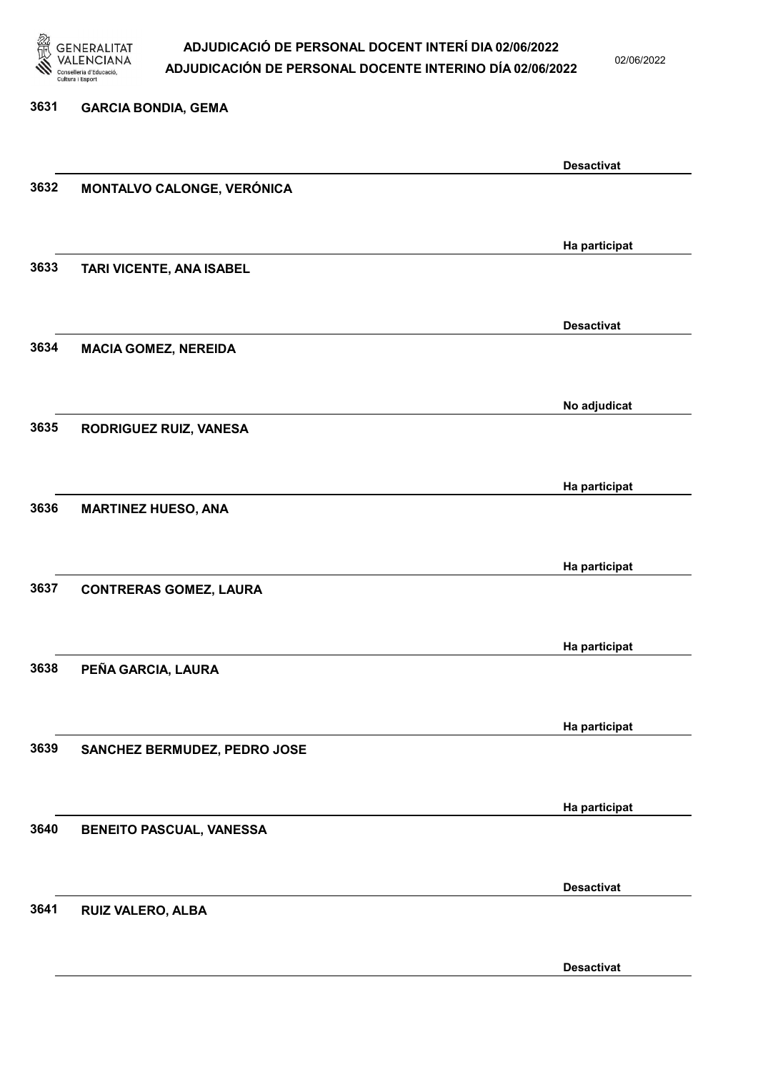

02/06/2022

# 3631 GARCIA BONDIA, GEMA Desactivat 3632 MONTALVO CALONGE, VERÓNICA Ha participat 3633 TARI VICENTE, ANA ISABEL Desactivat 3634 MACIA GOMEZ, NEREIDA No adjudicat 3635 RODRIGUEZ RUIZ, VANESA Ha participat 3636 MARTINEZ HUESO, ANA Ha participat 3637 CONTRERAS GOMEZ, LAURA Ha participat 3638 PEÑA GARCIA, LAURA Ha participat 3639 SANCHEZ BERMUDEZ, PEDRO JOSE Ha participat 3640 BENEITO PASCUAL, VANESSA Desactivat 3641 RUIZ VALERO, ALBA

Desactivat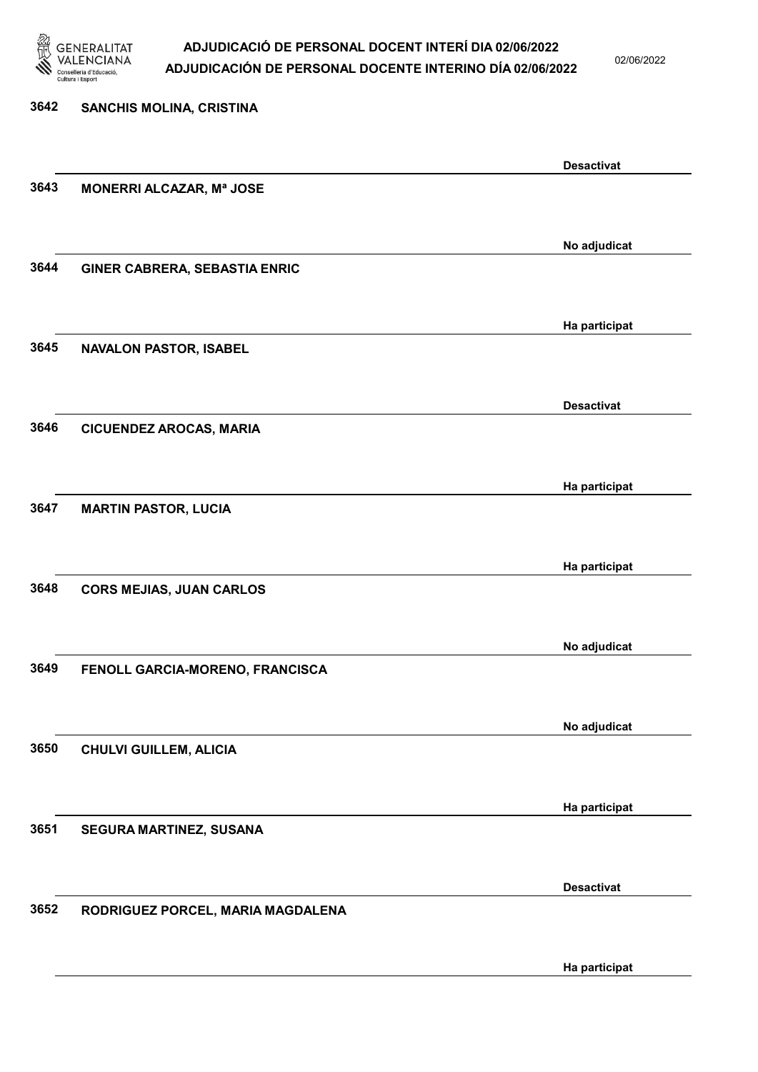

02/06/2022

Ha participat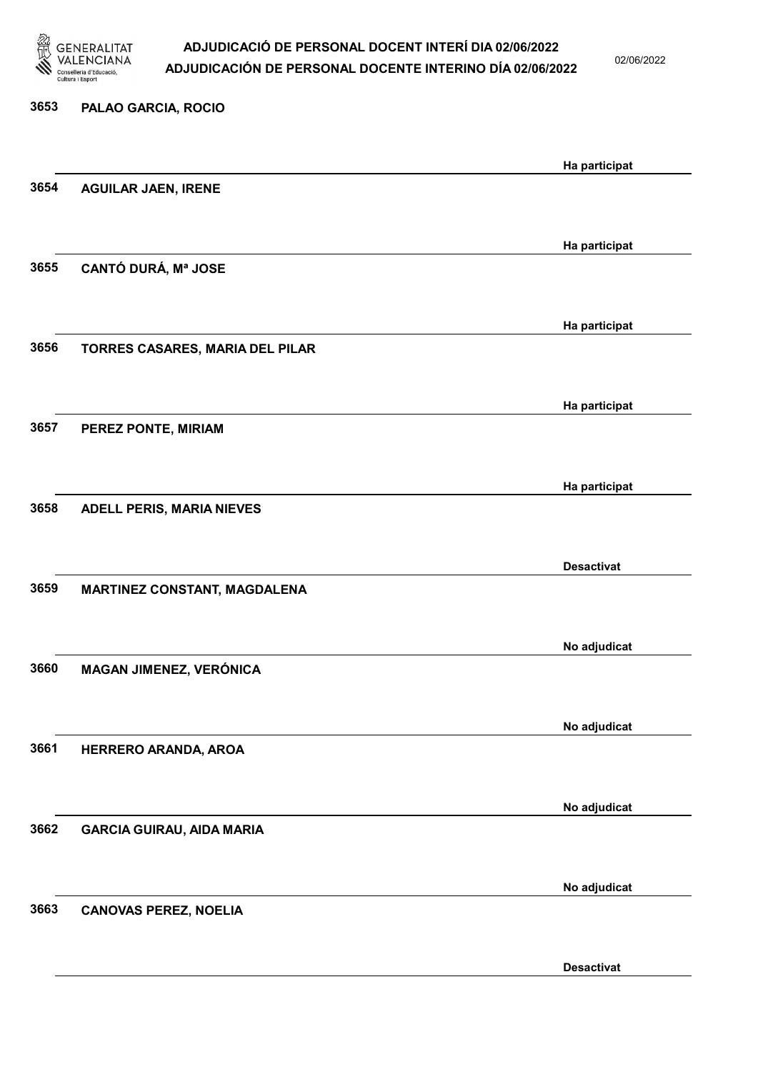

02/06/2022

# 3653 PALAO GARCIA, ROCIO Ha participat 3654 AGUILAR JAEN, IRENE Ha participat 3655 CANTÓ DURÁ, Mª JOSE Ha participat 3656 TORRES CASARES, MARIA DEL PILAR Ha participat 3657 PEREZ PONTE, MIRIAM Ha participat 3658 ADELL PERIS, MARIA NIEVES Desactivat 3659 MARTINEZ CONSTANT, MAGDALENA No adjudicat 3660 MAGAN JIMENEZ, VERÓNICA No adjudicat 3661 HERRERO ARANDA, AROA No adjudicat 3662 GARCIA GUIRAU, AIDA MARIA No adjudicat 3663 CANOVAS PEREZ, NOELIA

Desactivat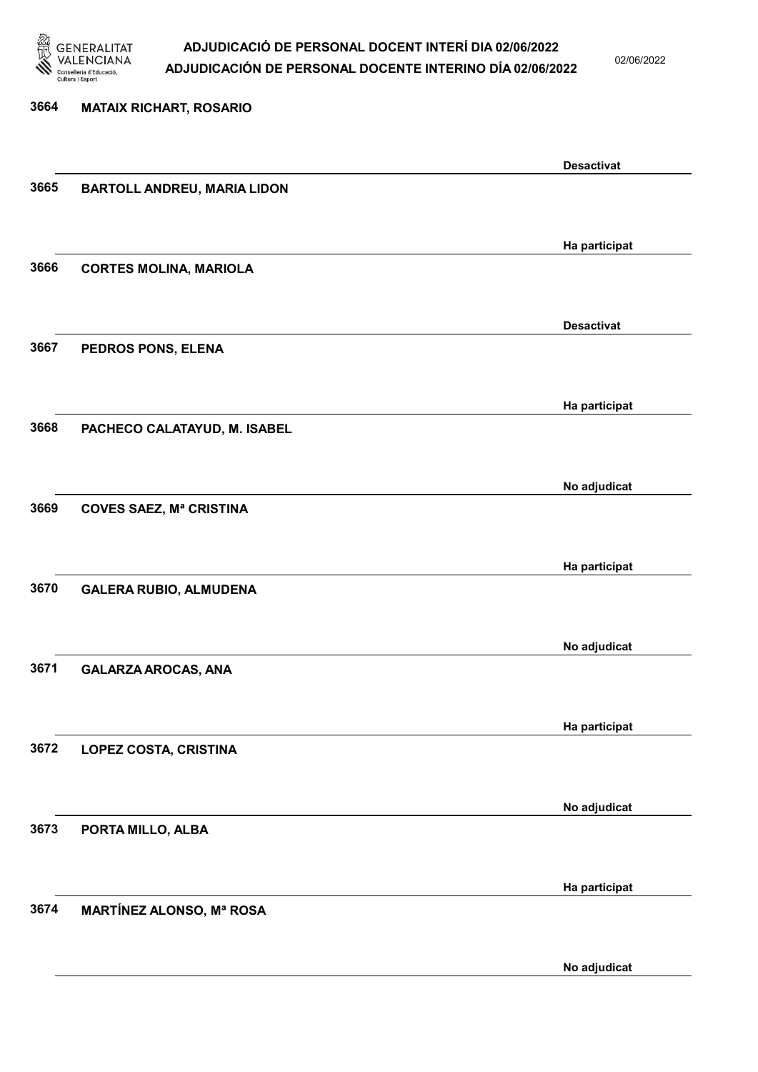

02/06/2022

| <b>MATAIX RICHART, ROSARIO</b>     |                                                      |
|------------------------------------|------------------------------------------------------|
|                                    | <b>Desactivat</b>                                    |
| <b>BARTOLL ANDREU, MARIA LIDON</b> |                                                      |
|                                    | Ha participat                                        |
| <b>CORTES MOLINA, MARIOLA</b>      |                                                      |
|                                    | <b>Desactivat</b>                                    |
| PEDROS PONS, ELENA                 |                                                      |
|                                    | Ha participat                                        |
| PACHECO CALATAYUD, M. ISABEL       |                                                      |
|                                    | No adjudicat                                         |
| <b>COVES SAEZ, Mª CRISTINA</b>     |                                                      |
|                                    | Ha participat                                        |
| <b>GALERA RUBIO, ALMUDENA</b>      |                                                      |
|                                    | No adjudicat                                         |
| <b>GALARZA AROCAS, ANA</b>         |                                                      |
|                                    | Ha participat                                        |
| <b>LOPEZ COSTA, CRISTINA</b>       |                                                      |
|                                    | No adjudicat                                         |
|                                    |                                                      |
|                                    | Ha participat                                        |
|                                    |                                                      |
|                                    | PORTA MILLO, ALBA<br><b>MARTÍNEZ ALONSO, Mª ROSA</b> |

No adjudicat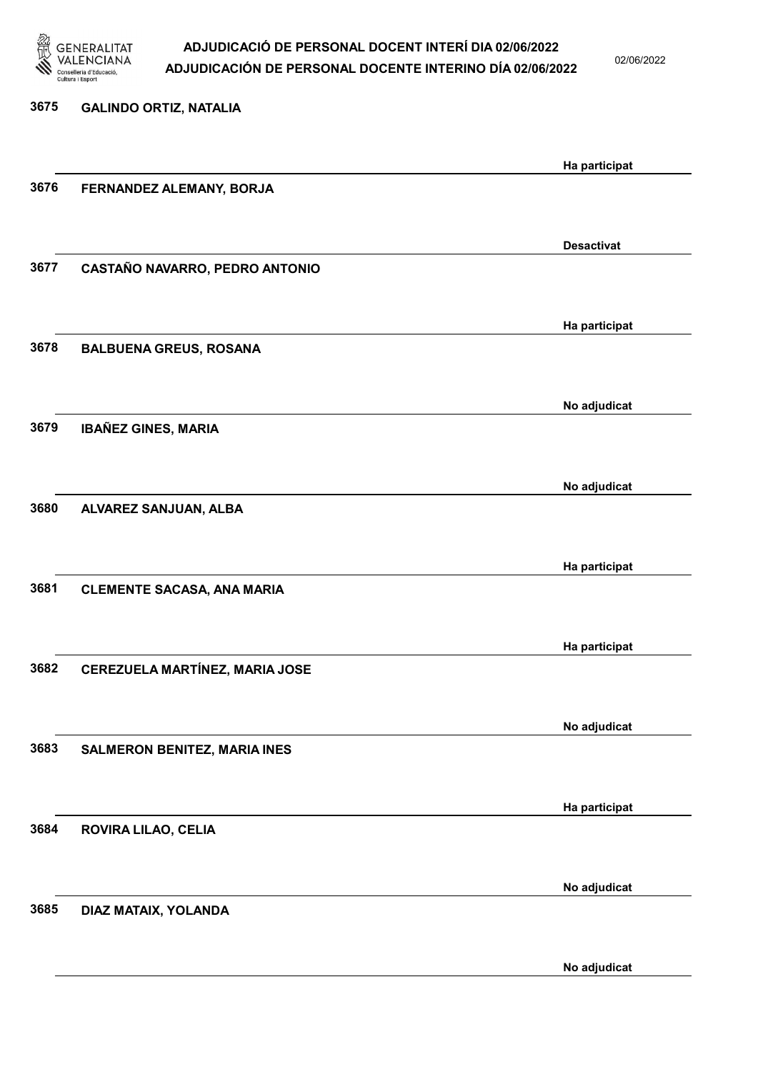

02/06/2022

No adjudicat

| 3675 | <b>GALINDO ORTIZ, NATALIA</b>       |                   |
|------|-------------------------------------|-------------------|
|      |                                     |                   |
| 3676 | FERNANDEZ ALEMANY, BORJA            | Ha participat     |
|      |                                     |                   |
|      |                                     | <b>Desactivat</b> |
| 3677 | CASTAÑO NAVARRO, PEDRO ANTONIO      |                   |
|      |                                     |                   |
| 3678 | <b>BALBUENA GREUS, ROSANA</b>       | Ha participat     |
|      |                                     |                   |
|      |                                     | No adjudicat      |
| 3679 | <b>IBAÑEZ GINES, MARIA</b>          |                   |
|      |                                     |                   |
| 3680 |                                     | No adjudicat      |
|      | ALVAREZ SANJUAN, ALBA               |                   |
|      |                                     | Ha participat     |
| 3681 | <b>CLEMENTE SACASA, ANA MARIA</b>   |                   |
|      |                                     |                   |
|      |                                     | Ha participat     |
| 3682 | CEREZUELA MARTÍNEZ, MARIA JOSE      |                   |
|      |                                     |                   |
| 3683 | <b>SALMERON BENITEZ, MARIA INES</b> | No adjudicat      |
|      |                                     |                   |
|      |                                     | Ha participat     |
| 3684 | ROVIRA LILAO, CELIA                 |                   |
|      |                                     |                   |
| 3685 | DIAZ MATAIX, YOLANDA                | No adjudicat      |
|      |                                     |                   |
|      |                                     |                   |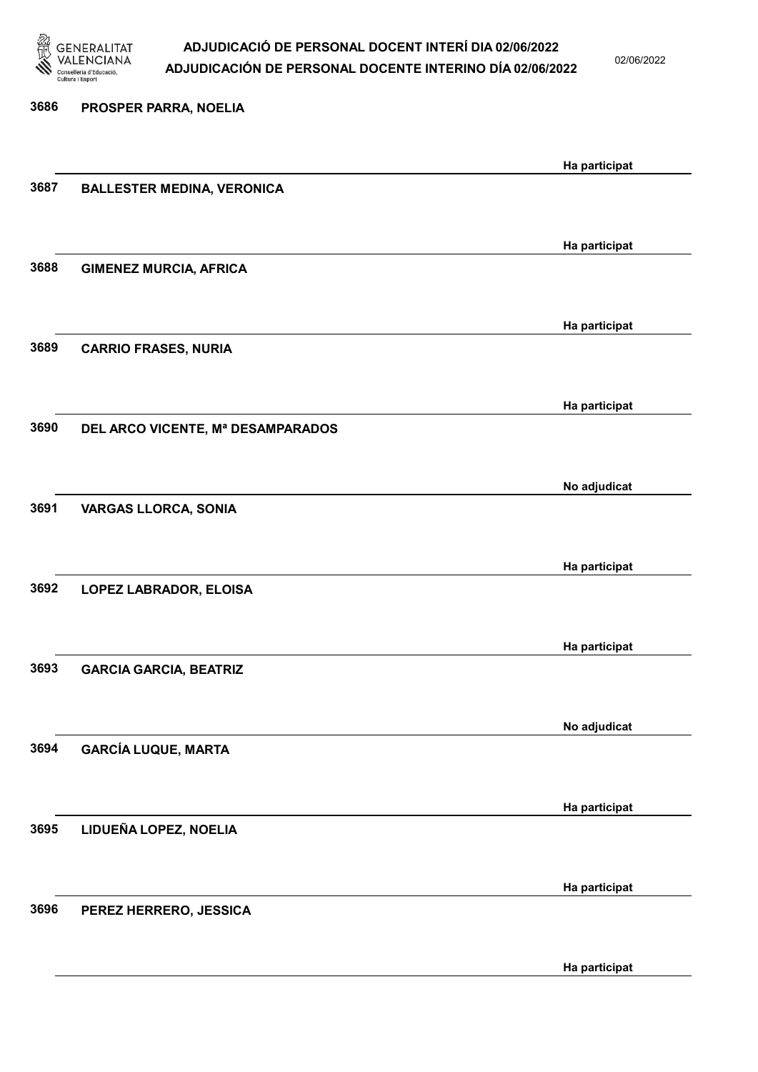

02/06/2022

3686 PROSPER PARRA, NOELIA Ha participat 3687 BALLESTER MEDINA, VERONICA Ha participat 3688 GIMENEZ MURCIA, AFRICA Ha participat 3689 CARRIO FRASES, NURIA Ha participat 3690 DEL ARCO VICENTE, Mª DESAMPARADOS No adjudicat 3691 VARGAS LLORCA, SONIA Ha participat 3692 LOPEZ LABRADOR, ELOISA Ha participat 3693 GARCIA GARCIA, BEATRIZ No adjudicat 3694 GARCÍA LUQUE, MARTA Ha participat 3695 LIDUEÑA LOPEZ, NOELIA Ha participat 3696 PEREZ HERRERO, JESSICA

Ha participat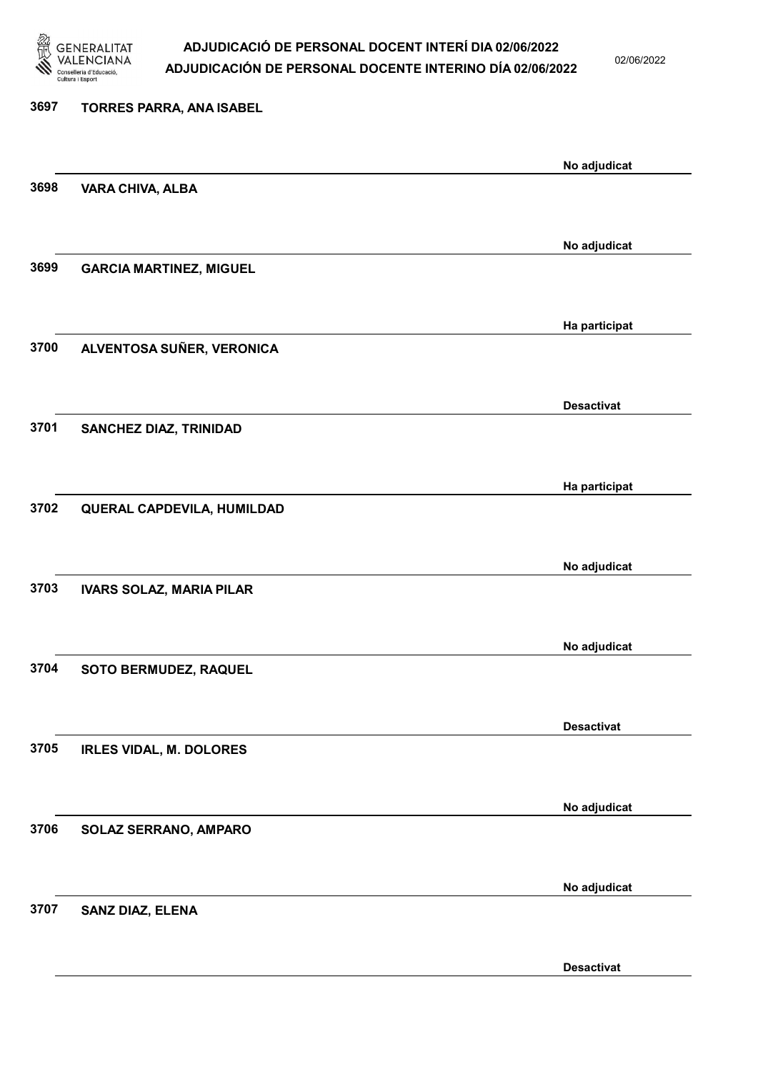

02/06/2022

Desactivat

# 3697 TORRES PARRA, ANA ISABEL No adjudicat 3698 VARA CHIVA, ALBA No adjudicat 3699 GARCIA MARTINEZ, MIGUEL Ha participat 3700 ALVENTOSA SUÑER, VERONICA Desactivat 3701 SANCHEZ DIAZ, TRINIDAD Ha participat 3702 QUERAL CAPDEVILA, HUMILDAD No adjudicat 3703 IVARS SOLAZ, MARIA PILAR No adjudicat 3704 SOTO BERMUDEZ, RAQUEL Desactivat 3705 IRLES VIDAL, M. DOLORES No adjudicat 3706 SOLAZ SERRANO, AMPARO No adjudicat 3707 SANZ DIAZ, ELENA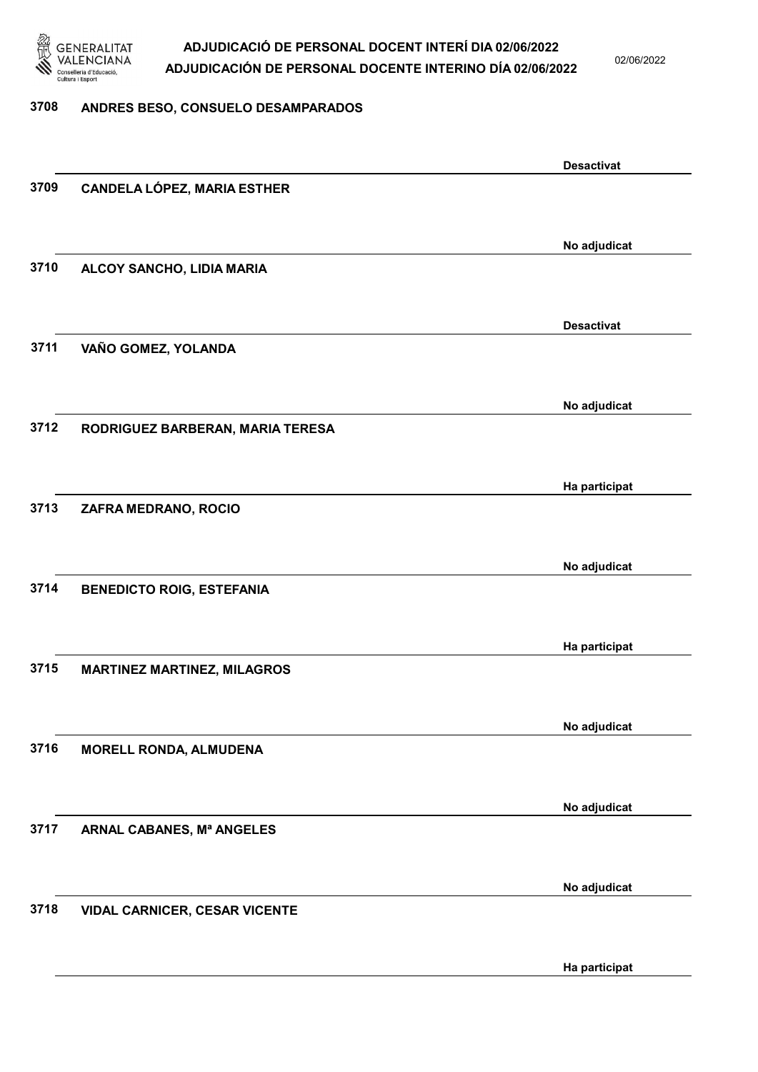

02/06/2022

#### 3708 ANDRES BESO, CONSUELO DESAMPARADOS

|      |                                      | <b>Desactivat</b> |
|------|--------------------------------------|-------------------|
| 3709 | <b>CANDELA LÓPEZ, MARIA ESTHER</b>   |                   |
|      |                                      |                   |
|      |                                      |                   |
|      |                                      | No adjudicat      |
| 3710 | ALCOY SANCHO, LIDIA MARIA            |                   |
|      |                                      |                   |
|      |                                      |                   |
|      |                                      | <b>Desactivat</b> |
| 3711 |                                      |                   |
|      | VAÑO GOMEZ, YOLANDA                  |                   |
|      |                                      |                   |
|      |                                      |                   |
|      |                                      | No adjudicat      |
| 3712 | RODRIGUEZ BARBERAN, MARIA TERESA     |                   |
|      |                                      |                   |
|      |                                      |                   |
|      |                                      | Ha participat     |
| 3713 | ZAFRA MEDRANO, ROCIO                 |                   |
|      |                                      |                   |
|      |                                      |                   |
|      |                                      | No adjudicat      |
| 3714 | <b>BENEDICTO ROIG, ESTEFANIA</b>     |                   |
|      |                                      |                   |
|      |                                      |                   |
|      |                                      | Ha participat     |
| 3715 | <b>MARTINEZ MARTINEZ, MILAGROS</b>   |                   |
|      |                                      |                   |
|      |                                      |                   |
|      |                                      | No adjudicat      |
| 3716 | <b>MORELL RONDA, ALMUDENA</b>        |                   |
|      |                                      |                   |
|      |                                      |                   |
|      |                                      | No adjudicat      |
| 3717 | ARNAL CABANES, Mª ANGELES            |                   |
|      |                                      |                   |
|      |                                      |                   |
|      |                                      | No adjudicat      |
| 3718 |                                      |                   |
|      | <b>VIDAL CARNICER, CESAR VICENTE</b> |                   |
|      |                                      |                   |
|      |                                      |                   |
|      |                                      | Ha participat     |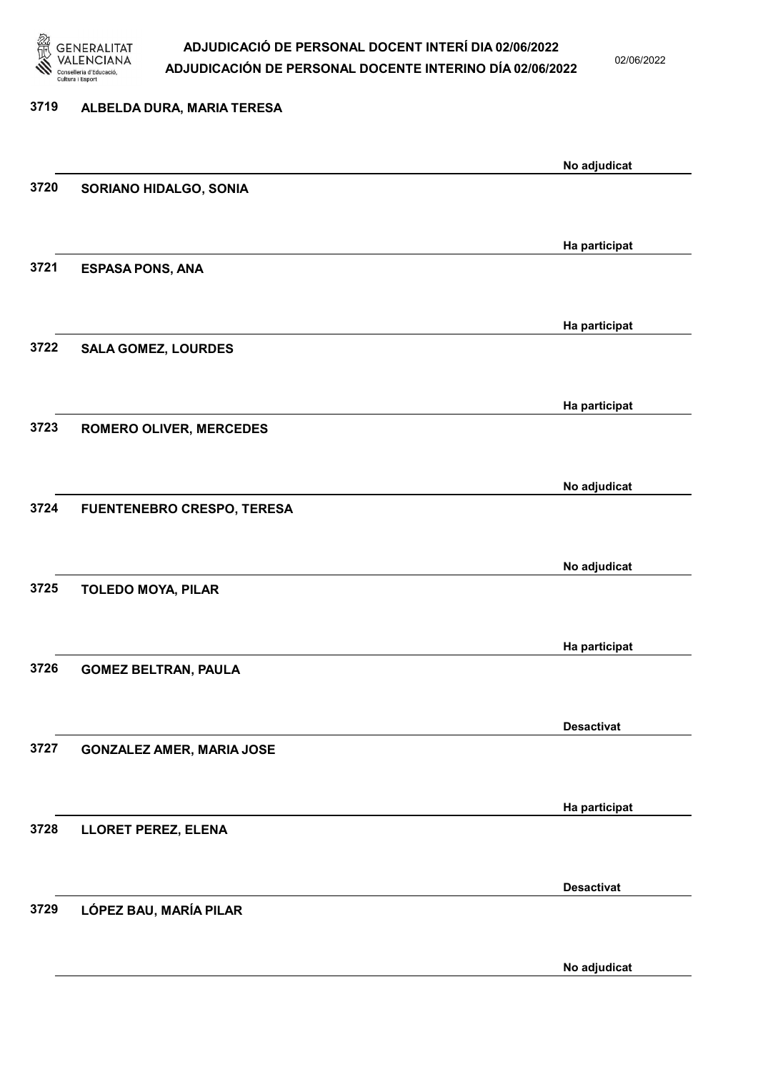

02/06/2022

No adjudicat

# 3719 ALBELDA DURA, MARIA TERESA No adjudicat 3720 SORIANO HIDALGO, SONIA Ha participat 3721 ESPASA PONS, ANA Ha participat 3722 SALA GOMEZ, LOURDES Ha participat 3723 ROMERO OLIVER, MERCEDES No adjudicat 3724 FUENTENEBRO CRESPO, TERESA No adjudicat 3725 TOLEDO MOYA, PILAR Ha participat 3726 GOMEZ BELTRAN, PAULA Desactivat 3727 GONZALEZ AMER, MARIA JOSE Ha participat 3728 LLORET PEREZ, ELENA Desactivat 3729 LÓPEZ BAU, MARÍA PILAR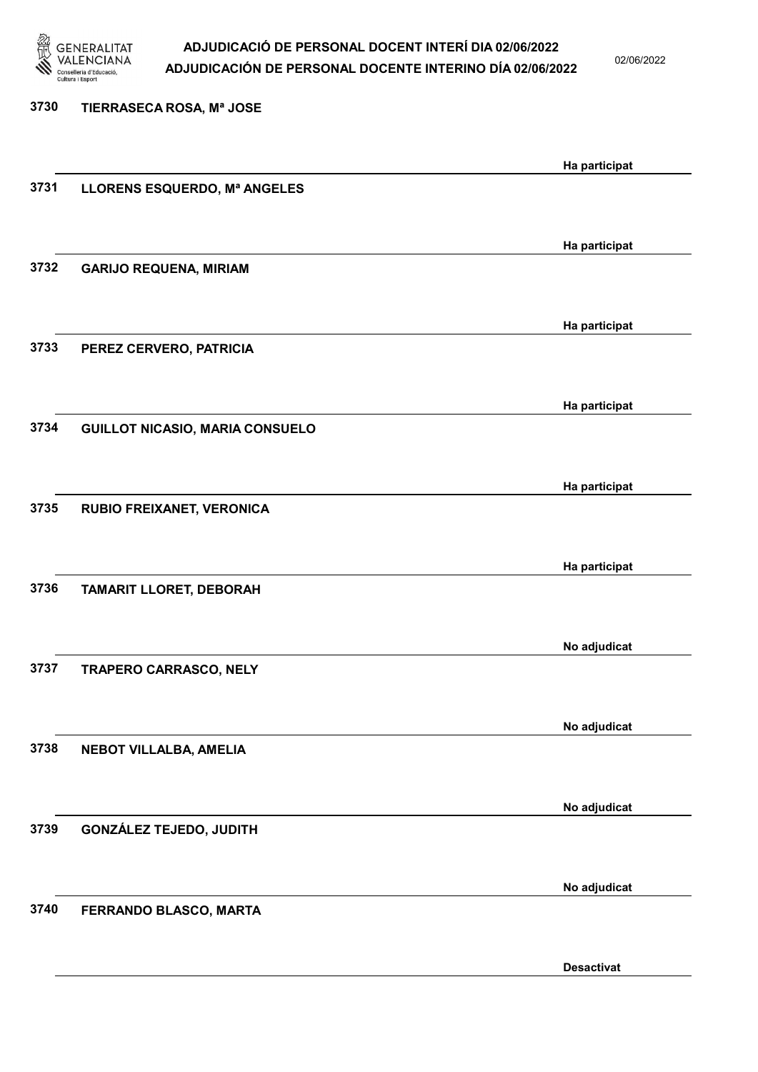

02/06/2022

| 3730 | TIERRASECA ROSA, Mª JOSE               |               |
|------|----------------------------------------|---------------|
|      |                                        | Ha participat |
| 3731 | LLORENS ESQUERDO, Mª ANGELES           |               |
|      |                                        |               |
| 3732 | <b>GARIJO REQUENA, MIRIAM</b>          | Ha participat |
|      |                                        |               |
|      |                                        | Ha participat |
| 3733 | PEREZ CERVERO, PATRICIA                |               |
|      |                                        |               |
| 3734 | <b>GUILLOT NICASIO, MARIA CONSUELO</b> | Ha participat |
|      |                                        |               |
|      |                                        | Ha participat |
| 3735 | RUBIO FREIXANET, VERONICA              |               |
|      |                                        |               |
| 3736 | <b>TAMARIT LLORET, DEBORAH</b>         | Ha participat |
|      |                                        |               |
|      |                                        | No adjudicat  |
| 3737 | TRAPERO CARRASCO, NELY                 |               |
|      |                                        |               |
| 3738 | NEBOT VILLALBA, AMELIA                 | No adjudicat  |
|      |                                        |               |
|      |                                        | No adjudicat  |
| 3739 | <b>GONZÁLEZ TEJEDO, JUDITH</b>         |               |
|      |                                        |               |
| 3740 | FERRANDO BLASCO, MARTA                 | No adjudicat  |
|      |                                        |               |
|      |                                        |               |

Desactivat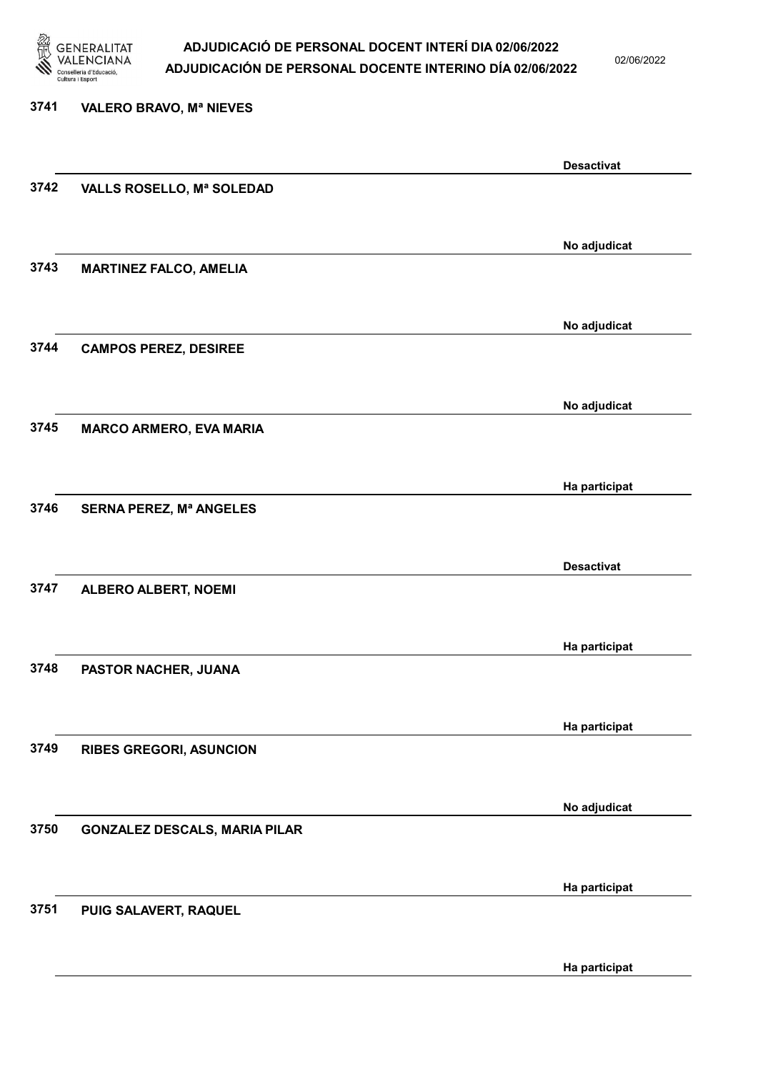

02/06/2022

Ha participat

# 3741 VALERO BRAVO, Mª NIEVES Desactivat 3742 VALLS ROSELLO, Mª SOLEDAD No adjudicat 3743 MARTINEZ FALCO, AMELIA No adjudicat 3744 CAMPOS PEREZ, DESIREE No adjudicat 3745 MARCO ARMERO, EVA MARIA Ha participat 3746 SERNA PEREZ, Mª ANGELES Desactivat 3747 ALBERO ALBERT, NOEMI Ha participat 3748 PASTOR NACHER, JUANA Ha participat 3749 RIBES GREGORI, ASUNCION No adjudicat 3750 GONZALEZ DESCALS, MARIA PILAR Ha participat 3751 PUIG SALAVERT, RAQUEL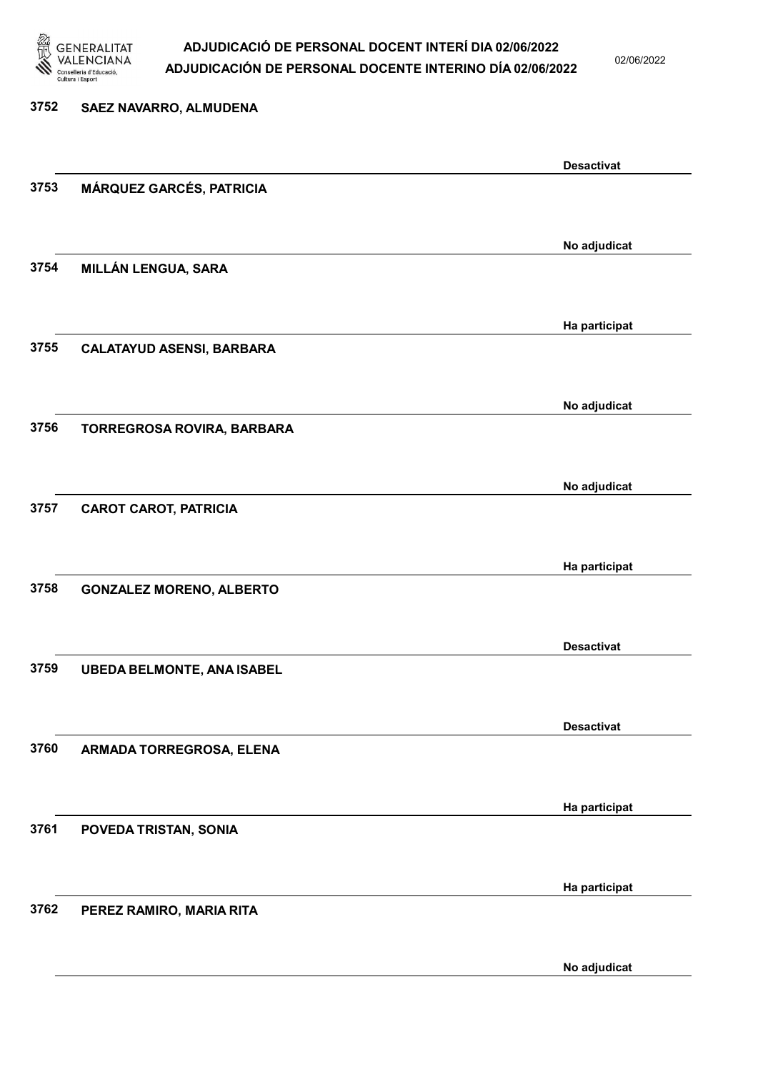

02/06/2022

No adjudicat

| 3752 | SAEZ NAVARRO, ALMUDENA            |                   |
|------|-----------------------------------|-------------------|
|      |                                   | <b>Desactivat</b> |
| 3753 | MÁRQUEZ GARCÉS, PATRICIA          |                   |
|      |                                   | No adjudicat      |
| 3754 | MILLÁN LENGUA, SARA               |                   |
|      |                                   | Ha participat     |
| 3755 | <b>CALATAYUD ASENSI, BARBARA</b>  |                   |
|      |                                   | No adjudicat      |
| 3756 | TORREGROSA ROVIRA, BARBARA        |                   |
|      |                                   | No adjudicat      |
| 3757 | <b>CAROT CAROT, PATRICIA</b>      |                   |
|      |                                   | Ha participat     |
| 3758 | <b>GONZALEZ MORENO, ALBERTO</b>   |                   |
|      |                                   | <b>Desactivat</b> |
| 3759 | <b>UBEDA BELMONTE, ANA ISABEL</b> |                   |
|      |                                   | <b>Desactivat</b> |
| 3760 | ARMADA TORREGROSA, ELENA          |                   |
|      |                                   | Ha participat     |
| 3761 | POVEDA TRISTAN, SONIA             |                   |
|      |                                   | Ha participat     |
| 3762 | PEREZ RAMIRO, MARIA RITA          |                   |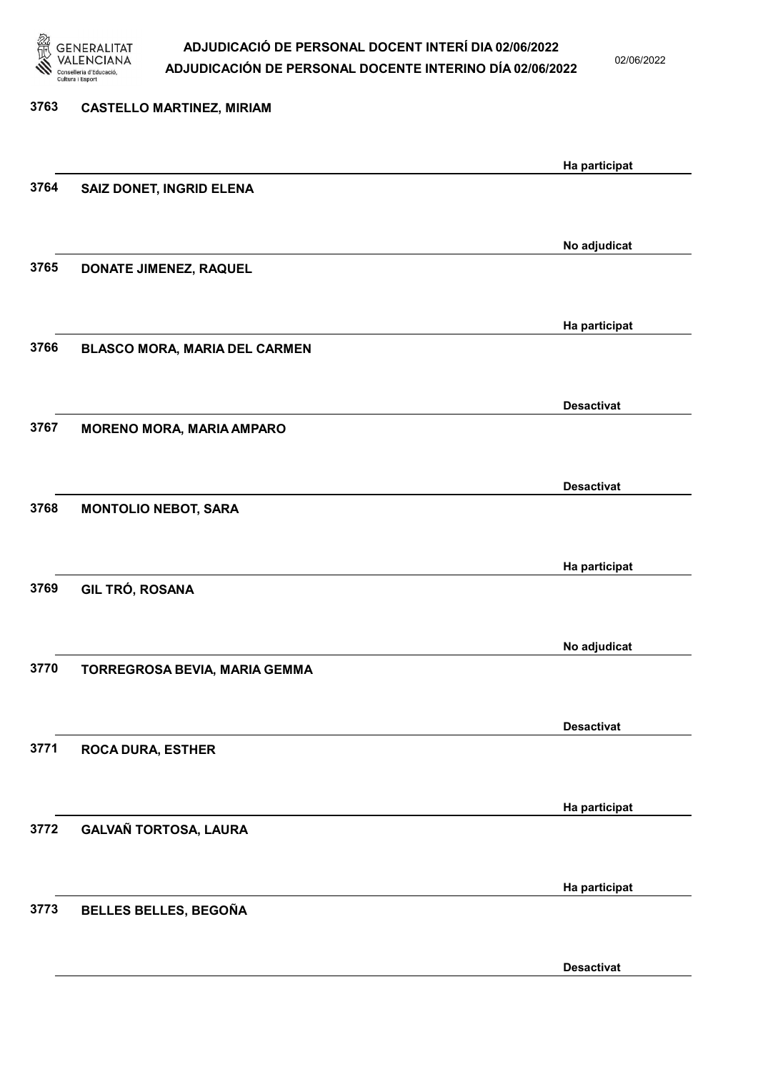

02/06/2022

| 3763 | <b>CASTELLO MARTINEZ, MIRIAM</b> |                   |
|------|----------------------------------|-------------------|
|      |                                  | Ha participat     |
| 3764 | SAIZ DONET, INGRID ELENA         |                   |
|      |                                  | No adjudicat      |
| 3765 | DONATE JIMENEZ, RAQUEL           |                   |
|      |                                  | Ha participat     |
| 3766 | BLASCO MORA, MARIA DEL CARMEN    |                   |
|      |                                  | <b>Desactivat</b> |
| 3767 | <b>MORENO MORA, MARIA AMPARO</b> |                   |
|      |                                  | <b>Desactivat</b> |
| 3768 | <b>MONTOLIO NEBOT, SARA</b>      |                   |
|      |                                  | Ha participat     |
| 3769 | GIL TRÓ, ROSANA                  |                   |
|      |                                  | No adjudicat      |
| 3770 | TORREGROSA BEVIA, MARIA GEMMA    |                   |
|      |                                  | <b>Desactivat</b> |
| 3771 | <b>ROCA DURA, ESTHER</b>         |                   |
|      |                                  | Ha participat     |
| 3772 | GALVAÑ TORTOSA, LAURA            |                   |
|      |                                  | Ha participat     |
| 3773 | BELLES BELLES, BEGOÑA            |                   |
|      |                                  | <b>Desactivat</b> |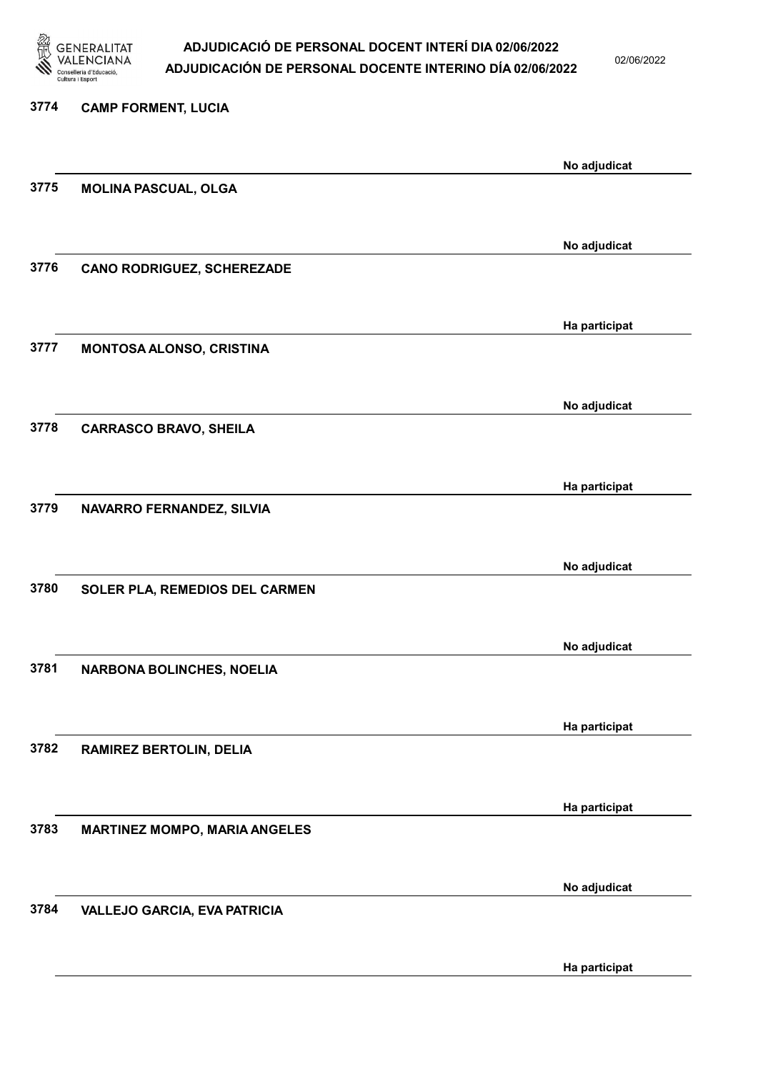

02/06/2022

| 3774 | <b>CAMP FORMENT, LUCIA</b>           |               |
|------|--------------------------------------|---------------|
|      |                                      | No adjudicat  |
| 3775 | <b>MOLINA PASCUAL, OLGA</b>          |               |
|      |                                      |               |
|      |                                      | No adjudicat  |
| 3776 | <b>CANO RODRIGUEZ, SCHEREZADE</b>    |               |
|      |                                      | Ha participat |
| 3777 | MONTOSA ALONSO, CRISTINA             |               |
|      |                                      |               |
|      |                                      | No adjudicat  |
| 3778 | <b>CARRASCO BRAVO, SHEILA</b>        |               |
|      |                                      | Ha participat |
| 3779 | NAVARRO FERNANDEZ, SILVIA            |               |
|      |                                      |               |
|      |                                      | No adjudicat  |
| 3780 | SOLER PLA, REMEDIOS DEL CARMEN       |               |
|      |                                      | No adjudicat  |
| 3781 | <b>NARBONA BOLINCHES, NOELIA</b>     |               |
|      |                                      |               |
|      |                                      | Ha participat |
| 3782 | RAMIREZ BERTOLIN, DELIA              |               |
|      |                                      |               |
| 3783 | <b>MARTINEZ MOMPO, MARIA ANGELES</b> | Ha participat |
|      |                                      |               |
|      |                                      | No adjudicat  |
| 3784 | <b>VALLEJO GARCIA, EVA PATRICIA</b>  |               |
|      |                                      |               |

Ha participat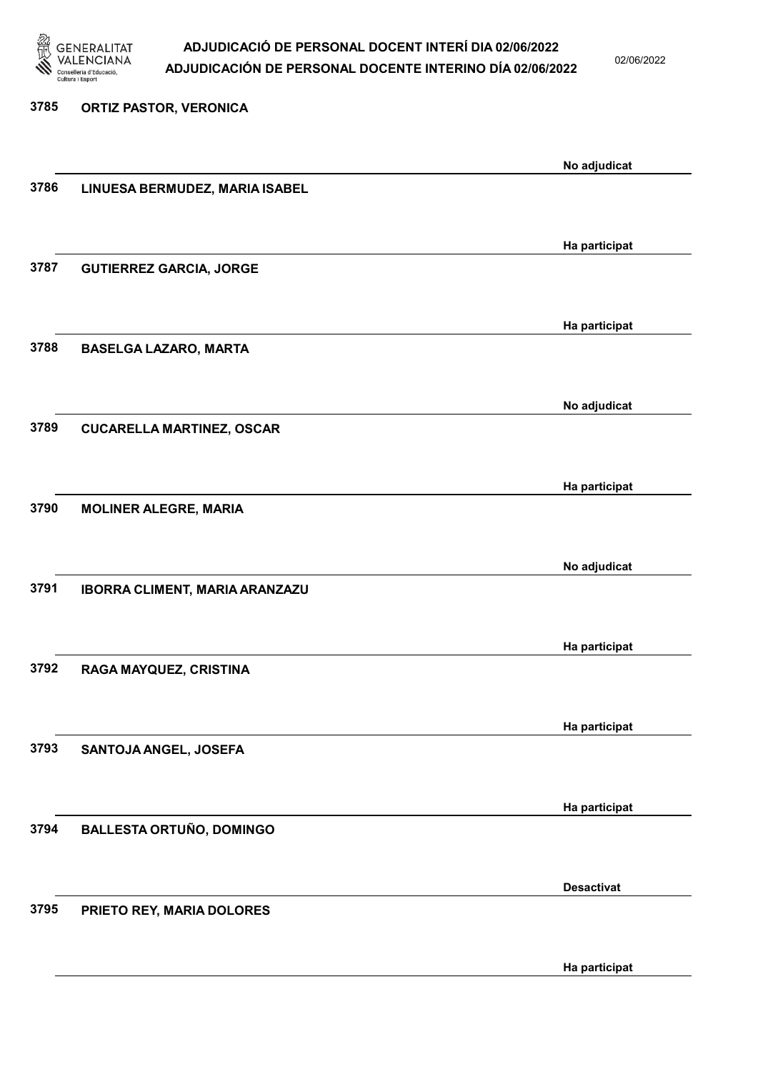

02/06/2022

Ha participat

# 3785 ORTIZ PASTOR, VERONICA No adjudicat 3786 LINUESA BERMUDEZ, MARIA ISABEL Ha participat 3787 GUTIERREZ GARCIA, JORGE Ha participat 3788 BASELGA LAZARO, MARTA No adjudicat 3789 CUCARELLA MARTINEZ, OSCAR Ha participat 3790 MOLINER ALEGRE, MARIA No adjudicat 3791 IBORRA CLIMENT, MARIA ARANZAZU Ha participat 3792 RAGA MAYQUEZ, CRISTINA Ha participat 3793 SANTOJA ANGEL, JOSEFA Ha participat 3794 BALLESTA ORTUÑO, DOMINGO Desactivat 3795 PRIETO REY, MARIA DOLORES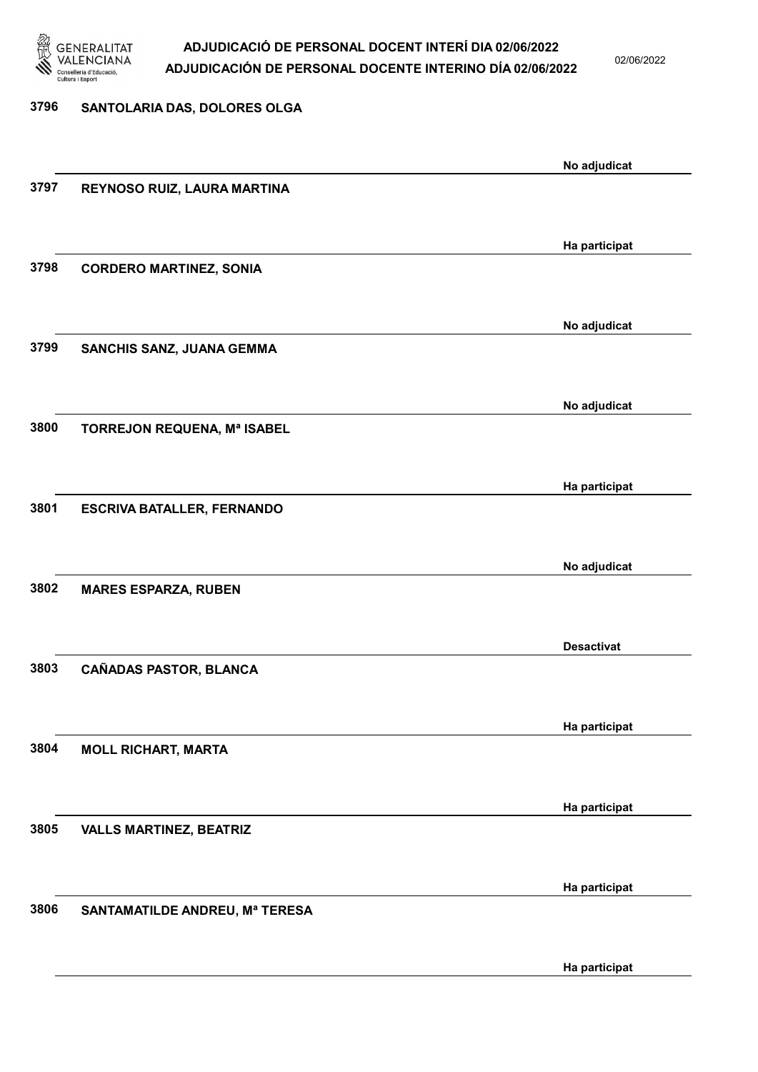

02/06/2022

### 3796 SANTOLARIA DAS, DOLORES OLGA

|      |                                   | No adjudicat      |
|------|-----------------------------------|-------------------|
| 3797 | REYNOSO RUIZ, LAURA MARTINA       |                   |
|      |                                   |                   |
|      |                                   |                   |
|      |                                   | Ha participat     |
| 3798 | <b>CORDERO MARTINEZ, SONIA</b>    |                   |
|      |                                   |                   |
|      |                                   | No adjudicat      |
| 3799 | SANCHIS SANZ, JUANA GEMMA         |                   |
|      |                                   |                   |
|      |                                   |                   |
|      |                                   | No adjudicat      |
| 3800 | TORREJON REQUENA, Mª ISABEL       |                   |
|      |                                   |                   |
|      |                                   | Ha participat     |
| 3801 | <b>ESCRIVA BATALLER, FERNANDO</b> |                   |
|      |                                   |                   |
|      |                                   |                   |
|      |                                   | No adjudicat      |
| 3802 | <b>MARES ESPARZA, RUBEN</b>       |                   |
|      |                                   |                   |
|      |                                   | <b>Desactivat</b> |
| 3803 | CAÑADAS PASTOR, BLANCA            |                   |
|      |                                   |                   |
|      |                                   |                   |
|      |                                   | Ha participat     |
| 3804 | <b>MOLL RICHART, MARTA</b>        |                   |
|      |                                   |                   |
|      |                                   | Ha participat     |
| 3805 | <b>VALLS MARTINEZ, BEATRIZ</b>    |                   |
|      |                                   |                   |
|      |                                   |                   |
|      |                                   | Ha participat     |
| 3806 | SANTAMATILDE ANDREU, Mª TERESA    |                   |
|      |                                   |                   |
|      |                                   | Ha participat     |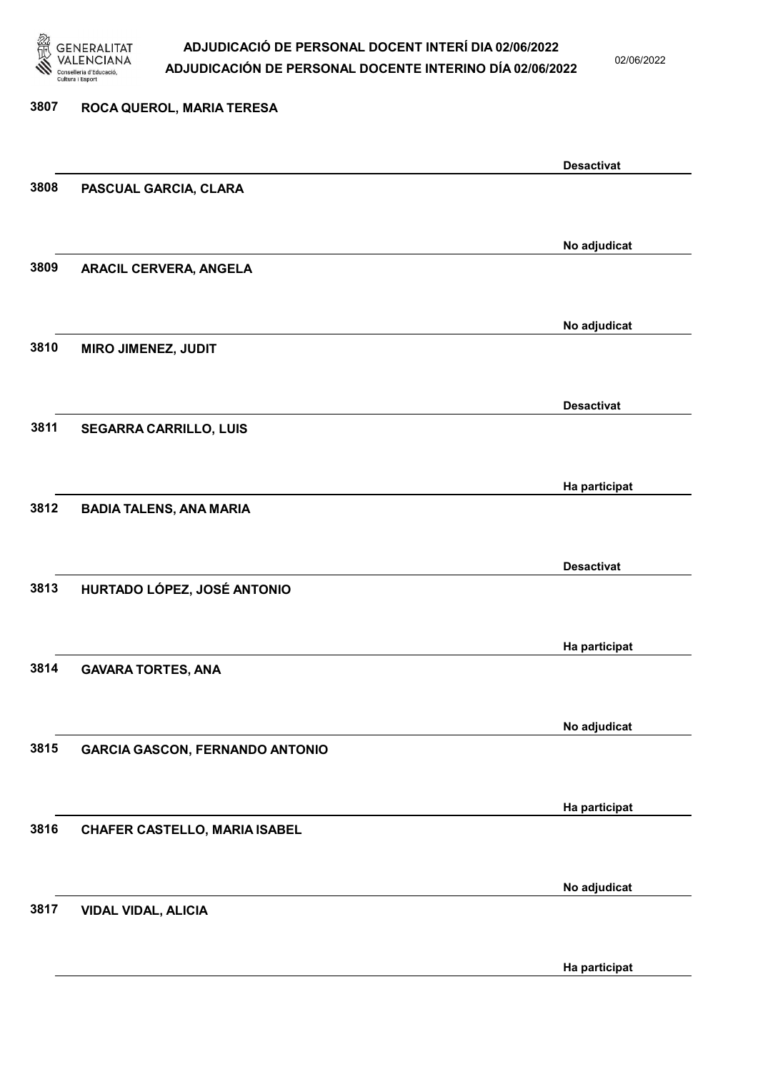

02/06/2022

# 3807 ROCA QUEROL, MARIA TERESA Desactivat 3808 PASCUAL GARCIA, CLARA No adjudicat 3809 ARACIL CERVERA, ANGELA No adjudicat 3810 MIRO JIMENEZ, JUDIT Desactivat 3811 SEGARRA CARRILLO, LUIS Ha participat 3812 BADIA TALENS, ANA MARIA Desactivat 3813 HURTADO LÓPEZ, JOSÉ ANTONIO Ha participat 3814 GAVARA TORTES, ANA No adjudicat 3815 GARCIA GASCON, FERNANDO ANTONIO Ha participat 3816 CHAFER CASTELLO, MARIA ISABEL No adjudicat 3817 VIDAL VIDAL, ALICIA

Ha participat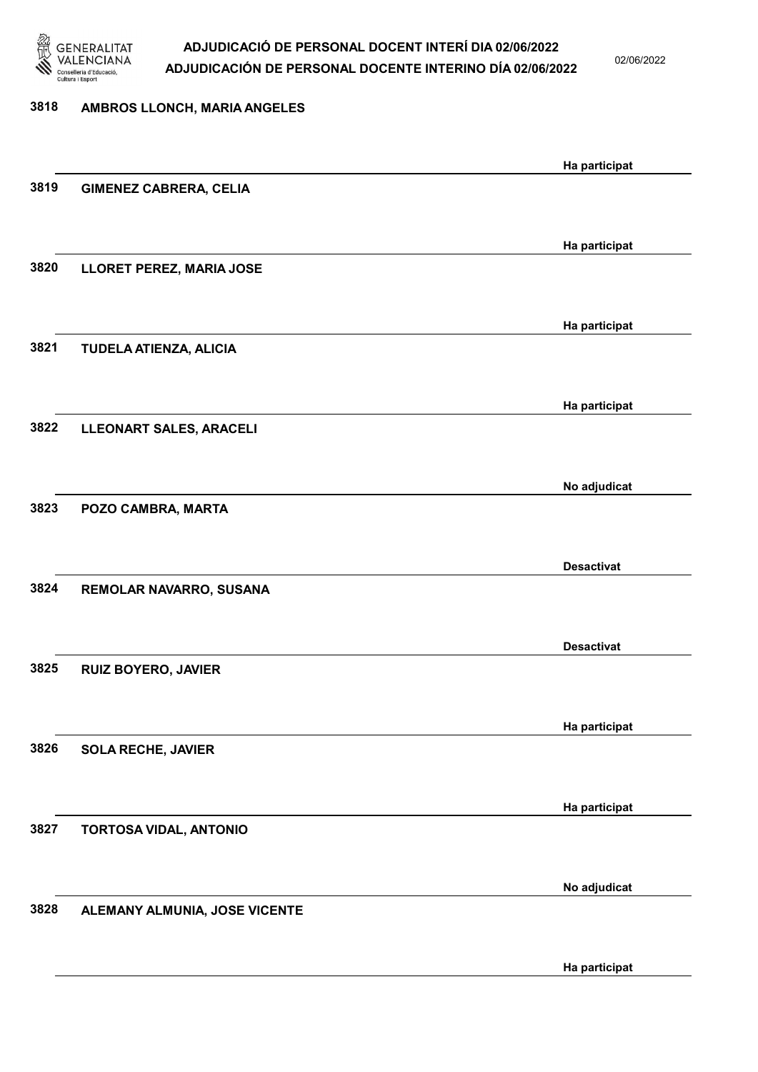

02/06/2022

Ha participat

# 3818 AMBROS LLONCH, MARIA ANGELES Ha participat 3819 GIMENEZ CABRERA, CELIA Ha participat 3820 LLORET PEREZ, MARIA JOSE Ha participat 3821 TUDELA ATIENZA, ALICIA Ha participat 3822 LLEONART SALES, ARACELI No adjudicat 3823 POZO CAMBRA, MARTA Desactivat 3824 REMOLAR NAVARRO, SUSANA Desactivat 3825 RUIZ BOYERO, JAVIER Ha participat 3826 SOLA RECHE, JAVIER Ha participat 3827 TORTOSA VIDAL, ANTONIO No adjudicat 3828 ALEMANY ALMUNIA, JOSE VICENTE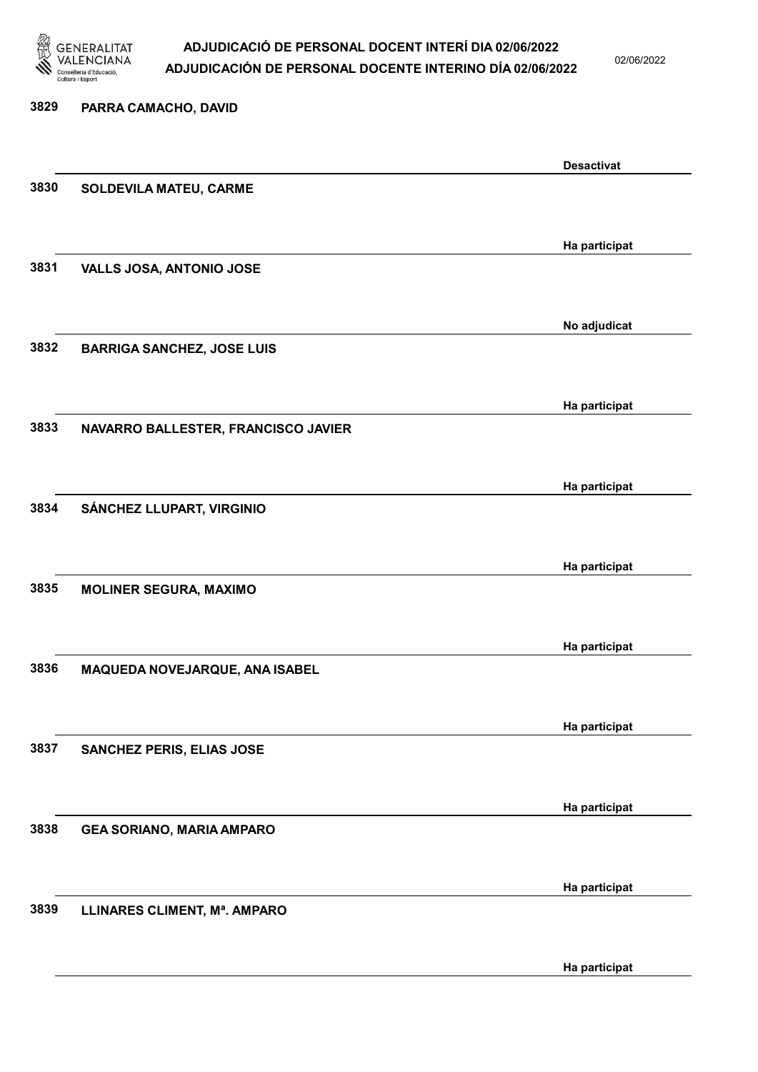

02/06/2022

# 3829 PARRA CAMACHO, DAVID Desactivat 3830 SOLDEVILA MATEU, CARME Ha participat 3831 VALLS JOSA, ANTONIO JOSE No adjudicat 3832 BARRIGA SANCHEZ, JOSE LUIS Ha participat 3833 NAVARRO BALLESTER, FRANCISCO JAVIER Ha participat 3834 SÁNCHEZ LLUPART, VIRGINIO Ha participat 3835 MOLINER SEGURA, MAXIMO Ha participat 3836 MAQUEDA NOVEJARQUE, ANA ISABEL Ha participat 3837 SANCHEZ PERIS, ELIAS JOSE Ha participat 3838 GEA SORIANO, MARIA AMPARO Ha participat 3839 LLINARES CLIMENT, Mª. AMPARO

Ha participat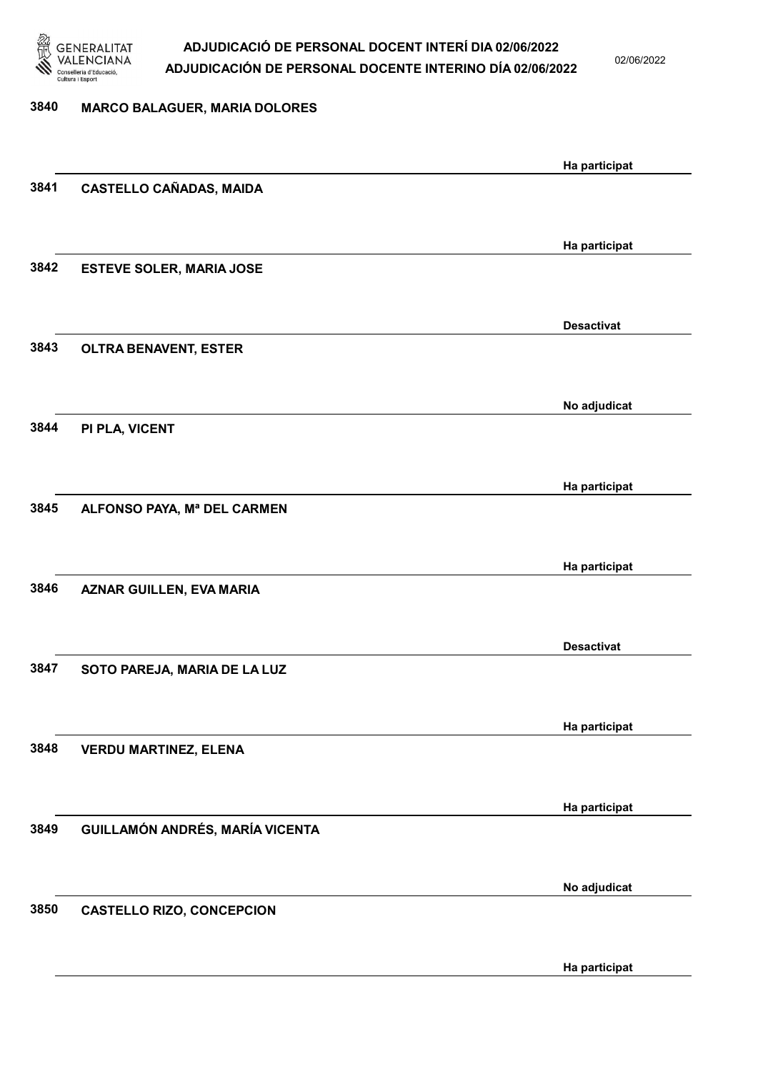

02/06/2022

Ha participat

| 3840 | <b>MARCO BALAGUER, MARIA DOLORES</b> |                   |
|------|--------------------------------------|-------------------|
|      |                                      | Ha participat     |
| 3841 | <b>CASTELLO CAÑADAS, MAIDA</b>       |                   |
|      |                                      |                   |
|      |                                      | Ha participat     |
| 3842 | <b>ESTEVE SOLER, MARIA JOSE</b>      |                   |
|      |                                      | <b>Desactivat</b> |
| 3843 | <b>OLTRA BENAVENT, ESTER</b>         |                   |
|      |                                      |                   |
|      |                                      | No adjudicat      |
| 3844 | PI PLA, VICENT                       |                   |
|      |                                      |                   |
|      |                                      | Ha participat     |
| 3845 | ALFONSO PAYA, Mª DEL CARMEN          |                   |
|      |                                      |                   |
|      |                                      | Ha participat     |
| 3846 | <b>AZNAR GUILLEN, EVA MARIA</b>      |                   |
|      |                                      |                   |
|      |                                      | <b>Desactivat</b> |
| 3847 | SOTO PAREJA, MARIA DE LA LUZ         |                   |
|      |                                      |                   |
| 3848 | <b>VERDU MARTINEZ, ELENA</b>         | Ha participat     |
|      |                                      |                   |
|      |                                      | Ha participat     |
| 3849 | GUILLAMÓN ANDRÉS, MARÍA VICENTA      |                   |
|      |                                      |                   |
|      |                                      | No adjudicat      |
| 3850 | <b>CASTELLO RIZO, CONCEPCION</b>     |                   |
|      |                                      |                   |
|      |                                      |                   |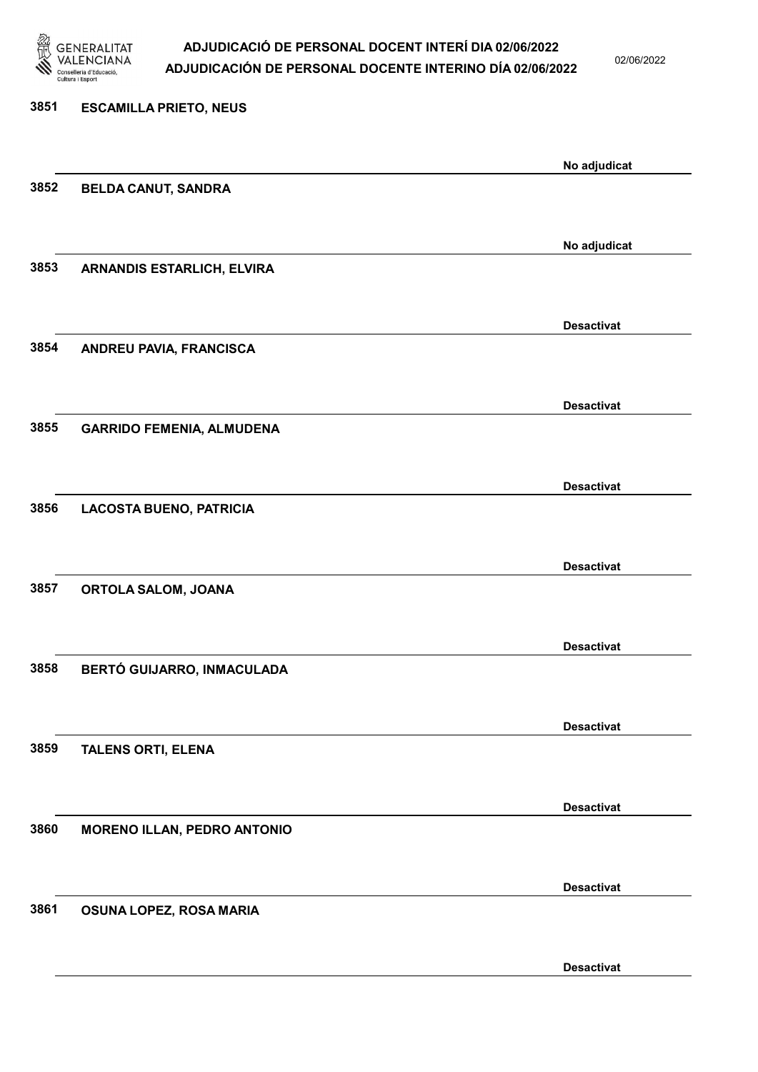

Desactivat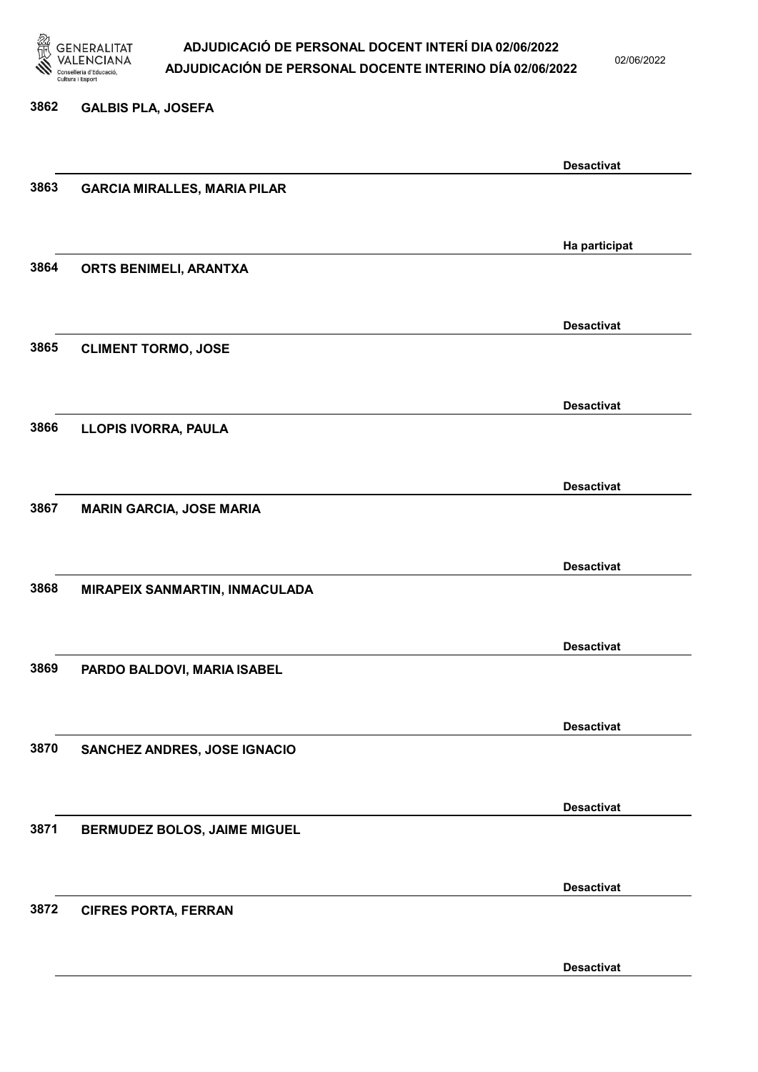

02/06/2022

### 3862 GALBIS PLA, JOSEFA

|      |                                     | <b>Desactivat</b> |
|------|-------------------------------------|-------------------|
| 3863 | <b>GARCIA MIRALLES, MARIA PILAR</b> |                   |
|      |                                     |                   |
|      |                                     |                   |
|      |                                     |                   |
|      |                                     | Ha participat     |
| 3864 | ORTS BENIMELI, ARANTXA              |                   |
|      |                                     |                   |
|      |                                     |                   |
|      |                                     | <b>Desactivat</b> |
|      |                                     |                   |
| 3865 | <b>CLIMENT TORMO, JOSE</b>          |                   |
|      |                                     |                   |
|      |                                     |                   |
|      |                                     | <b>Desactivat</b> |
| 3866 | LLOPIS IVORRA, PAULA                |                   |
|      |                                     |                   |
|      |                                     |                   |
|      |                                     |                   |
|      |                                     | <b>Desactivat</b> |
| 3867 | <b>MARIN GARCIA, JOSE MARIA</b>     |                   |
|      |                                     |                   |
|      |                                     |                   |
|      |                                     | <b>Desactivat</b> |
|      |                                     |                   |
| 3868 | MIRAPEIX SANMARTIN, INMACULADA      |                   |
|      |                                     |                   |
|      |                                     |                   |
|      |                                     | <b>Desactivat</b> |
| 3869 | PARDO BALDOVI, MARIA ISABEL         |                   |
|      |                                     |                   |
|      |                                     |                   |
|      |                                     |                   |
|      |                                     | <b>Desactivat</b> |
| 3870 | SANCHEZ ANDRES, JOSE IGNACIO        |                   |
|      |                                     |                   |
|      |                                     |                   |
|      |                                     | <b>Desactivat</b> |
|      |                                     |                   |
| 3871 | <b>BERMUDEZ BOLOS, JAIME MIGUEL</b> |                   |
|      |                                     |                   |
|      |                                     |                   |
|      |                                     | <b>Desactivat</b> |
| 3872 |                                     |                   |
|      | <b>CIFRES PORTA, FERRAN</b>         |                   |
|      |                                     |                   |
|      |                                     |                   |
|      |                                     | <b>Desactivat</b> |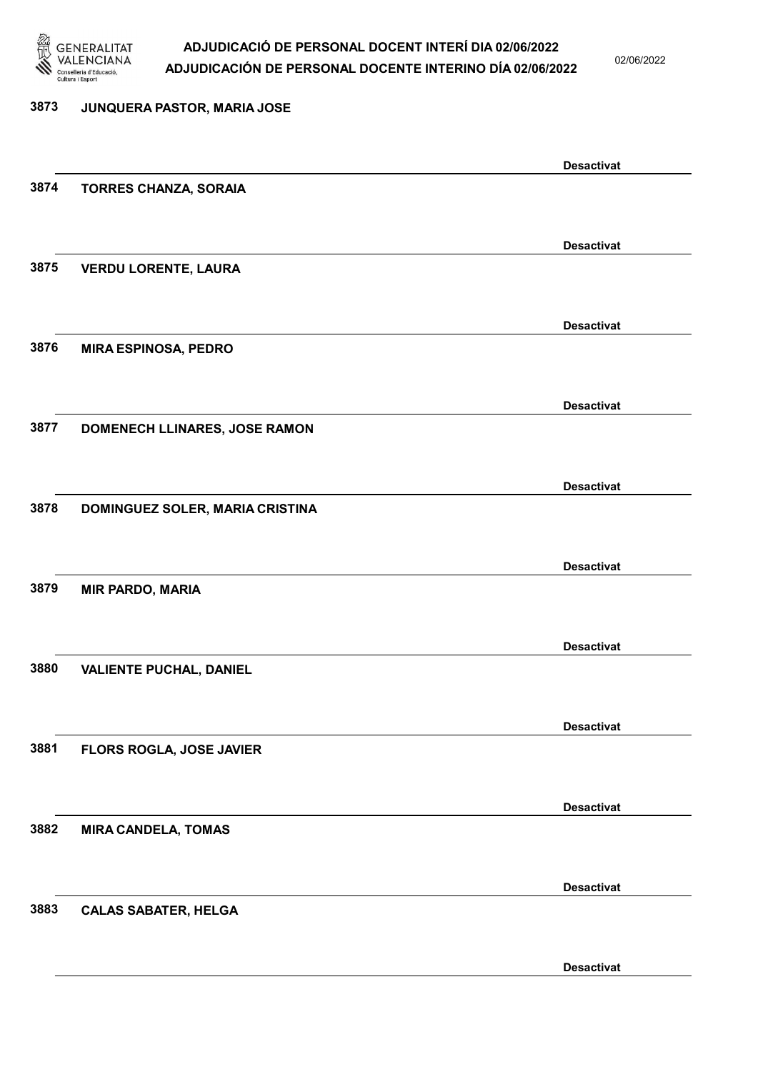

02/06/2022

Desactivat

# 3873 JUNQUERA PASTOR, MARIA JOSE Desactivat 3874 TORRES CHANZA, SORAIA Desactivat 3875 VERDU LORENTE, LAURA Desactivat 3876 MIRA ESPINOSA, PEDRO Desactivat 3877 DOMENECH LLINARES, JOSE RAMON Desactivat 3878 DOMINGUEZ SOLER, MARIA CRISTINA Desactivat 3879 MIR PARDO, MARIA Desactivat 3880 VALIENTE PUCHAL, DANIEL Desactivat 3881 FLORS ROGLA, JOSE JAVIER Desactivat 3882 MIRA CANDELA, TOMAS Desactivat 3883 CALAS SABATER, HELGA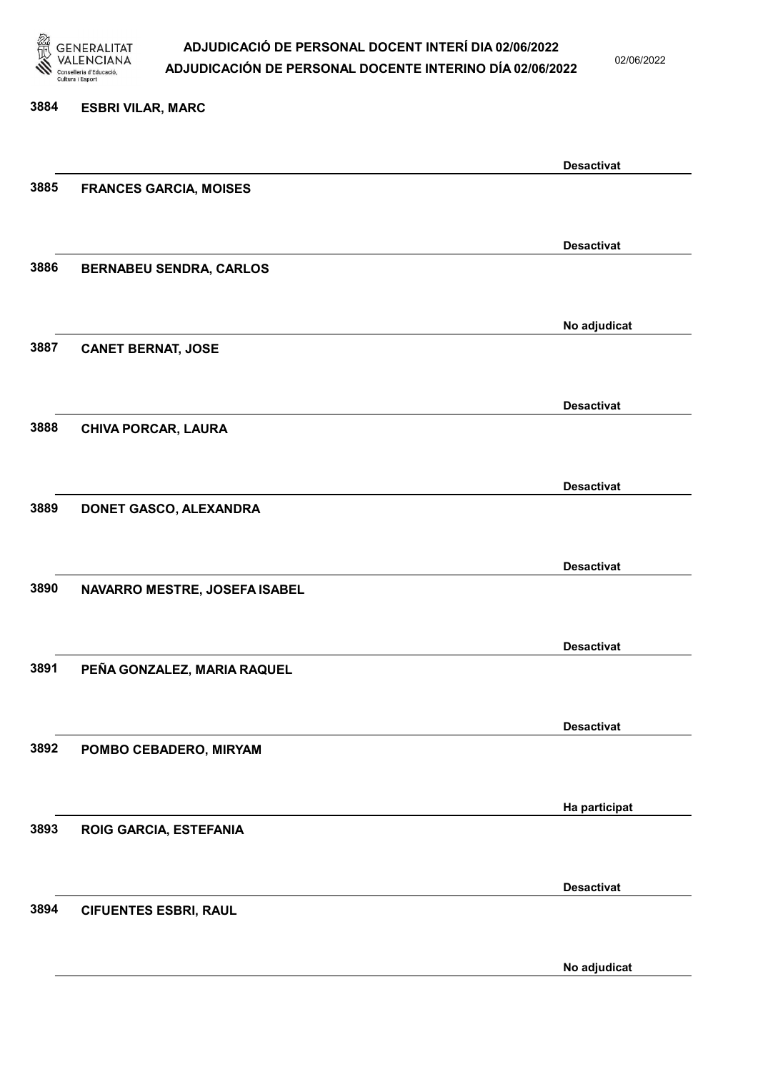

02/06/2022

### 3884 ESBRI VILAR, MARC

|      |                                | <b>Desactivat</b> |
|------|--------------------------------|-------------------|
| 3885 | <b>FRANCES GARCIA, MOISES</b>  |                   |
|      |                                |                   |
|      |                                | <b>Desactivat</b> |
| 3886 | <b>BERNABEU SENDRA, CARLOS</b> |                   |
|      |                                |                   |
|      |                                | No adjudicat      |
| 3887 | <b>CANET BERNAT, JOSE</b>      |                   |
|      |                                |                   |
|      |                                | <b>Desactivat</b> |
| 3888 | <b>CHIVA PORCAR, LAURA</b>     |                   |
|      |                                |                   |
|      |                                | <b>Desactivat</b> |
| 3889 | DONET GASCO, ALEXANDRA         |                   |
|      |                                |                   |
|      |                                | <b>Desactivat</b> |
| 3890 | NAVARRO MESTRE, JOSEFA ISABEL  |                   |
|      |                                |                   |
|      |                                | <b>Desactivat</b> |
| 3891 | PEÑA GONZALEZ, MARIA RAQUEL    |                   |
|      |                                |                   |
| 3892 |                                | <b>Desactivat</b> |
|      | POMBO CEBADERO, MIRYAM         |                   |
|      |                                |                   |
| 3893 | ROIG GARCIA, ESTEFANIA         | Ha participat     |
|      |                                |                   |
|      |                                |                   |
| 3894 | <b>CIFUENTES ESBRI, RAUL</b>   | <b>Desactivat</b> |
|      |                                |                   |
|      |                                |                   |
|      |                                | No adjudicat      |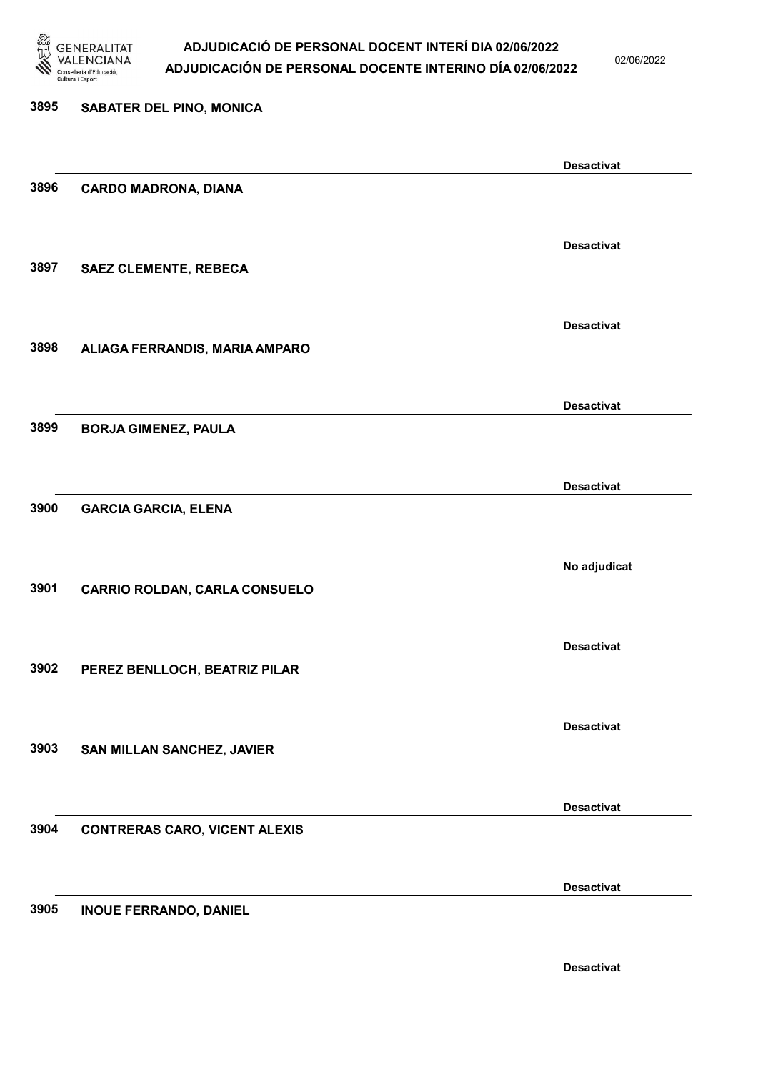

02/06/2022

| 3895 | <b>SABATER DEL PINO, MONICA</b>      |                   |
|------|--------------------------------------|-------------------|
|      |                                      |                   |
| 3896 | <b>CARDO MADRONA, DIANA</b>          | <b>Desactivat</b> |
|      |                                      |                   |
|      |                                      | <b>Desactivat</b> |
| 3897 | <b>SAEZ CLEMENTE, REBECA</b>         |                   |
|      |                                      | <b>Desactivat</b> |
| 3898 | ALIAGA FERRANDIS, MARIA AMPARO       |                   |
|      |                                      |                   |
| 3899 | <b>BORJA GIMENEZ, PAULA</b>          | <b>Desactivat</b> |
|      |                                      |                   |
|      |                                      | <b>Desactivat</b> |
| 3900 | <b>GARCIA GARCIA, ELENA</b>          |                   |
|      |                                      |                   |
|      |                                      | No adjudicat      |
| 3901 | <b>CARRIO ROLDAN, CARLA CONSUELO</b> |                   |
|      |                                      | <b>Desactivat</b> |
| 3902 | PEREZ BENLLOCH, BEATRIZ PILAR        |                   |
|      |                                      |                   |
|      |                                      | <b>Desactivat</b> |
| 3903 | SAN MILLAN SANCHEZ, JAVIER           |                   |
|      |                                      | <b>Desactivat</b> |
| 3904 | <b>CONTRERAS CARO, VICENT ALEXIS</b> |                   |
|      |                                      |                   |
|      |                                      | <b>Desactivat</b> |
| 3905 | <b>INOUE FERRANDO, DANIEL</b>        |                   |
|      |                                      |                   |

Desactivat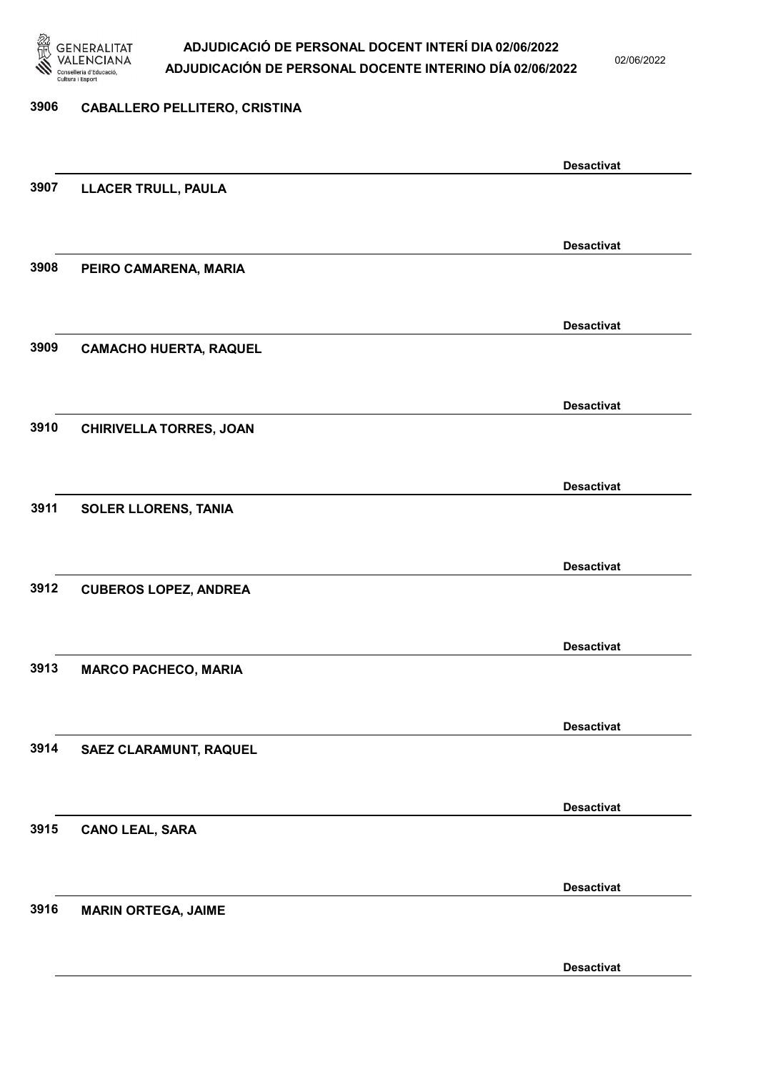

02/06/2022

### 3906 CABALLERO PELLITERO, CRISTINA

|                                | <b>Desactivat</b> |
|--------------------------------|-------------------|
| <b>LLACER TRULL, PAULA</b>     |                   |
|                                |                   |
|                                | <b>Desactivat</b> |
| PEIRO CAMARENA, MARIA          |                   |
|                                |                   |
|                                | <b>Desactivat</b> |
| <b>CAMACHO HUERTA, RAQUEL</b>  |                   |
|                                |                   |
|                                | <b>Desactivat</b> |
| <b>CHIRIVELLA TORRES, JOAN</b> |                   |
|                                |                   |
|                                | <b>Desactivat</b> |
| <b>SOLER LLORENS, TANIA</b>    |                   |
|                                |                   |
|                                | <b>Desactivat</b> |
| <b>CUBEROS LOPEZ, ANDREA</b>   |                   |
|                                |                   |
|                                | <b>Desactivat</b> |
| <b>MARCO PACHECO, MARIA</b>    |                   |
|                                |                   |
|                                | <b>Desactivat</b> |
| SAEZ CLARAMUNT, RAQUEL         |                   |
|                                |                   |
|                                | <b>Desactivat</b> |
| <b>CANO LEAL, SARA</b>         |                   |
|                                |                   |
|                                | <b>Desactivat</b> |
| <b>MARIN ORTEGA, JAIME</b>     |                   |
|                                |                   |
|                                | <b>Desactivat</b> |
|                                |                   |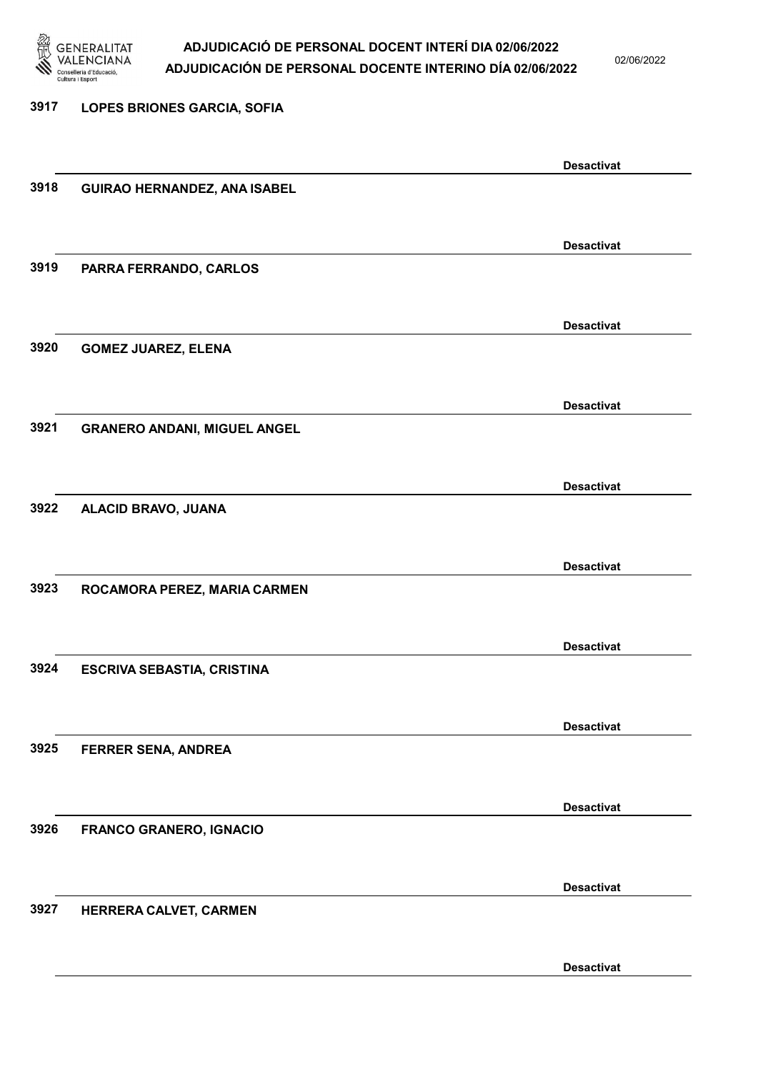

02/06/2022

Desactivat

# 3917 LOPES BRIONES GARCIA, SOFIA Desactivat 3918 GUIRAO HERNANDEZ, ANA ISABEL Desactivat 3919 PARRA FERRANDO, CARLOS Desactivat 3920 GOMEZ JUAREZ, ELENA Desactivat 3921 GRANERO ANDANI, MIGUEL ANGEL Desactivat 3922 ALACID BRAVO, JUANA Desactivat 3923 ROCAMORA PEREZ, MARIA CARMEN Desactivat 3924 ESCRIVA SEBASTIA, CRISTINA Desactivat 3925 FERRER SENA, ANDREA Desactivat 3926 FRANCO GRANERO, IGNACIO Desactivat 3927 HERRERA CALVET, CARMEN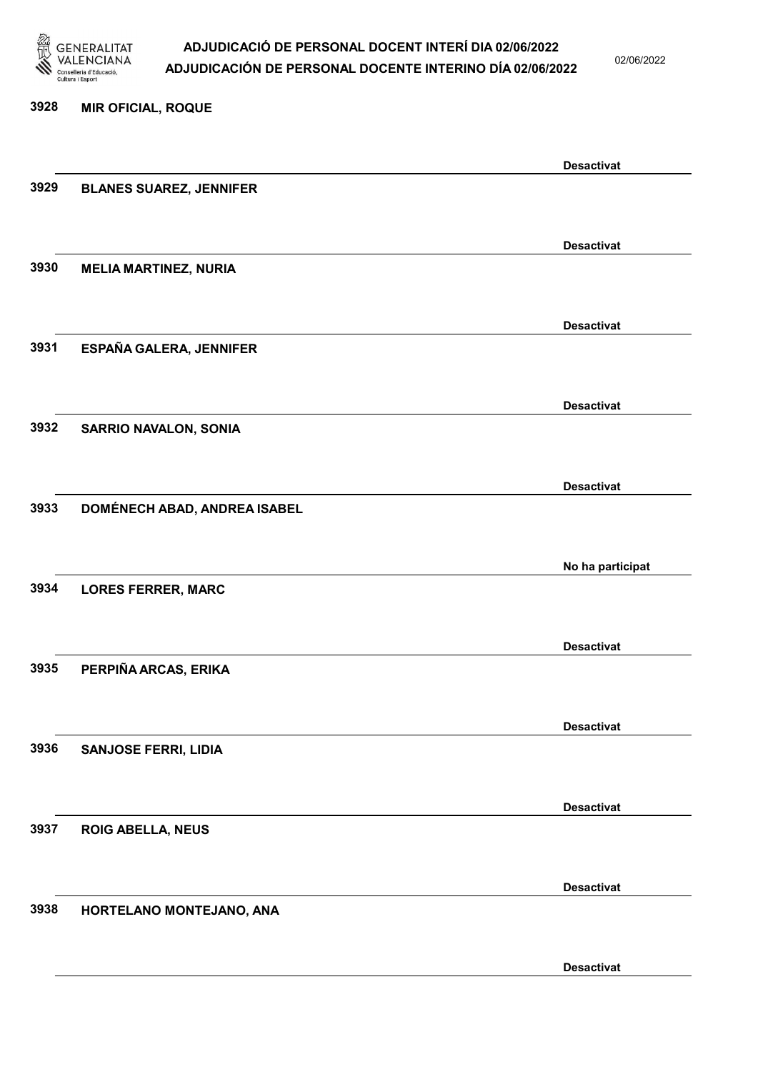

02/06/2022

Desactivat

# 3928 MIR OFICIAL, ROQUE Desactivat 3929 BLANES SUAREZ, JENNIFER Desactivat 3930 MELIA MARTINEZ, NURIA Desactivat 3931 ESPAÑA GALERA, JENNIFER Desactivat 3932 SARRIO NAVALON, SONIA Desactivat 3933 DOMÉNECH ABAD, ANDREA ISABEL No ha participat 3934 LORES FERRER, MARC Desactivat 3935 PERPIÑA ARCAS, ERIKA Desactivat 3936 SANJOSE FERRI, LIDIA Desactivat 3937 ROIG ABELLA, NEUS Desactivat 3938 HORTELANO MONTEJANO, ANA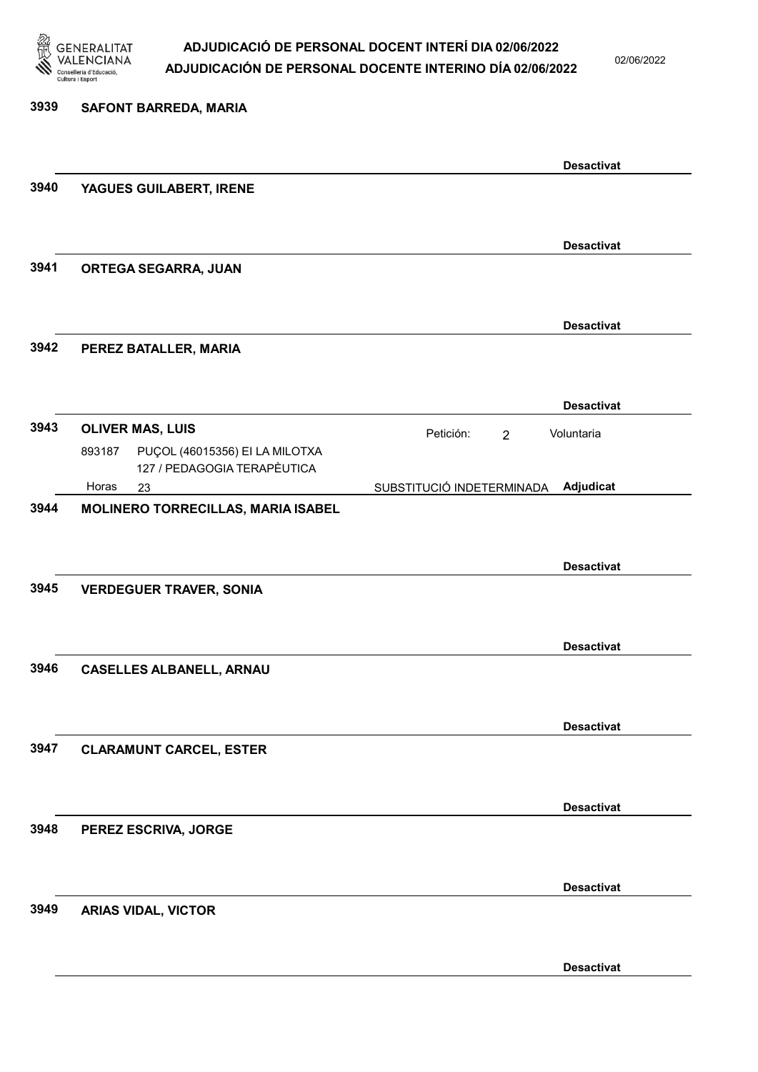

02/06/2022

Desactivat

# 3939 SAFONT BARREDA, MARIA Desactivat 3940 YAGUES GUILABERT, IRENE Desactivat 3941 ORTEGA SEGARRA, JUAN Desactivat 3942 PEREZ BATALLER, MARIA Desactivat **3943 OLIVER MAS, LUIS Exercía e Exercía e Petición:** 2 23 SUBSTITUCIÓ INDETERMINADA PUÇOL (46015356) EI LA MILOTXA 127 / PEDAGOGIA TERAPÈUTICA Adjudicat Voluntaria 893187 Horas 3944 MOLINERO TORRECILLAS, MARIA ISABEL Desactivat 3945 VERDEGUER TRAVER, SONIA Desactivat 3946 CASELLES ALBANELL, ARNAU Desactivat 3947 CLARAMUNT CARCEL, ESTER Desactivat 3948 PEREZ ESCRIVA, JORGE Desactivat 3949 ARIAS VIDAL, VICTOR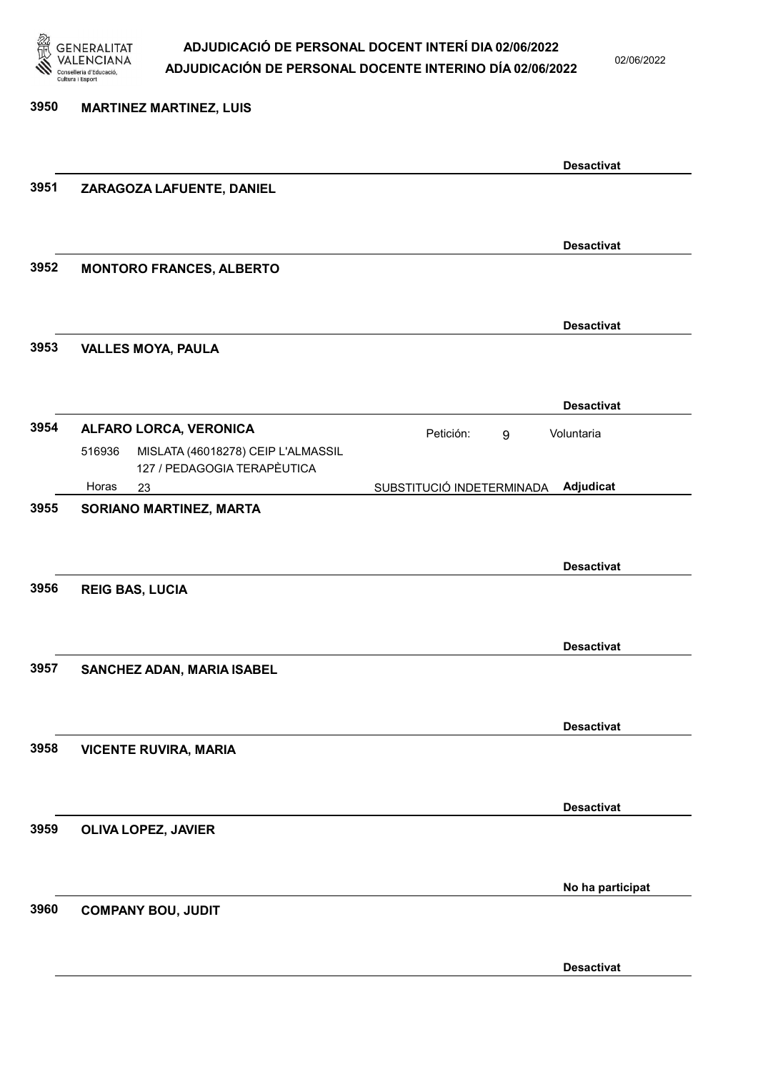

02/06/2022

| 3950 | <b>MARTINEZ MARTINEZ, LUIS</b>                                                                        |                           |                   |
|------|-------------------------------------------------------------------------------------------------------|---------------------------|-------------------|
|      |                                                                                                       |                           | <b>Desactivat</b> |
| 3951 | ZARAGOZA LAFUENTE, DANIEL                                                                             |                           |                   |
|      |                                                                                                       |                           | <b>Desactivat</b> |
| 3952 | <b>MONTORO FRANCES, ALBERTO</b>                                                                       |                           |                   |
| 3953 |                                                                                                       |                           | <b>Desactivat</b> |
|      | <b>VALLES MOYA, PAULA</b>                                                                             |                           |                   |
|      |                                                                                                       |                           | <b>Desactivat</b> |
| 3954 | ALFARO LORCA, VERONICA<br>516936<br>MISLATA (46018278) CEIP L'ALMASSIL<br>127 / PEDAGOGIA TERAPÈUTICA | Petición:<br>9            | Voluntaria        |
|      | Horas<br>23                                                                                           | SUBSTITUCIÓ INDETERMINADA | Adjudicat         |
| 3955 | SORIANO MARTINEZ, MARTA                                                                               |                           | <b>Desactivat</b> |
| 3956 | <b>REIG BAS, LUCIA</b>                                                                                |                           |                   |
| 3957 | SANCHEZ ADAN, MARIA ISABEL                                                                            |                           | <b>Desactivat</b> |
| 3958 | <b>VICENTE RUVIRA, MARIA</b>                                                                          |                           | <b>Desactivat</b> |
| 3959 | OLIVA LOPEZ, JAVIER                                                                                   |                           | <b>Desactivat</b> |
|      |                                                                                                       |                           | No ha participat  |
| 3960 | <b>COMPANY BOU, JUDIT</b>                                                                             |                           |                   |
|      |                                                                                                       |                           | <b>Desactivat</b> |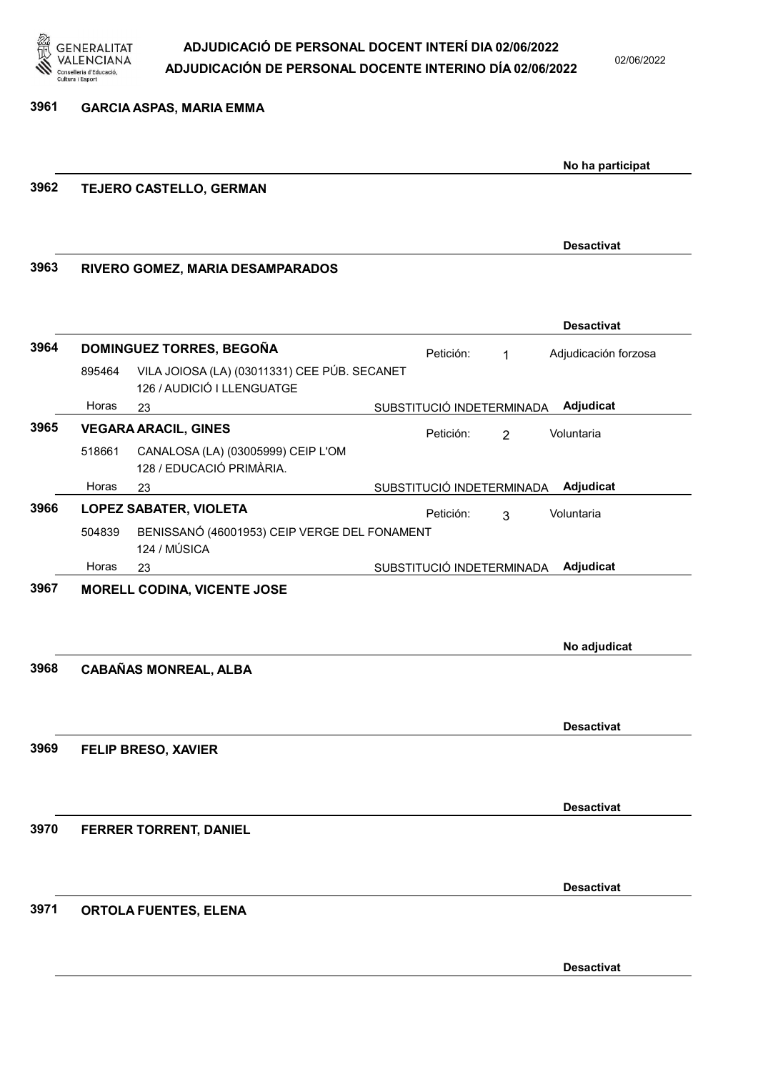

No ha participat

Desactivat

## 3961 GARCIA ASPAS, MARIA EMMA

## 3962 TEJERO CASTELLO, GERMAN

3963 RIVERO GOMEZ, MARIA DESAMPARADOS

|      |                                    |                                                                            |  |                           |                | <b>Desactivat</b>    |
|------|------------------------------------|----------------------------------------------------------------------------|--|---------------------------|----------------|----------------------|
| 3964 | DOMINGUEZ TORRES, BEGOÑA           |                                                                            |  | Petición:                 | 1              | Adjudicación forzosa |
|      | 895464                             | VILA JOIOSA (LA) (03011331) CEE PÚB. SECANET<br>126 / AUDICIÓ I LLENGUATGE |  |                           |                |                      |
|      | Horas                              | 23                                                                         |  | SUBSTITUCIÓ INDETERMINADA |                | Adjudicat            |
| 3965 | <b>VEGARA ARACIL, GINES</b>        |                                                                            |  | Petición:                 | $\overline{2}$ | Voluntaria           |
|      | 518661                             | CANALOSA (LA) (03005999) CEIP L'OM<br>128 / EDUCACIÓ PRIMÀRIA.             |  |                           |                |                      |
|      | Horas                              | 23                                                                         |  | SUBSTITUCIÓ INDETERMINADA |                | Adjudicat            |
| 3966 | <b>LOPEZ SABATER, VIOLETA</b>      |                                                                            |  | Petición:                 | 3              | Voluntaria           |
|      | 504839                             | BENISSANÓ (46001953) CEIP VERGE DEL FONAMENT<br>124 / MÚSICA               |  |                           |                |                      |
|      | Horas                              | 23                                                                         |  | SUBSTITUCIÓ INDETERMINADA |                | Adjudicat            |
| 3967 | <b>MORELL CODINA, VICENTE JOSE</b> |                                                                            |  |                           |                |                      |
|      |                                    |                                                                            |  |                           |                |                      |
|      |                                    |                                                                            |  |                           |                | No adjudicat         |
| 3968 |                                    | <b>CABAÑAS MONREAL, ALBA</b>                                               |  |                           |                |                      |
|      |                                    |                                                                            |  |                           |                |                      |
|      |                                    |                                                                            |  |                           |                |                      |
|      |                                    |                                                                            |  |                           |                | <b>Desactivat</b>    |
| 3969 |                                    | FELIP BRESO, XAVIER                                                        |  |                           |                |                      |
|      |                                    |                                                                            |  |                           |                |                      |
|      |                                    |                                                                            |  |                           |                | <b>Desactivat</b>    |
| 3970 |                                    | FERRER TORRENT, DANIEL                                                     |  |                           |                |                      |
|      |                                    |                                                                            |  |                           |                |                      |
|      |                                    |                                                                            |  |                           |                | <b>Desactivat</b>    |
| 3971 |                                    |                                                                            |  |                           |                |                      |
|      |                                    | <b>ORTOLA FUENTES, ELENA</b>                                               |  |                           |                |                      |
|      |                                    |                                                                            |  |                           |                |                      |
|      |                                    |                                                                            |  |                           |                | <b>Desactivat</b>    |